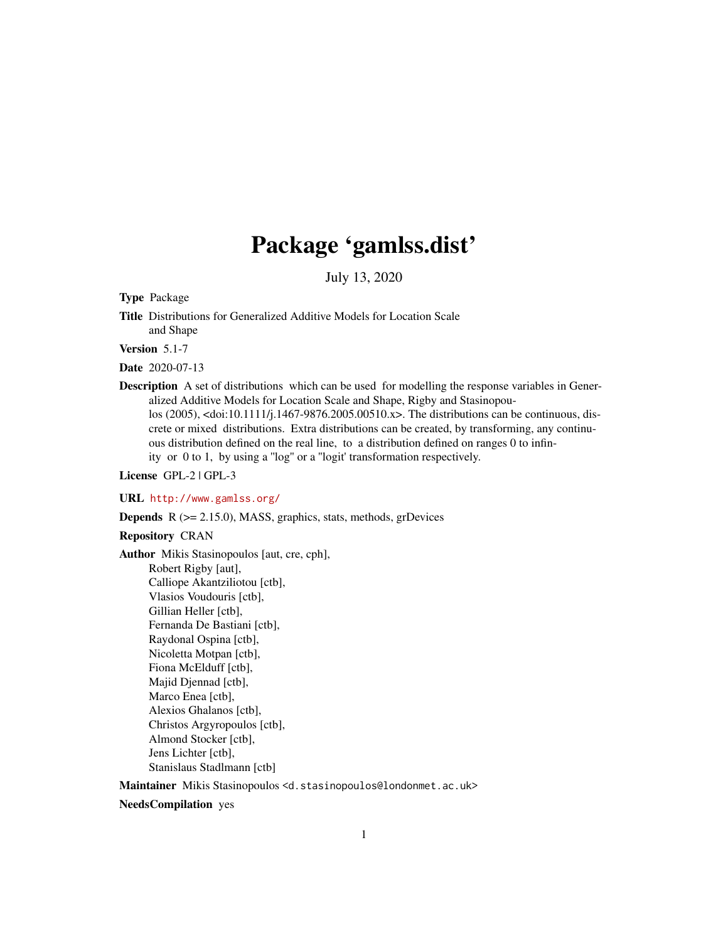# Package 'gamlss.dist'

July 13, 2020

Type Package

Title Distributions for Generalized Additive Models for Location Scale and Shape

Version 5.1-7

Date 2020-07-13

Description A set of distributions which can be used for modelling the response variables in Generalized Additive Models for Location Scale and Shape, Rigby and Stasinopoulos (2005), <doi:10.1111/j.1467-9876.2005.00510.x>. The distributions can be continuous, discrete or mixed distributions. Extra distributions can be created, by transforming, any continuous distribution defined on the real line, to a distribution defined on ranges 0 to infinity or 0 to 1, by using a ''log'' or a ''logit' transformation respectively.

License GPL-2 | GPL-3

URL <http://www.gamlss.org/>

Depends R (>= 2.15.0), MASS, graphics, stats, methods, grDevices

Repository CRAN

Author Mikis Stasinopoulos [aut, cre, cph], Robert Rigby [aut], Calliope Akantziliotou [ctb], Vlasios Voudouris [ctb], Gillian Heller [ctb], Fernanda De Bastiani [ctb], Raydonal Ospina [ctb], Nicoletta Motpan [ctb], Fiona McElduff [ctb], Majid Djennad [ctb], Marco Enea [ctb], Alexios Ghalanos [ctb], Christos Argyropoulos [ctb], Almond Stocker [ctb], Jens Lichter [ctb], Stanislaus Stadlmann [ctb]

Maintainer Mikis Stasinopoulos <d.stasinopoulos@londonmet.ac.uk>

NeedsCompilation yes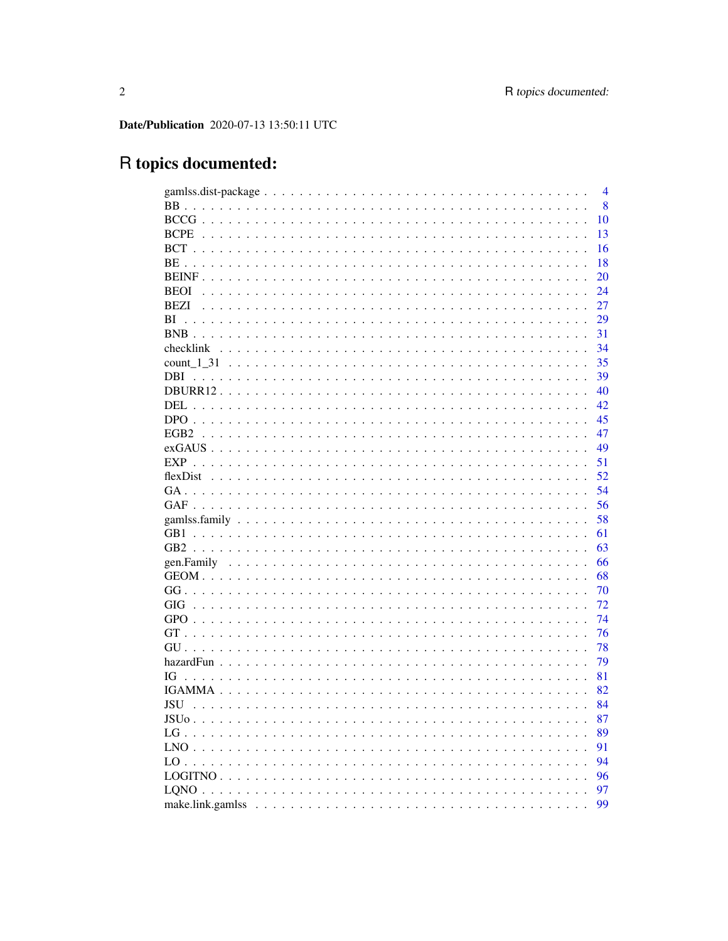Date/Publication 2020-07-13 13:50:11 UTC

# R topics documented:

|                  | $\overline{4}$ |
|------------------|----------------|
|                  | 8              |
|                  | 10             |
| <b>BCPE</b>      | 13             |
|                  | 16             |
|                  | 18             |
|                  | 20             |
| <b>BEOI</b>      | 24             |
| BEZI             | 27             |
| ВI               | 29             |
|                  | 31             |
|                  | 34             |
|                  | 35             |
| DBI.             | 39             |
|                  | 40             |
| DEL              | 42             |
|                  | 45             |
| EGB <sub>2</sub> | 47             |
|                  | 49             |
|                  | 51             |
|                  | 52             |
|                  | 54             |
|                  | 56             |
|                  | 58             |
| GB1              | 61             |
|                  | 63             |
|                  | 66             |
|                  | 68             |
|                  | 70             |
| GIG              | 72             |
|                  | 74             |
|                  | 76             |
|                  | 78             |
|                  | 79             |
| IG               | 81             |
|                  | 82             |
| JSU              | 84             |
| <b>JSUo</b>      | 87             |
|                  |                |
|                  | 89             |
|                  | 91             |
|                  | 94             |
|                  | 96             |
|                  | 97             |
|                  | 99             |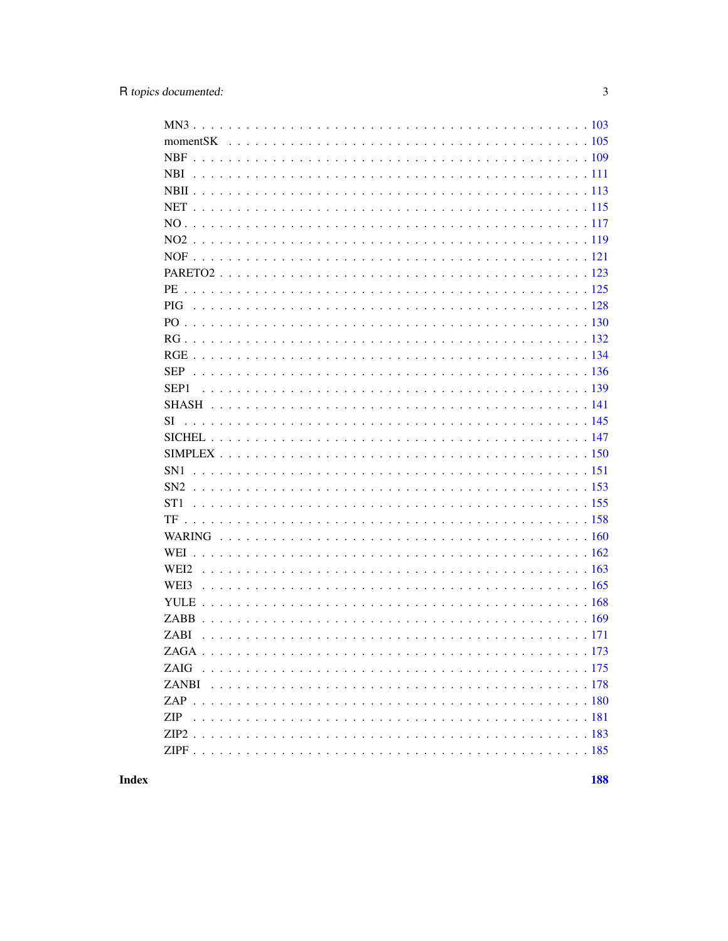| SEP <sub>1</sub> |
|------------------|
|                  |
| SI               |
|                  |
|                  |
|                  |
|                  |
|                  |
|                  |
|                  |
| <b>WEI</b>       |
|                  |
| WEI3             |
|                  |
|                  |
|                  |
|                  |
|                  |
|                  |
|                  |
| <b>ZIP</b>       |
|                  |
|                  |
|                  |

**Index**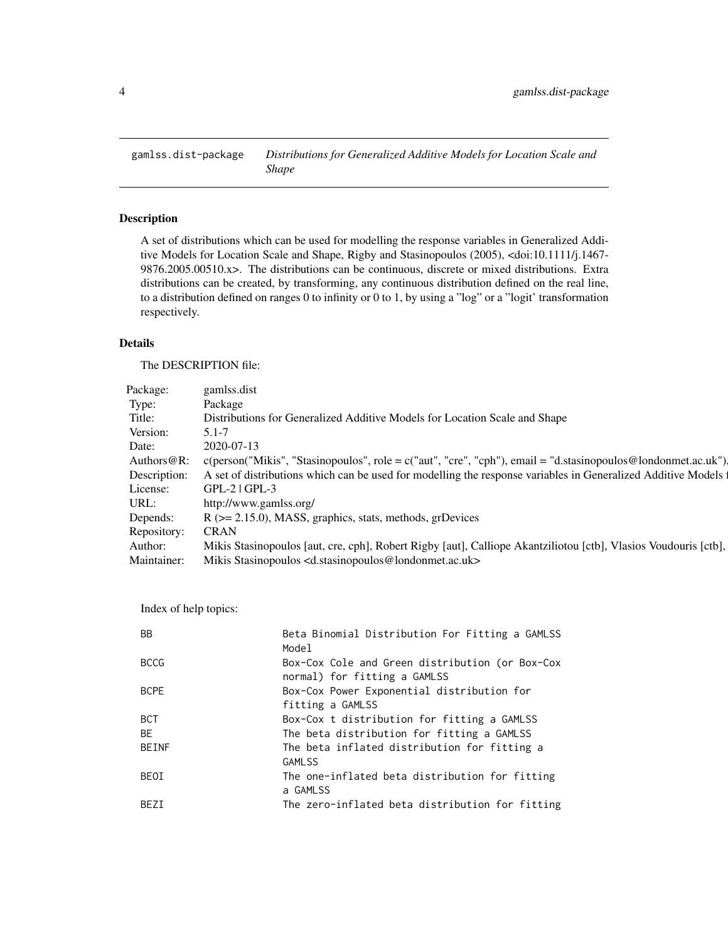<span id="page-3-0"></span>gamlss.dist-package *Distributions for Generalized Additive Models for Location Scale and Shape*

# Description

A set of distributions which can be used for modelling the response variables in Generalized Additive Models for Location Scale and Shape, Rigby and Stasinopoulos (2005), <doi:10.1111/j.1467- 9876.2005.00510.x>. The distributions can be continuous, discrete or mixed distributions. Extra distributions can be created, by transforming, any continuous distribution defined on the real line, to a distribution defined on ranges 0 to infinity or 0 to 1, by using a "log" or a "logit' transformation respectively.

# Details

The DESCRIPTION file:

| Package: gamlss.dist                                                                                                        |  |  |
|-----------------------------------------------------------------------------------------------------------------------------|--|--|
|                                                                                                                             |  |  |
| Vistributions for Generalized Additive Models for Location Scale and Shape                                                  |  |  |
| $5.1 - 7$<br>Version:                                                                                                       |  |  |
|                                                                                                                             |  |  |
| Authors@R: c(person("Mikis", "Stasinopoulos", role = c("aut", "cre", "cph"), email = "d.stasinopoulos@londonmet.ac.uk").    |  |  |
| Description: A set of distributions which can be used for modelling the response variables in Generalized Additive Models 1 |  |  |
| License: GPL-2   GPL-3                                                                                                      |  |  |
| http://www.gamlss.org/                                                                                                      |  |  |
| Depends: $R$ ( $>= 2.15.0$ ), MASS, graphics, stats, methods, grDevices                                                     |  |  |
| Repository: CRAN                                                                                                            |  |  |
| Author: Mikis Stasinopoulos [aut, cre, cph], Robert Rigby [aut], Calliope Akantziliotou [ctb], Vlasios Voudouris [ctb],     |  |  |
| Maintainer: Mikis Stasinopoulos <d.stasinopoulos@londonmet.ac.uk></d.stasinopoulos@londonmet.ac.uk>                         |  |  |

Index of help topics:

| <b>BB</b>    | Beta Binomial Distribution For Fitting a GAMLSS<br>Model                        |
|--------------|---------------------------------------------------------------------------------|
| <b>BCCG</b>  | Box-Cox Cole and Green distribution (or Box-Cox<br>normal) for fitting a GAMLSS |
| <b>BCPE</b>  | Box-Cox Power Exponential distribution for<br>fitting a GAMLSS                  |
| <b>BCT</b>   | Box-Cox t distribution for fitting a GAMLSS                                     |
| <b>BE</b>    | The beta distribution for fitting a GAMLSS                                      |
| <b>BEINF</b> | The beta inflated distribution for fitting a<br><b>GAMLSS</b>                   |
| BEOI         | The one-inflated beta distribution for fitting<br>a GAMLSS                      |
| BF7T         | The zero-inflated beta distribution for fitting                                 |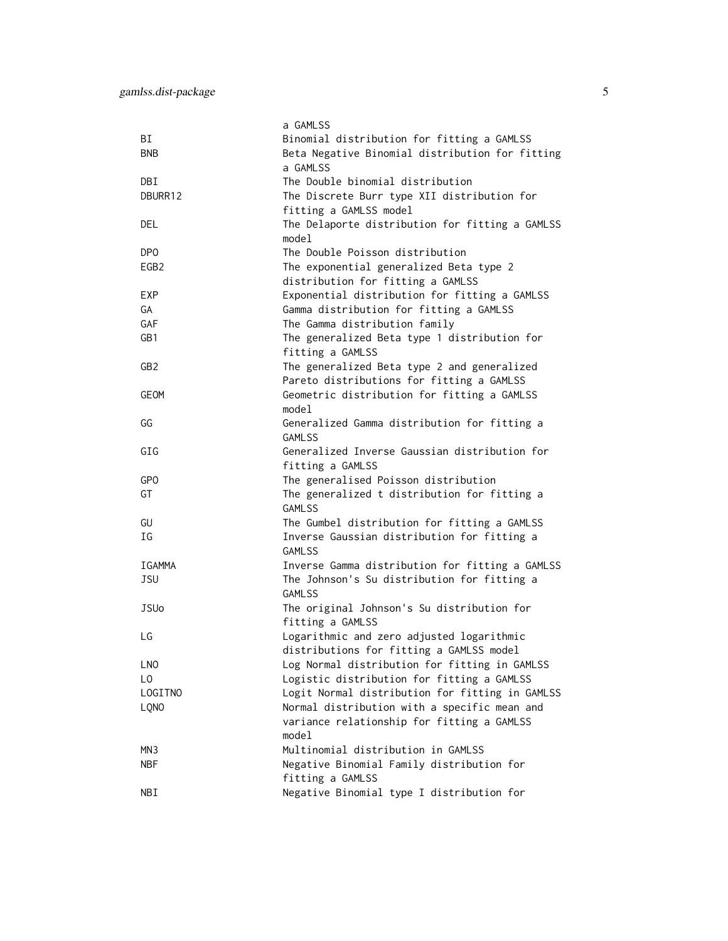|                  | a GAMLSS                                        |
|------------------|-------------------------------------------------|
| ВI               | Binomial distribution for fitting a GAMLSS      |
| <b>BNB</b>       | Beta Negative Binomial distribution for fitting |
|                  | a GAMLSS                                        |
| DBI              | The Double binomial distribution                |
| DBURR12          | The Discrete Burr type XII distribution for     |
|                  | fitting a GAMLSS model                          |
| DEL              | The Delaporte distribution for fitting a GAMLSS |
|                  | model                                           |
| DP <sub>0</sub>  | The Double Poisson distribution                 |
| EGB <sub>2</sub> | The exponential generalized Beta type 2         |
|                  | distribution for fitting a GAMLSS               |
| EXP              | Exponential distribution for fitting a GAMLSS   |
| GA               | Gamma distribution for fitting a GAMLSS         |
| <b>GAF</b>       | The Gamma distribution family                   |
| GB1              | The generalized Beta type 1 distribution for    |
|                  | fitting a GAMLSS                                |
| GB <sub>2</sub>  | The generalized Beta type 2 and generalized     |
|                  | Pareto distributions for fitting a GAMLSS       |
| GEOM             | Geometric distribution for fitting a GAMLSS     |
|                  | model                                           |
| GG               | Generalized Gamma distribution for fitting a    |
|                  | <b>GAMLSS</b>                                   |
| GIG              | Generalized Inverse Gaussian distribution for   |
|                  | fitting a GAMLSS                                |
| GPO              | The generalised Poisson distribution            |
| GT               | The generalized t distribution for fitting a    |
|                  | <b>GAMLSS</b>                                   |
| GU               | The Gumbel distribution for fitting a GAMLSS    |
| ΙG               | Inverse Gaussian distribution for fitting a     |
|                  | <b>GAMLSS</b>                                   |
| <b>IGAMMA</b>    | Inverse Gamma distribution for fitting a GAMLSS |
| <b>JSU</b>       | The Johnson's Su distribution for fitting a     |
|                  | <b>GAMLSS</b>                                   |
| <b>JSUo</b>      | The original Johnson's Su distribution for      |
|                  | fitting a GAMLSS                                |
| LG               | Logarithmic and zero adjusted logarithmic       |
|                  | distributions for fitting a GAMLSS model        |
| <b>LNO</b>       | Log Normal distribution for fitting in GAMLSS   |
| LO.              | Logistic distribution for fitting a GAMLSS      |
| LOGITNO          | Logit Normal distribution for fitting in GAMLSS |
| LQNO             | Normal distribution with a specific mean and    |
|                  | variance relationship for fitting a GAMLSS      |
|                  | model                                           |
| MN <sub>3</sub>  | Multinomial distribution in GAMLSS              |
| <b>NBF</b>       | Negative Binomial Family distribution for       |
|                  | fitting a GAMLSS                                |
| NBI              | Negative Binomial type I distribution for       |
|                  |                                                 |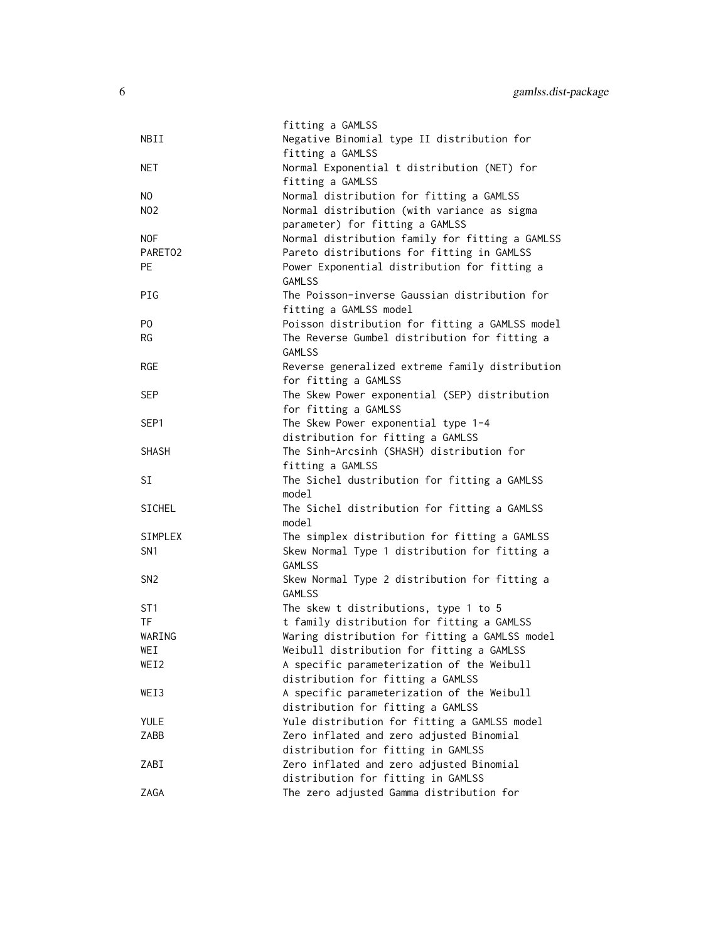|                                   | fitting a GAMLSS                                                                              |
|-----------------------------------|-----------------------------------------------------------------------------------------------|
| NBII                              | Negative Binomial type II distribution for<br>fitting a GAMLSS                                |
| NET                               | Normal Exponential t distribution (NET) for                                                   |
|                                   | fitting a GAMLSS                                                                              |
| NO.                               | Normal distribution for fitting a GAMLSS                                                      |
| <b>NO2</b>                        | Normal distribution (with variance as sigma                                                   |
|                                   | parameter) for fitting a GAMLSS                                                               |
| <b>NOF</b><br>PARETO <sub>2</sub> | Normal distribution family for fitting a GAMLSS<br>Pareto distributions for fitting in GAMLSS |
| <b>PE</b>                         | Power Exponential distribution for fitting a                                                  |
|                                   | <b>GAMLSS</b>                                                                                 |
| PIG                               | The Poisson-inverse Gaussian distribution for                                                 |
|                                   | fitting a GAMLSS model                                                                        |
| P <sub>0</sub>                    | Poisson distribution for fitting a GAMLSS model                                               |
| <b>RG</b>                         | The Reverse Gumbel distribution for fitting a<br><b>GAMLSS</b>                                |
| <b>RGE</b>                        | Reverse generalized extreme family distribution                                               |
|                                   | for fitting a GAMLSS                                                                          |
| <b>SEP</b>                        | The Skew Power exponential (SEP) distribution                                                 |
|                                   | for fitting a GAMLSS                                                                          |
| SEP1                              | The Skew Power exponential type 1-4                                                           |
|                                   | distribution for fitting a GAMLSS                                                             |
| <b>SHASH</b>                      | The Sinh-Arcsinh (SHASH) distribution for                                                     |
| SI                                | fitting a GAMLSS<br>The Sichel dustribution for fitting a GAMLSS                              |
|                                   | model                                                                                         |
| <b>SICHEL</b>                     | The Sichel distribution for fitting a GAMLSS                                                  |
|                                   | model                                                                                         |
| SIMPLEX                           | The simplex distribution for fitting a GAMLSS                                                 |
| SN <sub>1</sub>                   | Skew Normal Type 1 distribution for fitting a                                                 |
| SN <sub>2</sub>                   | <b>GAMLSS</b><br>Skew Normal Type 2 distribution for fitting a                                |
|                                   | <b>GAMLSS</b>                                                                                 |
| ST <sub>1</sub>                   | The skew t distributions, type 1 to 5                                                         |
| TF                                | t family distribution for fitting a GAMLSS                                                    |
| WARING                            | Waring distribution for fitting a GAMLSS model                                                |
| WEI                               | Weibull distribution for fitting a GAMLSS                                                     |
| WEI2                              | A specific parameterization of the Weibull<br>distribution for fitting a GAMLSS               |
| WEI3                              | A specific parameterization of the Weibull                                                    |
|                                   | distribution for fitting a GAMLSS                                                             |
| <b>YULE</b>                       | Yule distribution for fitting a GAMLSS model                                                  |
| ZABB                              | Zero inflated and zero adjusted Binomial                                                      |
|                                   | distribution for fitting in GAMLSS                                                            |
| ZABI                              | Zero inflated and zero adjusted Binomial                                                      |
|                                   | distribution for fitting in GAMLSS                                                            |
| ZAGA                              | The zero adjusted Gamma distribution for                                                      |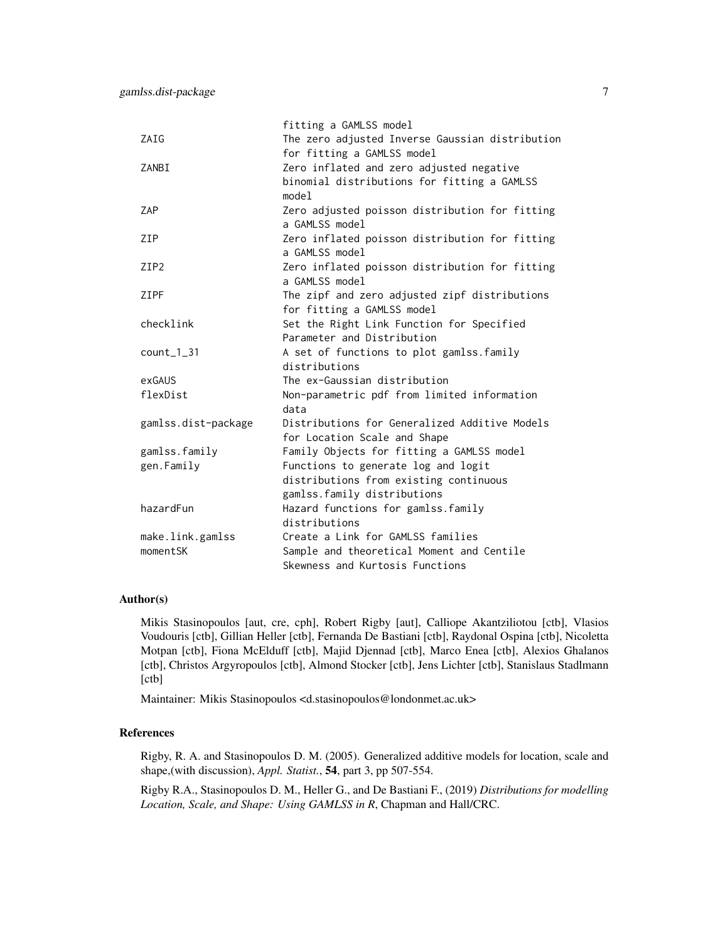|                     | fitting a GAMLSS model                          |
|---------------------|-------------------------------------------------|
| ZAIG                | The zero adjusted Inverse Gaussian distribution |
|                     | for fitting a GAMLSS model                      |
| ZANBI               | Zero inflated and zero adjusted negative        |
|                     | binomial distributions for fitting a GAMLSS     |
|                     | mode1                                           |
| ZAP                 | Zero adjusted poisson distribution for fitting  |
|                     | a GAMLSS model                                  |
| ZIP                 | Zero inflated poisson distribution for fitting  |
|                     | a GAMLSS model                                  |
| ZIP <sub>2</sub>    | Zero inflated poisson distribution for fitting  |
|                     | a GAMLSS model                                  |
| ZIPF                | The zipf and zero adjusted zipf distributions   |
|                     | for fitting a GAMLSS model                      |
| checklink           | Set the Right Link Function for Specified       |
|                     | Parameter and Distribution                      |
| $count_1_31$        | A set of functions to plot gamlss. family       |
|                     | distributions                                   |
| exGAUS              | The ex-Gaussian distribution                    |
| flexDist            | Non-parametric pdf from limited information     |
|                     | data                                            |
| gamlss.dist-package | Distributions for Generalized Additive Models   |
|                     | for Location Scale and Shape                    |
| gamlss.family       | Family Objects for fitting a GAMLSS model       |
| gen.Family          | Functions to generate log and logit             |
|                     | distributions from existing continuous          |
|                     | gamlss.family distributions                     |
| hazardFun           | Hazard functions for gamlss.family              |
|                     | distributions                                   |
| make.link.gamlss    | Create a Link for GAMLSS families               |
| momentSK            | Sample and theoretical Moment and Centile       |
|                     | Skewness and Kurtosis Functions                 |

#### Author(s)

Mikis Stasinopoulos [aut, cre, cph], Robert Rigby [aut], Calliope Akantziliotou [ctb], Vlasios Voudouris [ctb], Gillian Heller [ctb], Fernanda De Bastiani [ctb], Raydonal Ospina [ctb], Nicoletta Motpan [ctb], Fiona McElduff [ctb], Majid Djennad [ctb], Marco Enea [ctb], Alexios Ghalanos [ctb], Christos Argyropoulos [ctb], Almond Stocker [ctb], Jens Lichter [ctb], Stanislaus Stadlmann [ctb]

Maintainer: Mikis Stasinopoulos <d.stasinopoulos@londonmet.ac.uk>

#### References

Rigby, R. A. and Stasinopoulos D. M. (2005). Generalized additive models for location, scale and shape,(with discussion), *Appl. Statist.*, 54, part 3, pp 507-554.

Rigby R.A., Stasinopoulos D. M., Heller G., and De Bastiani F., (2019) *Distributions for modelling Location, Scale, and Shape: Using GAMLSS in R*, Chapman and Hall/CRC.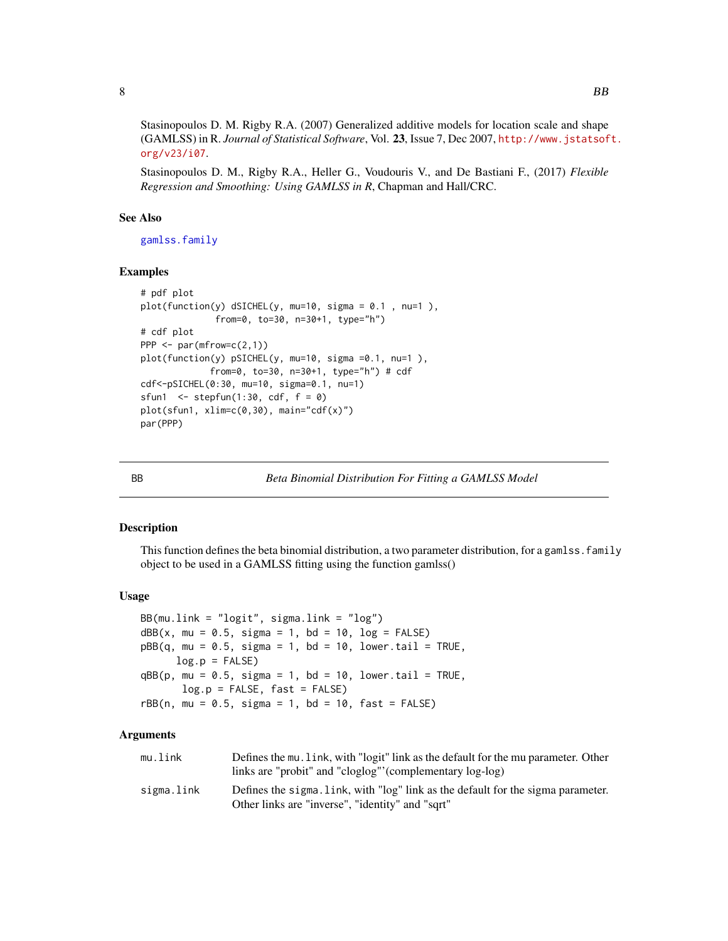<span id="page-7-0"></span>Stasinopoulos D. M. Rigby R.A. (2007) Generalized additive models for location scale and shape (GAMLSS) in R. *Journal of Statistical Software*, Vol. 23, Issue 7, Dec 2007, [http://www.jstatsof](http://www.jstatsoft.org/v23/i07)t. [org/v23/i07](http://www.jstatsoft.org/v23/i07).

Stasinopoulos D. M., Rigby R.A., Heller G., Voudouris V., and De Bastiani F., (2017) *Flexible Regression and Smoothing: Using GAMLSS in R*, Chapman and Hall/CRC.

# See Also

[gamlss.family](#page-57-1)

#### Examples

```
# pdf plot
plot(function(y) dSICHEL(y, mu=10, sigma = 0.1 , nu=1 ),
              from=0, to=30, n=30+1, type="h")
# cdf plot
PPP <- par(mfrow=c(2,1))
plot(function(y) pSICHEL(y, mu=10, sigma =0.1, nu=1 ),
             from=0, to=30, n=30+1, type="h") # cdf
cdf<-pSICHEL(0:30, mu=10, sigma=0.1, nu=1)
sfun1 \le stepfun(1:30, cdf, f = 0)
plot(sfun1, xlim=c(0,30), main="cdf(x)")
par(PPP)
```
BB *Beta Binomial Distribution For Fitting a GAMLSS Model*

# Description

This function defines the beta binomial distribution, a two parameter distribution, for a gamlss. family object to be used in a GAMLSS fitting using the function gamlss()

#### Usage

```
BB(mu.link = "logit", sigma.link = "log")
dBB(x, mu = 0.5, sigma = 1, bd = 10, log = FALSE)pBB(q, mu = 0.5, sigma = 1, bd = 10, lower.tail = TRUE,log.p = FALSEqBB(p, mu = 0.5, sigma = 1, bd = 10, lower.tail = TRUE,log.p = FALSE, fast = FALSE)rBB(n, mu = 0.5, sigma = 1, bd = 10, fast = FALSE)
```
# Arguments

| mu.link    | Defines the mu. Link, with "logit" link as the default for the mu parameter. Other |
|------------|------------------------------------------------------------------------------------|
|            | links are "probit" and "cloglog" (complementary log-log)                           |
| sigma.link | Defines the sigma. Link, with "log" link as the default for the sigma parameter.   |
|            | Other links are "inverse", "identity" and "sqrt"                                   |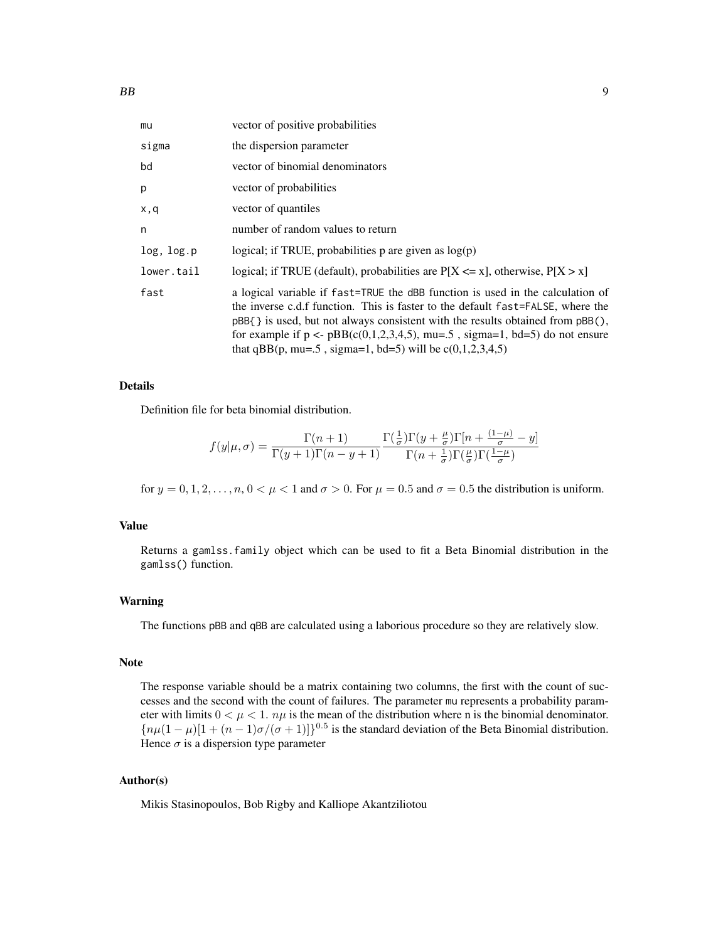| mu         | vector of positive probabilities                                                                                                                                                                                                                                                                                                                                                                              |
|------------|---------------------------------------------------------------------------------------------------------------------------------------------------------------------------------------------------------------------------------------------------------------------------------------------------------------------------------------------------------------------------------------------------------------|
| sigma      | the dispersion parameter                                                                                                                                                                                                                                                                                                                                                                                      |
| bd         | vector of binomial denominators                                                                                                                                                                                                                                                                                                                                                                               |
| p          | vector of probabilities                                                                                                                                                                                                                                                                                                                                                                                       |
| x,q        | vector of quantiles                                                                                                                                                                                                                                                                                                                                                                                           |
| n          | number of random values to return                                                                                                                                                                                                                                                                                                                                                                             |
| log, log.p | logical; if TRUE, probabilities p are given as $log(p)$                                                                                                                                                                                                                                                                                                                                                       |
| lower.tail | logical; if TRUE (default), probabilities are $P[X \le x]$ , otherwise, $P[X > x]$                                                                                                                                                                                                                                                                                                                            |
| fast       | a logical variable if fast=TRUE the dBB function is used in the calculation of<br>the inverse c.d.f function. This is faster to the default fast=FALSE, where the<br>$pBB$ { } is used, but not always consistent with the results obtained from $pBB$ (),<br>for example if $p \leq pBB(c(0,1,2,3,4,5))$ , mu=.5, sigma=1, bd=5) do not ensure<br>that qBB(p, mu=.5, sigma=1, bd=5) will be $c(0,1,2,3,4,5)$ |

# Details

Definition file for beta binomial distribution.

$$
f(y|\mu,\sigma) = \frac{\Gamma(n+1)}{\Gamma(y+1)\Gamma(n-y+1)} \frac{\Gamma(\frac{1}{\sigma})\Gamma(y+\frac{\mu}{\sigma})\Gamma[n+\frac{(1-\mu)}{\sigma}-y]}{\Gamma(n+\frac{1}{\sigma})\Gamma(\frac{\mu}{\sigma})\Gamma(\frac{1-\mu}{\sigma})}
$$

for  $y = 0, 1, 2, \ldots, n$ ,  $0 \lt \mu \lt 1$  and  $\sigma > 0$ . For  $\mu = 0.5$  and  $\sigma = 0.5$  the distribution is uniform.

#### Value

Returns a gamlss.family object which can be used to fit a Beta Binomial distribution in the gamlss() function.

# Warning

The functions pBB and qBB are calculated using a laborious procedure so they are relatively slow.

# Note

The response variable should be a matrix containing two columns, the first with the count of successes and the second with the count of failures. The parameter mu represents a probability parameter with limits  $0 < \mu < 1$ .  $n\mu$  is the mean of the distribution where n is the binomial denominator.  ${n\mu(1-\mu)[1+(n-1)\sigma/(\sigma+1)]\}^{0.5}$  is the standard deviation of the Beta Binomial distribution. Hence  $\sigma$  is a dispersion type parameter

# Author(s)

Mikis Stasinopoulos, Bob Rigby and Kalliope Akantziliotou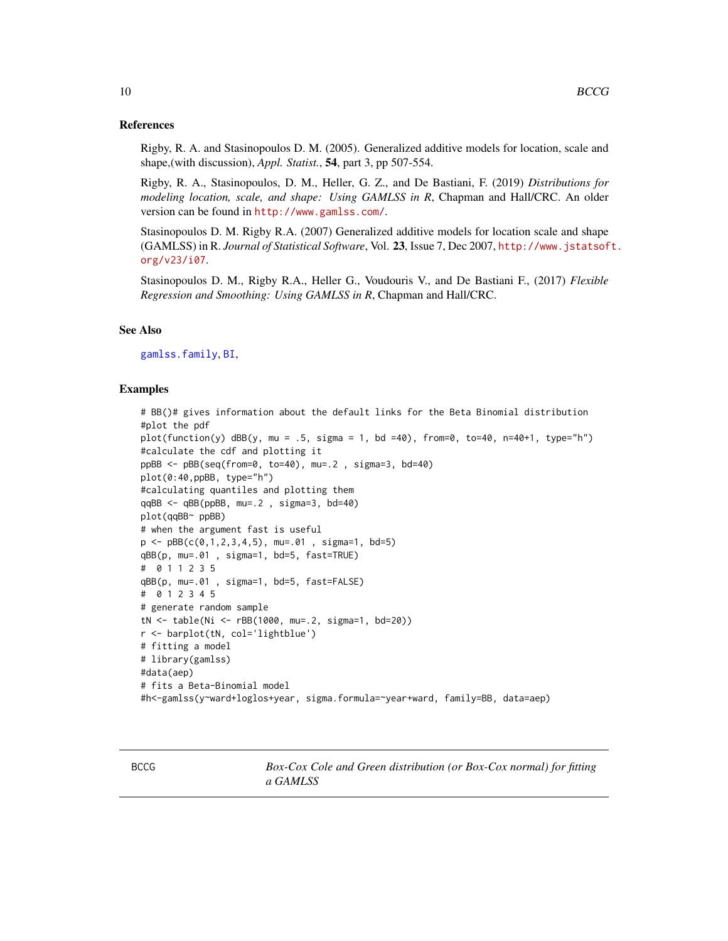# References

Rigby, R. A. and Stasinopoulos D. M. (2005). Generalized additive models for location, scale and shape,(with discussion), *Appl. Statist.*, 54, part 3, pp 507-554.

Rigby, R. A., Stasinopoulos, D. M., Heller, G. Z., and De Bastiani, F. (2019) *Distributions for modeling location, scale, and shape: Using GAMLSS in R*, Chapman and Hall/CRC. An older version can be found in <http://www.gamlss.com/>.

Stasinopoulos D. M. Rigby R.A. (2007) Generalized additive models for location scale and shape (GAMLSS) in R. *Journal of Statistical Software*, Vol. 23, Issue 7, Dec 2007, [http://www.jstatsof](http://www.jstatsoft.org/v23/i07)t. [org/v23/i07](http://www.jstatsoft.org/v23/i07).

Stasinopoulos D. M., Rigby R.A., Heller G., Voudouris V., and De Bastiani F., (2017) *Flexible Regression and Smoothing: Using GAMLSS in R*, Chapman and Hall/CRC.

# See Also

[gamlss.family](#page-57-1), [BI](#page-28-1),

# Examples

```
# BB()# gives information about the default links for the Beta Binomial distribution
#plot the pdf
plot(function(y) dB(y, mu = .5, sigma = 1, bd = 40), from=0, to=40, n=40+1, type="n")#calculate the cdf and plotting it
ppBB <- pBB(seq(from=0, to=40), mu=.2 , sigma=3, bd=40)
plot(0:40,ppBB, type="h")
#calculating quantiles and plotting them
qqBB <- qBB(ppBB, mu=.2 , sigma=3, bd=40)
plot(qqBB~ ppBB)
# when the argument fast is useful
p \leq -pBB(c(0,1,2,3,4,5)), mu=.01, sigma=1, bd=5)
qBB(p, mu=.01 , sigma=1, bd=5, fast=TRUE)
# 0 1 1 2 3 5
qBB(p, mu=.01 , sigma=1, bd=5, fast=FALSE)
# 0 1 2 3 4 5
# generate random sample
tN <- table(Ni <- rBB(1000, mu=.2, sigma=1, bd=20))
r <- barplot(tN, col='lightblue')
# fitting a model
# library(gamlss)
#data(aep)
# fits a Beta-Binomial model
#h<-gamlss(y~ward+loglos+year, sigma.formula=~year+ward, family=BB, data=aep)
```
<span id="page-9-0"></span>

<span id="page-9-1"></span>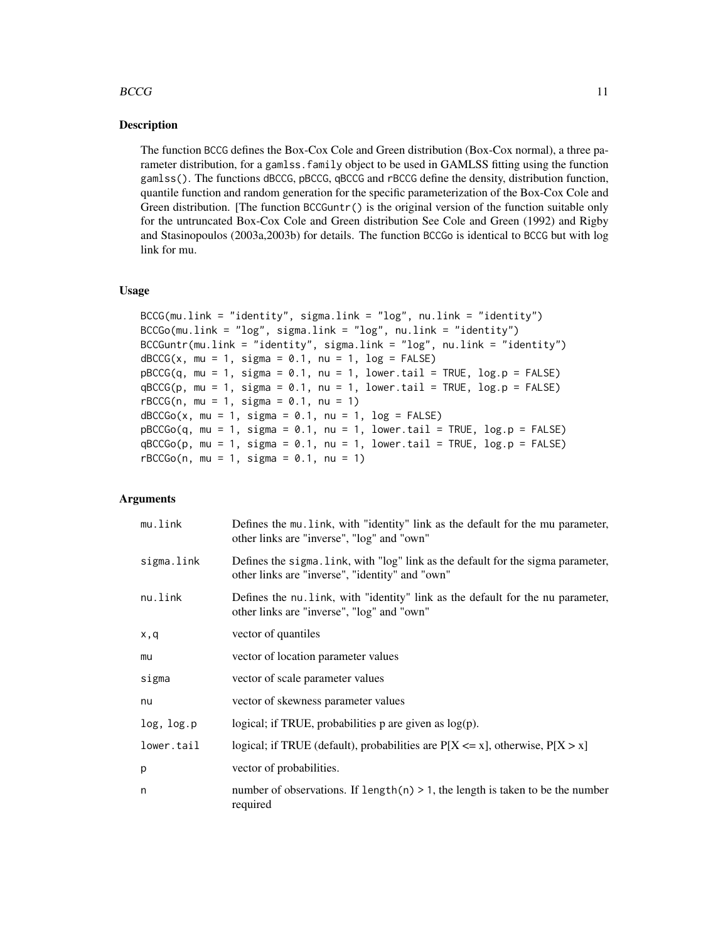# $BCCG$  11

# Description

The function BCCG defines the Box-Cox Cole and Green distribution (Box-Cox normal), a three parameter distribution, for a gamlss.family object to be used in GAMLSS fitting using the function gamlss(). The functions dBCCG, pBCCG, qBCCG and rBCCG define the density, distribution function, quantile function and random generation for the specific parameterization of the Box-Cox Cole and Green distribution. [The function BCCGuntr() is the original version of the function suitable only for the untruncated Box-Cox Cole and Green distribution See Cole and Green (1992) and Rigby and Stasinopoulos (2003a,2003b) for details. The function BCCGo is identical to BCCG but with log link for mu.

#### Usage

```
BCCG(mu.link = "identity", sigma.link = "log", nu.link = "identity")
BCCGo(mu.link = "log", sigma.link = "log", nu.link = "identity")
BCCGuntr(mu.link = "identity", sigma.link = "log", nu.link = "identity")
dBCCG(x, mu = 1, sigma = 0.1, nu = 1, log = FALSE)pBCCG(q, mu = 1, sigma = 0.1, nu = 1, lowertail = TRUE, log.p = FALSE)qBCCG(p, mu = 1, sigma = 0.1, nu = 1, lowertail = TRUE, log.p = FALSE)
rBCCG(n, mu = 1, sigma = 0.1, nu = 1)dBCCGo(x, mu = 1, sigma = 0.1, nu = 1, log = FALSE)pBCCGo(q, mu = 1, sigma = 0.1, nu = 1, lowertail = TRUE, log.p = FALSE)qBCCGo(p, mu = 1, sigma = 0.1, nu = 1, lowertail = TRUE, <math>log.p = FALSE)
rBCCGo(n, mu = 1, sigma = 0.1, nu = 1)
```
# Arguments

| mu.link    | Defines the mu link, with "identity" link as the default for the mu parameter,<br>other links are "inverse", "log" and "own"        |
|------------|-------------------------------------------------------------------------------------------------------------------------------------|
| sigma.link | Defines the sigma. Link, with "log" link as the default for the sigma parameter,<br>other links are "inverse", "identity" and "own" |
| nu.link    | Defines the nu link, with "identity" link as the default for the nu parameter,<br>other links are "inverse", "log" and "own"        |
| x,q        | vector of quantiles                                                                                                                 |
| mu         | vector of location parameter values                                                                                                 |
| sigma      | vector of scale parameter values                                                                                                    |
| nu         | vector of skewness parameter values                                                                                                 |
| log, log.p | logical; if TRUE, probabilities $p$ are given as $log(p)$ .                                                                         |
| lower.tail | logical; if TRUE (default), probabilities are $P[X \le x]$ , otherwise, $P[X > x]$                                                  |
| p          | vector of probabilities.                                                                                                            |
| n          | number of observations. If $length(n) > 1$ , the length is taken to be the number<br>required                                       |
|            |                                                                                                                                     |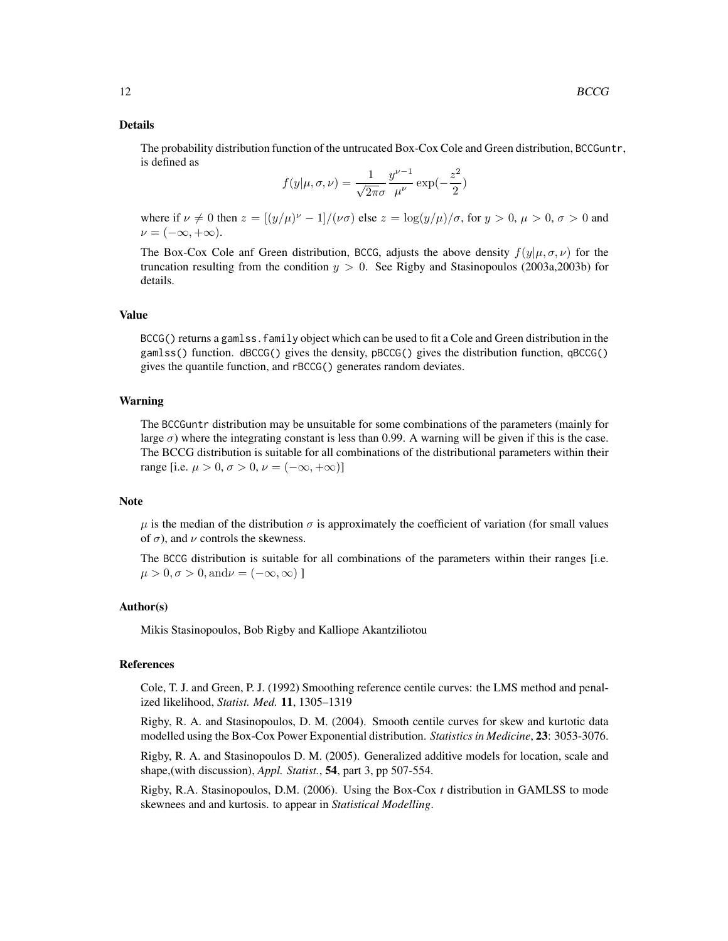#### Details

The probability distribution function of the untrucated Box-Cox Cole and Green distribution, BCCGuntr, is defined as

$$
f(y|\mu, \sigma, \nu) = \frac{1}{\sqrt{2\pi}\sigma} \frac{y^{\nu - 1}}{\mu^{\nu}} \exp(-\frac{z^2}{2})
$$

where if  $\nu \neq 0$  then  $z = [(y/\mu)^{\nu} - 1]/(\nu \sigma)$  else  $z = \log(y/\mu)/\sigma$ , for  $y > 0$ ,  $\mu > 0$ ,  $\sigma > 0$  and  $\nu = (-\infty, +\infty).$ 

The Box-Cox Cole anf Green distribution, BCCG, adjusts the above density  $f(y|\mu, \sigma, \nu)$  for the truncation resulting from the condition  $y > 0$ . See Rigby and Stasinopoulos (2003a, 2003b) for details.

# Value

BCCG() returns a gamlss.family object which can be used to fit a Cole and Green distribution in the gamlss() function. dBCCG() gives the density, pBCCG() gives the distribution function, qBCCG() gives the quantile function, and rBCCG() generates random deviates.

#### Warning

The BCCGuntr distribution may be unsuitable for some combinations of the parameters (mainly for large  $\sigma$ ) where the integrating constant is less than 0.99. A warning will be given if this is the case. The BCCG distribution is suitable for all combinations of the distributional parameters within their range [i.e.  $\mu > 0$ ,  $\sigma > 0$ ,  $\nu = (-\infty, +\infty)$ ]

#### Note

 $\mu$  is the median of the distribution  $\sigma$  is approximately the coefficient of variation (for small values of  $\sigma$ ), and  $\nu$  controls the skewness.

The BCCG distribution is suitable for all combinations of the parameters within their ranges [i.e.  $\mu > 0, \sigma > 0, \text{and}\nu = (-\infty, \infty)$ ]

### Author(s)

Mikis Stasinopoulos, Bob Rigby and Kalliope Akantziliotou

# References

Cole, T. J. and Green, P. J. (1992) Smoothing reference centile curves: the LMS method and penalized likelihood, *Statist. Med.* 11, 1305–1319

Rigby, R. A. and Stasinopoulos, D. M. (2004). Smooth centile curves for skew and kurtotic data modelled using the Box-Cox Power Exponential distribution. *Statistics in Medicine*, 23: 3053-3076.

Rigby, R. A. and Stasinopoulos D. M. (2005). Generalized additive models for location, scale and shape,(with discussion), *Appl. Statist.*, 54, part 3, pp 507-554.

Rigby, R.A. Stasinopoulos, D.M. (2006). Using the Box-Cox *t* distribution in GAMLSS to mode skewnees and and kurtosis. to appear in *Statistical Modelling*.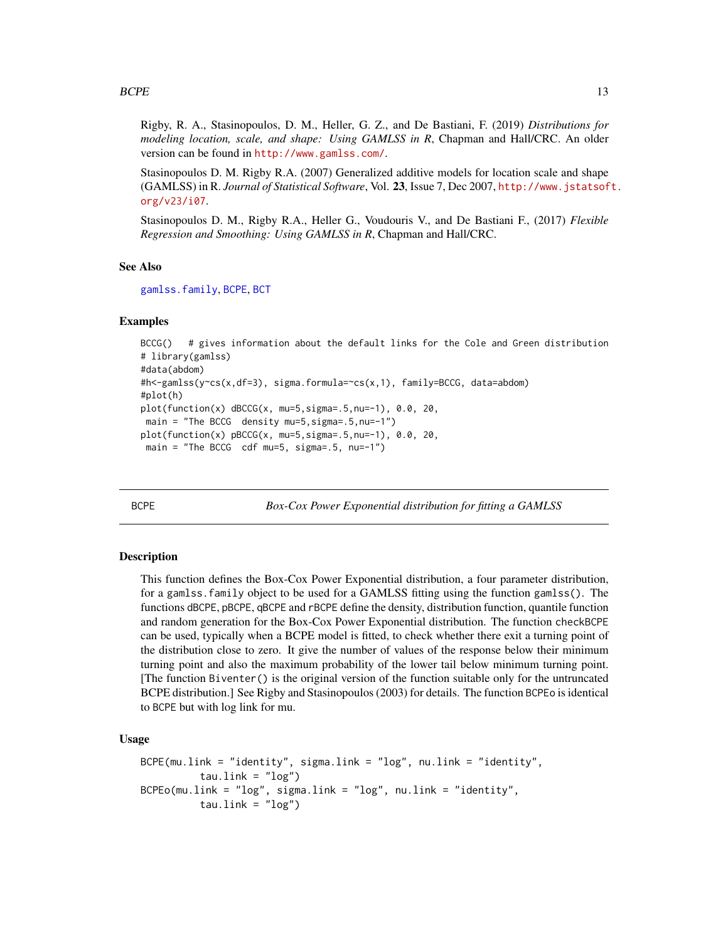<span id="page-12-0"></span>Rigby, R. A., Stasinopoulos, D. M., Heller, G. Z., and De Bastiani, F. (2019) *Distributions for modeling location, scale, and shape: Using GAMLSS in R*, Chapman and Hall/CRC. An older version can be found in <http://www.gamlss.com/>.

Stasinopoulos D. M. Rigby R.A. (2007) Generalized additive models for location scale and shape (GAMLSS) in R. *Journal of Statistical Software*, Vol. 23, Issue 7, Dec 2007, [http://www.jstatsof](http://www.jstatsoft.org/v23/i07)t. [org/v23/i07](http://www.jstatsoft.org/v23/i07).

Stasinopoulos D. M., Rigby R.A., Heller G., Voudouris V., and De Bastiani F., (2017) *Flexible Regression and Smoothing: Using GAMLSS in R*, Chapman and Hall/CRC.

#### See Also

[gamlss.family](#page-57-1), [BCPE](#page-12-1), [BCT](#page-15-1)

## Examples

```
BCCG() # gives information about the default links for the Cole and Green distribution
# library(gamlss)
#data(abdom)
#h<-gamlss(y~cs(x,df=3), sigma.formula=~cs(x,1), family=BCCG, data=abdom)
#plot(h)
plot(function(x) dBCCG(x, mu=5,sigma=.5,nu=-1), 0.0, 20,
main = "The BCCG density mu=5,sigma=.5,nu=-1")
plot(function(x) pBCCG(x, mu=5,sigma=.5,nu=-1), 0.0, 20,
main = "The BCCG cdf mu=5, sigma=.5, nu=-1")
```
<span id="page-12-1"></span>BCPE *Box-Cox Power Exponential distribution for fitting a GAMLSS*

#### **Description**

This function defines the Box-Cox Power Exponential distribution, a four parameter distribution, for a gamlss.family object to be used for a GAMLSS fitting using the function gamlss(). The functions dBCPE, pBCPE, qBCPE and rBCPE define the density, distribution function, quantile function and random generation for the Box-Cox Power Exponential distribution. The function checkBCPE can be used, typically when a BCPE model is fitted, to check whether there exit a turning point of the distribution close to zero. It give the number of values of the response below their minimum turning point and also the maximum probability of the lower tail below minimum turning point. [The function Biventer() is the original version of the function suitable only for the untruncated BCPE distribution.] See Rigby and Stasinopoulos (2003) for details. The function BCPEo is identical to BCPE but with log link for mu.

#### Usage

```
BCPE(mu.link = "identity", sigma.link = "log", nu.link = "identity",
         tau.link = "log")BCPEo(mu.link = "log", sigma.link = "log", nu.link = "identity",
         tau.link = "log")
```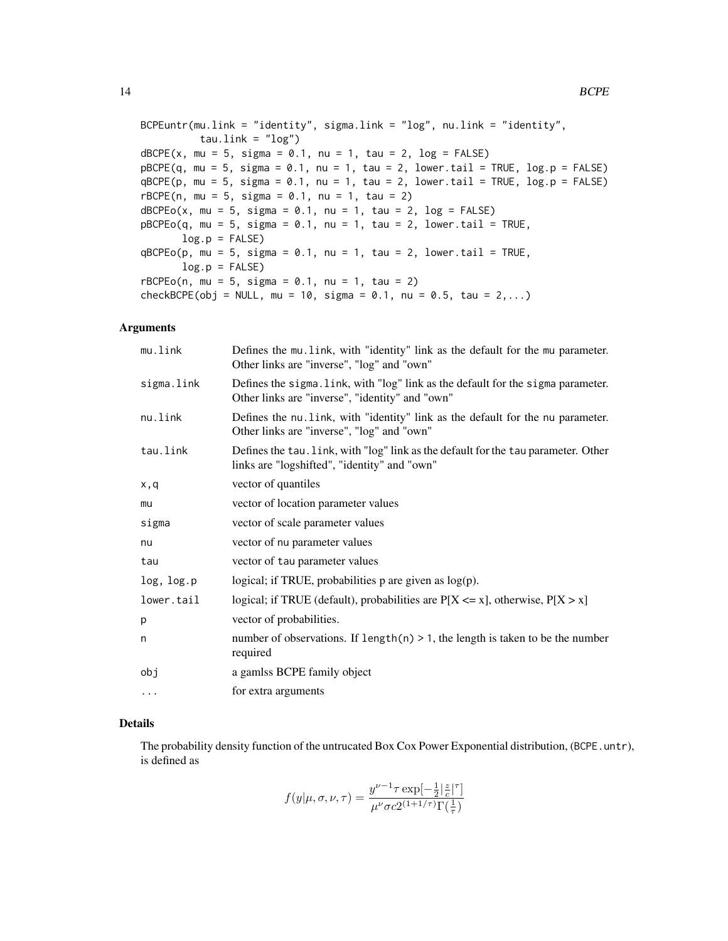```
BCPEuntr(mu.link = "identity", sigma.link = "log", nu.link = "identity",
          tau.link = "log")
dBCPE(x, mu = 5, sigma = 0.1, nu = 1, tau = 2, log = FALSE)pBCPE(q, mu = 5, sigma = 0.1, nu = 1, tau = 2, lower[2014] = TRUE, <math>log.p = FALSE)
qBCPE(p, mu = 5, sigma = 0.1, nu = 1, tau = 2, lower[amaled] = TRUE, <math>log.p = FALSE)
rBCPE(n, mu = 5, sigma = 0.1, nu = 1, tau = 2)dBCPEo(x, mu = 5, sigma = 0.1, nu = 1, tau = 2, log = FALSE)pBCPEo(q, mu = 5, sigma = 0.1, nu = 1, tau = 2, lower[2014] = TRUE,log.p = FALSEqBCPEo(p, mu = 5, sigma = 0.1, nu = 1, tau = 2, lowertail = TRUE,log.p = FALSErBCPEo(n, mu = 5, sigma = 0.1, nu = 1, tau = 2)checkBCPE(obj = NULL, mu = 10, sigma = 0.1, nu = 0.5, tau = 2,...)
```
#### Arguments

| mu.link    | Defines the mu. link, with "identity" link as the default for the mu parameter.<br>Other links are "inverse", "log" and "own"       |
|------------|-------------------------------------------------------------------------------------------------------------------------------------|
| sigma.link | Defines the sigma. link, with "log" link as the default for the sigma parameter.<br>Other links are "inverse", "identity" and "own" |
| nu.link    | Defines the nu link, with "identity" link as the default for the nu parameter.<br>Other links are "inverse", "log" and "own"        |
| tau.link   | Defines the tau. Link, with "log" link as the default for the tau parameter. Other<br>links are "logshifted", "identity" and "own"  |
| x,q        | vector of quantiles                                                                                                                 |
| mu         | vector of location parameter values                                                                                                 |
| sigma      | vector of scale parameter values                                                                                                    |
| nu         | vector of nu parameter values                                                                                                       |
| tau        | vector of tau parameter values                                                                                                      |
| log, log.p | logical; if TRUE, probabilities $p$ are given as $log(p)$ .                                                                         |
| lower.tail | logical; if TRUE (default), probabilities are $P[X \le x]$ , otherwise, $P[X > x]$                                                  |
| p          | vector of probabilities.                                                                                                            |
| n          | number of observations. If length(n) $> 1$ , the length is taken to be the number<br>required                                       |
| obj        | a gamlss BCPE family object                                                                                                         |
| $\cdots$   | for extra arguments                                                                                                                 |

# Details

The probability density function of the untrucated Box Cox Power Exponential distribution, (BCPE.untr), is defined as

$$
f(y|\mu,\sigma,\nu,\tau) = \frac{y^{\nu-1}\tau \exp[-\frac{1}{2}|\frac{z}{c}|^{\tau}]}{\mu^{\nu}\sigma c 2^{(1+1/\tau)}\Gamma(\frac{1}{\tau})}
$$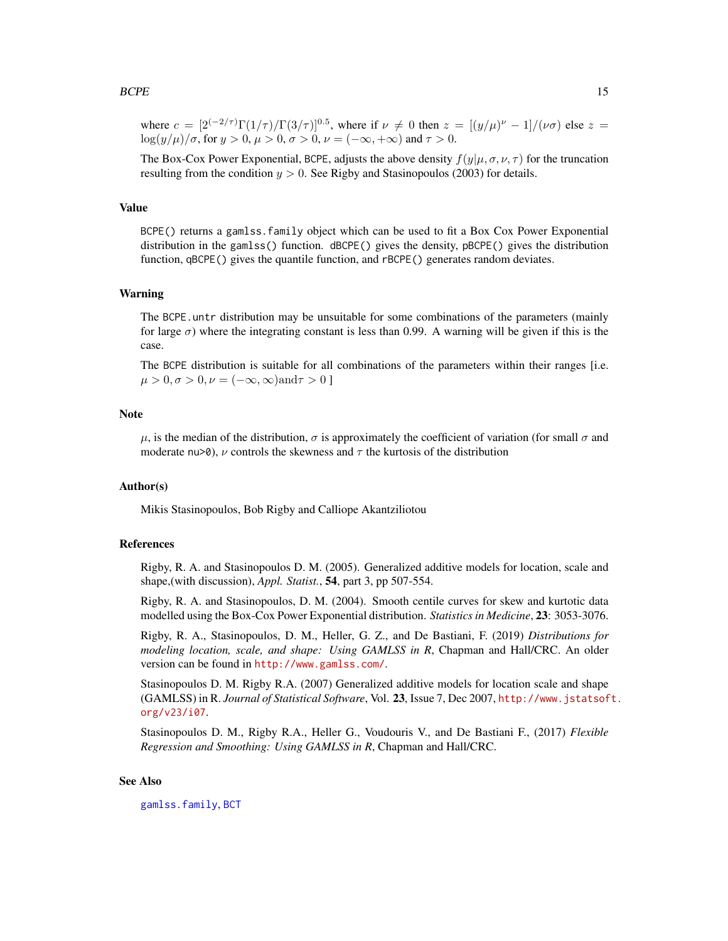#### $B C P E$  15

where  $c = [2^{(-2/\tau)} \Gamma(1/\tau) / \Gamma(3/\tau)]^{0.5}$ , where if  $\nu \neq 0$  then  $z = [(y/\mu)^{\nu} - 1] / (\nu \sigma)$  else  $z =$  $\log(u/\mu)/\sigma$ , for  $y > 0$ ,  $\mu > 0$ ,  $\sigma > 0$ ,  $\nu = (-\infty, +\infty)$  and  $\tau > 0$ .

The Box-Cox Power Exponential, BCPE, adjusts the above density  $f(y|\mu, \sigma, \nu, \tau)$  for the truncation resulting from the condition  $y > 0$ . See Rigby and Stasinopoulos (2003) for details.

# Value

BCPE() returns a gamlss.family object which can be used to fit a Box Cox Power Exponential distribution in the gamlss() function. dBCPE() gives the density, pBCPE() gives the distribution function, qBCPE() gives the quantile function, and rBCPE() generates random deviates.

#### Warning

The BCPE, untr distribution may be unsuitable for some combinations of the parameters (mainly for large  $\sigma$ ) where the integrating constant is less than 0.99. A warning will be given if this is the case.

The BCPE distribution is suitable for all combinations of the parameters within their ranges [i.e.  $\mu > 0, \sigma > 0, \nu = (-\infty, \infty)$ and $\tau > 0$ ]

# **Note**

 $\mu$ , is the median of the distribution,  $\sigma$  is approximately the coefficient of variation (for small  $\sigma$  and moderate nu>0),  $\nu$  controls the skewness and  $\tau$  the kurtosis of the distribution

#### Author(s)

Mikis Stasinopoulos, Bob Rigby and Calliope Akantziliotou

#### References

Rigby, R. A. and Stasinopoulos D. M. (2005). Generalized additive models for location, scale and shape,(with discussion), *Appl. Statist.*, 54, part 3, pp 507-554.

Rigby, R. A. and Stasinopoulos, D. M. (2004). Smooth centile curves for skew and kurtotic data modelled using the Box-Cox Power Exponential distribution. *Statistics in Medicine*, 23: 3053-3076.

Rigby, R. A., Stasinopoulos, D. M., Heller, G. Z., and De Bastiani, F. (2019) *Distributions for modeling location, scale, and shape: Using GAMLSS in R*, Chapman and Hall/CRC. An older version can be found in <http://www.gamlss.com/>.

Stasinopoulos D. M. Rigby R.A. (2007) Generalized additive models for location scale and shape (GAMLSS) in R. *Journal of Statistical Software*, Vol. 23, Issue 7, Dec 2007, [http://www.jstatsof](http://www.jstatsoft.org/v23/i07)t. [org/v23/i07](http://www.jstatsoft.org/v23/i07).

Stasinopoulos D. M., Rigby R.A., Heller G., Voudouris V., and De Bastiani F., (2017) *Flexible Regression and Smoothing: Using GAMLSS in R*, Chapman and Hall/CRC.

#### See Also

[gamlss.family](#page-57-1), [BCT](#page-15-1)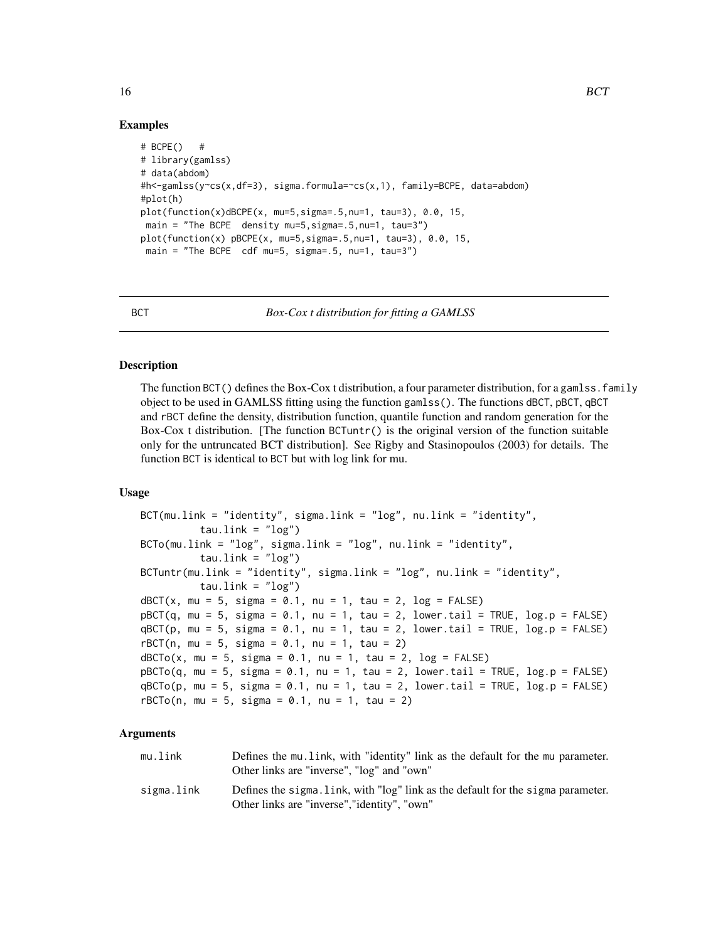# Examples

```
# BCPE() #
# library(gamlss)
# data(abdom)
#h<-gamlss(y~cs(x,df=3), sigma.formula=~cs(x,1), family=BCPE, data=abdom)
#plot(h)
plot(function(x)dBCPE(x, mu=5,sigma=.5,nu=1, tau=3), 0.0, 15,
main = "The BCPE density mu=5, sigma=.5,nu=1, tau=3")
plot(function(x) pBCPE(x, mu=5,sigma=.5,nu=1, tau=3), 0.0, 15,
main = "The BCPE cdf mu=5, sigma=.5, nu=1, tau=3")
```
<span id="page-15-1"></span>

BCT *Box-Cox t distribution for fitting a GAMLSS*

# **Description**

The function BCT() defines the Box-Cox t distribution, a four parameter distribution, for a gamlss. family object to be used in GAMLSS fitting using the function gamlss(). The functions dBCT, pBCT, qBCT and rBCT define the density, distribution function, quantile function and random generation for the Box-Cox t distribution. [The function BCTuntr() is the original version of the function suitable only for the untruncated BCT distribution]. See Rigby and Stasinopoulos (2003) for details. The function BCT is identical to BCT but with log link for mu.

# Usage

```
BCT(mu.link = "identity", sigma.link = "log", nu.link = "identity",
          tau.link = "log")BCTo(mu.link = "log", sigma.link = "log", nu.link = "identity",
          tau.link = "log")
BCTuntr(mu.link = "identity", sigma.link = "log", nu.link = "identity",
          tau.link = "log")
dBCT(x, mu = 5, sigma = 0.1, nu = 1, tau = 2, log = FALSE)pBCT(q, mu = 5, sigma = 0.1, nu = 1, tau = 2, lower[amal] = TRUE, <math>log.p = FALSE)
qBCT(p, mu = 5, sigma = 0.1, nu = 1, tau = 2, lower.tail = TRUE, log.p = FALSE)
rBCT(n, mu = 5, sigma = 0.1, nu = 1, tau = 2)dBCTo(x, mu = 5, sigma = 0.1, nu = 1, tau = 2, log = FALSE)pBCTo(q, mu = 5, sigma = 0.1, nu = 1, tau = 2, lower[2] <math>= TRUE, log.p = FALSE)qBCTo(p, mu = 5, sigma = 0.1, nu = 1, tau = 2, lower[amalesrcal] = TRUE, <math>log.p = FALSE)
rBCTo(n, mu = 5, sigma = 0.1, nu = 1, tau = 2)
```
# Arguments

| mu.link    | Defines the mu. link, with "identity" link as the default for the mu parameter.                     |
|------------|-----------------------------------------------------------------------------------------------------|
|            | Other links are "inverse", "log" and "own"                                                          |
| cicmo link | Defines the sigma $\frac{1}{2}$ ink with $\frac{1}{2}$ link as the default for the sigma perspecter |

sigma.link Defines the sigma.link, with "log" link as the default for the sigma parameter. Other links are "inverse","identity", "own"

<span id="page-15-0"></span>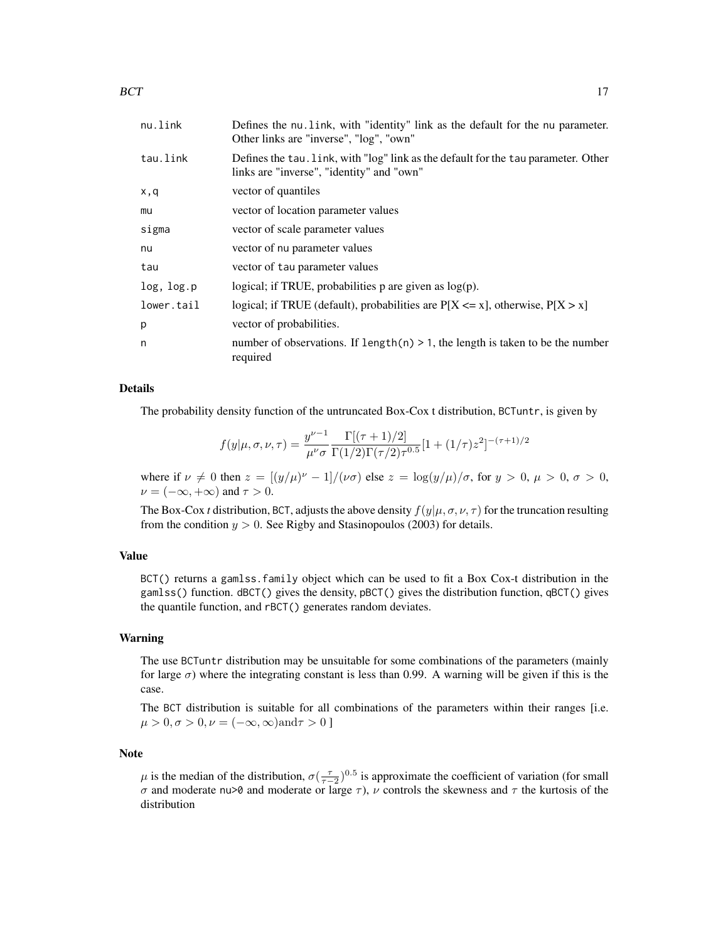| nu.link    | Defines the nu link, with "identity" link as the default for the nu parameter.<br>Other links are "inverse", "log", "own"       |
|------------|---------------------------------------------------------------------------------------------------------------------------------|
| tau.link   | Defines the tau. Link, with "log" link as the default for the tau parameter. Other<br>links are "inverse", "identity" and "own" |
| x,q        | vector of quantiles                                                                                                             |
| mu         | vector of location parameter values                                                                                             |
| sigma      | vector of scale parameter values                                                                                                |
| nu         | vector of nu parameter values                                                                                                   |
| tau        | vector of tau parameter values                                                                                                  |
| log, log.p | logical; if TRUE, probabilities $p$ are given as $log(p)$ .                                                                     |
| lower.tail | logical; if TRUE (default), probabilities are $P[X \le x]$ , otherwise, $P[X > x]$                                              |
| p          | vector of probabilities.                                                                                                        |
| n          | number of observations. If $length(n) > 1$ , the length is taken to be the number<br>required                                   |

#### Details

The probability density function of the untruncated Box-Cox t distribution, BCTuntr, is given by

$$
f(y|\mu,\sigma,\nu,\tau) = \frac{y^{\nu-1}}{\mu^{\nu}\sigma} \frac{\Gamma[(\tau+1)/2]}{\Gamma(1/2)\Gamma(\tau/2)\tau^{0.5}} [1 + (1/\tau)z^2]^{-(\tau+1)/2}
$$

where if  $\nu \neq 0$  then  $z = [(y/\mu)^{\nu} - 1]/(\nu \sigma)$  else  $z = \log(y/\mu)/\sigma$ , for  $y > 0$ ,  $\mu > 0$ ,  $\sigma > 0$ ,  $\nu = (-\infty, +\infty)$  and  $\tau > 0$ .

The Box-Cox *t* distribution, BCT, adjusts the above density  $f(y|\mu, \sigma, \nu, \tau)$  for the truncation resulting from the condition  $y > 0$ . See Rigby and Stasinopoulos (2003) for details.

# Value

BCT() returns a gamlss.family object which can be used to fit a Box Cox-t distribution in the gamlss() function. dBCT() gives the density, pBCT() gives the distribution function, qBCT() gives the quantile function, and rBCT() generates random deviates.

#### Warning

The use BCTuntr distribution may be unsuitable for some combinations of the parameters (mainly for large  $\sigma$ ) where the integrating constant is less than 0.99. A warning will be given if this is the case.

The BCT distribution is suitable for all combinations of the parameters within their ranges [i.e.  $\mu > 0, \sigma > 0, \nu = (-\infty, \infty)$ and $\tau > 0$ ]

# Note

 $\mu$  is the median of the distribution,  $\sigma(\frac{\tau}{\tau-2})^{0.5}$  is approximate the coefficient of variation (for small σ and moderate nu>0 and moderate or large  $\tau$ ),  $\nu$  controls the skewness and  $\tau$  the kurtosis of the distribution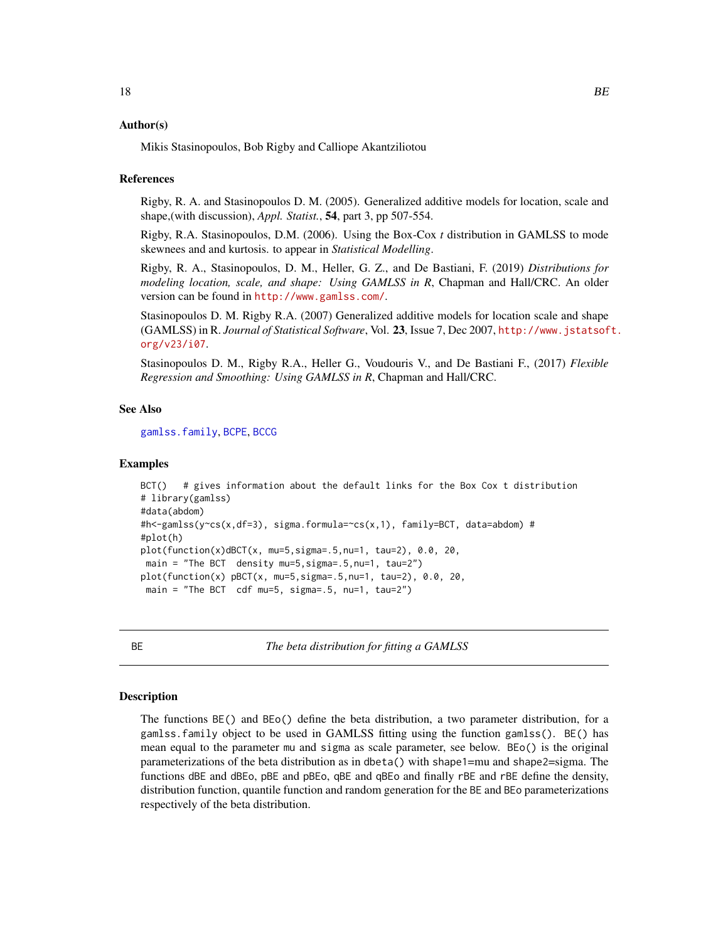#### <span id="page-17-0"></span>Author(s)

Mikis Stasinopoulos, Bob Rigby and Calliope Akantziliotou

#### References

Rigby, R. A. and Stasinopoulos D. M. (2005). Generalized additive models for location, scale and shape,(with discussion), *Appl. Statist.*, 54, part 3, pp 507-554.

Rigby, R.A. Stasinopoulos, D.M. (2006). Using the Box-Cox *t* distribution in GAMLSS to mode skewnees and and kurtosis. to appear in *Statistical Modelling*.

Rigby, R. A., Stasinopoulos, D. M., Heller, G. Z., and De Bastiani, F. (2019) *Distributions for modeling location, scale, and shape: Using GAMLSS in R*, Chapman and Hall/CRC. An older version can be found in <http://www.gamlss.com/>.

Stasinopoulos D. M. Rigby R.A. (2007) Generalized additive models for location scale and shape (GAMLSS) in R. *Journal of Statistical Software*, Vol. 23, Issue 7, Dec 2007, [http://www.jstatsof](http://www.jstatsoft.org/v23/i07)t. [org/v23/i07](http://www.jstatsoft.org/v23/i07).

Stasinopoulos D. M., Rigby R.A., Heller G., Voudouris V., and De Bastiani F., (2017) *Flexible Regression and Smoothing: Using GAMLSS in R*, Chapman and Hall/CRC.

# See Also

[gamlss.family](#page-57-1), [BCPE](#page-12-1), [BCCG](#page-9-1)

# Examples

```
BCT() # gives information about the default links for the Box Cox t distribution
# library(gamlss)
#data(abdom)
#h<-gamlss(y~cs(x,df=3), sigma.formula=~cs(x,1), family=BCT, data=abdom) #
#plot(h)
plot(function(x)dBCT(x, mu=5,sigma=.5,nu=1, tau=2), 0.0, 20,
main = "The BCT density mu=5,sigma=.5,nu=1, tau=2")
plot(function(x) pBCT(x, mu=5, sigma=.5, nu=1, tau=2), 0.0, 20,main = "The BCT cdf mu=5, sigma=0.5, nu=1, tau=2")
```
<span id="page-17-1"></span>

BE *The beta distribution for fitting a GAMLSS*

## <span id="page-17-2"></span>**Description**

The functions BE() and BEo() define the beta distribution, a two parameter distribution, for a gamlss.family object to be used in GAMLSS fitting using the function gamlss(). BE() has mean equal to the parameter mu and sigma as scale parameter, see below. BEo() is the original parameterizations of the beta distribution as in dbeta() with shape1=mu and shape2=sigma. The functions dBE and dBEo, pBE and pBEo, qBE and qBEo and finally rBE and rBE define the density, distribution function, quantile function and random generation for the BE and BEo parameterizations respectively of the beta distribution.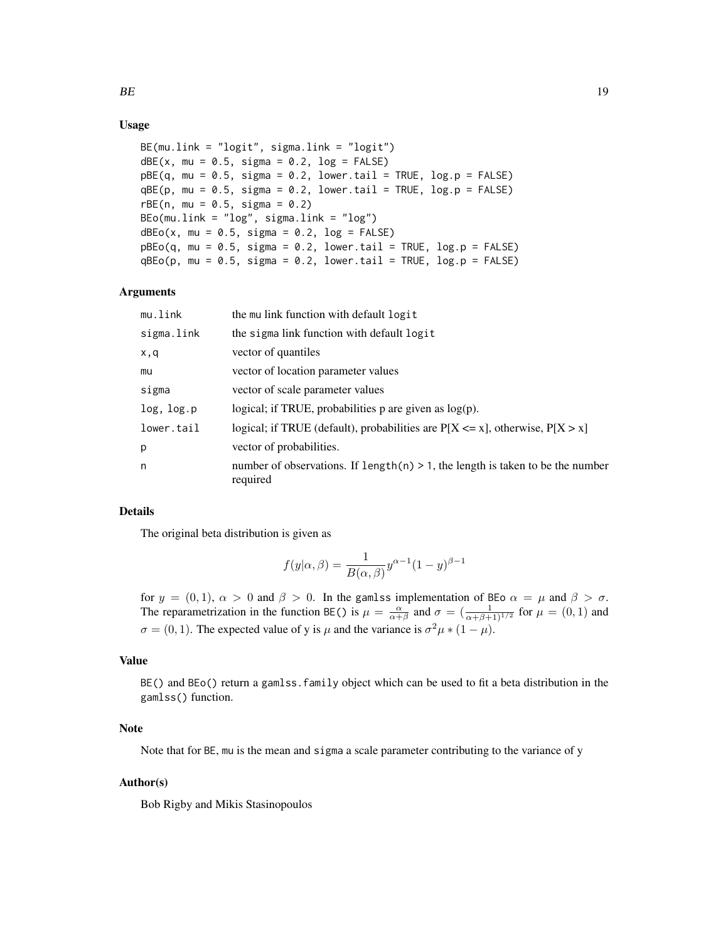# Usage

```
BE(mu.link = "logit", sigma.link = "logit")
dBE(x, mu = 0.5, sigma = 0.2, log = FALSE)pBE(q, mu = 0.5, sigma = 0.2, lower.tail = TRUE, log.p = FALSE)qBE(p, mu = 0.5, sigma = 0.2, lower.tail = TRUE, log.p = FALSE)rBE(n, mu = 0.5, sigma = 0.2)
BEo(mu.link = "log", sigma.link = "log")dBEo(x, mu = 0.5, sigma = 0.2, log = FALSE)pBEo(q, mu = 0.5, sigma = 0.2, lower.tail = TRUE, log.p = FALSE)qBEo(p, mu = 0.5, sigma = 0.2, lowertail = TRUE, log.p = FALSE)
```
# Arguments

| mu.link    | the mullink function with default logit                                                        |
|------------|------------------------------------------------------------------------------------------------|
| sigma.link | the sigma link function with default logit                                                     |
| x,q        | vector of quantiles                                                                            |
| mu         | vector of location parameter values                                                            |
| sigma      | vector of scale parameter values                                                               |
| log, log.p | logical; if TRUE, probabilities $p$ are given as $log(p)$ .                                    |
| lower.tail | logical; if TRUE (default), probabilities are $P[X \le x]$ , otherwise, $P[X > x]$             |
| p          | vector of probabilities.                                                                       |
| n          | number of observations. If length $(n) > 1$ , the length is taken to be the number<br>required |

# Details

The original beta distribution is given as

$$
f(y|\alpha, \beta) = \frac{1}{B(\alpha, \beta)} y^{\alpha - 1} (1 - y)^{\beta - 1}
$$

for  $y = (0, 1)$ ,  $\alpha > 0$  and  $\beta > 0$ . In the gamls implementation of BEo  $\alpha = \mu$  and  $\beta > \sigma$ . The reparametrization in the function BE() is  $\mu = \frac{\alpha}{\alpha + \beta}$  and  $\sigma = (\frac{1}{\alpha + \beta + 1)^{1/2}}$  for  $\mu = (0, 1)$  and  $\sigma = (0, 1)$ . The expected value of y is  $\mu$  and the variance is  $\sigma^2 \mu * (1 - \mu)$ .

# Value

BE() and BEo() return a gamlss.family object which can be used to fit a beta distribution in the gamlss() function.

# Note

Note that for BE, mu is the mean and sigma a scale parameter contributing to the variance of y

# Author(s)

Bob Rigby and Mikis Stasinopoulos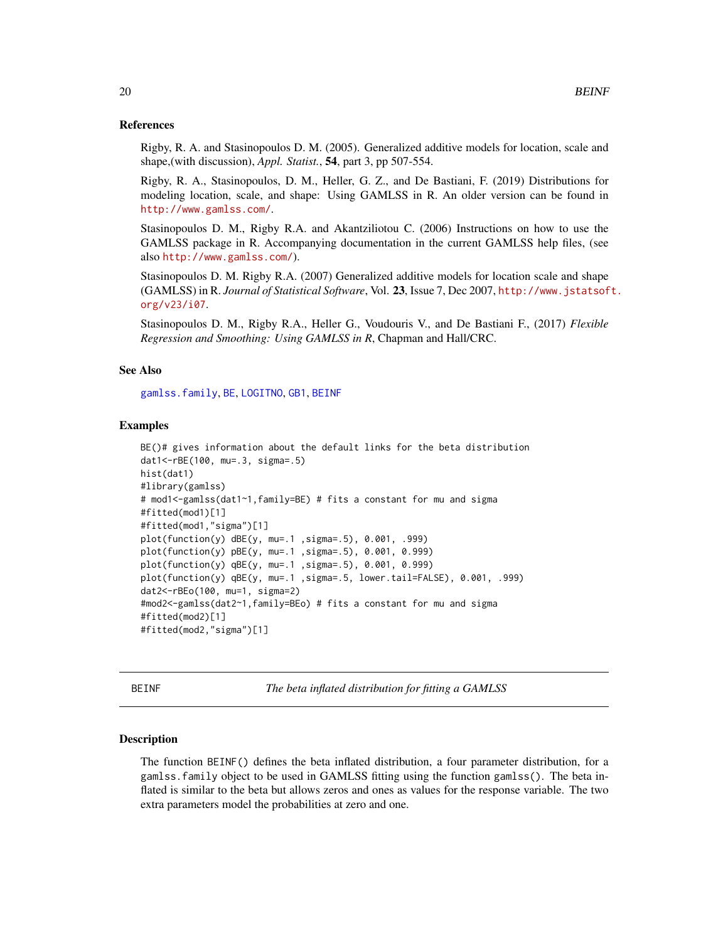#### <span id="page-19-0"></span>References

Rigby, R. A. and Stasinopoulos D. M. (2005). Generalized additive models for location, scale and shape,(with discussion), *Appl. Statist.*, 54, part 3, pp 507-554.

Rigby, R. A., Stasinopoulos, D. M., Heller, G. Z., and De Bastiani, F. (2019) Distributions for modeling location, scale, and shape: Using GAMLSS in R. An older version can be found in <http://www.gamlss.com/>.

Stasinopoulos D. M., Rigby R.A. and Akantziliotou C. (2006) Instructions on how to use the GAMLSS package in R. Accompanying documentation in the current GAMLSS help files, (see also <http://www.gamlss.com/>).

Stasinopoulos D. M. Rigby R.A. (2007) Generalized additive models for location scale and shape (GAMLSS) in R. *Journal of Statistical Software*, Vol. 23, Issue 7, Dec 2007, [http://www.jstatsof](http://www.jstatsoft.org/v23/i07)t. [org/v23/i07](http://www.jstatsoft.org/v23/i07).

Stasinopoulos D. M., Rigby R.A., Heller G., Voudouris V., and De Bastiani F., (2017) *Flexible Regression and Smoothing: Using GAMLSS in R*, Chapman and Hall/CRC.

# See Also

[gamlss.family](#page-57-1), [BE](#page-17-1), [LOGITNO](#page-95-1), [GB1](#page-60-1), [BEINF](#page-19-1)

#### Examples

```
BE()# gives information about the default links for the beta distribution
dat1<-rBE(100, mu=.3, sigma=.5)
hist(dat1)
#library(gamlss)
# mod1<-gamlss(dat1~1,family=BE) # fits a constant for mu and sigma
#fitted(mod1)[1]
#fitted(mod1,"sigma")[1]
plot(function(y) dBE(y, mu=.1 ,sigma=.5), 0.001, .999)
plot(function(y) pBE(y, mu=.1 ,sigma=.5), 0.001, 0.999)
plot(function(y) qBE(y, mu=.1 ,sigma=.5), 0.001, 0.999)
plot(function(y) qBE(y, mu=.1 ,sigma=.5, lower.tail=FALSE), 0.001, .999)
dat2<-rBEo(100, mu=1, sigma=2)
#mod2<-gamlss(dat2~1,family=BEo) # fits a constant for mu and sigma
#fitted(mod2)[1]
#fitted(mod2,"sigma")[1]
```
<span id="page-19-1"></span>BEINF *The beta inflated distribution for fitting a GAMLSS*

#### Description

The function BEINF() defines the beta inflated distribution, a four parameter distribution, for a gamlss.family object to be used in GAMLSS fitting using the function gamlss(). The beta inflated is similar to the beta but allows zeros and ones as values for the response variable. The two extra parameters model the probabilities at zero and one.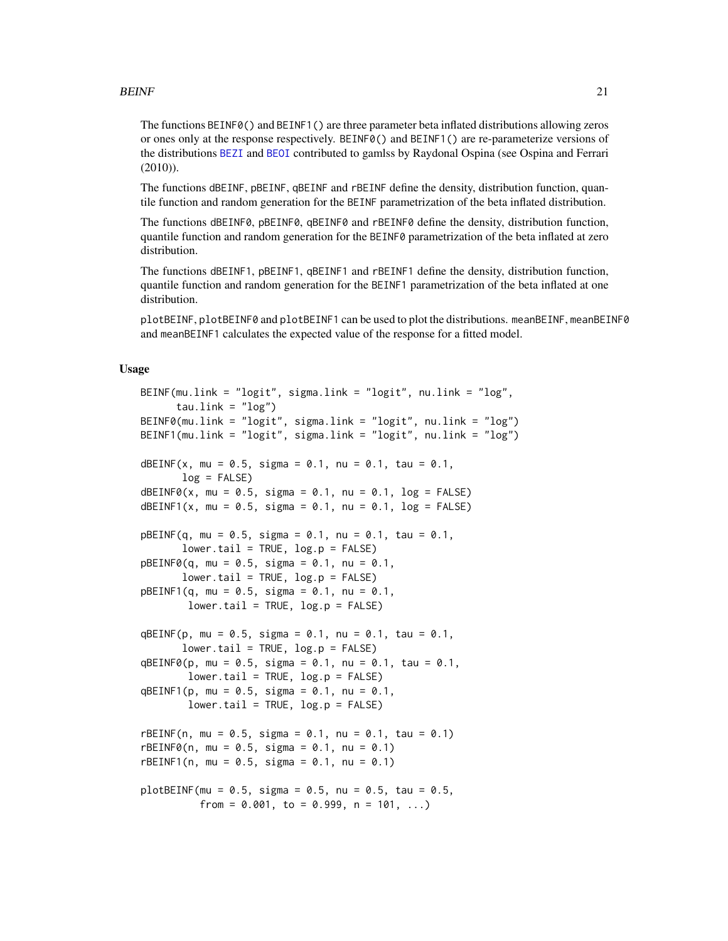# $BEINF$  21

The functions BEINF0() and BEINF1() are three parameter beta inflated distributions allowing zeros or ones only at the response respectively. BEINF0() and BEINF1() are re-parameterize versions of the distributions [BEZI](#page-26-1) and [BEOI](#page-23-1) contributed to gamlss by Raydonal Ospina (see Ospina and Ferrari (2010)).

The functions dBEINF, pBEINF, qBEINF and rBEINF define the density, distribution function, quantile function and random generation for the BEINF parametrization of the beta inflated distribution.

The functions dBEINF0, pBEINF0, qBEINF0 and rBEINF0 define the density, distribution function, quantile function and random generation for the BEINF0 parametrization of the beta inflated at zero distribution.

The functions dBEINF1, pBEINF1, qBEINF1 and rBEINF1 define the density, distribution function, quantile function and random generation for the BEINF1 parametrization of the beta inflated at one distribution.

plotBEINF, plotBEINF0 and plotBEINF1 can be used to plot the distributions. meanBEINF, meanBEINF0 and meanBEINF1 calculates the expected value of the response for a fitted model.

# Usage

```
BEINF(mu.link = "logit", sigma.link = "logit", nu.link = "log",
      tau.link = "log")
BEINF0(mu.link = "logit", sigma.link = "logit", nu.link = "log")
BEINF1(mu.link = "logit", sigma.link = "logit", nu.link = "log")
dBEINF(x, mu = 0.5, sigma = 0.1, nu = 0.1, tau = 0.1,
       log = FALSE)dBEINF@(x, mu = 0.5, sigma = 0.1, nu = 0.1, log = FALSE)dBEINF1(x, mu = 0.5, sigma = 0.1, nu = 0.1, log = FALSE)
pBEINF(q, mu = 0.5, sigma = 0.1, nu = 0.1, tau = 0.1,lower.tail = TRUE, log.p = FALSE)pBEINF@(q, mu = 0.5, sigma = 0.1, nu = 0.1,lower.tail = TRUE, log.p = FALSE)pBEINF1(q, mu = 0.5, sigma = 0.1, nu = 0.1,lower.tail = TRUE, log.p = FALSE)qBEINF(p, mu = 0.5, sigma = 0.1, nu = 0.1, tau = 0.1,
       lower.tail = TRUE, log.p = FALSE)qBEINF0(p, mu = 0.5, sigma = 0.1, nu = 0.1, tau = 0.1,
        lower.tail = TRUE, log.p = FALSE)qBEINF1(p, mu = 0.5, sigma = 0.1, nu = 0.1,
       lower.tail = TRUE, log.p = FALSE)rBEINF(n, mu = 0.5, sigma = 0.1, nu = 0.1, tau = 0.1)
rBEINF@(n, mu = 0.5, sigma = 0.1, nu = 0.1)rBEINF1(n, mu = 0.5, sigma = 0.1, nu = 0.1)plotBEINF(mu = 0.5, sigma = 0.5, nu = 0.5, tau = 0.5,from = 0.001, to = 0.999, n = 101, ...)
```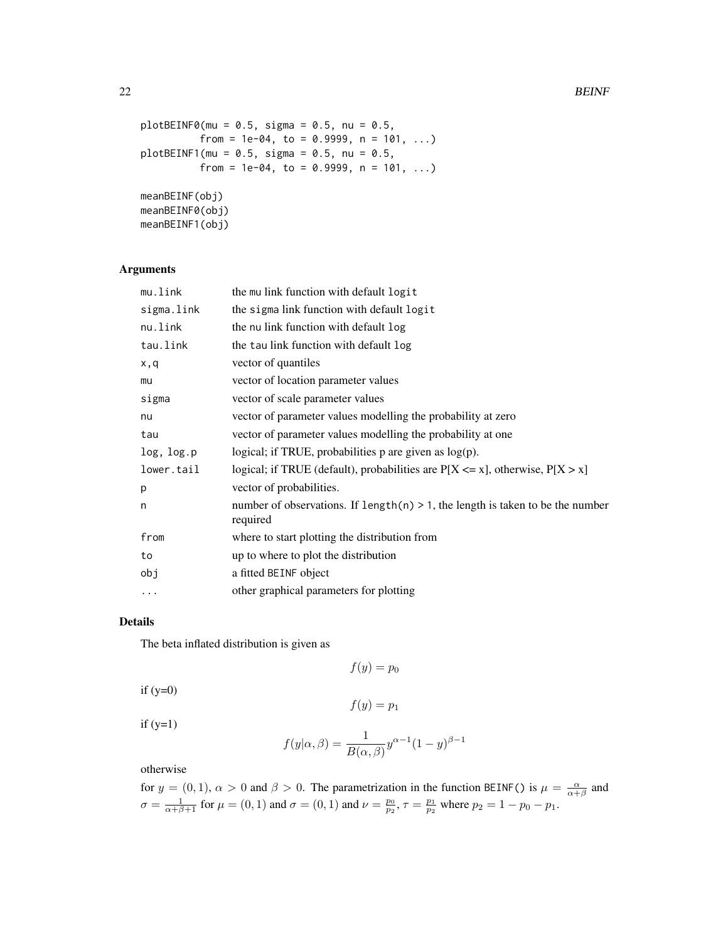```
plotBEINF@(mu = 0.5, sigma = 0.5, nu = 0.5,from = 1e-04, to = 0.9999, n = 101, ...plotBENF1(mu = 0.5, sigma = 0.5, nu = 0.5,from = 1e-04, to = 0.9999, n = 101, ...meanBEINF(obj)
meanBEINF0(obj)
meanBEINF1(obj)
```
#### Arguments

| the mu link function with default logit                                                        |
|------------------------------------------------------------------------------------------------|
| the sigma link function with default logit                                                     |
| the nu link function with default log                                                          |
| the tau link function with default log                                                         |
| vector of quantiles                                                                            |
| vector of location parameter values                                                            |
| vector of scale parameter values                                                               |
| vector of parameter values modelling the probability at zero                                   |
| vector of parameter values modelling the probability at one                                    |
| logical; if TRUE, probabilities $p$ are given as $log(p)$ .                                    |
| logical; if TRUE (default), probabilities are $P[X \le x]$ , otherwise, $P[X > x]$             |
| vector of probabilities.                                                                       |
| number of observations. If length $(n) > 1$ , the length is taken to be the number<br>required |
| where to start plotting the distribution from                                                  |
| up to where to plot the distribution                                                           |
| a fitted BEINF object                                                                          |
| other graphical parameters for plotting                                                        |
|                                                                                                |

# Details

The beta inflated distribution is given as

 $f(y) = p_0$ 

if  $(y=0)$ 

 $f(y) = p_1$ 

 $if (y=1)$ 

$$
f(y|\alpha, \beta) = \frac{1}{B(\alpha, \beta)} y^{\alpha - 1} (1 - y)^{\beta - 1}
$$

otherwise

for  $y = (0, 1)$ ,  $\alpha > 0$  and  $\beta > 0$ . The parametrization in the function BEINF() is  $\mu = \frac{\alpha}{\alpha + \beta}$  and  $\sigma = \frac{1}{\alpha + \beta + 1}$  for  $\mu = (0, 1)$  and  $\sigma = (0, 1)$  and  $\nu = \frac{p_0}{p_2}$ ,  $\tau = \frac{p_1}{p_2}$  where  $p_2 = 1 - p_0 - p_1$ .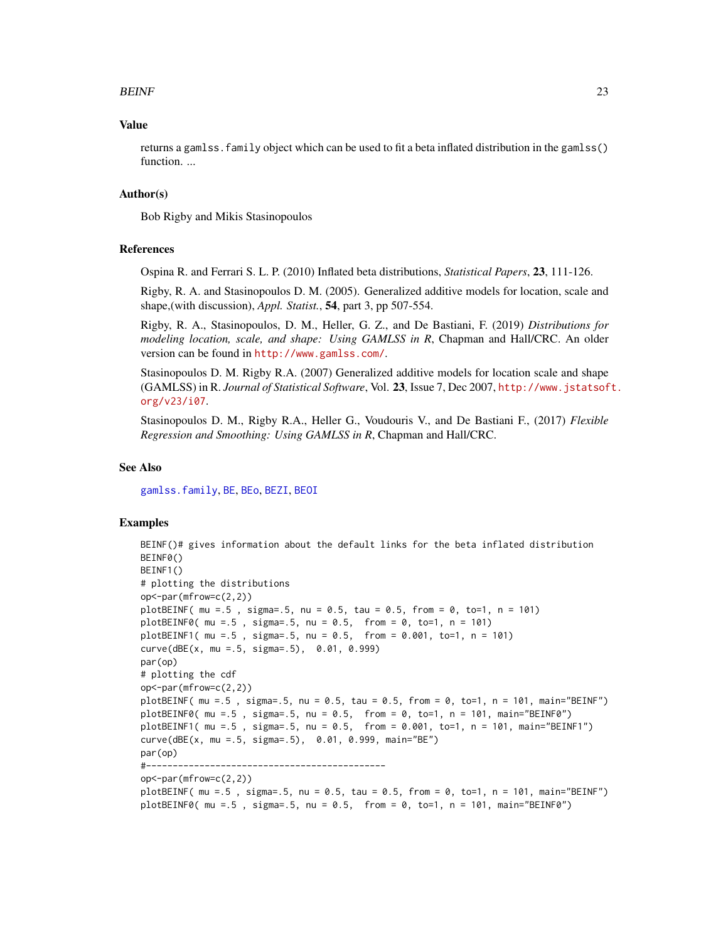# $BEINF$  23

# Value

returns a gamlss.family object which can be used to fit a beta inflated distribution in the gamlss() function. ...

# Author(s)

Bob Rigby and Mikis Stasinopoulos

# References

Ospina R. and Ferrari S. L. P. (2010) Inflated beta distributions, *Statistical Papers*, 23, 111-126.

Rigby, R. A. and Stasinopoulos D. M. (2005). Generalized additive models for location, scale and shape,(with discussion), *Appl. Statist.*, 54, part 3, pp 507-554.

Rigby, R. A., Stasinopoulos, D. M., Heller, G. Z., and De Bastiani, F. (2019) *Distributions for modeling location, scale, and shape: Using GAMLSS in R*, Chapman and Hall/CRC. An older version can be found in <http://www.gamlss.com/>.

Stasinopoulos D. M. Rigby R.A. (2007) Generalized additive models for location scale and shape (GAMLSS) in R. *Journal of Statistical Software*, Vol. 23, Issue 7, Dec 2007, [http://www.jstatsof](http://www.jstatsoft.org/v23/i07)t. [org/v23/i07](http://www.jstatsoft.org/v23/i07).

Stasinopoulos D. M., Rigby R.A., Heller G., Voudouris V., and De Bastiani F., (2017) *Flexible Regression and Smoothing: Using GAMLSS in R*, Chapman and Hall/CRC.

#### See Also

[gamlss.family](#page-57-1), [BE](#page-17-1), [BEo](#page-17-2), [BEZI](#page-26-1), [BEOI](#page-23-1)

#### Examples

```
BEINF()# gives information about the default links for the beta inflated distribution
BEINF0()
BEINF1()
# plotting the distributions
op<-par(mfrow=c(2,2))
plotBEINF( mu =.5 , sigma=.5, nu = 0.5, tau = 0.5, from = 0, to=1, n = 101)
plotBEINF0( mu =.5 , sigma=.5, nu = 0.5, from = 0, to=1, n = 101)
plotBEINF1( mu =.5 , sigma=.5, nu = 0.5, from = 0.001, to=1, n = 101)
curve(dBE(x, mu =.5, sigma=.5), 0.01, 0.999)
par(op)
# plotting the cdf
op<-par(mfrow=c(2,2))
plotBEINF( mu =.5 , sigma=.5, nu = 0.5, tau = 0.5, from = 0, to=1, n = 101, main="BEINF")
plotBEINF0(mu = .5, sigma=.5, nu = 0.5, from = 0, to=1, n = 101, main="BEINF0")
plotBEINF1( mu =.5 , sigma=.5, nu = 0.5, from = 0.001, to=1, n = 101, main="BEINF1")
curve(dBE(x, mu =.5, sigma=.5), 0.01, 0.999, main="BE")
par(op)
#---------------------------------------------
op<-par(mfrow=c(2,2))
plotBEINF( mu =.5 , sigma=.5, nu = 0.5, tau = 0.5, from = 0, to=1, n = 101, main="BEINF")
plotBEINF0( mu =.5 , sigma=.5, nu = 0.5, from = 0, to=1, n = 101, main="BEINF0")
```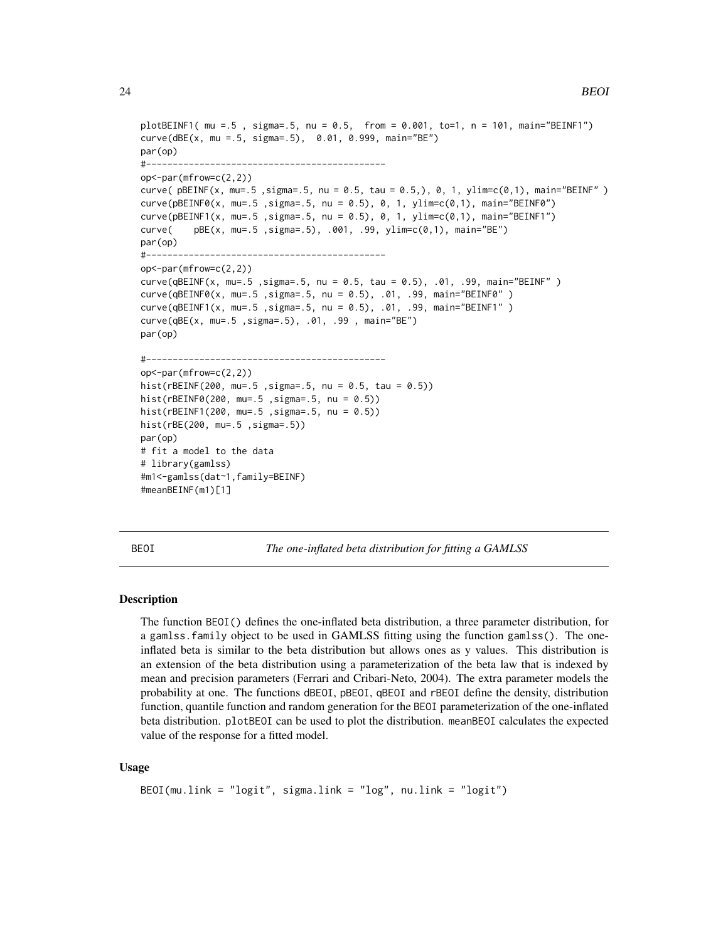```
plotBEINF1( mu =.5 , sigma=.5, nu = 0.5, from = 0.001, to=1, n = 101, main="BEINF1")
curve(dBE(x, mu =.5, sigma=.5), 0.01, 0.999, main="BE")
par(op)
#---------------------------------------------
op<-par(mfrow=c(2,2))
curve( pBEINF(x, mu=.5, sigma=.5, nu = 0.5, tau = 0.5,), 0, 1, ylim=c(0,1), main="BEINF" )curve(pBEINF0(x, mu=.5 ,sigma=.5, nu = 0.5), 0, 1, ylim=c(0,1), main="BEINF0")
curve(pBEINF1(x, mu=.5 ,sigma=.5, nu = 0.5), 0, 1, ylim=c(0,1), main="BEINF1")
curve( pBE(x, mu=.5 ,sigma=.5), .001, .99, ylim=c(0,1), main="BE")
par(op)
#---------------------------------------------
op<-par(mfrow=c(2,2))
curve(qBEINF(x, mu=.5 ,sigma=.5, nu = 0.5, tau = 0.5), .01, .99, main="BEINF" )
curve(qBEINF0(x, mu=.5 ,sigma=.5, nu = 0.5), .01, .99, main="BEINF0" )
curve(qBEINF1(x, mu=.5 ,sigma=.5, nu = 0.5), .01, .99, main="BEINF1" )
curve(qBE(x, mu=.5 ,sigma=.5), .01, .99 , main="BE")
par(op)
#---------------------------------------------
op<-par(mfrow=c(2,2))
hist(rBEINF(200, mu=.5 ,sigma=.5, nu = 0.5, tau = 0.5))
hist(rBEINF0(200, mu=.5 ,sigma=.5, nu = 0.5))
hist(rBEINF1(200, mu=.5 ,sigma=.5, nu = 0.5))
hist(rBE(200, mu=.5 ,sigma=.5))
par(op)
# fit a model to the data
# library(gamlss)
#m1<-gamlss(dat~1,family=BEINF)
#meanBEINF(m1)[1]
```
<span id="page-23-1"></span>BEOI *The one-inflated beta distribution for fitting a GAMLSS*

#### Description

The function BEOI() defines the one-inflated beta distribution, a three parameter distribution, for a gamlss.family object to be used in GAMLSS fitting using the function gamlss(). The oneinflated beta is similar to the beta distribution but allows ones as y values. This distribution is an extension of the beta distribution using a parameterization of the beta law that is indexed by mean and precision parameters (Ferrari and Cribari-Neto, 2004). The extra parameter models the probability at one. The functions dBEOI, pBEOI, qBEOI and rBEOI define the density, distribution function, quantile function and random generation for the BEOI parameterization of the one-inflated beta distribution. plotBEOI can be used to plot the distribution. meanBEOI calculates the expected value of the response for a fitted model.

#### Usage

```
BEOI(mu.link = "logit", sigma.link = "log", nu.link = "logit")
```
<span id="page-23-0"></span>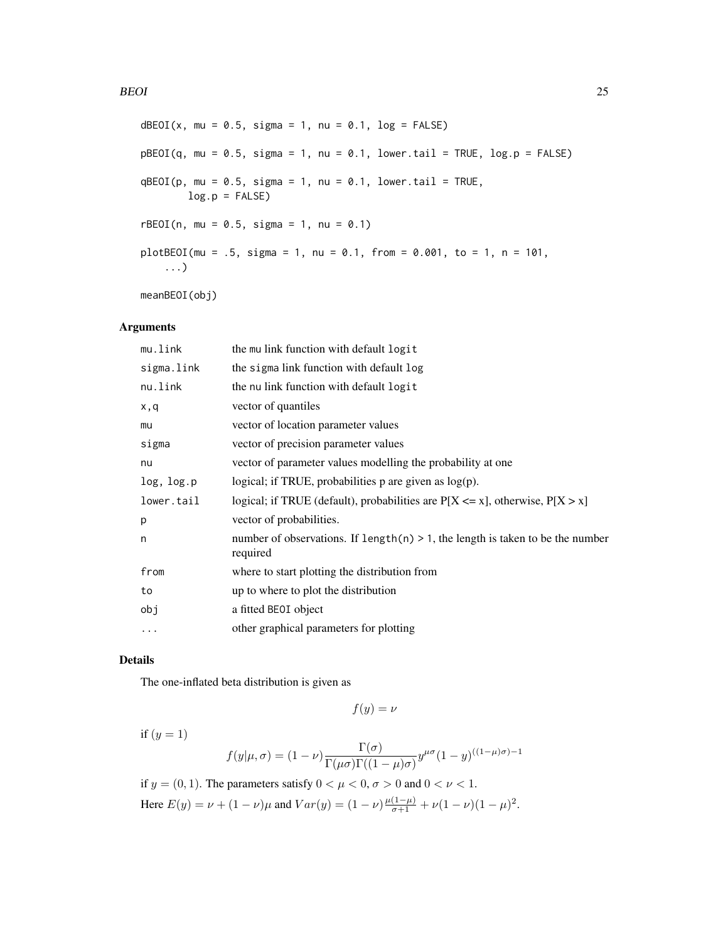#### BEOI 25

```
dBEOI(x, mu = 0.5, sigma = 1, nu = 0.1, log = FALSE)
pBEOI(q, mu = 0.5, sigma = 1, nu = 0.1, lower.tail = TRUE, log.p = FALSE)qBEOI(p, mu = 0.5, sigma = 1, nu = 0.1, lower.tail = TRUE,log.p = FALSE)
rBE0I(n, mu = 0.5, sigma = 1, nu = 0.1)plotBEOI(mu = .5, sigma = 1, nu = 0.1, from = 0.001, to = 1, n = 101,...)
```
meanBEOI(obj)

# Arguments

| mu.link    | the mullink function with default logit                                                       |
|------------|-----------------------------------------------------------------------------------------------|
| sigma.link | the sigma link function with default log                                                      |
| nu.link    | the nu link function with default logit                                                       |
| x,q        | vector of quantiles                                                                           |
| mu         | vector of location parameter values                                                           |
| sigma      | vector of precision parameter values                                                          |
| nu         | vector of parameter values modelling the probability at one                                   |
| log, log.p | logical; if TRUE, probabilities $p$ are given as $log(p)$ .                                   |
| lower.tail | logical; if TRUE (default), probabilities are $P[X \le x]$ , otherwise, $P[X > x]$            |
| p          | vector of probabilities.                                                                      |
| n          | number of observations. If length(n) $> 1$ , the length is taken to be the number<br>required |
| from       | where to start plotting the distribution from                                                 |
| to         | up to where to plot the distribution                                                          |
| obj        | a fitted BEOI object                                                                          |
| $\cdots$   | other graphical parameters for plotting                                                       |
|            |                                                                                               |

# Details

The one-inflated beta distribution is given as

$$
f(y) = \nu
$$

if  $(y = 1)$ 

$$
f(y|\mu,\sigma) = (1-\nu)\frac{\Gamma(\sigma)}{\Gamma(\mu\sigma)\Gamma((1-\mu)\sigma)}y^{\mu\sigma}(1-y)^{((1-\mu)\sigma)-1}
$$

if  $y = (0, 1)$ . The parameters satisfy  $0 < \mu < 0$ ,  $\sigma > 0$  and  $0 < \nu < 1$ . Here  $E(y) = \nu + (1 - \nu)\mu$  and  $Var(y) = (1 - \nu)\frac{\mu(1 - \mu)}{\sigma + 1} + \nu(1 - \nu)(1 - \mu)^2$ .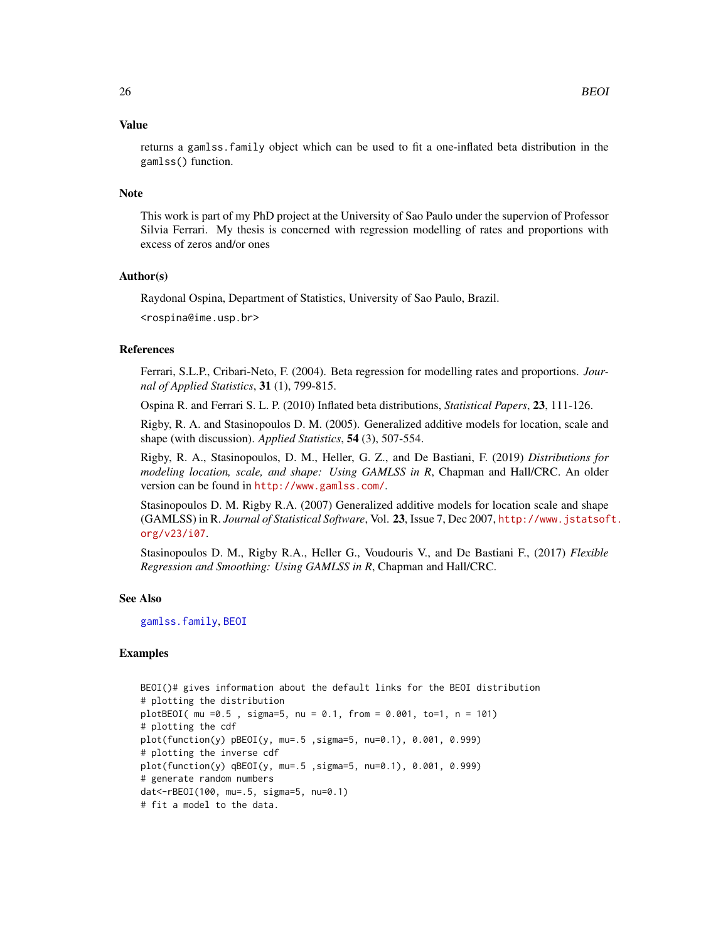#### Value

returns a gamlss.family object which can be used to fit a one-inflated beta distribution in the gamlss() function.

#### Note

This work is part of my PhD project at the University of Sao Paulo under the supervion of Professor Silvia Ferrari. My thesis is concerned with regression modelling of rates and proportions with excess of zeros and/or ones

#### Author(s)

Raydonal Ospina, Department of Statistics, University of Sao Paulo, Brazil.

<rospina@ime.usp.br>

#### References

Ferrari, S.L.P., Cribari-Neto, F. (2004). Beta regression for modelling rates and proportions. *Journal of Applied Statistics*, 31 (1), 799-815.

Ospina R. and Ferrari S. L. P. (2010) Inflated beta distributions, *Statistical Papers*, 23, 111-126.

Rigby, R. A. and Stasinopoulos D. M. (2005). Generalized additive models for location, scale and shape (with discussion). *Applied Statistics*, 54 (3), 507-554.

Rigby, R. A., Stasinopoulos, D. M., Heller, G. Z., and De Bastiani, F. (2019) *Distributions for modeling location, scale, and shape: Using GAMLSS in R*, Chapman and Hall/CRC. An older version can be found in <http://www.gamlss.com/>.

Stasinopoulos D. M. Rigby R.A. (2007) Generalized additive models for location scale and shape (GAMLSS) in R. *Journal of Statistical Software*, Vol. 23, Issue 7, Dec 2007, [http://www.jstatsof](http://www.jstatsoft.org/v23/i07)t. [org/v23/i07](http://www.jstatsoft.org/v23/i07).

Stasinopoulos D. M., Rigby R.A., Heller G., Voudouris V., and De Bastiani F., (2017) *Flexible Regression and Smoothing: Using GAMLSS in R*, Chapman and Hall/CRC.

#### See Also

[gamlss.family](#page-57-1), [BEOI](#page-23-1)

# Examples

```
BEOI()# gives information about the default links for the BEOI distribution
# plotting the distribution
plotBEOI( mu =0.5 , sigma=5, nu = 0.1, from = 0.001, to=1, n = 101)
# plotting the cdf
plot(function(y) pBEOI(y, mu=.5 ,sigma=5, nu=0.1), 0.001, 0.999)
# plotting the inverse cdf
plot(function(y) qBEOI(y, mu=.5 ,sigma=5, nu=0.1), 0.001, 0.999)
# generate random numbers
dat<-rBEOI(100, mu=.5, sigma=5, nu=0.1)
# fit a model to the data.
```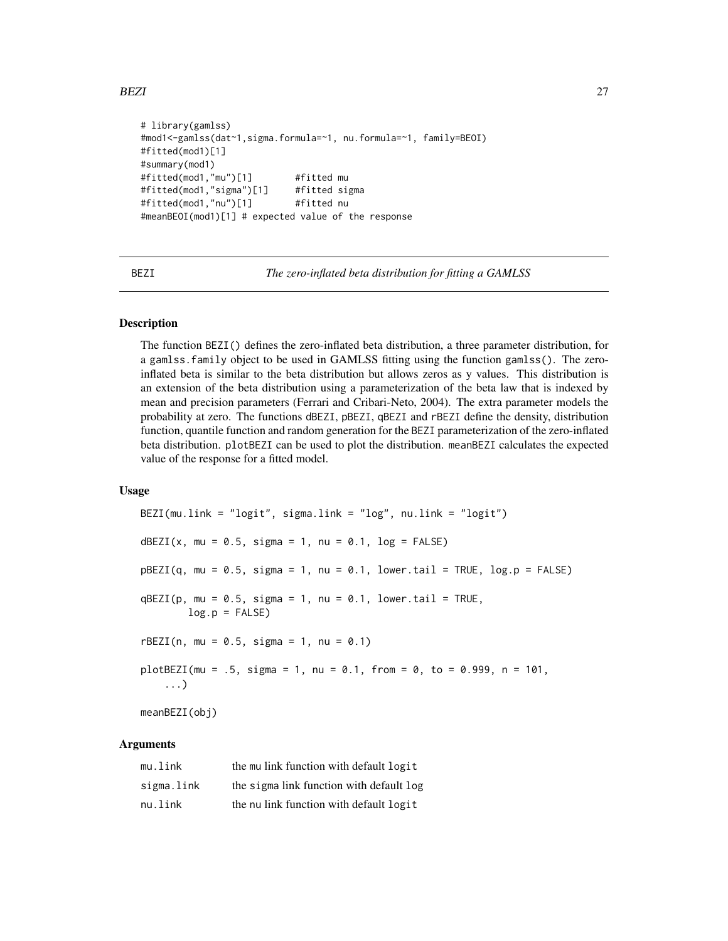```
# library(gamlss)
#mod1<-gamlss(dat~1,sigma.formula=~1, nu.formula=~1, family=BEOI)
#fitted(mod1)[1]
#summary(mod1)
#fitted(mod1,"mu")[1] #fitted mu
#fitted(mod1,"sigma")[1] #fitted sigma
#fitted(mod1,"nu")[1] #fitted nu
#meanBEOI(mod1)[1] # expected value of the response
```
<span id="page-26-1"></span>

BEZI *The zero-inflated beta distribution for fitting a GAMLSS*

# **Description**

The function BEZI() defines the zero-inflated beta distribution, a three parameter distribution, for a gamlss.family object to be used in GAMLSS fitting using the function gamlss(). The zeroinflated beta is similar to the beta distribution but allows zeros as y values. This distribution is an extension of the beta distribution using a parameterization of the beta law that is indexed by mean and precision parameters (Ferrari and Cribari-Neto, 2004). The extra parameter models the probability at zero. The functions dBEZI, pBEZI, qBEZI and rBEZI define the density, distribution function, quantile function and random generation for the BEZI parameterization of the zero-inflated beta distribution. plotBEZI can be used to plot the distribution. meanBEZI calculates the expected value of the response for a fitted model.

## Usage

BEZI(mu.link = "logit", sigma.link = "log", nu.link = "logit") dBEZI(x, mu =  $0.5$ , sigma = 1, nu =  $0.1$ , log = FALSE)  $pBEZI(q, mu = 0.5, sigma = 1, nu = 0.1, lower.tail = TRUE, log.p = FALSE)$  $qBEZI(p, mu = 0.5, sigma = 1, nu = 0.1, lower.tail = TRUE,$  $log.p = FALSE$  $rBEZI(n, mu = 0.5, sigma = 1, nu = 0.1)$ plotBEZI(mu = .5, sigma = 1, nu = 0.1, from = 0, to = 0.999, n = 101, ...) meanBEZI(obj)

# Arguments

| mu.link    | the mu link function with default logit  |
|------------|------------------------------------------|
| sigma.link | the sigma link function with default log |
| nu.link    | the nu link function with default logit  |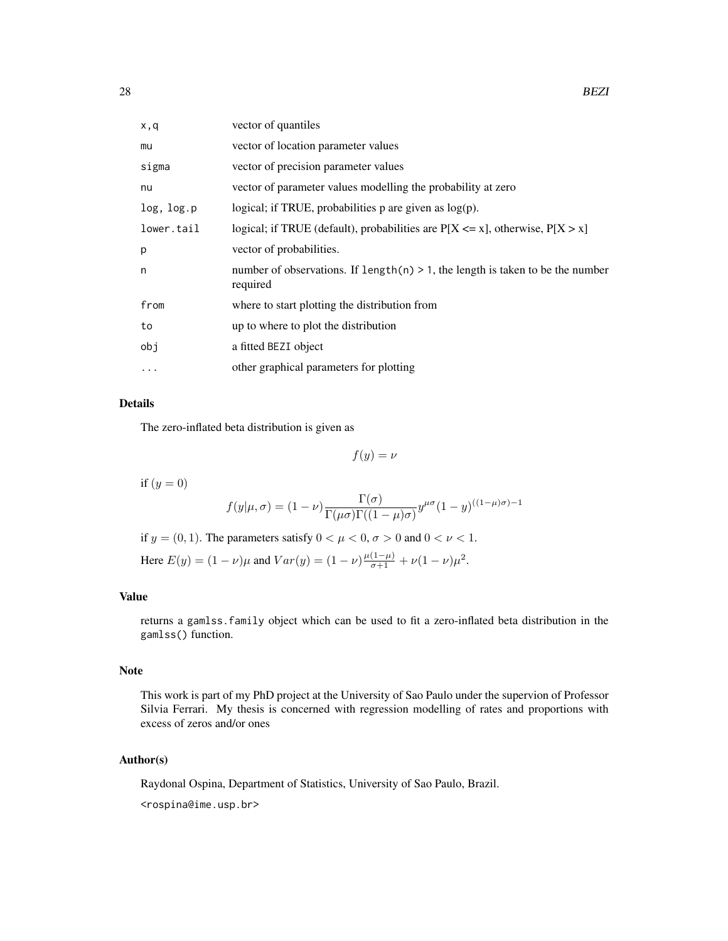| x,q        | vector of quantiles                                                                           |
|------------|-----------------------------------------------------------------------------------------------|
| mu         | vector of location parameter values                                                           |
| sigma      | vector of precision parameter values                                                          |
| nu         | vector of parameter values modelling the probability at zero                                  |
| log, log.p | logical; if TRUE, probabilities $p$ are given as $log(p)$ .                                   |
| lower.tail | logical; if TRUE (default), probabilities are $P[X \le x]$ , otherwise, $P[X > x]$            |
| p          | vector of probabilities.                                                                      |
| n          | number of observations. If $length(n) > 1$ , the length is taken to be the number<br>required |
| from       | where to start plotting the distribution from                                                 |
| to         | up to where to plot the distribution                                                          |
| obj        | a fitted BEZI object                                                                          |
| $\cdots$   | other graphical parameters for plotting                                                       |

# Details

The zero-inflated beta distribution is given as

 $f(y) = \nu$ 

if  $(y = 0)$ 

$$
f(y|\mu,\sigma) = (1-\nu)\frac{\Gamma(\sigma)}{\Gamma(\mu\sigma)\Gamma((1-\mu)\sigma)}y^{\mu\sigma}(1-y)^{((1-\mu)\sigma)-1}
$$

if  $y = (0, 1)$ . The parameters satisfy  $0 < \mu < 0$ ,  $\sigma > 0$  and  $0 < \nu < 1$ .

Here  $E(y) = (1 - \nu)\mu$  and  $Var(y) = (1 - \nu)\frac{\mu(1 - \mu)}{\sigma + 1} + \nu(1 - \nu)\mu^2$ .

# Value

returns a gamlss.family object which can be used to fit a zero-inflated beta distribution in the gamlss() function.

# Note

This work is part of my PhD project at the University of Sao Paulo under the supervion of Professor Silvia Ferrari. My thesis is concerned with regression modelling of rates and proportions with excess of zeros and/or ones

# Author(s)

Raydonal Ospina, Department of Statistics, University of Sao Paulo, Brazil.

<rospina@ime.usp.br>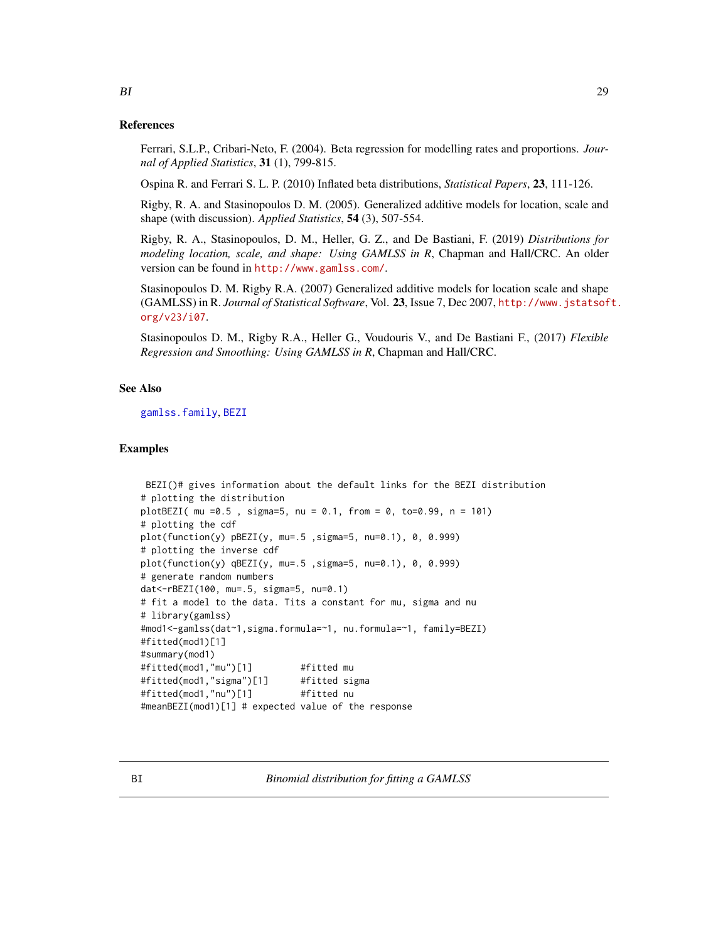#### <span id="page-28-0"></span>References

Ferrari, S.L.P., Cribari-Neto, F. (2004). Beta regression for modelling rates and proportions. *Journal of Applied Statistics*, 31 (1), 799-815.

Ospina R. and Ferrari S. L. P. (2010) Inflated beta distributions, *Statistical Papers*, 23, 111-126.

Rigby, R. A. and Stasinopoulos D. M. (2005). Generalized additive models for location, scale and shape (with discussion). *Applied Statistics*, 54 (3), 507-554.

Rigby, R. A., Stasinopoulos, D. M., Heller, G. Z., and De Bastiani, F. (2019) *Distributions for modeling location, scale, and shape: Using GAMLSS in R*, Chapman and Hall/CRC. An older version can be found in <http://www.gamlss.com/>.

Stasinopoulos D. M. Rigby R.A. (2007) Generalized additive models for location scale and shape (GAMLSS) in R. *Journal of Statistical Software*, Vol. 23, Issue 7, Dec 2007, [http://www.jstatsof](http://www.jstatsoft.org/v23/i07)t. [org/v23/i07](http://www.jstatsoft.org/v23/i07).

Stasinopoulos D. M., Rigby R.A., Heller G., Voudouris V., and De Bastiani F., (2017) *Flexible Regression and Smoothing: Using GAMLSS in R*, Chapman and Hall/CRC.

# See Also

[gamlss.family](#page-57-1), [BEZI](#page-26-1)

#### Examples

```
BEZI()# gives information about the default links for the BEZI distribution
# plotting the distribution
plotBEZI( mu =0.5 , sigma=5, nu = 0.1, from = 0, to=0.99, n = 101)
# plotting the cdf
plot(function(y) pBEZI(y, mu=.5 ,sigma=5, nu=0.1), 0, 0.999)
# plotting the inverse cdf
plot(function(y) qBEZI(y, mu=.5 ,sigma=5, nu=0.1), 0, 0.999)
# generate random numbers
dat<-rBEZI(100, mu=.5, sigma=5, nu=0.1)
# fit a model to the data. Tits a constant for mu, sigma and nu
# library(gamlss)
#mod1<-gamlss(dat~1,sigma.formula=~1, nu.formula=~1, family=BEZI)
#fitted(mod1)[1]
#summary(mod1)
#fitted(mod1,"mu")[1] #fitted mu
#fitted(mod1,"sigma")[1] #fitted sigma
#fitted(mod1,"nu")[1] #fitted nu
#meanBEZI(mod1)[1] # expected value of the response
```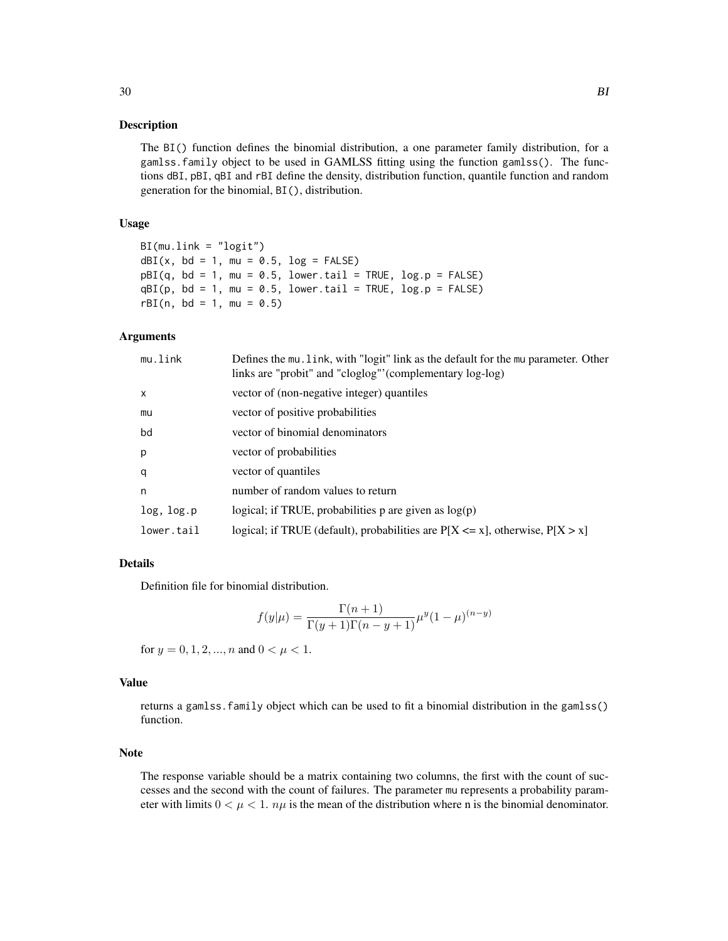#### Description

The BI() function defines the binomial distribution, a one parameter family distribution, for a gamlss.family object to be used in GAMLSS fitting using the function gamlss(). The functions dBI, pBI, qBI and rBI define the density, distribution function, quantile function and random generation for the binomial, BI(), distribution.

# Usage

```
BI(mu.link = "logit")
dBI(x, bd = 1, mu = 0.5, log = FALSE)pBI(q, bd = 1, mu = 0.5, lowertail = TRUE, <math>log.p = FALSE)
qBI(p, bd = 1, mu = 0.5, lowertail = TRUE, <math>log.p = FALSE)
rBI(n, bd = 1, mu = 0.5)
```
## Arguments

| mu.link      | Defines the mu. link, with "logit" link as the default for the mu parameter. Other<br>links are "probit" and "cloglog"' (complementary log-log) |
|--------------|-------------------------------------------------------------------------------------------------------------------------------------------------|
| $\mathsf{x}$ | vector of (non-negative integer) quantiles                                                                                                      |
| mu           | vector of positive probabilities                                                                                                                |
| bd           | vector of binomial denominators                                                                                                                 |
| p            | vector of probabilities                                                                                                                         |
| q            | vector of quantiles                                                                                                                             |
| n            | number of random values to return                                                                                                               |
| log, log.p   | logical; if TRUE, probabilities $p$ are given as $log(p)$                                                                                       |
| lower.tail   | logical; if TRUE (default), probabilities are $P[X \le x]$ , otherwise, $P[X > x]$                                                              |

# Details

Definition file for binomial distribution.

$$
f(y|\mu) = \frac{\Gamma(n+1)}{\Gamma(y+1)\Gamma(n-y+1)} \mu^{y} (1-\mu)^{(n-y)}
$$

for  $y = 0, 1, 2, ..., n$  and  $0 < \mu < 1$ .

#### Value

returns a gamlss.family object which can be used to fit a binomial distribution in the gamlss() function.

# Note

The response variable should be a matrix containing two columns, the first with the count of successes and the second with the count of failures. The parameter mu represents a probability parameter with limits  $0 < \mu < 1$ .  $n\mu$  is the mean of the distribution where n is the binomial denominator.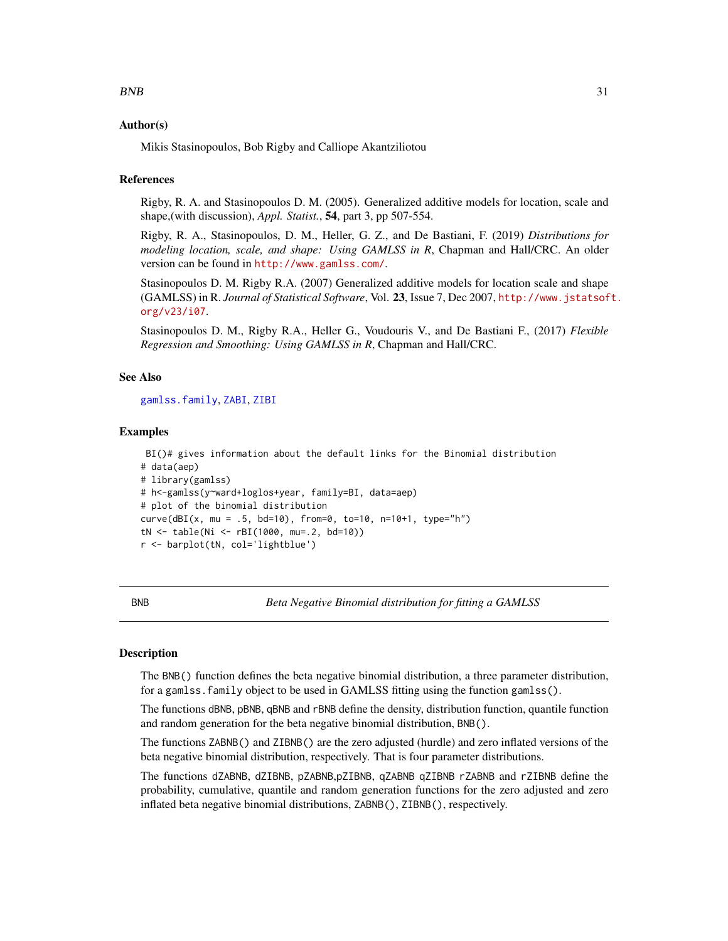#### <span id="page-30-0"></span>Author(s)

Mikis Stasinopoulos, Bob Rigby and Calliope Akantziliotou

#### References

Rigby, R. A. and Stasinopoulos D. M. (2005). Generalized additive models for location, scale and shape,(with discussion), *Appl. Statist.*, 54, part 3, pp 507-554.

Rigby, R. A., Stasinopoulos, D. M., Heller, G. Z., and De Bastiani, F. (2019) *Distributions for modeling location, scale, and shape: Using GAMLSS in R*, Chapman and Hall/CRC. An older version can be found in <http://www.gamlss.com/>.

Stasinopoulos D. M. Rigby R.A. (2007) Generalized additive models for location scale and shape (GAMLSS) in R. *Journal of Statistical Software*, Vol. 23, Issue 7, Dec 2007, [http://www.jstatsof](http://www.jstatsoft.org/v23/i07)t. [org/v23/i07](http://www.jstatsoft.org/v23/i07).

Stasinopoulos D. M., Rigby R.A., Heller G., Voudouris V., and De Bastiani F., (2017) *Flexible Regression and Smoothing: Using GAMLSS in R*, Chapman and Hall/CRC.

# See Also

[gamlss.family](#page-57-1), [ZABI](#page-170-1), [ZIBI](#page-170-2)

#### Examples

```
BI()# gives information about the default links for the Binomial distribution
# data(aep)
# library(gamlss)
# h<-gamlss(y~ward+loglos+year, family=BI, data=aep)
# plot of the binomial distribution
curve(dBI(x, mu = .5, bd=10), from=0, to=10, n=10+1, type="h")
tN <- table(Ni <- rBI(1000, mu=.2, bd=10))
r <- barplot(tN, col='lightblue')
```
BNB *Beta Negative Binomial distribution for fitting a GAMLSS*

# Description

The BNB() function defines the beta negative binomial distribution, a three parameter distribution, for a gamlss.family object to be used in GAMLSS fitting using the function gamlss().

The functions dBNB, pBNB, qBNB and rBNB define the density, distribution function, quantile function and random generation for the beta negative binomial distribution, BNB().

The functions ZABNB() and ZIBNB() are the zero adjusted (hurdle) and zero inflated versions of the beta negative binomial distribution, respectively. That is four parameter distributions.

The functions dZABNB, dZIBNB, pZABNB,pZIBNB, qZABNB qZIBNB rZABNB and rZIBNB define the probability, cumulative, quantile and random generation functions for the zero adjusted and zero inflated beta negative binomial distributions, ZABNB(), ZIBNB(), respectively.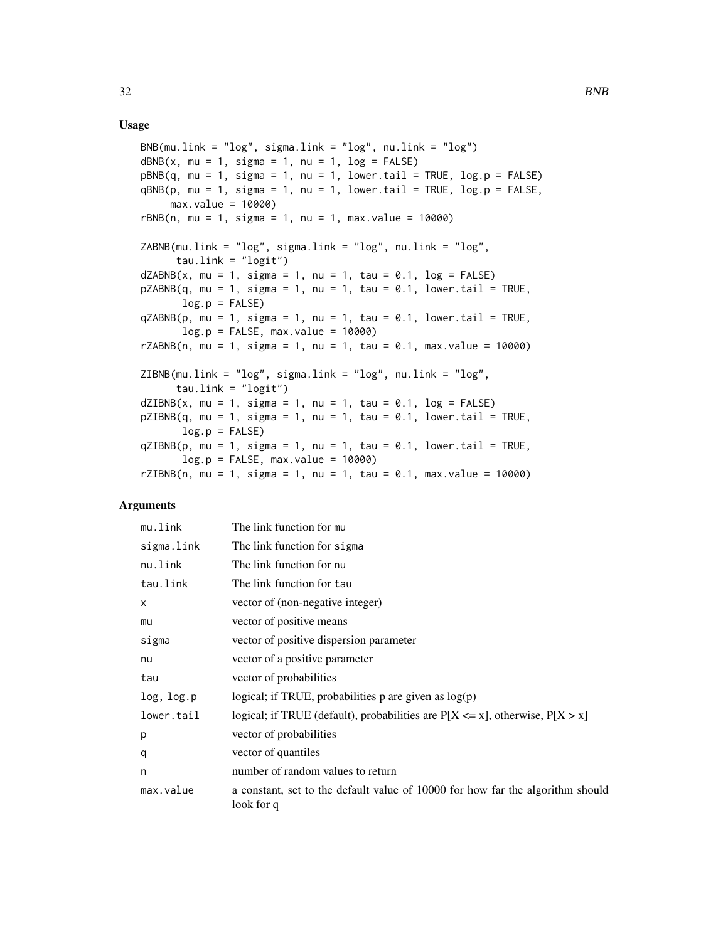# Usage

```
BNB(mu.link = "log", sigma.link = "log", nu.link = "log")dBNB(x, mu = 1, sigma = 1, nu = 1, log = FALSE)pBNB(q, mu = 1, sigma = 1, nu = 1, lower.tail = TRUE, log.p = FALSE)qBNB(p, mu = 1, sigma = 1, nu = 1, lowertail = TRUE, <math>log.p = FALSE,max.value = 10000)
rBNB(n, mu = 1, sigma = 1, nu = 1, max.value = 10000)ZABNB(mu.link = "log", sigma.link = "log", nu.link = "log",
     tau.link = "logit")
dZABNB(x, mu = 1, sigma = 1, nu = 1, tau = 0.1, log = FALSE)pZABNB(q, mu = 1, sigma = 1, nu = 1, tau = 0.1, lower.tail = TRUE,log.p = FALSEqZABNB(p, mu = 1, sigma = 1, nu = 1, tau = 0.1, lowertail = TRUE,log.p = FALSE, max.value = 10000rZABNB(n, mu = 1, sigma = 1, nu = 1, tau = 0.1, max.value = 10000)
ZIBNB(mu.link = "log", sigma.link = "log", nu.link = "log",tau.link = "logit")
dZIBNB(x, mu = 1, sigma = 1, nu = 1, tau = 0.1, log = FALSE)pZIBNB(q, mu = 1, sigma = 1, nu = 1, tau = 0.1, lower.tail = TRUE,log.p = FALSEqZIBNB(p, mu = 1, sigma = 1, nu = 1, tau = 0.1, lower.tail = TRUE,log.p = FALSE, max.value = 10000rZIBNB(n, mu = 1, sigma = 1, nu = 1, tau = 0.1, max.value = 10000)
```
### Arguments

| mu.link    | The link function for mu                                                                     |
|------------|----------------------------------------------------------------------------------------------|
| sigma.link | The link function for sigma                                                                  |
| nu.link    | The link function for nu                                                                     |
| tau.link   | The link function for tau                                                                    |
| X          | vector of (non-negative integer)                                                             |
| mu         | vector of positive means                                                                     |
| sigma      | vector of positive dispersion parameter                                                      |
| nu         | vector of a positive parameter                                                               |
| tau        | vector of probabilities                                                                      |
| log, log.p | logical; if TRUE, probabilities $p$ are given as $log(p)$                                    |
| lower.tail | logical; if TRUE (default), probabilities are $P[X \le x]$ , otherwise, $P[X > x]$           |
| p          | vector of probabilities                                                                      |
| q          | vector of quantiles                                                                          |
| n          | number of random values to return                                                            |
| max.value  | a constant, set to the default value of 10000 for how far the algorithm should<br>look for q |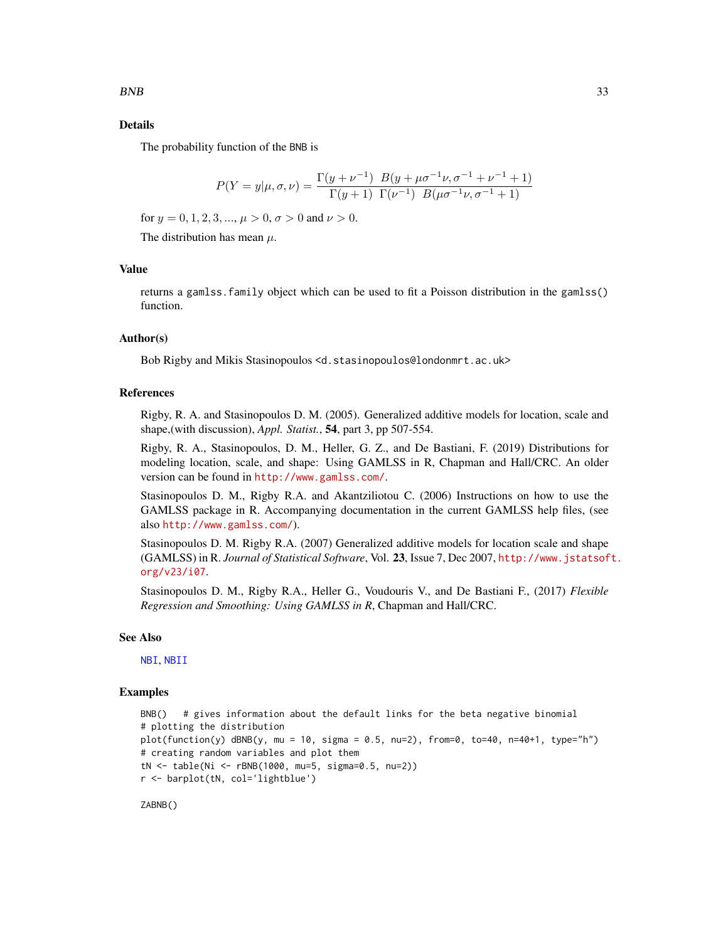# Details

The probability function of the BNB is

$$
P(Y = y | \mu, \sigma, \nu) = \frac{\Gamma(y + \nu^{-1}) \ B(y + \mu \sigma^{-1} \nu, \sigma^{-1} + \nu^{-1} + 1)}{\Gamma(y + 1) \ \Gamma(\nu^{-1}) \ B(\mu \sigma^{-1} \nu, \sigma^{-1} + 1)}
$$

for  $y = 0, 1, 2, 3, ..., \mu > 0, \sigma > 0$  and  $\nu > 0$ .

The distribution has mean  $\mu$ .

### Value

returns a gamlss.family object which can be used to fit a Poisson distribution in the gamlss() function.

# Author(s)

Bob Rigby and Mikis Stasinopoulos <d.stasinopoulos@londonmrt.ac.uk>

#### References

Rigby, R. A. and Stasinopoulos D. M. (2005). Generalized additive models for location, scale and shape,(with discussion), *Appl. Statist.*, 54, part 3, pp 507-554.

Rigby, R. A., Stasinopoulos, D. M., Heller, G. Z., and De Bastiani, F. (2019) Distributions for modeling location, scale, and shape: Using GAMLSS in R, Chapman and Hall/CRC. An older version can be found in <http://www.gamlss.com/>.

Stasinopoulos D. M., Rigby R.A. and Akantziliotou C. (2006) Instructions on how to use the GAMLSS package in R. Accompanying documentation in the current GAMLSS help files, (see also <http://www.gamlss.com/>).

Stasinopoulos D. M. Rigby R.A. (2007) Generalized additive models for location scale and shape (GAMLSS) in R. *Journal of Statistical Software*, Vol. 23, Issue 7, Dec 2007, [http://www.jstatsof](http://www.jstatsoft.org/v23/i07)t. [org/v23/i07](http://www.jstatsoft.org/v23/i07).

Stasinopoulos D. M., Rigby R.A., Heller G., Voudouris V., and De Bastiani F., (2017) *Flexible Regression and Smoothing: Using GAMLSS in R*, Chapman and Hall/CRC.

#### See Also

[NBI](#page-110-1), [NBII](#page-112-1)

# Examples

```
BNB() # gives information about the default links for the beta negative binomial
# plotting the distribution
plot(function(y) dBNB(y, mu = 10, sigma = 0.5, nu=2), from=0, to=40, n=40+1, type="n")# creating random variables and plot them
tN <- table(Ni <- rBNB(1000, mu=5, sigma=0.5, nu=2))
r <- barplot(tN, col='lightblue')
```
ZABNB()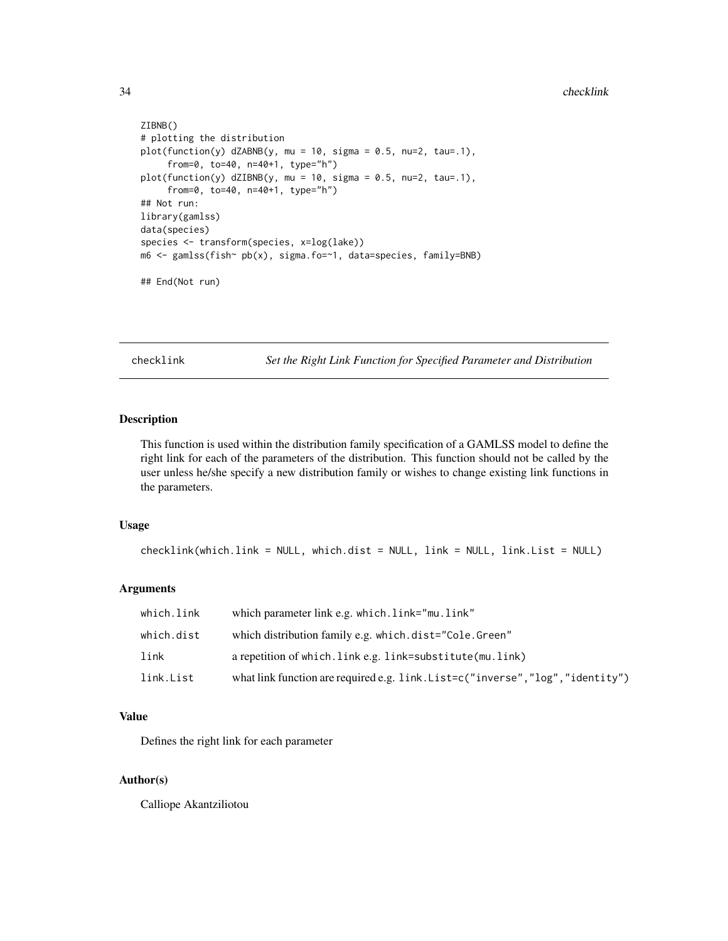```
ZIBNB()
# plotting the distribution
plot(function(y) dZABNB(y, mu = 10, sigma = 0.5, nu=2, tau=.1),from=0, to=40, n=40+1, type="h")
plot(function(y) dZIBNB(y, mu = 10, sigma = 0.5, nu=2, tau=.1),from=0, to=40, n=40+1, type="h")
## Not run:
library(gamlss)
data(species)
species <- transform(species, x=log(lake))
m6 <- gamlss(fish~ pb(x), sigma.fo=~1, data=species, family=BNB)
## End(Not run)
```
checklink *Set the Right Link Function for Specified Parameter and Distribution*

# Description

This function is used within the distribution family specification of a GAMLSS model to define the right link for each of the parameters of the distribution. This function should not be called by the user unless he/she specify a new distribution family or wishes to change existing link functions in the parameters.

#### Usage

```
checklink(which.link = NULL, which.dist = NULL, link = NULL, link.List = NULL)
```
#### Arguments

| which.link | which parameter link e.g. which. link="mu. link"                                |
|------------|---------------------------------------------------------------------------------|
| which.dist | which distribution family e.g. which.dist="Cole.Green"                          |
| link       | a repetition of which. Link e.g. link=substitute(mu. link)                      |
| link.List  | what link function are required e.g. link. List=c("inverse", "log", "identity") |

# Value

Defines the right link for each parameter

#### Author(s)

Calliope Akantziliotou

<span id="page-33-0"></span>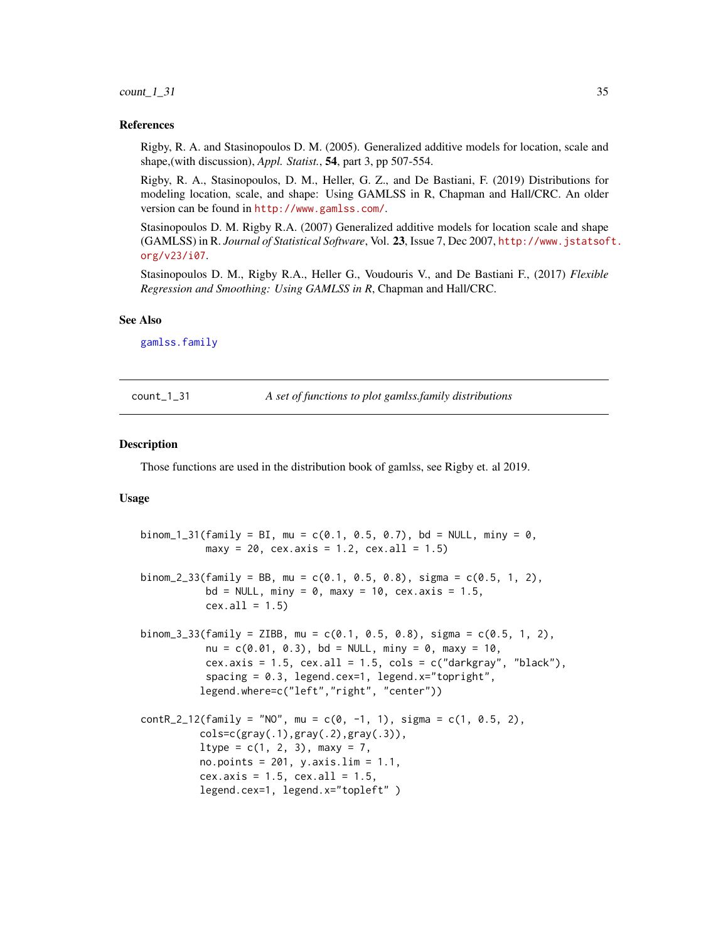#### <span id="page-34-0"></span> $count\_1\_31$  35

#### References

Rigby, R. A. and Stasinopoulos D. M. (2005). Generalized additive models for location, scale and shape,(with discussion), *Appl. Statist.*, 54, part 3, pp 507-554.

Rigby, R. A., Stasinopoulos, D. M., Heller, G. Z., and De Bastiani, F. (2019) Distributions for modeling location, scale, and shape: Using GAMLSS in R, Chapman and Hall/CRC. An older version can be found in <http://www.gamlss.com/>.

Stasinopoulos D. M. Rigby R.A. (2007) Generalized additive models for location scale and shape (GAMLSS) in R. *Journal of Statistical Software*, Vol. 23, Issue 7, Dec 2007, [http://www.jstatsof](http://www.jstatsoft.org/v23/i07)t. [org/v23/i07](http://www.jstatsoft.org/v23/i07).

Stasinopoulos D. M., Rigby R.A., Heller G., Voudouris V., and De Bastiani F., (2017) *Flexible Regression and Smoothing: Using GAMLSS in R*, Chapman and Hall/CRC.

#### See Also

[gamlss.family](#page-57-1)

count\_1\_31 *A set of functions to plot gamlss.family distributions*

#### Description

Those functions are used in the distribution book of gamlss, see Rigby et. al 2019.

#### Usage

```
binom_1_31(family = BI, mu = c(0.1, 0.5, 0.7), bd = NULL, miny = 0,
           maxy = 20, cex.axis = 1.2, cex.all = 1.5)
binom_2_33(family = BB, mu = c(0.1, 0.5, 0.8), sigma = c(0.5, 1, 2),
          bd = NULL, miny = 0, maxy = 10, cex.axis = 1.5,
          cex.all = 1.5binom_3_33(family = ZIBB, mu = c(0.1, 0.5, 0.8), sigma = c(0.5, 1, 2),
          nu = c(0.01, 0.3), bd = NULL, miny = 0, maxy = 10,
          cex.axis = 1.5, cex.all = 1.5, cols = c("darkgray", "black"),spacing = 0.3, legend.cex=1, legend.x="topright",
          legend.where=c("left","right", "center"))
contR_2_12(family = "NO", mu = c(0, -1, 1), sigma = c(1, 0.5, 2),
          cols=c(gray(.1),gray(.2),gray(.3)),
          ltype = c(1, 2, 3), max = 7,no.points = 201, y.axis.lim = 1.1,
          cex.axis = 1.5, cex.all = 1.5,
          legend.cex=1, legend.x="topleft" )
```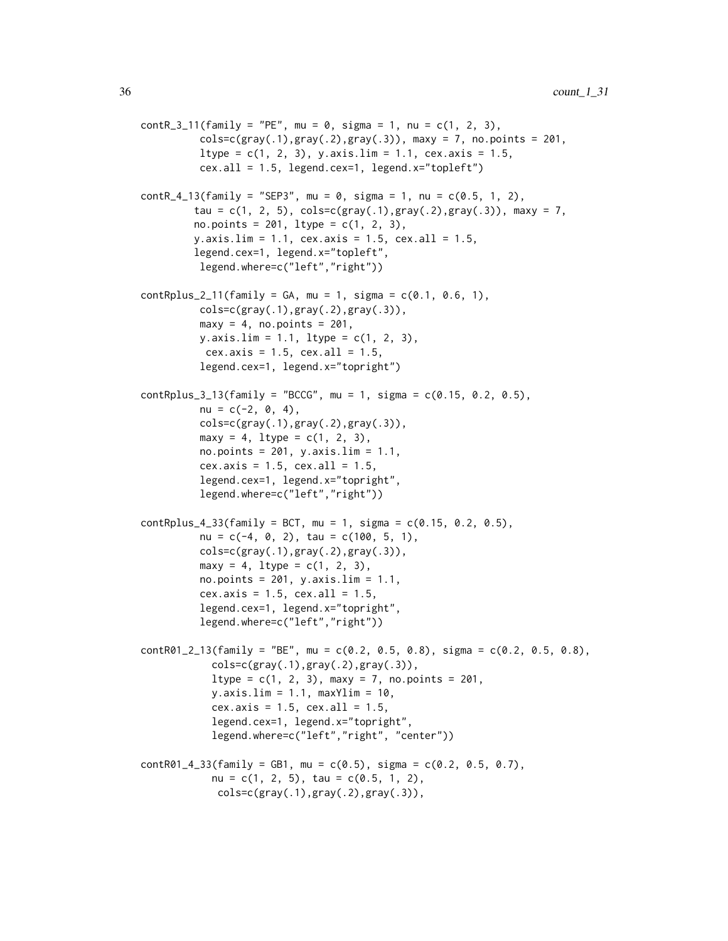```
contR_3_11(family = "PE", mu = 0, sigma = 1, nu = c(1, 2, 3),cols = c(gray(.1),gray(.2),gray(.3)), maxy = 7, no.points = 201,
          ltype = c(1, 2, 3), y.axis.lim = 1.1, cex.axis = 1.5,
          cex.all = 1.5, legend.cex=1, legend.x="topleft")
contR_4_13(family = "SEP3", mu = 0, sigma = 1, nu = c(0.5, 1, 2),tau = c(1, 2, 5), cols=c(gray(.1), gray(.2), gray(.3)), maxy = 7,
         no.points = 201, ltype = c(1, 2, 3),
         y.axis.lim = 1.1, cex.axis = 1.5, cex.all = 1.5,
         legend.cex=1, legend.x="topleft",
          legend.where=c("left","right"))
contRplus_2_11(family = GA, mu = 1, sigma = c(0.1, 0.6, 1),\text{cols=c}(\text{gray}(.1), \text{gray}(.2), \text{gray}(.3)),maxy = 4, no.points = 201,
          y.axis.lim = 1.1, ltype = c(1, 2, 3),
           cex.axis = 1.5, cex.all = 1.5,
          legend.cex=1, legend.x="topright")
contRplus_3_13(family = "BCCG", mu = 1, sigma = c(0.15, 0.2, 0.5),nu = c(-2, 0, 4),
          \text{cols=c}(\text{gray}(.1), \text{gray}(.2), \text{gray}(.3)),maxy = 4, ltype = c(1, 2, 3),
          no.points = 201, y.axis.lim = 1.1,
          cex.axis = 1.5, cex.all = 1.5,
          legend.cex=1, legend.x="topright",
          legend.where=c("left","right"))
contRplus_4_33(family = BCT, mu = 1, sigma = c(0.15, 0.2, 0.5),nu = c(-4, 0, 2), tau = c(100, 5, 1),
          cols=c(gray(.1),gray(.2),gray(.3)),maxy = 4, 1type = c(1, 2, 3),
          no.points = 201, y.axis.lim = 1.1,
          cex.axis = 1.5, cex.all = 1.5,
          legend.cex=1, legend.x="topright",
          legend.where=c("left","right"))
contR01_2_13(family = "BE", mu = c(0.2, 0.5, 0.8), sigma = c(0.2, 0.5, 0.8),\text{cols=c}(\text{gray}(.1), \text{gray}(.2), \text{gray}(.3)),ltype = c(1, 2, 3), maxy = 7, no.points = 201,
            y. axis.lim = 1.1, maxYlim = 10,
            cex.axis = 1.5, cex.all = 1.5,legend.cex=1, legend.x="topright",
            legend.where=c("left","right", "center"))
contR01_4_33(family = GB1, mu = c(0.5), sigma = c(0.2, 0.5, 0.7),
            nu = c(1, 2, 5), tau = c(0.5, 1, 2),
             cols=c(gray(.1),gray(.2),gray(.3)),
```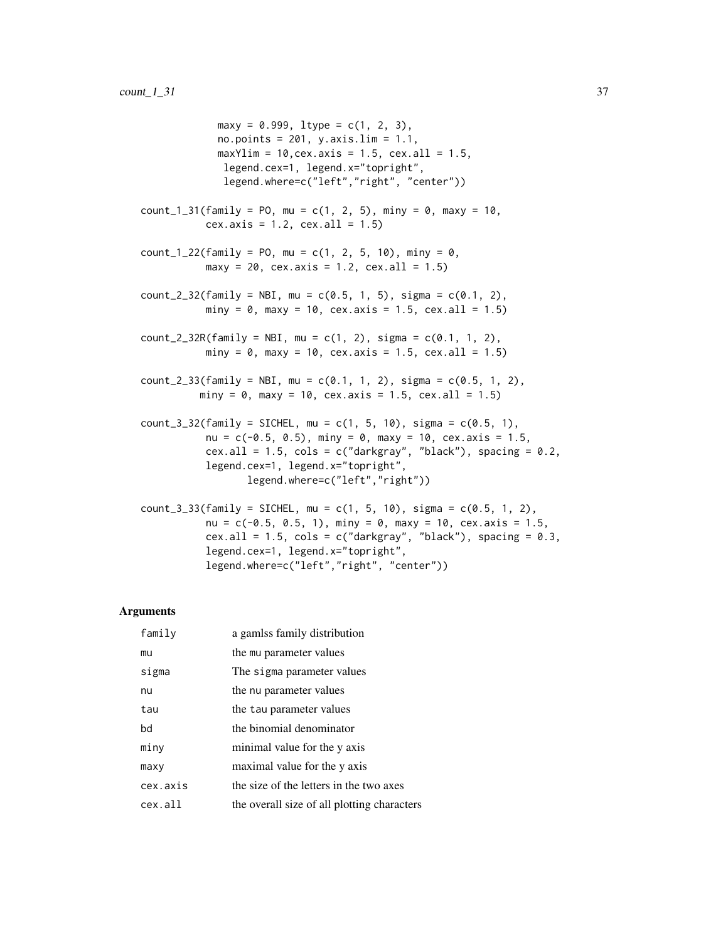$maxy = 0.999$ ,  $ltype = c(1, 2, 3)$ , no.points =  $201$ , y.axis.lim =  $1.1$ , max $Ylim = 10$ , cex. axis = 1.5, cex. all = 1.5, legend.cex=1, legend.x="topright", legend.where=c("left","right", "center"))  $count_1_31(family = PO, mu = c(1, 2, 5), min = 0, max = 10,$  $cex. axis = 1.2, cex. all = 1.5)$  $count_1_22(family = PO, mu = c(1, 2, 5, 10), min = 0,$  $maxy = 20$ , cex.axis = 1.2, cex.all = 1.5) count\_2\_32(family = NBI, mu =  $c(0.5, 1, 5)$ , sigma =  $c(0.1, 2)$ , miny = 0, maxy = 10, cex.axis = 1.5, cex.all = 1.5)  $count_2_32R(family = NBI, mu = c(1, 2), sigma = c(0.1, 1, 2),$  $miny = 0$ ,  $maxy = 10$ ,  $cex.axis = 1.5$ ,  $cex.all = 1.5$ )  $count_2_33(family = NBI, mu = c(0.1, 1, 2), sigma = c(0.5, 1, 2),$ miny = 0, maxy = 10, cex.axis = 1.5, cex.all = 1.5)  $count_3_32(family = SICHEL, mu = c(1, 5, 10), sigma = c(0.5, 1),$ nu =  $c(-0.5, 0.5)$ , miny = 0, maxy = 10, cex.axis = 1.5, cex.all =  $1.5$ , cols = c("darkgray", "black"), spacing =  $0.2$ , legend.cex=1, legend.x="topright", legend.where=c("left","right")) count\_3\_33(family = SICHEL, mu = c(1, 5, 10), sigma = c(0.5, 1, 2), nu =  $c(-0.5, 0.5, 1)$ , miny = 0, maxy = 10, cex.axis = 1.5, cex.all =  $1.5$ , cols =  $c("darkgray", "black"), spacing = 0.3,$ legend.cex=1, legend.x="topright",

legend.where=c("left","right", "center"))

#### Arguments

| family   | a gamlss family distribution                |
|----------|---------------------------------------------|
| mu       | the mu parameter values                     |
| sigma    | The sigma parameter values                  |
| nu       | the nu parameter values                     |
| tau      | the tau parameter values                    |
| bd       | the binomial denominator                    |
| miny     | minimal value for the y axis                |
| maxy     | maximal value for the y axis                |
| cex.axis | the size of the letters in the two axes     |
| cex.all  | the overall size of all plotting characters |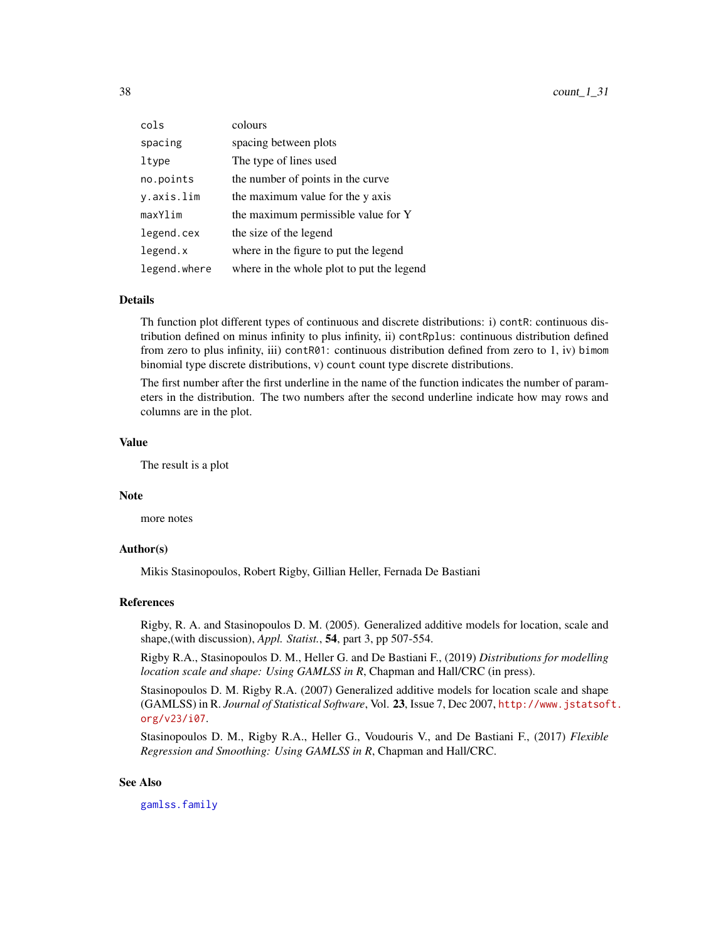| cols         | colours                                   |
|--------------|-------------------------------------------|
| spacing      | spacing between plots                     |
| ltype        | The type of lines used                    |
| no.points    | the number of points in the curve         |
| y.axis.lim   | the maximum value for the y axis          |
| maxYlim      | the maximum permissible value for Y       |
| legend.cex   | the size of the legend                    |
| legend.x     | where in the figure to put the legend     |
| legend.where | where in the whole plot to put the legend |

# Details

Th function plot different types of continuous and discrete distributions: i) contR: continuous distribution defined on minus infinity to plus infinity, ii) contRplus: continuous distribution defined from zero to plus infinity, iii) contR01: continuous distribution defined from zero to 1, iv) bimom binomial type discrete distributions, v) count count type discrete distributions.

The first number after the first underline in the name of the function indicates the number of parameters in the distribution. The two numbers after the second underline indicate how may rows and columns are in the plot.

#### Value

The result is a plot

## Note

more notes

## Author(s)

Mikis Stasinopoulos, Robert Rigby, Gillian Heller, Fernada De Bastiani

## References

Rigby, R. A. and Stasinopoulos D. M. (2005). Generalized additive models for location, scale and shape,(with discussion), *Appl. Statist.*, 54, part 3, pp 507-554.

Rigby R.A., Stasinopoulos D. M., Heller G. and De Bastiani F., (2019) *Distributions for modelling location scale and shape: Using GAMLSS in R*, Chapman and Hall/CRC (in press).

Stasinopoulos D. M. Rigby R.A. (2007) Generalized additive models for location scale and shape (GAMLSS) in R. *Journal of Statistical Software*, Vol. 23, Issue 7, Dec 2007, [http://www.jstatsof](http://www.jstatsoft.org/v23/i07)t. [org/v23/i07](http://www.jstatsoft.org/v23/i07).

Stasinopoulos D. M., Rigby R.A., Heller G., Voudouris V., and De Bastiani F., (2017) *Flexible Regression and Smoothing: Using GAMLSS in R*, Chapman and Hall/CRC.

## See Also

[gamlss.family](#page-57-0)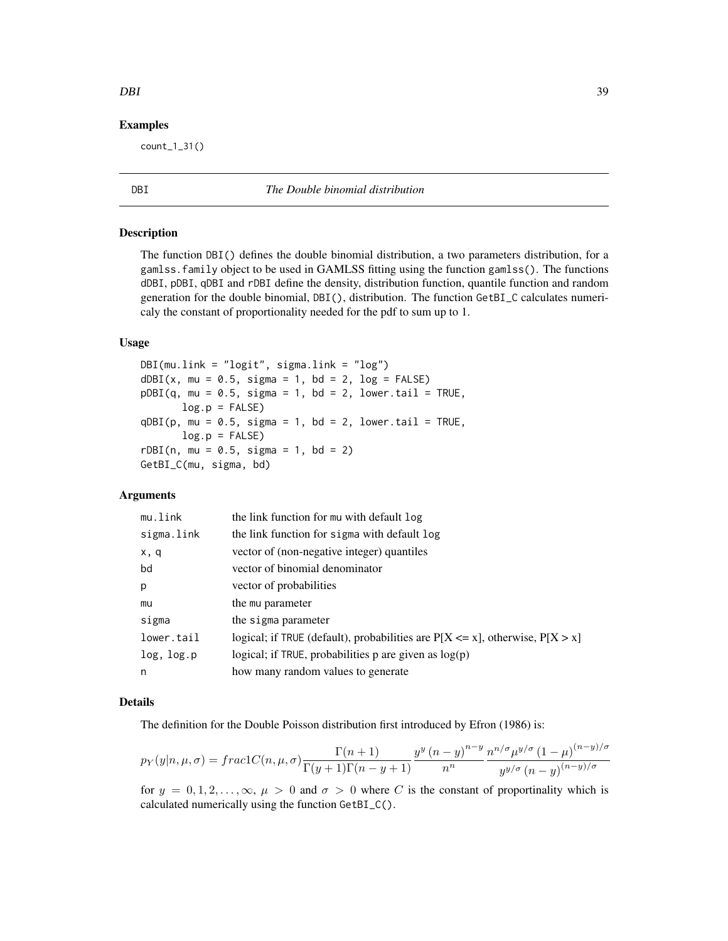## Examples

count\_1\_31()

<span id="page-38-0"></span>DBI *The Double binomial distribution*

## Description

The function DBI() defines the double binomial distribution, a two parameters distribution, for a gamlss.family object to be used in GAMLSS fitting using the function gamlss(). The functions dDBI, pDBI, qDBI and rDBI define the density, distribution function, quantile function and random generation for the double binomial, DBI(), distribution. The function GetBI\_C calculates numericaly the constant of proportionality needed for the pdf to sum up to 1.

# Usage

DBI(mu.link = "logit", sigma.link = "log")  $dDBI(x, mu = 0.5, sigma = 1, bd = 2, log = FALSE)$  $pDBI(q, mu = 0.5, sigma = 1, bd = 2, lower.tail = TRUE,$  $log.p = FALSE$  $qDBI(p, mu = 0.5, sigma = 1, bd = 2, lower.tail = TRUE,$  $log.p = FALSE$  $rDBI(n, mu = 0.5, sigma = 1, bd = 2)$ GetBI\_C(mu, sigma, bd)

## Arguments

| mu.link    | the link function for mu with default log                                          |
|------------|------------------------------------------------------------------------------------|
| sigma.link | the link function for sigma with default log                                       |
| x, q       | vector of (non-negative integer) quantiles                                         |
| bd         | vector of binomial denominator                                                     |
| p          | vector of probabilities                                                            |
| mu         | the mu parameter                                                                   |
| sigma      | the sigma parameter                                                                |
| lower.tail | logical; if TRUE (default), probabilities are $P[X \le x]$ , otherwise, $P[X > x]$ |
| log, log.p | logical; if TRUE, probabilities $p$ are given as $log(p)$                          |
| n          | how many random values to generate                                                 |

## Details

The definition for the Double Poisson distribution first introduced by Efron (1986) is:

$$
p_Y(y|n,\mu,\sigma) = frac1C(n,\mu,\sigma)\frac{\Gamma(n+1)}{\Gamma(y+1)\Gamma(n-y+1)}\frac{y^y(n-y)^{n-y}}{n^n}\frac{n^{n/\sigma}\mu^{y/\sigma}(1-\mu)^{(n-y)/\sigma}}{y^{y/\sigma}(n-y)^{(n-y)/\sigma}}
$$

for  $y = 0, 1, 2, \ldots, \infty$ ,  $\mu > 0$  and  $\sigma > 0$  where C is the constant of proportinality which is calculated numerically using the function GetBI\_C().

#### DBI 39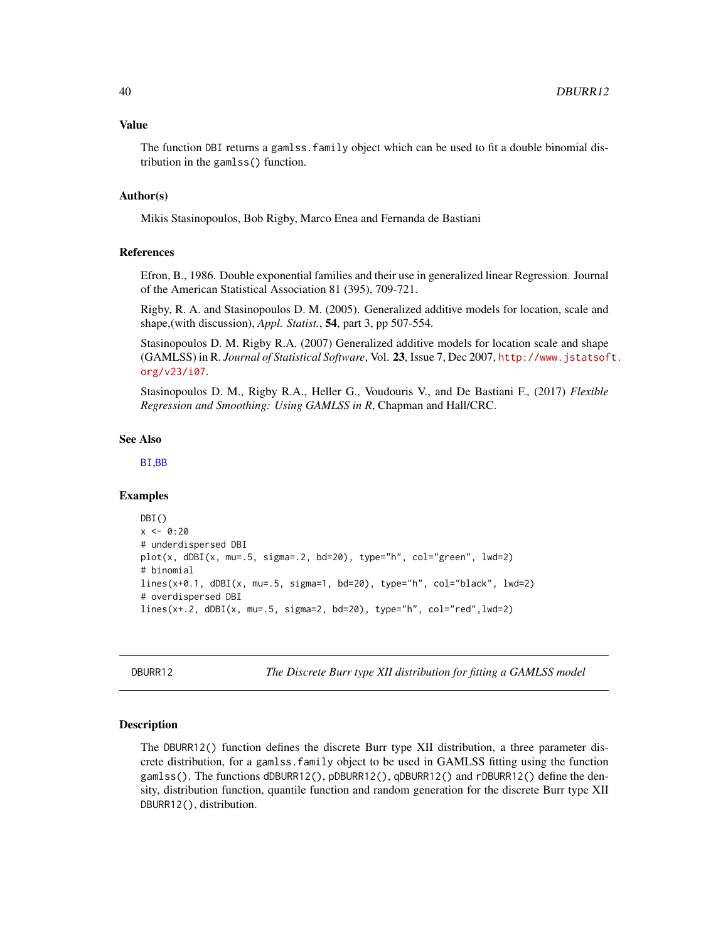#### Value

The function DBI returns a gamlss.family object which can be used to fit a double binomial distribution in the gamlss() function.

## Author(s)

Mikis Stasinopoulos, Bob Rigby, Marco Enea and Fernanda de Bastiani

## References

Efron, B., 1986. Double exponential families and their use in generalized linear Regression. Journal of the American Statistical Association 81 (395), 709-721.

Rigby, R. A. and Stasinopoulos D. M. (2005). Generalized additive models for location, scale and shape,(with discussion), *Appl. Statist.*, 54, part 3, pp 507-554.

Stasinopoulos D. M. Rigby R.A. (2007) Generalized additive models for location scale and shape (GAMLSS) in R. *Journal of Statistical Software*, Vol. 23, Issue 7, Dec 2007, [http://www.jstatsof](http://www.jstatsoft.org/v23/i07)t. [org/v23/i07](http://www.jstatsoft.org/v23/i07).

Stasinopoulos D. M., Rigby R.A., Heller G., Voudouris V., and De Bastiani F., (2017) *Flexible Regression and Smoothing: Using GAMLSS in R*, Chapman and Hall/CRC.

## See Also

[BI](#page-28-0),[BB](#page-7-0)

## Examples

```
DBI()
x < -0.20# underdispersed DBI
plot(x, dbBI(x, mu=.5, sigma=.2, bd=20), type="n", col="green", lwd=2)# binomial
lines(x+0.1, dDBI(x, mu=.5, sigma=1, bd=20), type="h", col="black", lwd=2)
# overdispersed DBI
lines(x+.2, dDBI(x, mu=.5, sigma=2, bd=20), type="h", col="red",lwd=2)
```
<span id="page-39-0"></span>DBURR12 *The Discrete Burr type XII distribution for fitting a GAMLSS model*

## Description

The DBURR12() function defines the discrete Burr type XII distribution, a three parameter discrete distribution, for a gamlss, family object to be used in GAMLSS fitting using the function gamlss(). The functions dDBURR12(), pDBURR12(), qDBURR12() and rDBURR12() define the density, distribution function, quantile function and random generation for the discrete Burr type XII DBURR12(), distribution.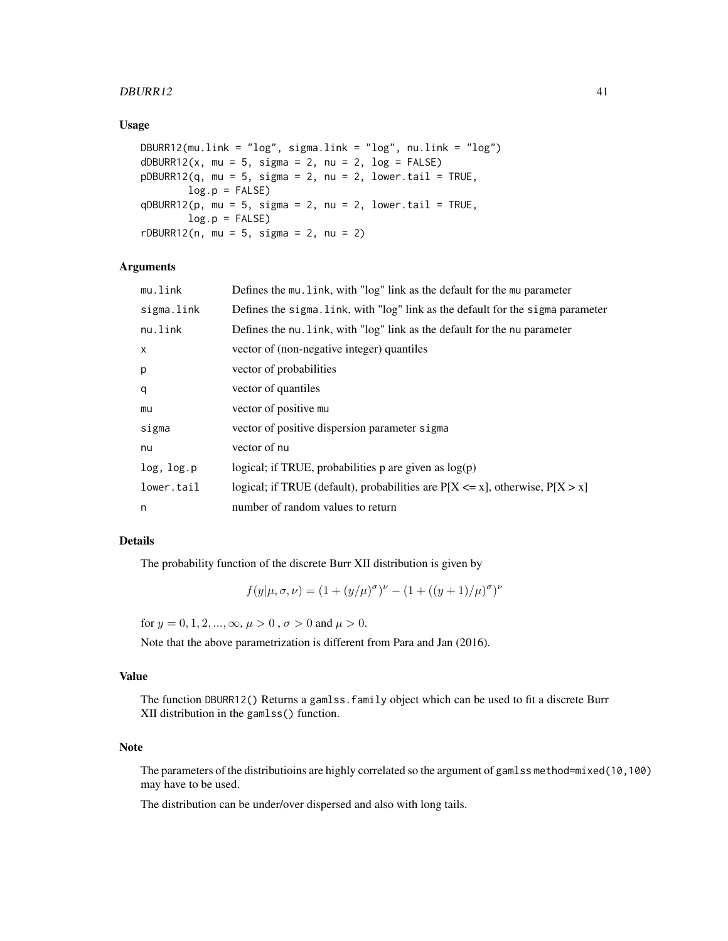## $DBURR12$  41

## Usage

```
DBURR12(mu.link = "log", sigma.link = "log", nu.link = "log")
dDBURR12(x, mu = 5, sigma = 2, nu = 2, log = FALSE)
pDBURR12(q, mu = 5, sigma = 2, nu = 2, lower.tail = TRUE,log.p = FALSEqDBURR12(p, mu = 5, sigma = 2, nu = 2, lowertail = TRUE,log.p = FALSErDBURR12(n, mu = 5, sigma = 2, nu = 2)
```
# Arguments

| mu.link      | Defines the mu. link, with "log" link as the default for the mu parameter          |
|--------------|------------------------------------------------------------------------------------|
| sigma.link   | Defines the sigma. link, with "log" link as the default for the sigma parameter    |
| nu.link      | Defines the nu. link, with "log" link as the default for the nu parameter          |
| $\mathsf{x}$ | vector of (non-negative integer) quantiles                                         |
| p            | vector of probabilities                                                            |
| q            | vector of quantiles                                                                |
| mu           | vector of positive mu                                                              |
| sigma        | vector of positive dispersion parameter sigma                                      |
| nu           | vector of nu                                                                       |
| log, log.p   | logical; if TRUE, probabilities p are given as $log(p)$                            |
| lower.tail   | logical; if TRUE (default), probabilities are $P[X \le x]$ , otherwise, $P[X > x]$ |
| n            | number of random values to return                                                  |

# Details

The probability function of the discrete Burr XII distribution is given by

 $f(y|\mu,\sigma,\nu) = (1 + (y/\mu)^{\sigma})^{\nu} - (1 + ((y+1)/\mu)^{\sigma})^{\nu}$ 

for  $y = 0, 1, 2, ..., \infty, \mu > 0$ ,  $\sigma > 0$  and  $\mu > 0$ .

Note that the above parametrization is different from Para and Jan (2016).

#### Value

The function DBURR12() Returns a gamlss.family object which can be used to fit a discrete Burr XII distribution in the gamlss() function.

# Note

The parameters of the distributioins are highly correlated so the argument of gamlss method=mixed(10,100) may have to be used.

The distribution can be under/over dispersed and also with long tails.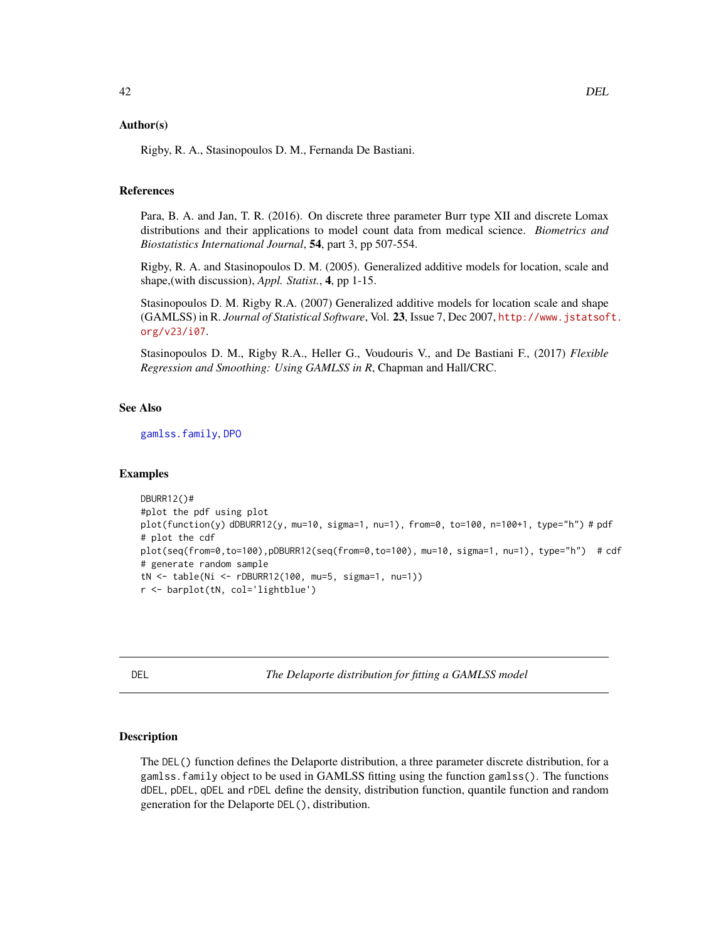## Author(s)

Rigby, R. A., Stasinopoulos D. M., Fernanda De Bastiani.

## References

Para, B. A. and Jan, T. R. (2016). On discrete three parameter Burr type XII and discrete Lomax distributions and their applications to model count data from medical science. *Biometrics and Biostatistics International Journal*, 54, part 3, pp 507-554.

Rigby, R. A. and Stasinopoulos D. M. (2005). Generalized additive models for location, scale and shape,(with discussion), *Appl. Statist.*, 4, pp 1-15.

Stasinopoulos D. M. Rigby R.A. (2007) Generalized additive models for location scale and shape (GAMLSS) in R. *Journal of Statistical Software*, Vol. 23, Issue 7, Dec 2007, [http://www.jstatsof](http://www.jstatsoft.org/v23/i07)t. [org/v23/i07](http://www.jstatsoft.org/v23/i07).

Stasinopoulos D. M., Rigby R.A., Heller G., Voudouris V., and De Bastiani F., (2017) *Flexible Regression and Smoothing: Using GAMLSS in R*, Chapman and Hall/CRC.

# See Also

[gamlss.family](#page-57-0), [DPO](#page-44-0)

#### Examples

```
DBURR12()#
#plot the pdf using plot
plot(function(y) dDBURR12(y, mu=10, sigma=1, nu=1), from=0, to=100, n=100+1, type="h") # pdf
# plot the cdf
plot(seq(from=0,to=100),pDBURR12(seq(from=0,to=100), mu=10, sigma=1, nu=1), type="h") # cdf
# generate random sample
tN <- table(Ni <- rDBURR12(100, mu=5, sigma=1, nu=1))
r <- barplot(tN, col='lightblue')
```
<span id="page-41-0"></span>DEL *The Delaporte distribution for fitting a GAMLSS model*

## Description

The DEL() function defines the Delaporte distribution, a three parameter discrete distribution, for a gamlss.family object to be used in GAMLSS fitting using the function gamlss(). The functions dDEL, pDEL, qDEL and rDEL define the density, distribution function, quantile function and random generation for the Delaporte DEL(), distribution.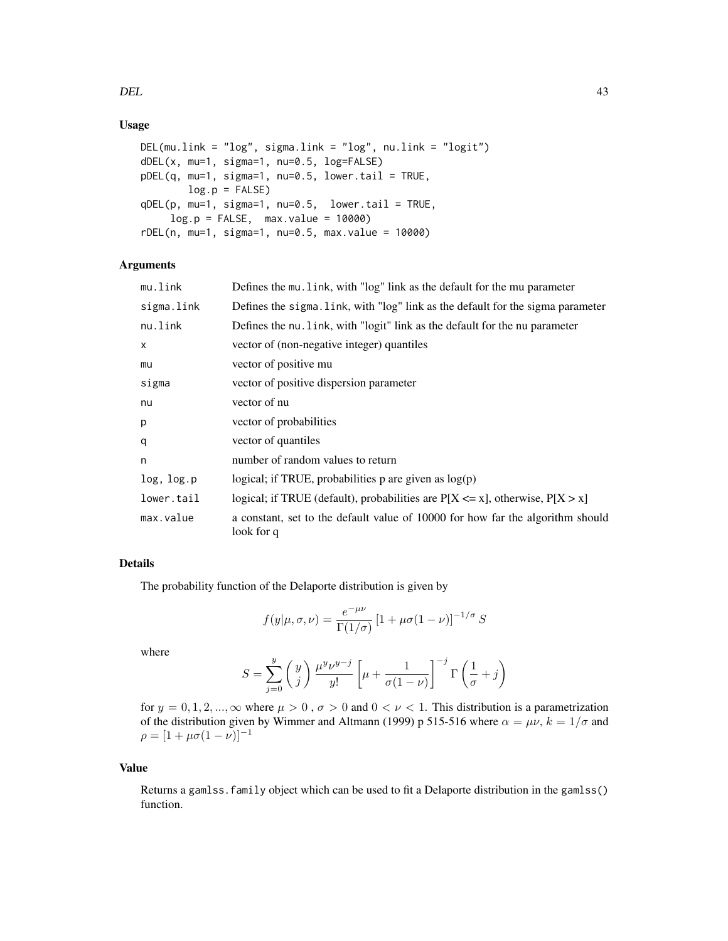# Usage

```
DEL(mu.link = "log", sigma.link = "log", nu.link = "logit")
dDEL(x, mu=1, sigma=1, nu=0.5, log=FALSE)
pDEL(q, mu=1, sigma=1, nu=0.5, lower.tail = TRUE,log.p = FALSEqDEL(p, mu=1, sigma=1, nu=0.5, lower.tail = TRUE,log.p = FALSE, max.value = 10000rDEL(n, mu=1, sigma=1, nu=0.5, max.value = 10000)
```
# Arguments

| mu.link    | Defines the mu. link, with "log" link as the default for the mu parameter                    |
|------------|----------------------------------------------------------------------------------------------|
| sigma.link | Defines the sigma. Link, with "log" link as the default for the sigma parameter              |
| nu.link    | Defines the nu. Link, with "logit" link as the default for the nu parameter                  |
| X          | vector of (non-negative integer) quantiles                                                   |
| mu         | vector of positive mu                                                                        |
| sigma      | vector of positive dispersion parameter                                                      |
| nu         | vector of nu                                                                                 |
| p          | vector of probabilities                                                                      |
| q          | vector of quantiles                                                                          |
| n          | number of random values to return                                                            |
| log, log.p | logical; if TRUE, probabilities $p$ are given as $log(p)$                                    |
| lower.tail | logical; if TRUE (default), probabilities are $P[X \le x]$ , otherwise, $P[X > x]$           |
| max.value  | a constant, set to the default value of 10000 for how far the algorithm should<br>look for q |

# Details

The probability function of the Delaporte distribution is given by

$$
f(y|\mu,\sigma,\nu) = \frac{e^{-\mu\nu}}{\Gamma(1/\sigma)} \left[1 + \mu\sigma(1-\nu)\right]^{-1/\sigma} S
$$

where

$$
S = \sum_{j=0}^{y} \binom{y}{j} \frac{\mu^{y} \nu^{y-j}}{y!} \left[ \mu + \frac{1}{\sigma(1-\nu)} \right]^{-j} \Gamma\left(\frac{1}{\sigma} + j\right)
$$

for  $y = 0, 1, 2, ..., \infty$  where  $\mu > 0$ ,  $\sigma > 0$  and  $0 < \nu < 1$ . This distribution is a parametrization of the distribution given by Wimmer and Altmann (1999) p 515-516 where  $\alpha = \mu \nu$ ,  $k = 1/\sigma$  and  $\rho = [1 + \mu \sigma (1 - \nu)]^{-1}$ 

## Value

Returns a gamlss.family object which can be used to fit a Delaporte distribution in the gamlss() function.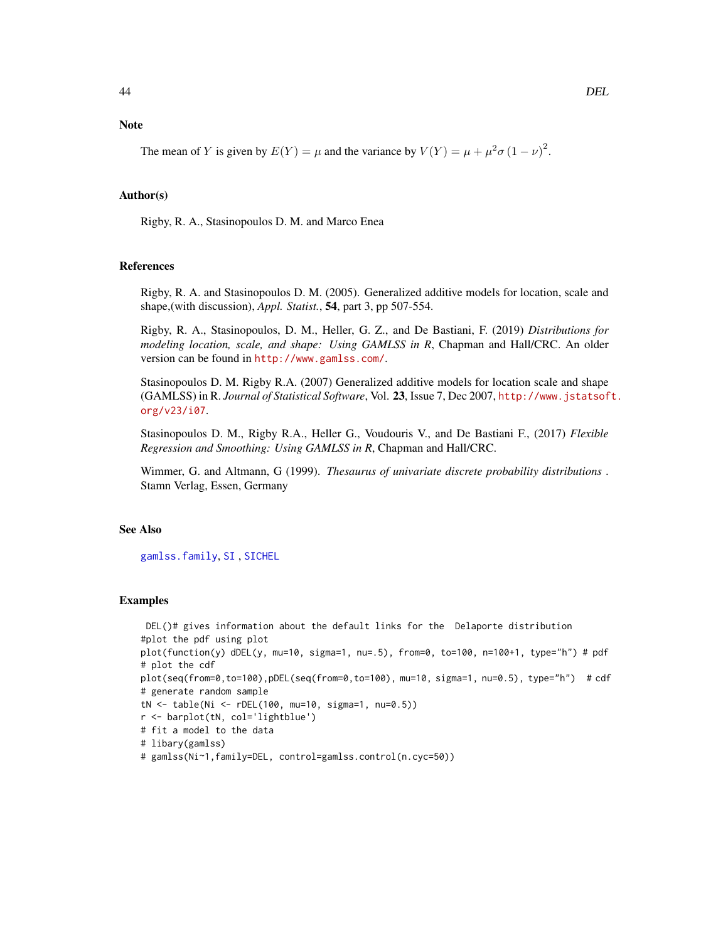**Note** 

The mean of Y is given by  $E(Y) = \mu$  and the variance by  $V(Y) = \mu + \mu^2 \sigma (1 - \nu)^2$ .

## Author(s)

Rigby, R. A., Stasinopoulos D. M. and Marco Enea

#### References

Rigby, R. A. and Stasinopoulos D. M. (2005). Generalized additive models for location, scale and shape,(with discussion), *Appl. Statist.*, 54, part 3, pp 507-554.

Rigby, R. A., Stasinopoulos, D. M., Heller, G. Z., and De Bastiani, F. (2019) *Distributions for modeling location, scale, and shape: Using GAMLSS in R*, Chapman and Hall/CRC. An older version can be found in <http://www.gamlss.com/>.

Stasinopoulos D. M. Rigby R.A. (2007) Generalized additive models for location scale and shape (GAMLSS) in R. *Journal of Statistical Software*, Vol. 23, Issue 7, Dec 2007, [http://www.jstatsof](http://www.jstatsoft.org/v23/i07)t. [org/v23/i07](http://www.jstatsoft.org/v23/i07).

Stasinopoulos D. M., Rigby R.A., Heller G., Voudouris V., and De Bastiani F., (2017) *Flexible Regression and Smoothing: Using GAMLSS in R*, Chapman and Hall/CRC.

Wimmer, G. and Altmann, G (1999). *Thesaurus of univariate discrete probability distributions* . Stamn Verlag, Essen, Germany

#### See Also

[gamlss.family](#page-57-0), [SI](#page-144-0) , [SICHEL](#page-146-0)

## Examples

DEL()# gives information about the default links for the Delaporte distribution #plot the pdf using plot plot(function(y) dDEL(y, mu=10, sigma=1, nu=.5), from=0, to=100, n=100+1, type="h") # pdf # plot the cdf plot(seq(from=0,to=100),pDEL(seq(from=0,to=100), mu=10, sigma=1, nu=0.5), type="h") # cdf # generate random sample tN <- table(Ni <- rDEL(100, mu=10, sigma=1, nu=0.5)) r <- barplot(tN, col='lightblue') # fit a model to the data # libary(gamlss) # gamlss(Ni~1,family=DEL, control=gamlss.control(n.cyc=50))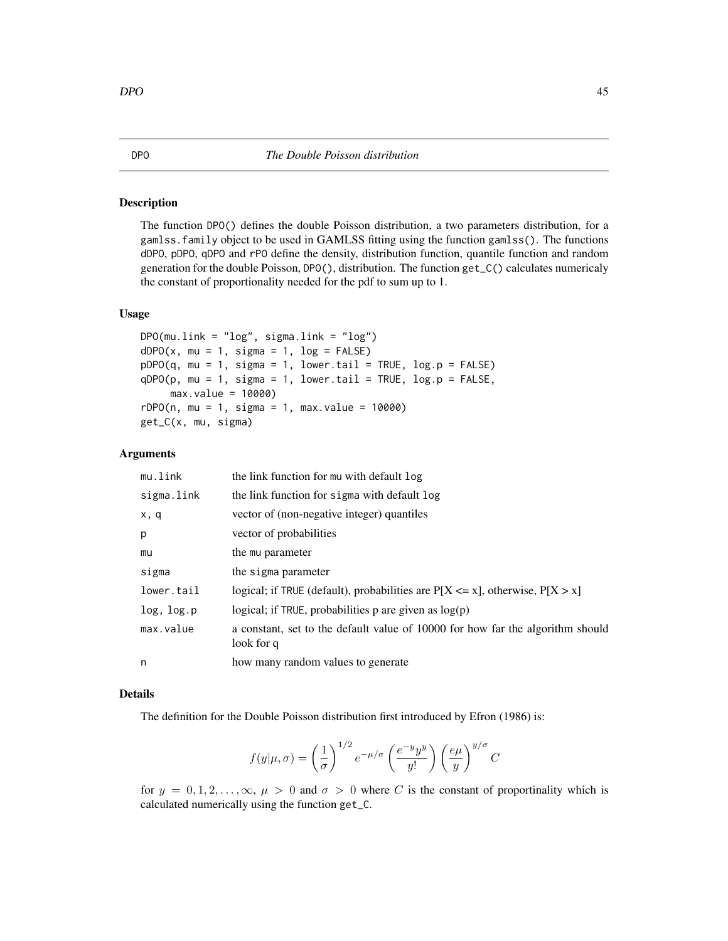## <span id="page-44-0"></span>Description

The function DPO() defines the double Poisson distribution, a two parameters distribution, for a gamlss.family object to be used in GAMLSS fitting using the function gamlss(). The functions dDPO, pDPO, qDPO and rPO define the density, distribution function, quantile function and random generation for the double Poisson, DPO(), distribution. The function get\_C() calculates numericaly the constant of proportionality needed for the pdf to sum up to 1.

# Usage

```
DPO(mu.link = "log", sigma.link = "log")dDPO(x, mu = 1, sigma = 1, log = FALSE)pDPO(q, mu = 1, sigma = 1, lower.tail = TRUE, log.p = FALSE)qDPO(p, mu = 1, sigma = 1, lower.tail = TRUE, log.p = FALSE,max.value = 10000rDPO(n, mu = 1, sigma = 1, max.value = 10000)get_C(x, mu, sigma)
```
#### Arguments

| mu.link    | the link function for mu with default log                                                    |
|------------|----------------------------------------------------------------------------------------------|
| sigma.link | the link function for sigma with default log                                                 |
| x, q       | vector of (non-negative integer) quantiles                                                   |
| p          | vector of probabilities                                                                      |
| mu         | the mu parameter                                                                             |
| sigma      | the sigma parameter                                                                          |
| lower.tail | logical; if TRUE (default), probabilities are $P[X \le x]$ , otherwise, $P[X > x]$           |
| log, log.p | logical; if TRUE, probabilities p are given as $log(p)$                                      |
| max.value  | a constant, set to the default value of 10000 for how far the algorithm should<br>look for q |
| n          | how many random values to generate                                                           |

## Details

The definition for the Double Poisson distribution first introduced by Efron (1986) is:

$$
f(y|\mu,\sigma) = \left(\frac{1}{\sigma}\right)^{1/2} e^{-\mu/\sigma} \left(\frac{e^{-y}y^y}{y!}\right) \left(\frac{e\mu}{y}\right)^{y/\sigma} C
$$

for  $y = 0, 1, 2, \ldots, \infty, \mu > 0$  and  $\sigma > 0$  where C is the constant of proportinality which is calculated numerically using the function get\_C.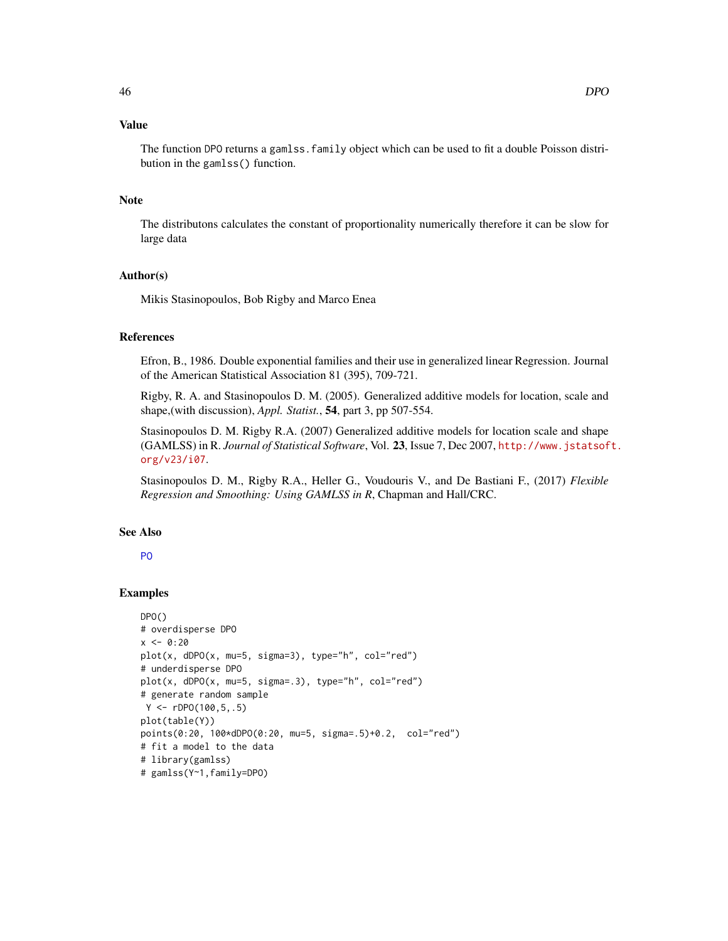## Value

The function DPO returns a gamlss.family object which can be used to fit a double Poisson distribution in the gamlss() function.

## Note

The distributons calculates the constant of proportionality numerically therefore it can be slow for large data

## Author(s)

Mikis Stasinopoulos, Bob Rigby and Marco Enea

# References

Efron, B., 1986. Double exponential families and their use in generalized linear Regression. Journal of the American Statistical Association 81 (395), 709-721.

Rigby, R. A. and Stasinopoulos D. M. (2005). Generalized additive models for location, scale and shape,(with discussion), *Appl. Statist.*, 54, part 3, pp 507-554.

Stasinopoulos D. M. Rigby R.A. (2007) Generalized additive models for location scale and shape (GAMLSS) in R. *Journal of Statistical Software*, Vol. 23, Issue 7, Dec 2007, [http://www.jstatsof](http://www.jstatsoft.org/v23/i07)t. [org/v23/i07](http://www.jstatsoft.org/v23/i07).

Stasinopoulos D. M., Rigby R.A., Heller G., Voudouris V., and De Bastiani F., (2017) *Flexible Regression and Smoothing: Using GAMLSS in R*, Chapman and Hall/CRC.

## See Also

# [PO](#page-129-0)

# Examples

```
DPO()
# overdisperse DPO
x < -0:20plot(x, dDPO(x, mu=5, sigma=3), type="n", col="red")# underdisperse DPO
plot(x, dDPO(x, mu=5, sigma=.3), type="h", col="red")
# generate random sample
 Y \le -rDPO(100, 5, .5)plot(table(Y))
points(0:20, 100*dDPO(0:20, mu=5, sigma=.5)+0.2, col="red")
# fit a model to the data
# library(gamlss)
# gamlss(Y~1,family=DPO)
```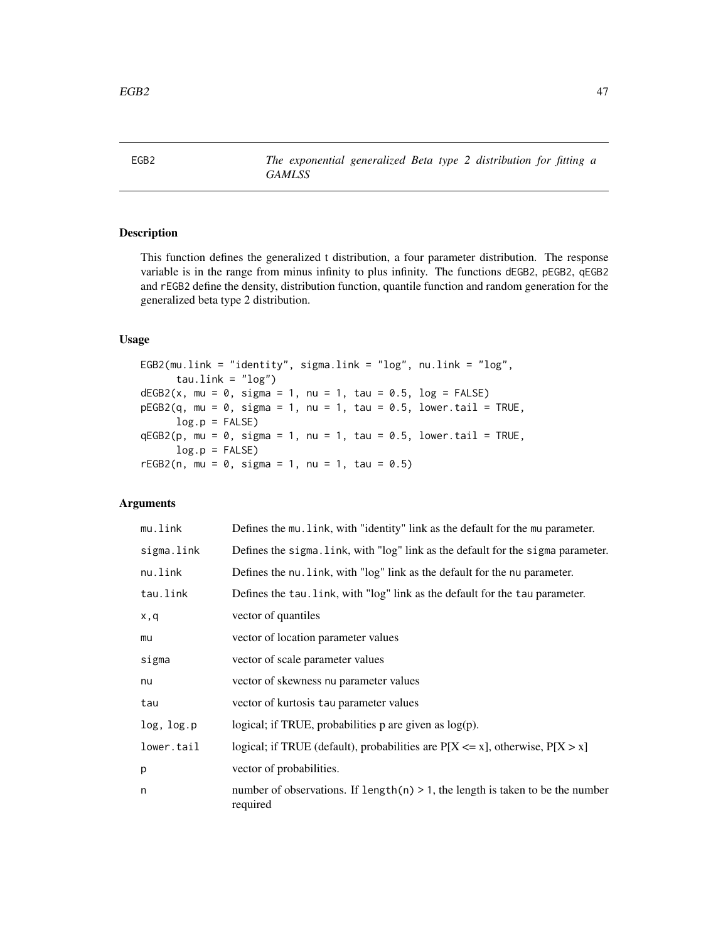<span id="page-46-0"></span>EGB2 *The exponential generalized Beta type 2 distribution for fitting a GAMLSS*

# Description

This function defines the generalized t distribution, a four parameter distribution. The response variable is in the range from minus infinity to plus infinity. The functions dEGB2, pEGB2, qEGB2 and rEGB2 define the density, distribution function, quantile function and random generation for the generalized beta type 2 distribution.

# Usage

```
EGB2(mu.link = "identity", sigma.link = "log", nu.link = "log",
     tau.link = "log")dEGB2(x, mu = 0, sigma = 1, nu = 1, tau = 0.5, log = FALSE)pEGB2(q, mu = 0, sigma = 1, nu = 1, tau = 0.5, lowertail = TRUE,log.p = FALSEqEGB2(p, mu = 0, sigma = 1, nu = 1, tau = 0.5, lowertail = TRUE,log.p = FALSE)
rEGB2(n, mu = 0, sigma = 1, nu = 1, tau = 0.5)
```
# Arguments

| mu.link    | Defines the mu. link, with "identity" link as the default for the mu parameter.               |
|------------|-----------------------------------------------------------------------------------------------|
| sigma.link | Defines the sigma. link, with "log" link as the default for the sigma parameter.              |
| nu.link    | Defines the nu. Link, with "log" link as the default for the nu parameter.                    |
| tau.link   | Defines the tau. link, with "log" link as the default for the tau parameter.                  |
| x,q        | vector of quantiles                                                                           |
| mu         | vector of location parameter values                                                           |
| sigma      | vector of scale parameter values                                                              |
| nu         | vector of skewness nu parameter values                                                        |
| tau        | vector of kurtosis tau parameter values                                                       |
| log, log.p | logical; if TRUE, probabilities $p$ are given as $log(p)$ .                                   |
| lower.tail | logical; if TRUE (default), probabilities are $P[X \le x]$ , otherwise, $P[X > x]$            |
| p          | vector of probabilities.                                                                      |
| n          | number of observations. If $length(n) > 1$ , the length is taken to be the number<br>required |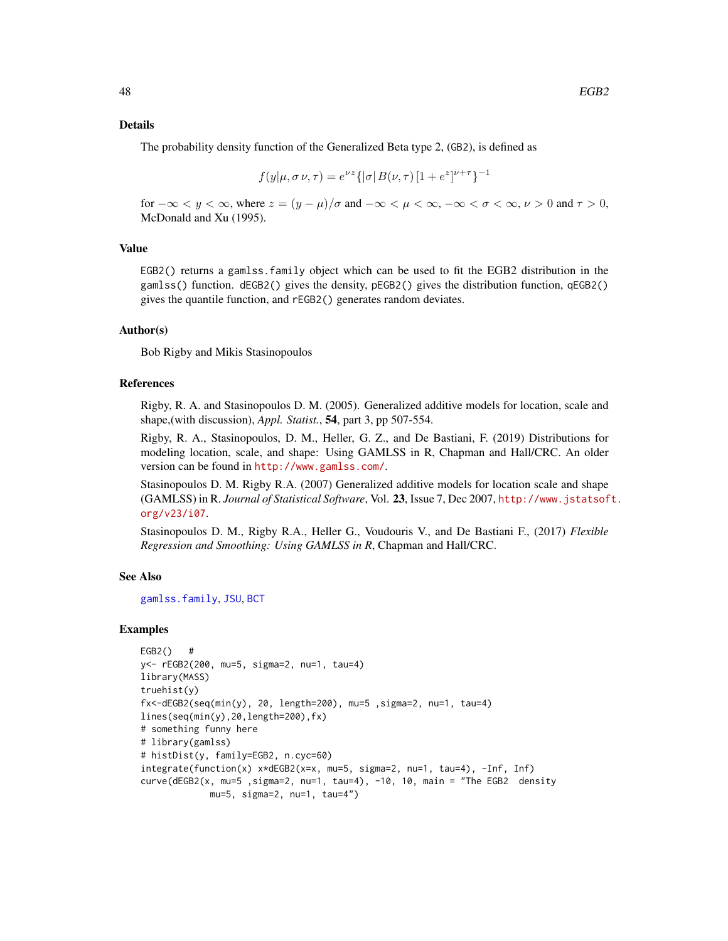#### Details

The probability density function of the Generalized Beta type 2, (GB2), is defined as

$$
f(y|\mu, \sigma \nu, \tau) = e^{\nu z} \{ |\sigma| B(\nu, \tau) [1 + e^z]^{\nu + \tau} \}^{-1}
$$

for  $-\infty < y < \infty$ , where  $z = (y - \mu)/\sigma$  and  $-\infty < \mu < \infty$ ,  $-\infty < \sigma < \infty$ ,  $\nu > 0$  and  $\tau > 0$ , McDonald and Xu (1995).

# Value

EGB2() returns a gamlss.family object which can be used to fit the EGB2 distribution in the gamlss() function. dEGB2() gives the density, pEGB2() gives the distribution function, qEGB2() gives the quantile function, and rEGB2() generates random deviates.

## Author(s)

Bob Rigby and Mikis Stasinopoulos

## References

Rigby, R. A. and Stasinopoulos D. M. (2005). Generalized additive models for location, scale and shape,(with discussion), *Appl. Statist.*, 54, part 3, pp 507-554.

Rigby, R. A., Stasinopoulos, D. M., Heller, G. Z., and De Bastiani, F. (2019) Distributions for modeling location, scale, and shape: Using GAMLSS in R, Chapman and Hall/CRC. An older version can be found in <http://www.gamlss.com/>.

Stasinopoulos D. M. Rigby R.A. (2007) Generalized additive models for location scale and shape (GAMLSS) in R. *Journal of Statistical Software*, Vol. 23, Issue 7, Dec 2007, [http://www.jstatsof](http://www.jstatsoft.org/v23/i07)t. [org/v23/i07](http://www.jstatsoft.org/v23/i07).

Stasinopoulos D. M., Rigby R.A., Heller G., Voudouris V., and De Bastiani F., (2017) *Flexible Regression and Smoothing: Using GAMLSS in R*, Chapman and Hall/CRC.

## See Also

[gamlss.family](#page-57-0), [JSU](#page-83-0), [BCT](#page-15-0)

#### Examples

```
EGB2() #
y<- rEGB2(200, mu=5, sigma=2, nu=1, tau=4)
library(MASS)
truehist(y)
fx<-dEGB2(seq(min(y), 20, length=200), mu=5 ,sigma=2, nu=1, tau=4)
lines(seq(min(y),20,length=200),fx)
# something funny here
# library(gamlss)
# histDist(y, family=EGB2, n.cyc=60)
integrate(function(x) x*dEGB2(x=x, mu=5, sigma=2, nu=1, tau=4), -Inf, Inf)
curve(dEGB2(x, mu=5 ,sigma=2, nu=1, tau=4), -10, 10, main = "The EGB2 density
             mu=5, sigma=2, nu=1, tau=4")
```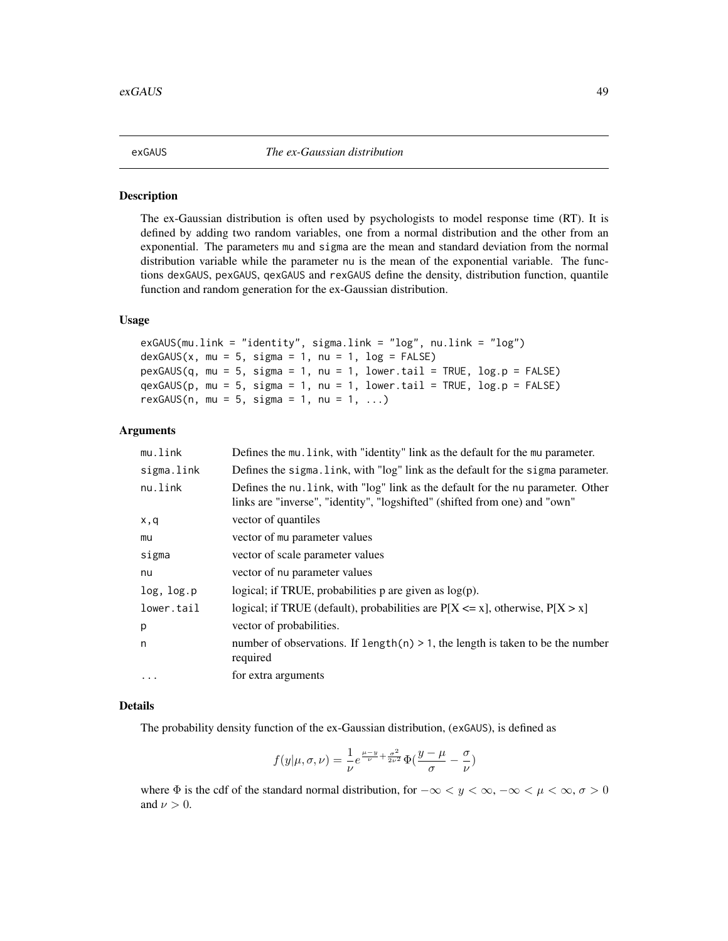<span id="page-48-0"></span>

#### Description

The ex-Gaussian distribution is often used by psychologists to model response time (RT). It is defined by adding two random variables, one from a normal distribution and the other from an exponential. The parameters mu and sigma are the mean and standard deviation from the normal distribution variable while the parameter nu is the mean of the exponential variable. The functions dexGAUS, pexGAUS, qexGAUS and rexGAUS define the density, distribution function, quantile function and random generation for the ex-Gaussian distribution.

## Usage

```
exGAUS(mu.link = "identity", sigma.link = "log", nu.link = "log")
dexGAUS(x, mu = 5, sigma = 1, nu = 1, log = FALSE)pexGAUS(q, mu = 5, sigma = 1, nu = 1, lowertail = TRUE, log.p = FALSE)
qexGAUS(p, mu = 5, sigma = 1, nu = 1, lower.tail = TRUE, log.p = FALSE)
rexGAUS(n, mu = 5, sigma = 1, nu = 1, ...)
```
## Arguments

| mu.link    | Defines the mu. Link, with "identity" link as the default for the mu parameter.                                                                                |
|------------|----------------------------------------------------------------------------------------------------------------------------------------------------------------|
| sigma.link | Defines the sigma. link, with "log" link as the default for the sigma parameter.                                                                               |
| nu.link    | Defines the nu, link, with "log" link as the default for the nu parameter. Other<br>links are "inverse", "identity", "logshifted" (shifted from one) and "own" |
| x,q        | vector of quantiles                                                                                                                                            |
| mu         | vector of mu parameter values                                                                                                                                  |
| sigma      | vector of scale parameter values                                                                                                                               |
| nu         | vector of nu parameter values                                                                                                                                  |
| log, log.p | logical; if TRUE, probabilities $p$ are given as $log(p)$ .                                                                                                    |
| lower.tail | logical; if TRUE (default), probabilities are $P[X \le x]$ , otherwise, $P[X > x]$                                                                             |
| p          | vector of probabilities.                                                                                                                                       |
| n          | number of observations. If $length(n) > 1$ , the length is taken to be the number<br>required                                                                  |
| $\cdots$   | for extra arguments                                                                                                                                            |

# Details

The probability density function of the ex-Gaussian distribution, (exGAUS), is defined as

$$
f(y|\mu,\sigma,\nu)=\frac{1}{\nu}e^{\frac{\mu-y}{\nu}+\frac{\sigma^2}{2\nu^2}}\Phi(\frac{y-\mu}{\sigma}-\frac{\sigma}{\nu})
$$

where  $\Phi$  is the cdf of the standard normal distribution, for  $-\infty < y < \infty$ ,  $-\infty < \mu < \infty$ ,  $\sigma > 0$ and  $\nu > 0$ .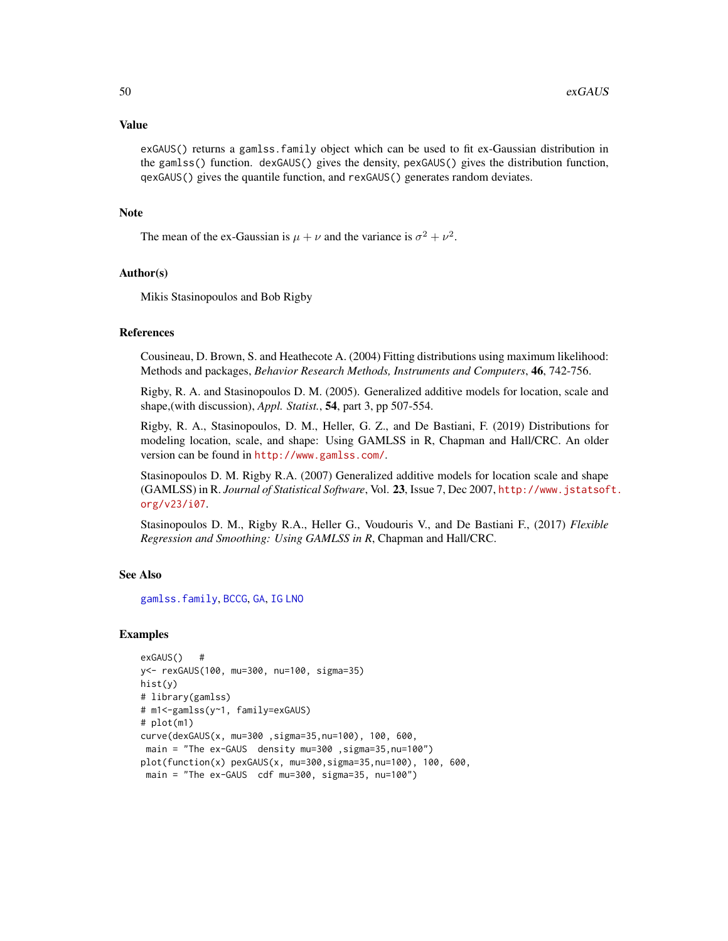#### Value

exGAUS() returns a gamlss.family object which can be used to fit ex-Gaussian distribution in the gamlss() function. dexGAUS() gives the density, pexGAUS() gives the distribution function, qexGAUS() gives the quantile function, and rexGAUS() generates random deviates.

## Note

The mean of the ex-Gaussian is  $\mu + \nu$  and the variance is  $\sigma^2 + \nu^2$ .

## Author(s)

Mikis Stasinopoulos and Bob Rigby

# References

Cousineau, D. Brown, S. and Heathecote A. (2004) Fitting distributions using maximum likelihood: Methods and packages, *Behavior Research Methods, Instruments and Computers*, 46, 742-756.

Rigby, R. A. and Stasinopoulos D. M. (2005). Generalized additive models for location, scale and shape,(with discussion), *Appl. Statist.*, 54, part 3, pp 507-554.

Rigby, R. A., Stasinopoulos, D. M., Heller, G. Z., and De Bastiani, F. (2019) Distributions for modeling location, scale, and shape: Using GAMLSS in R, Chapman and Hall/CRC. An older version can be found in <http://www.gamlss.com/>.

Stasinopoulos D. M. Rigby R.A. (2007) Generalized additive models for location scale and shape (GAMLSS) in R. *Journal of Statistical Software*, Vol. 23, Issue 7, Dec 2007, [http://www.jstatsof](http://www.jstatsoft.org/v23/i07)t. [org/v23/i07](http://www.jstatsoft.org/v23/i07).

Stasinopoulos D. M., Rigby R.A., Heller G., Voudouris V., and De Bastiani F., (2017) *Flexible Regression and Smoothing: Using GAMLSS in R*, Chapman and Hall/CRC.

# See Also

[gamlss.family](#page-57-0), [BCCG](#page-9-0), [GA](#page-53-0), [IG](#page-80-0) [LNO](#page-90-0)

## Examples

```
exGAUS() #
y<- rexGAUS(100, mu=300, nu=100, sigma=35)
hist(y)
# library(gamlss)
# m1<-gamlss(y~1, family=exGAUS)
# plot(m1)
curve(dexGAUS(x, mu=300 ,sigma=35,nu=100), 100, 600,
main = "The ex-GAUS density mu=300 ,sigma=35,nu=100")
plot(function(x) pexGAUS(x, mu=300,sigma=35,nu=100), 100, 600,
 main = "The ex-GAUS cdf mu=300, sigma=35, nu=100")
```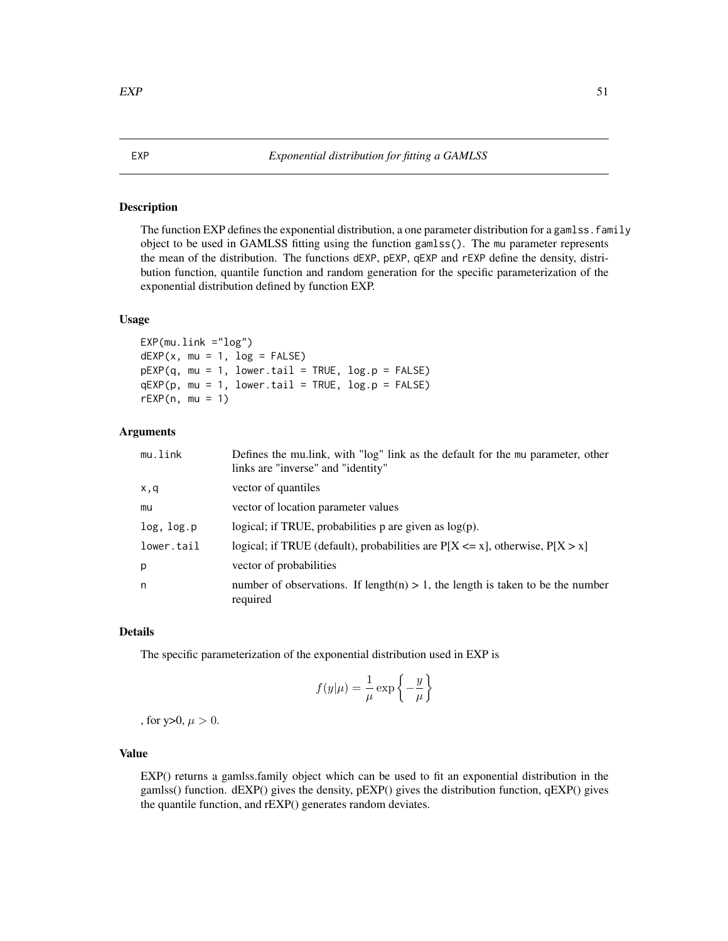## <span id="page-50-0"></span>Description

The function EXP defines the exponential distribution, a one parameter distribution for a gamlss. family object to be used in GAMLSS fitting using the function gamlss(). The mu parameter represents the mean of the distribution. The functions dEXP, pEXP, qEXP and rEXP define the density, distribution function, quantile function and random generation for the specific parameterization of the exponential distribution defined by function EXP.

## Usage

```
EXP(mu.link = "log")dEXP(x, mu = 1, log = FALSE)pEXP(q, mu = 1, lowertail = TRUE, <math>log.p = FALSE)
qEXP(p, mu = 1, lowertail = TRUE, <math>log.p = FALSE)
rEXP(n, mu = 1)
```
# Arguments

| mu.link    | Defines the mullink, with "log" link as the default for the mu parameter, other<br>links are "inverse" and "identity" |
|------------|-----------------------------------------------------------------------------------------------------------------------|
| x,q        | vector of quantiles                                                                                                   |
| mu         | vector of location parameter values                                                                                   |
| log, log.p | logical; if TRUE, probabilities $p$ are given as $log(p)$ .                                                           |
| lower.tail | logical; if TRUE (default), probabilities are $P[X \le x]$ , otherwise, $P[X > x]$                                    |
| р          | vector of probabilities                                                                                               |
| n          | number of observations. If length(n) $> 1$ , the length is taken to be the number<br>required                         |

## Details

The specific parameterization of the exponential distribution used in EXP is

$$
f(y|\mu) = \frac{1}{\mu} \exp\left\{-\frac{y}{\mu}\right\}
$$

, for y>0,  $\mu > 0$ .

# Value

EXP() returns a gamlss.family object which can be used to fit an exponential distribution in the gamlss() function. dEXP() gives the density, pEXP() gives the distribution function, qEXP() gives the quantile function, and rEXP() generates random deviates.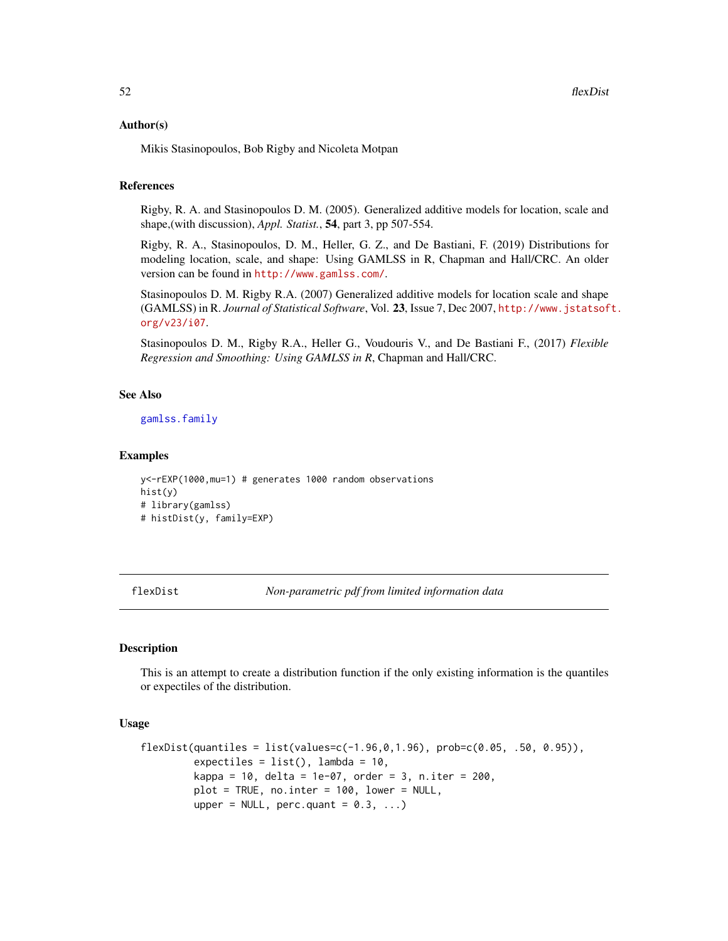### Author(s)

Mikis Stasinopoulos, Bob Rigby and Nicoleta Motpan

## References

Rigby, R. A. and Stasinopoulos D. M. (2005). Generalized additive models for location, scale and shape,(with discussion), *Appl. Statist.*, 54, part 3, pp 507-554.

Rigby, R. A., Stasinopoulos, D. M., Heller, G. Z., and De Bastiani, F. (2019) Distributions for modeling location, scale, and shape: Using GAMLSS in R, Chapman and Hall/CRC. An older version can be found in <http://www.gamlss.com/>.

Stasinopoulos D. M. Rigby R.A. (2007) Generalized additive models for location scale and shape (GAMLSS) in R. *Journal of Statistical Software*, Vol. 23, Issue 7, Dec 2007, [http://www.jstatsof](http://www.jstatsoft.org/v23/i07)t. [org/v23/i07](http://www.jstatsoft.org/v23/i07).

Stasinopoulos D. M., Rigby R.A., Heller G., Voudouris V., and De Bastiani F., (2017) *Flexible Regression and Smoothing: Using GAMLSS in R*, Chapman and Hall/CRC.

#### See Also

[gamlss.family](#page-57-0)

#### Examples

```
y<-rEXP(1000,mu=1) # generates 1000 random observations
hist(y)
# library(gamlss)
# histDist(y, family=EXP)
```
flexDist *Non-parametric pdf from limited information data*

## **Description**

This is an attempt to create a distribution function if the only existing information is the quantiles or expectiles of the distribution.

#### Usage

```
flexDist(quantiles = list(values=c(-1.96,0,1.96), prob=c(0.05, .50, 0.95)),
         expectiles = list(), lambda = 10,
         kappa = 10, delta = 1e-07, order = 3, n.iter = 200,
         plot = TRUE, no.inter = 100, lower = NULL,
         upper = NULL, perc.quant = 0.3, ...)
```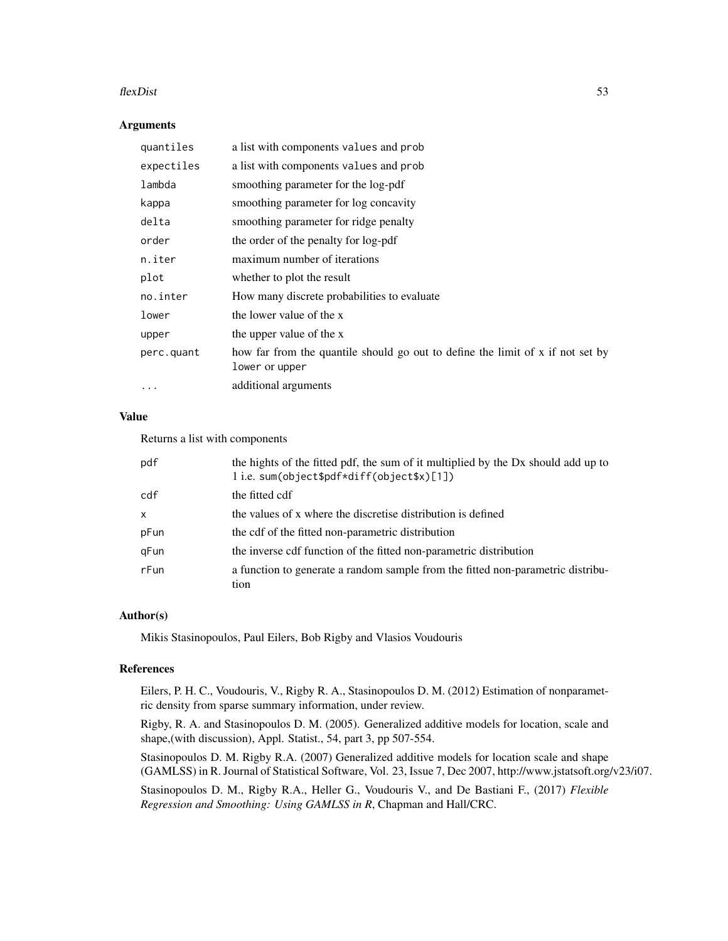#### $f$ lexDist 53

## Arguments

| quantiles  | a list with components values and prob                                                           |
|------------|--------------------------------------------------------------------------------------------------|
| expectiles | a list with components values and prob                                                           |
| lambda     | smoothing parameter for the log-pdf                                                              |
| kappa      | smoothing parameter for log concavity                                                            |
| delta      | smoothing parameter for ridge penalty                                                            |
| order      | the order of the penalty for log-pdf                                                             |
| n.iter     | maximum number of iterations                                                                     |
| plot       | whether to plot the result                                                                       |
| no.inter   | How many discrete probabilities to evaluate                                                      |
| lower      | the lower value of the x                                                                         |
| upper      | the upper value of the x                                                                         |
| perc.quant | how far from the quantile should go out to define the limit of x if not set by<br>lower or upper |
| $\cdots$   | additional arguments                                                                             |

## Value

Returns a list with components

| pdf  | the hights of the fitted pdf, the sum of it multiplied by the Dx should add up to<br>li.e. sum(object\$pdf*diff(object\$x)[1]) |
|------|--------------------------------------------------------------------------------------------------------------------------------|
| cdf  | the fitted cdf                                                                                                                 |
| X    | the values of x where the discretise distribution is defined                                                                   |
| pFun | the cdf of the fitted non-parametric distribution                                                                              |
| gFun | the inverse cdf function of the fitted non-parametric distribution                                                             |
| rFun | a function to generate a random sample from the fitted non-parametric distribu-<br>tion                                        |

# Author(s)

Mikis Stasinopoulos, Paul Eilers, Bob Rigby and Vlasios Voudouris

## References

Eilers, P. H. C., Voudouris, V., Rigby R. A., Stasinopoulos D. M. (2012) Estimation of nonparametric density from sparse summary information, under review.

Rigby, R. A. and Stasinopoulos D. M. (2005). Generalized additive models for location, scale and shape,(with discussion), Appl. Statist., 54, part 3, pp 507-554.

Stasinopoulos D. M. Rigby R.A. (2007) Generalized additive models for location scale and shape (GAMLSS) in R. Journal of Statistical Software, Vol. 23, Issue 7, Dec 2007, http://www.jstatsoft.org/v23/i07.

Stasinopoulos D. M., Rigby R.A., Heller G., Voudouris V., and De Bastiani F., (2017) *Flexible Regression and Smoothing: Using GAMLSS in R*, Chapman and Hall/CRC.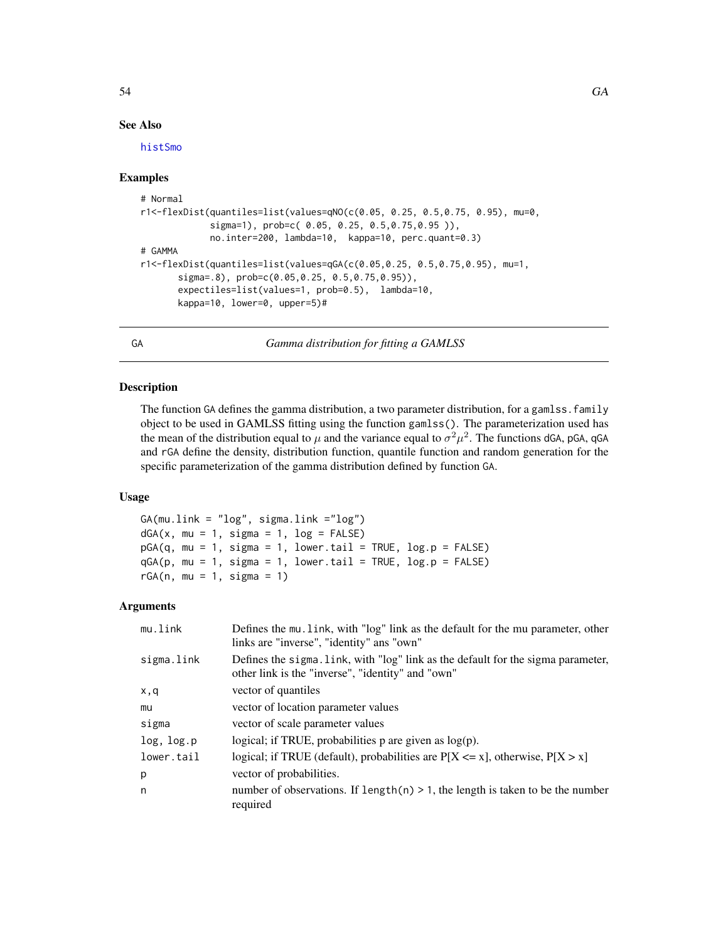## See Also

[histSmo](#page-0-0)

## Examples

```
# Normal
r1<-flexDist(quantiles=list(values=qNO(c(0.05, 0.25, 0.5,0.75, 0.95), mu=0,
             sigma=1), prob=c( 0.05, 0.25, 0.5,0.75,0.95 )),
             no.inter=200, lambda=10, kappa=10, perc.quant=0.3)
# GAMMA
r1<-flexDist(quantiles=list(values=qGA(c(0.05,0.25, 0.5,0.75,0.95), mu=1,
      sigma=.8), prob=c(0.05,0.25, 0.5,0.75,0.95)),
      expectiles=list(values=1, prob=0.5), lambda=10,
      kappa=10, lower=0, upper=5)#
```
<span id="page-53-0"></span>GA *Gamma distribution for fitting a GAMLSS*

# **Description**

The function GA defines the gamma distribution, a two parameter distribution, for a gamlss. family object to be used in GAMLSS fitting using the function gamlss(). The parameterization used has the mean of the distribution equal to  $\mu$  and the variance equal to  $\sigma^2 \mu^2$ . The functions dGA, pGA, qGA and rGA define the density, distribution function, quantile function and random generation for the specific parameterization of the gamma distribution defined by function GA.

## Usage

```
GA(mu.link = "log", sigma.link = "log")dGA(x, mu = 1, sigma = 1, log = FALSE)pGA(q, mu = 1, sigma = 1, lower.tail = TRUE, log.p = FALSE)qGA(p, mu = 1, sigma = 1, lower.tail = TRUE, log.p = FALSE)rGA(n, mu = 1, sigma = 1)
```
# Arguments

| mu.link         | Defines the mu. link, with "log" link as the default for the mu parameter, other<br>links are "inverse", "identity" ans "own"         |
|-----------------|---------------------------------------------------------------------------------------------------------------------------------------|
| sigma.link      | Defines the sigma. link, with "log" link as the default for the sigma parameter,<br>other link is the "inverse", "identity" and "own" |
| x,q             | vector of quantiles                                                                                                                   |
| mu              | vector of location parameter values                                                                                                   |
| sigma           | vector of scale parameter values                                                                                                      |
| $log$ , $log.p$ | logical; if TRUE, probabilities $p$ are given as $log(p)$ .                                                                           |
| lower.tail      | logical; if TRUE (default), probabilities are $P[X \le x]$ , otherwise, $P[X > x]$                                                    |
| p               | vector of probabilities.                                                                                                              |
| n               | number of observations. If length(n) $> 1$ , the length is taken to be the number<br>required                                         |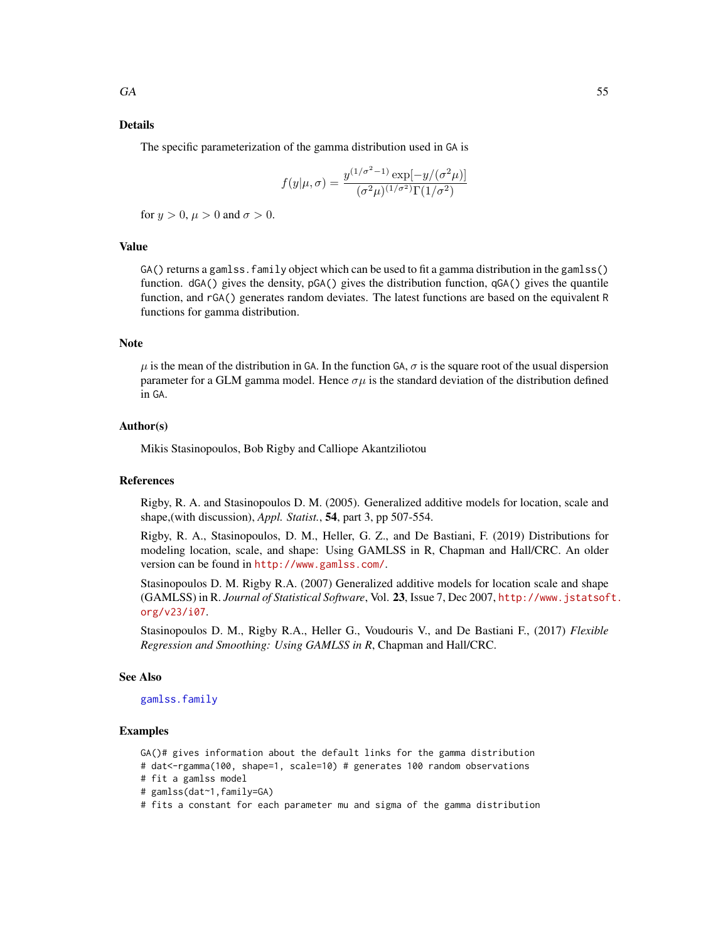# Details

The specific parameterization of the gamma distribution used in GA is

$$
f(y|\mu,\sigma) = \frac{y^{(1/\sigma^2 - 1)} \exp[-y/(\sigma^2 \mu)]}{(\sigma^2 \mu)^{(1/\sigma^2)} \Gamma(1/\sigma^2)}
$$

for  $y > 0$ ,  $\mu > 0$  and  $\sigma > 0$ .

## Value

GA() returns a gamlss. family object which can be used to fit a gamma distribution in the gamlss() function. dGA() gives the density, pGA() gives the distribution function, qGA() gives the quantile function, and rGA() generates random deviates. The latest functions are based on the equivalent R functions for gamma distribution.

#### Note

 $\mu$  is the mean of the distribution in GA. In the function GA,  $\sigma$  is the square root of the usual dispersion parameter for a GLM gamma model. Hence  $\sigma \mu$  is the standard deviation of the distribution defined in GA.

# Author(s)

Mikis Stasinopoulos, Bob Rigby and Calliope Akantziliotou

### References

Rigby, R. A. and Stasinopoulos D. M. (2005). Generalized additive models for location, scale and shape,(with discussion), *Appl. Statist.*, 54, part 3, pp 507-554.

Rigby, R. A., Stasinopoulos, D. M., Heller, G. Z., and De Bastiani, F. (2019) Distributions for modeling location, scale, and shape: Using GAMLSS in R, Chapman and Hall/CRC. An older version can be found in <http://www.gamlss.com/>.

Stasinopoulos D. M. Rigby R.A. (2007) Generalized additive models for location scale and shape (GAMLSS) in R. *Journal of Statistical Software*, Vol. 23, Issue 7, Dec 2007, [http://www.jstatsof](http://www.jstatsoft.org/v23/i07)t. [org/v23/i07](http://www.jstatsoft.org/v23/i07).

Stasinopoulos D. M., Rigby R.A., Heller G., Voudouris V., and De Bastiani F., (2017) *Flexible Regression and Smoothing: Using GAMLSS in R*, Chapman and Hall/CRC.

#### See Also

[gamlss.family](#page-57-0)

# Examples

GA()# gives information about the default links for the gamma distribution

# dat<-rgamma(100, shape=1, scale=10) # generates 100 random observations

- # fit a gamlss model
- # gamlss(dat~1,family=GA)
- # fits a constant for each parameter mu and sigma of the gamma distribution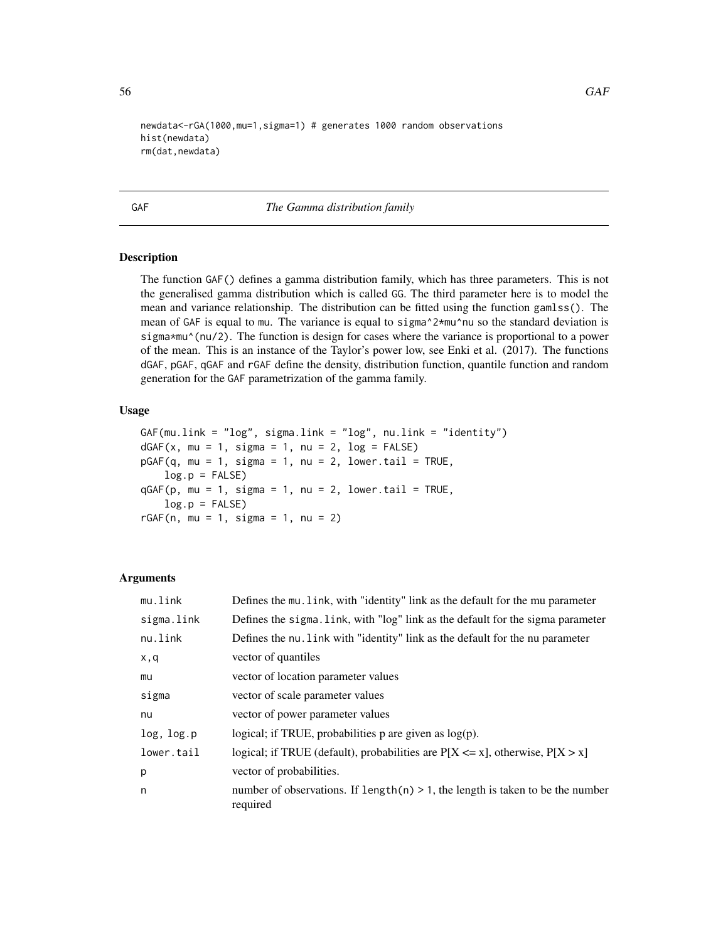```
newdata<-rGA(1000,mu=1,sigma=1) # generates 1000 random observations
hist(newdata)
rm(dat,newdata)
```
## GAF *The Gamma distribution family*

## Description

The function GAF() defines a gamma distribution family, which has three parameters. This is not the generalised gamma distribution which is called GG. The third parameter here is to model the mean and variance relationship. The distribution can be fitted using the function gamlss(). The mean of GAF is equal to mu. The variance is equal to sigma^2\*mu^nu so the standard deviation is sigma\*mu^(nu/2). The function is design for cases where the variance is proportional to a power of the mean. This is an instance of the Taylor's power low, see Enki et al. (2017). The functions dGAF, pGAF, qGAF and rGAF define the density, distribution function, quantile function and random generation for the GAF parametrization of the gamma family.

#### Usage

```
GAF(mu.link = "log", sigma.link = "log", nu.link = "identity")
dGAF(x, mu = 1, sigma = 1, nu = 2, log = FALSE)pGAF(q, mu = 1, sigma = 1, nu = 2, lowertail = TRUE,log.p = FALSEqGAF(p, mu = 1, sigma = 1, nu = 2, lowertail = TRUE,log.p = FALSErGAF(n, mu = 1, sigma = 1, nu = 2)
```
#### Arguments

| mu.link    | Defines the mu. Link, with "identity" link as the default for the mu parameter                |
|------------|-----------------------------------------------------------------------------------------------|
| sigma.link | Defines the sigma. Link, with "log" link as the default for the sigma parameter               |
| nu.link    | Defines the nu. Link with "identity" link as the default for the nu parameter                 |
| x,q        | vector of quantiles                                                                           |
| mu         | vector of location parameter values                                                           |
| sigma      | vector of scale parameter values                                                              |
| nu         | vector of power parameter values                                                              |
| log, log.p | logical; if TRUE, probabilities $p$ are given as $log(p)$ .                                   |
| lower.tail | logical; if TRUE (default), probabilities are $P[X \le x]$ , otherwise, $P[X > x]$            |
| p          | vector of probabilities.                                                                      |
| n          | number of observations. If $length(n) > 1$ , the length is taken to be the number<br>required |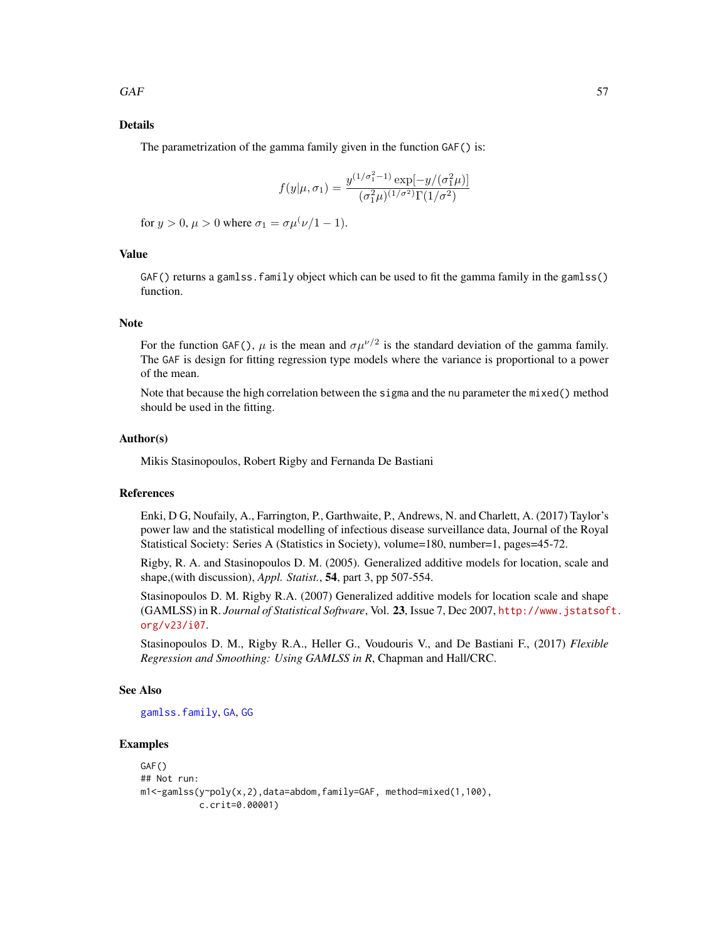## Details

The parametrization of the gamma family given in the function GAF() is:

$$
f(y|\mu, \sigma_1) = \frac{y^{(1/\sigma_1^2 - 1)} \exp[-y/(\sigma_1^2 \mu)]}{(\sigma_1^2 \mu)^{(1/\sigma^2)} \Gamma(1/\sigma^2)}
$$

for  $y > 0$ ,  $\mu > 0$  where  $\sigma_1 = \sigma \mu^{\nu}/1 - 1$ .

# Value

GAF() returns a gamlss. family object which can be used to fit the gamma family in the gamlss() function.

#### Note

For the function GAF(),  $\mu$  is the mean and  $\sigma \mu^{\nu/2}$  is the standard deviation of the gamma family. The GAF is design for fitting regression type models where the variance is proportional to a power of the mean.

Note that because the high correlation between the sigma and the nu parameter the mixed() method should be used in the fitting.

## Author(s)

Mikis Stasinopoulos, Robert Rigby and Fernanda De Bastiani

## References

Enki, D G, Noufaily, A., Farrington, P., Garthwaite, P., Andrews, N. and Charlett, A. (2017) Taylor's power law and the statistical modelling of infectious disease surveillance data, Journal of the Royal Statistical Society: Series A (Statistics in Society), volume=180, number=1, pages=45-72.

Rigby, R. A. and Stasinopoulos D. M. (2005). Generalized additive models for location, scale and shape,(with discussion), *Appl. Statist.*, 54, part 3, pp 507-554.

Stasinopoulos D. M. Rigby R.A. (2007) Generalized additive models for location scale and shape (GAMLSS) in R. *Journal of Statistical Software*, Vol. 23, Issue 7, Dec 2007, [http://www.jstatsof](http://www.jstatsoft.org/v23/i07)t. [org/v23/i07](http://www.jstatsoft.org/v23/i07).

Stasinopoulos D. M., Rigby R.A., Heller G., Voudouris V., and De Bastiani F., (2017) *Flexible Regression and Smoothing: Using GAMLSS in R*, Chapman and Hall/CRC.

#### See Also

[gamlss.family](#page-57-0), [GA](#page-53-0), [GG](#page-69-0)

# Examples

```
GAF()
## Not run:
m1<-gamlss(y~poly(x,2),data=abdom,family=GAF, method=mixed(1,100),
           c.crit=0.00001)
```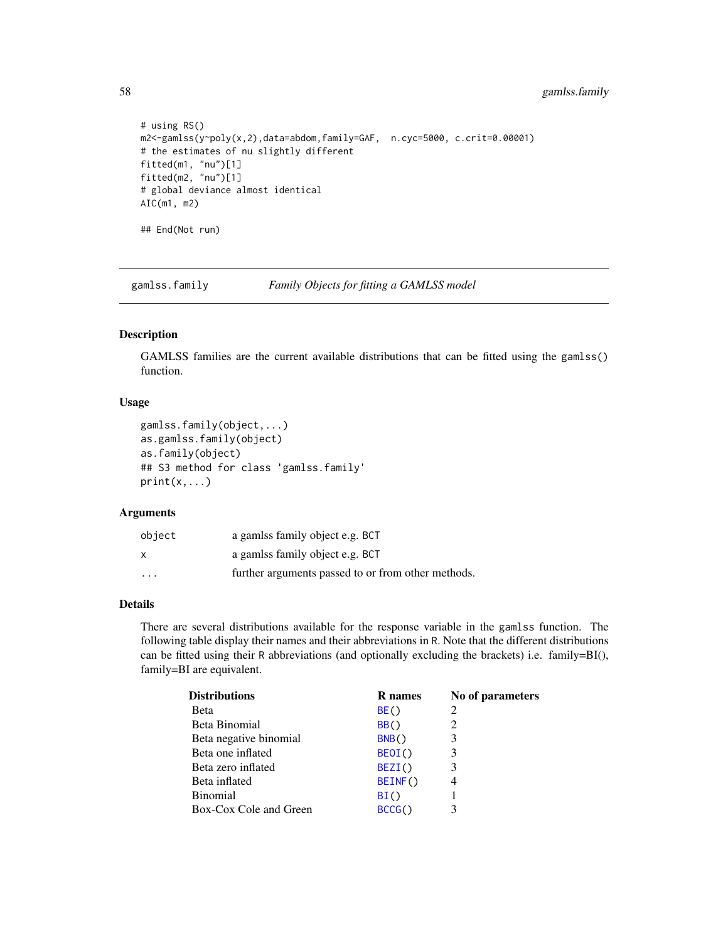58 gamlss.family

```
# using RS()
m2<-gamlss(y~poly(x,2),data=abdom,family=GAF, n.cyc=5000, c.crit=0.00001)
# the estimates of nu slightly different
fitted(m1, "nu")[1]
fitted(m2, "nu")[1]
# global deviance almost identical
AIC(m1, m2)
## End(Not run)
```
<span id="page-57-0"></span>gamlss.family *Family Objects for fitting a GAMLSS model*

# Description

GAMLSS families are the current available distributions that can be fitted using the gamlss() function.

## Usage

```
gamlss.family(object,...)
as.gamlss.family(object)
as.family(object)
## S3 method for class 'gamlss.family'
print(x, \ldots)
```
## Arguments

| object               | a gamlss family object e.g. BCT                    |
|----------------------|----------------------------------------------------|
| x                    | a gamlss family object e.g. BCT                    |
| $\ddot{\phantom{0}}$ | further arguments passed to or from other methods. |

## Details

There are several distributions available for the response variable in the gamlss function. The following table display their names and their abbreviations in R. Note that the different distributions can be fitted using their R abbreviations (and optionally excluding the brackets) i.e. family=BI(), family=BI are equivalent.

| <b>Distributions</b>   | <b>R</b> names   | No of parameters |
|------------------------|------------------|------------------|
| <b>Beta</b>            | BE()             | 2                |
| Beta Binomial          | BB <sub>()</sub> | 2                |
| Beta negative binomial | BNB()            | 3                |
| Beta one inflated      | BEOI()           | 3                |
| Beta zero inflated     | BEZI()           | 3                |
| Beta inflated          | BEINF()          | 4                |
| <b>Binomial</b>        | BI()             |                  |
| Box-Cox Cole and Green | BCCG()           | 3                |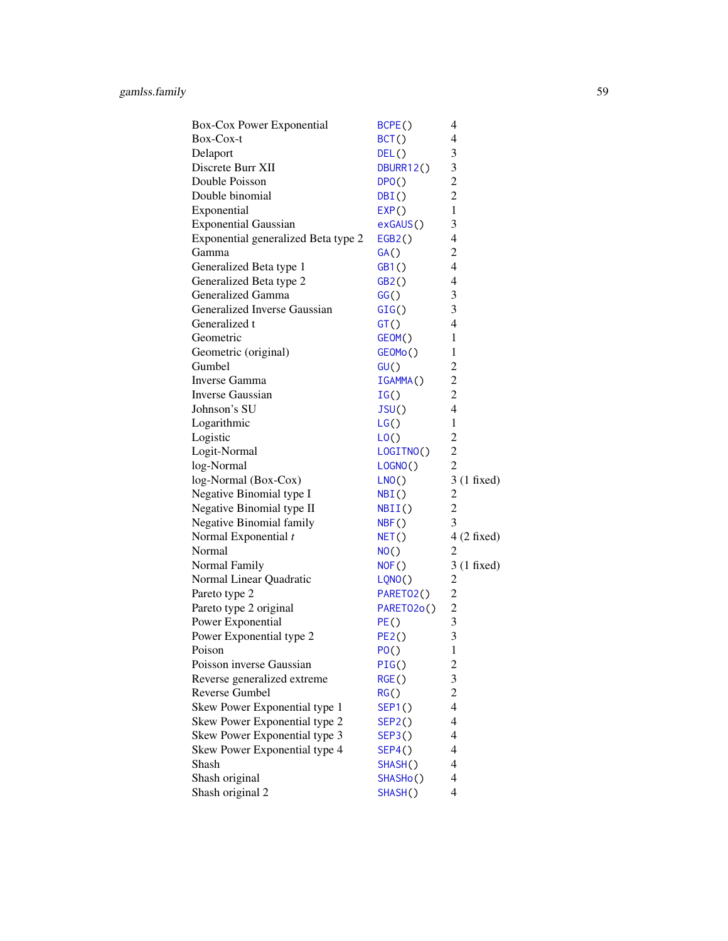| Box-Cox Power Exponential           | BCPE()                 | 4                       |
|-------------------------------------|------------------------|-------------------------|
| Box-Cox-t                           | BCT()                  | $\overline{4}$          |
| Delaport                            | DEL()                  | 3                       |
| Discrete Burr XII                   | DBURR12()              | 3                       |
| Double Poisson                      | DPO()                  | $\overline{c}$          |
| Double binomial                     | DBI()                  | $\overline{c}$          |
| Exponential                         | EXP()                  | $\mathbf{1}$            |
| <b>Exponential Gaussian</b>         | exGAUS()               | 3                       |
| Exponential generalized Beta type 2 | EGB2()                 | $\overline{4}$          |
| Gamma                               | GA()                   | $\overline{c}$          |
| Generalized Beta type 1             | GB1()                  | $\overline{4}$          |
| Generalized Beta type 2             | GB2()                  | $\overline{4}$          |
| Generalized Gamma                   | GG()                   | 3                       |
| Generalized Inverse Gaussian        | GIG()                  | 3                       |
| Generalized t                       | GT()                   | 4                       |
| Geometric                           | GEOM()                 | 1                       |
| Geometric (original)                | GEOMo()                | 1                       |
| Gumbel                              | GU()                   | $\overline{2}$          |
| Inverse Gamma                       | IGAMMA()               | $\overline{2}$          |
| <b>Inverse Gaussian</b>             | IG()                   | $\overline{2}$          |
| Johnson's SU                        | JSU()                  | $\overline{4}$          |
| Logarithmic                         | LG()                   | $\mathbf{1}$            |
| Logistic                            | LO()                   | $\overline{c}$          |
| Logit-Normal                        | LOGITNO()              | $\overline{2}$          |
| log-Normal                          | LOGNO()                | $\overline{2}$          |
| log-Normal (Box-Cox)                | LNO()                  | $3(1$ fixed)            |
| Negative Binomial type I            | NBI()                  | $\boldsymbol{2}$        |
| Negative Binomial type II           | NBII()                 | $\overline{c}$          |
| Negative Binomial family            | NBF()                  | 3                       |
| Normal Exponential t                | NET()                  | $4(2$ fixed)            |
| Normal                              | NO()                   | $\overline{2}$          |
| Normal Family                       | NOF()                  | $3(1$ fixed)            |
| Normal Linear Quadratic             | LQNO()                 | 2                       |
| Pareto type 2                       | PARETO <sub>2</sub> () | $\overline{2}$          |
| Pareto type 2 original              | PARETO2o()             | $\overline{2}$          |
| Power Exponential                   | PE()                   | 3                       |
| Power Exponential type 2            | PE2()                  | 3                       |
| Poison                              | PO()                   | 1                       |
| Poisson inverse Gaussian            | PIG()                  | $\overline{\mathbf{c}}$ |
| Reverse generalized extreme         | RGE()                  | 3                       |
| Reverse Gumbel                      | RG()                   | $\overline{c}$          |
| Skew Power Exponential type 1       | <b>SEP1()</b>          | $\overline{4}$          |
| Skew Power Exponential type 2       | SEP2()                 | $\overline{4}$          |
| Skew Power Exponential type 3       | SEP3()                 | 4                       |
| Skew Power Exponential type 4       | SEP4()                 | 4                       |
| Shash                               | SHASH()                | 4                       |
| Shash original                      | SHASHo()               | 4                       |
| Shash original 2                    | SHASH()                | 4                       |
|                                     |                        |                         |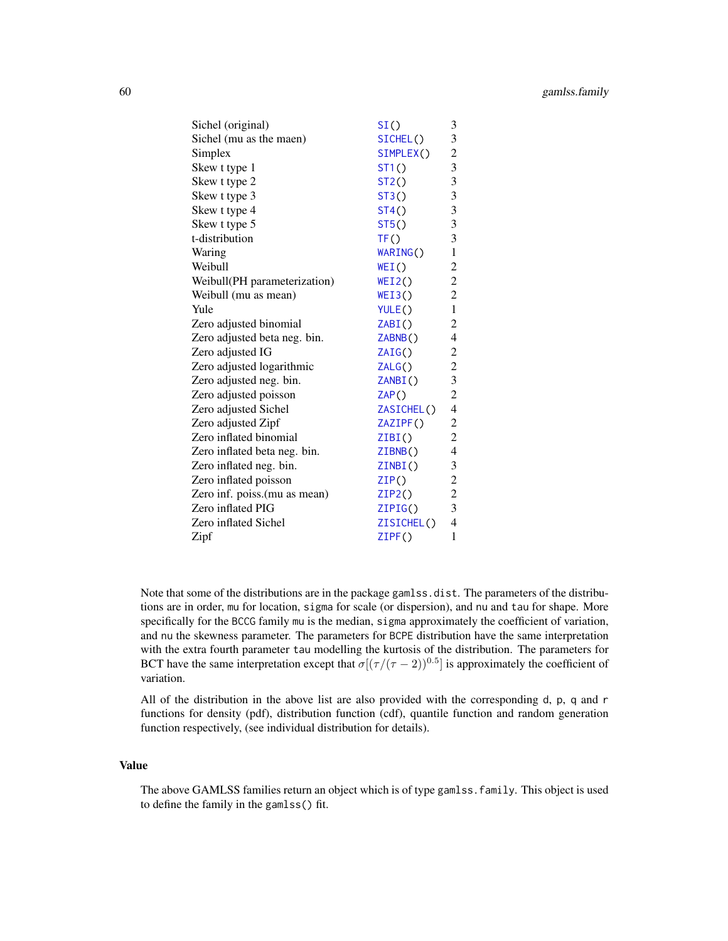| Sichel (original)            | SI()       | 3                       |
|------------------------------|------------|-------------------------|
| Sichel (mu as the maen)      | SICHEL()   | 3                       |
| Simplex                      | SIMPLEX()  | $\overline{c}$          |
| Skew t type 1                | ST1()      | $\overline{\mathbf{3}}$ |
| Skew t type 2                | ST2()      | 3                       |
| Skew t type 3                | ST3()      | $\overline{\mathbf{3}}$ |
| Skew t type 4                | ST4()      | 3                       |
| Skew t type 5                | ST5()      | 3                       |
| t-distribution               | TF()       | 3                       |
| Waring                       | WARING()   | $\mathbf{1}$            |
| Weibull                      | WEI()      | $\sqrt{2}$              |
| Weibull(PH parameterization) | WEI2()     | $\overline{c}$          |
| Weibull (mu as mean)         | WEI3()     | $\overline{c}$          |
| Yule                         | YULE()     | $\mathbf{1}$            |
| Zero adjusted binomial       | ZABI()     | $\overline{2}$          |
| Zero adjusted beta neg. bin. | ZABNB()    | $\overline{4}$          |
| Zero adjusted IG             | ZAIG()     | $\overline{c}$          |
| Zero adjusted logarithmic    | ZALG()     | $\overline{c}$          |
| Zero adjusted neg. bin.      | ZANBI()    | $\overline{\mathbf{3}}$ |
| Zero adjusted poisson        | ZAP()      | $\overline{c}$          |
| Zero adjusted Sichel         | ZASICHEL() | $\overline{4}$          |
| Zero adjusted Zipf           | ZAZIPF()   | $\overline{c}$          |
| Zero inflated binomial       | ZIBI()     | $\overline{c}$          |
| Zero inflated beta neg. bin. | ZIBNB()    | $\overline{4}$          |
| Zero inflated neg. bin.      | ZINBI()    | 3                       |
| Zero inflated poisson        | ZIP()      | $\overline{c}$          |
| Zero inf. poiss.(mu as mean) | ZIP2()     | $\overline{c}$          |
| Zero inflated PIG            | ZIPIG()    | $\overline{\mathbf{3}}$ |
| Zero inflated Sichel         | ZISICHEL() | $\overline{4}$          |
| Zipf                         | ZIPF()     | $\mathbf{1}$            |

Note that some of the distributions are in the package gamlss.dist. The parameters of the distributions are in order, mu for location, sigma for scale (or dispersion), and nu and tau for shape. More specifically for the BCCG family mu is the median, sigma approximately the coefficient of variation, and nu the skewness parameter. The parameters for BCPE distribution have the same interpretation with the extra fourth parameter tau modelling the kurtosis of the distribution. The parameters for BCT have the same interpretation except that  $\sigma[(\tau/(\tau-2))^{0.5}]$  is approximately the coefficient of variation.

All of the distribution in the above list are also provided with the corresponding d, p, q and r functions for density (pdf), distribution function (cdf), quantile function and random generation function respectively, (see individual distribution for details).

## Value

The above GAMLSS families return an object which is of type gamlss.family. This object is used to define the family in the gamlss() fit.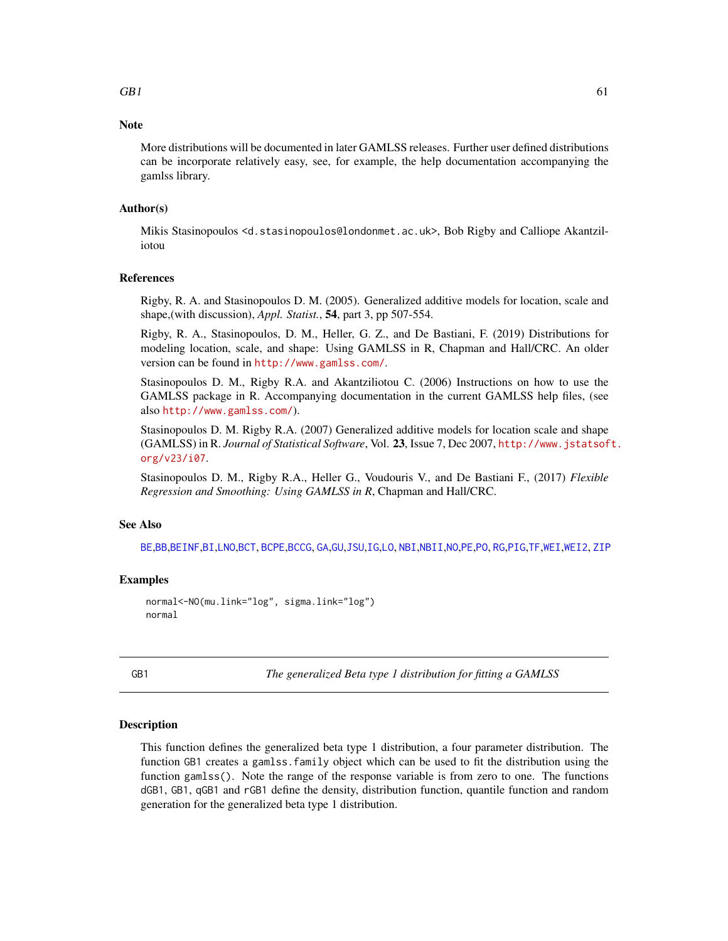## **Note**

More distributions will be documented in later GAMLSS releases. Further user defined distributions can be incorporate relatively easy, see, for example, the help documentation accompanying the gamlss library.

## Author(s)

Mikis Stasinopoulos <d.stasinopoulos@londonmet.ac.uk>, Bob Rigby and Calliope Akantziliotou

## References

Rigby, R. A. and Stasinopoulos D. M. (2005). Generalized additive models for location, scale and shape,(with discussion), *Appl. Statist.*, 54, part 3, pp 507-554.

Rigby, R. A., Stasinopoulos, D. M., Heller, G. Z., and De Bastiani, F. (2019) Distributions for modeling location, scale, and shape: Using GAMLSS in R, Chapman and Hall/CRC. An older version can be found in <http://www.gamlss.com/>.

Stasinopoulos D. M., Rigby R.A. and Akantziliotou C. (2006) Instructions on how to use the GAMLSS package in R. Accompanying documentation in the current GAMLSS help files, (see also <http://www.gamlss.com/>).

Stasinopoulos D. M. Rigby R.A. (2007) Generalized additive models for location scale and shape (GAMLSS) in R. *Journal of Statistical Software*, Vol. 23, Issue 7, Dec 2007, [http://www.jstatsof](http://www.jstatsoft.org/v23/i07)t. [org/v23/i07](http://www.jstatsoft.org/v23/i07).

Stasinopoulos D. M., Rigby R.A., Heller G., Voudouris V., and De Bastiani F., (2017) *Flexible Regression and Smoothing: Using GAMLSS in R*, Chapman and Hall/CRC.

## See Also

[BE](#page-17-0),[BB](#page-7-0),[BEINF](#page-19-0),[BI](#page-28-0),[LNO](#page-90-0),[BCT](#page-15-0), [BCPE](#page-12-0),[BCCG](#page-9-0), [GA](#page-53-0),[GU](#page-77-0),[JSU](#page-83-0),[IG](#page-80-0),[LO](#page-93-0), [NBI](#page-110-0),[NBII](#page-112-0),[NO](#page-116-0),[PE](#page-124-0),[PO](#page-129-0), [RG](#page-131-0),[PIG](#page-127-0),[TF](#page-157-0),[WEI](#page-161-0),[WEI2](#page-162-0), [ZIP](#page-180-0)

## Examples

```
normal<-NO(mu.link="log", sigma.link="log")
normal
```
<span id="page-60-0"></span>GB1 *The generalized Beta type 1 distribution for fitting a GAMLSS*

## Description

This function defines the generalized beta type 1 distribution, a four parameter distribution. The function GB1 creates a gamlss.family object which can be used to fit the distribution using the function gamlss(). Note the range of the response variable is from zero to one. The functions dGB1, GB1, qGB1 and rGB1 define the density, distribution function, quantile function and random generation for the generalized beta type 1 distribution.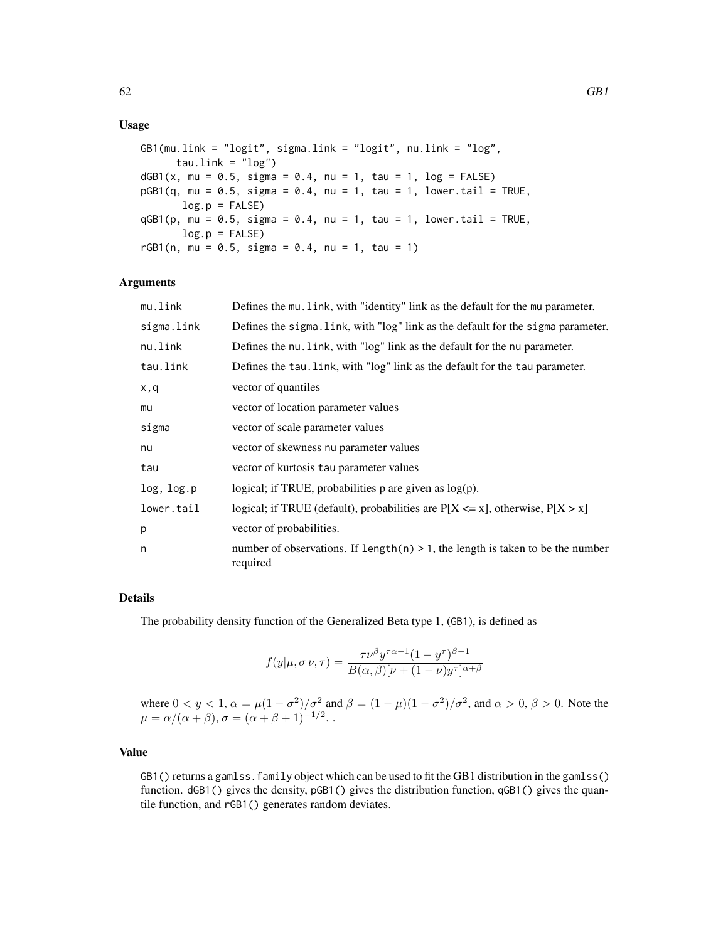## Usage

```
GB1(mu.link = "logit", sigma.link = "logit", nu.link = "log",
     tau.link = "log")
dGB1(x, mu = 0.5, sigma = 0.4, nu = 1, tau = 1, log = FALSE)pGB1(q, mu = 0.5, sigma = 0.4, nu = 1, tau = 1, lower.tail = TRUE,log.p = FALSEqGB1(p, mu = 0.5, sigma = 0.4, nu = 1, tau = 1, lowertail = TRUE,log.p = FALSErGB1(n, mu = 0.5, sigma = 0.4, nu = 1, tau = 1)
```
## Arguments

| mu.link    | Defines the mu. Link, with "identity" link as the default for the mu parameter.               |
|------------|-----------------------------------------------------------------------------------------------|
| sigma.link | Defines the sigma. link, with "log" link as the default for the sigma parameter.              |
| nu.link    | Defines the nu. Link, with "log" link as the default for the nu parameter.                    |
| tau.link   | Defines the tau. link, with "log" link as the default for the tau parameter.                  |
| x,q        | vector of quantiles                                                                           |
| mu         | vector of location parameter values                                                           |
| sigma      | vector of scale parameter values                                                              |
| nu         | vector of skewness nu parameter values                                                        |
| tau        | vector of kurtosis tau parameter values                                                       |
| log, log.p | logical; if TRUE, probabilities $p$ are given as $log(p)$ .                                   |
| lower.tail | logical; if TRUE (default), probabilities are $P[X \le x]$ , otherwise, $P[X > x]$            |
| p          | vector of probabilities.                                                                      |
| n          | number of observations. If $length(n) > 1$ , the length is taken to be the number<br>required |

# Details

The probability density function of the Generalized Beta type 1, (GB1), is defined as

$$
f(y|\mu, \sigma \nu, \tau) = \frac{\tau \nu^{\beta} y^{\tau \alpha - 1} (1 - y^{\tau})^{\beta - 1}}{B(\alpha, \beta) |\nu + (1 - \nu) y^{\tau}|^{\alpha + \beta}}
$$

where  $0 < y < 1$ ,  $\alpha = \mu(1 - \sigma^2)/\sigma^2$  and  $\beta = (1 - \mu)(1 - \sigma^2)/\sigma^2$ , and  $\alpha > 0$ ,  $\beta > 0$ . Note the  $\mu = \alpha/(\alpha + \beta), \sigma = (\alpha + \beta + 1)^{-1/2}.$ 

## Value

GB1() returns a gamlss. family object which can be used to fit the GB1 distribution in the gamlss() function. dGB1() gives the density, pGB1() gives the distribution function, qGB1() gives the quantile function, and rGB1() generates random deviates.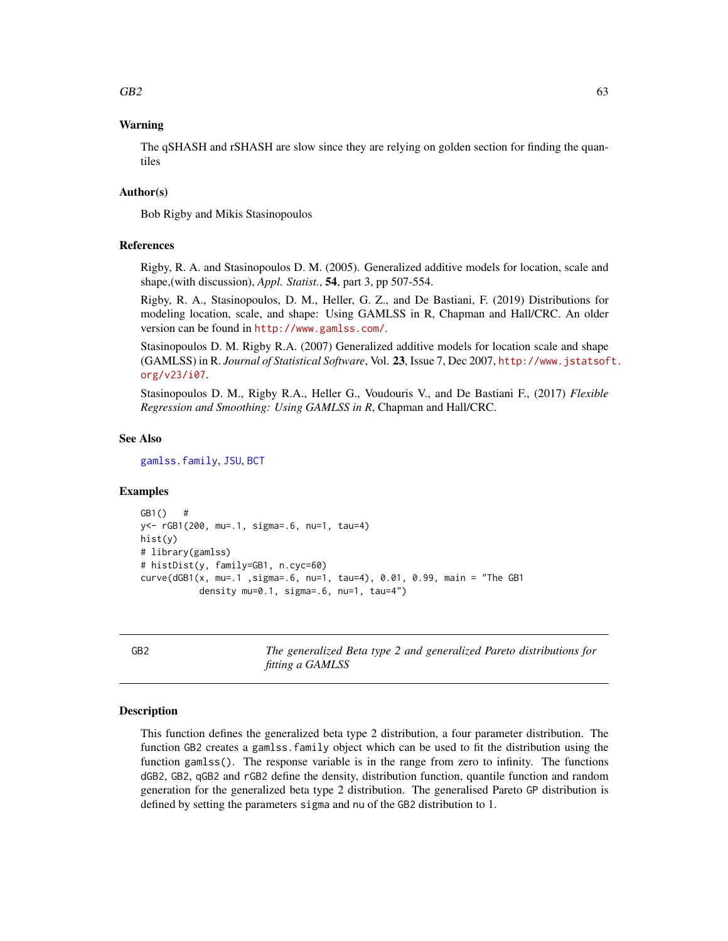## $GB2$  63

# Warning

The qSHASH and rSHASH are slow since they are relying on golden section for finding the quantiles

## Author(s)

Bob Rigby and Mikis Stasinopoulos

## References

Rigby, R. A. and Stasinopoulos D. M. (2005). Generalized additive models for location, scale and shape,(with discussion), *Appl. Statist.*, 54, part 3, pp 507-554.

Rigby, R. A., Stasinopoulos, D. M., Heller, G. Z., and De Bastiani, F. (2019) Distributions for modeling location, scale, and shape: Using GAMLSS in R, Chapman and Hall/CRC. An older version can be found in <http://www.gamlss.com/>.

Stasinopoulos D. M. Rigby R.A. (2007) Generalized additive models for location scale and shape (GAMLSS) in R. *Journal of Statistical Software*, Vol. 23, Issue 7, Dec 2007, [http://www.jstatsof](http://www.jstatsoft.org/v23/i07)t. [org/v23/i07](http://www.jstatsoft.org/v23/i07).

Stasinopoulos D. M., Rigby R.A., Heller G., Voudouris V., and De Bastiani F., (2017) *Flexible Regression and Smoothing: Using GAMLSS in R*, Chapman and Hall/CRC.

## See Also

[gamlss.family](#page-57-0), [JSU](#page-83-0), [BCT](#page-15-0)

## Examples

```
GB1() #
y<- rGB1(200, mu=.1, sigma=.6, nu=1, tau=4)
hist(y)
# library(gamlss)
# histDist(y, family=GB1, n.cyc=60)
curve(dGB1(x, mu=.1 ,sigma=.6, nu=1, tau=4), 0.01, 0.99, main = "The GB1
           density mu=0.1, sigma=.6, nu=1, tau=4")
```
<span id="page-62-0"></span>GB2 *The generalized Beta type 2 and generalized Pareto distributions for fitting a GAMLSS*

#### Description

This function defines the generalized beta type 2 distribution, a four parameter distribution. The function GB2 creates a gamlss.family object which can be used to fit the distribution using the function gamlss(). The response variable is in the range from zero to infinity. The functions dGB2, GB2, qGB2 and rGB2 define the density, distribution function, quantile function and random generation for the generalized beta type 2 distribution. The generalised Pareto GP distribution is defined by setting the parameters sigma and nu of the GB2 distribution to 1.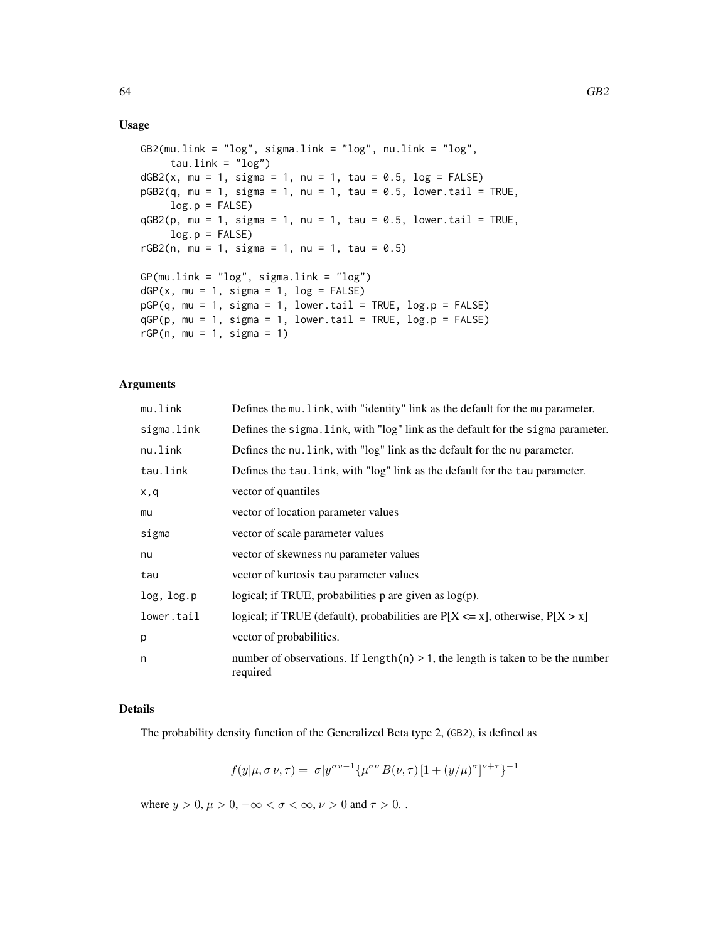## Usage

```
GB2(mu.link = "log", sigma.link = "log", nu.link = "log",
     tau.link = "log")dGB2(x, mu = 1, sigma = 1, nu = 1, tau = 0.5, log = FALSE)pGB2(q, mu = 1, sigma = 1, nu = 1, tau = 0.5, lower.tail = TRUE,log.p = FALSE)
qGB2(p, mu = 1, sigma = 1, nu = 1, tau = 0.5, lowertail = TRUE,log.p = FALSErGB2(n, mu = 1, sigma = 1, nu = 1, tau = 0.5)GP(mu.link = "log", sigma.link = "log")
dGP(x, mu = 1, sigma = 1, log = FALSE)pGP(q, mu = 1, sigma = 1, lower.tail = TRUE, log.p = FALSE)qGP(p, mu = 1, sigma = 1, lower.tail = TRUE, log.p = FALSE)
rGP(n, mu = 1, sigma = 1)
```
## Arguments

| mu.link    | Defines the mu. link, with "identity" link as the default for the mu parameter.                |
|------------|------------------------------------------------------------------------------------------------|
| sigma.link | Defines the sigma. Link, with "log" link as the default for the sigma parameter.               |
| nu.link    | Defines the nu. Link, with "log" link as the default for the nu parameter.                     |
| tau.link   | Defines the tau. link, with "log" link as the default for the tau parameter.                   |
| x,q        | vector of quantiles                                                                            |
| mu         | vector of location parameter values                                                            |
| sigma      | vector of scale parameter values                                                               |
| nu         | vector of skewness nu parameter values                                                         |
| tau        | vector of kurtosis tau parameter values                                                        |
| log, log.p | logical; if TRUE, probabilities $p$ are given as $log(p)$ .                                    |
| lower.tail | logical; if TRUE (default), probabilities are $P[X \le x]$ , otherwise, $P[X > x]$             |
| p          | vector of probabilities.                                                                       |
| n          | number of observations. If length $(n) > 1$ , the length is taken to be the number<br>required |

## Details

The probability density function of the Generalized Beta type 2, (GB2), is defined as

$$
f(y|\mu, \sigma \nu, \tau) = |\sigma| y^{\sigma \nu - 1} {\mu^{\sigma \nu} B(\nu, \tau) [1 + (y/\mu)^{\sigma}]^{\nu + \tau}}^{-1}
$$

where  $y > 0$ ,  $\mu > 0$ ,  $-\infty < \sigma < \infty$ ,  $\nu > 0$  and  $\tau > 0$ .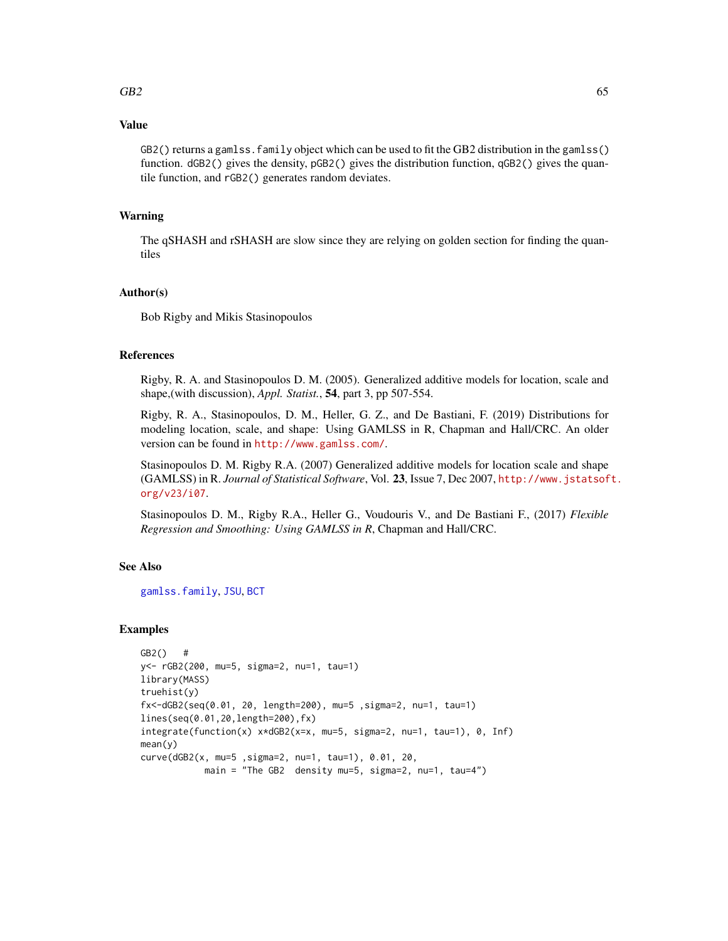## $GB2$  65

## Value

GB2() returns a gamlss.family object which can be used to fit the GB2 distribution in the gamlss() function. dGB2() gives the density, pGB2() gives the distribution function, qGB2() gives the quantile function, and rGB2() generates random deviates.

## Warning

The qSHASH and rSHASH are slow since they are relying on golden section for finding the quantiles

# Author(s)

Bob Rigby and Mikis Stasinopoulos

#### References

Rigby, R. A. and Stasinopoulos D. M. (2005). Generalized additive models for location, scale and shape,(with discussion), *Appl. Statist.*, 54, part 3, pp 507-554.

Rigby, R. A., Stasinopoulos, D. M., Heller, G. Z., and De Bastiani, F. (2019) Distributions for modeling location, scale, and shape: Using GAMLSS in R, Chapman and Hall/CRC. An older version can be found in <http://www.gamlss.com/>.

Stasinopoulos D. M. Rigby R.A. (2007) Generalized additive models for location scale and shape (GAMLSS) in R. *Journal of Statistical Software*, Vol. 23, Issue 7, Dec 2007, [http://www.jstatsof](http://www.jstatsoft.org/v23/i07)t. [org/v23/i07](http://www.jstatsoft.org/v23/i07).

Stasinopoulos D. M., Rigby R.A., Heller G., Voudouris V., and De Bastiani F., (2017) *Flexible Regression and Smoothing: Using GAMLSS in R*, Chapman and Hall/CRC.

## See Also

[gamlss.family](#page-57-0), [JSU](#page-83-0), [BCT](#page-15-0)

## Examples

```
GB2() #
y<- rGB2(200, mu=5, sigma=2, nu=1, tau=1)
library(MASS)
truehist(y)
fx<-dGB2(seq(0.01, 20, length=200), mu=5 ,sigma=2, nu=1, tau=1)
lines(seq(0.01,20,length=200),fx)
integrate(function(x) x*dGB2(x=x, mu=5, sigma=2, nu=1, tau=1), 0, Inf)
mean(y)
curve(dGB2(x, mu=5 ,sigma=2, nu=1, tau=1), 0.01, 20,
            main = "The GB2 density mu=5, sigma=2, nu=1, tau=4")
```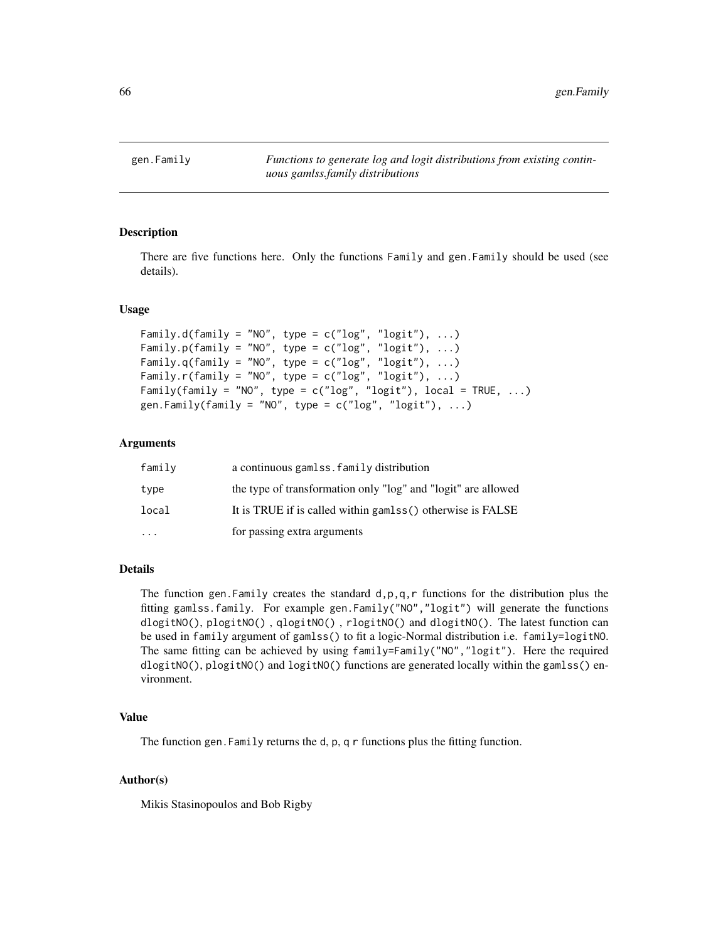gen.Family *Functions to generate log and logit distributions from existing continuous gamlss.family distributions*

## Description

There are five functions here. Only the functions Family and gen.Family should be used (see details).

## Usage

```
Family.d(family = "NO", type = c("log", "logit"), ...)
Family.p(family = "NO", type = c("log", "logit"), ...)
Family.q(family = "NO", type = c("log", "logit"), ...)
Family.r(family = "NO", type = c("log", "logit"), ...)
Family(family = "NO", type = c("log", "logit"), local = TRUE, ...)gen.Family(family = "NO", type = c("log", "logit"), ...)
```
#### Arguments

| family    | a continuous gamlss. family distribution                      |
|-----------|---------------------------------------------------------------|
| type      | the type of transformation only "log" and "logit" are allowed |
| local     | It is TRUE if is called within gamlss() otherwise is FALSE    |
| $\ddotsc$ | for passing extra arguments                                   |

#### Details

The function gen. Family creates the standard  $d$ ,  $p$ ,  $q$ ,  $r$  functions for the distribution plus the fitting gamlss.family. For example gen.Family("NO","logit") will generate the functions dlogitNO(), plogitNO() , qlogitNO() , rlogitNO() and dlogitNO(). The latest function can be used in family argument of gamlss() to fit a logic-Normal distribution i.e. family=logitNO. The same fitting can be achieved by using family=Family("NO","logit"). Here the required dlogitNO(), plogitNO() and logitNO() functions are generated locally within the gamlss() environment.

## Value

The function gen.Family returns the d, p, q r functions plus the fitting function.

#### Author(s)

Mikis Stasinopoulos and Bob Rigby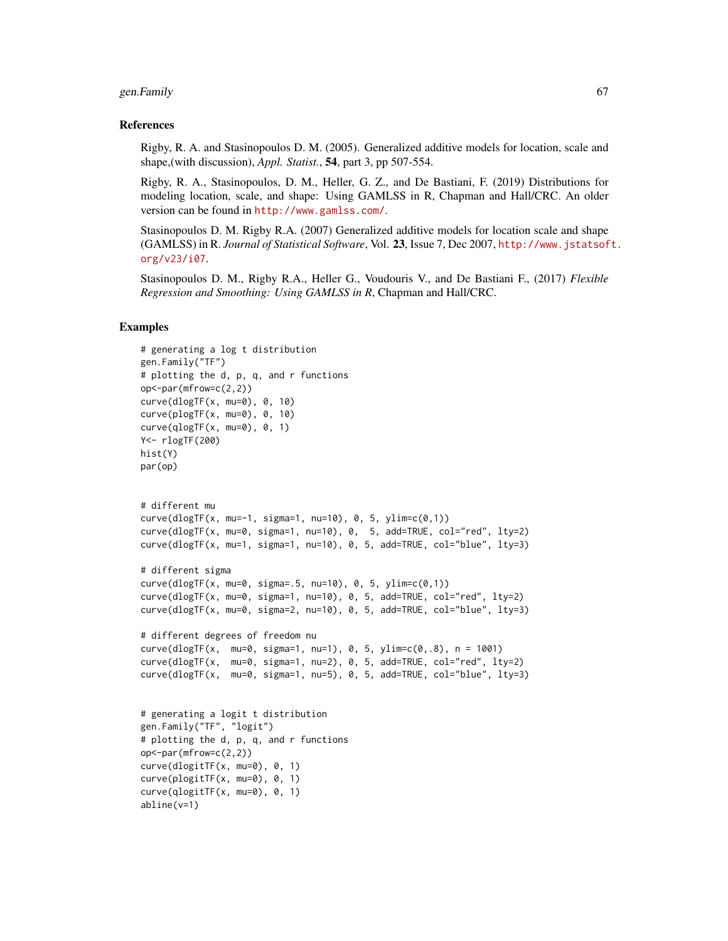#### gen.Family 67

#### References

Rigby, R. A. and Stasinopoulos D. M. (2005). Generalized additive models for location, scale and shape,(with discussion), *Appl. Statist.*, 54, part 3, pp 507-554.

Rigby, R. A., Stasinopoulos, D. M., Heller, G. Z., and De Bastiani, F. (2019) Distributions for modeling location, scale, and shape: Using GAMLSS in R, Chapman and Hall/CRC. An older version can be found in <http://www.gamlss.com/>.

Stasinopoulos D. M. Rigby R.A. (2007) Generalized additive models for location scale and shape (GAMLSS) in R. *Journal of Statistical Software*, Vol. 23, Issue 7, Dec 2007, [http://www.jstatsof](http://www.jstatsoft.org/v23/i07)t. [org/v23/i07](http://www.jstatsoft.org/v23/i07).

Stasinopoulos D. M., Rigby R.A., Heller G., Voudouris V., and De Bastiani F., (2017) *Flexible Regression and Smoothing: Using GAMLSS in R*, Chapman and Hall/CRC.

### Examples

```
# generating a log t distribution
gen.Family("TF")
# plotting the d, p, q, and r functions
op<-par(mfrow=c(2,2))
curve(dlogTF(x, mu=0), 0, 10)
curve(plogTF(x, mu=0), 0, 10)
curve(qlogTF(x, mu=0), 0, 1)Y<- rlogTF(200)
hist(Y)
par(op)
# different mu
curve(dlogTF(x, mu=-1, sigma=1, nu=10), 0, 5, ylim=c(0,1))
curve(dlogTF(x, mu=0, sigma=1, nu=10), 0, 5, add=TRUE, col="red", lty=2)
curve(dlogTF(x, mu=1, sigma=1, nu=10), 0, 5, add=True, col='blue", lty=3)# different sigma
curve(dlogTF(x, mu=0, sigma=.5, nu=10), 0, 5, ylim=c(0,1))
curve(dlogTF(x, mu=0, sigma=1, nu=10), 0, 5, add=TRUE, col="red", lty=2)
curve(dlogTF(x, mu=0, sigma=2, nu=10), 0, 5, add=TRUE, col="blue", lty=3)
# different degrees of freedom nu
curve(dlogTF(x, mu=0, sigma=1, nu=1), 0, 5, \nulim=c(0,.8), n = 1001)
curve(dlogTF(x, mu=0, sigma=1, nu=2), 0, 5, add=TRUE, col="red", lty=2)
curve(dlogTF(x, mu=0, sigma=1, nu=5), 0, 5, add=True, col='blue", lty=3)# generating a logit t distribution
gen.Family("TF", "logit")
# plotting the d, p, q, and r functions
op<-par(mfrow=c(2,2))
curve(dlogitTF(x, mu=0), 0, 1)
curve(plogitTF(x, mu=0), 0, 1)
curve(qlogitTF(x, mu=0), 0, 1)
abline(v=1)
```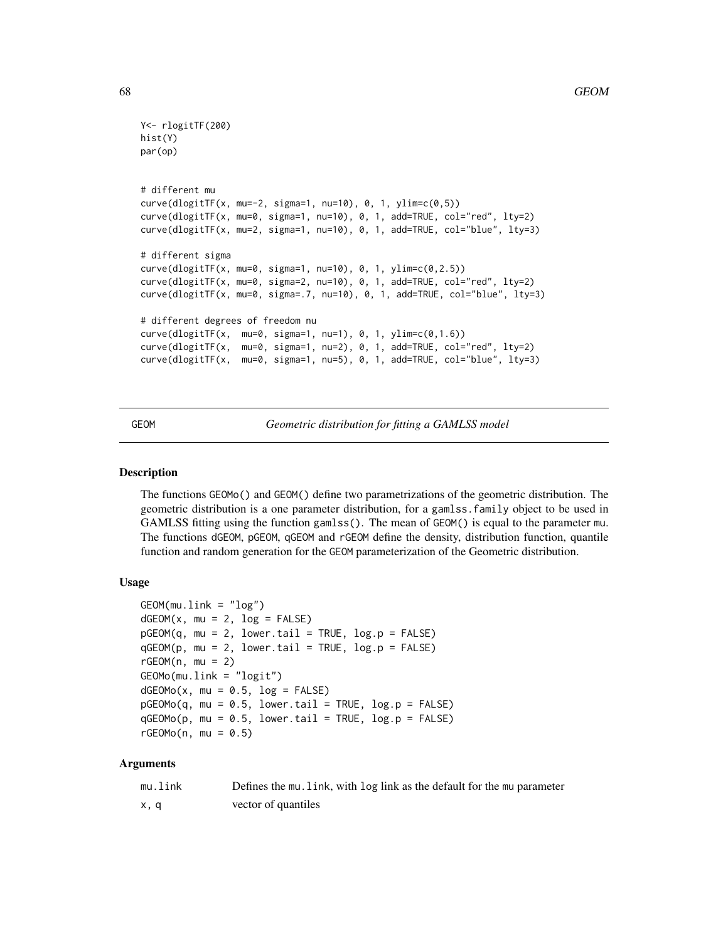```
Y<- rlogitTF(200)
hist(Y)
par(op)
# different mu
curve(dlogitTF(x, mu=-2, sigma=1, nu=10), 0, 1, ylim=c(0,5))
curve(dlogitTF(x, mu=0, sigma=1, nu=10), 0, 1, add=TRUE, col="red", lty=2)
curve(dlogitTF(x, mu=2, sigma=1, nu=10), 0, 1, add=TRUE, col="blue", lty=3)
# different sigma
curve(dlogitTF(x, mu=0, sigma=1, nu=10), 0, 1, ylim=c(0,2.5))
curve(dlogitTF(x, mu=0, sigma=2, nu=10), 0, 1, add=TRUE, col="red", lty=2)
curve(dlogitTF(x, mu=0, sigma=.7, nu=10), 0, 1, add=TRUE, col="blue", lty=3)
# different degrees of freedom nu
curve(dlogitTF(x, mu=0, sigma=1, nu=1), 0, 1, ylim=c(0,1.6))
curve(dlogitTF(x, mu=0, sigma=1, nu=2), 0, 1, add=TRUE, col="red", lty=2)
curve(dlogitTF(x, mu=0, sigma=1, nu=5), 0, 1, add=TRUE, col="blue", lty=3)
```
<span id="page-67-0"></span>GEOM *Geometric distribution for fitting a GAMLSS model*

#### <span id="page-67-1"></span>**Description**

The functions GEOMo() and GEOM() define two parametrizations of the geometric distribution. The geometric distribution is a one parameter distribution, for a gamlss.family object to be used in GAMLSS fitting using the function gamlss(). The mean of GEOM() is equal to the parameter mu. The functions dGEOM, pGEOM, qGEOM and rGEOM define the density, distribution function, quantile function and random generation for the GEOM parameterization of the Geometric distribution.

#### Usage

```
GEOM(mu.link = "log")dGEOM(x, mu = 2, log = FALSE)pGEOM(q, mu = 2, lower.tail = TRUE, log.p = FALSE)qGEOM(p, mu = 2, lower.tail = TRUE, log.p = FALSE)rGEOM(n, mu = 2)GEOMo(mu.link = "logit")
dGEOMo(x, mu = 0.5, log = FALSE)pGEOMo(q, mu = 0.5, lower.tail = TRUE, log.p = FALSE)qGEOMo(p, mu = 0.5, lower.tail = TRUE, log.p = FALSE)rGEOMo(n, mu = 0.5)
```
#### Arguments

| mu.link | Defines the mu. link, with log link as the default for the mu parameter |
|---------|-------------------------------------------------------------------------|
| x, q    | vector of quantiles                                                     |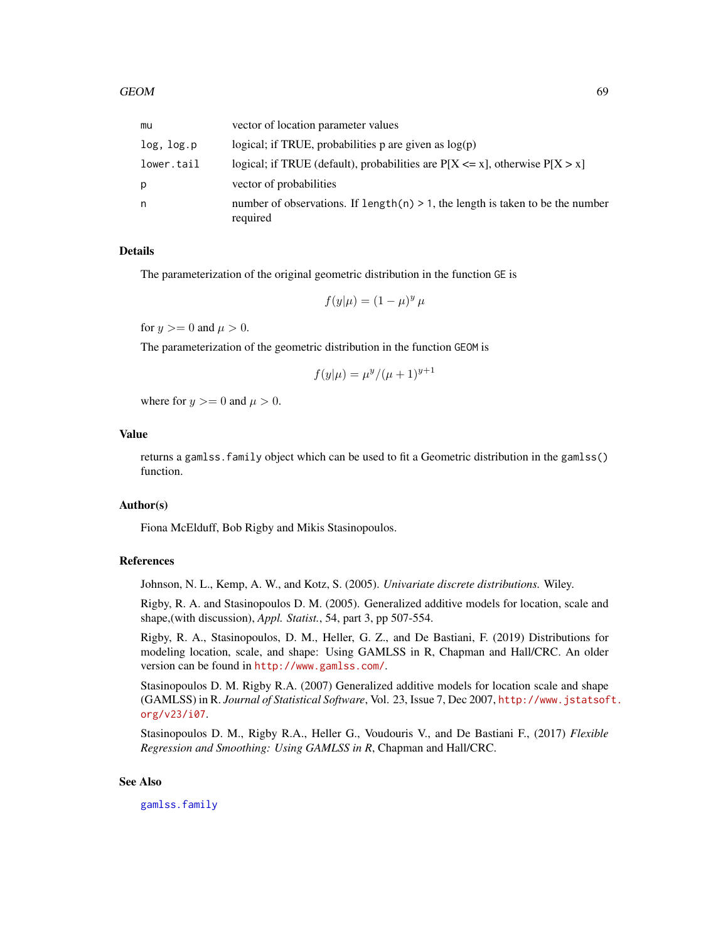| mu         | vector of location parameter values                                                           |
|------------|-----------------------------------------------------------------------------------------------|
| log, log.p | logical; if TRUE, probabilities $p$ are given as $log(p)$                                     |
| lower.tail | logical; if TRUE (default), probabilities are $P[X \le x]$ , otherwise $P[X > x]$             |
| p          | vector of probabilities                                                                       |
| n          | number of observations. If $length(n) > 1$ , the length is taken to be the number<br>required |

#### Details

The parameterization of the original geometric distribution in the function GE is

$$
f(y|\mu) = (1 - \mu)^y \mu
$$

for  $y >= 0$  and  $\mu > 0$ .

The parameterization of the geometric distribution in the function GEOM is

$$
f(y|\mu) = \mu^y / (\mu + 1)^{y+1}
$$

where for  $y \ge 0$  and  $\mu > 0$ .

# Value

returns a gamlss.family object which can be used to fit a Geometric distribution in the gamlss() function.

## Author(s)

Fiona McElduff, Bob Rigby and Mikis Stasinopoulos.

## References

Johnson, N. L., Kemp, A. W., and Kotz, S. (2005). *Univariate discrete distributions.* Wiley.

Rigby, R. A. and Stasinopoulos D. M. (2005). Generalized additive models for location, scale and shape,(with discussion), *Appl. Statist.*, 54, part 3, pp 507-554.

Rigby, R. A., Stasinopoulos, D. M., Heller, G. Z., and De Bastiani, F. (2019) Distributions for modeling location, scale, and shape: Using GAMLSS in R, Chapman and Hall/CRC. An older version can be found in <http://www.gamlss.com/>.

Stasinopoulos D. M. Rigby R.A. (2007) Generalized additive models for location scale and shape (GAMLSS) in R. *Journal of Statistical Software*, Vol. 23, Issue 7, Dec 2007, [http://www.jstatsof](http://www.jstatsoft.org/v23/i07)t. [org/v23/i07](http://www.jstatsoft.org/v23/i07).

Stasinopoulos D. M., Rigby R.A., Heller G., Voudouris V., and De Bastiani F., (2017) *Flexible Regression and Smoothing: Using GAMLSS in R*, Chapman and Hall/CRC.

## See Also

[gamlss.family](#page-57-0)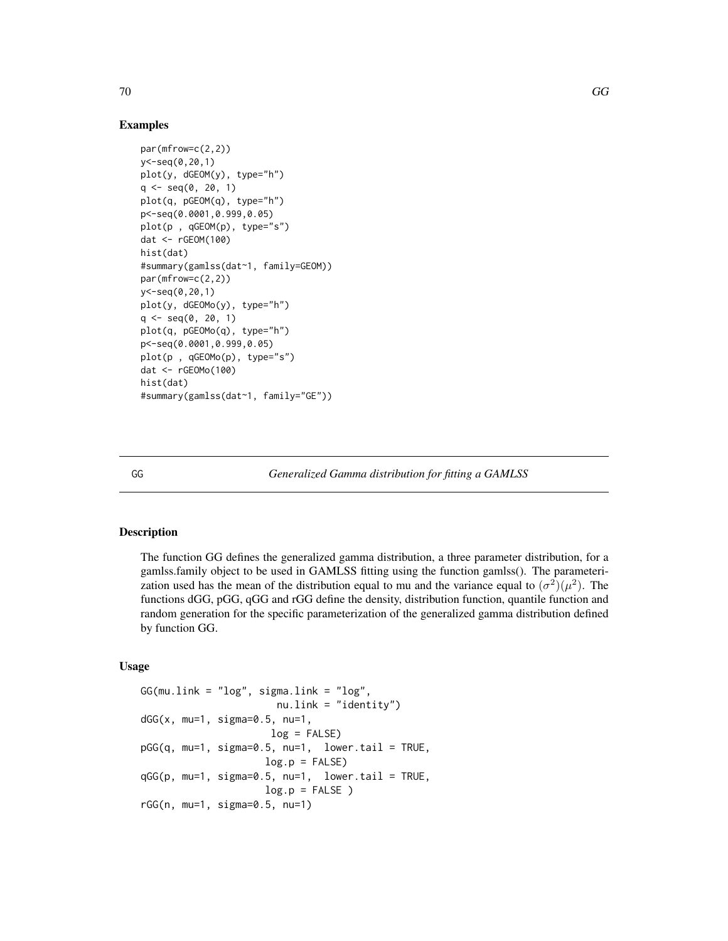# Examples

```
par(mfrow=c(2,2))
y<-seq(0,20,1)
plot(y, dGEOM(y), type="h")
q \leq - \text{seq}(0, 20, 1)plot(q, pGEOM(q), type="h")
p<-seq(0.0001,0.999,0.05)
plot(p , qGEOM(p), type="s")
dat <- rGEOM(100)
hist(dat)
#summary(gamlss(dat~1, family=GEOM))
par(mfrow=c(2,2))
y<-seq(0,20,1)
plot(y, dGEOMo(y), type="h")
q \leq -seq(0, 20, 1)plot(q, pGEOMo(q), type="h")
p<-seq(0.0001,0.999,0.05)
plot(p , qGEOMo(p), type="s")
dat <- rGEOMo(100)
hist(dat)
#summary(gamlss(dat~1, family="GE"))
```
<span id="page-69-0"></span>

GG *Generalized Gamma distribution for fitting a GAMLSS*

# Description

The function GG defines the generalized gamma distribution, a three parameter distribution, for a gamlss.family object to be used in GAMLSS fitting using the function gamlss(). The parameterization used has the mean of the distribution equal to mu and the variance equal to  $(\sigma^2)(\mu^2)$ . The functions dGG, pGG, qGG and rGG define the density, distribution function, quantile function and random generation for the specific parameterization of the generalized gamma distribution defined by function GG.

## Usage

```
GG(mu.link = "log", sigma.link = "log",nu.link = "identity")
dGG(x, mu=1, sigma=0.5, nu=1,
                     log = FALSE)
pGG(q, mu=1, sigma=0.5, nu=1, lower.tail = TRUE,log.p = FALSEqGG(p, mu=1, sigma=0.5, nu=1, lower.tail = TRUE,log.p = FALSE)
rGG(n, mu=1, sigma=0.5, nu=1)
```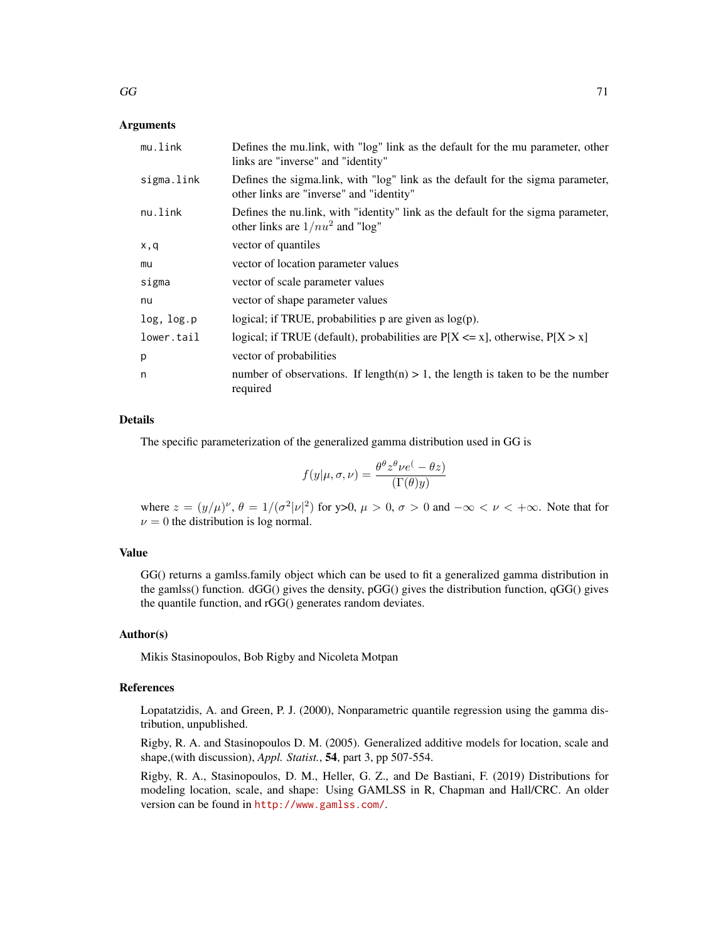# Arguments

| mu.link    | Defines the mullink, with "log" link as the default for the mu parameter, other<br>links are "inverse" and "identity"      |
|------------|----------------------------------------------------------------------------------------------------------------------------|
| sigma.link | Defines the sigmalink, with "log" link as the default for the sigma parameter,<br>other links are "inverse" and "identity" |
| nu.link    | Defines the nullink, with "identity" link as the default for the sigma parameter,<br>other links are $1/nu^2$ and "log"    |
| x,q        | vector of quantiles                                                                                                        |
| mu         | vector of location parameter values                                                                                        |
| sigma      | vector of scale parameter values                                                                                           |
| nu         | vector of shape parameter values                                                                                           |
| log, log.p | logical; if TRUE, probabilities $p$ are given as $log(p)$ .                                                                |
| lower.tail | logical; if TRUE (default), probabilities are $P[X \le x]$ , otherwise, $P[X > x]$                                         |
| p          | vector of probabilities                                                                                                    |
| n          | number of observations. If length(n) $> 1$ , the length is taken to be the number<br>required                              |

#### Details

The specific parameterization of the generalized gamma distribution used in GG is

$$
f(y|\mu, \sigma, \nu) = \frac{\theta^{\theta} z^{\theta} \nu e^{(-\theta z)}}{(\Gamma(\theta)y)}
$$

where  $z = (y/\mu)^{\nu}$ ,  $\theta = 1/(\sigma^2 |\nu|^2)$  for y>0,  $\mu > 0$ ,  $\sigma > 0$  and  $-\infty < \nu < +\infty$ . Note that for  $\nu = 0$  the distribution is log normal.

# Value

GG() returns a gamlss.family object which can be used to fit a generalized gamma distribution in the gamlss() function. dGG() gives the density, pGG() gives the distribution function, qGG() gives the quantile function, and rGG() generates random deviates.

# Author(s)

Mikis Stasinopoulos, Bob Rigby and Nicoleta Motpan

# References

Lopatatzidis, A. and Green, P. J. (2000), Nonparametric quantile regression using the gamma distribution, unpublished.

Rigby, R. A. and Stasinopoulos D. M. (2005). Generalized additive models for location, scale and shape,(with discussion), *Appl. Statist.*, 54, part 3, pp 507-554.

Rigby, R. A., Stasinopoulos, D. M., Heller, G. Z., and De Bastiani, F. (2019) Distributions for modeling location, scale, and shape: Using GAMLSS in R, Chapman and Hall/CRC. An older version can be found in <http://www.gamlss.com/>.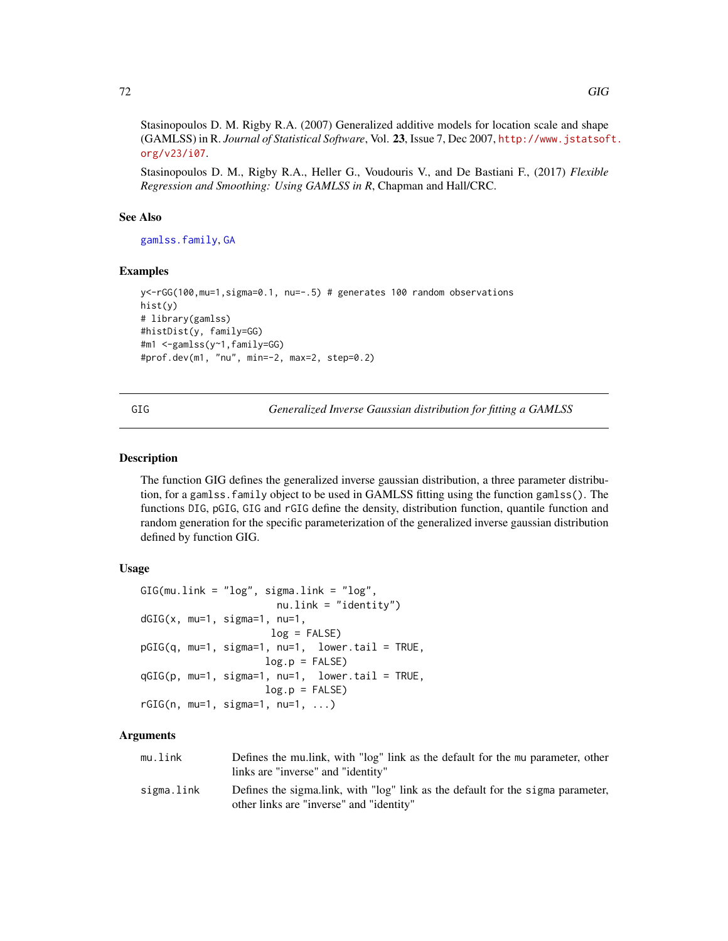Stasinopoulos D. M. Rigby R.A. (2007) Generalized additive models for location scale and shape (GAMLSS) in R. *Journal of Statistical Software*, Vol. 23, Issue 7, Dec 2007, [http://www.jstatsof](http://www.jstatsoft.org/v23/i07)t. [org/v23/i07](http://www.jstatsoft.org/v23/i07).

Stasinopoulos D. M., Rigby R.A., Heller G., Voudouris V., and De Bastiani F., (2017) *Flexible Regression and Smoothing: Using GAMLSS in R*, Chapman and Hall/CRC.

## See Also

[gamlss.family](#page-57-0), [GA](#page-53-0)

#### Examples

```
y<-rGG(100,mu=1,sigma=0.1, nu=-.5) # generates 100 random observations
hist(y)
# library(gamlss)
#histDist(y, family=GG)
#m1 <-gamlss(y~1,family=GG)
#prof.dev(m1, "nu", min=-2, max=2, step=0.2)
```
<span id="page-71-0"></span>GIG *Generalized Inverse Gaussian distribution for fitting a GAMLSS*

## Description

The function GIG defines the generalized inverse gaussian distribution, a three parameter distribution, for a gamlss.family object to be used in GAMLSS fitting using the function gamlss(). The functions DIG, pGIG, GIG and rGIG define the density, distribution function, quantile function and random generation for the specific parameterization of the generalized inverse gaussian distribution defined by function GIG.

## Usage

```
GIG(mu.link = "log", sigma.link = "log",nu.link = "identity")
dGIG(x, mu=1, sigma=1, nu=1,
                     log = FALSE)pGIG(q, mu=1, sigma=1, nu=1, lower.tail = TRUE,
                    log.p = FALSEqGIG(p, mu=1, sigma=1, nu=1, lower.tail = TRUE,
                    log.p = FALSErGIG(n, mu=1, sigma=1, nu=1, ...)
```
## Arguments

| mu.link    | Defines the multink, with "log" link as the default for the mu parameter, other |
|------------|---------------------------------------------------------------------------------|
|            | links are "inverse" and "identity"                                              |
| sigma.link | Defines the sigmalink, with "log" link as the default for the sigma parameter,  |
|            | other links are "inverse" and "identity"                                        |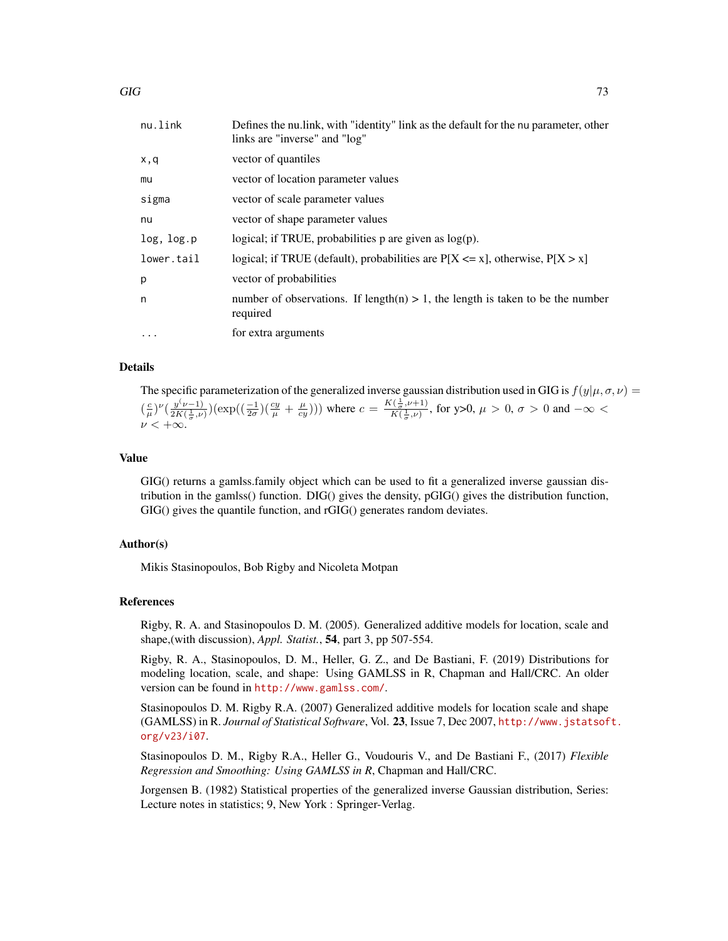| nu.link    | Defines the nullink, with "identity" link as the default for the nu parameter, other<br>links are "inverse" and "log" |
|------------|-----------------------------------------------------------------------------------------------------------------------|
| x,q        | vector of quantiles                                                                                                   |
| mu         | vector of location parameter values                                                                                   |
| sigma      | vector of scale parameter values                                                                                      |
| nu         | vector of shape parameter values                                                                                      |
| log, log.p | logical; if TRUE, probabilities $p$ are given as $log(p)$ .                                                           |
| lower.tail | logical; if TRUE (default), probabilities are $P[X \le x]$ , otherwise, $P[X > x]$                                    |
| р          | vector of probabilities                                                                                               |
| n          | number of observations. If length(n) $> 1$ , the length is taken to be the number<br>required                         |
| $\ddotsc$  | for extra arguments                                                                                                   |

### Details

The specific parameterization of the generalized inverse gaussian distribution used in GIG is  $f(y|\mu, \sigma, \nu)$  =  $\left(\frac{c}{\mu}\right)^{\nu}$  $\left(\frac{y^{(\nu-1)}}{2K(\frac{1}{\pi},\nu)}\right)$  $\frac{y(\nu-1)}{2K(\frac{1}{\sigma},\nu)}(\exp((\frac{-1}{2\sigma})(\frac{cy}{\mu}+\frac{\mu}{cy})))$  where  $c=\frac{K(\frac{1}{\sigma},\nu+1)}{K(\frac{1}{\sigma},\nu)}$  $\frac{(\frac{\tau}{\sigma}, \nu+1)}{K(\frac{1}{\sigma}, \nu)},$  for y>0,  $\mu > 0$ ,  $\sigma > 0$  and  $-\infty <$  $\nu < +\infty$ .

## Value

GIG() returns a gamlss.family object which can be used to fit a generalized inverse gaussian distribution in the gamlss() function. DIG() gives the density, pGIG() gives the distribution function, GIG() gives the quantile function, and rGIG() generates random deviates.

### Author(s)

Mikis Stasinopoulos, Bob Rigby and Nicoleta Motpan

#### References

Rigby, R. A. and Stasinopoulos D. M. (2005). Generalized additive models for location, scale and shape,(with discussion), *Appl. Statist.*, 54, part 3, pp 507-554.

Rigby, R. A., Stasinopoulos, D. M., Heller, G. Z., and De Bastiani, F. (2019) Distributions for modeling location, scale, and shape: Using GAMLSS in R, Chapman and Hall/CRC. An older version can be found in <http://www.gamlss.com/>.

Stasinopoulos D. M. Rigby R.A. (2007) Generalized additive models for location scale and shape (GAMLSS) in R. *Journal of Statistical Software*, Vol. 23, Issue 7, Dec 2007, [http://www.jstatsof](http://www.jstatsoft.org/v23/i07)t. [org/v23/i07](http://www.jstatsoft.org/v23/i07).

Stasinopoulos D. M., Rigby R.A., Heller G., Voudouris V., and De Bastiani F., (2017) *Flexible Regression and Smoothing: Using GAMLSS in R*, Chapman and Hall/CRC.

Jorgensen B. (1982) Statistical properties of the generalized inverse Gaussian distribution, Series: Lecture notes in statistics; 9, New York : Springer-Verlag.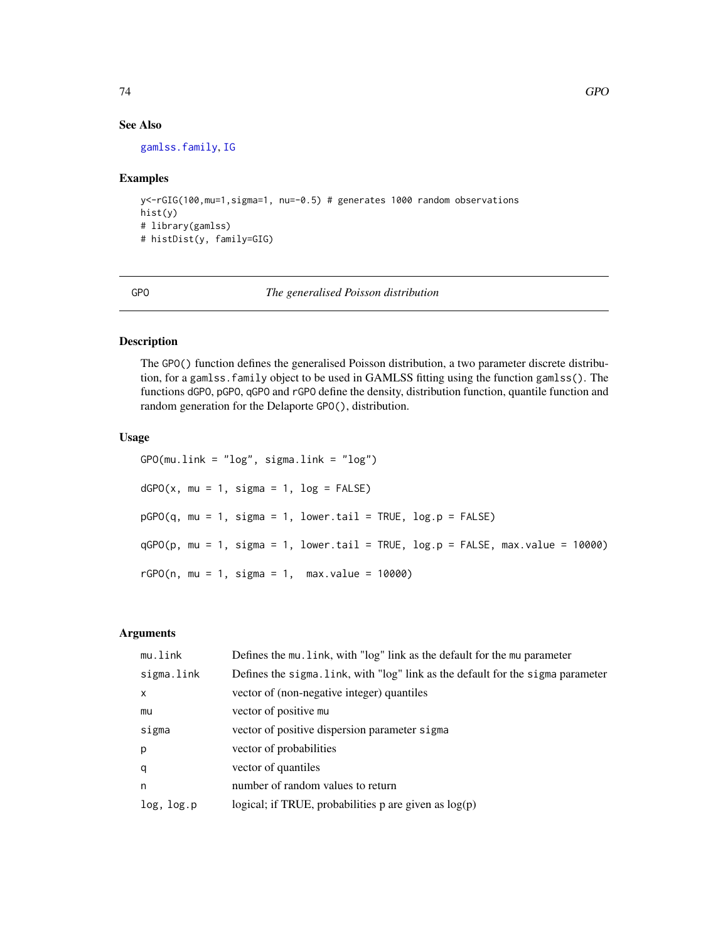#### See Also

[gamlss.family](#page-57-0), [IG](#page-80-0)

## Examples

```
y<-rGIG(100,mu=1,sigma=1, nu=-0.5) # generates 1000 random observations
hist(y)
# library(gamlss)
# histDist(y, family=GIG)
```
GPO *The generalised Poisson distribution*

# Description

The GPO() function defines the generalised Poisson distribution, a two parameter discrete distribution, for a gamlss.family object to be used in GAMLSS fitting using the function gamlss(). The functions dGPO, pGPO, qGPO and rGPO define the density, distribution function, quantile function and random generation for the Delaporte GPO(), distribution.

# Usage

GPO(mu.link = "log", sigma.link = "log")  $dGPO(x, mu = 1, sigma = 1, log = FALSE)$  $pGPO(q, mu = 1, sigma = 1, lower$  $tail = TRUE,  $log.p = FALSE$ )$  $qGPO(p, mu = 1, sigma = 1, lower.tail = TRUE, log.p = FALSE, max.value = 10000)$  $rGPO(n, mu = 1, sigma = 1, max.value = 10000)$ 

# Arguments

| mu.link      | Defines the mu. link, with "log" link as the default for the mu parameter       |
|--------------|---------------------------------------------------------------------------------|
| sigma.link   | Defines the sigma. link, with "log" link as the default for the sigma parameter |
| $\mathsf{x}$ | vector of (non-negative integer) quantiles                                      |
| mu           | vector of positive mu                                                           |
| sigma        | vector of positive dispersion parameter sigma                                   |
| p            | vector of probabilities                                                         |
| q            | vector of quantiles                                                             |
| n            | number of random values to return                                               |
| log, log.p   | logical; if TRUE, probabilities $p$ are given as $log(p)$                       |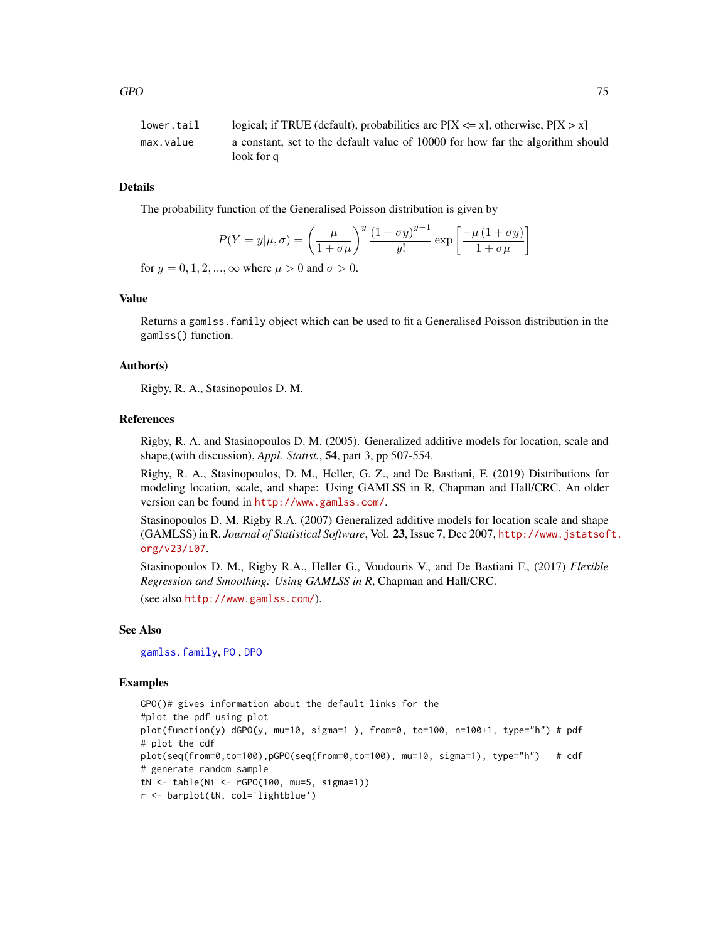```
lower.tail logical; if TRUE (default), probabilities are P[X \le x], otherwise, P[X > x]max.value a constant, set to the default value of 10000 for how far the algorithm should
                 look for q
```
# Details

The probability function of the Generalised Poisson distribution is given by

$$
P(Y = y | \mu, \sigma) = \left(\frac{\mu}{1 + \sigma \mu}\right)^y \frac{\left(1 + \sigma y\right)^{y-1}}{y!} \exp\left[\frac{-\mu\left(1 + \sigma y\right)}{1 + \sigma \mu}\right]
$$

for  $y = 0, 1, 2, ..., \infty$  where  $\mu > 0$  and  $\sigma > 0$ .

## Value

Returns a gamlss.family object which can be used to fit a Generalised Poisson distribution in the gamlss() function.

## Author(s)

Rigby, R. A., Stasinopoulos D. M.

#### References

Rigby, R. A. and Stasinopoulos D. M. (2005). Generalized additive models for location, scale and shape,(with discussion), *Appl. Statist.*, 54, part 3, pp 507-554.

Rigby, R. A., Stasinopoulos, D. M., Heller, G. Z., and De Bastiani, F. (2019) Distributions for modeling location, scale, and shape: Using GAMLSS in R, Chapman and Hall/CRC. An older version can be found in <http://www.gamlss.com/>.

Stasinopoulos D. M. Rigby R.A. (2007) Generalized additive models for location scale and shape (GAMLSS) in R. *Journal of Statistical Software*, Vol. 23, Issue 7, Dec 2007, [http://www.jstatsof](http://www.jstatsoft.org/v23/i07)t. [org/v23/i07](http://www.jstatsoft.org/v23/i07).

Stasinopoulos D. M., Rigby R.A., Heller G., Voudouris V., and De Bastiani F., (2017) *Flexible Regression and Smoothing: Using GAMLSS in R*, Chapman and Hall/CRC.

(see also <http://www.gamlss.com/>).

#### See Also

[gamlss.family](#page-57-0), [PO](#page-129-0) , [DPO](#page-44-0)

#### Examples

```
GPO()# gives information about the default links for the
#plot the pdf using plot
plot(function(y) dGPO(y, mu=10, sigma=1), from=0, to=100, n=100+1, type="h") # pdf# plot the cdf
plot(seq(from=0,to=100),pGPO(seq(from=0,to=100), mu=10, sigma=1), type="h") # cdf
# generate random sample
tN <- table(Ni <- rGPO(100, mu=5, sigma=1))
r <- barplot(tN, col='lightblue')
```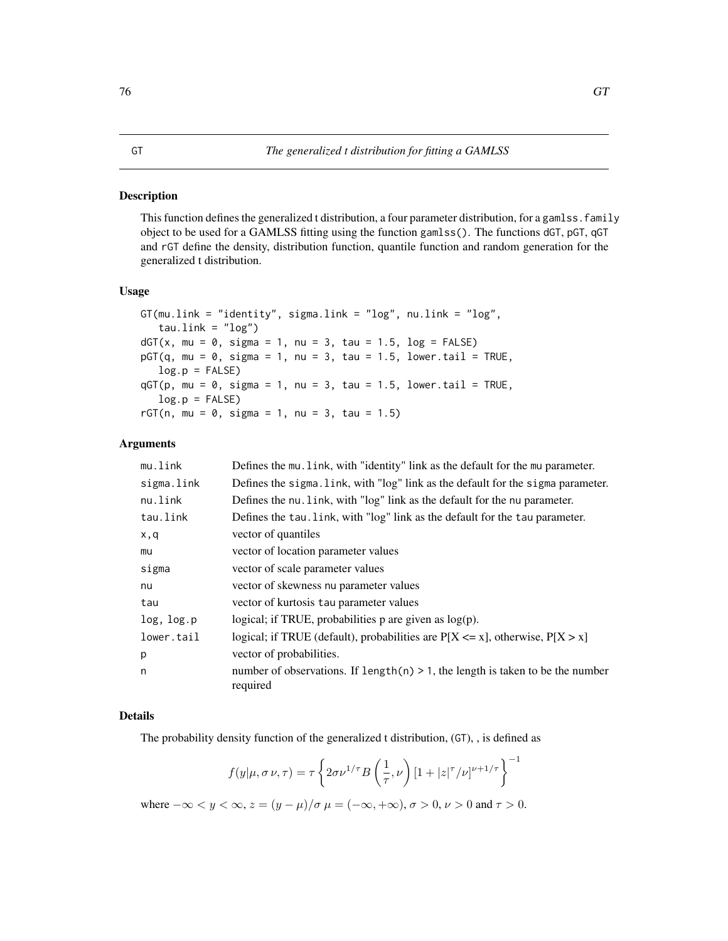# Description

This function defines the generalized t distribution, a four parameter distribution, for a gamlss. family object to be used for a GAMLSS fitting using the function gamlss(). The functions dGT, pGT, qGT and rGT define the density, distribution function, quantile function and random generation for the generalized t distribution.

## Usage

```
GT(mu.link = "identity", sigma.link = "log", nu.link = "log",tau.link = "log")dGT(x, mu = 0, sigma = 1, nu = 3, tau = 1.5, log = FALSE)pGT(q, mu = 0, sigma = 1, nu = 3, tau = 1.5, lower[Allerage 2013]
   log.p = FALSEqGT(p, mu = 0, sigma = 1, nu = 3, tau = 1.5, lower[Allerage 2013] <math>r = TRUE,
   log.p = FALSErGT(n, mu = 0, sigma = 1, nu = 3, tau = 1.5)
```
## Arguments

| mu.link    | Defines the mu. Link, with "identity" link as the default for the mu parameter.               |
|------------|-----------------------------------------------------------------------------------------------|
| sigma.link | Defines the sigma. link, with "log" link as the default for the sigma parameter.              |
| nu.link    | Defines the nu. link, with "log" link as the default for the nu parameter.                    |
| tau.link   | Defines the tau. link, with "log" link as the default for the tau parameter.                  |
| x,q        | vector of quantiles                                                                           |
| mu         | vector of location parameter values                                                           |
| sigma      | vector of scale parameter values                                                              |
| nu         | vector of skewness nu parameter values                                                        |
| tau        | vector of kurtosis tau parameter values                                                       |
| log, log.p | logical; if TRUE, probabilities $p$ are given as $log(p)$ .                                   |
| lower.tail | logical; if TRUE (default), probabilities are $P[X \le x]$ , otherwise, $P[X > x]$            |
| p          | vector of probabilities.                                                                      |
| n          | number of observations. If $length(n) > 1$ , the length is taken to be the number<br>required |

#### Details

The probability density function of the generalized t distribution, (GT), , is defined as

$$
f(y|\mu, \sigma \nu, \tau) = \tau \left\{ 2\sigma \nu^{1/\tau} B\left(\frac{1}{\tau}, \nu\right) \left[1 + |z|^{\tau}/\nu\right]^{\nu+1/\tau} \right\}^{-1}
$$

where  $-\infty < y < \infty$ ,  $z = (y - \mu)/\sigma$   $\mu = (-\infty, +\infty)$ ,  $\sigma > 0$ ,  $\nu > 0$  and  $\tau > 0$ .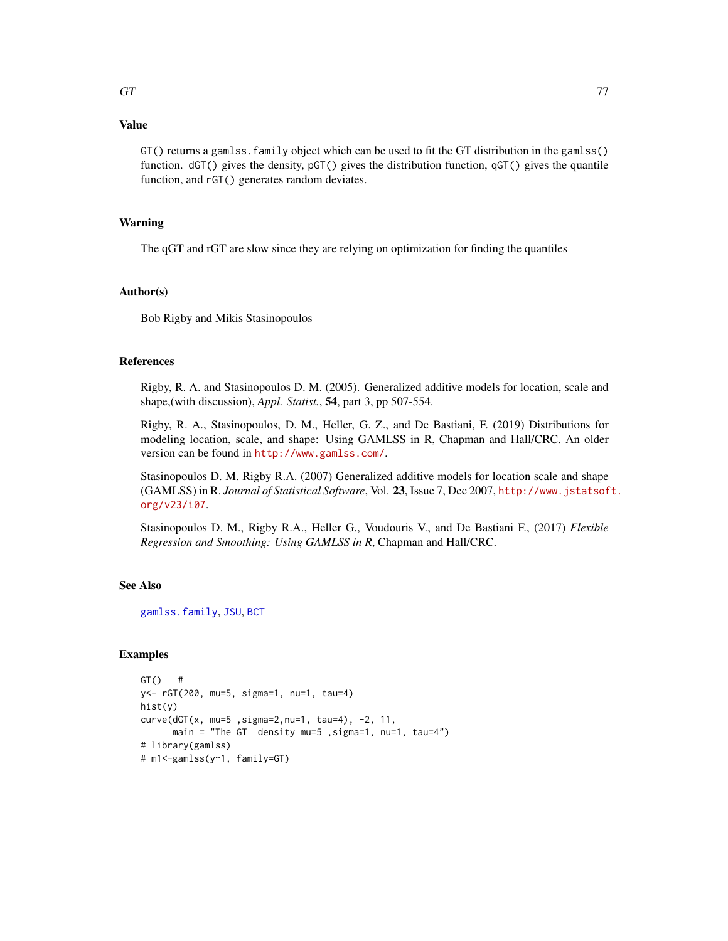# Value

GT() returns a gamlss.family object which can be used to fit the GT distribution in the gamlss() function. dGT() gives the density, pGT() gives the distribution function, qGT() gives the quantile function, and rGT() generates random deviates.

# Warning

The qGT and rGT are slow since they are relying on optimization for finding the quantiles

## Author(s)

Bob Rigby and Mikis Stasinopoulos

# References

Rigby, R. A. and Stasinopoulos D. M. (2005). Generalized additive models for location, scale and shape,(with discussion), *Appl. Statist.*, 54, part 3, pp 507-554.

Rigby, R. A., Stasinopoulos, D. M., Heller, G. Z., and De Bastiani, F. (2019) Distributions for modeling location, scale, and shape: Using GAMLSS in R, Chapman and Hall/CRC. An older version can be found in <http://www.gamlss.com/>.

Stasinopoulos D. M. Rigby R.A. (2007) Generalized additive models for location scale and shape (GAMLSS) in R. *Journal of Statistical Software*, Vol. 23, Issue 7, Dec 2007, [http://www.jstatsof](http://www.jstatsoft.org/v23/i07)t. [org/v23/i07](http://www.jstatsoft.org/v23/i07).

Stasinopoulos D. M., Rigby R.A., Heller G., Voudouris V., and De Bastiani F., (2017) *Flexible Regression and Smoothing: Using GAMLSS in R*, Chapman and Hall/CRC.

# See Also

[gamlss.family](#page-57-0), [JSU](#page-83-0), [BCT](#page-15-0)

## Examples

```
GT() #
y<- rGT(200, mu=5, sigma=1, nu=1, tau=4)
hist(y)
curve(dGT(x, mu=5 ,sigma=2,nu=1, tau=4), -2, 11,
      main = "The GT density mu=5 ,sigma=1, nu=1, tau=4")
# library(gamlss)
# m1<-gamlss(y~1, family=GT)
```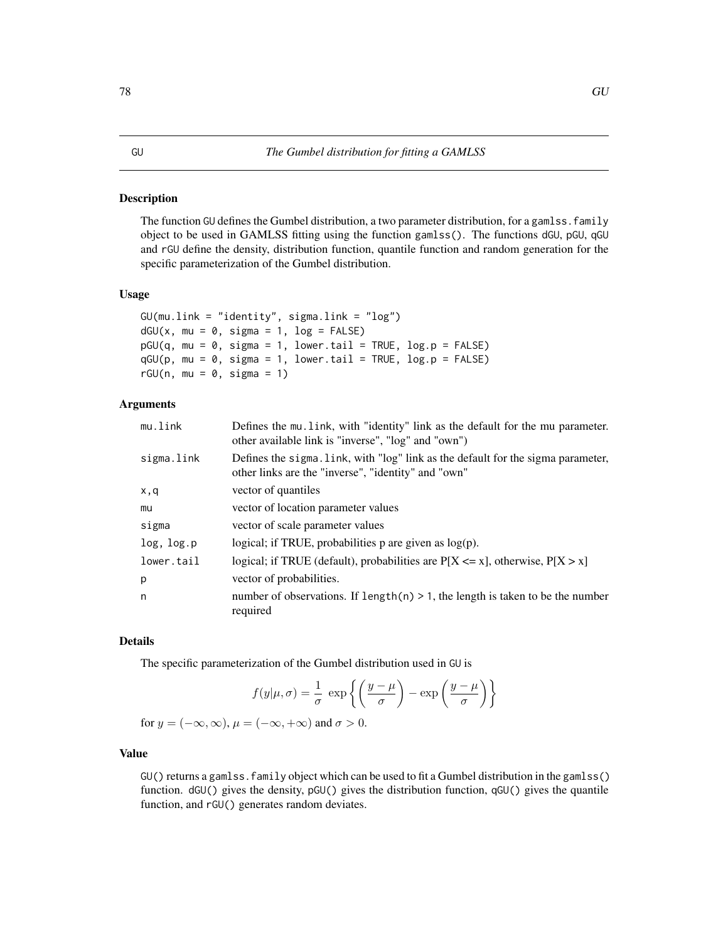#### Description

The function GU defines the Gumbel distribution, a two parameter distribution, for a gamlss. family object to be used in GAMLSS fitting using the function gamlss(). The functions dGU, pGU, qGU and rGU define the density, distribution function, quantile function and random generation for the specific parameterization of the Gumbel distribution.

### Usage

```
GU(mu.link = "identity", sigma.link = "log")
dGU(x, mu = 0, sigma = 1, log = FALSE)pGU(q, mu = 0, sigma = 1, lower.tail = TRUE, log.p = FALSE)qGU(p, mu = 0, sigma = 1, lowertail = TRUE, log.p = FALSE)
rGU(n, mu = 0, sigma = 1)
```
## Arguments

| mu.link    | Defines the mu. Link, with "identity" link as the default for the mu parameter.<br>other available link is "inverse", "log" and "own")  |
|------------|-----------------------------------------------------------------------------------------------------------------------------------------|
| sigma.link | Defines the sigma. Link, with "log" link as the default for the sigma parameter,<br>other links are the "inverse", "identity" and "own" |
| x,q        | vector of quantiles                                                                                                                     |
| mu         | vector of location parameter values                                                                                                     |
| sigma      | vector of scale parameter values                                                                                                        |
| log, log.p | logical; if TRUE, probabilities $p$ are given as $log(p)$ .                                                                             |
| lower.tail | logical; if TRUE (default), probabilities are $P[X \le x]$ , otherwise, $P[X > x]$                                                      |
| p          | vector of probabilities.                                                                                                                |
| n          | number of observations. If $length(n) > 1$ , the length is taken to be the number<br>required                                           |

## Details

The specific parameterization of the Gumbel distribution used in GU is

$$
f(y|\mu,\sigma) = \frac{1}{\sigma} \exp\left\{ \left( \frac{y-\mu}{\sigma} \right) - \exp\left( \frac{y-\mu}{\sigma} \right) \right\}
$$

for  $y = (-\infty, \infty)$ ,  $\mu = (-\infty, +\infty)$  and  $\sigma > 0$ .

# Value

GU() returns a gamlss.family object which can be used to fit a Gumbel distribution in the gamlss() function. dGU() gives the density, pGU() gives the distribution function, qGU() gives the quantile function, and rGU() generates random deviates.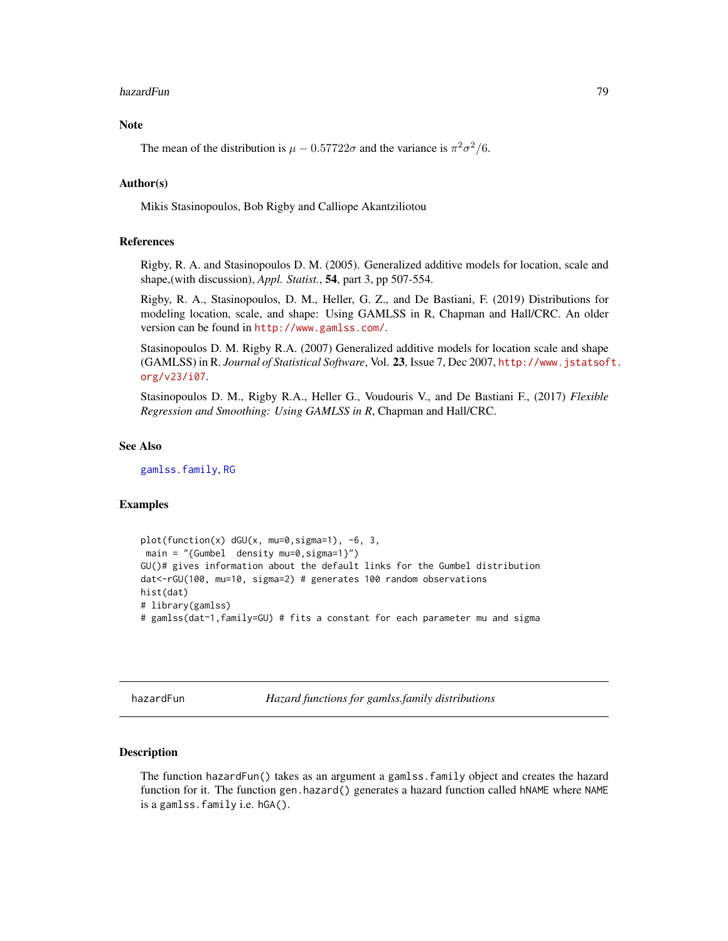#### hazardFun 79 metal berkening and the state of the state of the state of the state of the state of the state of the state of the state of the state of the state of the state of the state of the state of the state of the sta

# Note

The mean of the distribution is  $\mu - 0.57722\sigma$  and the variance is  $\pi^2 \sigma^2/6$ .

## Author(s)

Mikis Stasinopoulos, Bob Rigby and Calliope Akantziliotou

# References

Rigby, R. A. and Stasinopoulos D. M. (2005). Generalized additive models for location, scale and shape,(with discussion), *Appl. Statist.*, 54, part 3, pp 507-554.

Rigby, R. A., Stasinopoulos, D. M., Heller, G. Z., and De Bastiani, F. (2019) Distributions for modeling location, scale, and shape: Using GAMLSS in R, Chapman and Hall/CRC. An older version can be found in <http://www.gamlss.com/>.

Stasinopoulos D. M. Rigby R.A. (2007) Generalized additive models for location scale and shape (GAMLSS) in R. *Journal of Statistical Software*, Vol. 23, Issue 7, Dec 2007, [http://www.jstatsof](http://www.jstatsoft.org/v23/i07)t. [org/v23/i07](http://www.jstatsoft.org/v23/i07).

Stasinopoulos D. M., Rigby R.A., Heller G., Voudouris V., and De Bastiani F., (2017) *Flexible Regression and Smoothing: Using GAMLSS in R*, Chapman and Hall/CRC.

#### See Also

[gamlss.family](#page-57-0), [RG](#page-131-0)

## Examples

```
plot(function(x) dGU(x, mu=0,sigma=1), -6, 3,
main = "{Gumbel} density mu=0, sigma=1}")
GU()# gives information about the default links for the Gumbel distribution
dat<-rGU(100, mu=10, sigma=2) # generates 100 random observations
hist(dat)
# library(gamlss)
# gamlss(dat~1,family=GU) # fits a constant for each parameter mu and sigma
```
hazardFun *Hazard functions for gamlss.family distributions*

#### **Description**

The function hazardFun() takes as an argument a gamlss.family object and creates the hazard function for it. The function gen.hazard() generates a hazard function called hNAME where NAME is a gamlss.family i.e. hGA().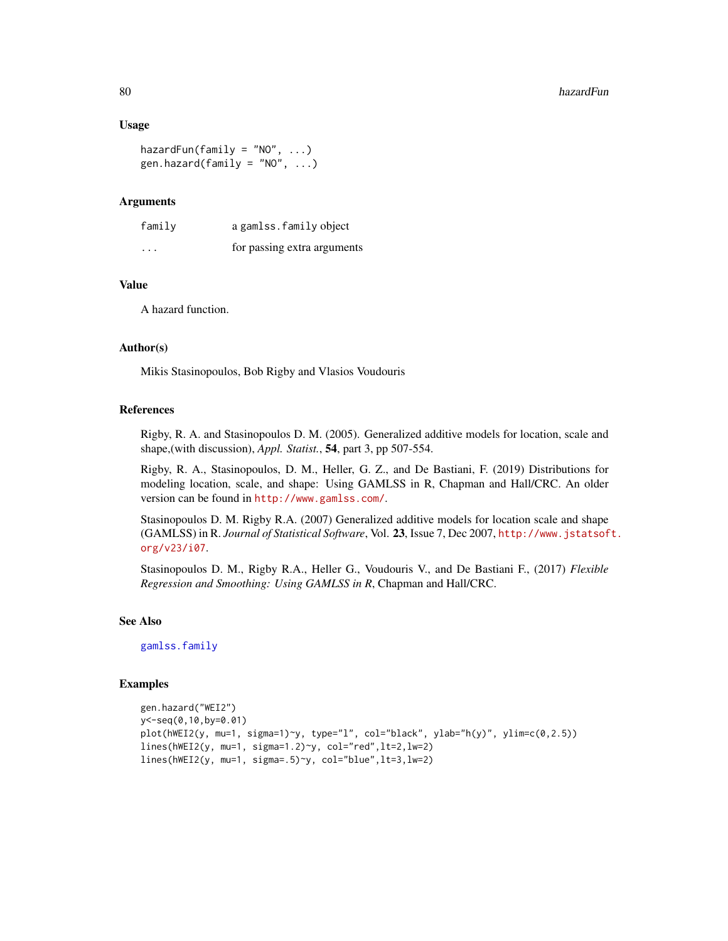#### Usage

hazardFun(family = "NO",  $\ldots$ ) gen.hazard(family = "NO",  $\ldots$ )

# Arguments

| family  | a gamlss. family object     |
|---------|-----------------------------|
| $\cdot$ | for passing extra arguments |

## Value

A hazard function.

## Author(s)

Mikis Stasinopoulos, Bob Rigby and Vlasios Voudouris

#### References

Rigby, R. A. and Stasinopoulos D. M. (2005). Generalized additive models for location, scale and shape,(with discussion), *Appl. Statist.*, 54, part 3, pp 507-554.

Rigby, R. A., Stasinopoulos, D. M., Heller, G. Z., and De Bastiani, F. (2019) Distributions for modeling location, scale, and shape: Using GAMLSS in R, Chapman and Hall/CRC. An older version can be found in <http://www.gamlss.com/>.

Stasinopoulos D. M. Rigby R.A. (2007) Generalized additive models for location scale and shape (GAMLSS) in R. *Journal of Statistical Software*, Vol. 23, Issue 7, Dec 2007, [http://www.jstatsof](http://www.jstatsoft.org/v23/i07)t. [org/v23/i07](http://www.jstatsoft.org/v23/i07).

Stasinopoulos D. M., Rigby R.A., Heller G., Voudouris V., and De Bastiani F., (2017) *Flexible Regression and Smoothing: Using GAMLSS in R*, Chapman and Hall/CRC.

# See Also

[gamlss.family](#page-57-0)

## Examples

```
gen.hazard("WEI2")
y<-seq(0,10,by=0.01)
plot(hWEI2(y, mu=1, sigma=1)~y, type="l", col="black", ylab="h(y)", ylim=c(0,2.5))
lines(hWEI2(y, mu=1, sigma=1.2)~y, col="red",lt=2,lw=2)
lines(hWEI2(y, mu=1, sigma=.5)~y, col="blue",lt=3,lw=2)
```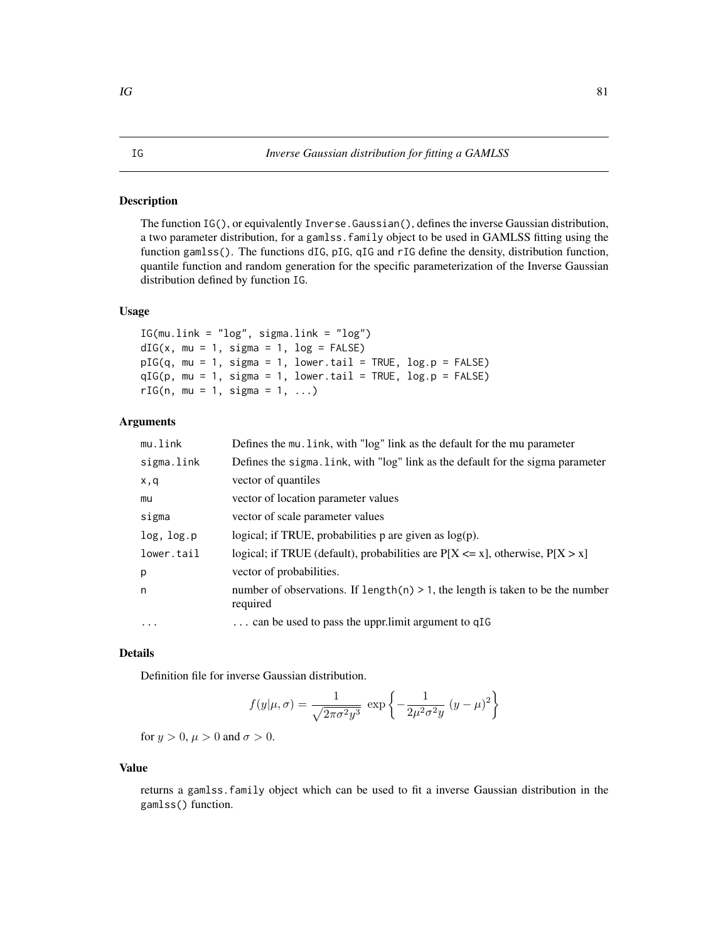#### <span id="page-80-0"></span>Description

The function IG(), or equivalently Inverse.Gaussian(), defines the inverse Gaussian distribution, a two parameter distribution, for a gamlss.family object to be used in GAMLSS fitting using the function gamlss(). The functions dIG, pIG, qIG and rIG define the density, distribution function, quantile function and random generation for the specific parameterization of the Inverse Gaussian distribution defined by function IG.

# Usage

```
IG(mu.link = "log", sigma.link = "log")
dIG(x, mu = 1, sigma = 1, log = FALSE)pIG(q, mu = 1, sigma = 1, lower.tail = TRUE, log.p = FALSE)qIG(p, mu = 1, sigma = 1, lower.tail = TRUE, log.p = FALSE)rIG(n, mu = 1, sigma = 1, ...)
```
## Arguments

| mu.link    | Defines the mu. link, with "log" link as the default for the mu parameter                     |
|------------|-----------------------------------------------------------------------------------------------|
| sigma.link | Defines the sigma. link, with "log" link as the default for the sigma parameter               |
| x,q        | vector of quantiles                                                                           |
| mu         | vector of location parameter values                                                           |
| sigma      | vector of scale parameter values                                                              |
| log, log.p | logical; if TRUE, probabilities $p$ are given as $log(p)$ .                                   |
| lower.tail | logical; if TRUE (default), probabilities are $P[X \le x]$ , otherwise, $P[X > x]$            |
| p          | vector of probabilities.                                                                      |
| n          | number of observations. If $length(n) > 1$ , the length is taken to be the number<br>required |
| .          | can be used to pass the uppr.limit argument to qIG                                            |
|            |                                                                                               |

# Details

Definition file for inverse Gaussian distribution.

$$
f(y|\mu,\sigma) = \frac{1}{\sqrt{2\pi\sigma^2 y^3}} \exp\left\{-\frac{1}{2\mu^2\sigma^2 y} (y-\mu)^2\right\}
$$

for  $y > 0$ ,  $\mu > 0$  and  $\sigma > 0$ .

## Value

returns a gamlss.family object which can be used to fit a inverse Gaussian distribution in the gamlss() function.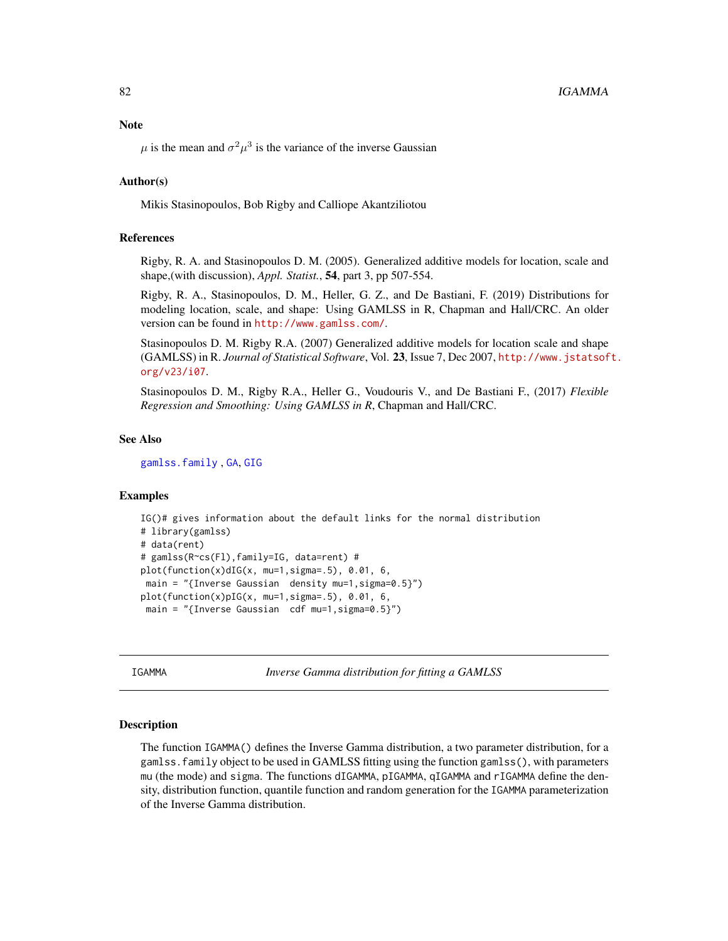#### **Note**

 $\mu$  is the mean and  $\sigma^2 \mu^3$  is the variance of the inverse Gaussian

## Author(s)

Mikis Stasinopoulos, Bob Rigby and Calliope Akantziliotou

## References

Rigby, R. A. and Stasinopoulos D. M. (2005). Generalized additive models for location, scale and shape,(with discussion), *Appl. Statist.*, 54, part 3, pp 507-554.

Rigby, R. A., Stasinopoulos, D. M., Heller, G. Z., and De Bastiani, F. (2019) Distributions for modeling location, scale, and shape: Using GAMLSS in R, Chapman and Hall/CRC. An older version can be found in <http://www.gamlss.com/>.

Stasinopoulos D. M. Rigby R.A. (2007) Generalized additive models for location scale and shape (GAMLSS) in R. *Journal of Statistical Software*, Vol. 23, Issue 7, Dec 2007, [http://www.jstatsof](http://www.jstatsoft.org/v23/i07)t. [org/v23/i07](http://www.jstatsoft.org/v23/i07).

Stasinopoulos D. M., Rigby R.A., Heller G., Voudouris V., and De Bastiani F., (2017) *Flexible Regression and Smoothing: Using GAMLSS in R*, Chapman and Hall/CRC.

## See Also

[gamlss.family](#page-57-0) , [GA](#page-53-0), [GIG](#page-71-0)

## Examples

```
IG()# gives information about the default links for the normal distribution
# library(gamlss)
# data(rent)
# gamlss(R~cs(Fl),family=IG, data=rent) #
plot(function(x)dIG(x, mu=1,sigma=.5), 0.01, 6,
main = "{Inverse Gaussian density mu=1, sigma=0.5}")
plot(function(x)pIG(x, mu=1, sigma=.5), 0.01, 6,main = "{Inverse Gaussian cdf mu=1, sigma=0.5}")
```
IGAMMA *Inverse Gamma distribution for fitting a GAMLSS*

#### Description

The function IGAMMA() defines the Inverse Gamma distribution, a two parameter distribution, for a gamlss.family object to be used in GAMLSS fitting using the function gamlss(), with parameters mu (the mode) and sigma. The functions dIGAMMA, pIGAMMA, qIGAMMA and rIGAMMA define the density, distribution function, quantile function and random generation for the IGAMMA parameterization of the Inverse Gamma distribution.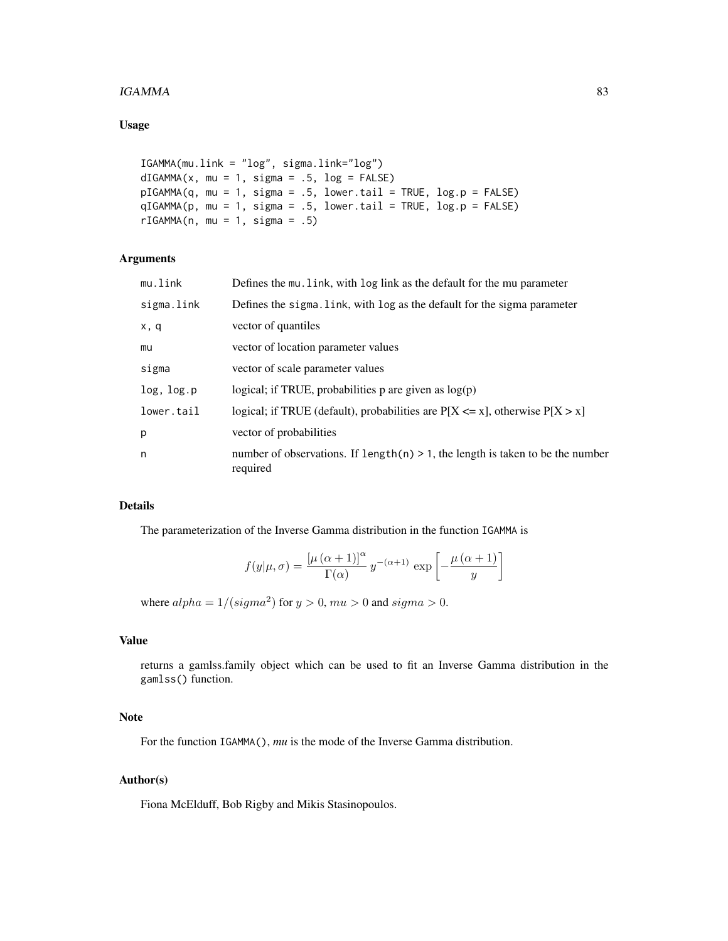## $IGAMMA$  83

# Usage

```
IGAMMA(mu.link = "log", sigma.link="log")
dIGAMMA(x, mu = 1, sigma = .5, log = FALSE)pIGAMMA(q, mu = 1, sigma = .5, lower[a] = TRUE, log.p = FALSE)qIGAMMA(p, mu = 1, sigma = .5, lower.tail = TRUE, log.p = FALSE)
rIGAMMA(n, mu = 1, sigma = .5)
```
# Arguments

| mu.link    | Defines the mu. link, with log link as the default for the mu parameter                       |
|------------|-----------------------------------------------------------------------------------------------|
| sigma.link | Defines the sigma. Link, with log as the default for the sigma parameter                      |
| x, q       | vector of quantiles                                                                           |
| mu         | vector of location parameter values                                                           |
| sigma      | vector of scale parameter values                                                              |
| log, log.p | logical; if TRUE, probabilities p are given as $log(p)$                                       |
| lower.tail | logical; if TRUE (default), probabilities are $P[X \le x]$ , otherwise $P[X > x]$             |
| p          | vector of probabilities                                                                       |
| n          | number of observations. If length(n) $> 1$ , the length is taken to be the number<br>required |

## Details

The parameterization of the Inverse Gamma distribution in the function IGAMMA is

$$
f(y|\mu,\sigma) = \frac{\left[\mu(\alpha+1)\right]^{\alpha}}{\Gamma(\alpha)} y^{-(\alpha+1)} \exp\left[-\frac{\mu(\alpha+1)}{y}\right]
$$

where  $alpha = 1/(sigma^2)$  for  $y > 0$ ,  $mu > 0$  and  $sigma > 0$ .

# Value

returns a gamlss.family object which can be used to fit an Inverse Gamma distribution in the gamlss() function.

## Note

For the function IGAMMA(), *mu* is the mode of the Inverse Gamma distribution.

### Author(s)

Fiona McElduff, Bob Rigby and Mikis Stasinopoulos.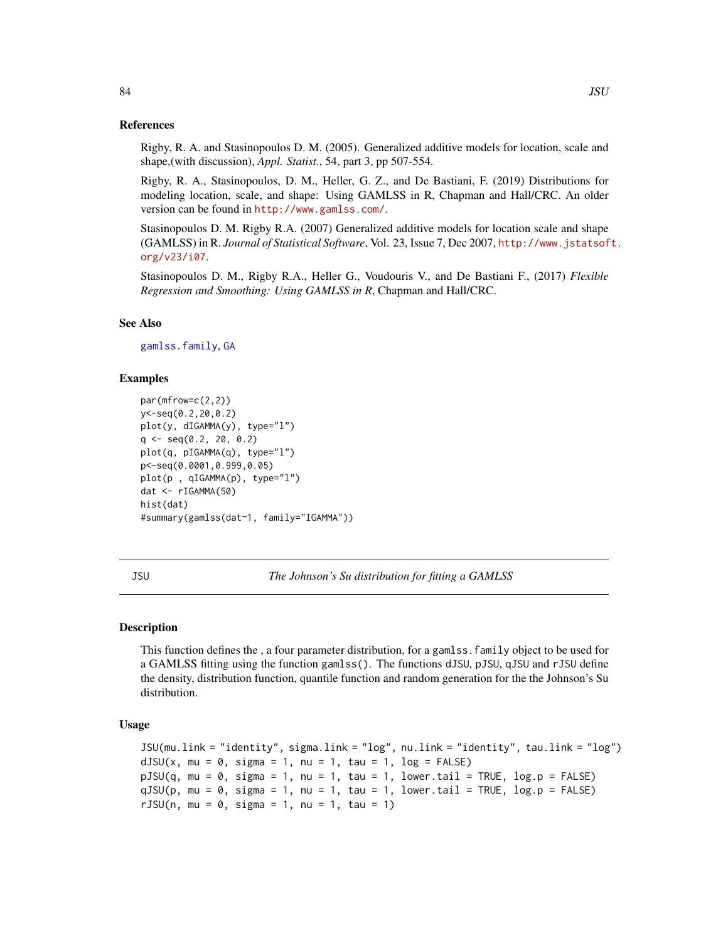#### References

Rigby, R. A. and Stasinopoulos D. M. (2005). Generalized additive models for location, scale and shape,(with discussion), *Appl. Statist.*, 54, part 3, pp 507-554.

Rigby, R. A., Stasinopoulos, D. M., Heller, G. Z., and De Bastiani, F. (2019) Distributions for modeling location, scale, and shape: Using GAMLSS in R, Chapman and Hall/CRC. An older version can be found in <http://www.gamlss.com/>.

Stasinopoulos D. M. Rigby R.A. (2007) Generalized additive models for location scale and shape (GAMLSS) in R. *Journal of Statistical Software*, Vol. 23, Issue 7, Dec 2007, [http://www.jstatsof](http://www.jstatsoft.org/v23/i07)t. [org/v23/i07](http://www.jstatsoft.org/v23/i07).

Stasinopoulos D. M., Rigby R.A., Heller G., Voudouris V., and De Bastiani F., (2017) *Flexible Regression and Smoothing: Using GAMLSS in R*, Chapman and Hall/CRC.

#### See Also

[gamlss.family](#page-57-0), [GA](#page-53-0)

## Examples

```
par(mfrow=c(2,2))
y<-seq(0.2,20,0.2)
plot(y, dIGAMMA(y), type="l")
q \leq -\text{seq}(0.2, 20, 0.2)plot(q, pIGAMMA(q), type="l")
p<-seq(0.0001,0.999,0.05)
plot(p , qIGAMMA(p), type="l")
dat <- rIGAMMA(50)
hist(dat)
#summary(gamlss(dat~1, family="IGAMMA"))
```
<span id="page-83-0"></span>JSU *The Johnson's Su distribution for fitting a GAMLSS*

#### Description

This function defines the , a four parameter distribution, for a gamlss.family object to be used for a GAMLSS fitting using the function gamlss(). The functions dJSU, pJSU, qJSU and rJSU define the density, distribution function, quantile function and random generation for the the Johnson's Su distribution.

#### Usage

```
JSU(mu.link = "identity", sigma.link = "log", nu.link = "identity", tau.link = "log")
dJSU(x, mu = 0, sigma = 1, nu = 1, tau = 1, log = FALSE)pJSU(q, mu = 0, sigma = 1, nu = 1, tau = 1, lowertail = TRUE, log.p = FALSE)
qJSU(p, mu = 0, sigma = 1, nu = 1, tau = 1, lowertail = TRUE, log.p = FALSE)
rJSU(n, mu = 0, sigma = 1, nu = 1, tau = 1)
```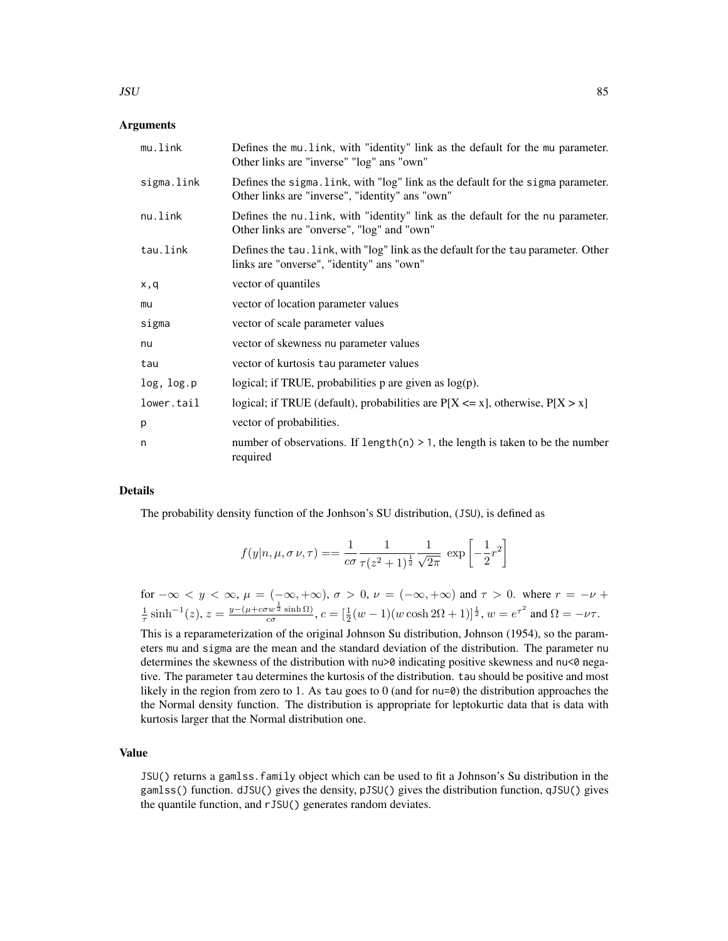#### $JSU$  85

## **Arguments**

| mu.link    | Defines the mu. link, with "identity" link as the default for the mu parameter.<br>Other links are "inverse" "log" ans "own"        |
|------------|-------------------------------------------------------------------------------------------------------------------------------------|
| sigma.link | Defines the sigma. link, with "log" link as the default for the sigma parameter.<br>Other links are "inverse", "identity" ans "own" |
| nu.link    | Defines the nu. link, with "identity" link as the default for the nu parameter.<br>Other links are "onverse", "log" and "own"       |
| tau.link   | Defines the tau. Link, with "log" link as the default for the tau parameter. Other<br>links are "onverse", "identity" ans "own"     |
| x,q        | vector of quantiles                                                                                                                 |
| mu         | vector of location parameter values                                                                                                 |
| sigma      | vector of scale parameter values                                                                                                    |
| nu         | vector of skewness nu parameter values                                                                                              |
| tau        | vector of kurtosis tau parameter values                                                                                             |
| log, log.p | logical; if TRUE, probabilities $p$ are given as $log(p)$ .                                                                         |
| lower.tail | logical; if TRUE (default), probabilities are $P[X \le x]$ , otherwise, $P[X > x]$                                                  |
| p          | vector of probabilities.                                                                                                            |
| n          | number of observations. If length $(n) > 1$ , the length is taken to be the number<br>required                                      |

## Details

The probability density function of the Jonhson's SU distribution, (JSU), is defined as

$$
f(y|n, \mu, \sigma \nu, \tau) = \frac{1}{c\sigma} \frac{1}{\tau (z^2 + 1)^{\frac{1}{2}}} \frac{1}{\sqrt{2\pi}} \exp \left[-\frac{1}{2}r^2\right]
$$

for 
$$
-\infty < y < \infty
$$
,  $\mu = (-\infty, +\infty)$ ,  $\sigma > 0$ ,  $\nu = (-\infty, +\infty)$  and  $\tau > 0$ . where  $r = -\nu + \frac{1}{\tau} \sinh^{-1}(z)$ ,  $z = \frac{y - (\mu + c\sigma w^{\frac{1}{2}} \sinh \Omega)}{c\sigma}$ ,  $c = [\frac{1}{2}(w - 1)(w \cosh 2\Omega + 1)]^{\frac{1}{2}}$ ,  $w = e^{\tau^2}$  and  $\Omega = -\nu\tau$ .

This is a reparameterization of the original Johnson Su distribution, Johnson (1954), so the parameters mu and sigma are the mean and the standard deviation of the distribution. The parameter nu determines the skewness of the distribution with nu>0 indicating positive skewness and nu<0 negative. The parameter tau determines the kurtosis of the distribution. tau should be positive and most likely in the region from zero to 1. As tau goes to 0 (and for nu=0) the distribution approaches the the Normal density function. The distribution is appropriate for leptokurtic data that is data with kurtosis larger that the Normal distribution one.

# Value

JSU() returns a gamlss.family object which can be used to fit a Johnson's Su distribution in the gamlss() function. dJSU() gives the density, pJSU() gives the distribution function, qJSU() gives the quantile function, and rJSU() generates random deviates.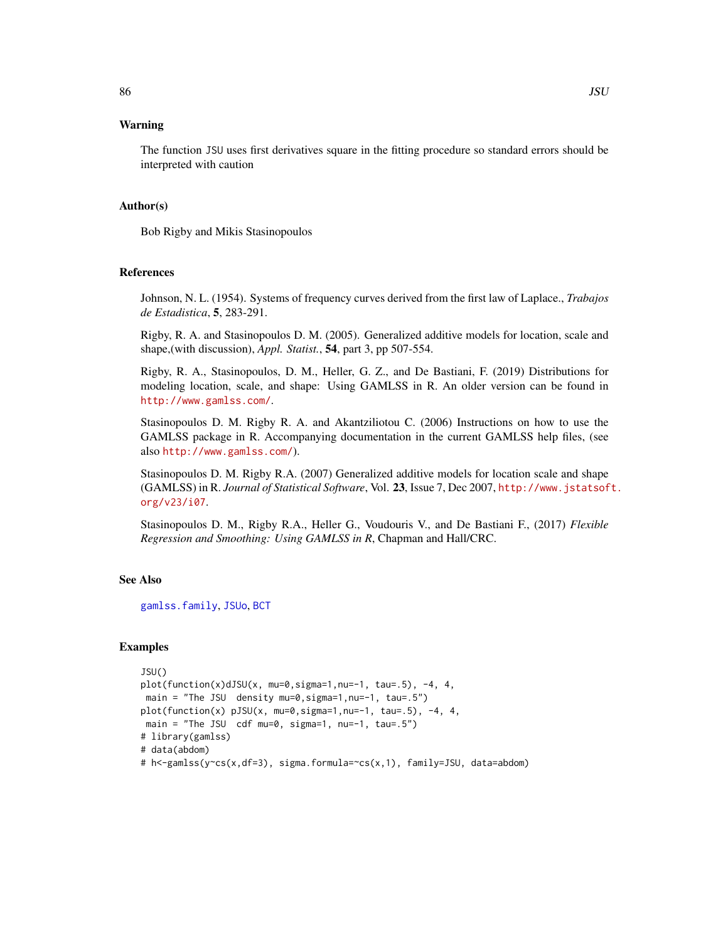## Warning

The function JSU uses first derivatives square in the fitting procedure so standard errors should be interpreted with caution

### Author(s)

Bob Rigby and Mikis Stasinopoulos

### References

Johnson, N. L. (1954). Systems of frequency curves derived from the first law of Laplace., *Trabajos de Estadistica*, 5, 283-291.

Rigby, R. A. and Stasinopoulos D. M. (2005). Generalized additive models for location, scale and shape,(with discussion), *Appl. Statist.*, 54, part 3, pp 507-554.

Rigby, R. A., Stasinopoulos, D. M., Heller, G. Z., and De Bastiani, F. (2019) Distributions for modeling location, scale, and shape: Using GAMLSS in R. An older version can be found in <http://www.gamlss.com/>.

Stasinopoulos D. M. Rigby R. A. and Akantziliotou C. (2006) Instructions on how to use the GAMLSS package in R. Accompanying documentation in the current GAMLSS help files, (see also <http://www.gamlss.com/>).

Stasinopoulos D. M. Rigby R.A. (2007) Generalized additive models for location scale and shape (GAMLSS) in R. *Journal of Statistical Software*, Vol. 23, Issue 7, Dec 2007, [http://www.jstatsof](http://www.jstatsoft.org/v23/i07)t. [org/v23/i07](http://www.jstatsoft.org/v23/i07).

Stasinopoulos D. M., Rigby R.A., Heller G., Voudouris V., and De Bastiani F., (2017) *Flexible Regression and Smoothing: Using GAMLSS in R*, Chapman and Hall/CRC.

## See Also

[gamlss.family](#page-57-0), [JSUo](#page-86-0), [BCT](#page-15-0)

# Examples

```
JSU()
plot(function(x)dJSU(x, mu=0,sigma=1,nu=-1, tau=.5), -4, 4,
main = "The JSU density mu=0,sigma=1,nu=-1, tau=.5")
plot(function(x) pJSU(x, mu=0,sigma=1,nu=-1, tau=.5), -4, 4,
main = "The JSU cdf mu=0, sigma=1, nu=-1, tau=.5")
# library(gamlss)
# data(abdom)
# h<-gamlss(y~cs(x,df=3), sigma.formula=~cs(x,1), family=JSU, data=abdom)
```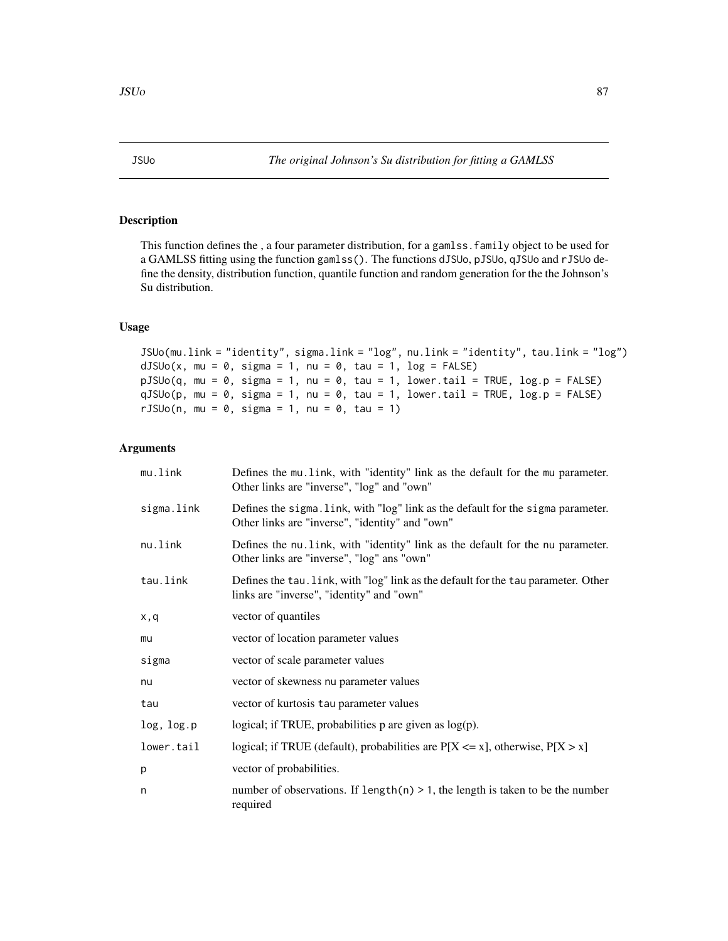# <span id="page-86-0"></span>Description

This function defines the , a four parameter distribution, for a gamlss.family object to be used for a GAMLSS fitting using the function gamlss(). The functions dJSUo, pJSUo, qJSUo and rJSUo define the density, distribution function, quantile function and random generation for the the Johnson's Su distribution.

# Usage

```
JSUo(mu.link = "identity", sigma.link = "log", nu.link = "identity", tau.link = "log")
dJSUo(x, mu = 0, sigma = 1, nu = 0, tau = 1, log = FALSE)pJSUo(q, mu = 0, sigma = 1, nu = 0, tau = 1, lowertail = TRUE, log.p = FALSE)qJSUo(p, mu = 0, sigma = 1, nu = 0, tau = 1, lowertail = TRUE, log.p = FALSE)
rJSUo(n, mu = 0, sigma = 1, nu = 0, tau = 1)
```
## Arguments

| mu.link    | Defines the mu. link, with "identity" link as the default for the mu parameter.<br>Other links are "inverse", "log" and "own"       |
|------------|-------------------------------------------------------------------------------------------------------------------------------------|
| sigma.link | Defines the sigma. Link, with "log" link as the default for the sigma parameter.<br>Other links are "inverse", "identity" and "own" |
| nu.link    | Defines the nu. link, with "identity" link as the default for the nu parameter.<br>Other links are "inverse", "log" ans "own"       |
| tau.link   | Defines the tau. link, with "log" link as the default for the tau parameter. Other<br>links are "inverse", "identity" and "own"     |
| x,q        | vector of quantiles                                                                                                                 |
| mu         | vector of location parameter values                                                                                                 |
| sigma      | vector of scale parameter values                                                                                                    |
| nu         | vector of skewness nu parameter values                                                                                              |
| tau        | vector of kurtosis tau parameter values                                                                                             |
| log, log.p | logical; if TRUE, probabilities $p$ are given as $log(p)$ .                                                                         |
| lower.tail | logical; if TRUE (default), probabilities are $P[X \le x]$ , otherwise, $P[X > x]$                                                  |
| p          | vector of probabilities.                                                                                                            |
| n          | number of observations. If length(n) $> 1$ , the length is taken to be the number<br>required                                       |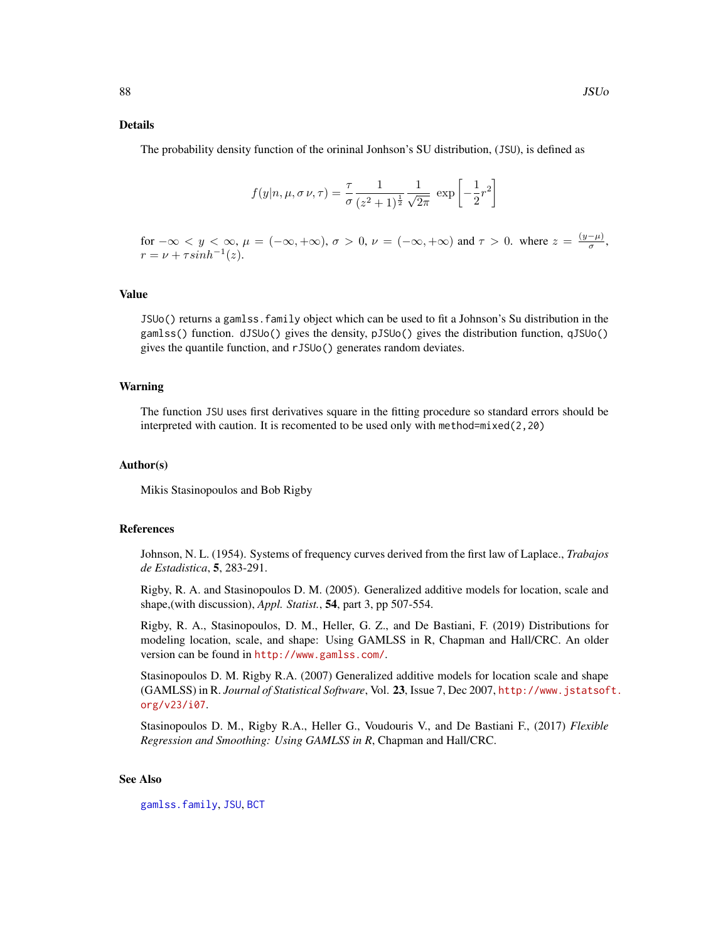#### Details

The probability density function of the orininal Jonhson's SU distribution, (JSU), is defined as

$$
f(y|n, \mu, \sigma \nu, \tau) = \frac{\tau}{\sigma} \frac{1}{(z^2 + 1)^{\frac{1}{2}}} \frac{1}{\sqrt{2\pi}} \exp\left[-\frac{1}{2}r^2\right]
$$

for  $-\infty < y < \infty$ ,  $\mu = (-\infty, +\infty)$ ,  $\sigma > 0$ ,  $\nu = (-\infty, +\infty)$  and  $\tau > 0$ . where  $z = \frac{(y-\mu)}{\sigma}$  $\frac{-\mu_j}{\sigma},$  $r = \nu + \tau sinh^{-1}(z).$ 

#### Value

JSUo() returns a gamlss.family object which can be used to fit a Johnson's Su distribution in the gamlss() function. dJSUo() gives the density, pJSUo() gives the distribution function, qJSUo() gives the quantile function, and rJSUo() generates random deviates.

#### Warning

The function JSU uses first derivatives square in the fitting procedure so standard errors should be interpreted with caution. It is recomented to be used only with method=mixed(2,20)

#### Author(s)

Mikis Stasinopoulos and Bob Rigby

## References

Johnson, N. L. (1954). Systems of frequency curves derived from the first law of Laplace., *Trabajos de Estadistica*, 5, 283-291.

Rigby, R. A. and Stasinopoulos D. M. (2005). Generalized additive models for location, scale and shape,(with discussion), *Appl. Statist.*, 54, part 3, pp 507-554.

Rigby, R. A., Stasinopoulos, D. M., Heller, G. Z., and De Bastiani, F. (2019) Distributions for modeling location, scale, and shape: Using GAMLSS in R, Chapman and Hall/CRC. An older version can be found in <http://www.gamlss.com/>.

Stasinopoulos D. M. Rigby R.A. (2007) Generalized additive models for location scale and shape (GAMLSS) in R. *Journal of Statistical Software*, Vol. 23, Issue 7, Dec 2007, [http://www.jstatsof](http://www.jstatsoft.org/v23/i07)t. [org/v23/i07](http://www.jstatsoft.org/v23/i07).

Stasinopoulos D. M., Rigby R.A., Heller G., Voudouris V., and De Bastiani F., (2017) *Flexible Regression and Smoothing: Using GAMLSS in R*, Chapman and Hall/CRC.

### See Also

[gamlss.family](#page-57-0), [JSU](#page-83-0), [BCT](#page-15-0)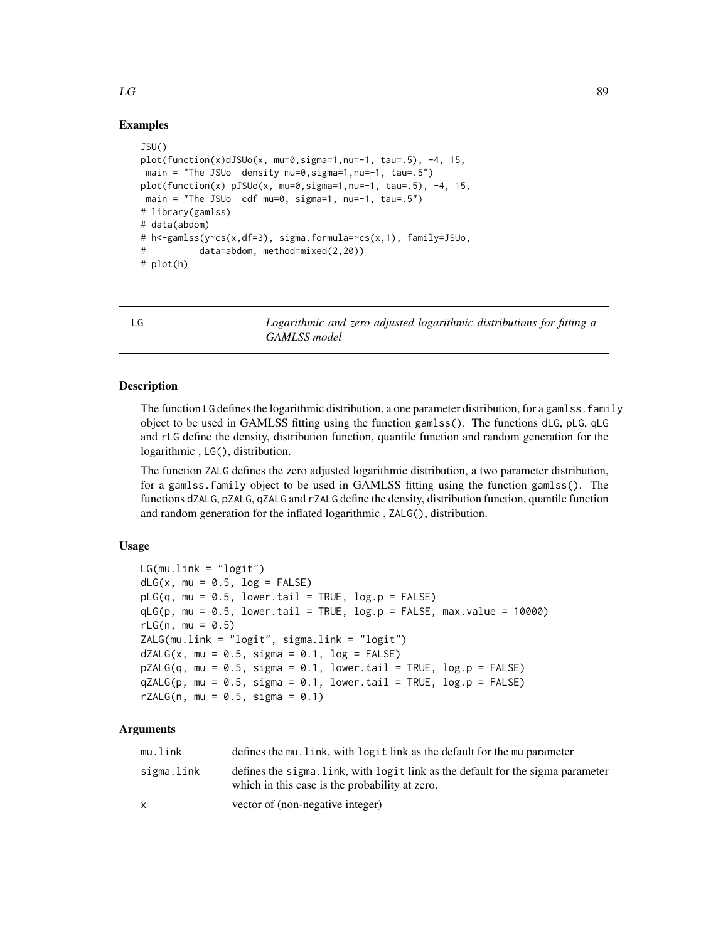# $LG$  89

# Examples

```
JSU()
plot(function(x)dJSUo(x, mu=0, sigma=1, nu=-1, tau=.5), -4, 15,main = "The JSUo density mu=0, sigma=1, nu=-1, tau=.5")
plot(function(x) pJSUo(x, mu=0, sigma=1, nu=-1, tau=.5), -4, 15,main = "The JSUo cdf mu=0, sigma=1, nu=-1, tau=.5")
# library(gamlss)
# data(abdom)
# h<-gamlss(y~cs(x,df=3), sigma.formula=~cs(x,1), family=JSUo,
# data=abdom, method=mixed(2,20))
# plot(h)
```
LG *Logarithmic and zero adjusted logarithmic distributions for fitting a GAMLSS model*

# Description

The function LG defines the logarithmic distribution, a one parameter distribution, for a gamlss. family object to be used in GAMLSS fitting using the function gamlss(). The functions dLG, pLG, qLG and rLG define the density, distribution function, quantile function and random generation for the logarithmic , LG(), distribution.

The function ZALG defines the zero adjusted logarithmic distribution, a two parameter distribution, for a gamlss.family object to be used in GAMLSS fitting using the function gamlss(). The functions dZALG, pZALG, qZALG and rZALG define the density, distribution function, quantile function and random generation for the inflated logarithmic , ZALG(), distribution.

## Usage

```
LG(mu.link = "logit")dLG(x, mu = 0.5, log = FALSE)pLG(q, mu = 0.5, lower.tail = TRUE, log.p = FALSE)qLG(p, mu = 0.5, lower.tail = TRUE, log.p = FALSE, max.value = 10000)rLG(n, mu = 0.5)ZALG(mu.link = "logit", sigma.link = "logit")
dZALG(x, mu = 0.5, sigma = 0.1, log = FALSE)pZALG(q, mu = 0.5, sigma = 0.1, lowertail = TRUE, <math>log.p = FALSE)
qZALG(p, mu = 0.5, sigma = 0.1, lower[allerage ] TRUE, <math>log.p = FALSE)
rZALG(n, mu = 0.5, sigma = 0.1)
```
## **Arguments**

| mu.link    | defines the mu. link, with logit link as the default for the mu parameter                                                         |
|------------|-----------------------------------------------------------------------------------------------------------------------------------|
| sigma.link | defines the sigma. Link, with logit link as the default for the sigma parameter<br>which in this case is the probability at zero. |
|            | vector of (non-negative integer)                                                                                                  |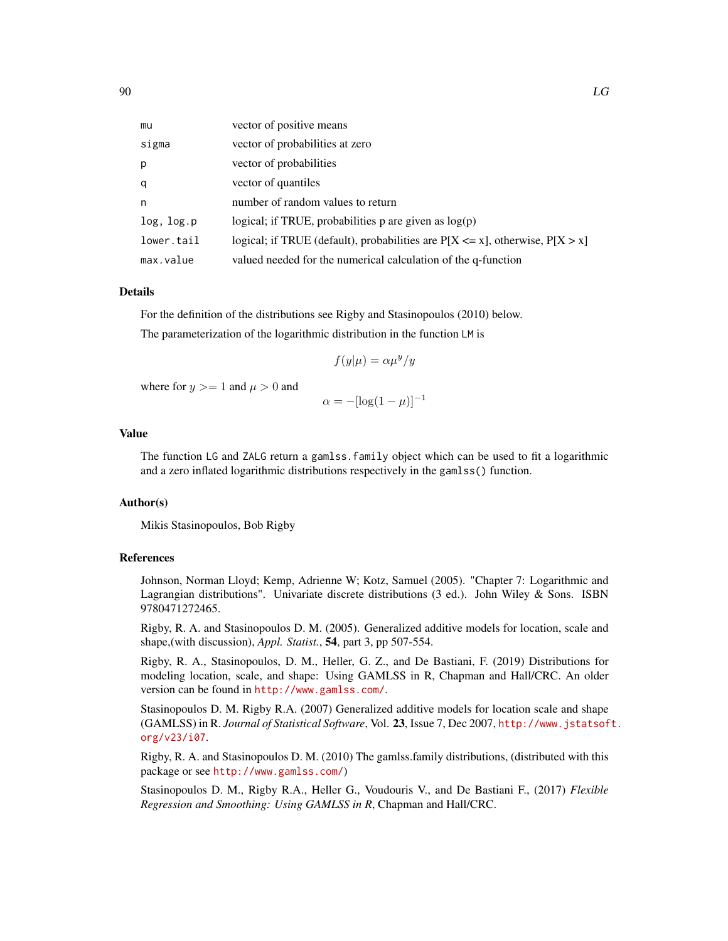| mu         | vector of positive means                                                           |
|------------|------------------------------------------------------------------------------------|
| sigma      | vector of probabilities at zero                                                    |
| p          | vector of probabilities                                                            |
| q          | vector of quantiles                                                                |
| n          | number of random values to return                                                  |
| log, log.p | logical; if TRUE, probabilities p are given as $log(p)$                            |
| lower.tail | logical; if TRUE (default), probabilities are $P[X \le x]$ , otherwise, $P[X > x]$ |
| max.value  | valued needed for the numerical calculation of the q-function                      |

#### Details

For the definition of the distributions see Rigby and Stasinopoulos (2010) below. The parameterization of the logarithmic distribution in the function LM is

$$
f(y|\mu) = \alpha \mu^y/y
$$

where for  $y \geq 1$  and  $\mu > 0$  and

$$
\alpha = -[\log(1 - \mu)]^{-1}
$$

## Value

The function LG and ZALG return a gamlss.family object which can be used to fit a logarithmic and a zero inflated logarithmic distributions respectively in the gamlss() function.

## Author(s)

Mikis Stasinopoulos, Bob Rigby

#### **References**

Johnson, Norman Lloyd; Kemp, Adrienne W; Kotz, Samuel (2005). "Chapter 7: Logarithmic and Lagrangian distributions". Univariate discrete distributions (3 ed.). John Wiley & Sons. ISBN 9780471272465.

Rigby, R. A. and Stasinopoulos D. M. (2005). Generalized additive models for location, scale and shape,(with discussion), *Appl. Statist.*, 54, part 3, pp 507-554.

Rigby, R. A., Stasinopoulos, D. M., Heller, G. Z., and De Bastiani, F. (2019) Distributions for modeling location, scale, and shape: Using GAMLSS in R, Chapman and Hall/CRC. An older version can be found in <http://www.gamlss.com/>.

Stasinopoulos D. M. Rigby R.A. (2007) Generalized additive models for location scale and shape (GAMLSS) in R. *Journal of Statistical Software*, Vol. 23, Issue 7, Dec 2007, [http://www.jstatsof](http://www.jstatsoft.org/v23/i07)t. [org/v23/i07](http://www.jstatsoft.org/v23/i07).

Rigby, R. A. and Stasinopoulos D. M. (2010) The gamlss.family distributions, (distributed with this package or see <http://www.gamlss.com/>)

Stasinopoulos D. M., Rigby R.A., Heller G., Voudouris V., and De Bastiani F., (2017) *Flexible Regression and Smoothing: Using GAMLSS in R*, Chapman and Hall/CRC.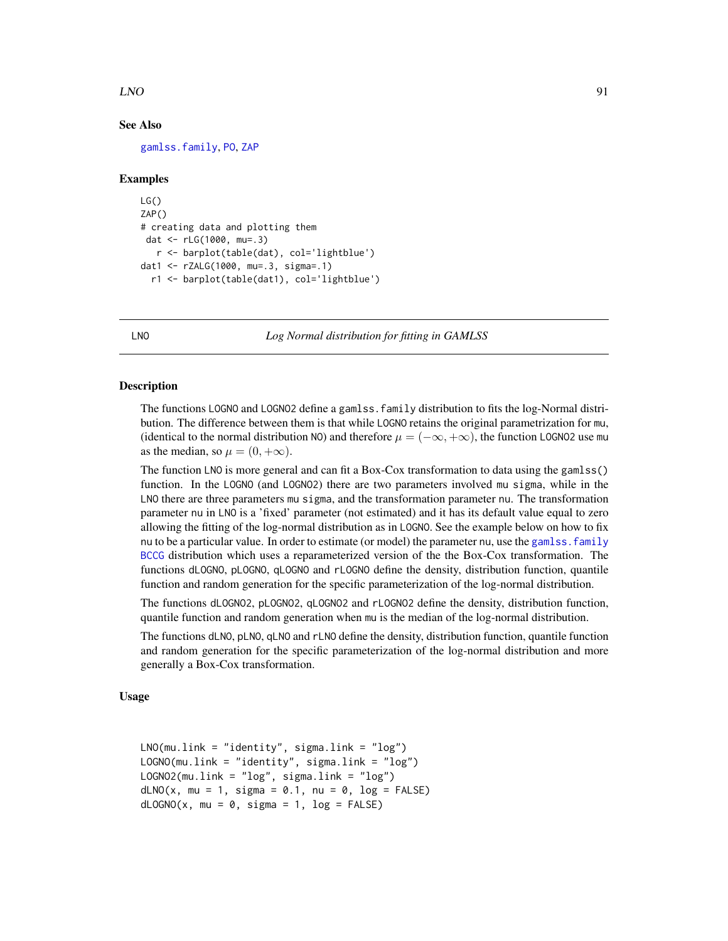#### $LNO$  91

# See Also

[gamlss.family](#page-57-0), [PO](#page-129-0), [ZAP](#page-179-0)

#### Examples

```
LG()ZAP()
# creating data and plotting them
dat <- rLG(1000, mu=.3)
  r <- barplot(table(dat), col='lightblue')
dat1 <- rZALG(1000, mu=.3, sigma=.1)
 r1 <- barplot(table(dat1), col='lightblue')
```
LNO *Log Normal distribution for fitting in GAMLSS*

# <span id="page-90-0"></span>**Description**

The functions LOGNO and LOGNO2 define a gamlss.family distribution to fits the log-Normal distribution. The difference between them is that while LOGNO retains the original parametrization for mu, (identical to the normal distribution NO) and therefore  $\mu = (-\infty, +\infty)$ , the function LOGNO2 use mu as the median, so  $\mu = (0, +\infty)$ .

The function LNO is more general and can fit a Box-Cox transformation to data using the gamlss() function. In the LOGNO (and LOGNO2) there are two parameters involved mu sigma, while in the LNO there are three parameters mu sigma, and the transformation parameter nu. The transformation parameter nu in LNO is a 'fixed' parameter (not estimated) and it has its default value equal to zero allowing the fitting of the log-normal distribution as in LOGNO. See the example below on how to fix nu to be a particular value. In order to estimate (or model) the parameter nu, use the gamlss. family [BCCG](#page-9-0) distribution which uses a reparameterized version of the the Box-Cox transformation. The functions dLOGNO, pLOGNO, qLOGNO and rLOGNO define the density, distribution function, quantile function and random generation for the specific parameterization of the log-normal distribution.

The functions dLOGNO2, pLOGNO2, qLOGNO2 and rLOGNO2 define the density, distribution function, quantile function and random generation when mu is the median of the log-normal distribution.

The functions dLNO, pLNO, qLNO and rLNO define the density, distribution function, quantile function and random generation for the specific parameterization of the log-normal distribution and more generally a Box-Cox transformation.

#### Usage

```
LNO(mu.link = "identity", sigma.link = "log")
LOGNO(mu.link = "identity", sigma.link = "log")LOGNO2(mu.link = "log", sigma.link = "log")dLNO(x, mu = 1, sigma = 0.1, nu = 0, log = FALSE)dLOGNO(x, mu = 0, sigma = 1, log = FALSE)
```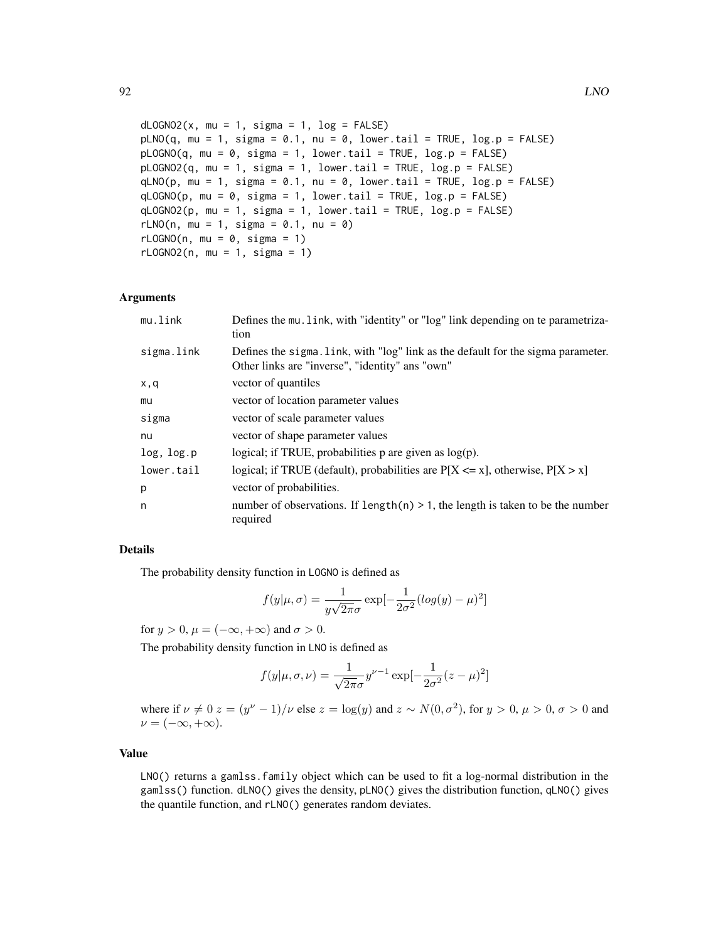```
dLOGNO2(x, mu = 1, sigma = 1, log = FALSE)pLNO(q, mu = 1, sigma = 0.1, nu = 0, lowertail = TRUE, log.p = FALSE)pLOGNO(q, mu = 0, sigma = 1, lower.tail = TRUE, log.p = FALSE)pLOGNO2(q, mu = 1, sigma = 1, lower.tail = TRUE, log.p = FALSE)qLNO(p, mu = 1, sigma = 0.1, nu = 0, lower.tail = TRUE, log.p = FALSE)qLOGNO(p, mu = 0, sigma = 1, lower.tail = TRUE, log.p = FALSE)
qLOGNO2(p, mu = 1, sigma = 1, lower.tail = TRUE, log.p = FALSE)
rLNO(n, mu = 1, sigma = 0.1, nu = 0)rLOGNO(n, mu = 0, sigma = 1)
rLOGNO2(n, mu = 1, sigma = 1)
```
## Arguments

| mu.link    | Defines the mu. link, with "identity" or "log" link depending on te parametriza-<br>tion                                            |
|------------|-------------------------------------------------------------------------------------------------------------------------------------|
| sigma.link | Defines the sigma. link, with "log" link as the default for the sigma parameter.<br>Other links are "inverse", "identity" ans "own" |
| x,q        | vector of quantiles                                                                                                                 |
| mu         | vector of location parameter values                                                                                                 |
| sigma      | vector of scale parameter values                                                                                                    |
| nu         | vector of shape parameter values                                                                                                    |
| log, log.p | logical; if TRUE, probabilities $p$ are given as $log(p)$ .                                                                         |
| lower.tail | logical; if TRUE (default), probabilities are $P[X \le x]$ , otherwise, $P[X > x]$                                                  |
| p          | vector of probabilities.                                                                                                            |
| n          | number of observations. If $length(n) > 1$ , the length is taken to be the number<br>required                                       |

# Details

The probability density function in LOGNO is defined as

$$
f(y|\mu,\sigma) = \frac{1}{y\sqrt{2\pi}\sigma} \exp[-\frac{1}{2\sigma^2}(\log(y) - \mu)^2]
$$

for  $y > 0$ ,  $\mu = (-\infty, +\infty)$  and  $\sigma > 0$ .

The probability density function in LNO is defined as

$$
f(y|\mu, \sigma, \nu) = \frac{1}{\sqrt{2\pi}\sigma} y^{\nu - 1} \exp[-\frac{1}{2\sigma^2}(z - \mu)^2]
$$

where if  $\nu \neq 0$   $z = (y^{\nu} - 1)/\nu$  else  $z = \log(y)$  and  $z \sim N(0, \sigma^2)$ , for  $y > 0$ ,  $\mu > 0$ ,  $\sigma > 0$  and  $\nu = (-\infty, +\infty).$ 

# Value

LNO() returns a gamlss.family object which can be used to fit a log-normal distribution in the gamlss() function. dLNO() gives the density, pLNO() gives the distribution function, qLNO() gives the quantile function, and rLNO() generates random deviates.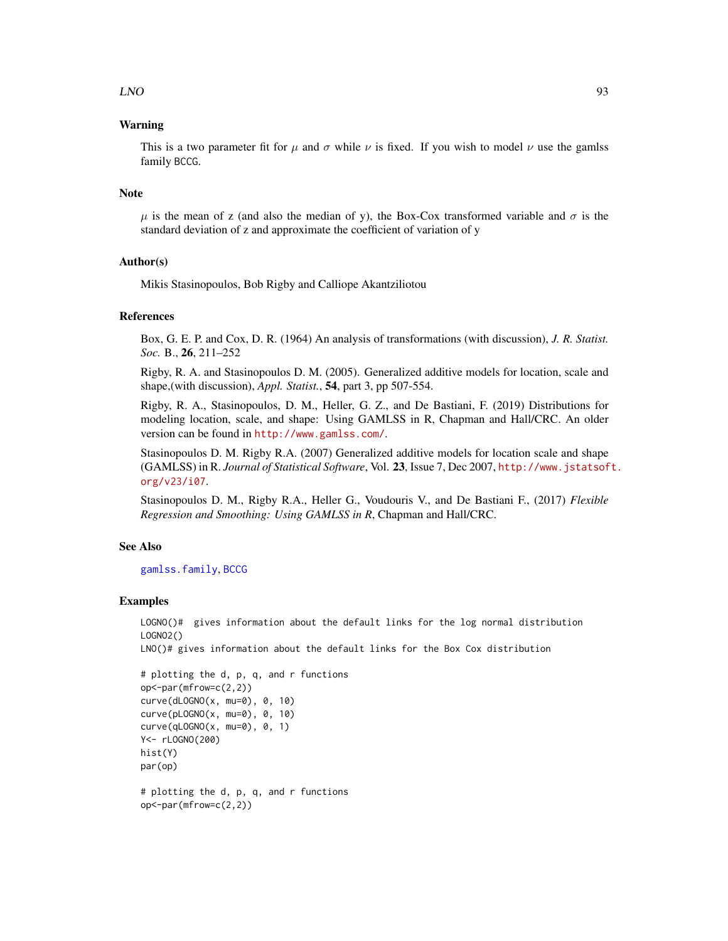## $LNO$  93

## Warning

This is a two parameter fit for  $\mu$  and  $\sigma$  while  $\nu$  is fixed. If you wish to model  $\nu$  use the gamlss family BCCG.

#### **Note**

 $\mu$  is the mean of z (and also the median of y), the Box-Cox transformed variable and  $\sigma$  is the standard deviation of z and approximate the coefficient of variation of y

# Author(s)

Mikis Stasinopoulos, Bob Rigby and Calliope Akantziliotou

#### References

Box, G. E. P. and Cox, D. R. (1964) An analysis of transformations (with discussion), *J. R. Statist. Soc.* B., 26, 211–252

Rigby, R. A. and Stasinopoulos D. M. (2005). Generalized additive models for location, scale and shape,(with discussion), *Appl. Statist.*, 54, part 3, pp 507-554.

Rigby, R. A., Stasinopoulos, D. M., Heller, G. Z., and De Bastiani, F. (2019) Distributions for modeling location, scale, and shape: Using GAMLSS in R, Chapman and Hall/CRC. An older version can be found in <http://www.gamlss.com/>.

Stasinopoulos D. M. Rigby R.A. (2007) Generalized additive models for location scale and shape (GAMLSS) in R. *Journal of Statistical Software*, Vol. 23, Issue 7, Dec 2007, [http://www.jstatsof](http://www.jstatsoft.org/v23/i07)t. [org/v23/i07](http://www.jstatsoft.org/v23/i07).

Stasinopoulos D. M., Rigby R.A., Heller G., Voudouris V., and De Bastiani F., (2017) *Flexible Regression and Smoothing: Using GAMLSS in R*, Chapman and Hall/CRC.

# See Also

[gamlss.family](#page-57-0), [BCCG](#page-9-0)

#### Examples

```
LOGNO()# gives information about the default links for the log normal distribution
LOGNO2()
```
LNO()# gives information about the default links for the Box Cox distribution

```
# plotting the d, p, q, and r functions
op<-par(mfrow=c(2,2))
curve(dLOGNO(x, mu=0), 0, 10)
curve(pLOGNO(x, mu=0), 0, 10)
curve(qLOGNO(x, mu=0), 0, 1)
Y<- rLOGNO(200)
hist(Y)
par(op)
# plotting the d, p, q, and r functions
op<-par(mfrow=c(2,2))
```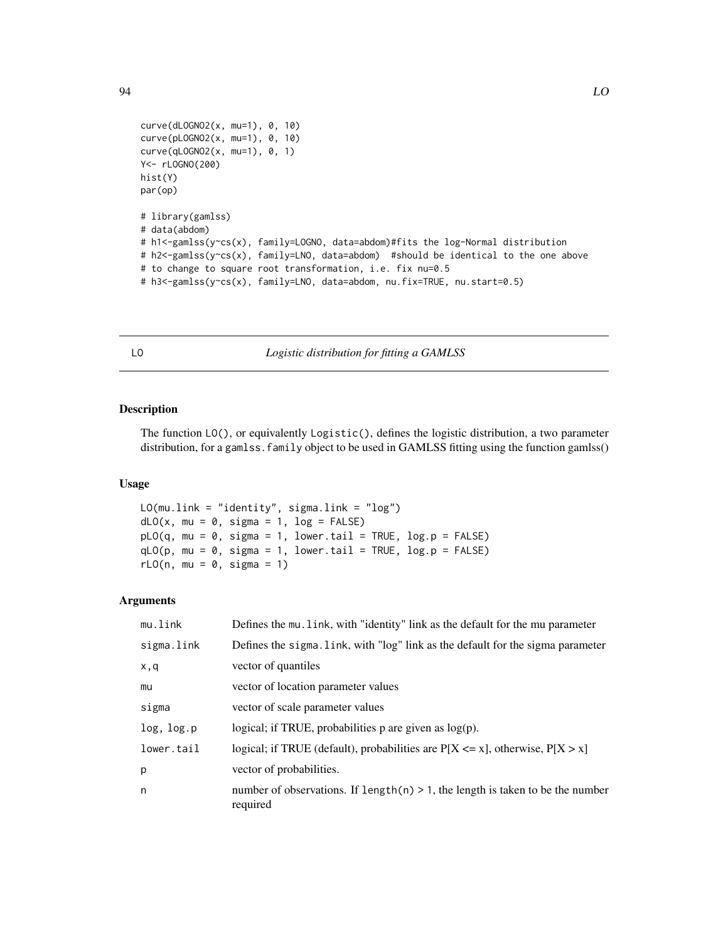```
curve(dLOGNO2(x, mu=1), 0, 10)
curve(pLOGNO2(x, mu=1), 0, 10)
curve(qLOGNO2(x, mu=1), 0, 1)
Y<- rLOGNO(200)
hist(Y)
par(op)
# library(gamlss)
# data(abdom)
# h1<-gamlss(y~cs(x), family=LOGNO, data=abdom)#fits the log-Normal distribution
# h2<-gamlss(y~cs(x), family=LNO, data=abdom) #should be identical to the one above
# to change to square root transformation, i.e. fix nu=0.5
# h3<-gamlss(y~cs(x), family=LNO, data=abdom, nu.fix=TRUE, nu.start=0.5)
```
LO *Logistic distribution for fitting a GAMLSS*

# Description

The function LO(), or equivalently Logistic(), defines the logistic distribution, a two parameter distribution, for a gamlss. family object to be used in GAMLSS fitting using the function gamlss()

# Usage

```
LO(mu.link = "identity", sigma.link = "log")
dLO(x, mu = 0, sigma = 1, log = FALSE)pLO(q, mu = 0, sigma = 1, lower.tail = TRUE, log.p = FALSE)qLO(p, mu = 0, sigma = 1, lowertail = TRUE, log.p = FALSE)
rLO(n, mu = 0, sigma = 1)
```
## Arguments

| mu.link    | Defines the mu. link, with "identity" link as the default for the mu parameter                |
|------------|-----------------------------------------------------------------------------------------------|
| sigma.link | Defines the sigma. Link, with "log" link as the default for the sigma parameter               |
| x,q        | vector of quantiles                                                                           |
| mu         | vector of location parameter values                                                           |
| sigma      | vector of scale parameter values                                                              |
| log, log.p | logical; if TRUE, probabilities $p$ are given as $log(p)$ .                                   |
| lower.tail | logical; if TRUE (default), probabilities are $P[X \le x]$ , otherwise, $P[X > x]$            |
| p          | vector of probabilities.                                                                      |
| n          | number of observations. If $length(n) > 1$ , the length is taken to be the number<br>required |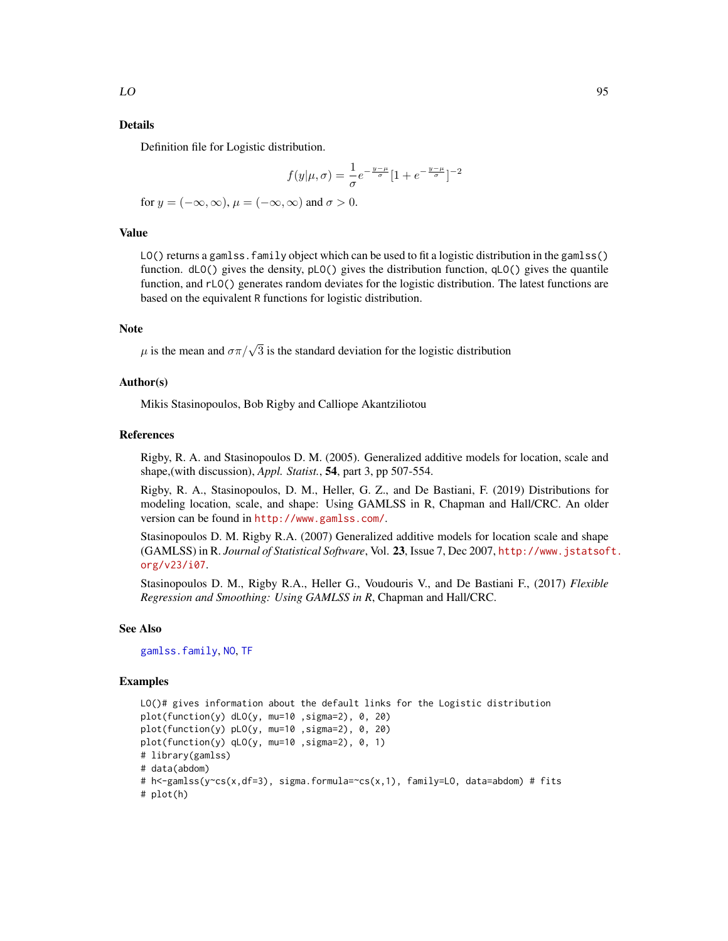#### Details

Definition file for Logistic distribution.

$$
f(y|\mu,\sigma)=\frac{1}{\sigma}e^{-\frac{y-\mu}{\sigma}}[1+e^{-\frac{y-\mu}{\sigma}}]^{-2}
$$
 for  $y=(-\infty,\infty),\,\mu=(-\infty,\infty)$  and  $\sigma>0.$ 

#### Value

LO() returns a gamlss. family object which can be used to fit a logistic distribution in the gamlss() function. dLO() gives the density, pLO() gives the distribution function, qLO() gives the quantile function, and rLO() generates random deviates for the logistic distribution. The latest functions are based on the equivalent R functions for logistic distribution.

#### **Note**

 $\mu$  is the mean and  $\sigma \pi / \sqrt{3}$  is the standard deviation for the logistic distribution

#### Author(s)

Mikis Stasinopoulos, Bob Rigby and Calliope Akantziliotou

#### References

Rigby, R. A. and Stasinopoulos D. M. (2005). Generalized additive models for location, scale and shape,(with discussion), *Appl. Statist.*, 54, part 3, pp 507-554.

Rigby, R. A., Stasinopoulos, D. M., Heller, G. Z., and De Bastiani, F. (2019) Distributions for modeling location, scale, and shape: Using GAMLSS in R, Chapman and Hall/CRC. An older version can be found in <http://www.gamlss.com/>.

Stasinopoulos D. M. Rigby R.A. (2007) Generalized additive models for location scale and shape (GAMLSS) in R. *Journal of Statistical Software*, Vol. 23, Issue 7, Dec 2007, [http://www.jstatsof](http://www.jstatsoft.org/v23/i07)t. [org/v23/i07](http://www.jstatsoft.org/v23/i07).

Stasinopoulos D. M., Rigby R.A., Heller G., Voudouris V., and De Bastiani F., (2017) *Flexible Regression and Smoothing: Using GAMLSS in R*, Chapman and Hall/CRC.

#### See Also

[gamlss.family](#page-57-0), [NO](#page-116-0), [TF](#page-157-0)

#### Examples

```
LO()# gives information about the default links for the Logistic distribution
plot(function(y) dLO(y, mu=10 ,sigma=2), 0, 20)
plot(function(y) pLO(y, mu=10 ,sigma=2), 0, 20)
plot(function(y) qLO(y, mu=10 ,sigma=2), 0, 1)
# library(gamlss)
# data(abdom)
# h<-gamlss(y~cs(x,df=3), sigma.formula=~cs(x,1), family=LO, data=abdom) # fits
# plot(h)
```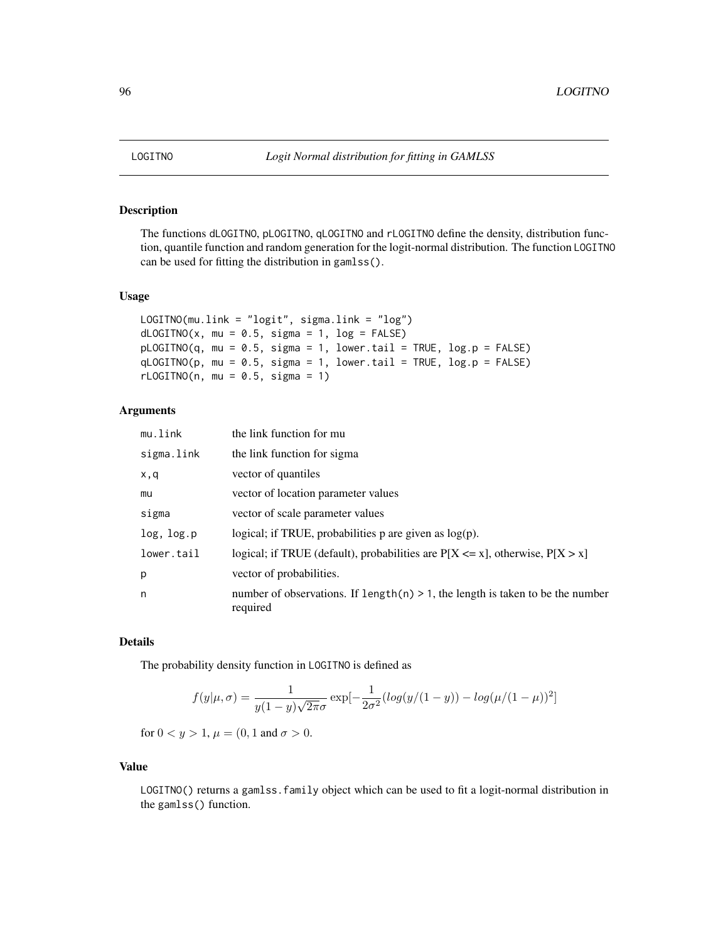# Description

The functions dLOGITNO, pLOGITNO, qLOGITNO and rLOGITNO define the density, distribution function, quantile function and random generation for the logit-normal distribution. The function LOGITNO can be used for fitting the distribution in gamlss().

#### Usage

```
LOGITNO(mu.link = "logit", sigma.link = "log")
dLOGITNO(x, mu = 0.5, sigma = 1, log = FALSE)pLOGITNO(q, mu = 0.5, sigma = 1, lower[a] = TRUE, log.p = FALSE)qLOGITNO(p, mu = 0.5, sigma = 1, lower.tail = TRUE, log.p = FALSE)
rLOGITNO(n, mu = 0.5, sigma = 1)
```
# Arguments

| mu.link    | the link function for mu                                                                      |
|------------|-----------------------------------------------------------------------------------------------|
| sigma.link | the link function for sigma                                                                   |
| x,q        | vector of quantiles                                                                           |
| mu         | vector of location parameter values                                                           |
| sigma      | vector of scale parameter values                                                              |
| log, log.p | logical; if TRUE, probabilities $p$ are given as $log(p)$ .                                   |
| lower.tail | logical; if TRUE (default), probabilities are $P[X \le x]$ , otherwise, $P[X > x]$            |
| p          | vector of probabilities.                                                                      |
| n          | number of observations. If length(n) $> 1$ , the length is taken to be the number<br>required |

## Details

The probability density function in LOGITNO is defined as

$$
f(y|\mu,\sigma) = \frac{1}{y(1-y)\sqrt{2\pi}\sigma} \exp[-\frac{1}{2\sigma^2}(\log(y/(1-y)) - \log(\mu/(1-\mu))^2]
$$

for  $0 < y > 1$ ,  $\mu = (0, 1 \text{ and } \sigma > 0$ .

## Value

LOGITNO() returns a gamlss.family object which can be used to fit a logit-normal distribution in the gamlss() function.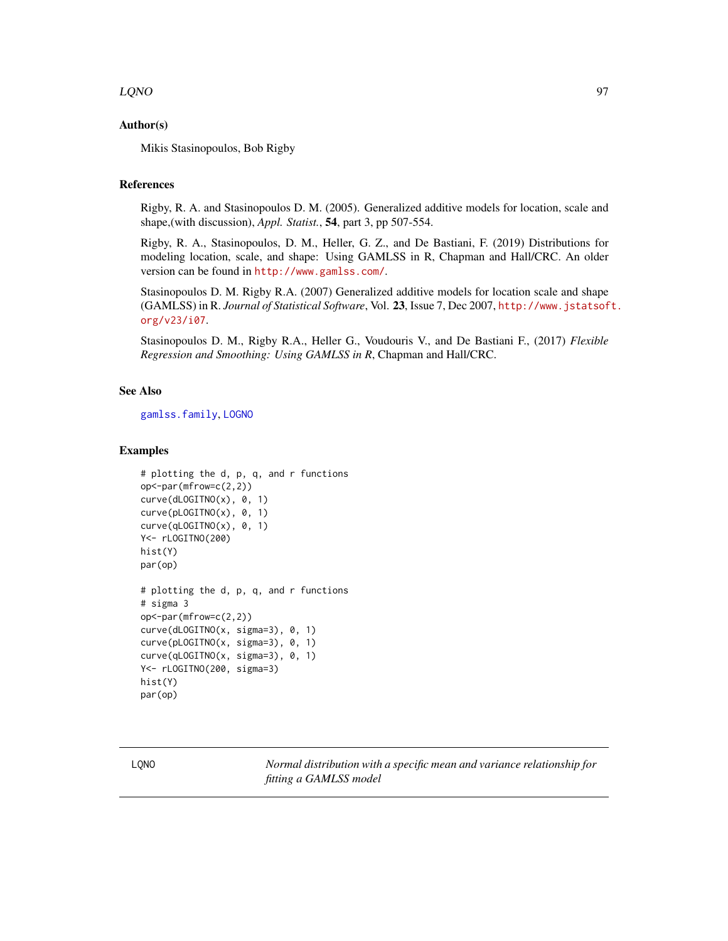## $LQNO$  97

## Author(s)

Mikis Stasinopoulos, Bob Rigby

## References

Rigby, R. A. and Stasinopoulos D. M. (2005). Generalized additive models for location, scale and shape,(with discussion), *Appl. Statist.*, 54, part 3, pp 507-554.

Rigby, R. A., Stasinopoulos, D. M., Heller, G. Z., and De Bastiani, F. (2019) Distributions for modeling location, scale, and shape: Using GAMLSS in R, Chapman and Hall/CRC. An older version can be found in <http://www.gamlss.com/>.

Stasinopoulos D. M. Rigby R.A. (2007) Generalized additive models for location scale and shape (GAMLSS) in R. *Journal of Statistical Software*, Vol. 23, Issue 7, Dec 2007, [http://www.jstatsof](http://www.jstatsoft.org/v23/i07)t. [org/v23/i07](http://www.jstatsoft.org/v23/i07).

Stasinopoulos D. M., Rigby R.A., Heller G., Voudouris V., and De Bastiani F., (2017) *Flexible Regression and Smoothing: Using GAMLSS in R*, Chapman and Hall/CRC.

## See Also

[gamlss.family](#page-57-0), [LOGNO](#page-90-0)

## Examples

```
# plotting the d, p, q, and r functions
op<-par(mfrow=c(2,2))
curve(dLOGITNO(x), 0, 1)
curve(pLOGITNO(x), 0, 1)
curve(qLOGITNO(x), 0, 1)
Y<- rLOGITNO(200)
hist(Y)
par(op)
# plotting the d, p, q, and r functions
# sigma 3
op<-par(mfrow=c(2,2))
curve(dLOGITNO(x, sigma=3), 0, 1)
curve(pLOGITNO(x, sigma=3), 0, 1)
curve(qLOGITNO(x, sigma=3), 0, 1)
Y<- rLOGITNO(200, sigma=3)
hist(Y)
par(op)
```
LQNO *Normal distribution with a specific mean and variance relationship for fitting a GAMLSS model*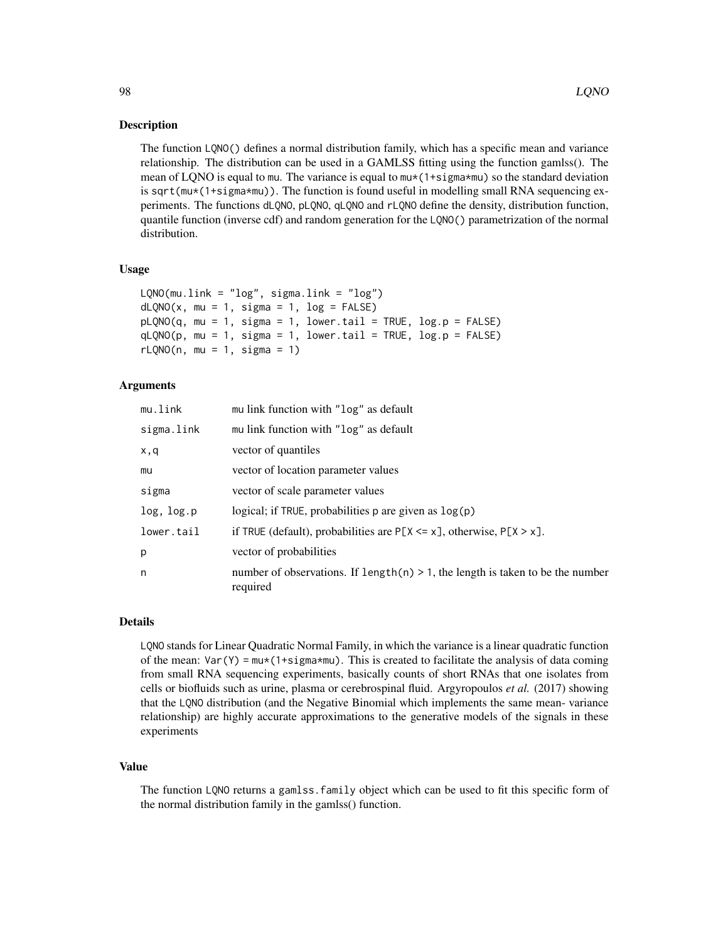#### **Description**

The function LQNO() defines a normal distribution family, which has a specific mean and variance relationship. The distribution can be used in a GAMLSS fitting using the function gamlss(). The mean of LQNO is equal to mu. The variance is equal to  $m \star (1+sigm^*$  so the standard deviation is sqrt(mu\*(1+sigma\*mu)). The function is found useful in modelling small RNA sequencing experiments. The functions dLQNO, pLQNO, qLQNO and rLQNO define the density, distribution function, quantile function (inverse cdf) and random generation for the LQNO() parametrization of the normal distribution.

#### Usage

```
LQNO(mu.link = "log", sigma.link = "log")
dLQNO(x, mu = 1, sigma = 1, log = FALSE)pLQNO(q, mu = 1, sigma = 1, lower.tail = TRUE, log.p = FALSE)qLQNO(p, mu = 1, sigma = 1, lower.tail = TRUE, log.p = FALSE)rLQNO(n, mu = 1, sigma = 1)
```
## Arguments

| mu.link    | mu link function with "log" as default                                                        |
|------------|-----------------------------------------------------------------------------------------------|
| sigma.link | mu link function with "log" as default                                                        |
| x,q        | vector of quantiles                                                                           |
| mu         | vector of location parameter values                                                           |
| sigma      | vector of scale parameter values                                                              |
| log, log.p | logical; if TRUE, probabilities $p$ are given as $log(p)$                                     |
| lower.tail | if TRUE (default), probabilities are $P[X \le x]$ , otherwise, $P[X > x]$ .                   |
| p          | vector of probabilities                                                                       |
| n          | number of observations. If length(n) $> 1$ , the length is taken to be the number<br>required |

#### Details

LQNO stands for Linear Quadratic Normal Family, in which the variance is a linear quadratic function of the mean:  $\text{Var}(Y) = \text{mix}(1 + \text{sigma} \cdot \text{min})$ . This is created to facilitate the analysis of data coming from small RNA sequencing experiments, basically counts of short RNAs that one isolates from cells or biofluids such as urine, plasma or cerebrospinal fluid. Argyropoulos *et al.* (2017) showing that the LQNO distribution (and the Negative Binomial which implements the same mean- variance relationship) are highly accurate approximations to the generative models of the signals in these experiments

## Value

The function LQNO returns a gamlss.family object which can be used to fit this specific form of the normal distribution family in the gamlss() function.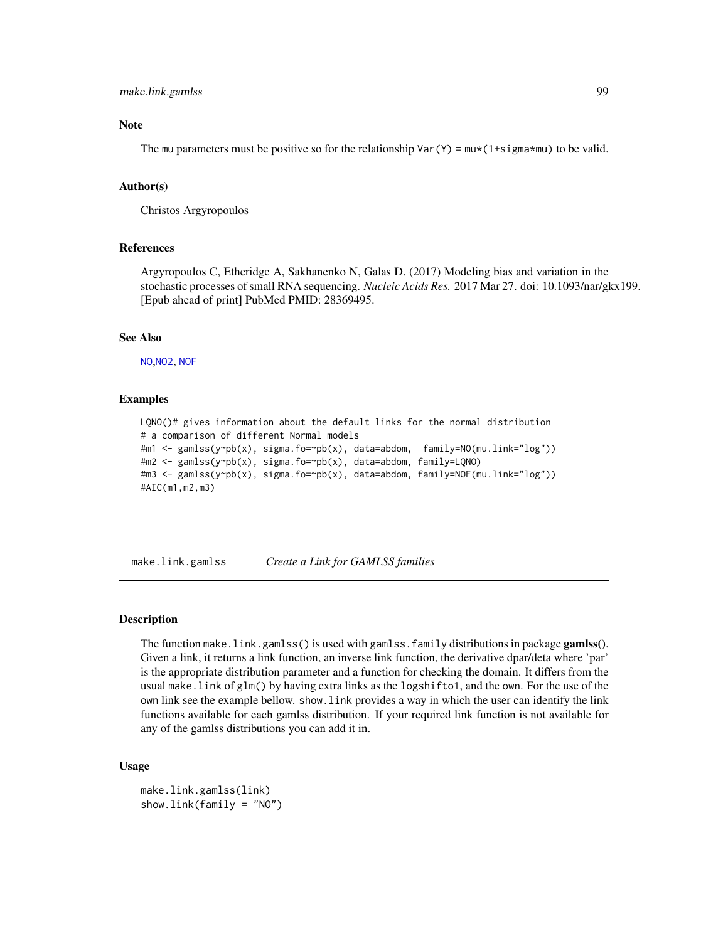## make.link.gamlss 99

#### **Note**

The mu parameters must be positive so for the relationship  $\text{Var}(Y) = \text{mix}(1+\text{sign}a*\text{mu})$  to be valid.

#### Author(s)

Christos Argyropoulos

#### References

Argyropoulos C, Etheridge A, Sakhanenko N, Galas D. (2017) Modeling bias and variation in the stochastic processes of small RNA sequencing. *Nucleic Acids Res.* 2017 Mar 27. doi: 10.1093/nar/gkx199. [Epub ahead of print] PubMed PMID: 28369495.

#### See Also

[NO](#page-116-0),[NO2](#page-118-0), [NOF](#page-120-0)

## Examples

```
LQNO()# gives information about the default links for the normal distribution
# a comparison of different Normal models
#m1 <- gamlss(y~pb(x), sigma.fo=~pb(x), data=abdom, family=NO(mu.link="log"))
#m2 <- gamlss(y~pb(x), sigma.fo=~pb(x), data=abdom, family=LQNO)
#m3 <- gamlss(y~pb(x), sigma.fo=~pb(x), data=abdom, family=NOF(mu.link="log"))
#AIC(m1,m2,m3)
```
make.link.gamlss *Create a Link for GAMLSS families*

### Description

The function make.link.gamlss() is used with gamlss.family distributions in package gamlss(). Given a link, it returns a link function, an inverse link function, the derivative dpar/deta where 'par' is the appropriate distribution parameter and a function for checking the domain. It differs from the usual make.link of glm() by having extra links as the logshifto1, and the own. For the use of the own link see the example bellow. show.link provides a way in which the user can identify the link functions available for each gamlss distribution. If your required link function is not available for any of the gamlss distributions you can add it in.

### Usage

```
make.link.gamlss(link)
show.link(family = "NO")
```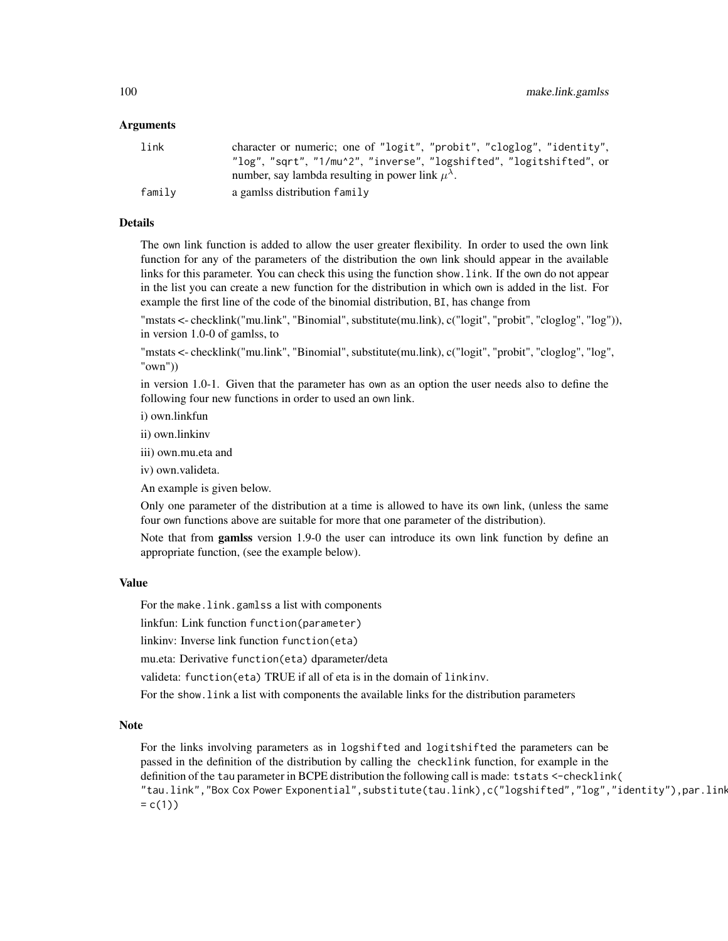#### Arguments

| link   | character or numeric; one of "logit", "probit", "cloglog", "identity", |
|--------|------------------------------------------------------------------------|
|        | "log", "sqrt", "1/mu^2", "inverse", "logshifted", "logitshifted", or   |
|        | number, say lambda resulting in power link $\mu^{\lambda}$ .           |
| family | a gamlss distribution family                                           |

# Details

The own link function is added to allow the user greater flexibility. In order to used the own link function for any of the parameters of the distribution the own link should appear in the available links for this parameter. You can check this using the function show.link. If the own do not appear in the list you can create a new function for the distribution in which own is added in the list. For example the first line of the code of the binomial distribution, BI, has change from

"mstats <- checklink("mu.link", "Binomial", substitute(mu.link), c("logit", "probit", "cloglog", "log")), in version 1.0-0 of gamlss, to

"mstats <- checklink("mu.link", "Binomial", substitute(mu.link), c("logit", "probit", "cloglog", "log", "own"))

in version 1.0-1. Given that the parameter has own as an option the user needs also to define the following four new functions in order to used an own link.

i) own.linkfun

ii) own.linkinv

iii) own.mu.eta and

iv) own.valideta.

An example is given below.

Only one parameter of the distribution at a time is allowed to have its own link, (unless the same four own functions above are suitable for more that one parameter of the distribution).

Note that from gamlss version 1.9-0 the user can introduce its own link function by define an appropriate function, (see the example below).

#### Value

For the make.link.gamlss a list with components

linkfun: Link function function(parameter)

linkinv: Inverse link function function(eta)

mu.eta: Derivative function(eta) dparameter/deta

valideta: function(eta) TRUE if all of eta is in the domain of linkinv.

For the show.link a list with components the available links for the distribution parameters

# Note

For the links involving parameters as in logshifted and logitshifted the parameters can be passed in the definition of the distribution by calling the checklink function, for example in the definition of the tau parameter in BCPE distribution the following call is made: tstats <-checklink( "tau.link","Box Cox Power Exponential",substitute(tau.link),c("logshifted","log","identity"),par.link  $= c(1)$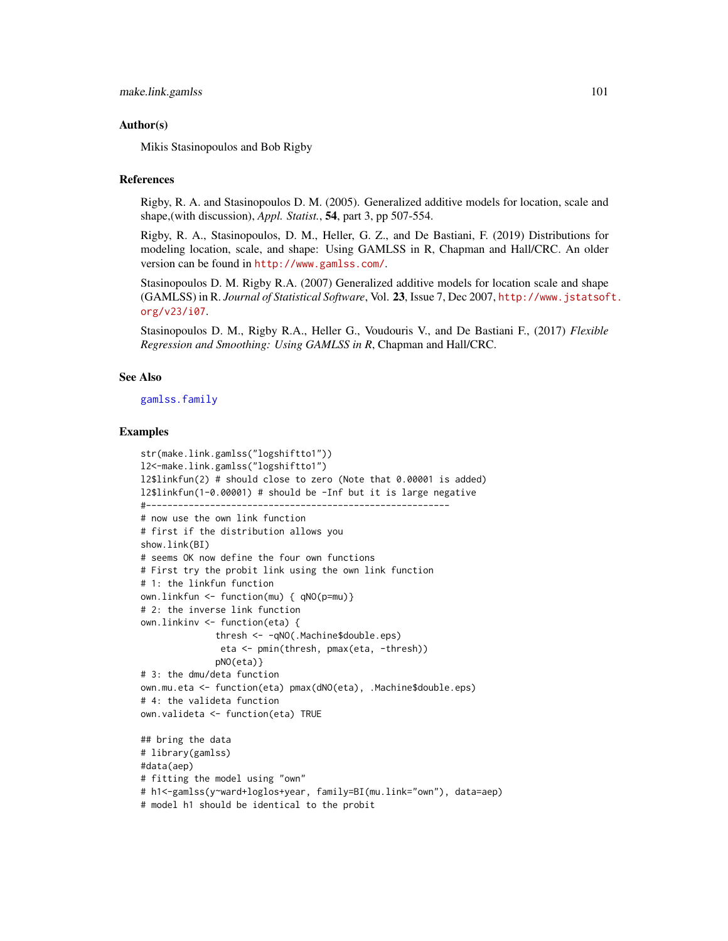## Author(s)

Mikis Stasinopoulos and Bob Rigby

#### References

Rigby, R. A. and Stasinopoulos D. M. (2005). Generalized additive models for location, scale and shape,(with discussion), *Appl. Statist.*, 54, part 3, pp 507-554.

Rigby, R. A., Stasinopoulos, D. M., Heller, G. Z., and De Bastiani, F. (2019) Distributions for modeling location, scale, and shape: Using GAMLSS in R, Chapman and Hall/CRC. An older version can be found in <http://www.gamlss.com/>.

Stasinopoulos D. M. Rigby R.A. (2007) Generalized additive models for location scale and shape (GAMLSS) in R. *Journal of Statistical Software*, Vol. 23, Issue 7, Dec 2007, [http://www.jstatsof](http://www.jstatsoft.org/v23/i07)t. [org/v23/i07](http://www.jstatsoft.org/v23/i07).

Stasinopoulos D. M., Rigby R.A., Heller G., Voudouris V., and De Bastiani F., (2017) *Flexible Regression and Smoothing: Using GAMLSS in R*, Chapman and Hall/CRC.

#### See Also

[gamlss.family](#page-57-0)

#### Examples

```
str(make.link.gamlss("logshiftto1"))
l2<-make.link.gamlss("logshiftto1")
l2$linkfun(2) # should close to zero (Note that 0.00001 is added)
l2$linkfun(1-0.00001) # should be -Inf but it is large negative
#---------------------------------------------------------
# now use the own link function
# first if the distribution allows you
show.link(BI)
# seems OK now define the four own functions
# First try the probit link using the own link function
# 1: the linkfun function
own.linkfun <- function(mu) { qNO(p=mu)}
# 2: the inverse link function
own.linkinv <- function(eta) {
              thresh <- -qNO(.Machine$double.eps)
              eta <- pmin(thresh, pmax(eta, -thresh))
              pNO(eta)}
# 3: the dmu/deta function
own.mu.eta <- function(eta) pmax(dNO(eta), .Machine$double.eps)
# 4: the valideta function
own.valideta <- function(eta) TRUE
## bring the data
# library(gamlss)
#data(aep)
# fitting the model using "own"
# h1<-gamlss(y~ward+loglos+year, family=BI(mu.link="own"), data=aep)
# model h1 should be identical to the probit
```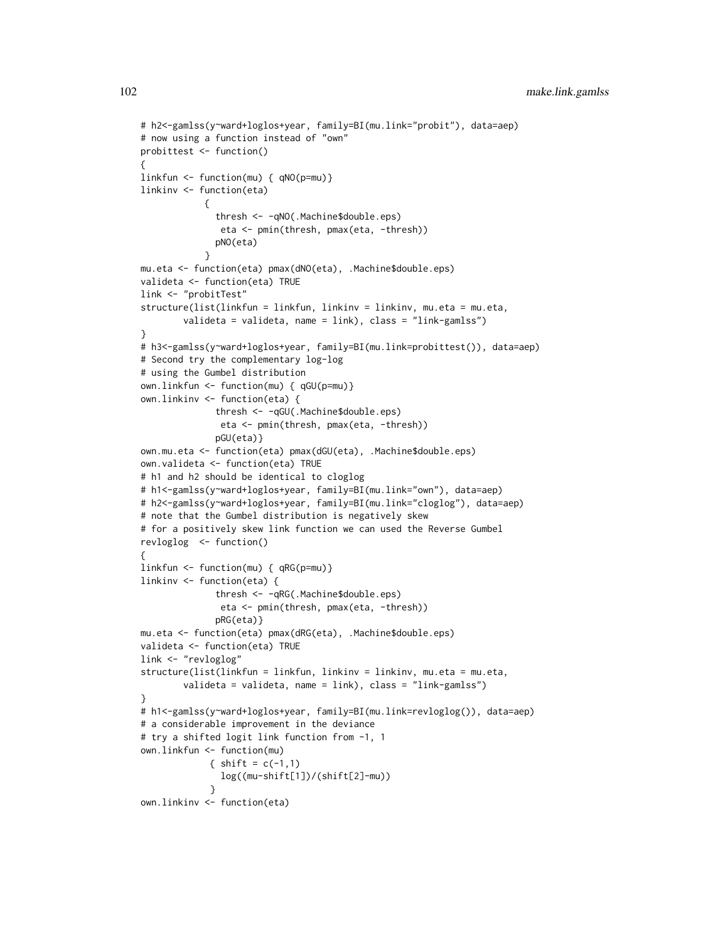```
# h2<-gamlss(y~ward+loglos+year, family=BI(mu.link="probit"), data=aep)
# now using a function instead of "own"
probittest <- function()
{
linkfun <- function(mu) { qNO(p=mu)}
linkinv <- function(eta)
            {
              thresh <- -qNO(.Machine$double.eps)
              eta <- pmin(thresh, pmax(eta, -thresh))
              pNO(eta)
            }
mu.eta <- function(eta) pmax(dNO(eta), .Machine$double.eps)
valideta <- function(eta) TRUE
link <- "probitTest"
structure(list(linkfun = linkfun, linkinv = linkinv, mu.eta = mu.eta,
        valideta = valideta, name = link), class = "link-gamlss")
}
# h3<-gamlss(y~ward+loglos+year, family=BI(mu.link=probittest()), data=aep)
# Second try the complementary log-log
# using the Gumbel distribution
own.linkfun <- function(mu) { qGU(p=mu)}
own.linkinv <- function(eta) {
              thresh <- -qGU(.Machine$double.eps)
               eta <- pmin(thresh, pmax(eta, -thresh))
              pGU(eta)}
own.mu.eta <- function(eta) pmax(dGU(eta), .Machine$double.eps)
own.valideta <- function(eta) TRUE
# h1 and h2 should be identical to cloglog
# h1<-gamlss(y~ward+loglos+year, family=BI(mu.link="own"), data=aep)
# h2<-gamlss(y~ward+loglos+year, family=BI(mu.link="cloglog"), data=aep)
# note that the Gumbel distribution is negatively skew
# for a positively skew link function we can used the Reverse Gumbel
revloglog <- function()
{
linkfun <- function(mu) { qRG(p=mu)}
linkinv <- function(eta) {
              thresh <- -qRG(.Machine$double.eps)
               eta <- pmin(thresh, pmax(eta, -thresh))
              pRG(eta)}
mu.eta <- function(eta) pmax(dRG(eta), .Machine$double.eps)
valideta <- function(eta) TRUE
link <- "revloglog"
structure(list(linkfun = linkfun, linkinv = linkinv, mu.eta = mu.eta,
        valideta = valideta, name = link), class = "link-gamlss")
}
# h1<-gamlss(y~ward+loglos+year, family=BI(mu.link=revloglog()), data=aep)
# a considerable improvement in the deviance
# try a shifted logit link function from -1, 1
own.linkfun <- function(mu)
             { shift = c(-1,1)log((mu-shift[1])/(shift[2]-mu))
             }
own.linkinv <- function(eta)
```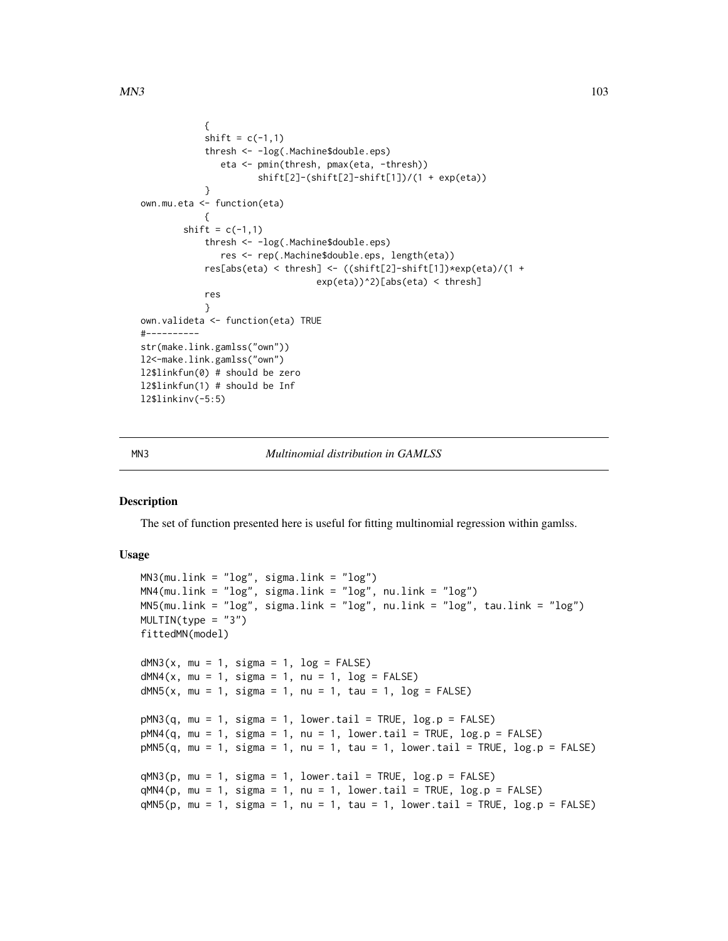```
{
            shift = c(-1,1)thresh <- -log(.Machine$double.eps)
               eta <- pmin(thresh, pmax(eta, -thresh))
                      shift[2]-(shift[2]-shift[1])/(1 + exp(eta))
            }
own.mu.eta <- function(eta)
            {
        shift = c(-1,1)thresh <- -log(.Machine$double.eps)
               res <- rep(.Machine$double.eps, length(eta))
            res[abs(eta) < thresh] <- ((shift[2]-shift[1])*exp(eta)/(1 +
                                 exp(eta))^2)[abs(eta) < thresh]
            res
            }
own.valideta <- function(eta) TRUE
#----------
str(make.link.gamlss("own"))
l2<-make.link.gamlss("own")
l2$linkfun(0) # should be zero
l2$linkfun(1) # should be Inf
l2$linkinv(-5:5)
```
#### MN3 *Multinomial distribution in GAMLSS*

### Description

The set of function presented here is useful for fitting multinomial regression within gamlss.

## Usage

```
MN3(mu.link = "log", sigma.link = "log")MN4(mu.link = "log", sigma.link = "log", nu.link = "log")
MN5(mu.link = "log", sigma.link = "log", nu.link = "log", tau.link = "log")
MULTIN(type = "3")
fittedMN(model)
dMN3(x, mu = 1, sigma = 1, log = FALSE)dMN4(x, mu = 1, sigma = 1, nu = 1, log = FALSE)dMN5(x, mu = 1, sigma = 1, nu = 1, tau = 1, log = FALSE)
pMN3(q, mu = 1, sigma = 1, lowertail = TRUE, log.p = FALSE)
pMM4(q, mu = 1, sigma = 1, nu = 1, lowertail = TRUE, <math>log.p = FALSE)
pMN5(q, mu = 1, sigma = 1, nu = 1, tau = 1, lower.tail = TRUE, log.p = FALSE)qMN3(p, mu = 1, sigma = 1, lower.tail = TRUE, log.p = FALSE)qMN4(p, mu = 1, sigma = 1, nu = 1, lower.tail = TRUE, log.p = FALSE)qMN5(p, mu = 1, sigma = 1, nu = 1, tau = 1, lower.tail = TRUE, log.p = FALSE)
```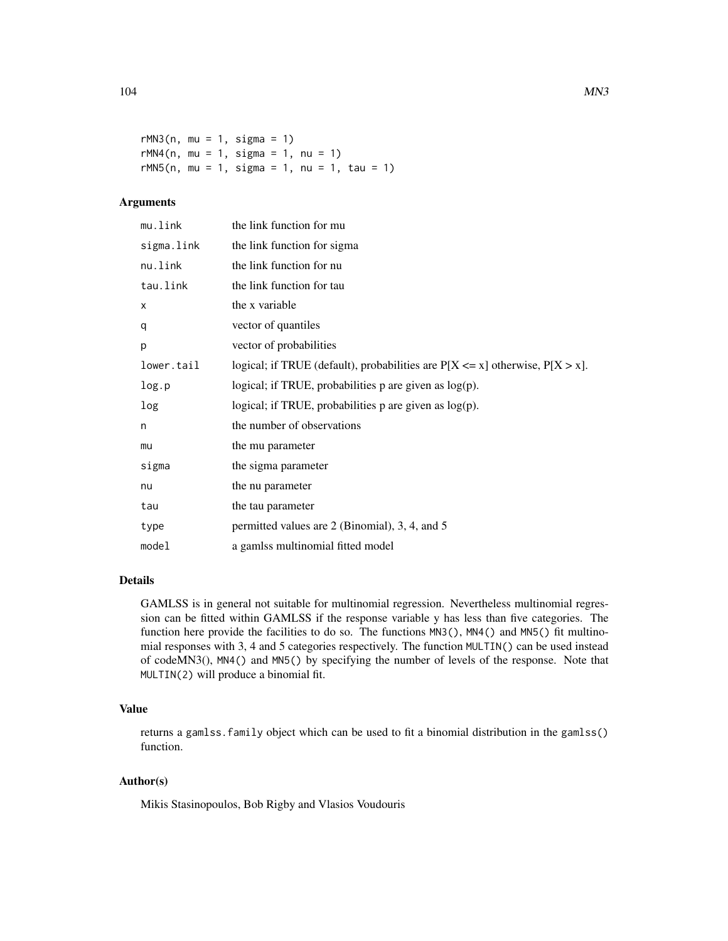```
rMN3(n, mu = 1, sigma = 1)rMN4(n, mu = 1, sigma = 1, nu = 1)
rMN5(n, mu = 1, sigma = 1, nu = 1, tau = 1)
```
# Arguments

| mu.link    | the link function for mu                                                           |
|------------|------------------------------------------------------------------------------------|
| sigma.link | the link function for sigma                                                        |
| nu.link    | the link function for nu                                                           |
| tau.link   | the link function for tau                                                          |
| X          | the x variable                                                                     |
| q          | vector of quantiles                                                                |
| p          | vector of probabilities                                                            |
| lower.tail | logical; if TRUE (default), probabilities are $P[X \le x]$ otherwise, $P[X > x]$ . |
| log.p      | logical; if TRUE, probabilities $p$ are given as $log(p)$ .                        |
| log        | logical; if TRUE, probabilities $p$ are given as $log(p)$ .                        |
| n          | the number of observations                                                         |
| mu         | the mu parameter                                                                   |
| sigma      | the sigma parameter                                                                |
| nu         | the nu parameter                                                                   |
| tau        | the tau parameter                                                                  |
| type       | permitted values are 2 (Binomial), 3, 4, and 5                                     |
| model      | a gamlss multinomial fitted model                                                  |

## Details

GAMLSS is in general not suitable for multinomial regression. Nevertheless multinomial regression can be fitted within GAMLSS if the response variable y has less than five categories. The function here provide the facilities to do so. The functions MN3(), MN4() and MN5() fit multinomial responses with 3, 4 and 5 categories respectively. The function MULTIN() can be used instead of codeMN3(), MN4() and MN5() by specifying the number of levels of the response. Note that MULTIN(2) will produce a binomial fit.

## Value

returns a gamlss.family object which can be used to fit a binomial distribution in the gamlss() function.

## Author(s)

Mikis Stasinopoulos, Bob Rigby and Vlasios Voudouris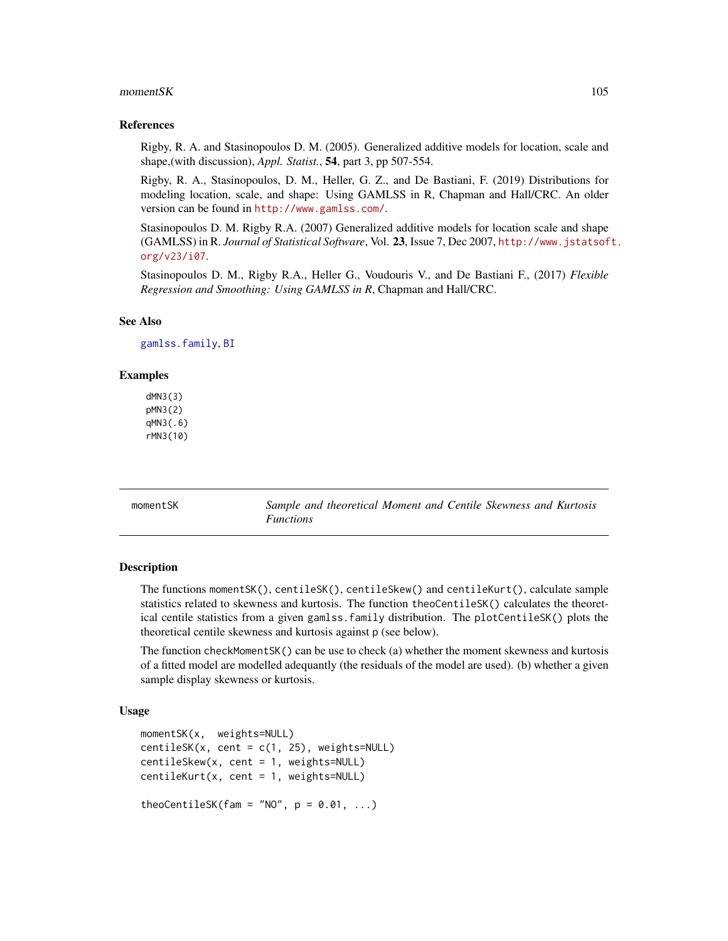#### $momentSK$  105

#### References

Rigby, R. A. and Stasinopoulos D. M. (2005). Generalized additive models for location, scale and shape,(with discussion), *Appl. Statist.*, 54, part 3, pp 507-554.

Rigby, R. A., Stasinopoulos, D. M., Heller, G. Z., and De Bastiani, F. (2019) Distributions for modeling location, scale, and shape: Using GAMLSS in R, Chapman and Hall/CRC. An older version can be found in <http://www.gamlss.com/>.

Stasinopoulos D. M. Rigby R.A. (2007) Generalized additive models for location scale and shape (GAMLSS) in R. *Journal of Statistical Software*, Vol. 23, Issue 7, Dec 2007, [http://www.jstatsof](http://www.jstatsoft.org/v23/i07)t. [org/v23/i07](http://www.jstatsoft.org/v23/i07).

Stasinopoulos D. M., Rigby R.A., Heller G., Voudouris V., and De Bastiani F., (2017) *Flexible Regression and Smoothing: Using GAMLSS in R*, Chapman and Hall/CRC.

#### See Also

[gamlss.family](#page-57-0), [BI](#page-28-0)

#### Examples

dMN3(3) pMN3(2) qMN3(.6) rMN3(10)

momentSK *Sample and theoretical Moment and Centile Skewness and Kurtosis Functions*

#### Description

The functions momentSK(), centileSK(), centileSkew() and centileKurt(), calculate sample statistics related to skewness and kurtosis. The function theoCentileSK() calculates the theoretical centile statistics from a given gamlss.family distribution. The plotCentileSK() plots the theoretical centile skewness and kurtosis against p (see below).

The function checkMomentSK() can be use to check (a) whether the moment skewness and kurtosis of a fitted model are modelled adequantly (the residuals of the model are used). (b) whether a given sample display skewness or kurtosis.

## Usage

```
momentSK(x, weights=NULL)
centileSK(x, cent = c(1, 25), weights=NULL)
centileSkew(x, cent = 1, weights=NULL)
centileKurt(x, cent = 1, weights=NULL)
theoCentileSK(fam = "NO", p = 0.01, ...)
```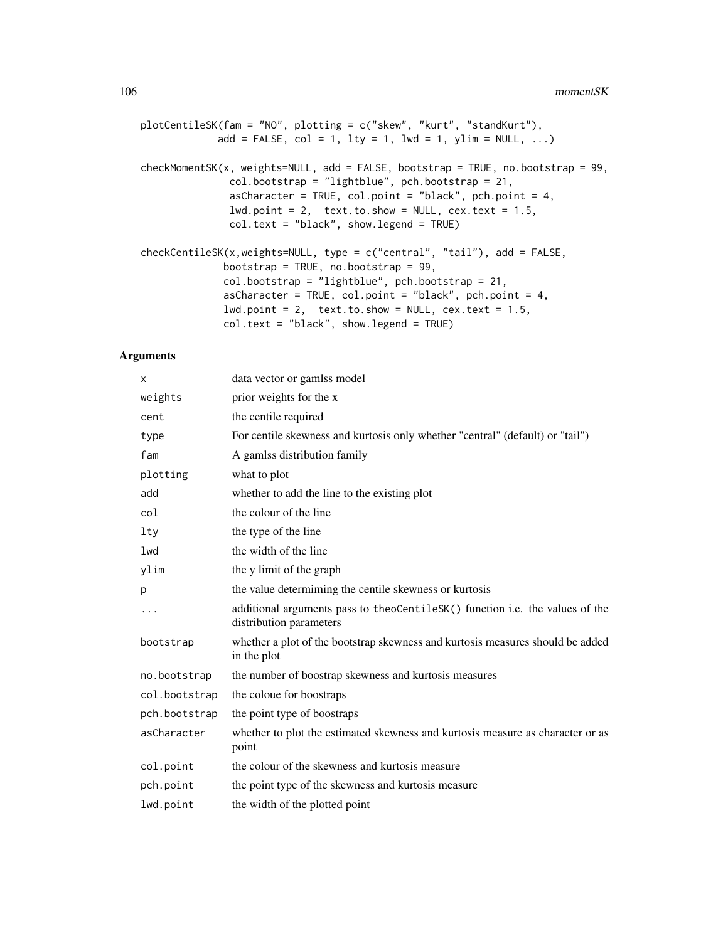plotCentileSK(fam = "NO", plotting = c("skew", "kurt", "standKurt"), add = FALSE,  $col = 1$ ,  $lty = 1$ ,  $lwd = 1$ ,  $ylim = NULL$ , ...) checkMomentSK(x, weights=NULL, add = FALSE, bootstrap = TRUE, no.bootstrap = 99, col.bootstrap = "lightblue", pch.bootstrap = 21, asCharacter = TRUE, col.point = "black", pch.point = 4,  $lwd.point = 2$ , text.to.show = NULL, cex.text = 1.5, col.text = "black", show.legend = TRUE) checkCentileSK(x,weights=NULL, type = c("central", "tail"), add = FALSE, bootstrap = TRUE, no.bootstrap = 99, col.bootstrap = "lightblue", pch.bootstrap = 21, asCharacter = TRUE, col.point = "black", pch.point = 4,

 $lwd.point = 2$ ,  $text.text.to.show = NULL$ ,  $text.text = 1.5$ ,

col.text = "black", show.legend = TRUE)

#### Arguments

| X             | data vector or gamlss model                                                                             |
|---------------|---------------------------------------------------------------------------------------------------------|
| weights       | prior weights for the x                                                                                 |
| cent          | the centile required                                                                                    |
| type          | For centile skewness and kurtosis only whether "central" (default) or "tail")                           |
| fam           | A gamlss distribution family                                                                            |
| plotting      | what to plot                                                                                            |
| add           | whether to add the line to the existing plot                                                            |
| col           | the colour of the line                                                                                  |
| lty           | the type of the line                                                                                    |
| $1$ wd        | the width of the line                                                                                   |
| ylim          | the y limit of the graph                                                                                |
| р             | the value determining the centile skewness or kurtosis                                                  |
|               | additional arguments pass to theoCentileSK() function i.e. the values of the<br>distribution parameters |
| bootstrap     | whether a plot of the bootstrap skewness and kurtosis measures should be added<br>in the plot           |
| no.bootstrap  | the number of boostrap skewness and kurtosis measures                                                   |
| col.bootstrap | the coloue for boostraps                                                                                |
| pch.bootstrap | the point type of boostraps                                                                             |
| asCharacter   | whether to plot the estimated skewness and kurtosis measure as character or as<br>point                 |
| col.point     | the colour of the skewness and kurtosis measure                                                         |
| pch.point     | the point type of the skewness and kurtosis measure                                                     |
| lwd.point     | the width of the plotted point                                                                          |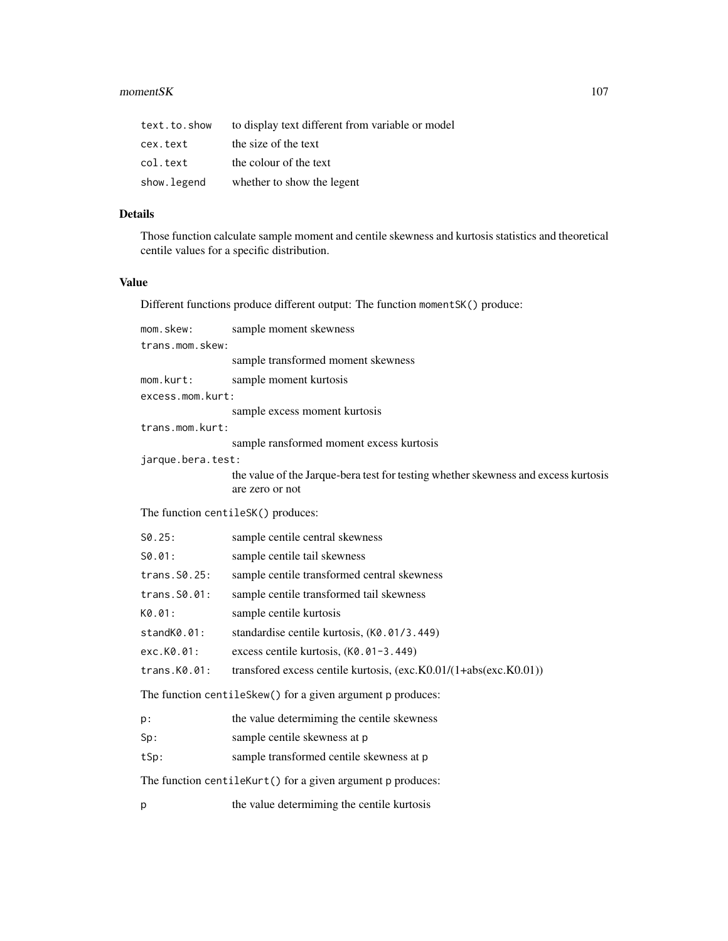#### $momentSK$  107

| text.to.show | to display text different from variable or model |
|--------------|--------------------------------------------------|
| cex.text     | the size of the text                             |
| col.text     | the colour of the text                           |
| show.legend  | whether to show the legent                       |

# Details

Those function calculate sample moment and centile skewness and kurtosis statistics and theoretical centile values for a specific distribution.

# Value

Different functions produce different output: The function momentSK() produce:

| mom.skew:                                                   | sample moment skewness                                                                                |  |
|-------------------------------------------------------------|-------------------------------------------------------------------------------------------------------|--|
| trans.mom.skew:                                             |                                                                                                       |  |
|                                                             | sample transformed moment skewness                                                                    |  |
| mom.kurt:                                                   | sample moment kurtosis                                                                                |  |
| excess.mom.kurt:                                            |                                                                                                       |  |
|                                                             | sample excess moment kurtosis                                                                         |  |
| trans.mom.kurt:                                             |                                                                                                       |  |
|                                                             | sample ransformed moment excess kurtosis                                                              |  |
| jarque.bera.test:                                           | the value of the Jarque-bera test for testing whether skewness and excess kurtosis<br>are zero or not |  |
| The function centileSK() produces:                          |                                                                                                       |  |
| S0.25:                                                      | sample centrile central skewness                                                                      |  |
| S0.01:                                                      | sample centile tail skewness                                                                          |  |
| trans.S0.25:                                                | sample centile transformed central skewness                                                           |  |
| trans.S0.01:                                                | sample centile transformed tail skewness                                                              |  |
| K0.01:                                                      | sample centile kurtosis                                                                               |  |
| standK0.01:                                                 | standardise centile kurtosis, (KØ.01/3.449)                                                           |  |
| exc.K0.01:                                                  | excess centile kurtosis, (K0.01-3.449)                                                                |  |
| trans.K0.01:                                                | transfored excess centile kurtosis, (exc.K0.01/(1+abs(exc.K0.01))                                     |  |
|                                                             | The function centileSkew() for a given argument p produces:                                           |  |
| p:                                                          | the value determining the centile skewness                                                            |  |
| Sp:                                                         | sample centile skewness at p                                                                          |  |
| tSp:                                                        | sample transformed centile skewness at p                                                              |  |
| The function centileKurt() for a given argument p produces: |                                                                                                       |  |
| р                                                           | the value determiming the centile kurtosis                                                            |  |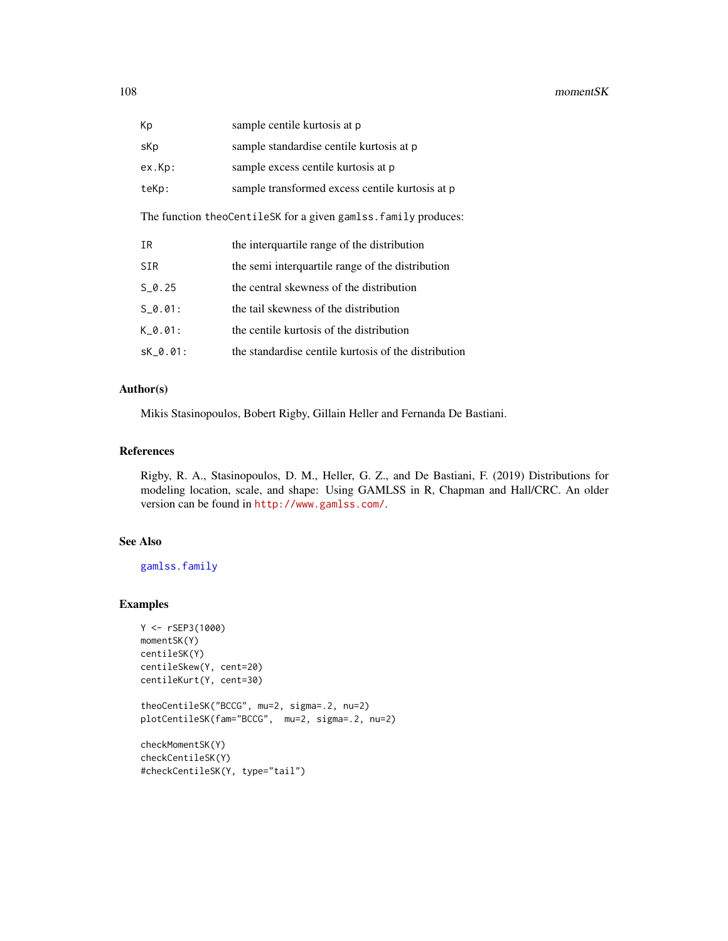| Kp                                                              | sample centile kurtosis at p                         |  |
|-----------------------------------------------------------------|------------------------------------------------------|--|
| sKp                                                             | sample standardise centile kurtosis at p             |  |
| ex.Kp:                                                          | sample excess centile kurtosis at p                  |  |
| teKp:                                                           | sample transformed excess centile kurtosis at p      |  |
| The function theoCentileSK for a given gamlss. family produces: |                                                      |  |
| IR                                                              | the interquartile range of the distribution          |  |
| <b>SIR</b>                                                      | the semi interquartile range of the distribution     |  |
| $S$ 0.25                                                        | the central skewness of the distribution             |  |
| $S \theta.01$ :                                                 | the tail skewness of the distribution                |  |
| $K$ 0.01:                                                       | the centile kurtosis of the distribution             |  |
| SK 0.01:                                                        | the standardise centile kurtosis of the distribution |  |

# Author(s)

Mikis Stasinopoulos, Bobert Rigby, Gillain Heller and Fernanda De Bastiani.

## References

Rigby, R. A., Stasinopoulos, D. M., Heller, G. Z., and De Bastiani, F. (2019) Distributions for modeling location, scale, and shape: Using GAMLSS in R, Chapman and Hall/CRC. An older version can be found in <http://www.gamlss.com/>.

# See Also

[gamlss.family](#page-57-0)

# Examples

```
Y <- rSEP3(1000)
momentSK(Y)
centileSK(Y)
centileSkew(Y, cent=20)
centileKurt(Y, cent=30)
theoCentileSK("BCCG", mu=2, sigma=.2, nu=2)
plotCentileSK(fam="BCCG", mu=2, sigma=.2, nu=2)
checkMomentSK(Y)
checkCentileSK(Y)
```
#checkCentileSK(Y, type="tail")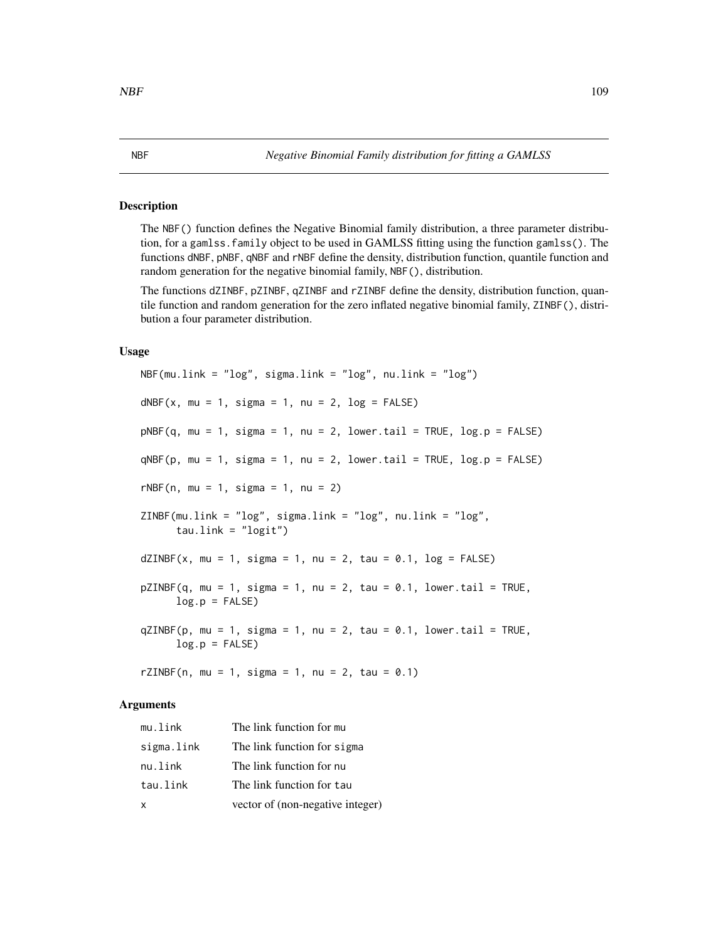## Description

The NBF() function defines the Negative Binomial family distribution, a three parameter distribution, for a gamlss.family object to be used in GAMLSS fitting using the function gamlss(). The functions dNBF, pNBF, qNBF and rNBF define the density, distribution function, quantile function and random generation for the negative binomial family, NBF(), distribution.

The functions dZINBF, pZINBF, qZINBF and rZINBF define the density, distribution function, quantile function and random generation for the zero inflated negative binomial family, ZINBF(), distribution a four parameter distribution.

#### Usage

```
NBF(mu.link = "log", sigma.link = "log", nu.link = "log")dNBF(x, mu = 1, sigma = 1, nu = 2, log = FALSE)pNBF(q, mu = 1, sigma = 1, nu = 2, lower[amaled] <math>T = TRUE, log.p = FALSEqNBF(p, mu = 1, sigma = 1, nu = 2, lower[avated] = TRUE, <math>log.p = FALSE)
rNBF(n, mu = 1, sigma = 1, nu = 2)ZINBF(mu.link = "log", sigma.link = "log", nu.link = "log",
      tau.link = "logit")
dZINBF(x, mu = 1, sigma = 1, nu = 2, tau = 0.1, log = FALSE)pZINBF(q, mu = 1, sigma = 1, nu = 2, tau = 0.1, lower.tail = TRUE,log.p = FALSEqZINBF(p, mu = 1, sigma = 1, nu = 2, tau = 0.1, lower.tail = TRUE,log.p = FALSErZINBF(n, mu = 1, sigma = 1, nu = 2, tau = 0.1)
```
## Arguments

| mu.link    | The link function for mu         |
|------------|----------------------------------|
| sigma.link | The link function for sigma      |
| nu.link    | The link function for nu         |
| tau.link   | The link function for tau        |
| x          | vector of (non-negative integer) |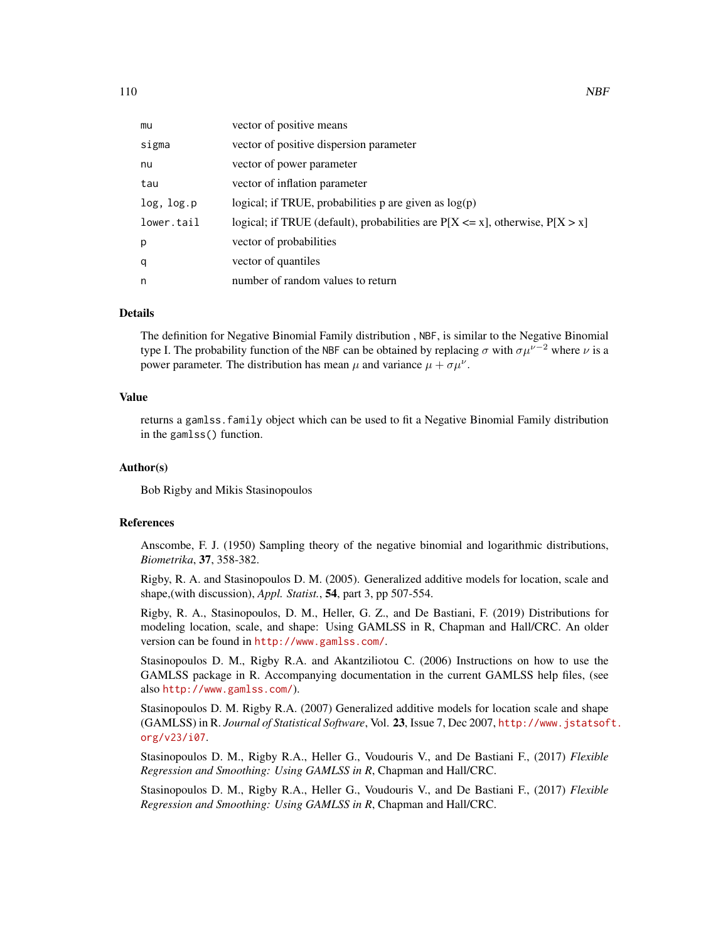| mu         | vector of positive means                                                           |
|------------|------------------------------------------------------------------------------------|
| sigma      | vector of positive dispersion parameter                                            |
| nu         | vector of power parameter                                                          |
| tau        | vector of inflation parameter                                                      |
| log, log.p | logical; if TRUE, probabilities p are given as $log(p)$                            |
| lower.tail | logical; if TRUE (default), probabilities are $P[X \le x]$ , otherwise, $P[X > x]$ |
| p          | vector of probabilities                                                            |
| q          | vector of quantiles                                                                |
| n          | number of random values to return                                                  |

# Details

The definition for Negative Binomial Family distribution , NBF, is similar to the Negative Binomial type I. The probability function of the NBF can be obtained by replacing  $\sigma$  with  $\sigma \mu^{\nu-2}$  where  $\nu$  is a power parameter. The distribution has mean  $\mu$  and variance  $\mu + \sigma \mu^{\nu}$ .

#### Value

returns a gamlss.family object which can be used to fit a Negative Binomial Family distribution in the gamlss() function.

## Author(s)

Bob Rigby and Mikis Stasinopoulos

#### References

Anscombe, F. J. (1950) Sampling theory of the negative binomial and logarithmic distributions, *Biometrika*, 37, 358-382.

Rigby, R. A. and Stasinopoulos D. M. (2005). Generalized additive models for location, scale and shape,(with discussion), *Appl. Statist.*, 54, part 3, pp 507-554.

Rigby, R. A., Stasinopoulos, D. M., Heller, G. Z., and De Bastiani, F. (2019) Distributions for modeling location, scale, and shape: Using GAMLSS in R, Chapman and Hall/CRC. An older version can be found in <http://www.gamlss.com/>.

Stasinopoulos D. M., Rigby R.A. and Akantziliotou C. (2006) Instructions on how to use the GAMLSS package in R. Accompanying documentation in the current GAMLSS help files, (see also <http://www.gamlss.com/>).

Stasinopoulos D. M. Rigby R.A. (2007) Generalized additive models for location scale and shape (GAMLSS) in R. *Journal of Statistical Software*, Vol. 23, Issue 7, Dec 2007, [http://www.jstatsof](http://www.jstatsoft.org/v23/i07)t. [org/v23/i07](http://www.jstatsoft.org/v23/i07).

Stasinopoulos D. M., Rigby R.A., Heller G., Voudouris V., and De Bastiani F., (2017) *Flexible Regression and Smoothing: Using GAMLSS in R*, Chapman and Hall/CRC.

Stasinopoulos D. M., Rigby R.A., Heller G., Voudouris V., and De Bastiani F., (2017) *Flexible Regression and Smoothing: Using GAMLSS in R*, Chapman and Hall/CRC.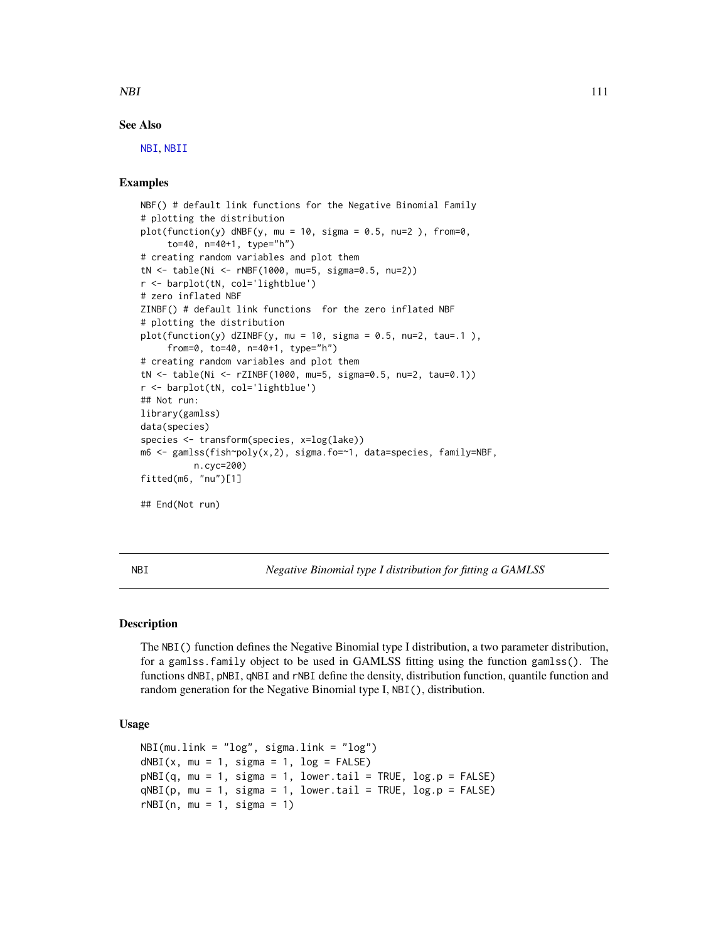NBI 111

## See Also

[NBI](#page-110-0), [NBII](#page-112-0)

# Examples

```
NBF() # default link functions for the Negative Binomial Family
# plotting the distribution
plot(function(y) dNBF(y, mu = 10, sigma = 0.5, nu=2), from=0,
     to=40, n=40+1, type="h")
# creating random variables and plot them
tN <- table(Ni <- rNBF(1000, mu=5, sigma=0.5, nu=2))
r <- barplot(tN, col='lightblue')
# zero inflated NBF
ZINBF() # default link functions for the zero inflated NBF
# plotting the distribution
plot(function(y) dZINBF(y, mu = 10, sigma = 0.5, nu=2, tau=0.1),
     from=0, to=40, n=40+1, type="h")
# creating random variables and plot them
tN <- table(Ni <- rZINBF(1000, mu=5, sigma=0.5, nu=2, tau=0.1))
r <- barplot(tN, col='lightblue')
## Not run:
library(gamlss)
data(species)
species <- transform(species, x=log(lake))
m6 <- gamlss(fish~poly(x,2), sigma.fo=~1, data=species, family=NBF,
         n.cyc=200)
fitted(m6, "nu")[1]
## End(Not run)
```
<span id="page-110-0"></span>

NBI *Negative Binomial type I distribution for fitting a GAMLSS*

#### Description

The NBI() function defines the Negative Binomial type I distribution, a two parameter distribution, for a gamlss.family object to be used in GAMLSS fitting using the function gamlss(). The functions dNBI, pNBI, qNBI and rNBI define the density, distribution function, quantile function and random generation for the Negative Binomial type I, NBI(), distribution.

```
NBI(mu.link = "log", sigma.link = "log")dNBI(x, mu = 1, sigma = 1, log = FALSE)pNBI(q, mu = 1, sigma = 1, lowertail = TRUE, <math>log.p = FALSE)
qNBI(p, mu = 1, sigma = 1, lowertail = TRUE, log.p = FALSE)
rNBI(n, mu = 1, sigma = 1)
```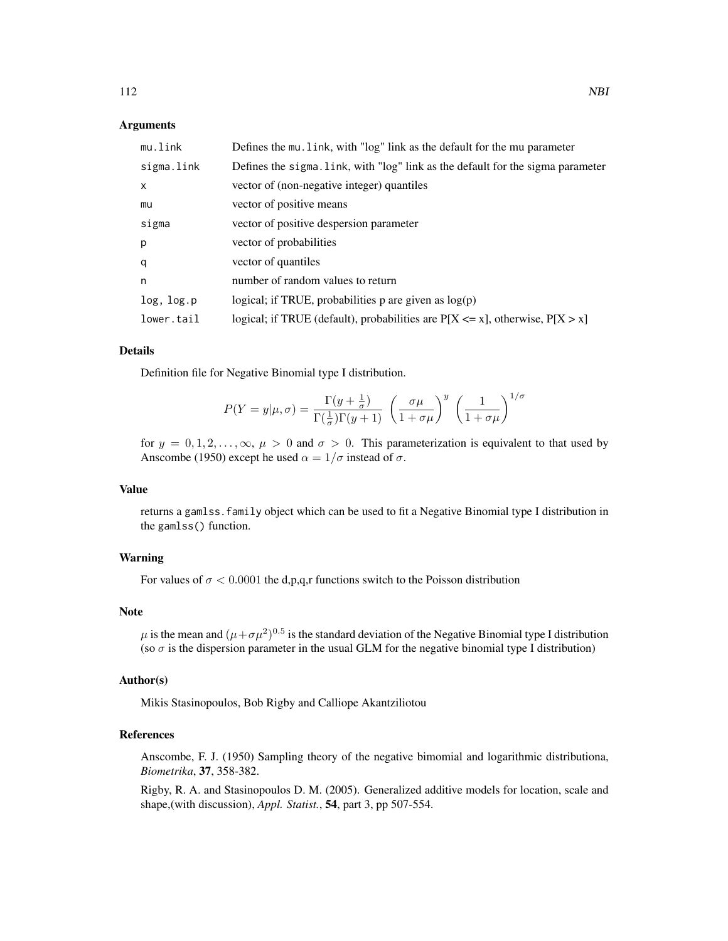## Arguments

| mu.link      | Defines the mu. link, with "log" link as the default for the mu parameter          |
|--------------|------------------------------------------------------------------------------------|
| sigma.link   | Defines the sigma. link, with "log" link as the default for the sigma parameter    |
| $\mathsf{x}$ | vector of (non-negative integer) quantiles                                         |
| mu           | vector of positive means                                                           |
| sigma        | vector of positive despersion parameter                                            |
| p            | vector of probabilities                                                            |
| q            | vector of quantiles                                                                |
| n            | number of random values to return                                                  |
| log, log.p   | logical; if TRUE, probabilities p are given as $log(p)$                            |
| lower.tail   | logical; if TRUE (default), probabilities are $P[X \le x]$ , otherwise, $P[X > x]$ |

#### Details

Definition file for Negative Binomial type I distribution.

$$
P(Y = y | \mu, \sigma) = \frac{\Gamma(y + \frac{1}{\sigma})}{\Gamma(\frac{1}{\sigma})\Gamma(y + 1)} \left(\frac{\sigma \mu}{1 + \sigma \mu}\right)^y \left(\frac{1}{1 + \sigma \mu}\right)^{1/\sigma}
$$

for  $y = 0, 1, 2, \ldots, \infty$ ,  $\mu > 0$  and  $\sigma > 0$ . This parameterization is equivalent to that used by Anscombe (1950) except he used  $\alpha = 1/\sigma$  instead of  $\sigma$ .

## Value

returns a gamlss.family object which can be used to fit a Negative Binomial type I distribution in the gamlss() function.

#### Warning

For values of  $\sigma$  < 0.0001 the d,p,q,r functions switch to the Poisson distribution

#### Note

 $\mu$  is the mean and  $(\mu + \sigma \mu^2)^{0.5}$  is the standard deviation of the Negative Binomial type I distribution (so  $\sigma$  is the dispersion parameter in the usual GLM for the negative binomial type I distribution)

## Author(s)

Mikis Stasinopoulos, Bob Rigby and Calliope Akantziliotou

# References

Anscombe, F. J. (1950) Sampling theory of the negative bimomial and logarithmic distributiona, *Biometrika*, 37, 358-382.

Rigby, R. A. and Stasinopoulos D. M. (2005). Generalized additive models for location, scale and shape,(with discussion), *Appl. Statist.*, 54, part 3, pp 507-554.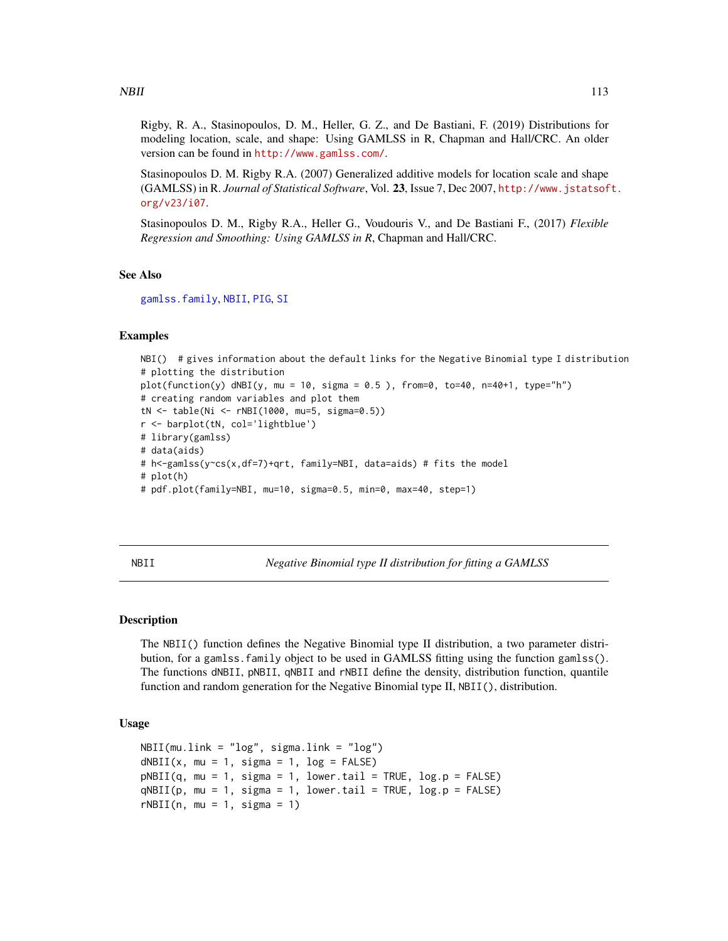Rigby, R. A., Stasinopoulos, D. M., Heller, G. Z., and De Bastiani, F. (2019) Distributions for modeling location, scale, and shape: Using GAMLSS in R, Chapman and Hall/CRC. An older version can be found in <http://www.gamlss.com/>.

Stasinopoulos D. M. Rigby R.A. (2007) Generalized additive models for location scale and shape (GAMLSS) in R. *Journal of Statistical Software*, Vol. 23, Issue 7, Dec 2007, [http://www.jstatsof](http://www.jstatsoft.org/v23/i07)t. [org/v23/i07](http://www.jstatsoft.org/v23/i07).

Stasinopoulos D. M., Rigby R.A., Heller G., Voudouris V., and De Bastiani F., (2017) *Flexible Regression and Smoothing: Using GAMLSS in R*, Chapman and Hall/CRC.

#### See Also

[gamlss.family](#page-57-0), [NBII](#page-112-0), [PIG](#page-127-0), [SI](#page-144-0)

#### Examples

```
NBI() # gives information about the default links for the Negative Binomial type I distribution
# plotting the distribution
plot(function(y) dNBI(y, mu = 10, sigma = 0.5), from=0, to=40, n=40+1, type="h")
# creating random variables and plot them
tN <- table(Ni <- rNBI(1000, mu=5, sigma=0.5))
r <- barplot(tN, col='lightblue')
# library(gamlss)
# data(aids)
# h<-gamlss(y~cs(x,df=7)+qrt, family=NBI, data=aids) # fits the model
# plot(h)
# pdf.plot(family=NBI, mu=10, sigma=0.5, min=0, max=40, step=1)
```
<span id="page-112-0"></span>NBII *Negative Binomial type II distribution for fitting a GAMLSS*

#### Description

The NBII() function defines the Negative Binomial type II distribution, a two parameter distribution, for a gamlss.family object to be used in GAMLSS fitting using the function gamlss(). The functions dNBII, pNBII, qNBII and rNBII define the density, distribution function, quantile function and random generation for the Negative Binomial type II, NBII(), distribution.

```
NBII(mu.link = "log", sigma.link = "log")
dNBII(x, mu = 1, sigma = 1, log = FALSE)pNBII(q, mu = 1, sigma = 1, lower.tail = TRUE, log.p = FALSE)qNBII(p, mu = 1, sigma = 1, lower.tail = TRUE, log.p = FALSE)rNBII(n, mu = 1, sigma = 1)
```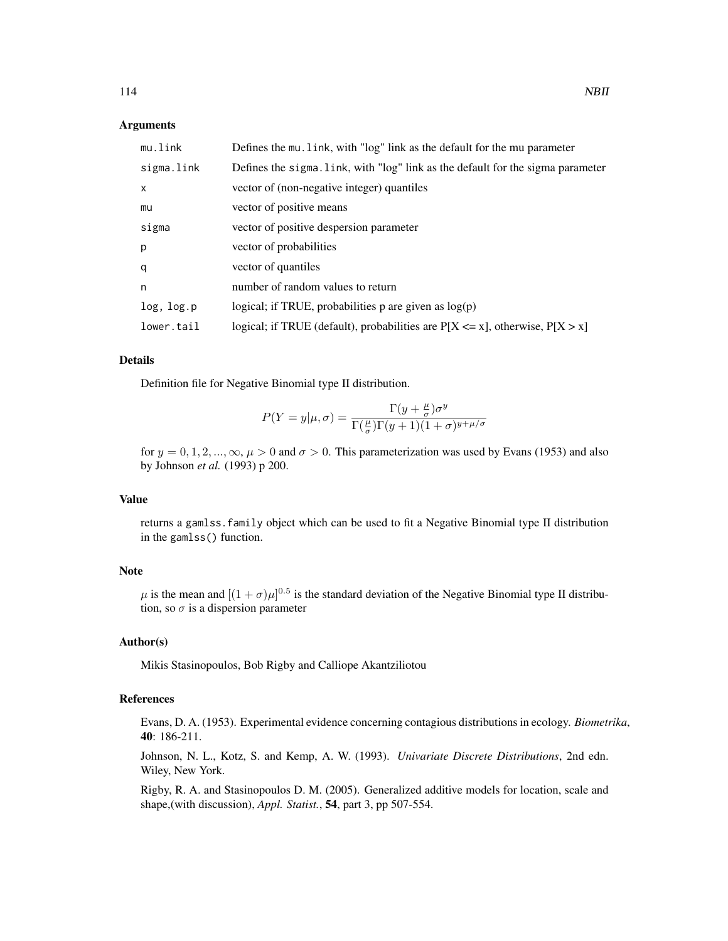#### Arguments

| mu.link      | Defines the mu. link, with "log" link as the default for the mu parameter          |
|--------------|------------------------------------------------------------------------------------|
| sigma.link   | Defines the sigma. link, with "log" link as the default for the sigma parameter    |
| $\mathsf{x}$ | vector of (non-negative integer) quantiles                                         |
| mu           | vector of positive means                                                           |
| sigma        | vector of positive despersion parameter                                            |
| p            | vector of probabilities                                                            |
| q            | vector of quantiles                                                                |
| n            | number of random values to return                                                  |
| log, log.p   | logical; if TRUE, probabilities $p$ are given as $log(p)$                          |
| lower.tail   | logical; if TRUE (default), probabilities are $P[X \le x]$ , otherwise, $P[X > x]$ |

## Details

Definition file for Negative Binomial type II distribution.

$$
P(Y = y | \mu, \sigma) = \frac{\Gamma(y + \frac{\mu}{\sigma})\sigma^y}{\Gamma(\frac{\mu}{\sigma})\Gamma(y + 1)(1 + \sigma)^{y + \mu/\sigma}}
$$

for  $y = 0, 1, 2, ..., \infty$ ,  $\mu > 0$  and  $\sigma > 0$ . This parameterization was used by Evans (1953) and also by Johnson *et al.* (1993) p 200.

# Value

returns a gamlss.family object which can be used to fit a Negative Binomial type II distribution in the gamlss() function.

#### Note

 $\mu$  is the mean and  $[(1+\sigma)\mu]^{0.5}$  is the standard deviation of the Negative Binomial type II distribution, so  $\sigma$  is a dispersion parameter

#### Author(s)

Mikis Stasinopoulos, Bob Rigby and Calliope Akantziliotou

## References

Evans, D. A. (1953). Experimental evidence concerning contagious distributions in ecology. *Biometrika*, 40: 186-211.

Johnson, N. L., Kotz, S. and Kemp, A. W. (1993). *Univariate Discrete Distributions*, 2nd edn. Wiley, New York.

Rigby, R. A. and Stasinopoulos D. M. (2005). Generalized additive models for location, scale and shape,(with discussion), *Appl. Statist.*, 54, part 3, pp 507-554.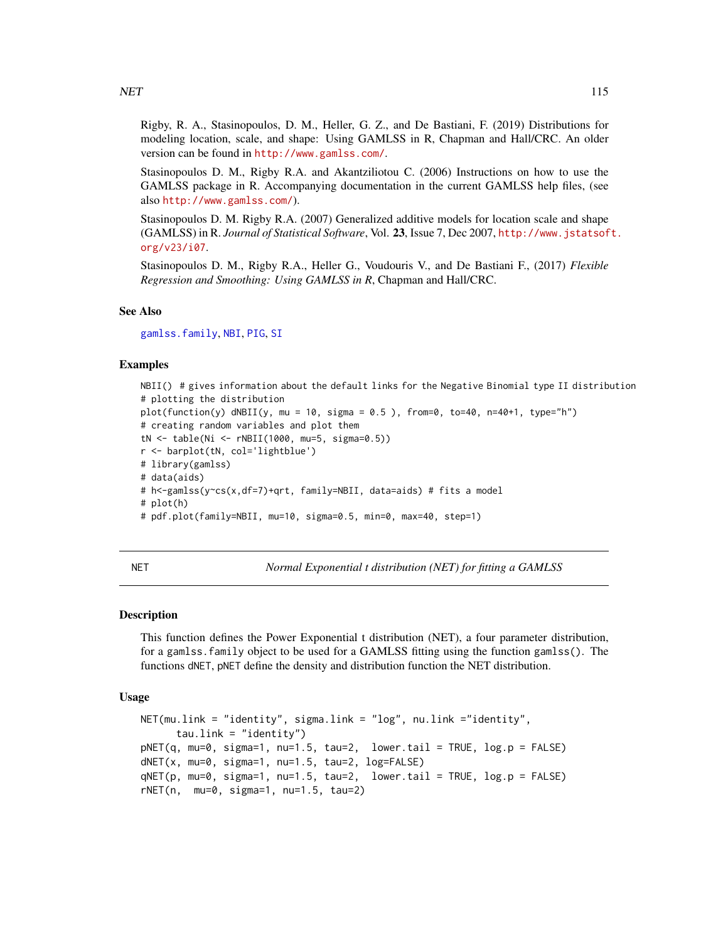$NET$  115

Rigby, R. A., Stasinopoulos, D. M., Heller, G. Z., and De Bastiani, F. (2019) Distributions for modeling location, scale, and shape: Using GAMLSS in R, Chapman and Hall/CRC. An older version can be found in <http://www.gamlss.com/>.

Stasinopoulos D. M., Rigby R.A. and Akantziliotou C. (2006) Instructions on how to use the GAMLSS package in R. Accompanying documentation in the current GAMLSS help files, (see also <http://www.gamlss.com/>).

Stasinopoulos D. M. Rigby R.A. (2007) Generalized additive models for location scale and shape (GAMLSS) in R. *Journal of Statistical Software*, Vol. 23, Issue 7, Dec 2007, [http://www.jstatsof](http://www.jstatsoft.org/v23/i07)t. [org/v23/i07](http://www.jstatsoft.org/v23/i07).

Stasinopoulos D. M., Rigby R.A., Heller G., Voudouris V., and De Bastiani F., (2017) *Flexible Regression and Smoothing: Using GAMLSS in R*, Chapman and Hall/CRC.

## See Also

[gamlss.family](#page-57-0), [NBI](#page-110-0), [PIG](#page-127-0), [SI](#page-144-0)

#### Examples

```
NBII() # gives information about the default links for the Negative Binomial type II distribution
# plotting the distribution
plot(function(y) dNBII(y, mu = 10, sigma = 0.5), from=0, to=40, n=40+1, type="h")# creating random variables and plot them
tN <- table(Ni <- rNBII(1000, mu=5, sigma=0.5))
r <- barplot(tN, col='lightblue')
# library(gamlss)
# data(aids)
# h<-gamlss(y~cs(x,df=7)+qrt, family=NBII, data=aids) # fits a model
# plot(h)
# pdf.plot(family=NBII, mu=10, sigma=0.5, min=0, max=40, step=1)
```
NET *Normal Exponential t distribution (NET) for fitting a GAMLSS*

#### Description

This function defines the Power Exponential t distribution (NET), a four parameter distribution, for a gamlss.family object to be used for a GAMLSS fitting using the function gamlss(). The functions dNET, pNET define the density and distribution function the NET distribution.

```
NET(mu.link = "identity", sigma.link = "log", nu.link ="identity",
     tau.link = "identity")pNET(q, mu=0, sigma=1, nu=1.5, tau=2, lowertail = TRUE, log.p = FALSE)dNET(x, mu=0, sigma=1, nu=1.5, tau=2, log=FALSE)
qNET(p, mu=0, sigma=1, nu=1.5, tau=2, lower.tail = TRUE, log.p = FALSE)
rNET(n, mu=0, sigma=1, nu=1.5, tau=2)
```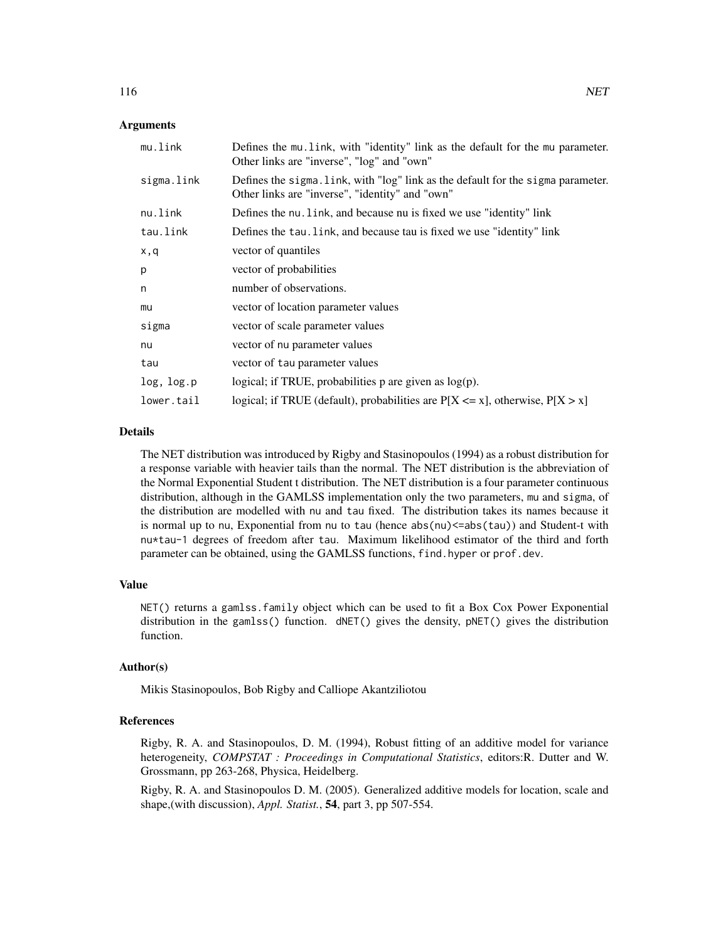## Arguments

| mu.link    | Defines the mu. link, with "identity" link as the default for the mu parameter.<br>Other links are "inverse", "log" and "own"       |
|------------|-------------------------------------------------------------------------------------------------------------------------------------|
| sigma.link | Defines the sigma. link, with "log" link as the default for the sigma parameter.<br>Other links are "inverse", "identity" and "own" |
| nu.link    | Defines the nu. link, and because nu is fixed we use "identity" link                                                                |
| tau.link   | Defines the tau. Link, and because tau is fixed we use "identity" link                                                              |
| x,q        | vector of quantiles                                                                                                                 |
| p          | vector of probabilities                                                                                                             |
| n          | number of observations.                                                                                                             |
| mu         | vector of location parameter values                                                                                                 |
| sigma      | vector of scale parameter values                                                                                                    |
| nu         | vector of nu parameter values                                                                                                       |
| tau        | vector of tau parameter values                                                                                                      |
| log, log.p | logical; if TRUE, probabilities $p$ are given as $log(p)$ .                                                                         |
| lower.tail | logical; if TRUE (default), probabilities are $P[X \le x]$ , otherwise, $P[X > x]$                                                  |

## Details

The NET distribution was introduced by Rigby and Stasinopoulos (1994) as a robust distribution for a response variable with heavier tails than the normal. The NET distribution is the abbreviation of the Normal Exponential Student t distribution. The NET distribution is a four parameter continuous distribution, although in the GAMLSS implementation only the two parameters, mu and sigma, of the distribution are modelled with nu and tau fixed. The distribution takes its names because it is normal up to nu, Exponential from nu to tau (hence abs(nu) <= abs(tau)) and Student-t with nu\*tau-1 degrees of freedom after tau. Maximum likelihood estimator of the third and forth parameter can be obtained, using the GAMLSS functions, find.hyper or prof.dev.

#### Value

NET() returns a gamlss.family object which can be used to fit a Box Cox Power Exponential distribution in the gamlss() function. dNET() gives the density, pNET() gives the distribution function.

#### Author(s)

Mikis Stasinopoulos, Bob Rigby and Calliope Akantziliotou

#### References

Rigby, R. A. and Stasinopoulos, D. M. (1994), Robust fitting of an additive model for variance heterogeneity, *COMPSTAT : Proceedings in Computational Statistics*, editors:R. Dutter and W. Grossmann, pp 263-268, Physica, Heidelberg.

Rigby, R. A. and Stasinopoulos D. M. (2005). Generalized additive models for location, scale and shape,(with discussion), *Appl. Statist.*, 54, part 3, pp 507-554.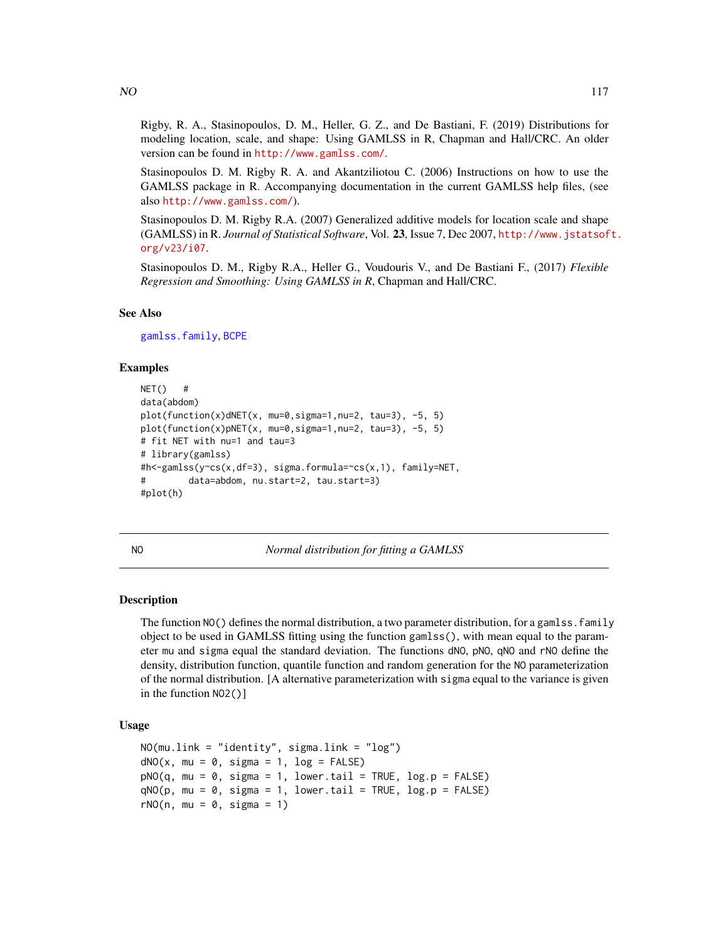$NO$  117

Rigby, R. A., Stasinopoulos, D. M., Heller, G. Z., and De Bastiani, F. (2019) Distributions for modeling location, scale, and shape: Using GAMLSS in R, Chapman and Hall/CRC. An older version can be found in <http://www.gamlss.com/>.

Stasinopoulos D. M. Rigby R. A. and Akantziliotou C. (2006) Instructions on how to use the GAMLSS package in R. Accompanying documentation in the current GAMLSS help files, (see also <http://www.gamlss.com/>).

Stasinopoulos D. M. Rigby R.A. (2007) Generalized additive models for location scale and shape (GAMLSS) in R. *Journal of Statistical Software*, Vol. 23, Issue 7, Dec 2007, [http://www.jstatsof](http://www.jstatsoft.org/v23/i07)t. [org/v23/i07](http://www.jstatsoft.org/v23/i07).

Stasinopoulos D. M., Rigby R.A., Heller G., Voudouris V., and De Bastiani F., (2017) *Flexible Regression and Smoothing: Using GAMLSS in R*, Chapman and Hall/CRC.

## See Also

[gamlss.family](#page-57-0), [BCPE](#page-12-0)

#### Examples

```
NET() #
data(abdom)
plot(function(x)dNET(x, mu=0,sigma=1,nu=2, tau=3), -5, 5)
plot(function(x)pNET(x, mu=0,sigma=1,nu=2, tau=3), -5, 5)
# fit NET with nu=1 and tau=3
# library(gamlss)
#h<-gamlss(y~cs(x,df=3), sigma.formula=~cs(x,1), family=NET,
# data=abdom, nu.start=2, tau.start=3)
#plot(h)
```
<span id="page-116-0"></span>NO *Normal distribution for fitting a GAMLSS*

## Description

The function  $NO()$  defines the normal distribution, a two parameter distribution, for a gamlss. family object to be used in GAMLSS fitting using the function gamlss(), with mean equal to the parameter mu and sigma equal the standard deviation. The functions dNO, pNO, qNO and rNO define the density, distribution function, quantile function and random generation for the NO parameterization of the normal distribution. [A alternative parameterization with sigma equal to the variance is given in the function NO2()]

```
NO(mu.link = "identity", sigma.link = "log")
dNO(x, mu = 0, sigma = 1, log = FALSE)pNO(q, mu = 0, sigma = 1, lower.tail = TRUE, log.p = FALSE)qNO(p, mu = 0, sigma = 1, lower.tail = TRUE, log.p = FALSE)rNO(n, mu = 0, sigma = 1)
```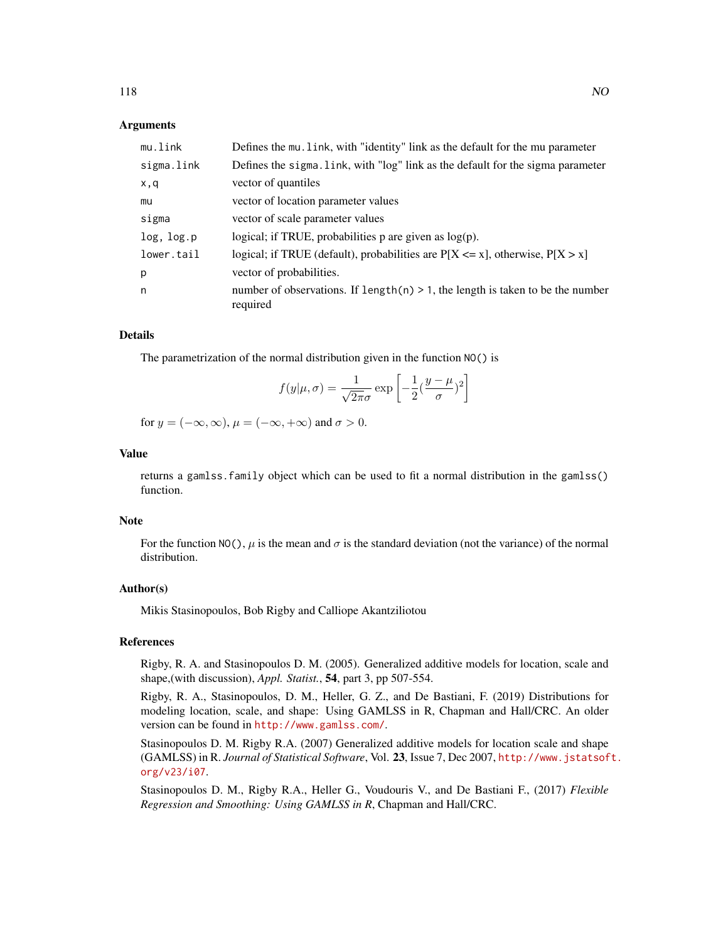## Arguments

| mu.link    | Defines the mu. link, with "identity" link as the default for the mu parameter                |
|------------|-----------------------------------------------------------------------------------------------|
| sigma.link | Defines the sigma. Link, with "log" link as the default for the sigma parameter               |
| x,q        | vector of quantiles                                                                           |
| mu         | vector of location parameter values                                                           |
| sigma      | vector of scale parameter values                                                              |
| log, log.p | logical; if TRUE, probabilities $p$ are given as $log(p)$ .                                   |
| lower.tail | logical; if TRUE (default), probabilities are $P[X \le x]$ , otherwise, $P[X > x]$            |
| р          | vector of probabilities.                                                                      |
| n          | number of observations. If $length(n) > 1$ , the length is taken to be the number<br>required |

#### Details

The parametrization of the normal distribution given in the function NO() is

$$
f(y|\mu,\sigma) = \frac{1}{\sqrt{2\pi}\sigma} \exp\left[-\frac{1}{2}(\frac{y-\mu}{\sigma})^2\right]
$$

for  $y = (-\infty, \infty)$ ,  $\mu = (-\infty, +\infty)$  and  $\sigma > 0$ .

# Value

returns a gamlss.family object which can be used to fit a normal distribution in the gamlss() function.

#### Note

For the function NO(),  $\mu$  is the mean and  $\sigma$  is the standard deviation (not the variance) of the normal distribution.

#### Author(s)

Mikis Stasinopoulos, Bob Rigby and Calliope Akantziliotou

#### References

Rigby, R. A. and Stasinopoulos D. M. (2005). Generalized additive models for location, scale and shape,(with discussion), *Appl. Statist.*, 54, part 3, pp 507-554.

Rigby, R. A., Stasinopoulos, D. M., Heller, G. Z., and De Bastiani, F. (2019) Distributions for modeling location, scale, and shape: Using GAMLSS in R, Chapman and Hall/CRC. An older version can be found in <http://www.gamlss.com/>.

Stasinopoulos D. M. Rigby R.A. (2007) Generalized additive models for location scale and shape (GAMLSS) in R. *Journal of Statistical Software*, Vol. 23, Issue 7, Dec 2007, [http://www.jstatsof](http://www.jstatsoft.org/v23/i07)t. [org/v23/i07](http://www.jstatsoft.org/v23/i07).

Stasinopoulos D. M., Rigby R.A., Heller G., Voudouris V., and De Bastiani F., (2017) *Flexible Regression and Smoothing: Using GAMLSS in R*, Chapman and Hall/CRC.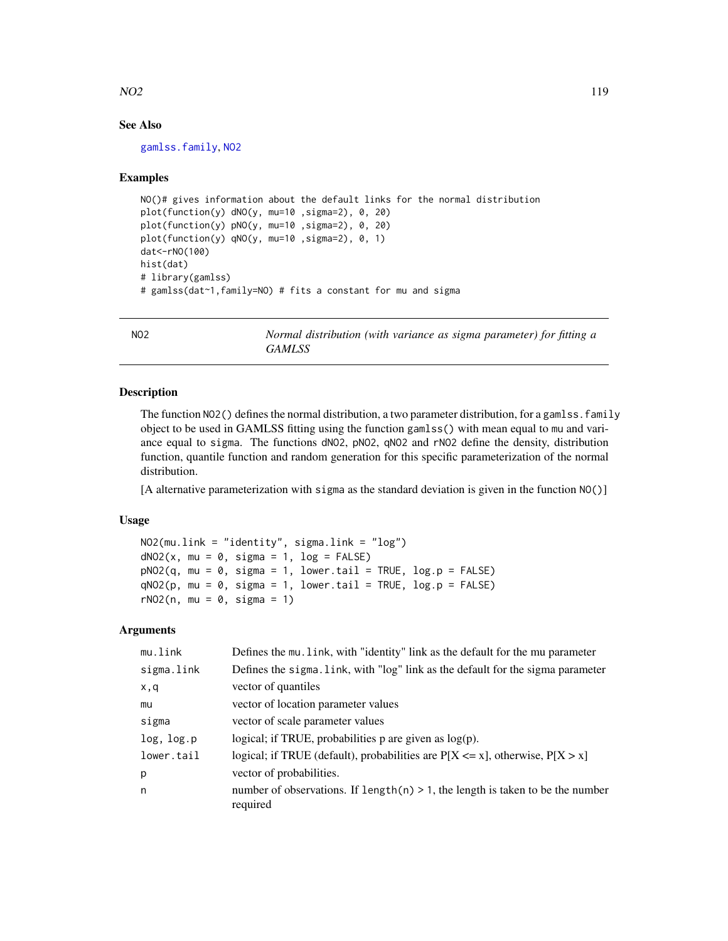## $NO2$  and  $119$

# See Also

[gamlss.family](#page-57-0), [NO2](#page-118-0)

## Examples

```
NO()# gives information about the default links for the normal distribution
plot(function(y) dNO(y, mu=10 ,sigma=2), 0, 20)
plot(function(y) pNO(y, mu=10 ,sigma=2), 0, 20)
plot(function(y) qNO(y, mu=10 ,sigma=2), 0, 1)
dat<-rNO(100)
hist(dat)
# library(gamlss)
# gamlss(dat~1,family=NO) # fits a constant for mu and sigma
```
<span id="page-118-0"></span>NO2 *Normal distribution (with variance as sigma parameter) for fitting a GAMLSS*

## Description

The function NO2() defines the normal distribution, a two parameter distribution, for a gamlss. family object to be used in GAMLSS fitting using the function gamlss() with mean equal to mu and variance equal to sigma. The functions dNO2, pNO2, qNO2 and rNO2 define the density, distribution function, quantile function and random generation for this specific parameterization of the normal distribution.

[A alternative parameterization with sigma as the standard deviation is given in the function NO()]

#### Usage

```
NO2(mu.link = "identity", sigma.link = "log")
dNO2(x, mu = 0, sigma = 1, log = FALSE)pNO2(q, mu = 0, sigma = 1, lowertail = TRUE, log.p = FALSE)qNO2(p, mu = 0, sigma = 1, lower[allerage] <math>P = FALSE)
rNO2(n, mu = 0, sigma = 1)
```
## Arguments

| mu.link    | Defines the mu. link, with "identity" link as the default for the mu parameter                |
|------------|-----------------------------------------------------------------------------------------------|
| sigma.link | Defines the sigma. Link, with "log" link as the default for the sigma parameter               |
| x, q       | vector of quantiles                                                                           |
| mu         | vector of location parameter values                                                           |
| sigma      | vector of scale parameter values                                                              |
| log, log.p | logical; if TRUE, probabilities $p$ are given as $log(p)$ .                                   |
| lower.tail | logical; if TRUE (default), probabilities are $P[X \le x]$ , otherwise, $P[X > x]$            |
| p          | vector of probabilities.                                                                      |
| n          | number of observations. If $length(n) > 1$ , the length is taken to be the number<br>required |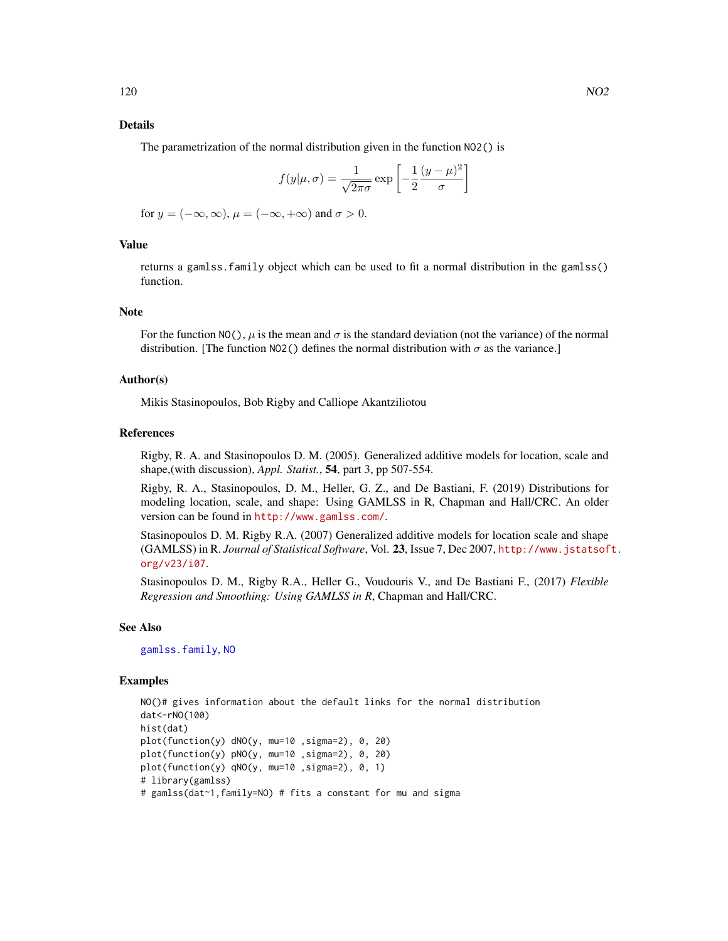# Details

The parametrization of the normal distribution given in the function NO2() is

$$
f(y|\mu,\sigma) = \frac{1}{\sqrt{2\pi\sigma}} \exp\left[-\frac{1}{2}\frac{(y-\mu)^2}{\sigma}\right]
$$

for  $y = (-\infty, \infty)$ ,  $\mu = (-\infty, +\infty)$  and  $\sigma > 0$ .

## Value

returns a gamlss.family object which can be used to fit a normal distribution in the gamlss() function.

# Note

For the function NO(),  $\mu$  is the mean and  $\sigma$  is the standard deviation (not the variance) of the normal distribution. [The function NO2() defines the normal distribution with  $\sigma$  as the variance.]

## Author(s)

Mikis Stasinopoulos, Bob Rigby and Calliope Akantziliotou

#### References

Rigby, R. A. and Stasinopoulos D. M. (2005). Generalized additive models for location, scale and shape,(with discussion), *Appl. Statist.*, 54, part 3, pp 507-554.

Rigby, R. A., Stasinopoulos, D. M., Heller, G. Z., and De Bastiani, F. (2019) Distributions for modeling location, scale, and shape: Using GAMLSS in R, Chapman and Hall/CRC. An older version can be found in <http://www.gamlss.com/>.

Stasinopoulos D. M. Rigby R.A. (2007) Generalized additive models for location scale and shape (GAMLSS) in R. *Journal of Statistical Software*, Vol. 23, Issue 7, Dec 2007, [http://www.jstatsof](http://www.jstatsoft.org/v23/i07)t. [org/v23/i07](http://www.jstatsoft.org/v23/i07).

Stasinopoulos D. M., Rigby R.A., Heller G., Voudouris V., and De Bastiani F., (2017) *Flexible Regression and Smoothing: Using GAMLSS in R*, Chapman and Hall/CRC.

## See Also

[gamlss.family](#page-57-0), [NO](#page-116-0)

## Examples

```
NO()# gives information about the default links for the normal distribution
dat<-rNO(100)
hist(dat)
plot(function(y) dNO(y, mu=10 ,sigma=2), 0, 20)
plot(function(y) pNO(y, mu=10 ,sigma=2), 0, 20)
plot(function(y) qNO(y, mu=10 ,sigma=2), 0, 1)
# library(gamlss)
# gamlss(dat~1,family=NO) # fits a constant for mu and sigma
```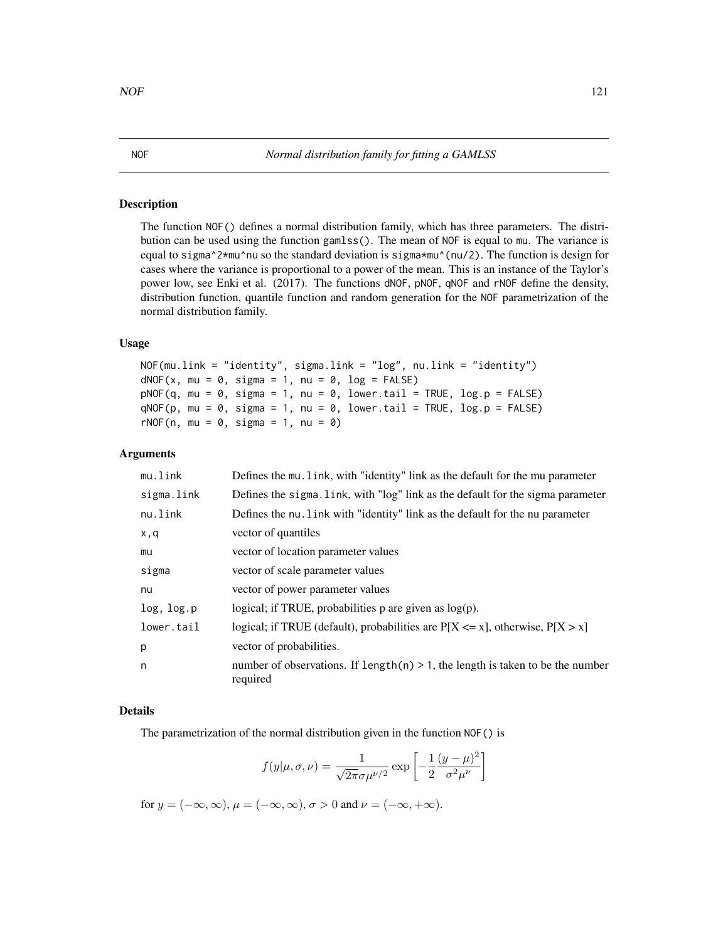#### NOF *Normal distribution family for fitting a GAMLSS*

## Description

The function NOF() defines a normal distribution family, which has three parameters. The distribution can be used using the function gamlss(). The mean of NOF is equal to mu. The variance is equal to sigma^2\*mu^nu so the standard deviation is sigma\*mu^(nu/2). The function is design for cases where the variance is proportional to a power of the mean. This is an instance of the Taylor's power low, see Enki et al. (2017). The functions dNOF, pNOF, qNOF and rNOF define the density, distribution function, quantile function and random generation for the NOF parametrization of the normal distribution family.

## Usage

```
NOF(mu.link = "identity", sigma.link = "log", nu.link = "identity")
dNOF(x, mu = 0, sigma = 1, nu = 0, log = FALSE)pNOF(q, mu = 0, sigma = 1, nu = 0, lowertail = TRUE, log.p = FALSE)qNOF(p, mu = 0, sigma = 1, nu = 0, lower.tail = TRUE, log.p = FALSE)rNOF(n, mu = 0, sigma = 1, nu = 0)
```
## Arguments

| mu.link    | Defines the mu. link, with "identity" link as the default for the mu parameter                |
|------------|-----------------------------------------------------------------------------------------------|
| sigma.link | Defines the sigma. Link, with "log" link as the default for the sigma parameter               |
| nu.link    | Defines the nu. Link with "identity" link as the default for the nu parameter                 |
| x,q        | vector of quantiles                                                                           |
| mu         | vector of location parameter values                                                           |
| sigma      | vector of scale parameter values                                                              |
| nu         | vector of power parameter values                                                              |
| log, log.p | logical; if TRUE, probabilities $p$ are given as $log(p)$ .                                   |
| lower.tail | logical; if TRUE (default), probabilities are $P[X \le x]$ , otherwise, $P[X > x]$            |
| p          | vector of probabilities.                                                                      |
| n          | number of observations. If length(n) $> 1$ , the length is taken to be the number<br>required |

#### Details

The parametrization of the normal distribution given in the function NOF() is

$$
f(y|\mu, \sigma, \nu) = \frac{1}{\sqrt{2\pi}\sigma\mu^{\nu/2}} \exp\left[-\frac{1}{2}\frac{(y-\mu)^2}{\sigma^2\mu^{\nu}}\right]
$$

for  $y = (-\infty, \infty)$ ,  $\mu = (-\infty, \infty)$ ,  $\sigma > 0$  and  $\nu = (-\infty, +\infty)$ .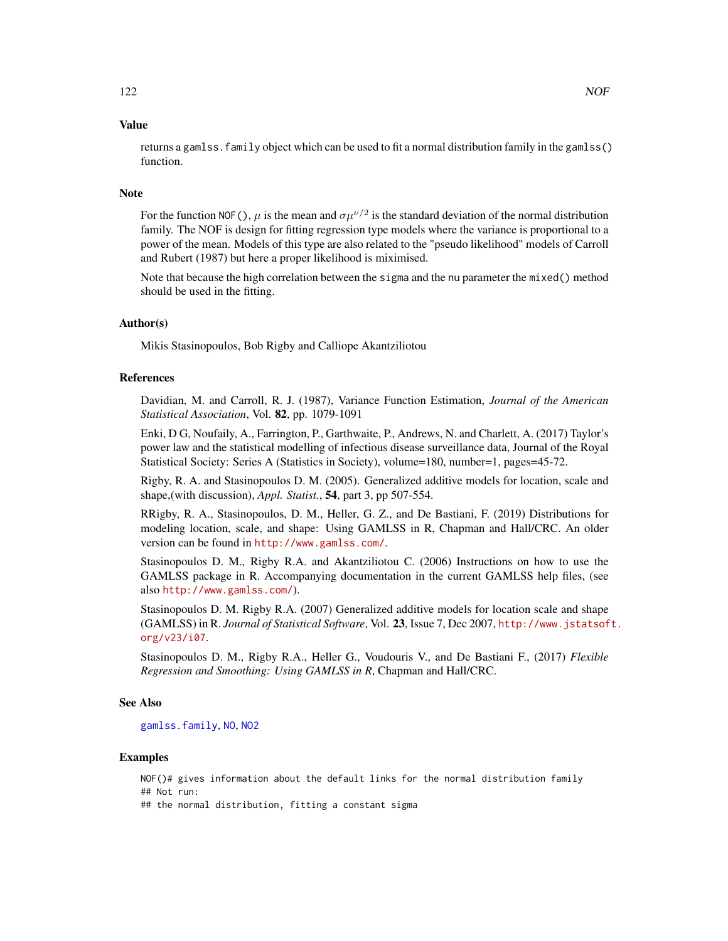## Value

returns a gamlss.family object which can be used to fit a normal distribution family in the gamlss() function.

#### Note

For the function NOF(),  $\mu$  is the mean and  $\sigma \mu^{\nu/2}$  is the standard deviation of the normal distribution family. The NOF is design for fitting regression type models where the variance is proportional to a power of the mean. Models of this type are also related to the "pseudo likelihood" models of Carroll and Rubert (1987) but here a proper likelihood is miximised.

Note that because the high correlation between the sigma and the nu parameter the mixed() method should be used in the fitting.

## Author(s)

Mikis Stasinopoulos, Bob Rigby and Calliope Akantziliotou

## References

Davidian, M. and Carroll, R. J. (1987), Variance Function Estimation, *Journal of the American Statistical Association*, Vol. 82, pp. 1079-1091

Enki, D G, Noufaily, A., Farrington, P., Garthwaite, P., Andrews, N. and Charlett, A. (2017) Taylor's power law and the statistical modelling of infectious disease surveillance data, Journal of the Royal Statistical Society: Series A (Statistics in Society), volume=180, number=1, pages=45-72.

Rigby, R. A. and Stasinopoulos D. M. (2005). Generalized additive models for location, scale and shape,(with discussion), *Appl. Statist.*, 54, part 3, pp 507-554.

RRigby, R. A., Stasinopoulos, D. M., Heller, G. Z., and De Bastiani, F. (2019) Distributions for modeling location, scale, and shape: Using GAMLSS in R, Chapman and Hall/CRC. An older version can be found in <http://www.gamlss.com/>.

Stasinopoulos D. M., Rigby R.A. and Akantziliotou C. (2006) Instructions on how to use the GAMLSS package in R. Accompanying documentation in the current GAMLSS help files, (see also <http://www.gamlss.com/>).

Stasinopoulos D. M. Rigby R.A. (2007) Generalized additive models for location scale and shape (GAMLSS) in R. *Journal of Statistical Software*, Vol. 23, Issue 7, Dec 2007, [http://www.jstatsof](http://www.jstatsoft.org/v23/i07)t. [org/v23/i07](http://www.jstatsoft.org/v23/i07).

Stasinopoulos D. M., Rigby R.A., Heller G., Voudouris V., and De Bastiani F., (2017) *Flexible Regression and Smoothing: Using GAMLSS in R*, Chapman and Hall/CRC.

#### See Also

[gamlss.family](#page-57-0), [NO](#page-116-0), [NO2](#page-118-0)

#### Examples

NOF()# gives information about the default links for the normal distribution family ## Not run:

## the normal distribution, fitting a constant sigma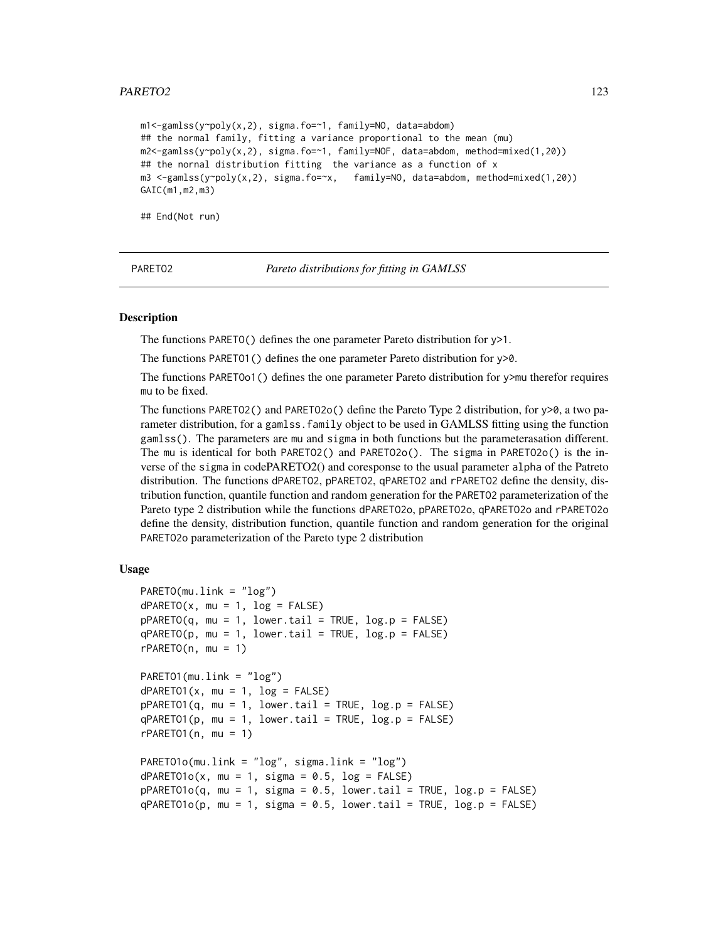## PARETO2 123

m1<-gamlss(y~poly(x,2), sigma.fo=~1, family=NO, data=abdom) ## the normal family, fitting a variance proportional to the mean (mu) m2<-gamlss(y~poly(x,2), sigma.fo=~1, family=NOF, data=abdom, method=mixed(1,20)) ## the nornal distribution fitting the variance as a function of x m3 <-gamlss(y~poly(x,2), sigma.fo=~x, family=NO, data=abdom, method=mixed(1,20)) GAIC(m1,m2,m3)

## End(Not run)

PARETO2 *Pareto distributions for fitting in GAMLSS*

#### Description

The functions PARETO() defines the one parameter Pareto distribution for y>1.

The functions PARETO1() defines the one parameter Pareto distribution for y>0.

The functions PARETOo1() defines the one parameter Pareto distribution for y>mu therefor requires mu to be fixed.

The functions PARETO2() and PARETO20() define the Pareto Type 2 distribution, for  $y\ge0$ , a two parameter distribution, for a gamlss. family object to be used in GAMLSS fitting using the function gamlss(). The parameters are mu and sigma in both functions but the parameterasation different. The mu is identical for both PARETO2() and PARETO2o(). The sigma in PARETO2o() is the inverse of the sigma in codePARETO2() and coresponse to the usual parameter alpha of the Patreto distribution. The functions dPARETO2, pPARETO2, qPARETO2 and rPARETO2 define the density, distribution function, quantile function and random generation for the PARETO2 parameterization of the Pareto type 2 distribution while the functions dPARETO2o, pPARETO2o, qPARETO2o and rPARETO2o define the density, distribution function, quantile function and random generation for the original PARETO2o parameterization of the Pareto type 2 distribution

```
PARETO(mu.link = "log")dPARETO(x, mu = 1, log = FALSE)pPARETO(q, mu = 1, lower.tail = TRUE, log.p = FALSE)qPARETO(p, mu = 1, lowertail = TRUE, <math>log.p = FALSE)
rPARETO(n, mu = 1)PARETO1(mu.link = "log")
dPARETO1(x, mu = 1, log = FALSE)pPARETO1(q, mu = 1, lowertail = TRUE, <math>log.p = FALSE)
qPARETO1(p, mu = 1, lowertail = TRUE, log.p = FALSE)rPARETO1(n, mu = 1)PARETO1o(mu.link = "log", sigma.link = "log")
dPARETO1o(x, mu = 1, sigma = 0.5, log = FALSE)pPARETO1o(q, mu = 1, sigma = 0.5, lower[a] = TRUE, <math>log.p = FALSE)
qPARETO1o(p, mu = 1, sigma = 0.5, lower[a] = TRUE, <math>log.p = FALSE)
```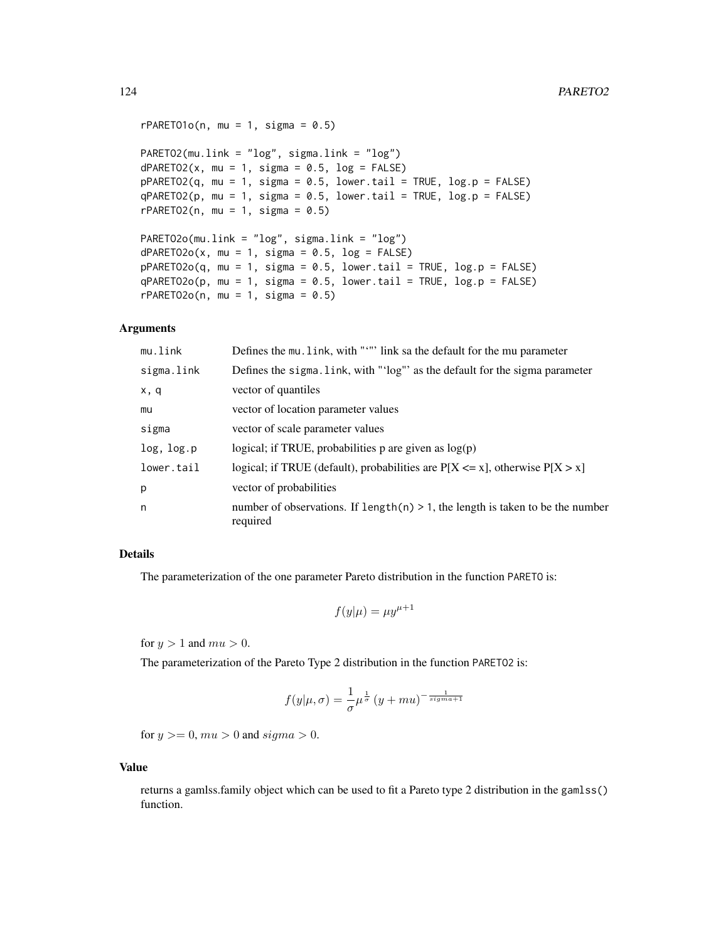```
rPARET01o(n, mu = 1, sigma = 0.5)PARETO2(mu.link = "log", sigma.link = "log")
dPARETO2(x, mu = 1, sigma = 0.5, log = FALSE)pPARETO2(q, mu = 1, sigma = 0.5, lower.tail = TRUE, log.p = FALSE)qPARETO2(p, mu = 1, sigma = 0.5, lower.tail = TRUE, log.p = FALSE)rPARETO2(n, mu = 1, sigma = 0.5)PARETO2o(mu.link = "log", sigma.link = "log")
dPARETO2o(x, mu = 1, sigma = 0.5, log = FALSE)pPARETO2o(q, mu = 1, sigma = 0.5, lower[2014] = TRUE, <math>log.p = FALSE)
qPARETO2o(p, mu = 1, sigma = 0.5, lower[2014] = TRUE, <math>log.p = FALSE)
rPARETO2o(n, mu = 1, sigma = 0.5)
```
#### Arguments

| mu.link    | Defines the mu. link, with """ link sa the default for the mu parameter                       |
|------------|-----------------------------------------------------------------------------------------------|
| sigma.link | Defines the sigma. link, with "'log"' as the default for the sigma parameter                  |
| x, q       | vector of quantiles                                                                           |
| mu         | vector of location parameter values                                                           |
| sigma      | vector of scale parameter values                                                              |
| log, log.p | logical; if TRUE, probabilities $p$ are given as $log(p)$                                     |
| lower.tail | logical; if TRUE (default), probabilities are $P[X \le x]$ , otherwise $P[X > x]$             |
| p          | vector of probabilities                                                                       |
| n          | number of observations. If $length(n) > 1$ , the length is taken to be the number<br>required |

## Details

The parameterization of the one parameter Pareto distribution in the function PARETO is:

$$
f(y|\mu) = \mu y^{\mu+1}
$$

for  $y > 1$  and  $mu > 0$ .

The parameterization of the Pareto Type 2 distribution in the function PARETO2 is:

$$
f(y|\mu,\sigma) = \frac{1}{\sigma} \mu^{\frac{1}{\sigma}} (y+mu)^{-\frac{1}{signa+1}}
$$

for  $y \ge 0$ ,  $mu > 0$  and  $sigma > 0$ .

## Value

returns a gamlss.family object which can be used to fit a Pareto type 2 distribution in the gamlss() function.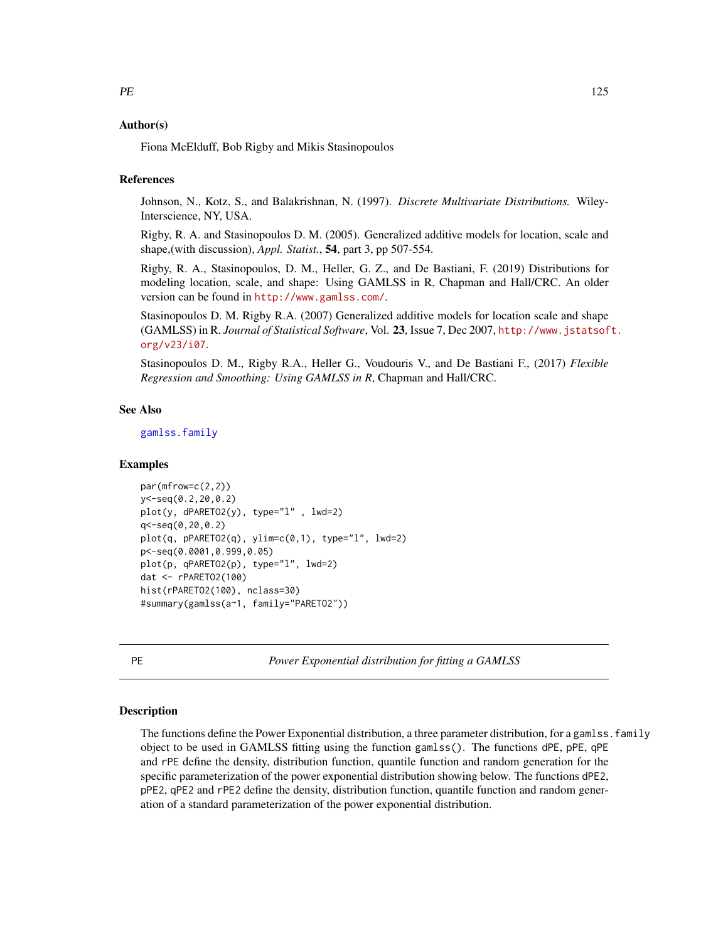## Author(s)

Fiona McElduff, Bob Rigby and Mikis Stasinopoulos

## References

Johnson, N., Kotz, S., and Balakrishnan, N. (1997). *Discrete Multivariate Distributions.* Wiley-Interscience, NY, USA.

Rigby, R. A. and Stasinopoulos D. M. (2005). Generalized additive models for location, scale and shape,(with discussion), *Appl. Statist.*, 54, part 3, pp 507-554.

Rigby, R. A., Stasinopoulos, D. M., Heller, G. Z., and De Bastiani, F. (2019) Distributions for modeling location, scale, and shape: Using GAMLSS in R, Chapman and Hall/CRC. An older version can be found in <http://www.gamlss.com/>.

Stasinopoulos D. M. Rigby R.A. (2007) Generalized additive models for location scale and shape (GAMLSS) in R. *Journal of Statistical Software*, Vol. 23, Issue 7, Dec 2007, [http://www.jstatsof](http://www.jstatsoft.org/v23/i07)t. [org/v23/i07](http://www.jstatsoft.org/v23/i07).

Stasinopoulos D. M., Rigby R.A., Heller G., Voudouris V., and De Bastiani F., (2017) *Flexible Regression and Smoothing: Using GAMLSS in R*, Chapman and Hall/CRC.

## See Also

[gamlss.family](#page-57-0)

### Examples

```
par(mfrow=c(2,2))
y<-seq(0.2,20,0.2)
plot(y, dPARETO2(y), type="l" , lwd=2)
q<-seq(0,20,0.2)
plot(q, pPARETO2(q), ylim=c(0,1), type="1", lwd=2)p<-seq(0.0001,0.999,0.05)
plot(p, qPARETO2(p), type="l", lwd=2)
dat <- rPARETO2(100)
hist(rPARETO2(100), nclass=30)
#summary(gamlss(a~1, family="PARETO2"))
```
PE *Power Exponential distribution for fitting a GAMLSS*

#### Description

The functions define the Power Exponential distribution, a three parameter distribution, for a gamlss, family object to be used in GAMLSS fitting using the function gamlss(). The functions dPE, pPE, qPE and rPE define the density, distribution function, quantile function and random generation for the specific parameterization of the power exponential distribution showing below. The functions dPE2, pPE2, qPE2 and rPE2 define the density, distribution function, quantile function and random generation of a standard parameterization of the power exponential distribution.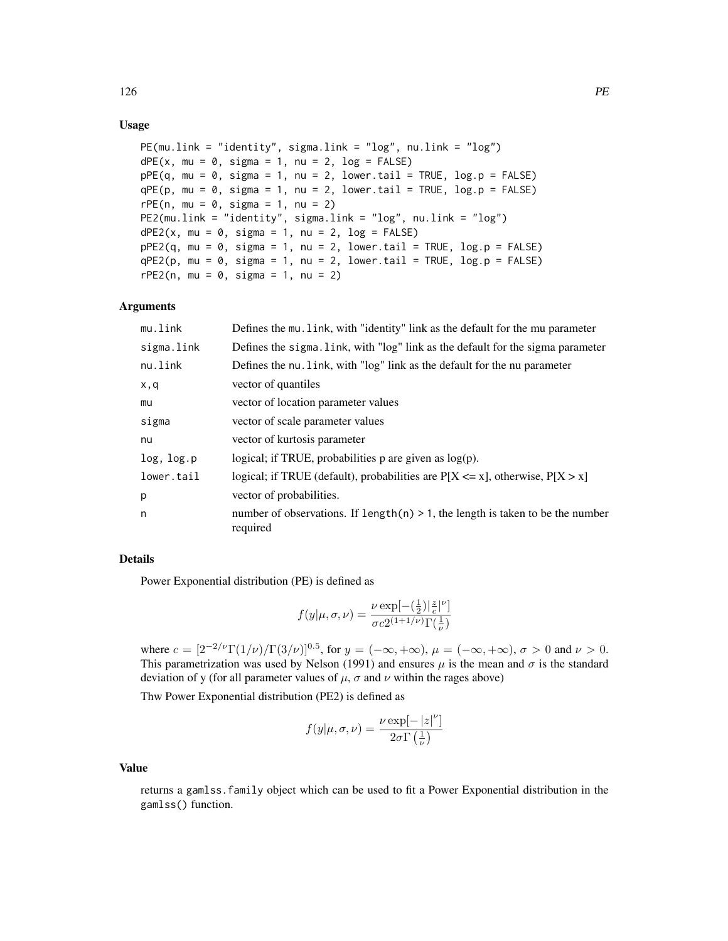# Usage

```
PE(mu.link = "identity", sigma.link = "log", nu.link = "log")
dPE(x, mu = 0, sigma = 1, nu = 2, log = FALSE)pPE(q, mu = 0, sigma = 1, nu = 2, lower[20] = TRUE, <math>log.p = FALSE)
qPE(p, mu = 0, sigma = 1, nu = 2, lower[2014] = TRUE, <math>log.p = FALSE)
rPE(n, mu = 0, sigma = 1, nu = 2)PE2(mu.link = "identity", sigma.link = "log", nu.link = "log")
dPE2(x, mu = 0, sigma = 1, nu = 2, log = FALSE)pPE2(q, mu = 0, sigma = 1, nu = 2, lower[avated] = TRUE, <math>log.p = FALSE)
qPE2(p, mu = 0, sigma = 1, nu = 2, lower[avated] = TRUE, <math>log.p = FALSE)
rPE2(n, mu = 0, sigma = 1, nu = 2)
```
## Arguments

| mu.link    | Defines the mu. Link, with "identity" link as the default for the mu parameter                |
|------------|-----------------------------------------------------------------------------------------------|
| sigma.link | Defines the sigma. Link, with "log" link as the default for the sigma parameter               |
| nu.link    | Defines the nu. link, with "log" link as the default for the nu parameter                     |
| x,q        | vector of quantiles                                                                           |
| mu         | vector of location parameter values                                                           |
| sigma      | vector of scale parameter values                                                              |
| nu         | vector of kurtosis parameter                                                                  |
| log, log.p | logical; if TRUE, probabilities $p$ are given as $log(p)$ .                                   |
| lower.tail | logical; if TRUE (default), probabilities are $P[X \le x]$ , otherwise, $P[X > x]$            |
| p          | vector of probabilities.                                                                      |
| n          | number of observations. If $length(n) > 1$ , the length is taken to be the number<br>required |

#### Details

Power Exponential distribution (PE) is defined as

$$
f(y|\mu,\sigma,\nu) = \frac{\nu \exp[-(\frac{1}{2})|\frac{z}{c}|^{\nu}]}{\sigma c 2^{(1+1/\nu)} \Gamma(\frac{1}{\nu})}
$$

where  $c = [2^{-2/\nu} \Gamma(1/\nu) / \Gamma(3/\nu)]^{0.5}$ , for  $y = (-\infty, +\infty)$ ,  $\mu = (-\infty, +\infty)$ ,  $\sigma > 0$  and  $\nu > 0$ . This parametrization was used by Nelson (1991) and ensures  $\mu$  is the mean and  $\sigma$  is the standard deviation of y (for all parameter values of  $\mu$ ,  $\sigma$  and  $\nu$  within the rages above)

Thw Power Exponential distribution (PE2) is defined as

$$
f(y|\mu, \sigma, \nu) = \frac{\nu \exp[-|z|^{\nu}]}{2\sigma \Gamma(\frac{1}{\nu})}
$$

#### Value

returns a gamlss.family object which can be used to fit a Power Exponential distribution in the gamlss() function.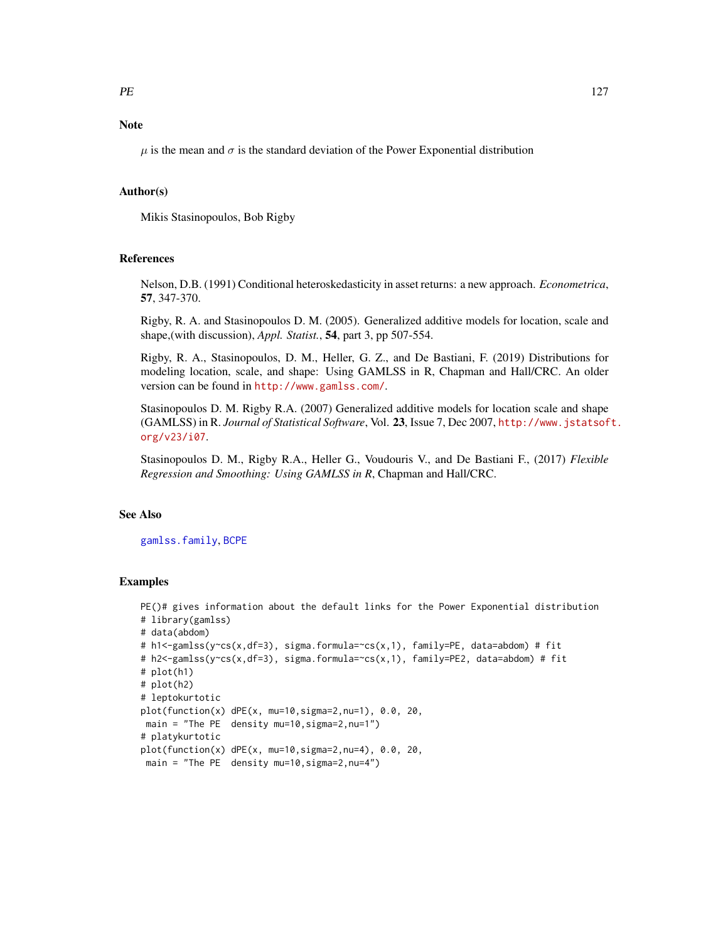# Note

 $\mu$  is the mean and  $\sigma$  is the standard deviation of the Power Exponential distribution

## Author(s)

Mikis Stasinopoulos, Bob Rigby

#### **References**

Nelson, D.B. (1991) Conditional heteroskedasticity in asset returns: a new approach. *Econometrica*, 57, 347-370.

Rigby, R. A. and Stasinopoulos D. M. (2005). Generalized additive models for location, scale and shape,(with discussion), *Appl. Statist.*, 54, part 3, pp 507-554.

Rigby, R. A., Stasinopoulos, D. M., Heller, G. Z., and De Bastiani, F. (2019) Distributions for modeling location, scale, and shape: Using GAMLSS in R, Chapman and Hall/CRC. An older version can be found in <http://www.gamlss.com/>.

Stasinopoulos D. M. Rigby R.A. (2007) Generalized additive models for location scale and shape (GAMLSS) in R. *Journal of Statistical Software*, Vol. 23, Issue 7, Dec 2007, [http://www.jstatsof](http://www.jstatsoft.org/v23/i07)t. [org/v23/i07](http://www.jstatsoft.org/v23/i07).

Stasinopoulos D. M., Rigby R.A., Heller G., Voudouris V., and De Bastiani F., (2017) *Flexible Regression and Smoothing: Using GAMLSS in R*, Chapman and Hall/CRC.

## See Also

[gamlss.family](#page-57-0), [BCPE](#page-12-0)

# Examples

```
PE()# gives information about the default links for the Power Exponential distribution
# library(gamlss)
# data(abdom)
# h1<-gamlss(y~cs(x,df=3), sigma.formula=~cs(x,1), family=PE, data=abdom) # fit
# h2<-gamlss(y~cs(x,df=3), sigma.formula=~cs(x,1), family=PE2, data=abdom) # fit
# plot(h1)
# plot(h2)
# leptokurtotic
plot(function(x) dPE(x, mu=10,sigma=2,nu=1), 0.0, 20,
main = "The PE density mu=10, sigma=2, nu=1")
# platykurtotic
plot(function(x) dPE(x, mu=10,sigma=2,nu=4), 0.0, 20,
 main = "The PE density mu=10, sigma=2, nu=4")
```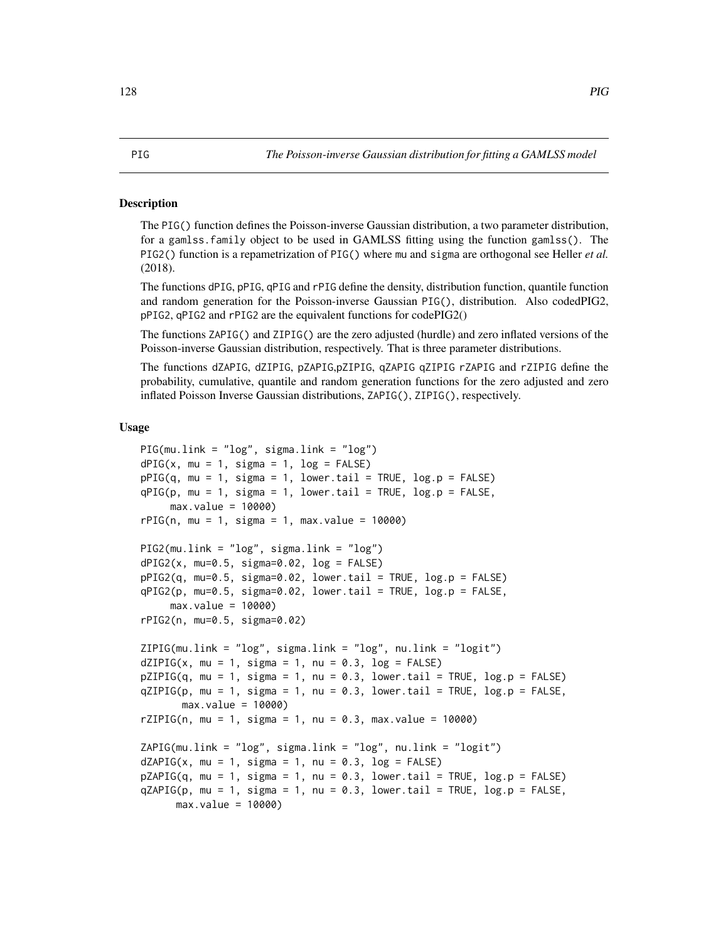#### <span id="page-127-0"></span>Description

The PIG() function defines the Poisson-inverse Gaussian distribution, a two parameter distribution, for a gamlss.family object to be used in GAMLSS fitting using the function gamlss(). The PIG2() function is a repametrization of PIG() where mu and sigma are orthogonal see Heller *et al.* (2018).

The functions dPIG, pPIG, qPIG and rPIG define the density, distribution function, quantile function and random generation for the Poisson-inverse Gaussian PIG(), distribution. Also codedPIG2, pPIG2, qPIG2 and rPIG2 are the equivalent functions for codePIG2()

The functions ZAPIG() and ZIPIG() are the zero adjusted (hurdle) and zero inflated versions of the Poisson-inverse Gaussian distribution, respectively. That is three parameter distributions.

The functions dZAPIG, dZIPIG, pZAPIG,pZIPIG, qZAPIG qZIPIG rZAPIG and rZIPIG define the probability, cumulative, quantile and random generation functions for the zero adjusted and zero inflated Poisson Inverse Gaussian distributions, ZAPIG(), ZIPIG(), respectively.

```
PIG(mu.link = "log", sigma.link = "log")
dPIG(x, mu = 1, sigma = 1, log = FALSE)pPIG(q, mu = 1, sigma = 1, lowertail = TRUE, log.p = FALSE)
qPIG(p, mu = 1, sigma = 1, lower.tail = TRUE, log.p = FALSE,max.value = 10000)
rPIG(n, mu = 1, sigma = 1, max.value = 10000)PIG2(mu.link = "log", sigma.link = "log")
dPIG2(x, mu=0.5, sigma=0.02, log = FALSE)pPIG2(q, mu=0.5, sigma=0.02, lower.tail = TRUE, log.p = FALSE)
qPIG2(p, mu=0.5, sigma=0.02, lower.tail = TRUE, log.p = FALSE,
     max.value = 10000)
rPIG2(n, mu=0.5, sigma=0.02)
ZIPIG(mu.link = "log", sigma.link = "log", nu.link = "logit")dZIPIG(x, mu = 1, sigma = 1, nu = 0.3, log = FALSE)pZIPIG(q, mu = 1, sigma = 1, nu = 0.3, lower.tail = TRUE, log.p = FALSE)
qZIPIG(p, mu = 1, sigma = 1, nu = 0.3, lowertail = TRUE, log.p = FALSE,
       max.value = 10000)
rZIPIG(n, mu = 1, sigma = 1, nu = 0.3, max.value = 10000)ZAPIG(mu.link = "log", sigma.link = "log", nu.link = "logit")
dZAPIG(x, mu = 1, sigma = 1, nu = 0.3, log = FALSE)pZAPIG(q, mu = 1, sigma = 1, nu = 0.3, lower[arct] = TRUE, <math>log.p = FALSE)
qZAPIG(p, mu = 1, sigma = 1, nu = 0.3, lower.tail = TRUE, log.p = FALSE,
     max.value = 10000)
```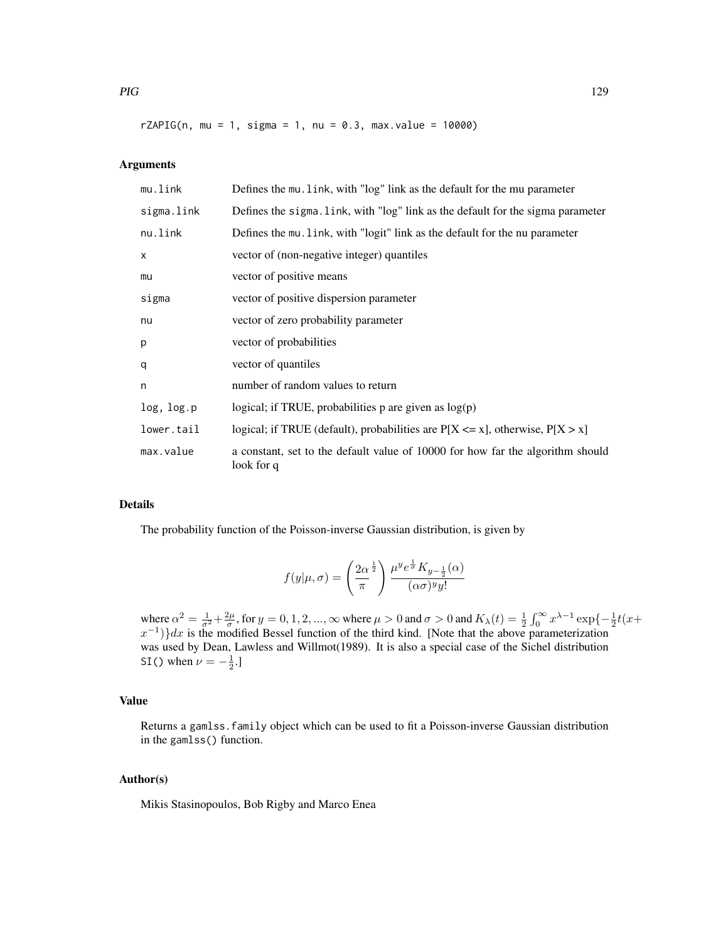$rZAPIG(n, mu = 1, sigma = 1, nu = 0.3, max.value = 10000)$ 

# Arguments

| mu.link    | Defines the mu. Link, with "log" link as the default for the mu parameter                    |
|------------|----------------------------------------------------------------------------------------------|
| sigma.link | Defines the sigma. Link, with "log" link as the default for the sigma parameter              |
| nu.link    | Defines the mu. link, with "logit" link as the default for the nu parameter                  |
| X          | vector of (non-negative integer) quantiles                                                   |
| mu         | vector of positive means                                                                     |
| sigma      | vector of positive dispersion parameter                                                      |
| nu         | vector of zero probability parameter                                                         |
| р          | vector of probabilities                                                                      |
| q          | vector of quantiles                                                                          |
| n          | number of random values to return                                                            |
| log, log.p | logical; if TRUE, probabilities $p$ are given as $log(p)$                                    |
| lower.tail | logical; if TRUE (default), probabilities are $P[X \le x]$ , otherwise, $P[X > x]$           |
| max.value  | a constant, set to the default value of 10000 for how far the algorithm should<br>look for q |

## Details

The probability function of the Poisson-inverse Gaussian distribution, is given by

$$
f(y|\mu,\sigma) = \left(\frac{2\alpha^{\frac{1}{2}}}{\pi}\right) \frac{\mu^y e^{\frac{1}{\sigma}} K_{y-\frac{1}{2}}(\alpha)}{(\alpha \sigma)^y y!}
$$

where  $\alpha^2 = \frac{1}{\sigma^2} + \frac{2\mu}{\sigma}$ , for  $y = 0, 1, 2, ..., \infty$  where  $\mu > 0$  and  $\sigma > 0$  and  $K_\lambda(t) = \frac{1}{2} \int_0^\infty x^{\lambda-1} \exp\{-\frac{1}{2}t(x+\lambda) \}$  $(x^{-1})$ }dx is the modified Bessel function of the third kind. [Note that the above parameterization was used by Dean, Lawless and Willmot(1989). It is also a special case of the Sichel distribution SI() when  $\nu = -\frac{1}{2}$ .

# Value

Returns a gamlss.family object which can be used to fit a Poisson-inverse Gaussian distribution in the gamlss() function.

# Author(s)

Mikis Stasinopoulos, Bob Rigby and Marco Enea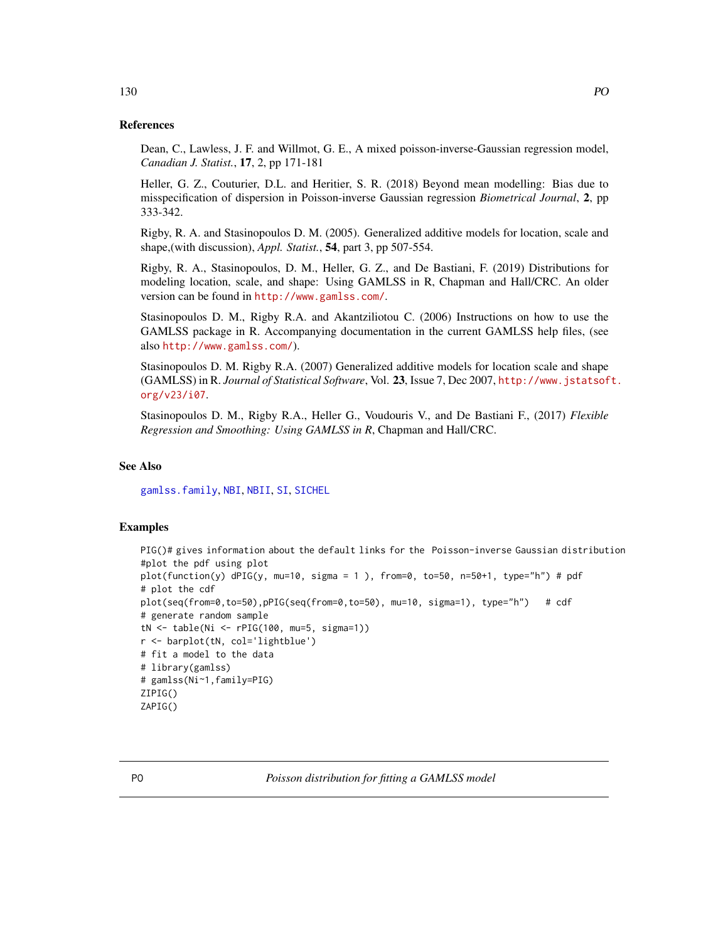#### References

Dean, C., Lawless, J. F. and Willmot, G. E., A mixed poisson-inverse-Gaussian regression model, *Canadian J. Statist.*, 17, 2, pp 171-181

Heller, G. Z., Couturier, D.L. and Heritier, S. R. (2018) Beyond mean modelling: Bias due to misspecification of dispersion in Poisson-inverse Gaussian regression *Biometrical Journal*, 2, pp 333-342.

Rigby, R. A. and Stasinopoulos D. M. (2005). Generalized additive models for location, scale and shape,(with discussion), *Appl. Statist.*, 54, part 3, pp 507-554.

Rigby, R. A., Stasinopoulos, D. M., Heller, G. Z., and De Bastiani, F. (2019) Distributions for modeling location, scale, and shape: Using GAMLSS in R, Chapman and Hall/CRC. An older version can be found in <http://www.gamlss.com/>.

Stasinopoulos D. M., Rigby R.A. and Akantziliotou C. (2006) Instructions on how to use the GAMLSS package in R. Accompanying documentation in the current GAMLSS help files, (see also <http://www.gamlss.com/>).

Stasinopoulos D. M. Rigby R.A. (2007) Generalized additive models for location scale and shape (GAMLSS) in R. *Journal of Statistical Software*, Vol. 23, Issue 7, Dec 2007, [http://www.jstatsof](http://www.jstatsoft.org/v23/i07)t. [org/v23/i07](http://www.jstatsoft.org/v23/i07).

Stasinopoulos D. M., Rigby R.A., Heller G., Voudouris V., and De Bastiani F., (2017) *Flexible Regression and Smoothing: Using GAMLSS in R*, Chapman and Hall/CRC.

#### See Also

[gamlss.family](#page-57-0), [NBI](#page-110-0), [NBII](#page-112-0), [SI](#page-144-0), [SICHEL](#page-146-0)

## Examples

```
PIG()# gives information about the default links for the Poisson-inverse Gaussian distribution
#plot the pdf using plot
plot(function(y) dPIG(y, mu=10, sigma = 1), from=0, to=50, n=50+1, type="h") # pdf
# plot the cdf
plot(seq(from=0,to=50),pPIG(seq(from=0,to=50), mu=10, sigma=1), type="h") # cdf
# generate random sample
tN <- table(Ni <- rPIG(100, mu=5, sigma=1))
r <- barplot(tN, col='lightblue')
# fit a model to the data
# library(gamlss)
# gamlss(Ni~1,family=PIG)
ZIPIG()
ZAPIG()
```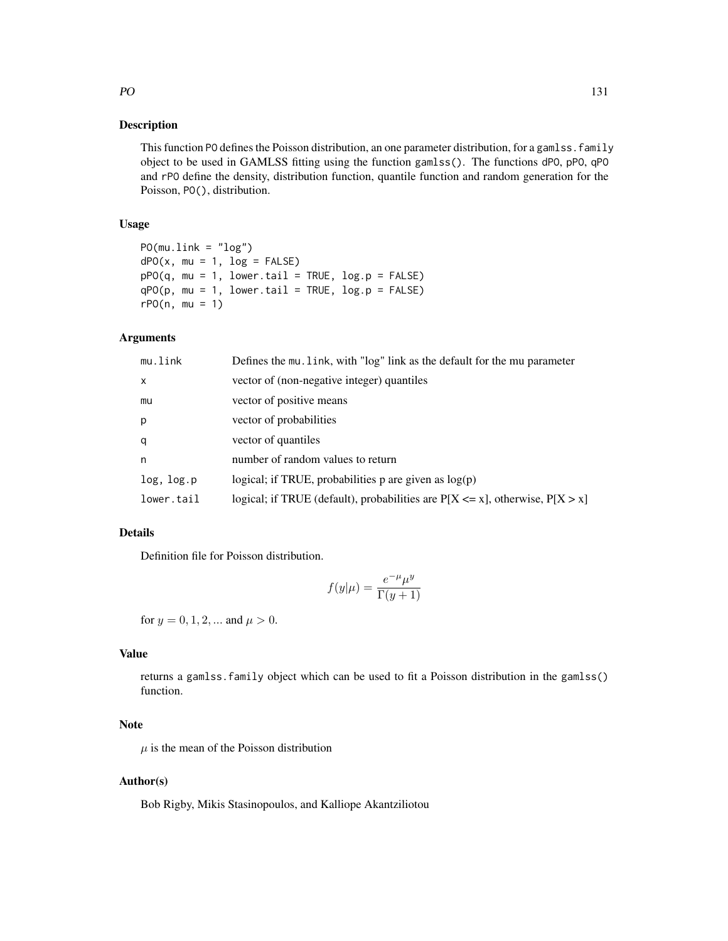#### Description

This function PO defines the Poisson distribution, an one parameter distribution, for a gamlss. family object to be used in GAMLSS fitting using the function gamlss(). The functions dPO, pPO, qPO and rPO define the density, distribution function, quantile function and random generation for the Poisson, PO(), distribution.

## Usage

```
PO(mu.link = "log")dPO(x, mu = 1, log = FALSE)pPO(q, mu = 1, lower.tail = TRUE, log.p = FALSE)qPO(p, mu = 1, lower.tail = TRUE, log.p = FALSE)rPO(n, mu = 1)
```
## Arguments

| mu.link    | Defines the mu. link, with "log" link as the default for the mu parameter          |
|------------|------------------------------------------------------------------------------------|
| X          | vector of (non-negative integer) quantiles                                         |
| mu         | vector of positive means                                                           |
| p          | vector of probabilities                                                            |
| q          | vector of quantiles                                                                |
| n          | number of random values to return                                                  |
| log, log.p | logical; if TRUE, probabilities $p$ are given as $log(p)$                          |
| lower.tail | logical; if TRUE (default), probabilities are $P[X \le x]$ , otherwise, $P[X > x]$ |

#### Details

Definition file for Poisson distribution.

$$
f(y|\mu) = \frac{e^{-\mu}\mu^y}{\Gamma(y+1)}
$$

for  $y = 0, 1, 2, ...$  and  $\mu > 0$ .

# Value

returns a gamlss.family object which can be used to fit a Poisson distribution in the gamlss() function.

# Note

 $\mu$  is the mean of the Poisson distribution

### Author(s)

Bob Rigby, Mikis Stasinopoulos, and Kalliope Akantziliotou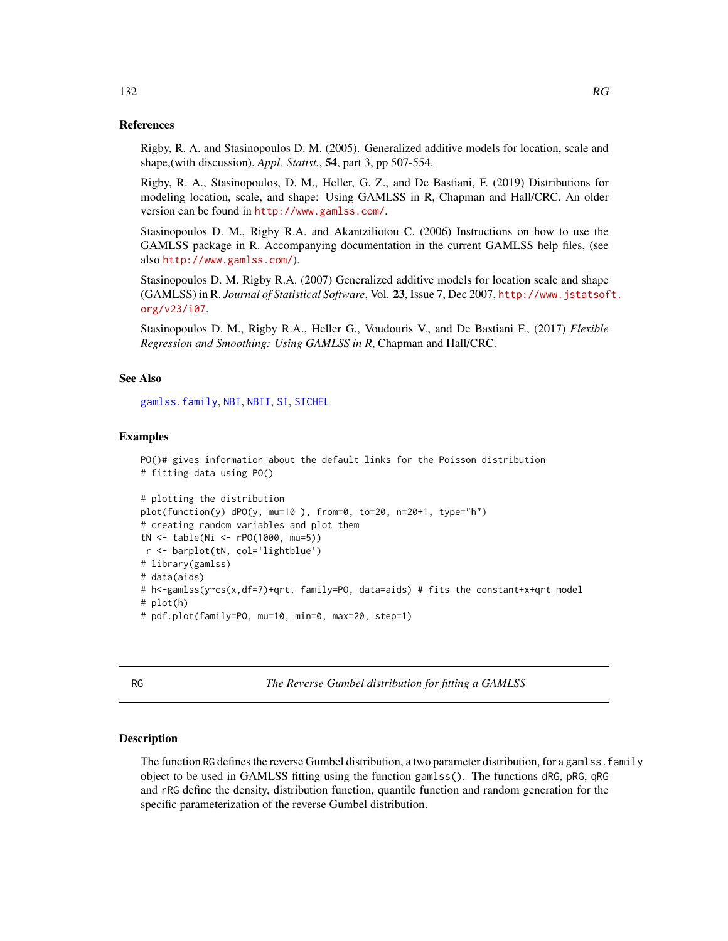#### References

Rigby, R. A. and Stasinopoulos D. M. (2005). Generalized additive models for location, scale and shape,(with discussion), *Appl. Statist.*, 54, part 3, pp 507-554.

Rigby, R. A., Stasinopoulos, D. M., Heller, G. Z., and De Bastiani, F. (2019) Distributions for modeling location, scale, and shape: Using GAMLSS in R, Chapman and Hall/CRC. An older version can be found in <http://www.gamlss.com/>.

Stasinopoulos D. M., Rigby R.A. and Akantziliotou C. (2006) Instructions on how to use the GAMLSS package in R. Accompanying documentation in the current GAMLSS help files, (see also <http://www.gamlss.com/>).

Stasinopoulos D. M. Rigby R.A. (2007) Generalized additive models for location scale and shape (GAMLSS) in R. *Journal of Statistical Software*, Vol. 23, Issue 7, Dec 2007, [http://www.jstatsof](http://www.jstatsoft.org/v23/i07)t. [org/v23/i07](http://www.jstatsoft.org/v23/i07).

Stasinopoulos D. M., Rigby R.A., Heller G., Voudouris V., and De Bastiani F., (2017) *Flexible Regression and Smoothing: Using GAMLSS in R*, Chapman and Hall/CRC.

## See Also

[gamlss.family](#page-57-0), [NBI](#page-110-0), [NBII](#page-112-0), [SI](#page-144-0), [SICHEL](#page-146-0)

# Examples

```
PO()# gives information about the default links for the Poisson distribution
# fitting data using PO()
# plotting the distribution
plot(function(y) dPO(y, mu=10 ), from=0, to=20, n=20+1, type="h")
# creating random variables and plot them
tN <- table(Ni <- rPO(1000, mu=5))
r <- barplot(tN, col='lightblue')
# library(gamlss)
# data(aids)
# h<-gamlss(y~cs(x,df=7)+qrt, family=PO, data=aids) # fits the constant+x+qrt model
# plot(h)
# pdf.plot(family=PO, mu=10, min=0, max=20, step=1)
```
RG *The Reverse Gumbel distribution for fitting a GAMLSS*

#### **Description**

The function RG defines the reverse Gumbel distribution, a two parameter distribution, for a gamlss, family object to be used in GAMLSS fitting using the function gamlss(). The functions dRG, pRG, qRG and rRG define the density, distribution function, quantile function and random generation for the specific parameterization of the reverse Gumbel distribution.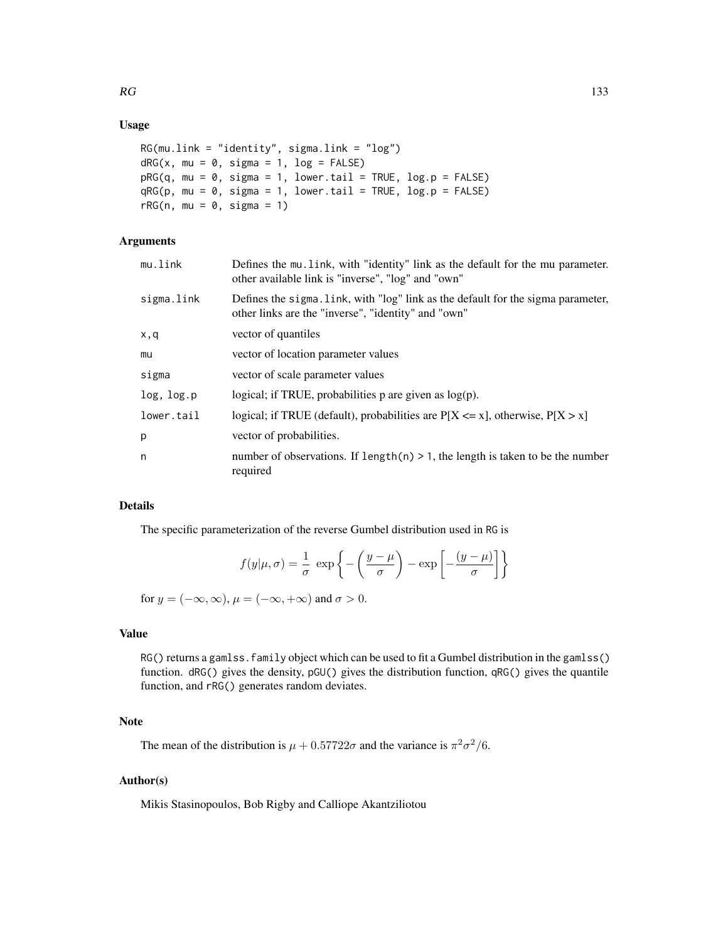## Usage

```
RG(mu.link = "identity", sigma.link = "log")
dRG(x, mu = 0, sigma = 1, log = FALSE)pRG(q, mu = 0, sigma = 1, lower.tail = TRUE, log.p = FALSE)qRG(p, mu = 0, sigma = 1, lower.tail = TRUE, log.p = FALSE)rRG(n, mu = 0, sigma = 1)
```
# Arguments

| mu.link    | Defines the mu link, with "identity" link as the default for the mu parameter.<br>other available link is "inverse", "log" and "own"    |
|------------|-----------------------------------------------------------------------------------------------------------------------------------------|
| sigma.link | Defines the sigma. Link, with "log" link as the default for the sigma parameter,<br>other links are the "inverse", "identity" and "own" |
| x,q        | vector of quantiles                                                                                                                     |
| mu         | vector of location parameter values                                                                                                     |
| sigma      | vector of scale parameter values                                                                                                        |
| log, log.p | logical; if TRUE, probabilities $p$ are given as $log(p)$ .                                                                             |
| lower.tail | logical; if TRUE (default), probabilities are $P[X \le x]$ , otherwise, $P[X > x]$                                                      |
| p          | vector of probabilities.                                                                                                                |
| n          | number of observations. If length(n) $> 1$ , the length is taken to be the number<br>required                                           |

## Details

The specific parameterization of the reverse Gumbel distribution used in RG is

$$
f(y|\mu,\sigma) = \frac{1}{\sigma} \exp\left\{-\left(\frac{y-\mu}{\sigma}\right) - \exp\left[-\frac{(y-\mu)}{\sigma}\right]\right\}
$$

for  $y = (-\infty, \infty)$ ,  $\mu = (-\infty, +\infty)$  and  $\sigma > 0$ .

# Value

RG() returns a gamlss. family object which can be used to fit a Gumbel distribution in the gamlss() function. dRG() gives the density, pGU() gives the distribution function, qRG() gives the quantile function, and rRG() generates random deviates.

## Note

The mean of the distribution is  $\mu + 0.57722\sigma$  and the variance is  $\pi^2 \sigma^2/6$ .

## Author(s)

Mikis Stasinopoulos, Bob Rigby and Calliope Akantziliotou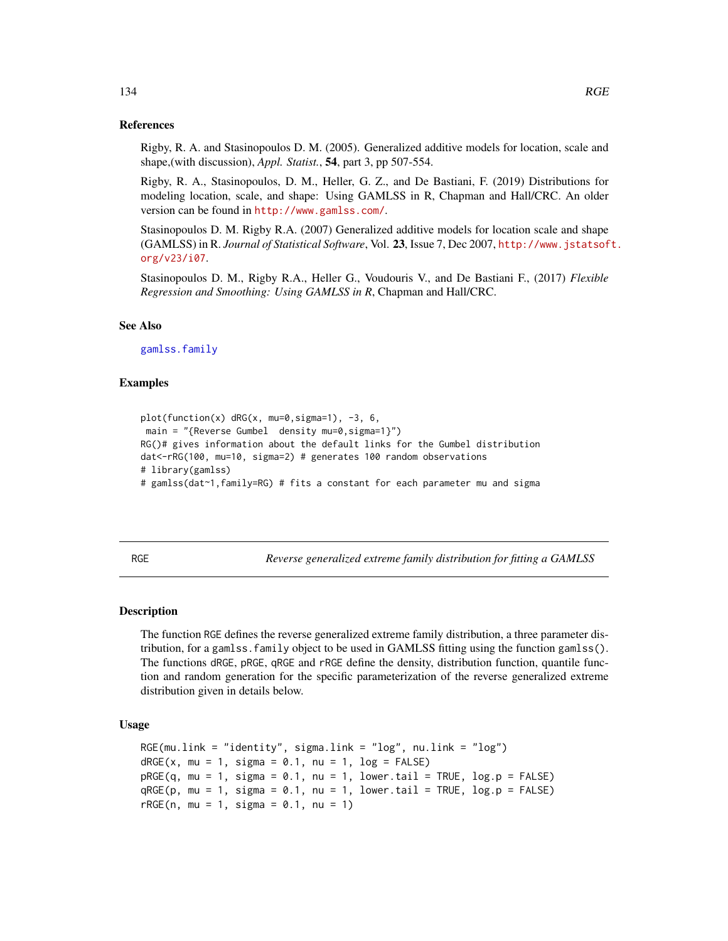#### References

Rigby, R. A. and Stasinopoulos D. M. (2005). Generalized additive models for location, scale and shape,(with discussion), *Appl. Statist.*, 54, part 3, pp 507-554.

Rigby, R. A., Stasinopoulos, D. M., Heller, G. Z., and De Bastiani, F. (2019) Distributions for modeling location, scale, and shape: Using GAMLSS in R, Chapman and Hall/CRC. An older version can be found in <http://www.gamlss.com/>.

Stasinopoulos D. M. Rigby R.A. (2007) Generalized additive models for location scale and shape (GAMLSS) in R. *Journal of Statistical Software*, Vol. 23, Issue 7, Dec 2007, [http://www.jstatsof](http://www.jstatsoft.org/v23/i07)t. [org/v23/i07](http://www.jstatsoft.org/v23/i07).

Stasinopoulos D. M., Rigby R.A., Heller G., Voudouris V., and De Bastiani F., (2017) *Flexible Regression and Smoothing: Using GAMLSS in R*, Chapman and Hall/CRC.

#### See Also

[gamlss.family](#page-57-0)

## Examples

```
plot(function(x) dRG(x, mu=0,sigma=1), -3, 6,
main = "{Reverse Gumbel density mu=0, sigma=1}")
RG()# gives information about the default links for the Gumbel distribution
dat<-rRG(100, mu=10, sigma=2) # generates 100 random observations
# library(gamlss)
# gamlss(dat~1,family=RG) # fits a constant for each parameter mu and sigma
```
RGE *Reverse generalized extreme family distribution for fitting a GAMLSS*

## Description

The function RGE defines the reverse generalized extreme family distribution, a three parameter distribution, for a gamlss.family object to be used in GAMLSS fitting using the function gamlss(). The functions dRGE, pRGE, qRGE and rRGE define the density, distribution function, quantile function and random generation for the specific parameterization of the reverse generalized extreme distribution given in details below.

```
RGE(mu.link = "identity", sigma.link = "log", nu.link = "log")dRGE(x, mu = 1, sigma = 0.1, nu = 1, log = FALSE)pRGE(q, mu = 1, sigma = 0.1, nu = 1, lowertail = TRUE, log.p = FALSE)qRGE(p, mu = 1, sigma = 0.1, nu = 1, lower[amalleratation] <math>p = FALSErRGE(n, mu = 1, sigma = 0.1, nu = 1)
```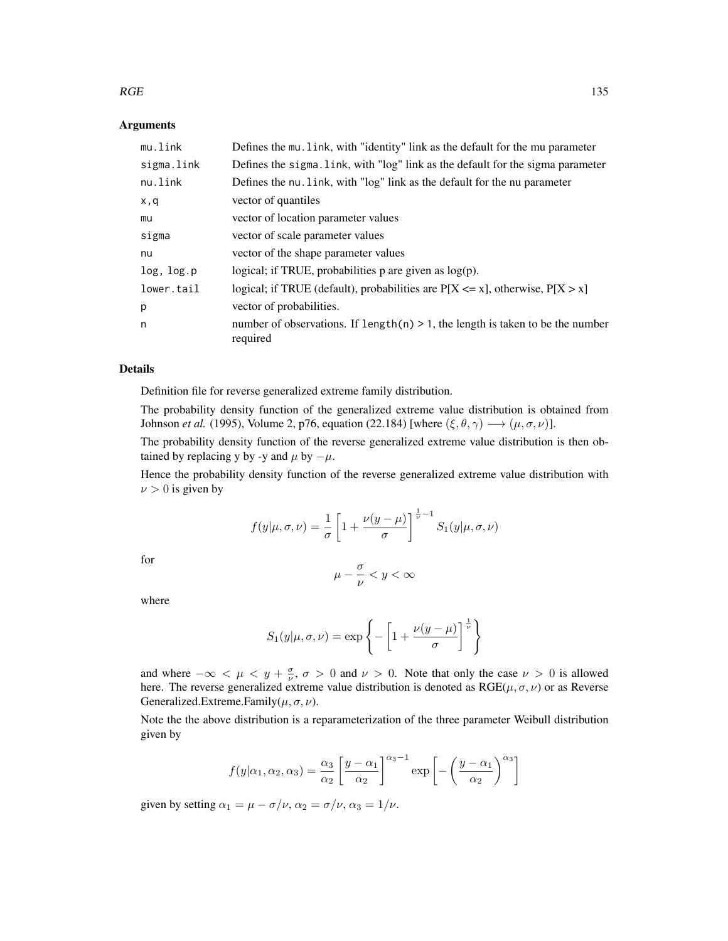#### $RGE$  135

## Arguments

| Defines the mu. Link, with "identity" link as the default for the mu parameter                |
|-----------------------------------------------------------------------------------------------|
| Defines the sigma. Link, with "log" link as the default for the sigma parameter               |
| Defines the nu. link, with "log" link as the default for the nu parameter                     |
| vector of quantiles                                                                           |
| vector of location parameter values                                                           |
| vector of scale parameter values                                                              |
| vector of the shape parameter values                                                          |
| logical; if TRUE, probabilities $p$ are given as $log(p)$ .                                   |
| logical; if TRUE (default), probabilities are $P[X \le x]$ , otherwise, $P[X > x]$            |
| vector of probabilities.                                                                      |
| number of observations. If $length(n) > 1$ , the length is taken to be the number<br>required |
|                                                                                               |

#### Details

Definition file for reverse generalized extreme family distribution.

The probability density function of the generalized extreme value distribution is obtained from Johnson *et al.* (1995), Volume 2, p76, equation (22.184) [where  $(\xi, \theta, \gamma) \longrightarrow (\mu, \sigma, \nu)$ ].

The probability density function of the reverse generalized extreme value distribution is then obtained by replacing y by -y and  $\mu$  by  $-\mu$ .

Hence the probability density function of the reverse generalized extreme value distribution with  $\nu > 0$  is given by

$$
f(y|\mu,\sigma,\nu) = \frac{1}{\sigma} \left[ 1 + \frac{\nu(y-\mu)}{\sigma} \right]^{\frac{1}{\nu}-1} S_1(y|\mu,\sigma,\nu)
$$

for

$$
\mu-\frac{\sigma}{\nu}
$$

where

$$
S_1(y|\mu,\sigma,\nu) = \exp\left\{-\left[1 + \frac{\nu(y-\mu)}{\sigma}\right]^{\frac{1}{\nu}}\right\}
$$

and where  $-\infty < \mu < y + \frac{\sigma}{\nu}$ ,  $\sigma > 0$  and  $\nu > 0$ . Note that only the case  $\nu > 0$  is allowed here. The reverse generalized extreme value distribution is denoted as  $RGE(\mu, \sigma, \nu)$  or as Reverse Generalized.Extreme.Family( $\mu$ ,  $\sigma$ ,  $\nu$ ).

Note the the above distribution is a reparameterization of the three parameter Weibull distribution given by

$$
f(y|\alpha_1, \alpha_2, \alpha_3) = \frac{\alpha_3}{\alpha_2} \left[ \frac{y - \alpha_1}{\alpha_2} \right]^{\alpha_3 - 1} \exp \left[ - \left( \frac{y - \alpha_1}{\alpha_2} \right)^{\alpha_3} \right]
$$

given by setting  $\alpha_1 = \mu - \sigma/\nu$ ,  $\alpha_2 = \sigma/\nu$ ,  $\alpha_3 = 1/\nu$ .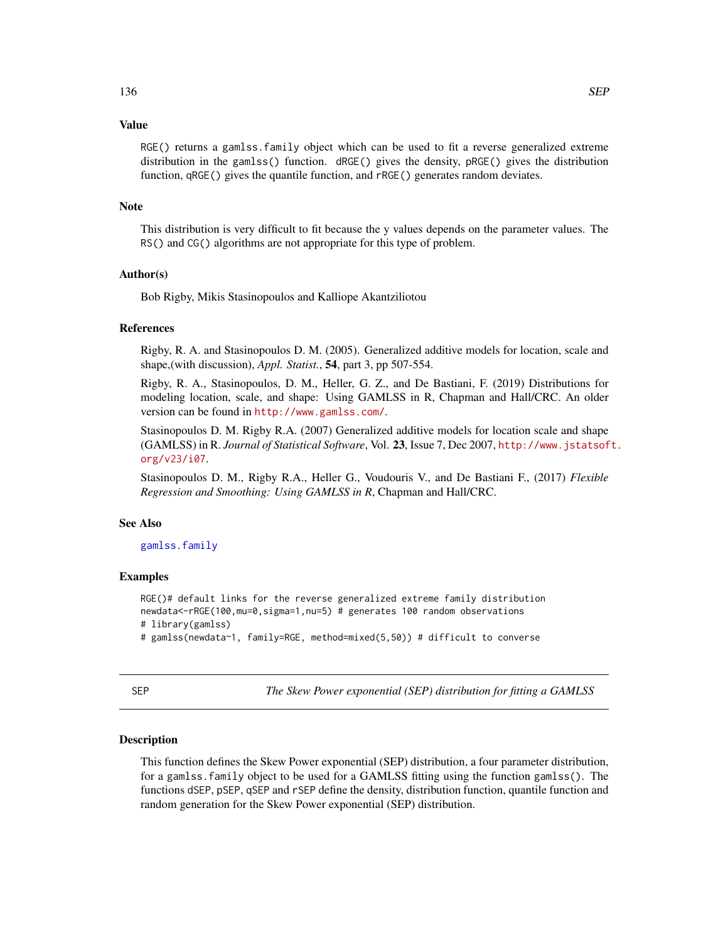## Value

RGE() returns a gamlss.family object which can be used to fit a reverse generalized extreme distribution in the gamlss() function. dRGE() gives the density, pRGE() gives the distribution function, qRGE() gives the quantile function, and rRGE() generates random deviates.

#### Note

This distribution is very difficult to fit because the y values depends on the parameter values. The RS() and CG() algorithms are not appropriate for this type of problem.

#### Author(s)

Bob Rigby, Mikis Stasinopoulos and Kalliope Akantziliotou

#### References

Rigby, R. A. and Stasinopoulos D. M. (2005). Generalized additive models for location, scale and shape,(with discussion), *Appl. Statist.*, 54, part 3, pp 507-554.

Rigby, R. A., Stasinopoulos, D. M., Heller, G. Z., and De Bastiani, F. (2019) Distributions for modeling location, scale, and shape: Using GAMLSS in R, Chapman and Hall/CRC. An older version can be found in <http://www.gamlss.com/>.

Stasinopoulos D. M. Rigby R.A. (2007) Generalized additive models for location scale and shape (GAMLSS) in R. *Journal of Statistical Software*, Vol. 23, Issue 7, Dec 2007, [http://www.jstatsof](http://www.jstatsoft.org/v23/i07)t. [org/v23/i07](http://www.jstatsoft.org/v23/i07).

Stasinopoulos D. M., Rigby R.A., Heller G., Voudouris V., and De Bastiani F., (2017) *Flexible Regression and Smoothing: Using GAMLSS in R*, Chapman and Hall/CRC.

## See Also

#### [gamlss.family](#page-57-0)

## Examples

```
RGE()# default links for the reverse generalized extreme family distribution
newdata<-rRGE(100,mu=0,sigma=1,nu=5) # generates 100 random observations
# library(gamlss)
# gamlss(newdata~1, family=RGE, method=mixed(5,50)) # difficult to converse
```
<span id="page-135-0"></span>SEP *The Skew Power exponential (SEP) distribution for fitting a GAMLSS*

## Description

This function defines the Skew Power exponential (SEP) distribution, a four parameter distribution, for a gamlss.family object to be used for a GAMLSS fitting using the function gamlss(). The functions dSEP, pSEP, qSEP and rSEP define the density, distribution function, quantile function and random generation for the Skew Power exponential (SEP) distribution.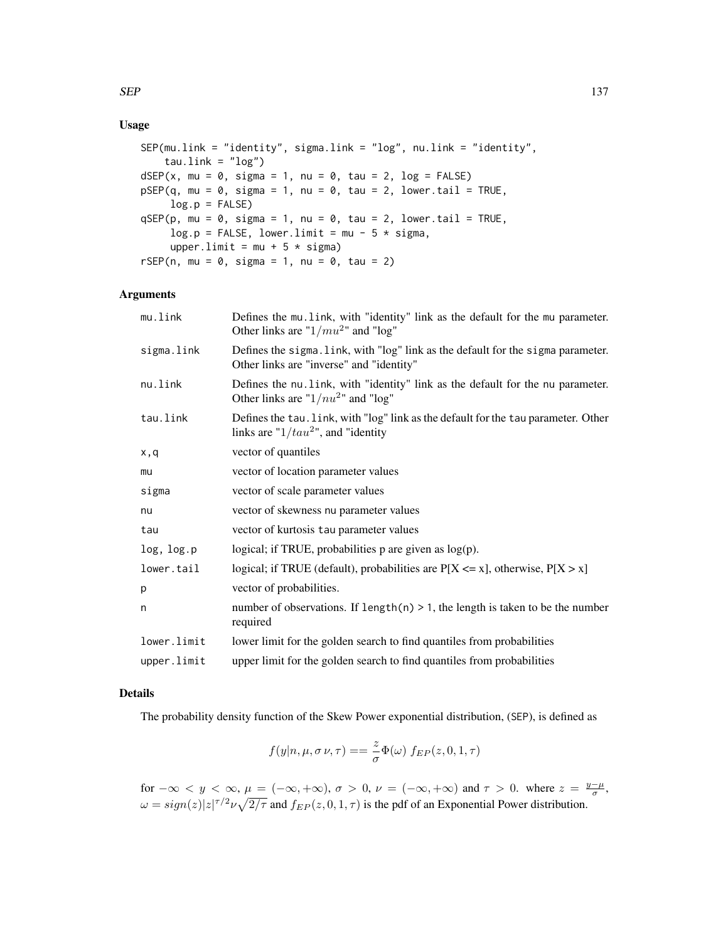# Usage

```
SEP(mu.link = "identity", sigma.link = "log", nu.link = "identity",
    tau.link = "log")dSEP(x, mu = 0, sigma = 1, nu = 0, tau = 2, log = FALSE)pSEP(q, mu = 0, sigma = 1, nu = 0, tau = 2, lowertail = TRUE,log.p = FALSEqSEP(p, mu = 0, sigma = 1, nu = 0, tau = 2, lowertail = TRUE,log.p = FALSE, lower-limit = mu - 5 * sigma,upper.limit = mu + 5 * sigma)
rSEP(n, mu = 0, sigma = 1, nu = 0, tau = 2)
```
## Arguments

| mu.link     | Defines the mu. link, with "identity" link as the default for the mu parameter.<br>Other links are " $1/mu^{2}$ " and "log"   |
|-------------|-------------------------------------------------------------------------------------------------------------------------------|
| sigma.link  | Defines the sigma. link, with "log" link as the default for the sigma parameter.<br>Other links are "inverse" and "identity"  |
| nu.link     | Defines the nu. link, with "identity" link as the default for the nu parameter.<br>Other links are " $1/nu2$ " and "log"      |
| tau.link    | Defines the tau. link, with "log" link as the default for the tau parameter. Other<br>links are " $1/tau^2$ ", and "identity" |
| x,q         | vector of quantiles                                                                                                           |
| mu          | vector of location parameter values                                                                                           |
| sigma       | vector of scale parameter values                                                                                              |
| nu          | vector of skewness nu parameter values                                                                                        |
| tau         | vector of kurtosis tau parameter values                                                                                       |
| log, log.p  | logical; if TRUE, probabilities $p$ are given as $log(p)$ .                                                                   |
| lower.tail  | logical; if TRUE (default), probabilities are $P[X \le x]$ , otherwise, $P[X > x]$                                            |
| p           | vector of probabilities.                                                                                                      |
| n           | number of observations. If length $(n) > 1$ , the length is taken to be the number<br>required                                |
| lower.limit | lower limit for the golden search to find quantiles from probabilities                                                        |
| upper.limit | upper limit for the golden search to find quantiles from probabilities                                                        |
|             |                                                                                                                               |

# Details

The probability density function of the Skew Power exponential distribution, (SEP), is defined as

$$
f(y|n, \mu, \sigma \nu, \tau) == \frac{z}{\sigma} \Phi(\omega) f_{EP}(z, 0, 1, \tau)
$$

for  $-\infty < y < \infty$ ,  $\mu = (-\infty, +\infty)$ ,  $\sigma > 0$ ,  $\nu = (-\infty, +\infty)$  and  $\tau > 0$ . where  $z = \frac{y-\mu}{\sigma}$ ,  $\omega = sign(z)|z|^{\tau/2} \nu \sqrt{2/\tau}$  and  $f_{EP}(z,0,1,\tau)$  is the pdf of an Exponential Power distribution.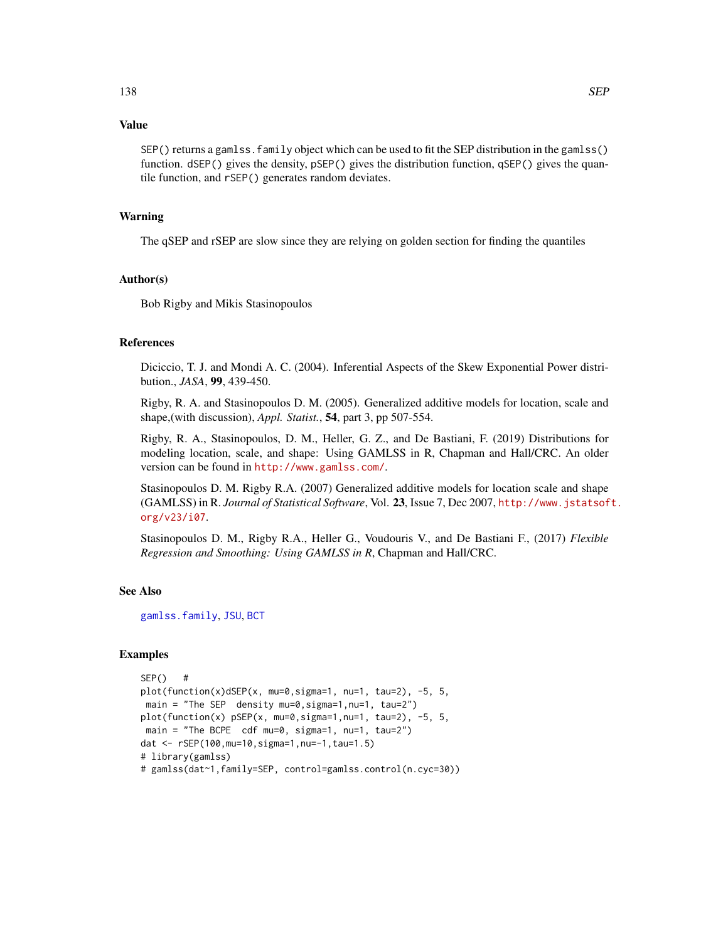## Value

SEP() returns a gamlss.family object which can be used to fit the SEP distribution in the gamlss() function. dSEP() gives the density, pSEP() gives the distribution function, qSEP() gives the quantile function, and rSEP() generates random deviates.

#### Warning

The qSEP and rSEP are slow since they are relying on golden section for finding the quantiles

## Author(s)

Bob Rigby and Mikis Stasinopoulos

## References

Diciccio, T. J. and Mondi A. C. (2004). Inferential Aspects of the Skew Exponential Power distribution., *JASA*, 99, 439-450.

Rigby, R. A. and Stasinopoulos D. M. (2005). Generalized additive models for location, scale and shape,(with discussion), *Appl. Statist.*, 54, part 3, pp 507-554.

Rigby, R. A., Stasinopoulos, D. M., Heller, G. Z., and De Bastiani, F. (2019) Distributions for modeling location, scale, and shape: Using GAMLSS in R, Chapman and Hall/CRC. An older version can be found in <http://www.gamlss.com/>.

Stasinopoulos D. M. Rigby R.A. (2007) Generalized additive models for location scale and shape (GAMLSS) in R. *Journal of Statistical Software*, Vol. 23, Issue 7, Dec 2007, [http://www.jstatsof](http://www.jstatsoft.org/v23/i07)t. [org/v23/i07](http://www.jstatsoft.org/v23/i07).

Stasinopoulos D. M., Rigby R.A., Heller G., Voudouris V., and De Bastiani F., (2017) *Flexible Regression and Smoothing: Using GAMLSS in R*, Chapman and Hall/CRC.

#### See Also

[gamlss.family](#page-57-0), [JSU](#page-83-0), [BCT](#page-15-0)

# Examples

```
SEP() #
plot(function(x)dSEP(x, mu=0,sigma=1, nu=1, tau=2), -5, 5,
main = "The SEP density mu=0,sigma=1,nu=1, tau=2")
plot(function(x) pSEP(x, mu=0,sigma=1,nu=1, tau=2), -5, 5,
main = "The BCPE cdf mu=0, sigma=1, nu=1, tau=2")
dat <- rSEP(100,mu=10,sigma=1,nu=-1,tau=1.5)
# library(gamlss)
# gamlss(dat~1,family=SEP, control=gamlss.control(n.cyc=30))
```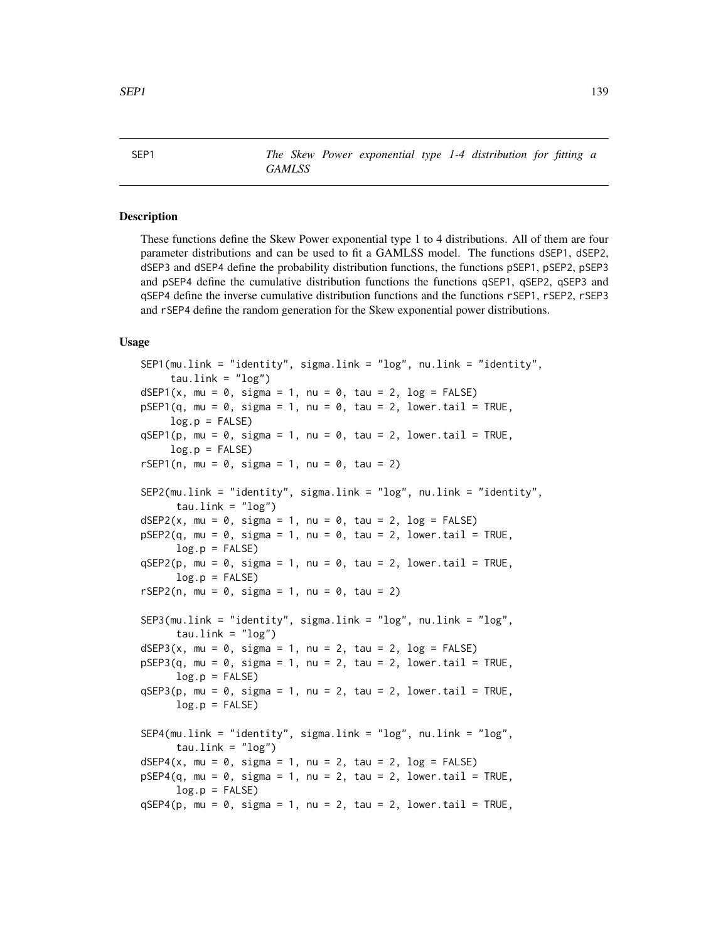# Description

These functions define the Skew Power exponential type 1 to 4 distributions. All of them are four parameter distributions and can be used to fit a GAMLSS model. The functions dSEP1, dSEP2, dSEP3 and dSEP4 define the probability distribution functions, the functions pSEP1, pSEP2, pSEP3 and pSEP4 define the cumulative distribution functions the functions qSEP1, qSEP2, qSEP3 and qSEP4 define the inverse cumulative distribution functions and the functions rSEP1, rSEP2, rSEP3 and rSEP4 define the random generation for the Skew exponential power distributions.

```
SEP1(mu.link = "identity", sigma.link = "log", nu.link = "identity",
    tau.link = "log")
dSEP1(x, mu = 0, sigma = 1, nu = 0, tau = 2, log = FALSE)
pSEP1(q, mu = 0, sigma = 1, nu = 0, tau = 2, lowertail = TRUE,log.p = FALSE)
qSEP1(p, mu = 0, sigma = 1, nu = 0, tau = 2, lower.tail = TRUE,
    log.p = FALSE)
rSEP1(n, mu = 0, sigma = 1, nu = 0, tau = 2)SEP2(mu.link = "identity", sigma.link = "log", nu.link = "identity",
     tau.link = "log")
dSEP2(x, mu = 0, sigma = 1, nu = 0, tau = 2, log = FALSE)pSEP2(q, mu = 0, sigma = 1, nu = 0, tau = 2, lowertail = TRUE,log.p = FALSEqSEP2(p, mu = 0, sigma = 1, nu = 0, tau = 2, lowertail = TRUE,log.p = FALSErSEP2(n, mu = 0, sigma = 1, nu = 0, tau = 2)SEP3(mu.link = "identity", sigma.link = "log", nu.link = "log",
      tau.link = "log")dSEP3(x, mu = 0, sigma = 1, nu = 2, tau = 2, log = FALSE)pSEP3(q, mu = 0, sigma = 1, nu = 2, tau = 2, lowertail = TRUE,log.p = FALSEqSEP3(p, mu = 0, sigma = 1, nu = 2, tau = 2, lowertail = TRUE,log.p = FALSESEP4(mu.link = "identity", sigma.link = "log", nu.link = "log",
     tau.link = "log")dSEP4(x, mu = 0, sigma = 1, nu = 2, tau = 2, log = FALSE)pSEP4(q, mu = 0, sigma = 1, nu = 2, tau = 2, lowertail = TRUE,log.p = FALSEqSEP4(p, mu = 0, sigma = 1, nu = 2, tau = 2, lower.tail = TRUE,
```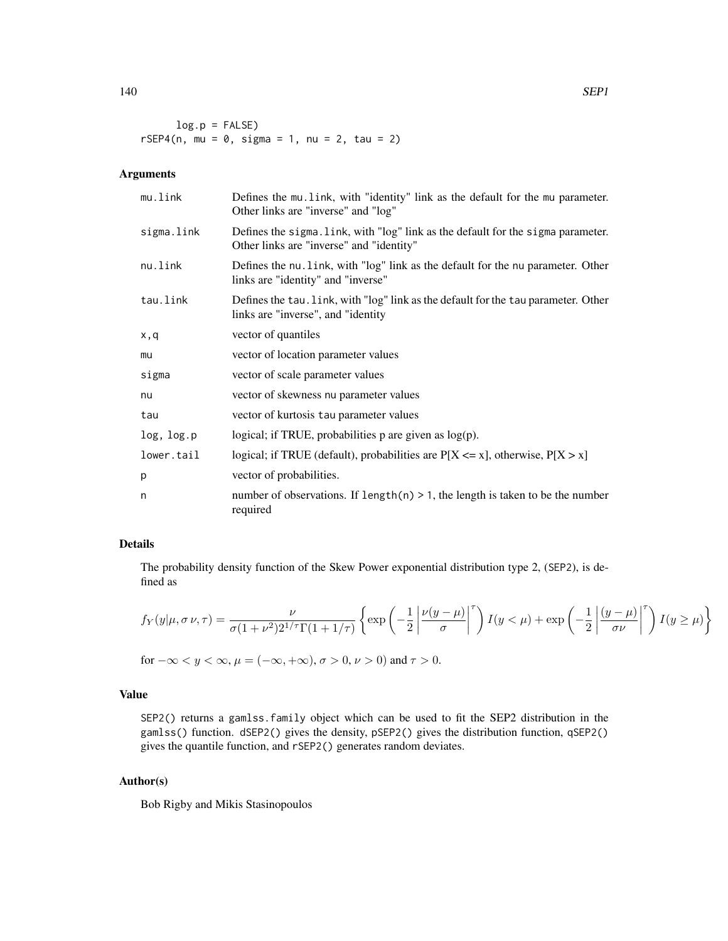$log.p = FALSE$  $rSEP4(n, mu = 0, sigma = 1, nu = 2, tau = 2)$ 

# Arguments

| mu.link    | Defines the multinum link, with "identity" link as the default for the multinum parameter.<br>Other links are "inverse" and "log" |
|------------|-----------------------------------------------------------------------------------------------------------------------------------|
| sigma.link | Defines the sigma. Link, with "log" link as the default for the sigma parameter.<br>Other links are "inverse" and "identity"      |
| nu.link    | Defines the nu. link, with "log" link as the default for the nu parameter. Other<br>links are "identity" and "inverse"            |
| tau.link   | Defines the tau. Link, with "log" link as the default for the tau parameter. Other<br>links are "inverse", and "identity"         |
| x,q        | vector of quantiles                                                                                                               |
| mu         | vector of location parameter values                                                                                               |
| sigma      | vector of scale parameter values                                                                                                  |
| nu         | vector of skewness nu parameter values                                                                                            |
| tau        | vector of kurtosis tau parameter values                                                                                           |
| log, log.p | logical; if TRUE, probabilities $p$ are given as $log(p)$ .                                                                       |
| lower.tail | logical; if TRUE (default), probabilities are $P[X \le x]$ , otherwise, $P[X > x]$                                                |
| p          | vector of probabilities.                                                                                                          |
| n          | number of observations. If length(n) $> 1$ , the length is taken to be the number<br>required                                     |

## Details

The probability density function of the Skew Power exponential distribution type 2, (SEP2), is defined as

$$
f_Y(y|\mu, \sigma \nu, \tau) = \frac{\nu}{\sigma(1+\nu^2)2^{1/\tau}\Gamma(1+1/\tau)} \left\{ \exp\left(-\frac{1}{2} \left| \frac{\nu(y-\mu)}{\sigma} \right|^{\tau} \right) I(y < \mu) + \exp\left(-\frac{1}{2} \left| \frac{(y-\mu)}{\sigma \nu} \right|^{\tau} \right) I(y \ge \mu) \right\}
$$

for  $-\infty < y < \infty$ ,  $\mu = (-\infty, +\infty)$ ,  $\sigma > 0$ ,  $\nu > 0$ ) and  $\tau > 0$ .

## Value

SEP2() returns a gamlss.family object which can be used to fit the SEP2 distribution in the gamlss() function. dSEP2() gives the density, pSEP2() gives the distribution function, qSEP2() gives the quantile function, and rSEP2() generates random deviates.

## Author(s)

Bob Rigby and Mikis Stasinopoulos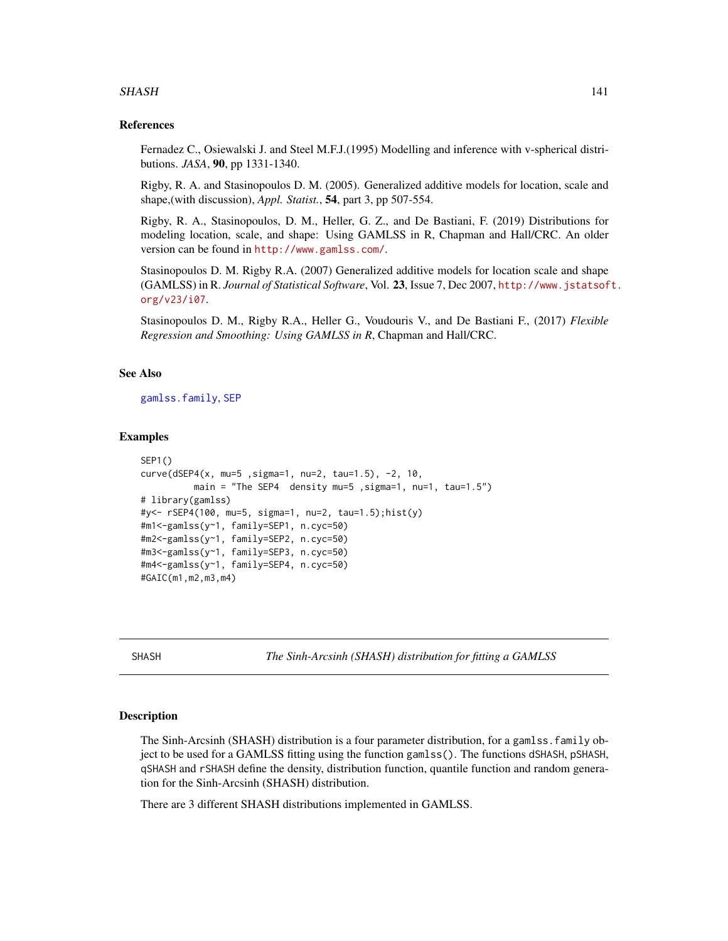#### SHASH 141

## References

Fernadez C., Osiewalski J. and Steel M.F.J.(1995) Modelling and inference with v-spherical distributions. *JASA*, 90, pp 1331-1340.

Rigby, R. A. and Stasinopoulos D. M. (2005). Generalized additive models for location, scale and shape,(with discussion), *Appl. Statist.*, 54, part 3, pp 507-554.

Rigby, R. A., Stasinopoulos, D. M., Heller, G. Z., and De Bastiani, F. (2019) Distributions for modeling location, scale, and shape: Using GAMLSS in R, Chapman and Hall/CRC. An older version can be found in <http://www.gamlss.com/>.

Stasinopoulos D. M. Rigby R.A. (2007) Generalized additive models for location scale and shape (GAMLSS) in R. *Journal of Statistical Software*, Vol. 23, Issue 7, Dec 2007, [http://www.jstatsof](http://www.jstatsoft.org/v23/i07)t. [org/v23/i07](http://www.jstatsoft.org/v23/i07).

Stasinopoulos D. M., Rigby R.A., Heller G., Voudouris V., and De Bastiani F., (2017) *Flexible Regression and Smoothing: Using GAMLSS in R*, Chapman and Hall/CRC.

## See Also

[gamlss.family](#page-57-0), [SEP](#page-135-0)

## Examples

```
SEP1()
curve(dSEP4(x, mu=5 ,sigma=1, nu=2, tau=1.5), -2, 10,
         main = "The SEP4 density mu=5, sigma=1, nu=1, tau=1.5")
# library(gamlss)
#y<- rSEP4(100, mu=5, sigma=1, nu=2, tau=1.5);hist(y)
#m1<-gamlss(y~1, family=SEP1, n.cyc=50)
#m2<-gamlss(y~1, family=SEP2, n.cyc=50)
#m3<-gamlss(y~1, family=SEP3, n.cyc=50)
#m4<-gamlss(y~1, family=SEP4, n.cyc=50)
#GAIC(m1,m2,m3,m4)
```
SHASH *The Sinh-Arcsinh (SHASH) distribution for fitting a GAMLSS*

#### **Description**

The Sinh-Arcsinh (SHASH) distribution is a four parameter distribution, for a gamlss.family object to be used for a GAMLSS fitting using the function gamlss(). The functions dSHASH, pSHASH, qSHASH and rSHASH define the density, distribution function, quantile function and random generation for the Sinh-Arcsinh (SHASH) distribution.

There are 3 different SHASH distributions implemented in GAMLSS.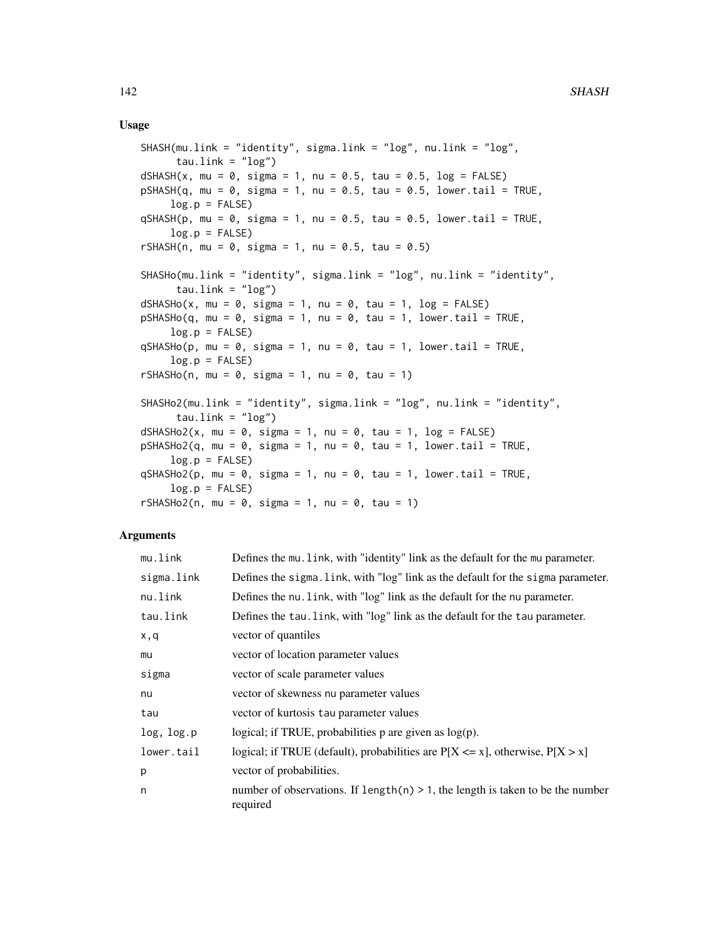## Usage

```
SHASH(mu.link = "identity", sigma.link = "log", nu.link = "log",
     tau.link = "log")dSHASH(x, mu = 0, sigma = 1, nu = 0.5, tau = 0.5, log = FALSE)
pSHASH(q, mu = 0, sigma = 1, nu = 0.5, tau = 0.5, lowertail = TRUE,log.p = FALSE)
qSHASH(p, mu = 0, sigma = 1, nu = 0.5, tau = 0.5, lowertail = TRUE,log.p = FALSE)
rSHASH(n, mu = 0, sigma = 1, nu = 0.5, tau = 0.5)
SHASHo(mu.link = "identity", sigma.link = "log", nu.link = "identity",
     tau.link = "log")
dSHASHo(x, mu = 0, sigma = 1, nu = 0, tau = 1, log = FALSE)pSHASHo(q, mu = 0, sigma = 1, nu = 0, tau = 1, lowertail = TRUE,log.p = FALSEqSHASHo(p, mu = 0, sigma = 1, nu = 0, tau = 1, lower.tail = TRUE,log.p = FALSErSHASHo(n, mu = 0, sigma = 1, nu = 0, tau = 1)
SHASHo2(mu.link = "identity", sigma.link = "log", nu.link = "identity",
     tau.link = "log")dSHASHo2(x, mu = 0, sigma = 1, nu = 0, tau = 1, log = FALSE)pSHASHo2(q, mu = 0, sigma = 1, nu = 0, tau = 1, lower.tail = TRUE,log.p = FALSEqSHASHo2(p, mu = 0, sigma = 1, nu = 0, tau = 1, lower.tail = TRUE,log.p = FALSErSHASHo2(n, mu = 0, sigma = 1, nu = 0, tau = 1)
```
## Arguments

| mu.link    | Defines the mu. Link, with "identity" link as the default for the mu parameter.               |
|------------|-----------------------------------------------------------------------------------------------|
| sigma.link | Defines the sigma. link, with "log" link as the default for the sigma parameter.              |
| nu.link    | Defines the nu. link, with "log" link as the default for the nu parameter.                    |
| tau.link   | Defines the tau. link, with "log" link as the default for the tau parameter.                  |
| x,q        | vector of quantiles                                                                           |
| mu         | vector of location parameter values                                                           |
| sigma      | vector of scale parameter values                                                              |
| nu         | vector of skewness nu parameter values                                                        |
| tau        | vector of kurtosis tau parameter values                                                       |
| log, log.p | logical; if TRUE, probabilities $p$ are given as $log(p)$ .                                   |
| lower.tail | logical; if TRUE (default), probabilities are $P[X \le x]$ , otherwise, $P[X > x]$            |
| p          | vector of probabilities.                                                                      |
| n          | number of observations. If $length(n) > 1$ , the length is taken to be the number<br>required |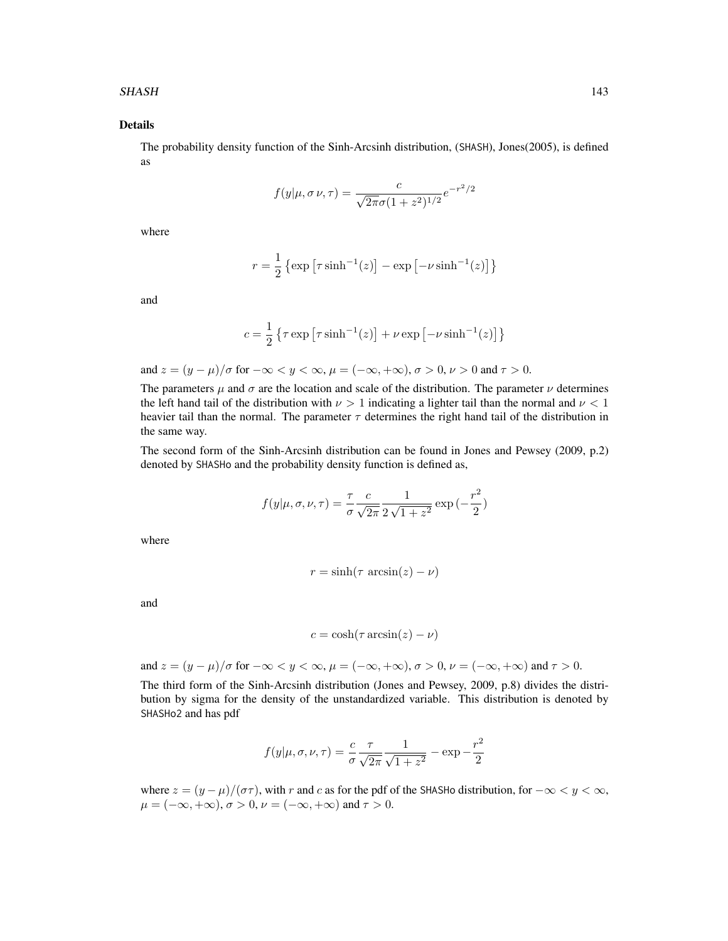#### SHASH 143

# Details

The probability density function of the Sinh-Arcsinh distribution, (SHASH), Jones(2005), is defined as

$$
f(y|\mu, \sigma \nu, \tau) = \frac{c}{\sqrt{2\pi}\sigma (1+z^2)^{1/2}} e^{-r^2/2}
$$

where

$$
r = \frac{1}{2} \left\{ \exp \left[ \tau \sinh^{-1}(z) \right] - \exp \left[ -\nu \sinh^{-1}(z) \right] \right\}
$$

and

$$
c = \frac{1}{2} \left\{ \tau \exp \left[ \tau \sinh^{-1}(z) \right] + \nu \exp \left[ -\nu \sinh^{-1}(z) \right] \right\}
$$

and 
$$
z = (y - \mu)/\sigma
$$
 for  $-\infty < y < \infty$ ,  $\mu = (-\infty, +\infty)$ ,  $\sigma > 0$ ,  $\nu > 0$  and  $\tau > 0$ .

The parameters  $\mu$  and  $\sigma$  are the location and scale of the distribution. The parameter  $\nu$  determines the left hand tail of the distribution with  $\nu > 1$  indicating a lighter tail than the normal and  $\nu < 1$ heavier tail than the normal. The parameter  $\tau$  determines the right hand tail of the distribution in the same way.

The second form of the Sinh-Arcsinh distribution can be found in Jones and Pewsey (2009, p.2) denoted by SHASHo and the probability density function is defined as,

$$
f(y|\mu, \sigma, \nu, \tau) = \frac{\tau}{\sigma} \frac{c}{\sqrt{2\pi}} \frac{1}{2\sqrt{1+z^2}} \exp\left(-\frac{r^2}{2}\right)
$$

where

$$
r = \sinh(\tau \arcsin(z) - \nu)
$$

and

$$
c = \cosh(\tau \arcsin(z) - \nu)
$$

and  $z = (y - \mu)/\sigma$  for  $-\infty < y < \infty$ ,  $\mu = (-\infty, +\infty)$ ,  $\sigma > 0$ ,  $\nu = (-\infty, +\infty)$  and  $\tau > 0$ .

The third form of the Sinh-Arcsinh distribution (Jones and Pewsey, 2009, p.8) divides the distribution by sigma for the density of the unstandardized variable. This distribution is denoted by SHASHo2 and has pdf

$$
f(y|\mu, \sigma, \nu, \tau) = \frac{c}{\sigma} \frac{\tau}{\sqrt{2\pi}} \frac{1}{\sqrt{1+z^2}} - \exp{-\frac{r^2}{2}}
$$

where  $z = (y - \mu)/(\sigma \tau)$ , with r and c as for the pdf of the SHASHo distribution, for  $-\infty < y < \infty$ ,  $\mu = (-\infty, +\infty), \sigma > 0, \nu = (-\infty, +\infty)$  and  $\tau > 0$ .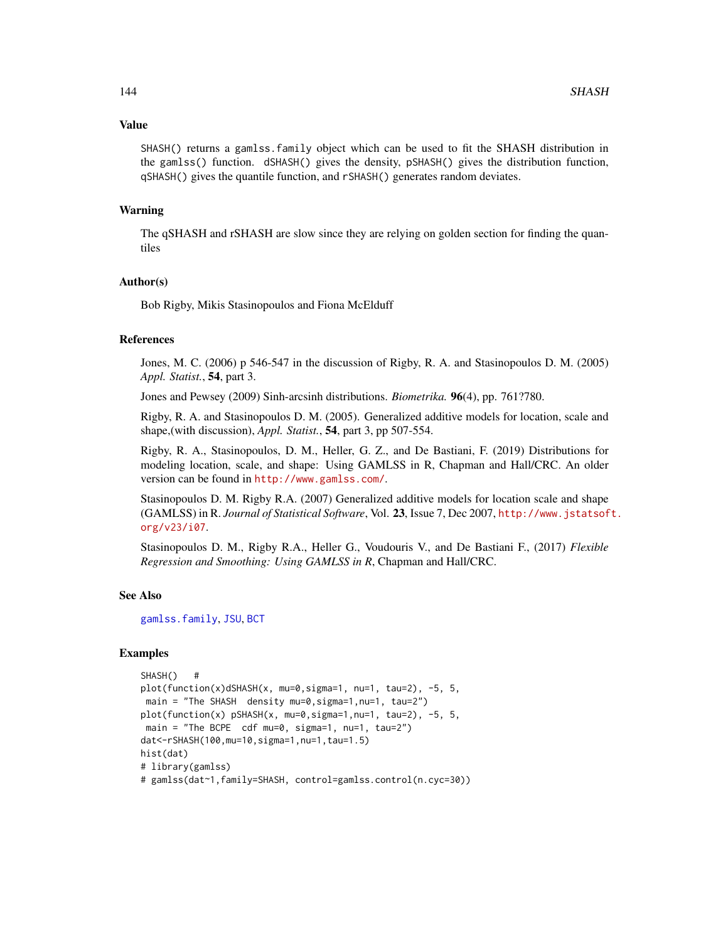#### Value

SHASH() returns a gamlss.family object which can be used to fit the SHASH distribution in the gamlss() function. dSHASH() gives the density, pSHASH() gives the distribution function, qSHASH() gives the quantile function, and rSHASH() generates random deviates.

#### Warning

The qSHASH and rSHASH are slow since they are relying on golden section for finding the quantiles

## Author(s)

Bob Rigby, Mikis Stasinopoulos and Fiona McElduff

# References

Jones, M. C. (2006) p 546-547 in the discussion of Rigby, R. A. and Stasinopoulos D. M. (2005) *Appl. Statist.*, 54, part 3.

Jones and Pewsey (2009) Sinh-arcsinh distributions. *Biometrika.* 96(4), pp. 761?780.

Rigby, R. A. and Stasinopoulos D. M. (2005). Generalized additive models for location, scale and shape,(with discussion), *Appl. Statist.*, 54, part 3, pp 507-554.

Rigby, R. A., Stasinopoulos, D. M., Heller, G. Z., and De Bastiani, F. (2019) Distributions for modeling location, scale, and shape: Using GAMLSS in R, Chapman and Hall/CRC. An older version can be found in <http://www.gamlss.com/>.

Stasinopoulos D. M. Rigby R.A. (2007) Generalized additive models for location scale and shape (GAMLSS) in R. *Journal of Statistical Software*, Vol. 23, Issue 7, Dec 2007, [http://www.jstatsof](http://www.jstatsoft.org/v23/i07)t. [org/v23/i07](http://www.jstatsoft.org/v23/i07).

Stasinopoulos D. M., Rigby R.A., Heller G., Voudouris V., and De Bastiani F., (2017) *Flexible Regression and Smoothing: Using GAMLSS in R*, Chapman and Hall/CRC.

#### See Also

[gamlss.family](#page-57-0), [JSU](#page-83-0), [BCT](#page-15-0)

## Examples

```
SHASH() #
plot(function(x)dSHASH(x, mu=0,sigma=1, nu=1, tau=2), -5, 5,
main = "The SHASH density mu=0,sigma=1,nu=1, tau=2")
plot(function(x) pSHASH(x, mu=0,sigma=1,nu=1, tau=2), -5, 5,
 main = "The BCPE cdf mu=0, sigma=1, nu=1, tau=2")
dat<-rSHASH(100,mu=10,sigma=1,nu=1,tau=1.5)
hist(dat)
# library(gamlss)
# gamlss(dat~1,family=SHASH, control=gamlss.control(n.cyc=30))
```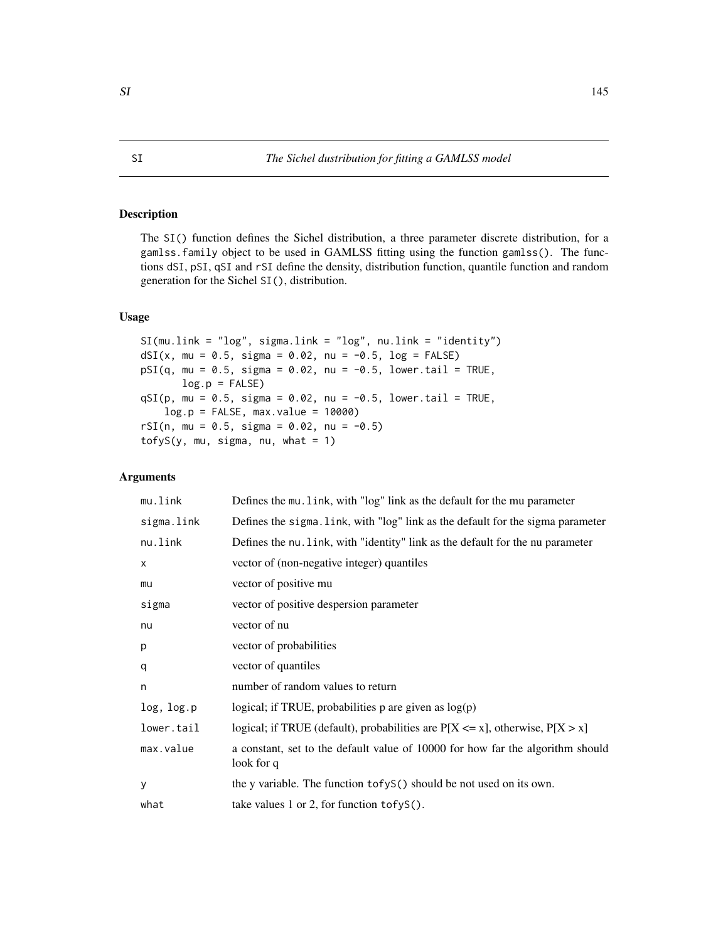# <span id="page-144-0"></span>Description

The SI() function defines the Sichel distribution, a three parameter discrete distribution, for a gamlss.family object to be used in GAMLSS fitting using the function gamlss(). The functions dSI, pSI, qSI and rSI define the density, distribution function, quantile function and random generation for the Sichel SI(), distribution.

## Usage

```
SI(mu.link = "log", sigma.link = "log", nu.link = "identity")
dSI(x, mu = 0.5, sigma = 0.02, nu = -0.5, log = FALSE)
pSI(q, mu = 0.5, sigma = 0.02, nu = -0.5, lower.tail = TRUE,log.p = FALSEqSI(p, mu = 0.5, sigma = 0.02, nu = -0.5, lower.tail = TRUE,log.p = FALSE, max.value = 10000)rSI(n, mu = 0.5, sigma = 0.02, nu = -0.5)
\text{tofyS}(y, mu, sigma, nu, what = 1)
```
# Arguments

| mu.link    | Defines the mu. link, with "log" link as the default for the mu parameter                    |
|------------|----------------------------------------------------------------------------------------------|
| sigma.link | Defines the sigma. Link, with "log" link as the default for the sigma parameter              |
| nu.link    | Defines the nu. Link, with "identity" link as the default for the nu parameter               |
| X          | vector of (non-negative integer) quantiles                                                   |
| mu         | vector of positive mu                                                                        |
| sigma      | vector of positive despersion parameter                                                      |
| nu         | vector of nu                                                                                 |
| р          | vector of probabilities                                                                      |
| q          | vector of quantiles                                                                          |
| n          | number of random values to return                                                            |
| log, log.p | logical; if TRUE, probabilities p are given as $log(p)$                                      |
| lower.tail | logical; if TRUE (default), probabilities are $P[X \le x]$ , otherwise, $P[X > x]$           |
| max.value  | a constant, set to the default value of 10000 for how far the algorithm should<br>look for q |
| y          | the y variable. The function tofyS() should be not used on its own.                          |
| what       | take values 1 or 2, for function $\text{tofyS}()$ .                                          |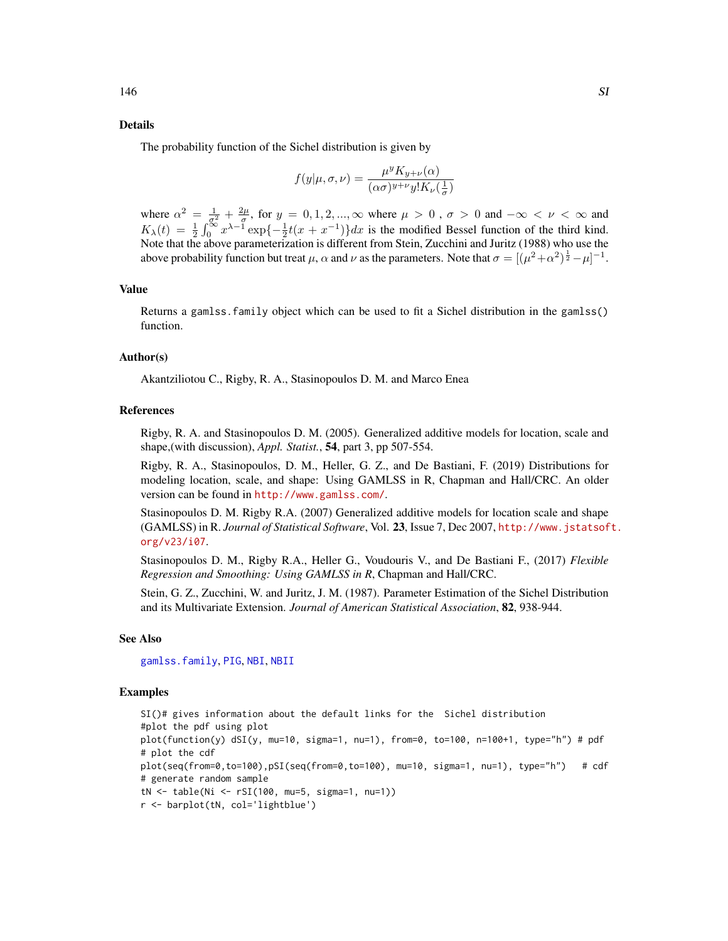#### Details

The probability function of the Sichel distribution is given by

$$
f(y|\mu, \sigma, \nu) = \frac{\mu^y K_{y+\nu}(\alpha)}{(\alpha \sigma)^{y+\nu} y! K_{\nu}(\frac{1}{\sigma})}
$$

where  $\alpha^2 = \frac{1}{\sigma^2} + \frac{2\mu}{\sigma}$ , for  $y = 0, 1, 2, ..., \infty$  where  $\mu > 0$ ,  $\sigma > 0$  and  $-\infty < \nu < \infty$  and  $K_{\lambda}(t) = \frac{1}{2} \int_0^{\infty} x^{\lambda - 1} \exp\{-\frac{1}{2}t(x + x^{-1})\} dx$  is the modified Bessel function of the third kind. Note that the above parameterization is different from Stein, Zucchini and Juritz (1988) who use the above probability function but treat  $\mu$ ,  $\alpha$  and  $\nu$  as the parameters. Note that  $\sigma = [(\mu^2 + \alpha^2)^{\frac{1}{2}} - \mu]^{-1}$ .

# Value

Returns a gamlss.family object which can be used to fit a Sichel distribution in the gamlss() function.

#### Author(s)

Akantziliotou C., Rigby, R. A., Stasinopoulos D. M. and Marco Enea

#### References

Rigby, R. A. and Stasinopoulos D. M. (2005). Generalized additive models for location, scale and shape,(with discussion), *Appl. Statist.*, 54, part 3, pp 507-554.

Rigby, R. A., Stasinopoulos, D. M., Heller, G. Z., and De Bastiani, F. (2019) Distributions for modeling location, scale, and shape: Using GAMLSS in R, Chapman and Hall/CRC. An older version can be found in <http://www.gamlss.com/>.

Stasinopoulos D. M. Rigby R.A. (2007) Generalized additive models for location scale and shape (GAMLSS) in R. *Journal of Statistical Software*, Vol. 23, Issue 7, Dec 2007, [http://www.jstatsof](http://www.jstatsoft.org/v23/i07)t. [org/v23/i07](http://www.jstatsoft.org/v23/i07).

Stasinopoulos D. M., Rigby R.A., Heller G., Voudouris V., and De Bastiani F., (2017) *Flexible Regression and Smoothing: Using GAMLSS in R*, Chapman and Hall/CRC.

Stein, G. Z., Zucchini, W. and Juritz, J. M. (1987). Parameter Estimation of the Sichel Distribution and its Multivariate Extension. *Journal of American Statistical Association*, 82, 938-944.

#### See Also

[gamlss.family](#page-57-0), [PIG](#page-127-0), [NBI](#page-110-0), [NBII](#page-112-0)

#### Examples

```
SI()# gives information about the default links for the Sichel distribution
#plot the pdf using plot
plot(function(y) dSI(y, mu=10, sigma=1, nu=1), from=0, to=100, n=100+1, type="h") # pdf
# plot the cdf
plot(seq(from=0,to=100),pSI(seq(from=0,to=100), mu=10, sigma=1, nu=1), type="h") # cdf
# generate random sample
tN <- table(Ni <- rSI(100, mu=5, sigma=1, nu=1))
r <- barplot(tN, col='lightblue')
```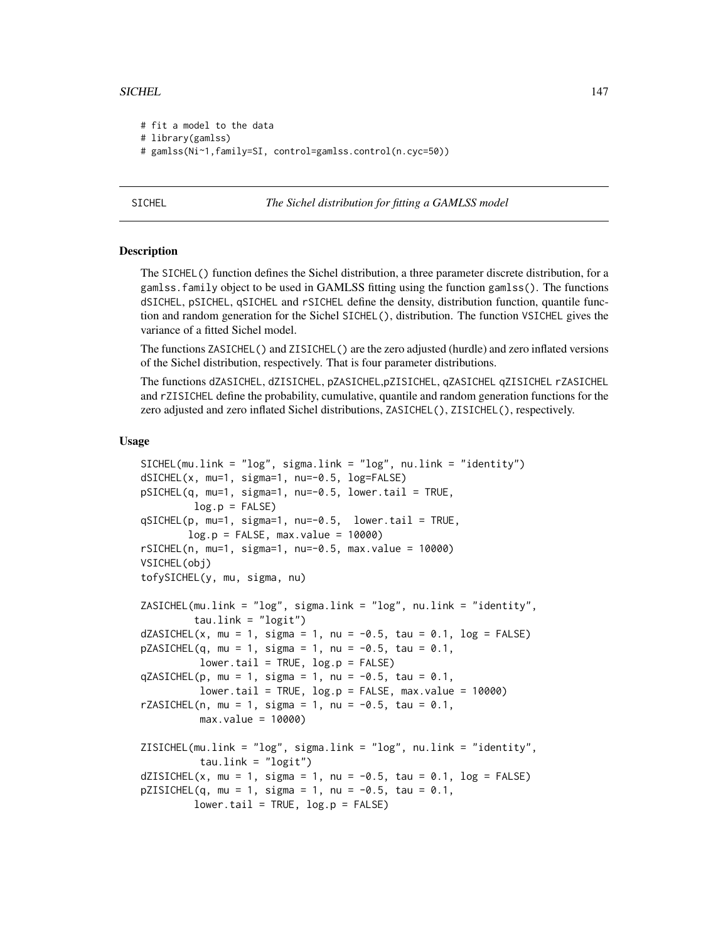#### SICHEL 2002 147

```
# fit a model to the data
# library(gamlss)
# gamlss(Ni~1,family=SI, control=gamlss.control(n.cyc=50))
```
SICHEL *The Sichel distribution for fitting a GAMLSS model*

#### **Description**

The SICHEL() function defines the Sichel distribution, a three parameter discrete distribution, for a gamlss.family object to be used in GAMLSS fitting using the function gamlss(). The functions dSICHEL, pSICHEL, qSICHEL and rSICHEL define the density, distribution function, quantile function and random generation for the Sichel SICHEL(), distribution. The function VSICHEL gives the variance of a fitted Sichel model.

The functions ZASICHEL() and ZISICHEL() are the zero adjusted (hurdle) and zero inflated versions of the Sichel distribution, respectively. That is four parameter distributions.

The functions dZASICHEL, dZISICHEL, pZASICHEL,pZISICHEL, qZASICHEL qZISICHEL rZASICHEL and rZISICHEL define the probability, cumulative, quantile and random generation functions for the zero adjusted and zero inflated Sichel distributions, ZASICHEL(), ZISICHEL(), respectively.

#### Usage

```
SICHEL(mu.link = "log", sigma.link = "log", nu.link = "identity")
dSICHEL(x, mu=1, sigma=1, nu=-0.5, log=FALSE)
pSICHEL(q, mu=1, sigma=1, nu=-0.5, lower.tail = TRUE,
        log.p = FALSEqSICHEL(p, mu=1, sigma=1, nu=-0.5, lower.tail = TRUE,
       log.p = FALSE, max.value = 10000rSICHEL(n, mu=1, sigma=1, nu=-0.5, max.value = 10000)VSICHEL(obj)
tofySICHEL(y, mu, sigma, nu)
ZASICHEL(mu.link = "log", sigma.link = "log", nu.link = "identity",
        tau.link = "logit")
dZASICHEL(x, mu = 1, sigma = 1, nu = -0.5, tau = 0.1, log = FALSE)pZASICHEL(q, mu = 1, sigma = 1, nu = -0.5, tau = 0.1,lower.tail = TRUE, log.p = FALSE)qZASICHEL(p, mu = 1, sigma = 1, nu = -0.5, tau = 0.1,
         lower.tail = TRUE, log.p = FALSE, max.value = 10000)rZASICHEL(n, mu = 1, sigma = 1, nu = -0.5, tau = 0.1,
         max.value = 10000ZISICHEL(mu.link = "log", sigma.link = "log", nu.link = "identity",
         tau.link = "logit")
dZISICHEL(x, mu = 1, sigma = 1, nu = -0.5, tau = 0.1, log = FALSE)pZISICHEL(q, mu = 1, sigma = 1, nu = -0.5, tau = 0.1,lower.tail = TRUE, log.p = FALSE)
```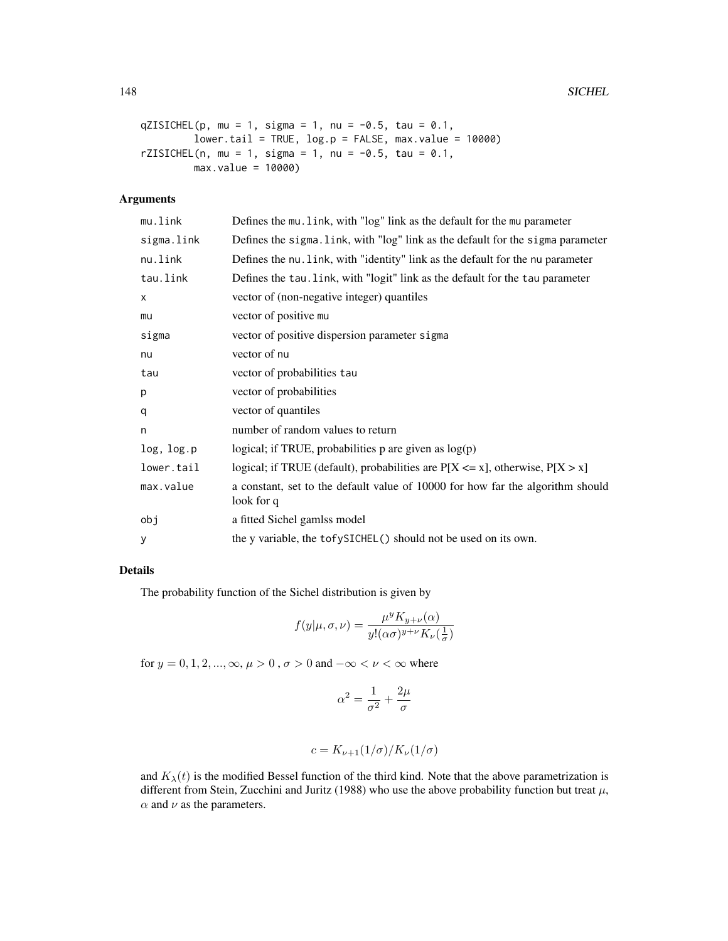```
qZISICHEL(p, mu = 1, sigma = 1, nu = -0.5, tau = 0.1,
        lower.tail = TRUE, log.p = FALSE, max.value = 10000)rZISICHEL(n, mu = 1, sigma = 1, nu = -0.5, tau = 0.1,
        max.value = 10000)
```
# Arguments

| mu.link    | Defines the mu. link, with "log" link as the default for the mu parameter                    |
|------------|----------------------------------------------------------------------------------------------|
| sigma.link | Defines the sigma. link, with "log" link as the default for the sigma parameter              |
| nu.link    | Defines the nu. link, with "identity" link as the default for the nu parameter               |
| tau.link   | Defines the tau. Link, with "logit" link as the default for the tau parameter                |
| x          | vector of (non-negative integer) quantiles                                                   |
| mu         | vector of positive mu                                                                        |
| sigma      | vector of positive dispersion parameter sigma                                                |
| nu         | vector of nu                                                                                 |
| tau        | vector of probabilities tau                                                                  |
| p          | vector of probabilities                                                                      |
| q          | vector of quantiles                                                                          |
| n          | number of random values to return                                                            |
| log, log.p | logical; if TRUE, probabilities $p$ are given as $log(p)$                                    |
| lower.tail | logical; if TRUE (default), probabilities are $P[X \le x]$ , otherwise, $P[X > x]$           |
| max.value  | a constant, set to the default value of 10000 for how far the algorithm should<br>look for q |
| obj        | a fitted Sichel gamlss model                                                                 |
| У          | the y variable, the tofySICHEL() should not be used on its own.                              |

# Details

The probability function of the Sichel distribution is given by

$$
f(y|\mu,\sigma,\nu)=\frac{\mu^y K_{y+\nu}(\alpha)}{y!(\alpha\sigma)^{y+\nu}K_{\nu}(\frac{1}{\sigma})}
$$

for  $y = 0, 1, 2, \ldots, \infty, \mu > 0$ ,  $\sigma > 0$  and  $-\infty < \nu < \infty$  where

$$
\alpha^2=\frac{1}{\sigma^2}+\frac{2\mu}{\sigma}
$$

$$
c = K_{\nu+1}(1/\sigma)/K_{\nu}(1/\sigma)
$$

and  $K_{\lambda}(t)$  is the modified Bessel function of the third kind. Note that the above parametrization is different from Stein, Zucchini and Juritz (1988) who use the above probability function but treat  $\mu$ ,  $\alpha$  and  $\nu$  as the parameters.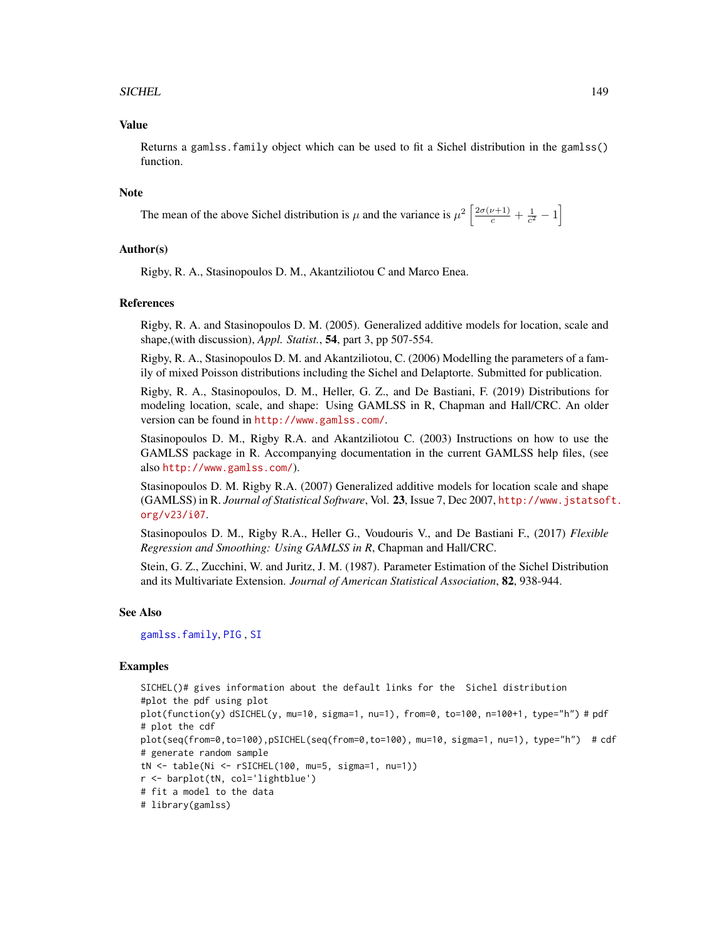## SICHEL 2008 and 2009 and 2009 and 2009 and 2009 and 2009 and 2009 and 2009 and 2009 and 2009 and 2009 and 2009  $\pm$

## Value

Returns a gamlss.family object which can be used to fit a Sichel distribution in the gamlss() function.

#### Note

The mean of the above Sichel distribution is  $\mu$  and the variance is  $\mu^2 \left[ \frac{2\sigma(\nu+1)}{c} + \frac{1}{c^2} - 1 \right]$ 

#### Author(s)

Rigby, R. A., Stasinopoulos D. M., Akantziliotou C and Marco Enea.

#### References

Rigby, R. A. and Stasinopoulos D. M. (2005). Generalized additive models for location, scale and shape,(with discussion), *Appl. Statist.*, 54, part 3, pp 507-554.

Rigby, R. A., Stasinopoulos D. M. and Akantziliotou, C. (2006) Modelling the parameters of a family of mixed Poisson distributions including the Sichel and Delaptorte. Submitted for publication.

Rigby, R. A., Stasinopoulos, D. M., Heller, G. Z., and De Bastiani, F. (2019) Distributions for modeling location, scale, and shape: Using GAMLSS in R, Chapman and Hall/CRC. An older version can be found in <http://www.gamlss.com/>.

Stasinopoulos D. M., Rigby R.A. and Akantziliotou C. (2003) Instructions on how to use the GAMLSS package in R. Accompanying documentation in the current GAMLSS help files, (see also <http://www.gamlss.com/>).

Stasinopoulos D. M. Rigby R.A. (2007) Generalized additive models for location scale and shape (GAMLSS) in R. *Journal of Statistical Software*, Vol. 23, Issue 7, Dec 2007, [http://www.jstatsof](http://www.jstatsoft.org/v23/i07)t. [org/v23/i07](http://www.jstatsoft.org/v23/i07).

Stasinopoulos D. M., Rigby R.A., Heller G., Voudouris V., and De Bastiani F., (2017) *Flexible Regression and Smoothing: Using GAMLSS in R*, Chapman and Hall/CRC.

Stein, G. Z., Zucchini, W. and Juritz, J. M. (1987). Parameter Estimation of the Sichel Distribution and its Multivariate Extension. *Journal of American Statistical Association*, 82, 938-944.

#### See Also

[gamlss.family](#page-57-0), [PIG](#page-127-0) , [SI](#page-144-0)

#### Examples

```
SICHEL()# gives information about the default links for the Sichel distribution
#plot the pdf using plot
plot(function(y) dSICHEL(y, mu=10, sigma=1, nu=1), from=0, to=100, n=100+1, type="h") # pdf
# plot the cdf
plot(seq(from=0,to=100),pSICHEL(seq(from=0,to=100), mu=10, sigma=1, nu=1), type="h") # cdf
# generate random sample
tN <- table(Ni <- rSICHEL(100, mu=5, sigma=1, nu=1))
r <- barplot(tN, col='lightblue')
# fit a model to the data
# library(gamlss)
```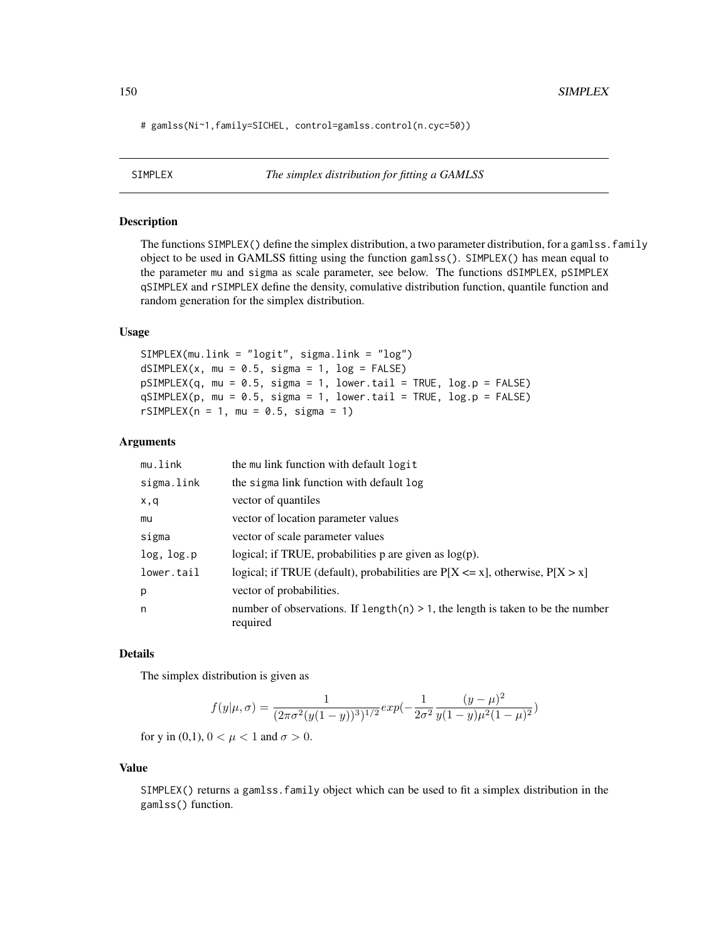# gamlss(Ni~1,family=SICHEL, control=gamlss.control(n.cyc=50))

# Description

The functions  $SIMPLEX()$  define the simplex distribution, a two parameter distribution, for a gamlss, family object to be used in GAMLSS fitting using the function gamlss(). SIMPLEX() has mean equal to the parameter mu and sigma as scale parameter, see below. The functions dSIMPLEX, pSIMPLEX qSIMPLEX and rSIMPLEX define the density, comulative distribution function, quantile function and random generation for the simplex distribution.

#### Usage

```
SIMPLEX(mu.link = "logit", sigma.link = "log")
dSIMPLEX(x, mu = 0.5, sigma = 1, log = FALSE)pSIMPLEX(q, mu = 0.5, sigma = 1, lower.tail = TRUE, log.p = FALSE)qSIMPLEX(p, mu = 0.5, sigma = 1, lower[avated] = TRUE, <math>log.p = FALSE)
rSIMPLEX(n = 1, mu = 0.5, sigma = 1)
```
#### Arguments

| mu.link    | the mullink function with default logit                                                       |
|------------|-----------------------------------------------------------------------------------------------|
| sigma.link | the sigma link function with default log                                                      |
| x,q        | vector of quantiles                                                                           |
| mu         | vector of location parameter values                                                           |
| sigma      | vector of scale parameter values                                                              |
| log, log.p | logical; if TRUE, probabilities $p$ are given as $log(p)$ .                                   |
| lower.tail | logical; if TRUE (default), probabilities are $P[X \le x]$ , otherwise, $P[X > x]$            |
| p          | vector of probabilities.                                                                      |
| n          | number of observations. If $length(n) > 1$ , the length is taken to be the number<br>required |

## Details

The simplex distribution is given as

$$
f(y|\mu,\sigma) = \frac{1}{(2\pi\sigma^2(y(1-y))^3)^{1/2}} exp(-\frac{1}{2\sigma^2} \frac{(y-\mu)^2}{y(1-y)\mu^2(1-\mu)^2})
$$

for y in (0,1),  $0 < \mu < 1$  and  $\sigma > 0$ .

#### Value

SIMPLEX() returns a gamlss.family object which can be used to fit a simplex distribution in the gamlss() function.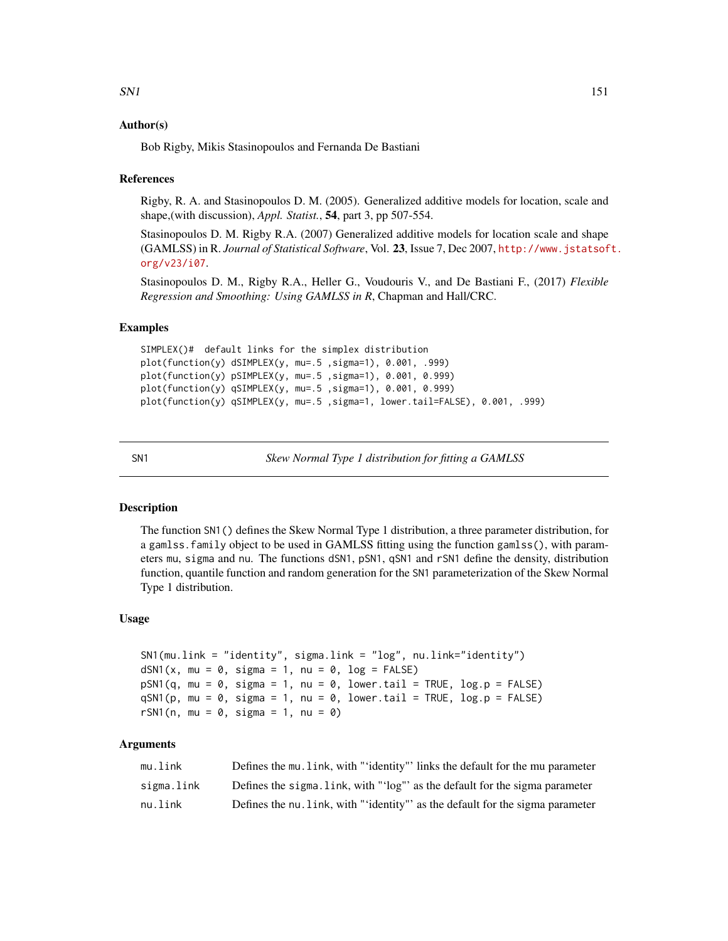## Author(s)

Bob Rigby, Mikis Stasinopoulos and Fernanda De Bastiani

## References

Rigby, R. A. and Stasinopoulos D. M. (2005). Generalized additive models for location, scale and shape,(with discussion), *Appl. Statist.*, 54, part 3, pp 507-554.

Stasinopoulos D. M. Rigby R.A. (2007) Generalized additive models for location scale and shape (GAMLSS) in R. *Journal of Statistical Software*, Vol. 23, Issue 7, Dec 2007, [http://www.jstatsof](http://www.jstatsoft.org/v23/i07)t. [org/v23/i07](http://www.jstatsoft.org/v23/i07).

Stasinopoulos D. M., Rigby R.A., Heller G., Voudouris V., and De Bastiani F., (2017) *Flexible Regression and Smoothing: Using GAMLSS in R*, Chapman and Hall/CRC.

#### Examples

```
SIMPLEX()# default links for the simplex distribution
plot(function(y) dSIMPLEX(y, mu=.5 ,sigma=1), 0.001, .999)
plot(function(y) pSIMPLEX(y, mu=.5 ,sigma=1), 0.001, 0.999)
plot(function(y) qSIMPLEX(y, mu=.5 ,sigma=1), 0.001, 0.999)
plot(function(y) qSIMPLEX(y, mu=.5 ,sigma=1, lower.tail=FALSE), 0.001, .999)
```
SN1 *Skew Normal Type 1 distribution for fitting a GAMLSS*

## **Description**

The function SN1() defines the Skew Normal Type 1 distribution, a three parameter distribution, for a gamlss.family object to be used in GAMLSS fitting using the function gamlss(), with parameters mu, sigma and nu. The functions dSN1, pSN1, qSN1 and rSN1 define the density, distribution function, quantile function and random generation for the SN1 parameterization of the Skew Normal Type 1 distribution.

#### Usage

```
SN1(mu.link = "identity", sigma.link = "log", nu.link="identity")
dSN1(x, mu = 0, sigma = 1, nu = 0, log = FALSE)pSN1(q, mu = 0, sigma = 1, nu = 0, lowertail = TRUE, log.p = FALSE)qSM1(p, mu = 0, sigma = 1, nu = 0, lower.tail = TRUE, log.p = FALSE)rSN1(n, mu = 0, sigma = 1, nu = 0)
```
# Arguments

| mu.link    | Defines the mu. Link, with "'identity"' links the default for the mu parameter |
|------------|--------------------------------------------------------------------------------|
| sigma.link | Defines the sigma. Link, with "'log" as the default for the sigma parameter    |
| nu.link    | Defines the nu. link, with "'identity" as the default for the sigma parameter  |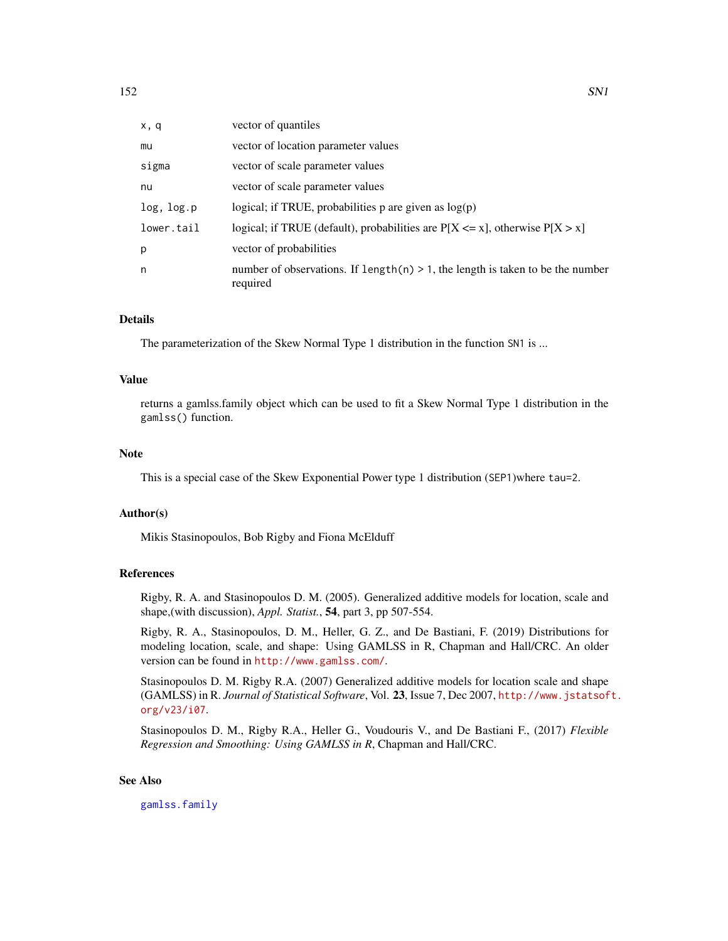| x, q       | vector of quantiles                                                                           |
|------------|-----------------------------------------------------------------------------------------------|
| mu         | vector of location parameter values                                                           |
| sigma      | vector of scale parameter values                                                              |
| nu         | vector of scale parameter values                                                              |
| log, log.p | logical; if TRUE, probabilities $p$ are given as $log(p)$                                     |
| lower.tail | logical; if TRUE (default), probabilities are $P[X \le x]$ , otherwise $P[X > x]$             |
| p          | vector of probabilities                                                                       |
| n          | number of observations. If length(n) $> 1$ , the length is taken to be the number<br>required |

# Details

The parameterization of the Skew Normal Type 1 distribution in the function SN1 is ...

#### Value

returns a gamlss.family object which can be used to fit a Skew Normal Type 1 distribution in the gamlss() function.

# Note

This is a special case of the Skew Exponential Power type 1 distribution (SEP1)where tau=2.

#### Author(s)

Mikis Stasinopoulos, Bob Rigby and Fiona McElduff

## References

Rigby, R. A. and Stasinopoulos D. M. (2005). Generalized additive models for location, scale and shape,(with discussion), *Appl. Statist.*, 54, part 3, pp 507-554.

Rigby, R. A., Stasinopoulos, D. M., Heller, G. Z., and De Bastiani, F. (2019) Distributions for modeling location, scale, and shape: Using GAMLSS in R, Chapman and Hall/CRC. An older version can be found in <http://www.gamlss.com/>.

Stasinopoulos D. M. Rigby R.A. (2007) Generalized additive models for location scale and shape (GAMLSS) in R. *Journal of Statistical Software*, Vol. 23, Issue 7, Dec 2007, [http://www.jstatsof](http://www.jstatsoft.org/v23/i07)t. [org/v23/i07](http://www.jstatsoft.org/v23/i07).

Stasinopoulos D. M., Rigby R.A., Heller G., Voudouris V., and De Bastiani F., (2017) *Flexible Regression and Smoothing: Using GAMLSS in R*, Chapman and Hall/CRC.

#### See Also

[gamlss.family](#page-57-0)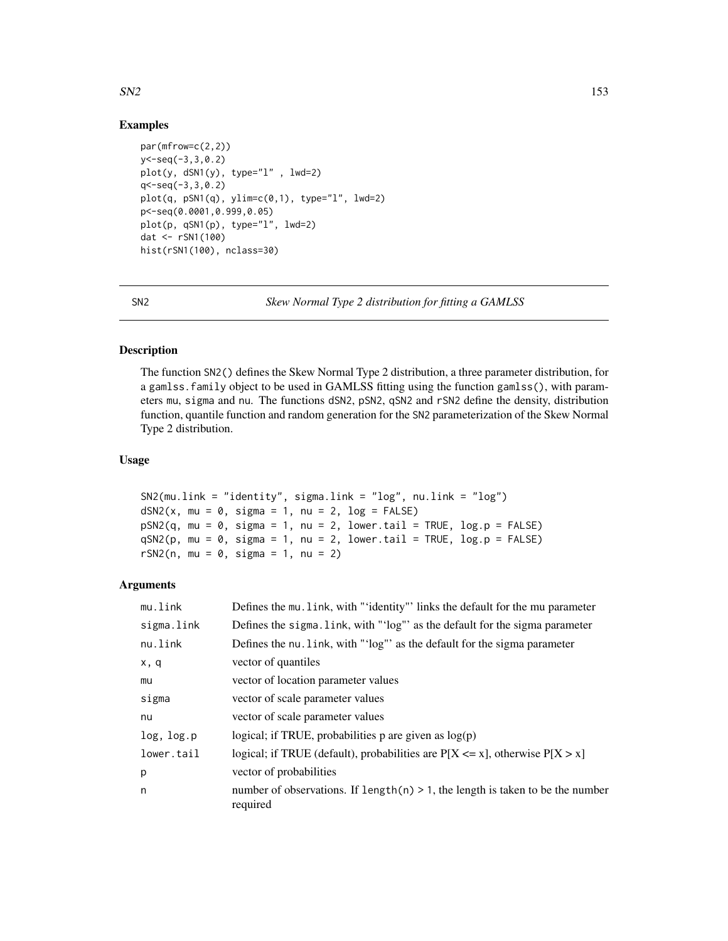## $SN2$  153

# Examples

```
par(mfrow=c(2,2))
y < -seq(-3,3,0.2)plot(y, dSN1(y), type="1" , lwd=2)q<-seq(-3,3,0.2)
plot(q, pSN1(q), ylim=c(0,1), type="1", lwd=2)p<-seq(0.0001,0.999,0.05)
plot(p, qSN1(p), type="l", lwd=2)
dat <- rSN1(100)
hist(rSN1(100), nclass=30)
```
SN2 *Skew Normal Type 2 distribution for fitting a GAMLSS*

#### Description

The function SN2() defines the Skew Normal Type 2 distribution, a three parameter distribution, for a gamlss.family object to be used in GAMLSS fitting using the function gamlss(), with parameters mu, sigma and nu. The functions dSN2, pSN2, qSN2 and rSN2 define the density, distribution function, quantile function and random generation for the SN2 parameterization of the Skew Normal Type 2 distribution.

## Usage

```
SN2(mu.link = "identity", sigma.link = "log", nu.link = "log")
dSN2(x, mu = 0, sigma = 1, nu = 2, log = FALSE)pSN2(q, mu = 0, sigma = 1, nu = 2, lower[a] = TRUE, log.p = FALSE)qSN2(p, mu = 0, sigma = 1, nu = 2, lower[a] = TRUE, log.p = FALSE)rSN2(n, mu = 0, sigma = 1, nu = 2)
```
#### Arguments

| mu.link    | Defines the mu. link, with "'identity"' links the default for the mu parameter                |
|------------|-----------------------------------------------------------------------------------------------|
| sigma.link | Defines the sigma. link, with "'log"' as the default for the sigma parameter                  |
| nu.link    | Defines the nu. link, with "'log'' as the default for the sigma parameter                     |
| x, q       | vector of quantiles                                                                           |
| mu         | vector of location parameter values                                                           |
| sigma      | vector of scale parameter values                                                              |
| nu         | vector of scale parameter values                                                              |
| log, log.p | logical; if TRUE, probabilities p are given as $log(p)$                                       |
| lower.tail | logical; if TRUE (default), probabilities are $P[X \le x]$ , otherwise $P[X > x]$             |
| p          | vector of probabilities                                                                       |
| n          | number of observations. If $length(n) > 1$ , the length is taken to be the number<br>required |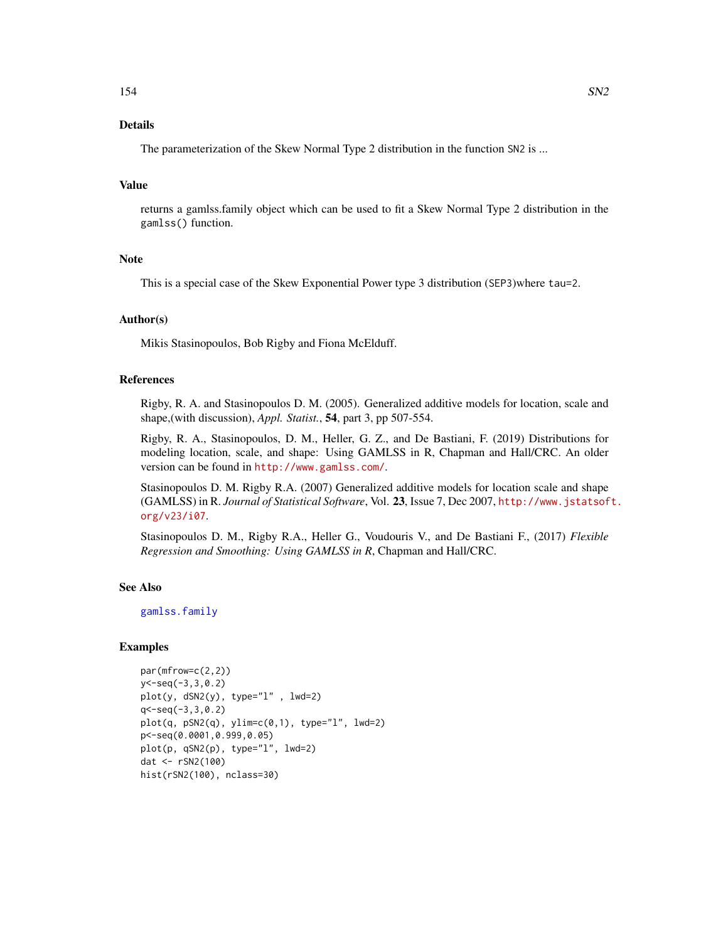# Details

The parameterization of the Skew Normal Type 2 distribution in the function SN2 is ...

#### Value

returns a gamlss.family object which can be used to fit a Skew Normal Type 2 distribution in the gamlss() function.

## **Note**

This is a special case of the Skew Exponential Power type 3 distribution (SEP3)where tau=2.

## Author(s)

Mikis Stasinopoulos, Bob Rigby and Fiona McElduff.

## References

Rigby, R. A. and Stasinopoulos D. M. (2005). Generalized additive models for location, scale and shape,(with discussion), *Appl. Statist.*, 54, part 3, pp 507-554.

Rigby, R. A., Stasinopoulos, D. M., Heller, G. Z., and De Bastiani, F. (2019) Distributions for modeling location, scale, and shape: Using GAMLSS in R, Chapman and Hall/CRC. An older version can be found in <http://www.gamlss.com/>.

Stasinopoulos D. M. Rigby R.A. (2007) Generalized additive models for location scale and shape (GAMLSS) in R. *Journal of Statistical Software*, Vol. 23, Issue 7, Dec 2007, [http://www.jstatsof](http://www.jstatsoft.org/v23/i07)t. [org/v23/i07](http://www.jstatsoft.org/v23/i07).

Stasinopoulos D. M., Rigby R.A., Heller G., Voudouris V., and De Bastiani F., (2017) *Flexible Regression and Smoothing: Using GAMLSS in R*, Chapman and Hall/CRC.

# See Also

[gamlss.family](#page-57-0)

# Examples

```
par(mfrow=c(2,2))
y < -seq(-3,3,0.2)plot(y, dSN2(y), type='l" , lwd=2)q<-seq(-3,3,0.2)
plot(q, pSN2(q), ylim=c(0,1), type="1", lwd=2)p<-seq(0.0001,0.999,0.05)
plot(p, qSN2(p), type="l", lwd=2)
dat <- rSN2(100)
hist(rSN2(100), nclass=30)
```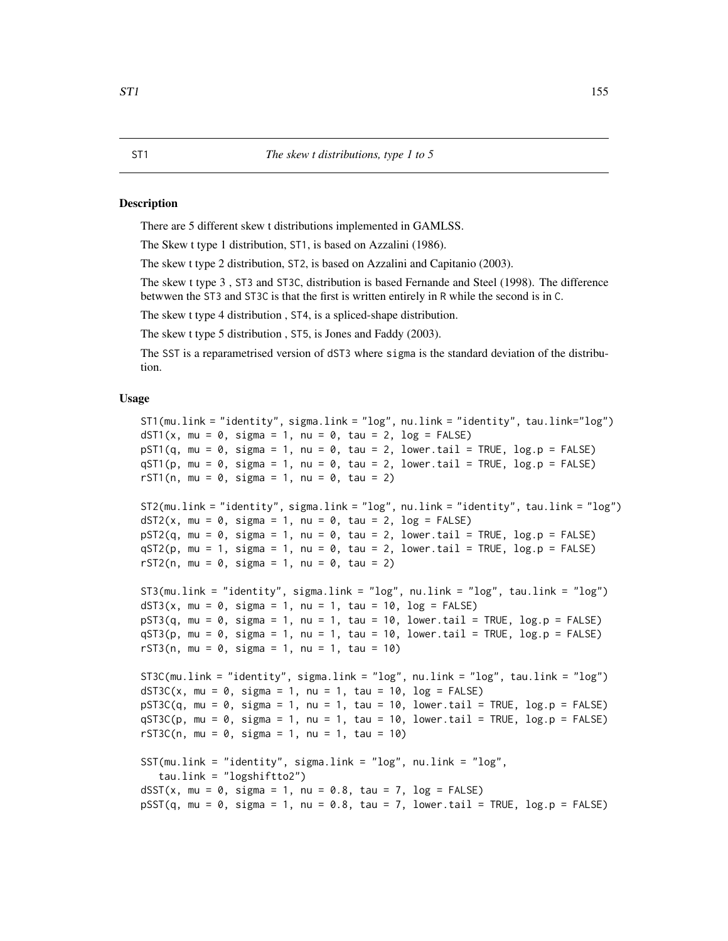#### **Description**

There are 5 different skew t distributions implemented in GAMLSS.

The Skew t type 1 distribution, ST1, is based on Azzalini (1986).

The skew t type 2 distribution, ST2, is based on Azzalini and Capitanio (2003).

The skew t type 3 , ST3 and ST3C, distribution is based Fernande and Steel (1998). The difference betwwen the ST3 and ST3C is that the first is written entirely in R while the second is in C.

The skew t type 4 distribution , ST4, is a spliced-shape distribution.

The skew t type 5 distribution , ST5, is Jones and Faddy (2003).

The SST is a reparametrised version of dST3 where sigma is the standard deviation of the distribution.

## Usage

```
ST1(mu.link = "identity", sigma.link = "log", nu.link = "identity", tau.link="log")
dST1(x, mu = 0, sigma = 1, nu = 0, tau = 2, log = FALSE)
pST1(q, mu = 0, sigma = 1, nu = 0, tau = 2, lower[a] = TRUE, log.p = FALSE)qST1(p, mu = 0, sigma = 1, nu = 0, tau = 2, lower[2014] = TRUE, <math>log.p = FALSErST1(n, mu = 0, sigma = 1, nu = 0, tau = 2)ST2(mu.link = "identity", sigma.link = "log", nu.link = "identity", tau.link = "log")
dST2(x, mu = 0, sigma = 1, nu = 0, tau = 2, log = FALSE)pST2(q, mu = 0, sigma = 1, nu = 0, tau = 2, lower[a] = TRUE, <math>log.p = FALSE)qST2(p, mu = 1, sigma = 1, nu = 0, tau = 2, lower[bmatrial = TRUE, log.p = FALSE)rST2(n, mu = 0, sigma = 1, nu = 0, tau = 2)ST3(mu.link = "identity", sigma.link = "log", nu.link = "log", tau.link = "log")
dST3(x, mu = 0, sigma = 1, nu = 1, tau = 10, log = FALSE)
pST3(q, mu = 0, sigma = 1, nu = 1, tau = 10, lower.\ntail = TRUE, log.p = FALSE)qST3(p, mu = 0, sigma = 1, nu = 1, tau = 10, lowertail = TRUE, log.p = FALSE)rST3(n, mu = 0, sigma = 1, nu = 1, tau = 10)
ST3C(mu.link = "identity", sigma.link = "log", nu.link = "log", tau.link = "log")
dST3C(x, mu = 0, sigma = 1, nu = 1, tau = 10, log = FALSE)pST3C(q, mu = 0, sigma = 1, nu = 1, tau = 10, lower.tail = TRUE, log.p = FALSE)
qST3C(p, mu = 0, sigma = 1, nu = 1, tau = 10, lower[a] = TRUE, <math>log.p = FALSE)rST3C(n, mu = 0, sigma = 1, nu = 1, tau = 10)SST(mu.link = "identity", sigma.link = "log", nu.link = "log",
   tau.link = "logshiftto2")
dSST(x, mu = 0, sigma = 1, nu = 0.8, tau = 7, log = FALSE)pSST(q, mu = 0, sigma = 1, nu = 0.8, tau = 7, lower[baraolication] = TRUE, <math>log.p = FALSE)
```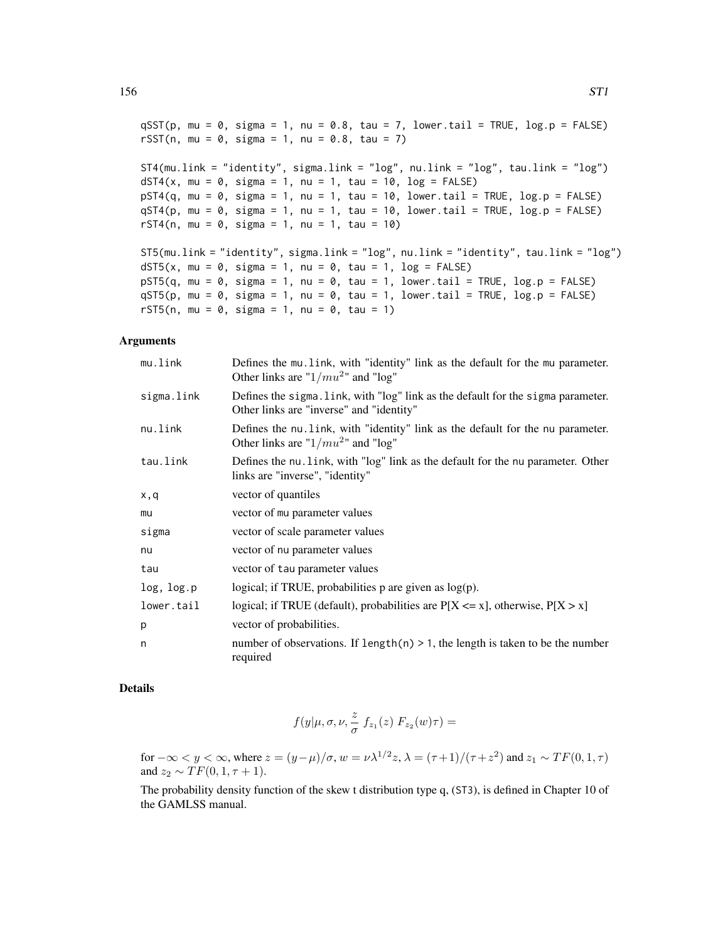$qSST(p, mu = 0, sigma = 1, nu = 0.8, tau = 7, lower.tail = TRUE, log.p = FALSE)$ rSST(n, mu = 0, sigma = 1, nu = 0.8, tau = 7) ST4(mu.link = "identity", sigma.link = "log", nu.link = "log", tau.link = "log") dST4(x, mu = 0, sigma = 1, nu = 1, tau = 10,  $log = FALSE$ )  $pST4(q, mu = 0, sigma = 1, nu = 1, tau = 10, lower$ **tail = TRUE, log.p = FALSE** $)$  $qST4(p, mu = 0, sigma = 1, nu = 1, tau = 10, lower$ **tail = TRUE, log.p = FALSE** $)$  $rST4(n, mu = 0, sigma = 1, nu = 1, tau = 10)$ ST5(mu.link = "identity", sigma.link = "log", nu.link = "identity", tau.link = "log")  $dST5(x, mu = 0, sigma = 1, nu = 0, tau = 1, log = FALSE)$  $pST5(q, mu = 0, sigma = 1, nu = 0, tau = 1, lower$ **tail = TRUE, log.p = FALSE** $)$  $qST5(p, mu = 0, sigma = 1, nu = 0, tau = 1, lower.tail = TRUE, log.p = FALSE)$ rST5(n, mu = 0, sigma = 1, nu = 0, tau = 1)

## Arguments

| mu.link    | Defines the mu. link, with "identity" link as the default for the mu parameter.<br>Other links are " $1/mu^2$ " and "log"    |
|------------|------------------------------------------------------------------------------------------------------------------------------|
| sigma.link | Defines the sigma. Link, with "log" link as the default for the sigma parameter.<br>Other links are "inverse" and "identity" |
| nu.link    | Defines the nu. link, with "identity" link as the default for the nu parameter.<br>Other links are " $1/mu^2$ " and "log"    |
| tau.link   | Defines the nu. link, with "log" link as the default for the nu parameter. Other<br>links are "inverse", "identity"          |
| x,q        | vector of quantiles                                                                                                          |
| mu         | vector of mu parameter values                                                                                                |
| sigma      | vector of scale parameter values                                                                                             |
| nu         | vector of nu parameter values                                                                                                |
| tau        | vector of tau parameter values                                                                                               |
| log, log.p | logical; if TRUE, probabilities $p$ are given as $log(p)$ .                                                                  |
| lower.tail | logical; if TRUE (default), probabilities are $P[X \le x]$ , otherwise, $P[X > x]$                                           |
| p          | vector of probabilities.                                                                                                     |
| n          | number of observations. If length(n) $> 1$ , the length is taken to be the number<br>required                                |

## Details

$$
f(y|\mu,\sigma,\nu,\frac{z}{\sigma}\;f_{z_1}(z)\;F_{z_2}(w)\tau)=
$$

for  $-\infty < y < \infty$ , where  $z = (y - \mu)/\sigma$ ,  $w = \nu \lambda^{1/2} z$ ,  $\lambda = (\tau + 1)/(\tau + z^2)$  and  $z_1 \sim TF(0, 1, \tau)$ and  $z_2 \sim TF(0, 1, \tau + 1)$ .

The probability density function of the skew t distribution type q, (ST3), is defined in Chapter 10 of the GAMLSS manual.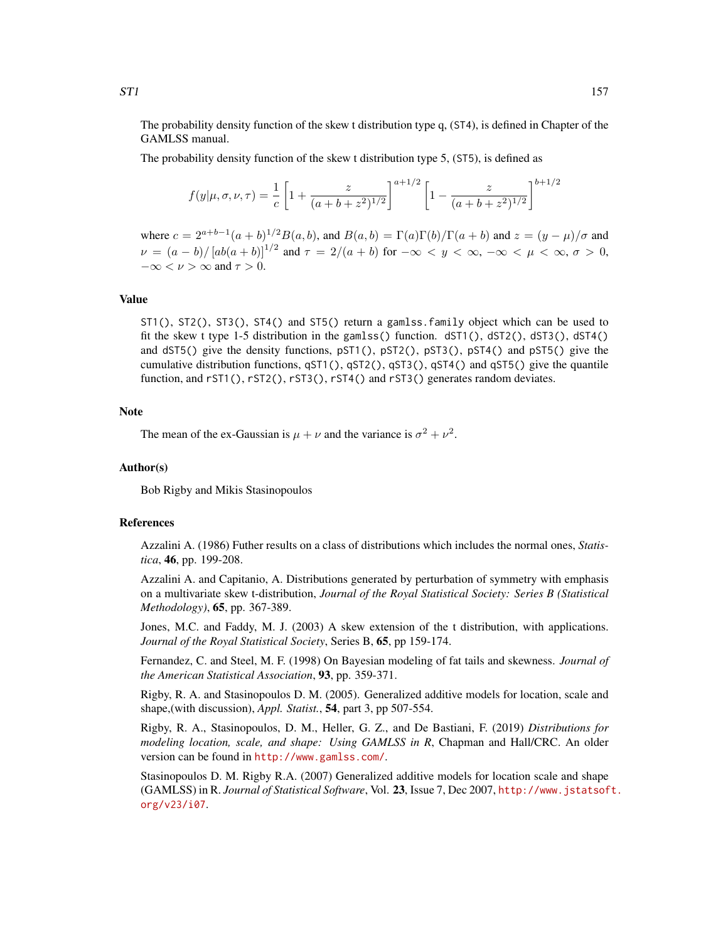The probability density function of the skew t distribution type q, (ST4), is defined in Chapter of the GAMLSS manual.

The probability density function of the skew t distribution type 5, (ST5), is defined as

$$
f(y|\mu, \sigma, \nu, \tau) = \frac{1}{c} \left[ 1 + \frac{z}{(a+b+z^2)^{1/2}} \right]^{a+1/2} \left[ 1 - \frac{z}{(a+b+z^2)^{1/2}} \right]^{b+1/2}
$$

where  $c = 2^{a+b-1}(a+b)^{1/2}B(a,b)$ , and  $B(a,b) = \Gamma(a)\Gamma(b)/\Gamma(a+b)$  and  $z = (y - \mu)/\sigma$  and  $\nu = (a - b)/[ab(a + b)]^{1/2}$  and  $\tau = 2/(a + b)$  for  $-\infty < y < \infty$ ,  $-\infty < \mu < \infty$ ,  $\sigma > 0$ ,  $-\infty < \nu > \infty$  and  $\tau > 0$ .

## Value

ST1(), ST2(), ST3(), ST4() and ST5() return a gamlss.family object which can be used to fit the skew t type 1-5 distribution in the gamlss() function. dST1(), dST2(), dST3(), dST4() and dST5() give the density functions, pST1(), pST2(), pST3(), pST4() and pST5() give the cumulative distribution functions, qST1(), qST2(), qST3(), qST4() and qST5() give the quantile function, and rST1(), rST2(), rST3(), rST4() and rST3() generates random deviates.

# Note

The mean of the ex-Gaussian is  $\mu + \nu$  and the variance is  $\sigma^2 + \nu^2$ .

#### Author(s)

Bob Rigby and Mikis Stasinopoulos

#### References

Azzalini A. (1986) Futher results on a class of distributions which includes the normal ones, *Statistica*, 46, pp. 199-208.

Azzalini A. and Capitanio, A. Distributions generated by perturbation of symmetry with emphasis on a multivariate skew t-distribution, *Journal of the Royal Statistical Society: Series B (Statistical Methodology)*, 65, pp. 367-389.

Jones, M.C. and Faddy, M. J. (2003) A skew extension of the t distribution, with applications. *Journal of the Royal Statistical Society*, Series B, 65, pp 159-174.

Fernandez, C. and Steel, M. F. (1998) On Bayesian modeling of fat tails and skewness. *Journal of the American Statistical Association*, 93, pp. 359-371.

Rigby, R. A. and Stasinopoulos D. M. (2005). Generalized additive models for location, scale and shape,(with discussion), *Appl. Statist.*, 54, part 3, pp 507-554.

Rigby, R. A., Stasinopoulos, D. M., Heller, G. Z., and De Bastiani, F. (2019) *Distributions for modeling location, scale, and shape: Using GAMLSS in R*, Chapman and Hall/CRC. An older version can be found in <http://www.gamlss.com/>.

Stasinopoulos D. M. Rigby R.A. (2007) Generalized additive models for location scale and shape (GAMLSS) in R. *Journal of Statistical Software*, Vol. 23, Issue 7, Dec 2007, [http://www.jstatsof](http://www.jstatsoft.org/v23/i07)t. [org/v23/i07](http://www.jstatsoft.org/v23/i07).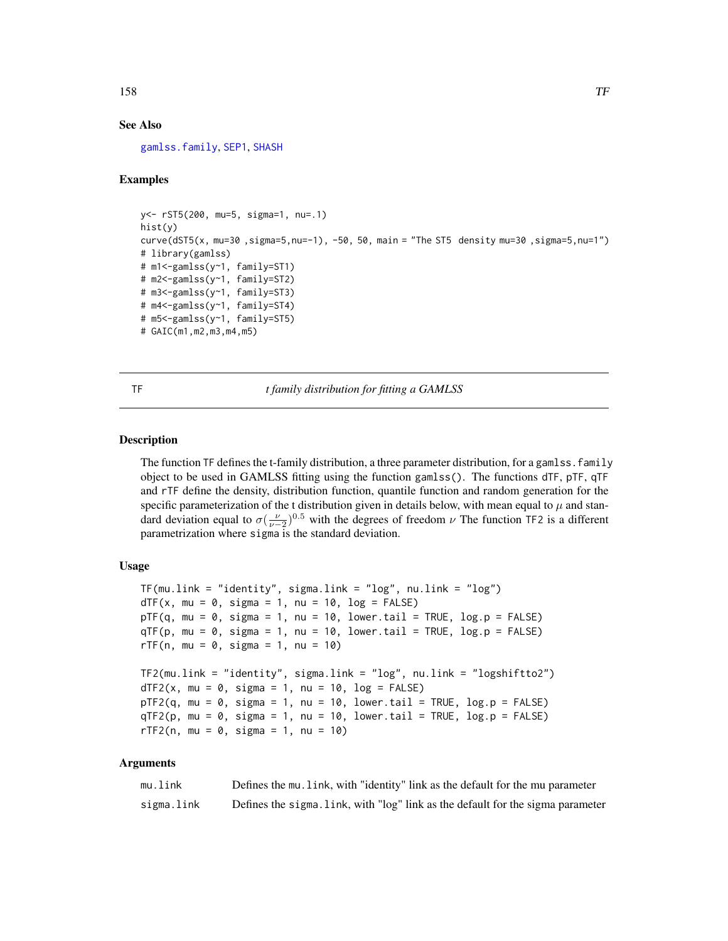## See Also

[gamlss.family](#page-57-0), [SEP1](#page-138-0), [SHASH](#page-140-0)

# Examples

```
y<- rST5(200, mu=5, sigma=1, nu=.1)
hist(y)
curve(dST5(x, mu=30 ,sigma=5,nu=-1), -50, 50, main = "The ST5 density mu=30 ,sigma=5,nu=1")
# library(gamlss)
# m1<-gamlss(y~1, family=ST1)
# m2<-gamlss(y~1, family=ST2)
# m3<-gamlss(y~1, family=ST3)
# m4<-gamlss(y~1, family=ST4)
# m5<-gamlss(y~1, family=ST5)
# GAIC(m1,m2,m3,m4,m5)
```
TF *t family distribution for fitting a GAMLSS*

## **Description**

The function TF defines the t-family distribution, a three parameter distribution, for a gamlss. family object to be used in GAMLSS fitting using the function gamlss(). The functions dTF, pTF, qTF and rTF define the density, distribution function, quantile function and random generation for the specific parameterization of the t distribution given in details below, with mean equal to  $\mu$  and standard deviation equal to  $\sigma(\frac{\nu}{\nu-2})^{0.5}$  with the degrees of freedom  $\nu$  The function TF2 is a different parametrization where sigma is the standard deviation.

## Usage

```
TF(mu.link = "identity", sigma.link = "log", nu.link = "log")
dTF(x, mu = 0, sigma = 1, nu = 10, log = FALSE)pTF(q, mu = 0, sigma = 1, nu = 10, lower.tail = TRUE, log.p = FALSE)qTF(p, mu = 0, sigma = 1, nu = 10, lower[a] = TRUE, <math>log.p = FALSE)
rTF(n, mu = 0, sigma = 1, nu = 10)TF2(mu.link = "identity", sigma.link = "log", nu.link = "logshiftto2")
dTF2(x, mu = 0, sigma = 1, nu = 10, log = FALSE)pTF2(q, mu = 0, sigma = 1, nu = 10, lowertail = TRUE, log.p = FALSE)
qTF2(p, mu = 0, sigma = 1, nu = 10, lowertail = TRUE, log.p = FALSE)rTF2(n, mu = 0, sigma = 1, nu = 10)
```
#### **Arguments**

| mu.link    | Defines the mu. Link, with "identity" link as the default for the mu parameter  |
|------------|---------------------------------------------------------------------------------|
| sigma.link | Defines the sigma. Link, with "log" link as the default for the sigma parameter |

158 TF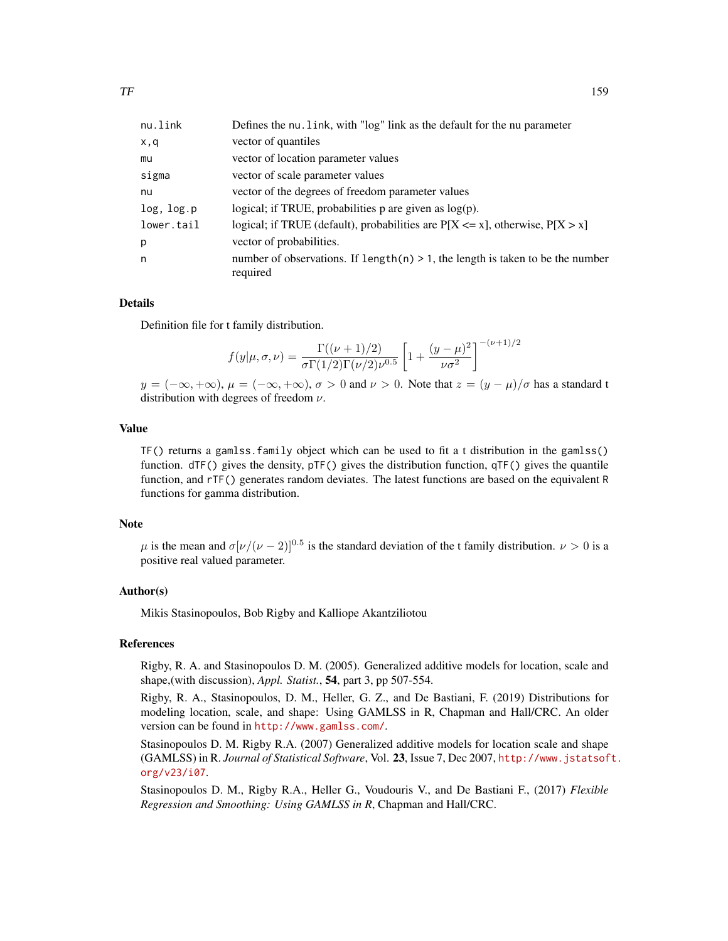| Defines the nu. link, with "log" link as the default for the nu parameter                     |
|-----------------------------------------------------------------------------------------------|
| vector of quantiles                                                                           |
| vector of location parameter values                                                           |
| vector of scale parameter values                                                              |
| vector of the degrees of freedom parameter values                                             |
| logical; if TRUE, probabilities $p$ are given as $log(p)$ .                                   |
| logical; if TRUE (default), probabilities are $P[X \le x]$ , otherwise, $P[X > x]$            |
| vector of probabilities.                                                                      |
| number of observations. If $length(n) > 1$ , the length is taken to be the number<br>required |
|                                                                                               |

#### Details

Definition file for t family distribution.

$$
f(y|\mu,\sigma,\nu) = \frac{\Gamma((\nu+1)/2)}{\sigma \Gamma(1/2)\Gamma(\nu/2)\nu^{0.5}} \left[1 + \frac{(y-\mu)^2}{\nu \sigma^2}\right]^{-(\nu+1)/2}
$$

 $y = (-\infty, +\infty), \mu = (-\infty, +\infty), \sigma > 0$  and  $\nu > 0$ . Note that  $z = (y - \mu)/\sigma$  has a standard t distribution with degrees of freedom  $\nu$ .

#### Value

TF() returns a gamlss.family object which can be used to fit a t distribution in the gamlss() function.  $dTF()$  gives the density,  $pTF()$  gives the distribution function,  $qTF()$  gives the quantile function, and rTF() generates random deviates. The latest functions are based on the equivalent R functions for gamma distribution.

#### **Note**

 $\mu$  is the mean and  $\sigma[\nu/(\nu-2)]^{0.5}$  is the standard deviation of the t family distribution.  $\nu > 0$  is a positive real valued parameter.

#### Author(s)

Mikis Stasinopoulos, Bob Rigby and Kalliope Akantziliotou

## References

Rigby, R. A. and Stasinopoulos D. M. (2005). Generalized additive models for location, scale and shape,(with discussion), *Appl. Statist.*, 54, part 3, pp 507-554.

Rigby, R. A., Stasinopoulos, D. M., Heller, G. Z., and De Bastiani, F. (2019) Distributions for modeling location, scale, and shape: Using GAMLSS in R, Chapman and Hall/CRC. An older version can be found in <http://www.gamlss.com/>.

Stasinopoulos D. M. Rigby R.A. (2007) Generalized additive models for location scale and shape (GAMLSS) in R. *Journal of Statistical Software*, Vol. 23, Issue 7, Dec 2007, [http://www.jstatsof](http://www.jstatsoft.org/v23/i07)t. [org/v23/i07](http://www.jstatsoft.org/v23/i07).

Stasinopoulos D. M., Rigby R.A., Heller G., Voudouris V., and De Bastiani F., (2017) *Flexible Regression and Smoothing: Using GAMLSS in R*, Chapman and Hall/CRC.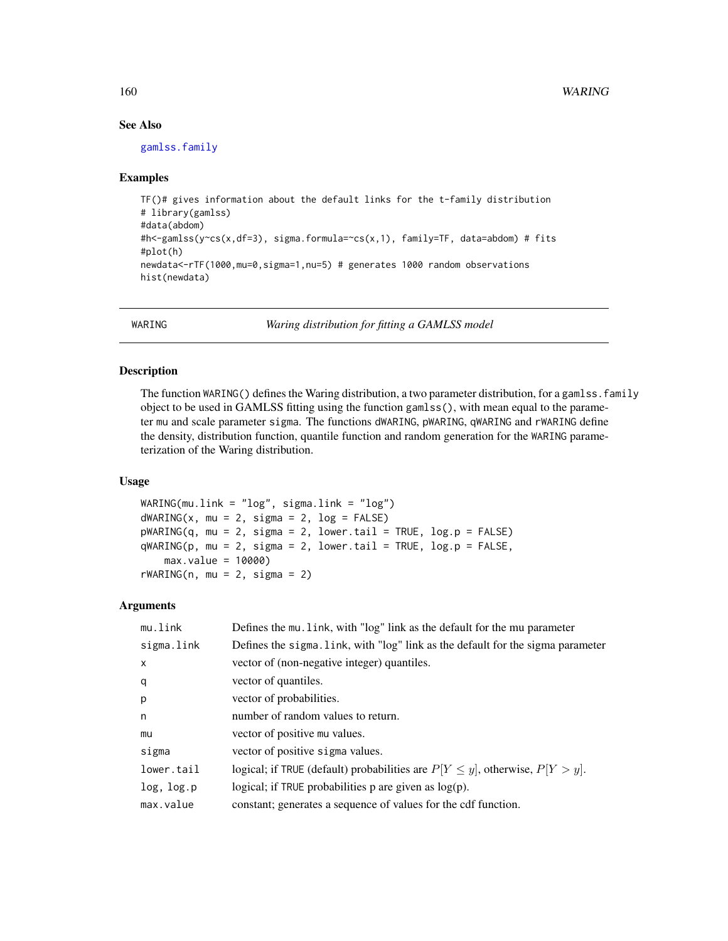## See Also

[gamlss.family](#page-57-0)

## Examples

```
TF()# gives information about the default links for the t-family distribution
# library(gamlss)
#data(abdom)
#h<-gamlss(y~cs(x,df=3), sigma.formula=~cs(x,1), family=TF, data=abdom) # fits
#plot(h)
newdata<-rTF(1000,mu=0,sigma=1,nu=5) # generates 1000 random observations
hist(newdata)
```
WARING *Waring distribution for fitting a GAMLSS model*

# Description

The function WARING() defines the Waring distribution, a two parameter distribution, for a gamlss. family object to be used in GAMLSS fitting using the function gamlss(), with mean equal to the parameter mu and scale parameter sigma. The functions dWARING, pWARING, qWARING and rWARING define the density, distribution function, quantile function and random generation for the WARING parameterization of the Waring distribution.

#### Usage

```
WARING(mu.link = "log", sigma.link = "log")
dWARTNG(x, mu = 2, sigma = 2, log = FALSE)pWARTNG(q, mu = 2, sigma = 2, lower.tail = TRUE, log.p = FALSE)qWARTNG(p, mu = 2, sigma = 2, lower.tail = TRUE, log.p = FALSE,max.value = 10000)
rWARTNG(n, mu = 2, sigma = 2)
```
## Arguments

| mu.link      | Defines the mu. link, with "log" link as the default for the mu parameter            |
|--------------|--------------------------------------------------------------------------------------|
| sigma.link   | Defines the sigma. Link, with "log" link as the default for the sigma parameter      |
| $\mathsf{x}$ | vector of (non-negative integer) quantiles.                                          |
| q            | vector of quantiles.                                                                 |
| p            | vector of probabilities.                                                             |
| n            | number of random values to return.                                                   |
| mu           | vector of positive mu values.                                                        |
| sigma        | vector of positive sigma values.                                                     |
| lower.tail   | logical; if TRUE (default) probabilities are $P[Y \leq y]$ , otherwise, $P[Y > y]$ . |
| log, log.p   | logical; if TRUE probabilities p are given as $log(p)$ .                             |
| max.value    | constant; generates a sequence of values for the cdf function.                       |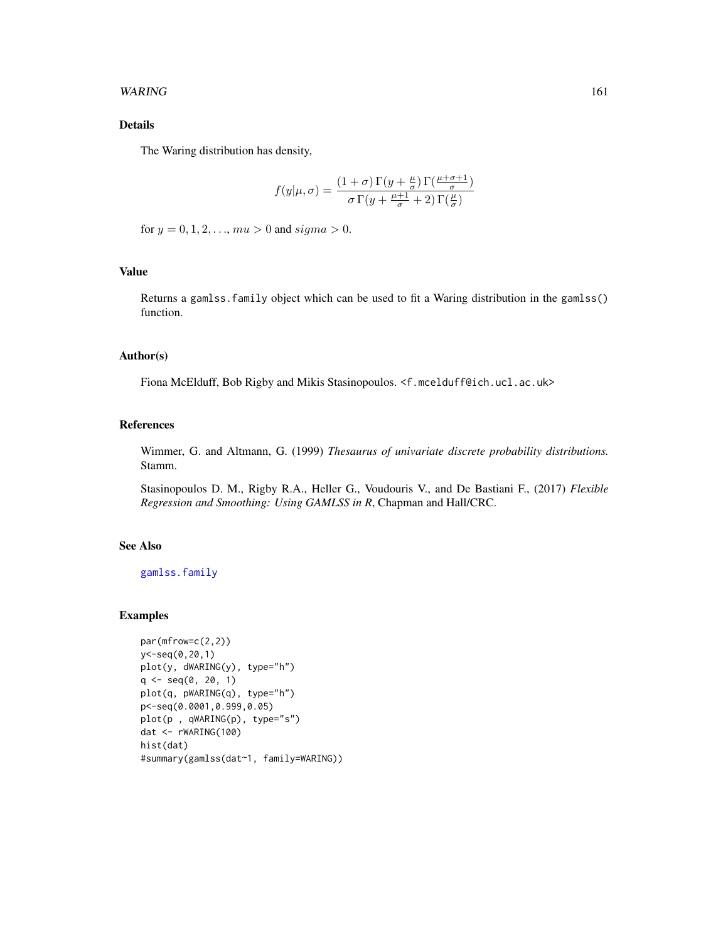## WARING 161

## Details

The Waring distribution has density,

$$
f(y|\mu,\sigma) = \frac{(1+\sigma)\,\Gamma(y+\frac{\mu}{\sigma})\,\Gamma(\frac{\mu+\sigma+1}{\sigma})}{\sigma\,\Gamma(y+\frac{\mu+1}{\sigma}+2)\,\Gamma(\frac{\mu}{\sigma})}
$$

for  $y = 0, 1, 2, \dots, mu > 0$  and  $sigma > 0$ .

## Value

Returns a gamlss.family object which can be used to fit a Waring distribution in the gamlss() function.

# Author(s)

Fiona McElduff, Bob Rigby and Mikis Stasinopoulos. <f.mcelduff@ich.ucl.ac.uk>

# References

Wimmer, G. and Altmann, G. (1999) *Thesaurus of univariate discrete probability distributions.* Stamm.

Stasinopoulos D. M., Rigby R.A., Heller G., Voudouris V., and De Bastiani F., (2017) *Flexible Regression and Smoothing: Using GAMLSS in R*, Chapman and Hall/CRC.

## See Also

[gamlss.family](#page-57-0)

# Examples

```
par(mfrow=c(2,2))
y<-seq(0,20,1)
plot(y, dWARING(y), type="h")
q \leq - \text{seq}(0, 20, 1)plot(q, pWARING(q), type="h")
p<-seq(0.0001,0.999,0.05)
plot(p , qWARING(p), type="s")
dat <- rWARING(100)
hist(dat)
#summary(gamlss(dat~1, family=WARING))
```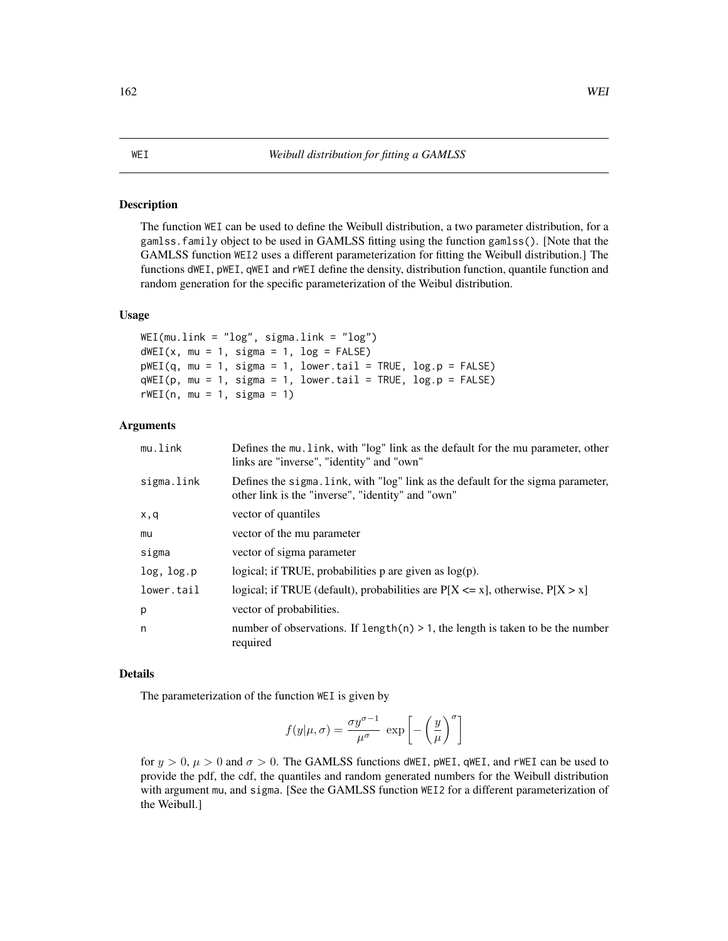#### <span id="page-161-0"></span>Description

The function WEI can be used to define the Weibull distribution, a two parameter distribution, for a gamlss.family object to be used in GAMLSS fitting using the function gamlss(). [Note that the GAMLSS function WEI2 uses a different parameterization for fitting the Weibull distribution.] The functions dWEI, pWEI, qWEI and rWEI define the density, distribution function, quantile function and random generation for the specific parameterization of the Weibul distribution.

#### Usage

```
WEI(mu.link = "log", sigma.link = "log")
dWEI(x, mu = 1, sigma = 1, log = FALSE)pWEI(q, mu = 1, sigma = 1, lowertail = TRUE, log.p = FALSE)
qWEI(p, mu = 1, sigma = 1, lowertail = TRUE, log.p = FALSE)
rWEI(n, mu = 1, sigma = 1)
```
## Arguments

| mu.link    | Defines the mu. link, with "log" link as the default for the mu parameter, other<br>links are "inverse", "identity" and "own"         |
|------------|---------------------------------------------------------------------------------------------------------------------------------------|
| sigma.link | Defines the sigma. link, with "log" link as the default for the sigma parameter,<br>other link is the "inverse", "identity" and "own" |
| x,q        | vector of quantiles                                                                                                                   |
| mu         | vector of the mu parameter                                                                                                            |
| sigma      | vector of sigma parameter                                                                                                             |
| log, log.p | logical; if TRUE, probabilities $p$ are given as $log(p)$ .                                                                           |
| lower.tail | logical; if TRUE (default), probabilities are $P[X \le x]$ , otherwise, $P[X > x]$                                                    |
| p          | vector of probabilities.                                                                                                              |
| n          | number of observations. If $length(n) > 1$ , the length is taken to be the number<br>required                                         |

#### Details

The parameterization of the function WEI is given by

$$
f(y|\mu,\sigma) = \frac{\sigma y^{\sigma-1}}{\mu^{\sigma}} \exp \left[ -\left(\frac{y}{\mu}\right)^{\sigma} \right]
$$

for  $y > 0$ ,  $\mu > 0$  and  $\sigma > 0$ . The GAMLSS functions dWEI, pWEI, qWEI, and rWEI can be used to provide the pdf, the cdf, the quantiles and random generated numbers for the Weibull distribution with argument mu, and sigma. [See the GAMLSS function WEI2 for a different parameterization of the Weibull.]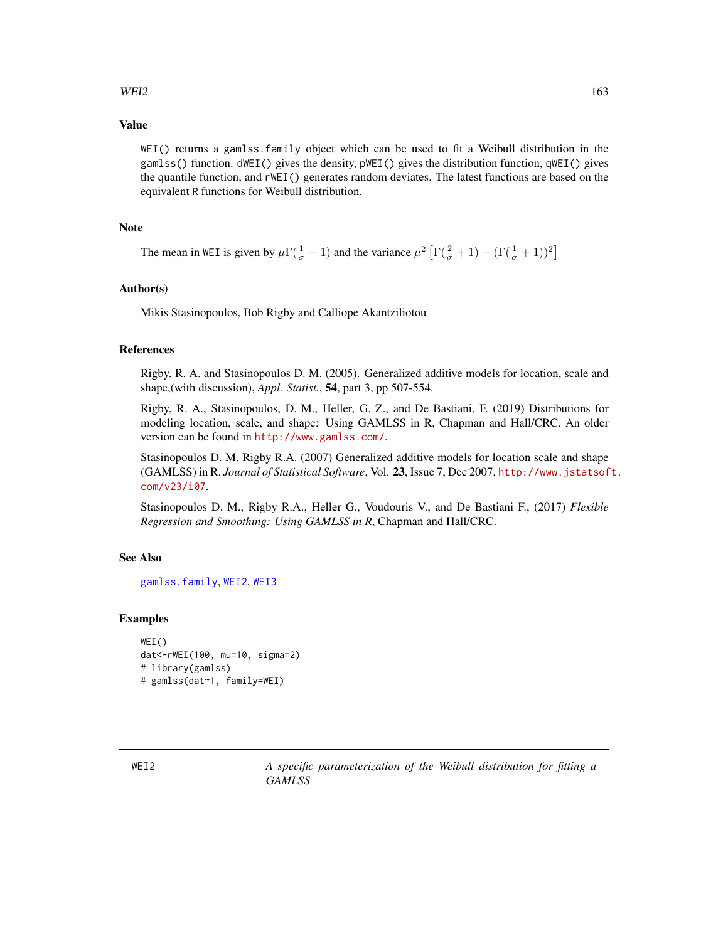# $WEI2$  163

## Value

WEI() returns a gamlss.family object which can be used to fit a Weibull distribution in the gamlss() function. dWEI() gives the density, pWEI() gives the distribution function, qWEI() gives the quantile function, and rWEI() generates random deviates. The latest functions are based on the equivalent R functions for Weibull distribution.

## **Note**

The mean in WEI is given by  $\mu \Gamma(\frac{1}{\sigma}+1)$  and the variance  $\mu^2 \left[ \Gamma(\frac{2}{\sigma}+1) - (\Gamma(\frac{1}{\sigma}+1))^2 \right]$ 

## Author(s)

Mikis Stasinopoulos, Bob Rigby and Calliope Akantziliotou

## References

Rigby, R. A. and Stasinopoulos D. M. (2005). Generalized additive models for location, scale and shape,(with discussion), *Appl. Statist.*, 54, part 3, pp 507-554.

Rigby, R. A., Stasinopoulos, D. M., Heller, G. Z., and De Bastiani, F. (2019) Distributions for modeling location, scale, and shape: Using GAMLSS in R, Chapman and Hall/CRC. An older version can be found in <http://www.gamlss.com/>.

Stasinopoulos D. M. Rigby R.A. (2007) Generalized additive models for location scale and shape (GAMLSS) in R. *Journal of Statistical Software*, Vol. 23, Issue 7, Dec 2007, [http://www.jstatsof](http://www.jstatsoft.com/v23/i07)t. [com/v23/i07](http://www.jstatsoft.com/v23/i07).

Stasinopoulos D. M., Rigby R.A., Heller G., Voudouris V., and De Bastiani F., (2017) *Flexible Regression and Smoothing: Using GAMLSS in R*, Chapman and Hall/CRC.

#### See Also

[gamlss.family](#page-57-0), [WEI2](#page-162-0), [WEI3](#page-164-0)

#### Examples

```
WEI()
dat<-rWEI(100, mu=10, sigma=2)
# library(gamlss)
# gamlss(dat~1, family=WEI)
```
<span id="page-162-0"></span>WEI2 *A specific parameterization of the Weibull distribution for fitting a GAMLSS*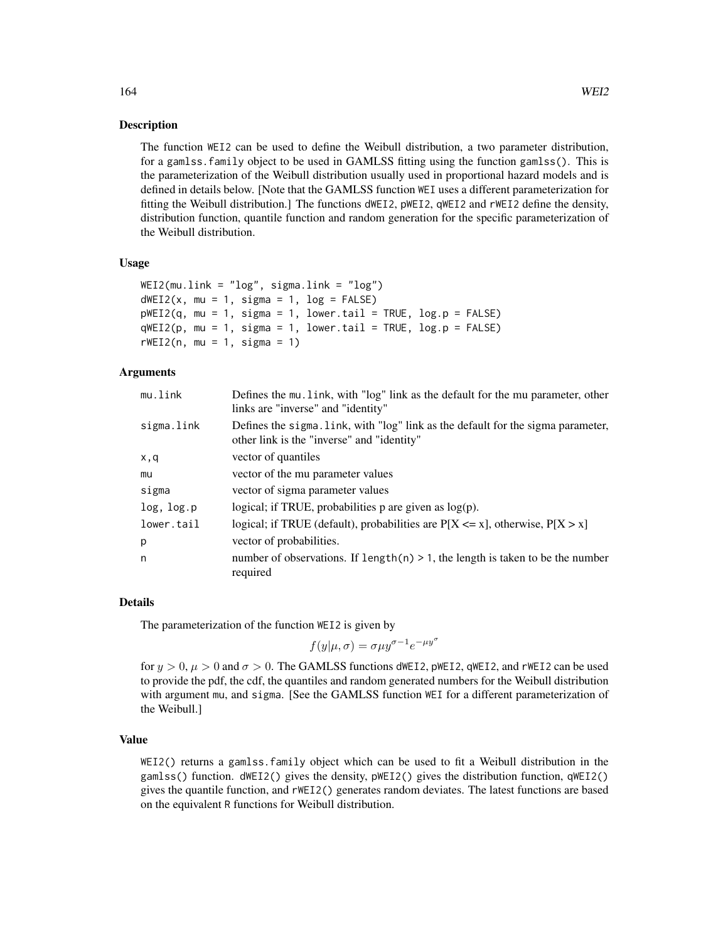#### **Description**

The function WEI2 can be used to define the Weibull distribution, a two parameter distribution, for a gamlss.family object to be used in GAMLSS fitting using the function gamlss(). This is the parameterization of the Weibull distribution usually used in proportional hazard models and is defined in details below. [Note that the GAMLSS function WEI uses a different parameterization for fitting the Weibull distribution.] The functions dWEI2, pWEI2, qWEI2 and rWEI2 define the density, distribution function, quantile function and random generation for the specific parameterization of the Weibull distribution.

#### Usage

```
WEI2(mu.link = "log", sigma.link = "log")dWEI2(x, mu = 1, sigma = 1, log = FALSE)pWEI2(q, mu = 1, sigma = 1, lower.tail = TRUE, log.p = FALSE)
qWEL2(p, mu = 1, sigma = 1, lower[allerage] <math>p = FALSErWEI2(n, mu = 1, sigma = 1)
```
## **Arguments**

| mu.link    | Defines the mu. link, with "log" link as the default for the mu parameter, other<br>links are "inverse" and "identity"         |
|------------|--------------------------------------------------------------------------------------------------------------------------------|
| sigma.link | Defines the sigma. Link, with "log" link as the default for the sigma parameter,<br>other link is the "inverse" and "identity" |
| x,q        | vector of quantiles                                                                                                            |
| mu         | vector of the mu parameter values                                                                                              |
| sigma      | vector of sigma parameter values                                                                                               |
| log, log.p | logical; if TRUE, probabilities $p$ are given as $log(p)$ .                                                                    |
| lower.tail | logical; if TRUE (default), probabilities are $P[X \le x]$ , otherwise, $P[X > x]$                                             |
| p          | vector of probabilities.                                                                                                       |
| n          | number of observations. If $length(n) > 1$ , the length is taken to be the number<br>required                                  |

#### Details

The parameterization of the function WEI2 is given by

$$
f(y|\mu, \sigma) = \sigma \mu y^{\sigma - 1} e^{-\mu y^{\sigma}}
$$

for  $y > 0$ ,  $\mu > 0$  and  $\sigma > 0$ . The GAMLSS functions dWEI2, pWEI2, qWEI2, and rWEI2 can be used to provide the pdf, the cdf, the quantiles and random generated numbers for the Weibull distribution with argument mu, and sigma. [See the GAMLSS function WEI for a different parameterization of the Weibull.]

#### Value

WEI2() returns a gamlss.family object which can be used to fit a Weibull distribution in the gamlss() function. dWEI2() gives the density, pWEI2() gives the distribution function, qWEI2() gives the quantile function, and rWEI2() generates random deviates. The latest functions are based on the equivalent R functions for Weibull distribution.

164 WEI2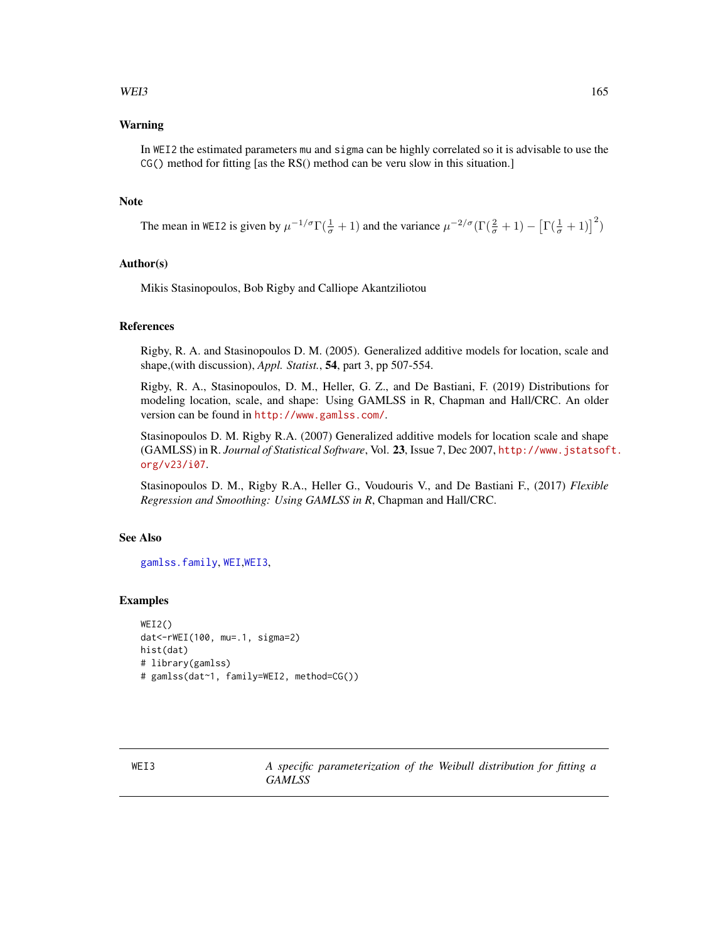# $WEI3$  165

## Warning

In WEI2 the estimated parameters mu and sigma can be highly correlated so it is advisable to use the CG() method for fitting [as the RS() method can be veru slow in this situation.]

## **Note**

The mean in WEI2 is given by  $\mu^{-1/\sigma} \Gamma(\frac{1}{\sigma} + 1)$  and the variance  $\mu^{-2/\sigma} (\Gamma(\frac{2}{\sigma} + 1) - [\Gamma(\frac{1}{\sigma} + 1)]^2)$ 

#### Author(s)

Mikis Stasinopoulos, Bob Rigby and Calliope Akantziliotou

# References

Rigby, R. A. and Stasinopoulos D. M. (2005). Generalized additive models for location, scale and shape,(with discussion), *Appl. Statist.*, 54, part 3, pp 507-554.

Rigby, R. A., Stasinopoulos, D. M., Heller, G. Z., and De Bastiani, F. (2019) Distributions for modeling location, scale, and shape: Using GAMLSS in R, Chapman and Hall/CRC. An older version can be found in <http://www.gamlss.com/>.

Stasinopoulos D. M. Rigby R.A. (2007) Generalized additive models for location scale and shape (GAMLSS) in R. *Journal of Statistical Software*, Vol. 23, Issue 7, Dec 2007, [http://www.jstatsof](http://www.jstatsoft.org/v23/i07)t. [org/v23/i07](http://www.jstatsoft.org/v23/i07).

Stasinopoulos D. M., Rigby R.A., Heller G., Voudouris V., and De Bastiani F., (2017) *Flexible Regression and Smoothing: Using GAMLSS in R*, Chapman and Hall/CRC.

# See Also

[gamlss.family](#page-57-0), [WEI](#page-161-0),[WEI3](#page-164-0),

## Examples

```
WEI2()
dat<-rWEI(100, mu=.1, sigma=2)
hist(dat)
# library(gamlss)
# gamlss(dat~1, family=WEI2, method=CG())
```
<span id="page-164-0"></span>WEI3 *A specific parameterization of the Weibull distribution for fitting a GAMLSS*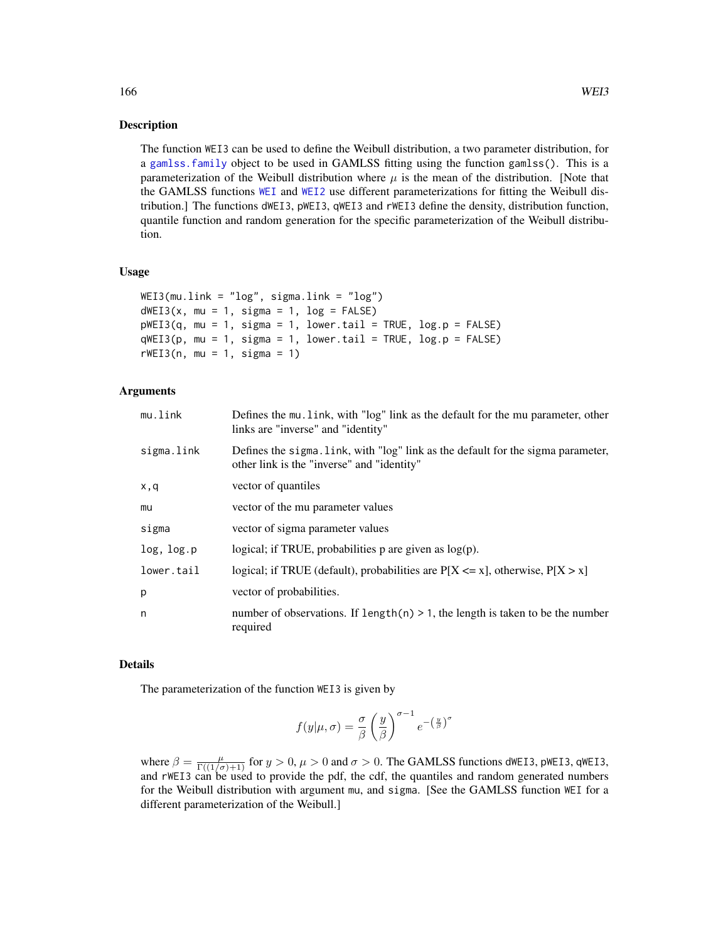#### Description

The function WEI3 can be used to define the Weibull distribution, a two parameter distribution, for a [gamlss.family](#page-57-0) object to be used in GAMLSS fitting using the function gamlss(). This is a parameterization of the Weibull distribution where  $\mu$  is the mean of the distribution. [Note that the GAMLSS functions [WEI](#page-161-0) and [WEI2](#page-162-0) use different parameterizations for fitting the Weibull distribution.] The functions dWEI3, pWEI3, qWEI3 and rWEI3 define the density, distribution function, quantile function and random generation for the specific parameterization of the Weibull distribution.

#### Usage

```
WEI3(mu.link = "log", sigma.link = "log")dWEI3(x, mu = 1, sigma = 1, log = FALSE)pWE13(q, mu = 1, sigma = 1, lower.tail = TRUE, log.p = FALSE)qW E I3(p, mu = 1, sigma = 1, lowertail = TRUE, <math>log.p = FALSE)
rWE13(n, mu = 1, sigma = 1)
```
## Arguments

| mu.link    | Defines the mu. link, with "log" link as the default for the mu parameter, other<br>links are "inverse" and "identity"         |
|------------|--------------------------------------------------------------------------------------------------------------------------------|
| sigma.link | Defines the sigma. Link, with "log" link as the default for the sigma parameter,<br>other link is the "inverse" and "identity" |
| x,q        | vector of quantiles                                                                                                            |
| mu         | vector of the mu parameter values                                                                                              |
| sigma      | vector of sigma parameter values                                                                                               |
| log, log.p | logical; if TRUE, probabilities $p$ are given as $log(p)$ .                                                                    |
| lower.tail | logical; if TRUE (default), probabilities are $P[X \le x]$ , otherwise, $P[X > x]$                                             |
| p          | vector of probabilities.                                                                                                       |
| n          | number of observations. If $length(n) > 1$ , the length is taken to be the number<br>required                                  |

#### Details

The parameterization of the function WEI3 is given by

$$
f(y|\mu,\sigma) = \frac{\sigma}{\beta} \left(\frac{y}{\beta}\right)^{\sigma-1} e^{-\left(\frac{y}{\beta}\right)^{\sigma}}
$$

where  $\beta = \frac{\mu}{\Gamma((1/\sigma)+1)}$  for  $y > 0$ ,  $\mu > 0$  and  $\sigma > 0$ . The GAMLSS functions dWEI3, pWEI3, qWEI3, and rWEI3 can be used to provide the pdf, the cdf, the quantiles and random generated numbers for the Weibull distribution with argument mu, and sigma. [See the GAMLSS function WEI for a different parameterization of the Weibull.]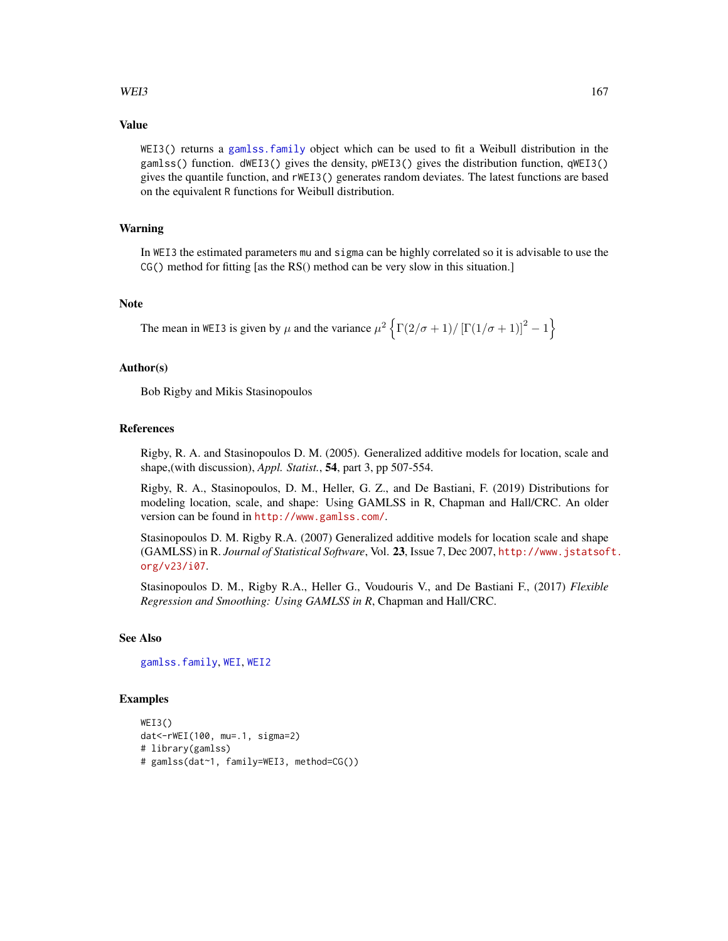## $WEI3$  167

## Value

WEI3() returns a [gamlss.family](#page-57-0) object which can be used to fit a Weibull distribution in the gamlss() function. dWEI3() gives the density, pWEI3() gives the distribution function, qWEI3() gives the quantile function, and rWEI3() generates random deviates. The latest functions are based on the equivalent R functions for Weibull distribution.

# Warning

In WEI3 the estimated parameters mu and sigma can be highly correlated so it is advisable to use the CG() method for fitting [as the RS() method can be very slow in this situation.]

#### Note

The mean in WEI3 is given by  $\mu$  and the variance  $\mu^2 \left\{ \Gamma(2/\sigma+1)/\left[\Gamma(1/\sigma+1)\right]^2 - 1 \right\}$ 

#### Author(s)

Bob Rigby and Mikis Stasinopoulos

## References

Rigby, R. A. and Stasinopoulos D. M. (2005). Generalized additive models for location, scale and shape,(with discussion), *Appl. Statist.*, 54, part 3, pp 507-554.

Rigby, R. A., Stasinopoulos, D. M., Heller, G. Z., and De Bastiani, F. (2019) Distributions for modeling location, scale, and shape: Using GAMLSS in R, Chapman and Hall/CRC. An older version can be found in <http://www.gamlss.com/>.

Stasinopoulos D. M. Rigby R.A. (2007) Generalized additive models for location scale and shape (GAMLSS) in R. *Journal of Statistical Software*, Vol. 23, Issue 7, Dec 2007, [http://www.jstatsof](http://www.jstatsoft.org/v23/i07)t. [org/v23/i07](http://www.jstatsoft.org/v23/i07).

Stasinopoulos D. M., Rigby R.A., Heller G., Voudouris V., and De Bastiani F., (2017) *Flexible Regression and Smoothing: Using GAMLSS in R*, Chapman and Hall/CRC.

#### See Also

[gamlss.family](#page-57-0), [WEI](#page-161-0), [WEI2](#page-162-0)

#### Examples

```
WEI3()
dat<-rWEI(100, mu=.1, sigma=2)
# library(gamlss)
# gamlss(dat~1, family=WEI3, method=CG())
```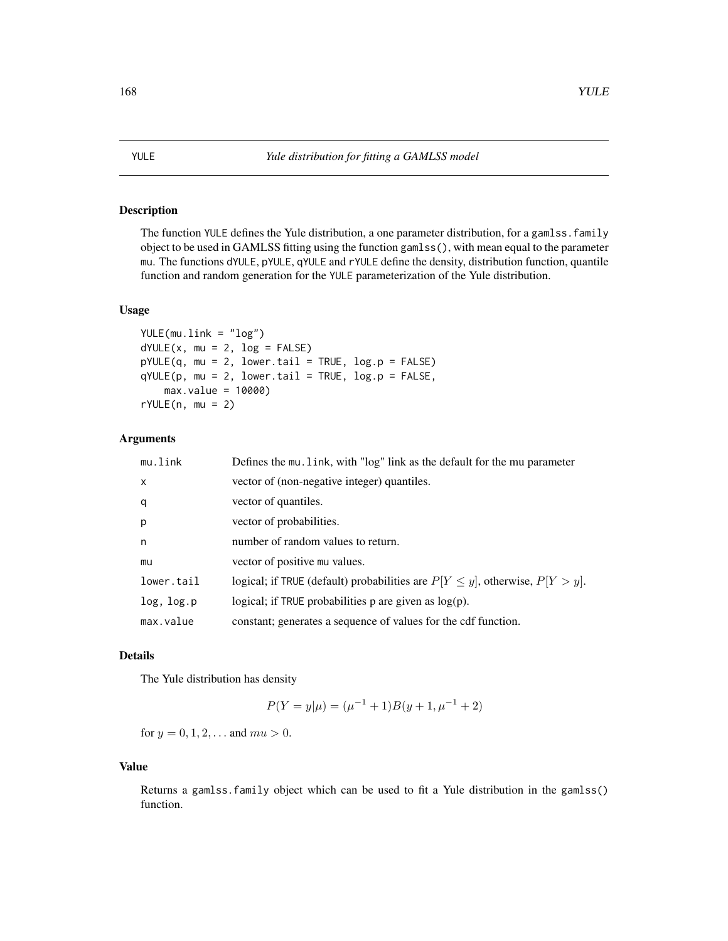# Description

The function YULE defines the Yule distribution, a one parameter distribution, for a gamlss. family object to be used in GAMLSS fitting using the function gamlss(), with mean equal to the parameter mu. The functions dYULE, pYULE, qYULE and rYULE define the density, distribution function, quantile function and random generation for the YULE parameterization of the Yule distribution.

#### Usage

```
YULE(mu.link = "log")
dYULE(x, mu = 2, log = FALSE)pYULE(q, mu = 2, lower.tail = TRUE, log.p = FALSE)qYULE(p, mu = 2, lower.tail = TRUE, log.p = FALSE,max.value = 10000)
rYULE(n, mu = 2)
```
## Arguments

| mu.link      | Defines the mu. link, with "log" link as the default for the mu parameter            |
|--------------|--------------------------------------------------------------------------------------|
| $\mathsf{x}$ | vector of (non-negative integer) quantiles.                                          |
| q            | vector of quantiles.                                                                 |
| p            | vector of probabilities.                                                             |
| n            | number of random values to return.                                                   |
| mu           | vector of positive mu values.                                                        |
| lower.tail   | logical; if TRUE (default) probabilities are $P[Y \leq y]$ , otherwise, $P[Y > y]$ . |
| log, log.p   | logical; if TRUE probabilities p are given as $log(p)$ .                             |
| max.value    | constant; generates a sequence of values for the cdf function.                       |

#### Details

The Yule distribution has density

$$
P(Y = y | \mu) = (\mu^{-1} + 1)B(y + 1, \mu^{-1} + 2)
$$

for  $y = 0, 1, 2, \dots$  and  $mu > 0$ .

# Value

Returns a gamlss.family object which can be used to fit a Yule distribution in the gamlss() function.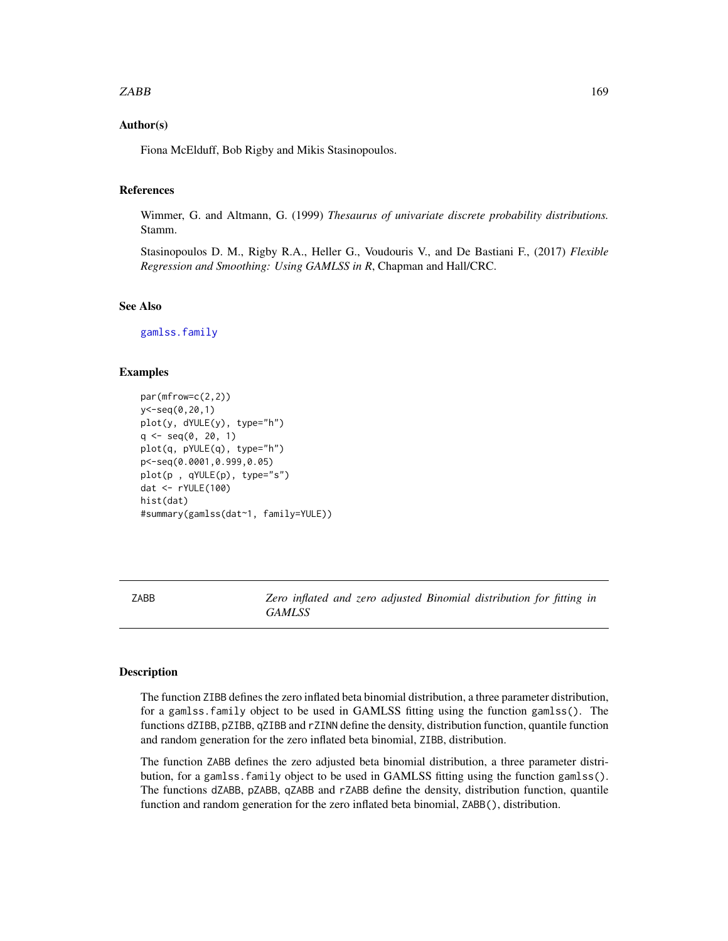## $ZABB$  and  $169$

# Author(s)

Fiona McElduff, Bob Rigby and Mikis Stasinopoulos.

## References

Wimmer, G. and Altmann, G. (1999) *Thesaurus of univariate discrete probability distributions.* Stamm.

Stasinopoulos D. M., Rigby R.A., Heller G., Voudouris V., and De Bastiani F., (2017) *Flexible Regression and Smoothing: Using GAMLSS in R*, Chapman and Hall/CRC.

# See Also

[gamlss.family](#page-57-0)

## Examples

```
par(mfrow=c(2,2))
y<-seq(0,20,1)
plot(y, dYULE(y), type="h")
q \leq -seq(0, 20, 1)plot(q, pYULE(q), type="h")
p<-seq(0.0001,0.999,0.05)
plot(p , qYULE(p), type="s")
dat <- rYULE(100)
hist(dat)
#summary(gamlss(dat~1, family=YULE))
```
ZABB *Zero inflated and zero adjusted Binomial distribution for fitting in GAMLSS*

#### **Description**

The function ZIBB defines the zero inflated beta binomial distribution, a three parameter distribution, for a gamlss.family object to be used in GAMLSS fitting using the function gamlss(). The functions dZIBB, pZIBB, qZIBB and rZINN define the density, distribution function, quantile function and random generation for the zero inflated beta binomial, ZIBB, distribution.

The function ZABB defines the zero adjusted beta binomial distribution, a three parameter distribution, for a gamlss.family object to be used in GAMLSS fitting using the function gamlss(). The functions dZABB, pZABB, qZABB and rZABB define the density, distribution function, quantile function and random generation for the zero inflated beta binomial, ZABB(), distribution.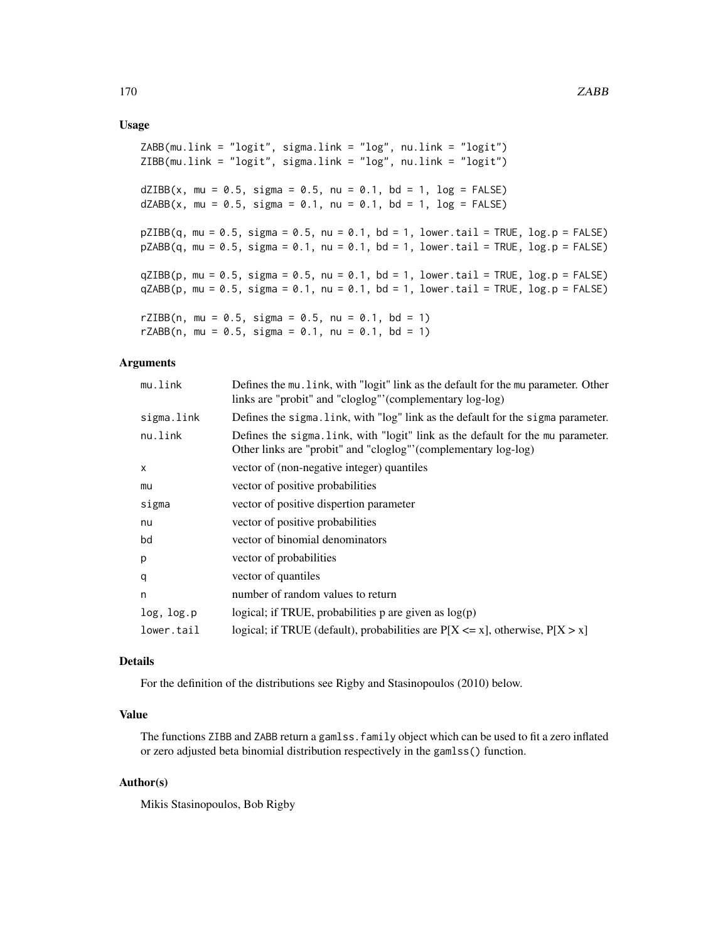## Usage

ZABB(mu.link = "logit", sigma.link = "log", nu.link = "logit") ZIBB(mu.link = "logit", sigma.link = "log", nu.link = "logit")  $dZIBB(x, mu = 0.5, sigma = 0.5, nu = 0.1, bd = 1, log = FALSE)$  $dZABB(x, mu = 0.5, sigma = 0.1, nu = 0.1, bd = 1, log = FALSE)$  $pZIBB(q, mu = 0.5, sigma = 0.5, nu = 0.1, bd = 1, lower.tail = TRUE, log.p = FALSE)$  $pZABB(q, mu = 0.5, sigma = 0.1, nu = 0.1, bd = 1, lower$  $.\ntail = TRUE, log.p = FALSE)$  $qZIBB(p, mu = 0.5, sigma = 0.5, nu = 0.1, bd = 1, lower.tail = TRUE, log.p = FALSE)$  $qZABB(p, mu = 0.5, sigma = 0.1, nu = 0.1, bd = 1, lower.tail = TRUE, log.p = FALSE)$  $rZIBB(n, mu = 0.5, sigma = 0.5, nu = 0.1, bd = 1)$  $rZABB(n, mu = 0.5, sigma = 0.1, nu = 0.1, bd = 1)$ 

## **Arguments**

| mu.link    | Defines the mu. link, with "logit" link as the default for the mu parameter. Other<br>links are "probit" and "cloglog"' (complementary log-log)   |
|------------|---------------------------------------------------------------------------------------------------------------------------------------------------|
| sigma.link | Defines the sigma. link, with "log" link as the default for the sigma parameter.                                                                  |
| nu.link    | Defines the sigma. Link, with "logit" link as the default for the mu parameter.<br>Other links are "probit" and "cloglog" (complementary log-log) |
| x          | vector of (non-negative integer) quantiles                                                                                                        |
| mu         | vector of positive probabilities                                                                                                                  |
| sigma      | vector of positive dispertion parameter                                                                                                           |
| nu         | vector of positive probabilities                                                                                                                  |
| bd         | vector of binomial denominators                                                                                                                   |
| p          | vector of probabilities                                                                                                                           |
| q          | vector of quantiles                                                                                                                               |
| n          | number of random values to return                                                                                                                 |
| log, log.p | logical; if TRUE, probabilities $p$ are given as $log(p)$                                                                                         |
| lower.tail | logical; if TRUE (default), probabilities are $P[X \le x]$ , otherwise, $P[X > x]$                                                                |

#### Details

For the definition of the distributions see Rigby and Stasinopoulos (2010) below.

## Value

The functions ZIBB and ZABB return a gamlss.family object which can be used to fit a zero inflated or zero adjusted beta binomial distribution respectively in the gamlss() function.

## Author(s)

Mikis Stasinopoulos, Bob Rigby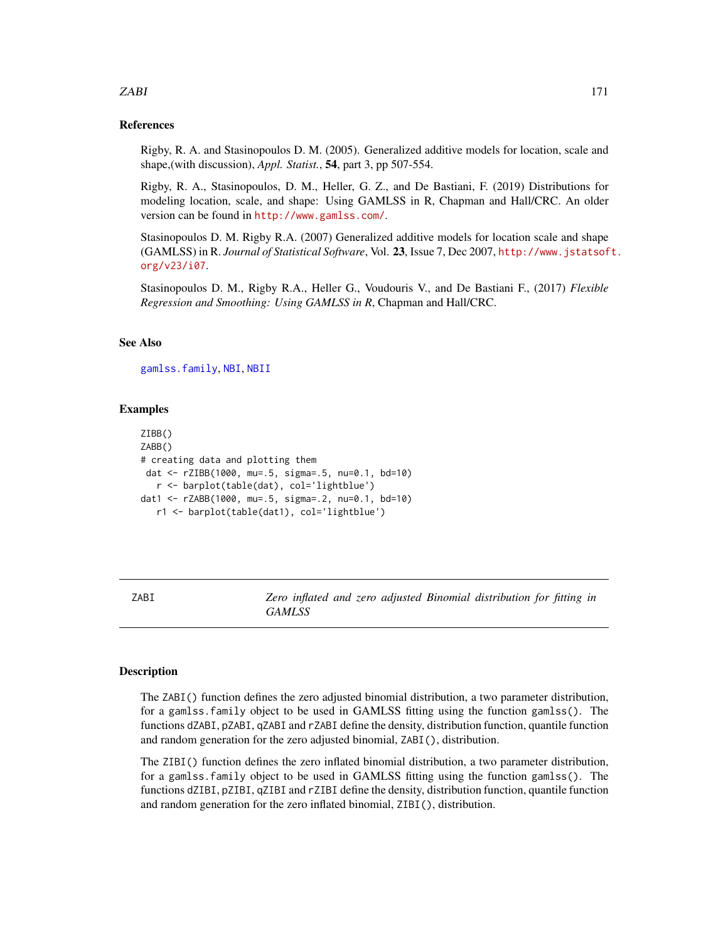## ZABI 171

## References

Rigby, R. A. and Stasinopoulos D. M. (2005). Generalized additive models for location, scale and shape,(with discussion), *Appl. Statist.*, 54, part 3, pp 507-554.

Rigby, R. A., Stasinopoulos, D. M., Heller, G. Z., and De Bastiani, F. (2019) Distributions for modeling location, scale, and shape: Using GAMLSS in R, Chapman and Hall/CRC. An older version can be found in <http://www.gamlss.com/>.

Stasinopoulos D. M. Rigby R.A. (2007) Generalized additive models for location scale and shape (GAMLSS) in R. *Journal of Statistical Software*, Vol. 23, Issue 7, Dec 2007, [http://www.jstatsof](http://www.jstatsoft.org/v23/i07)t. [org/v23/i07](http://www.jstatsoft.org/v23/i07).

Stasinopoulos D. M., Rigby R.A., Heller G., Voudouris V., and De Bastiani F., (2017) *Flexible Regression and Smoothing: Using GAMLSS in R*, Chapman and Hall/CRC.

## See Also

[gamlss.family](#page-57-0), [NBI](#page-110-0), [NBII](#page-112-0)

#### Examples

```
ZIBB()
ZABB()
# creating data and plotting them
dat <- rZIBB(1000, mu=.5, sigma=.5, nu=0.1, bd=10)
  r <- barplot(table(dat), col='lightblue')
dat1 <- rZABB(1000, mu=.5, sigma=.2, nu=0.1, bd=10)
  r1 <- barplot(table(dat1), col='lightblue')
```
ZABI *Zero inflated and zero adjusted Binomial distribution for fitting in GAMLSS*

#### Description

The ZABI() function defines the zero adjusted binomial distribution, a two parameter distribution, for a gamlss.family object to be used in GAMLSS fitting using the function gamlss(). The functions dZABI, pZABI, qZABI and rZABI define the density, distribution function, quantile function and random generation for the zero adjusted binomial, ZABI(), distribution.

The ZIBI() function defines the zero inflated binomial distribution, a two parameter distribution, for a gamlss.family object to be used in GAMLSS fitting using the function gamlss(). The functions dZIBI, pZIBI, qZIBI and rZIBI define the density, distribution function, quantile function and random generation for the zero inflated binomial, ZIBI(), distribution.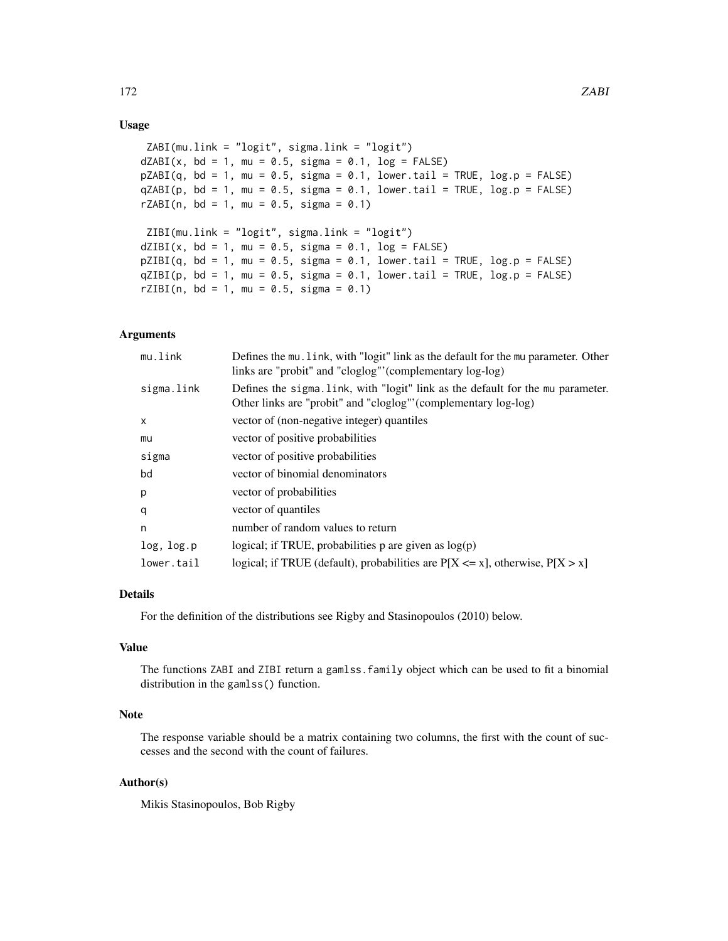## Usage

```
ZABI(mu.link = "logit", sigma.link = "logit")
dZABI(x, bd = 1, mu = 0.5, sigma = 0.1, log = FALSE)pZABI(q, bd = 1, mu = 0.5, sigma = 0.1, lower.tail = TRUE, log.p = FALSE)qZABI(p, bd = 1, mu = 0.5, sigma = 0.1, lower.tail = TRUE, log.p = FALSE)rZABI(n, bd = 1, mu = 0.5, sigma = 0.1)ZIBI(mu.link = "logit", sigma.link = "logit")
dZIBI(x, bd = 1, mu = 0.5, sigma = 0.1, log = FALSE)pZIBI(q, bd = 1, mu = 0.5, sigma = 0.1, lower.tail = TRUE, log.p = FALSE)qZIBI(p, bd = 1, mu = 0.5, sigma = 0.1, lowertail = TRUE, log.p = FALSE)
rZIBI(n, bd = 1, mu = 0.5, sigma = 0.1)
```
## Arguments

| mu.link    | Defines the mu. link, with "logit" link as the default for the mu parameter. Other<br>links are "probit" and "cloglog" (complementary log-log)    |
|------------|---------------------------------------------------------------------------------------------------------------------------------------------------|
| sigma.link | Defines the sigma. Link, with "logit" link as the default for the mu parameter.<br>Other links are "probit" and "cloglog" (complementary log-log) |
| X          | vector of (non-negative integer) quantiles                                                                                                        |
| mu         | vector of positive probabilities                                                                                                                  |
| sigma      | vector of positive probabilities                                                                                                                  |
| bd         | vector of binomial denominators                                                                                                                   |
| p          | vector of probabilities                                                                                                                           |
| q          | vector of quantiles                                                                                                                               |
| n          | number of random values to return                                                                                                                 |
| log, log.p | logical; if TRUE, probabilities p are given as $log(p)$                                                                                           |
| lower.tail | logical; if TRUE (default), probabilities are $P[X \le x]$ , otherwise, $P[X > x]$                                                                |

# Details

For the definition of the distributions see Rigby and Stasinopoulos (2010) below.

# Value

The functions ZABI and ZIBI return a gamlss.family object which can be used to fit a binomial distribution in the gamlss() function.

# Note

The response variable should be a matrix containing two columns, the first with the count of successes and the second with the count of failures.

## Author(s)

Mikis Stasinopoulos, Bob Rigby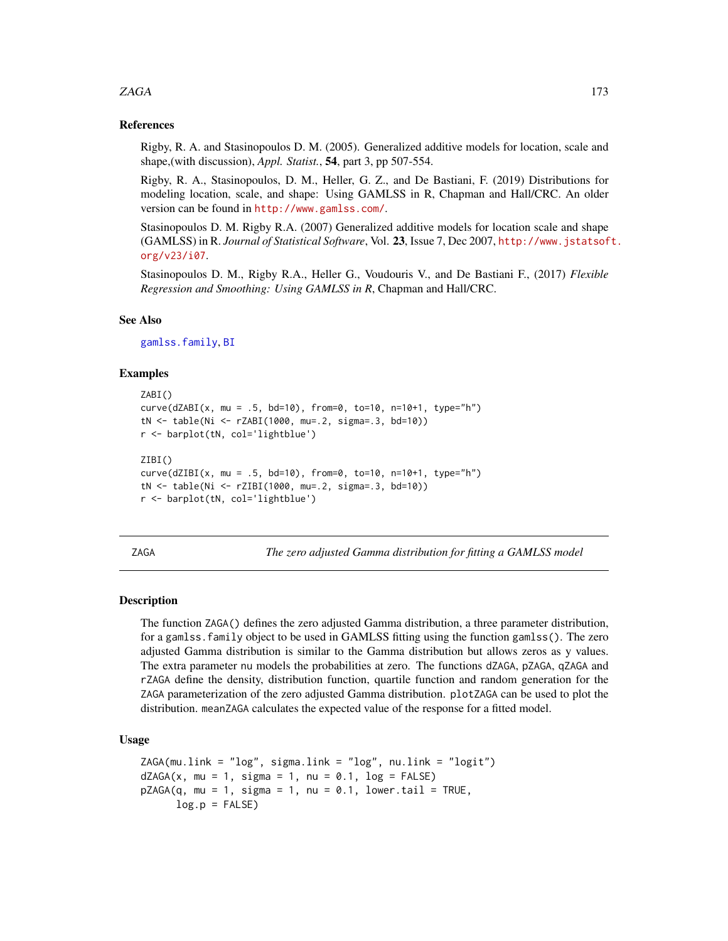## zaga kasar 173

## References

Rigby, R. A. and Stasinopoulos D. M. (2005). Generalized additive models for location, scale and shape,(with discussion), *Appl. Statist.*, 54, part 3, pp 507-554.

Rigby, R. A., Stasinopoulos, D. M., Heller, G. Z., and De Bastiani, F. (2019) Distributions for modeling location, scale, and shape: Using GAMLSS in R, Chapman and Hall/CRC. An older version can be found in <http://www.gamlss.com/>.

Stasinopoulos D. M. Rigby R.A. (2007) Generalized additive models for location scale and shape (GAMLSS) in R. *Journal of Statistical Software*, Vol. 23, Issue 7, Dec 2007, [http://www.jstatsof](http://www.jstatsoft.org/v23/i07)t. [org/v23/i07](http://www.jstatsoft.org/v23/i07).

Stasinopoulos D. M., Rigby R.A., Heller G., Voudouris V., and De Bastiani F., (2017) *Flexible Regression and Smoothing: Using GAMLSS in R*, Chapman and Hall/CRC.

## See Also

[gamlss.family](#page-57-0), [BI](#page-28-0)

## Examples

```
ZABI()
curve(dZABI(x, mu = .5, bd=10), from=0, to=10, n=10+1, type="h")
tN <- table(Ni <- rZABI(1000, mu=.2, sigma=.3, bd=10))
r <- barplot(tN, col='lightblue')
ZIBI()
curve(dZIBI(x, mu = .5, bd=10), from=0, to=10, n=10+1, type="h")
tN <- table(Ni <- rZIBI(1000, mu=.2, sigma=.3, bd=10))
r <- barplot(tN, col='lightblue')
```
ZAGA *The zero adjusted Gamma distribution for fitting a GAMLSS model*

#### Description

The function ZAGA() defines the zero adjusted Gamma distribution, a three parameter distribution, for a gamlss.family object to be used in GAMLSS fitting using the function gamlss(). The zero adjusted Gamma distribution is similar to the Gamma distribution but allows zeros as y values. The extra parameter nu models the probabilities at zero. The functions dZAGA, pZAGA, qZAGA and rZAGA define the density, distribution function, quartile function and random generation for the ZAGA parameterization of the zero adjusted Gamma distribution. plotZAGA can be used to plot the distribution. meanZAGA calculates the expected value of the response for a fitted model.

#### Usage

```
ZAGA(mu.link = "log", sigma.link = "log", nu.link = "logit")dZAGA(x, mu = 1, sigma = 1, nu = 0.1, log = FALSE)pZAGA(q, mu = 1, sigma = 1, nu = 0.1, lowertail = TRUE,log.p = FALSE
```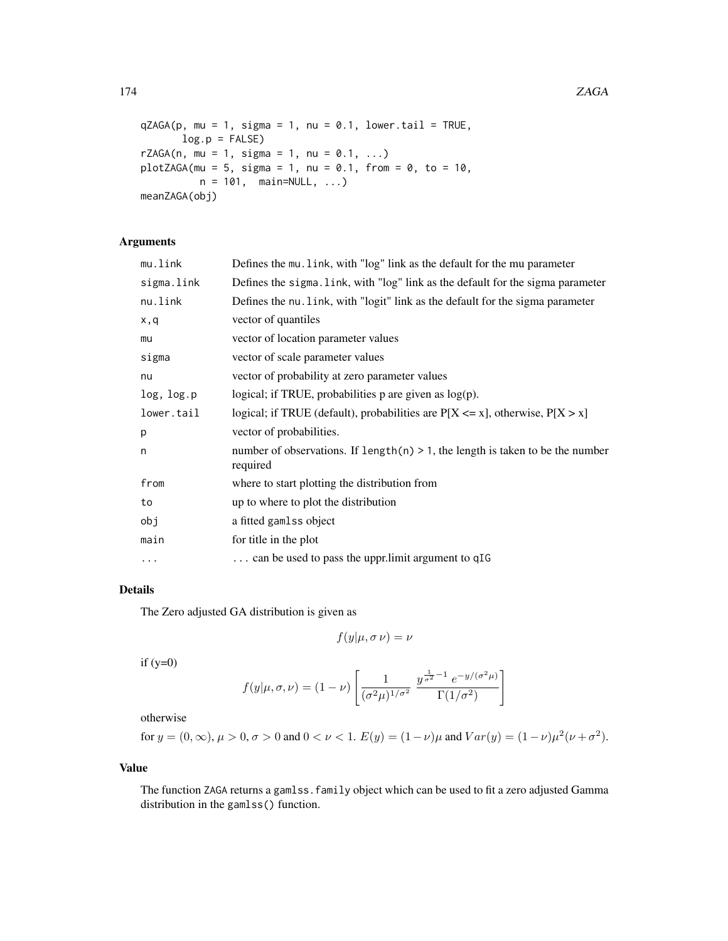```
qZAGA(p, mu = 1, sigma = 1, nu = 0.1, lower.tail = TRUE,log.p = FALSErZAGA(n, mu = 1, sigma = 1, nu = 0.1, ...)
plotZAGA(mu = 5, sigma = 1, nu = 0.1, from = 0, to = 10,n = 101, main=NULL, ...)
meanZAGA(obj)
```
# Arguments

| mu.link    | Defines the mu. link, with "log" link as the default for the mu parameter                      |
|------------|------------------------------------------------------------------------------------------------|
| sigma.link | Defines the sigma. link, with "log" link as the default for the sigma parameter                |
| nu.link    | Defines the nu. link, with "logit" link as the default for the sigma parameter                 |
| x,q        | vector of quantiles                                                                            |
| mu         | vector of location parameter values                                                            |
| sigma      | vector of scale parameter values                                                               |
| nu         | vector of probability at zero parameter values                                                 |
| log, log.p | logical; if TRUE, probabilities $p$ are given as $log(p)$ .                                    |
| lower.tail | logical; if TRUE (default), probabilities are $P[X \le x]$ , otherwise, $P[X > x]$             |
| p          | vector of probabilities.                                                                       |
| n          | number of observations. If length $(n) > 1$ , the length is taken to be the number<br>required |
| from       | where to start plotting the distribution from                                                  |
| to         | up to where to plot the distribution                                                           |
| obj        | a fitted gamlss object                                                                         |
| main       | for title in the plot                                                                          |
| $\cdots$   | $\ldots$ can be used to pass the upprilimit argument to qIG                                    |

# Details

The Zero adjusted GA distribution is given as

$$
f(y|\mu,\sigma\,\nu)=\nu
$$

 $if (y=0)$ 

$$
f(y|\mu,\sigma,\nu) = (1-\nu) \left[ \frac{1}{(\sigma^2 \mu)^{1/\sigma^2}} \frac{y^{\frac{1}{\sigma^2}-1} e^{-y/(\sigma^2 \mu)}}{\Gamma(1/\sigma^2)} \right]
$$

otherwise

for 
$$
y = (0, \infty)
$$
,  $\mu > 0$ ,  $\sigma > 0$  and  $0 < \nu < 1$ .  $E(y) = (1 - \nu)\mu$  and  $Var(y) = (1 - \nu)\mu^2(\nu + \sigma^2)$ .

# Value

The function ZAGA returns a gamlss. family object which can be used to fit a zero adjusted Gamma distribution in the gamlss() function.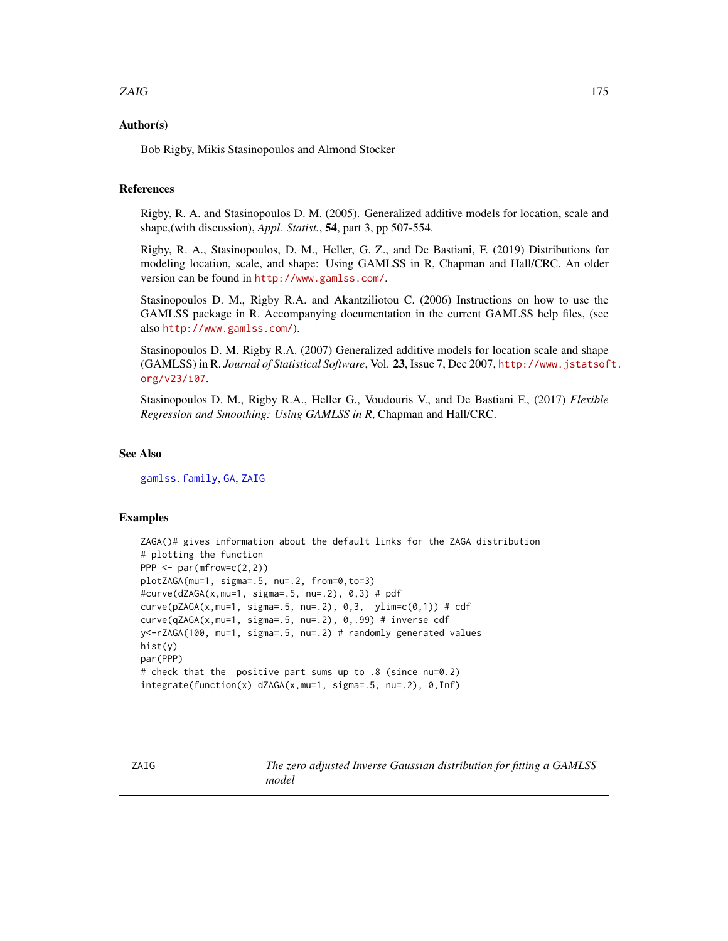# zaid in the contract of the contract of the contract of the contract of the contract of the contract of the contract of the contract of the contract of the contract of the contract of the contract of the contract of the co

## Author(s)

Bob Rigby, Mikis Stasinopoulos and Almond Stocker

# References

Rigby, R. A. and Stasinopoulos D. M. (2005). Generalized additive models for location, scale and shape,(with discussion), *Appl. Statist.*, 54, part 3, pp 507-554.

Rigby, R. A., Stasinopoulos, D. M., Heller, G. Z., and De Bastiani, F. (2019) Distributions for modeling location, scale, and shape: Using GAMLSS in R, Chapman and Hall/CRC. An older version can be found in <http://www.gamlss.com/>.

Stasinopoulos D. M., Rigby R.A. and Akantziliotou C. (2006) Instructions on how to use the GAMLSS package in R. Accompanying documentation in the current GAMLSS help files, (see also <http://www.gamlss.com/>).

Stasinopoulos D. M. Rigby R.A. (2007) Generalized additive models for location scale and shape (GAMLSS) in R. *Journal of Statistical Software*, Vol. 23, Issue 7, Dec 2007, [http://www.jstatsof](http://www.jstatsoft.org/v23/i07)t. [org/v23/i07](http://www.jstatsoft.org/v23/i07).

Stasinopoulos D. M., Rigby R.A., Heller G., Voudouris V., and De Bastiani F., (2017) *Flexible Regression and Smoothing: Using GAMLSS in R*, Chapman and Hall/CRC.

#### See Also

[gamlss.family](#page-57-0), [GA](#page-53-0), [ZAIG](#page-174-0)

## Examples

```
ZAGA()# gives information about the default links for the ZAGA distribution
# plotting the function
PPP \leq- par(mfrow=c(2,2))
plotZAGA(mu=1, sigma=.5, nu=.2, from=0,to=3)
#curve(dZAGA(x,mu=1, sigma=.5, nu=.2), 0,3) # pdf
curve(pZAGA(x,mu=1, sigma=.5, nu=.2), 0,3, ylim=c(0,1)) # cdf
curve(qZAGA(x,mu=1, sigma=.5, nu=.2), 0,.99) # inverse cdf
y<-rZAGA(100, mu=1, sigma=.5, nu=.2) # randomly generated values
hist(y)
par(PPP)
# check that the positive part sums up to .8 (since nu=0.2)
integrate(function(x) dZAGA(x,mu=1, sigma=.5, nu=.2), 0,Inf)
```
<span id="page-174-0"></span>ZAIG *The zero adjusted Inverse Gaussian distribution for fitting a GAMLSS model*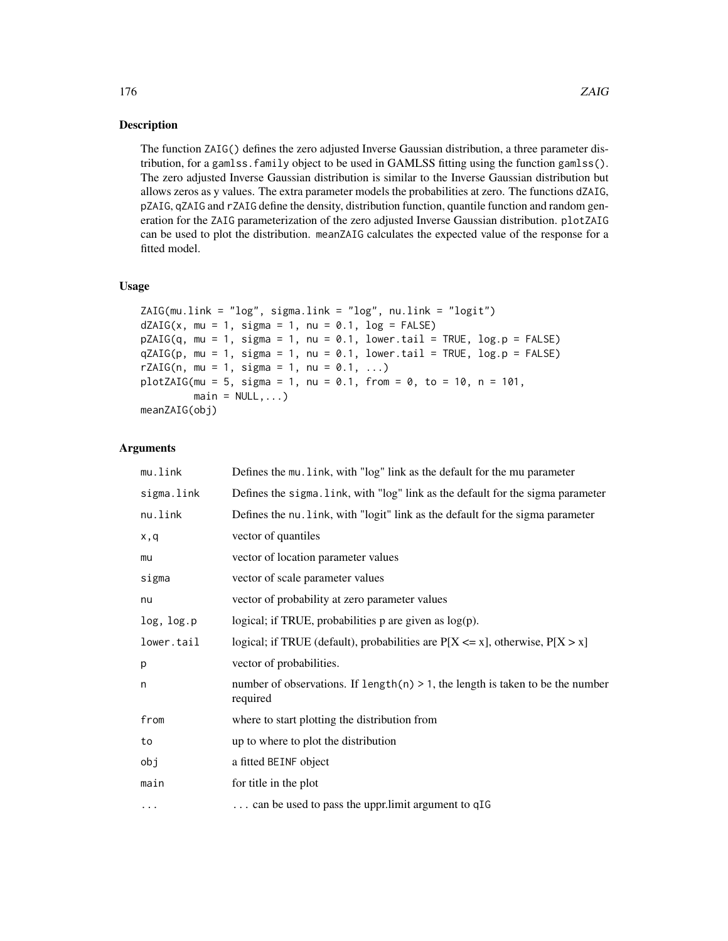## **Description**

The function ZAIG() defines the zero adjusted Inverse Gaussian distribution, a three parameter distribution, for a gamlss.family object to be used in GAMLSS fitting using the function gamlss(). The zero adjusted Inverse Gaussian distribution is similar to the Inverse Gaussian distribution but allows zeros as y values. The extra parameter models the probabilities at zero. The functions dZAIG, pZAIG, qZAIG and rZAIG define the density, distribution function, quantile function and random generation for the ZAIG parameterization of the zero adjusted Inverse Gaussian distribution. plotZAIG can be used to plot the distribution. meanZAIG calculates the expected value of the response for a fitted model.

# Usage

```
ZAIG(mu.link = "log", sigma.link = "log", nu.link = "logit")
dZAIG(x, mu = 1, sigma = 1, nu = 0.1, log = FALSE)pZAIG(q, mu = 1, sigma = 1, nu = 0.1, lower.tail = TRUE, log.p = FALSE)qZAIG(p, mu = 1, sigma = 1, nu = 0.1, lower[allerage] <math>qZAIG(p, mu = 1, sigma = 1, mu = 0.1, lower.rZAIG(n, mu = 1, sigma = 1, nu = 0.1, ...)plotZAIG(mu = 5, sigma = 1, nu = 0.1, from = 0, to = 10, n = 101,main = NULL, ...)meanZAIG(obj)
```
## Arguments

| mu.link    | Defines the mu. link, with "log" link as the default for the mu parameter                      |
|------------|------------------------------------------------------------------------------------------------|
| sigma.link | Defines the sigma. link, with "log" link as the default for the sigma parameter                |
| nu.link    | Defines the nu. link, with "logit" link as the default for the sigma parameter                 |
| x,q        | vector of quantiles                                                                            |
| mu         | vector of location parameter values                                                            |
| sigma      | vector of scale parameter values                                                               |
| nu         | vector of probability at zero parameter values                                                 |
| log, log.p | logical; if TRUE, probabilities $p$ are given as $log(p)$ .                                    |
| lower.tail | logical; if TRUE (default), probabilities are $P[X \le x]$ , otherwise, $P[X > x]$             |
| p          | vector of probabilities.                                                                       |
| n          | number of observations. If length $(n) > 1$ , the length is taken to be the number<br>required |
| from       | where to start plotting the distribution from                                                  |
| to         | up to where to plot the distribution                                                           |
| obj        | a fitted BEINF object                                                                          |
| main       | for title in the plot                                                                          |
| $\cdots$   | can be used to pass the uppr.limit argument to qIG                                             |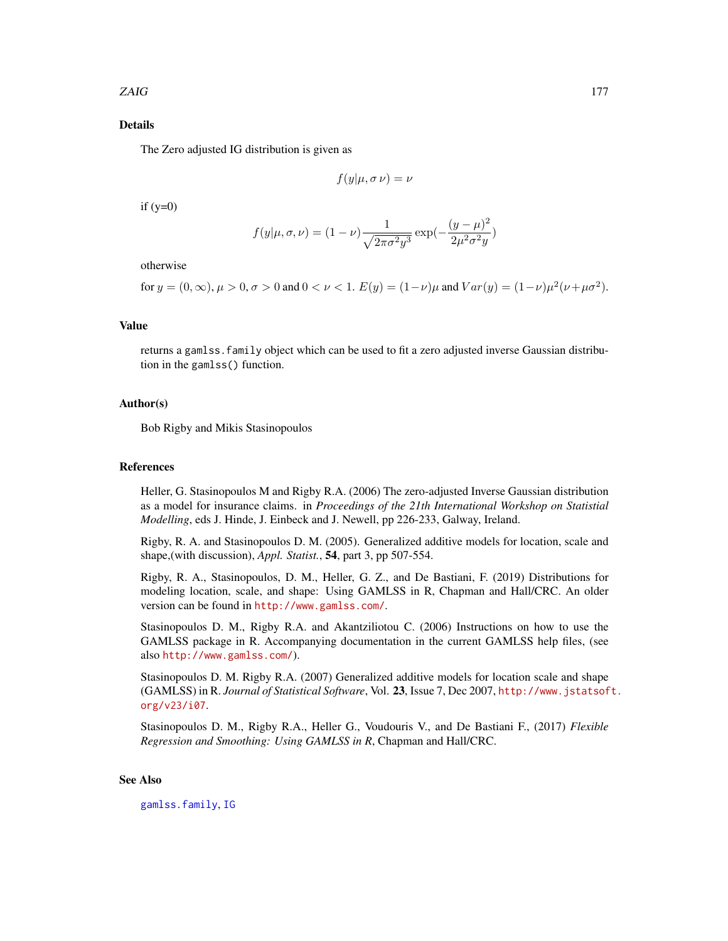# Details

The Zero adjusted IG distribution is given as

$$
f(y|\mu, \sigma \nu) = \nu
$$

 $if (y=0)$ 

$$
f(y|\mu, \sigma, \nu) = (1 - \nu) \frac{1}{\sqrt{2\pi\sigma^2 y^3}} \exp(-\frac{(y - \mu)^2}{2\mu^2 \sigma^2 y})
$$

otherwise

for 
$$
y = (0, \infty)
$$
,  $\mu > 0$ ,  $\sigma > 0$  and  $0 < \nu < 1$ .  $E(y) = (1 - \nu)\mu$  and  $Var(y) = (1 - \nu)\mu^2(\nu + \mu\sigma^2)$ .

## Value

returns a gamlss.family object which can be used to fit a zero adjusted inverse Gaussian distribution in the gamlss() function.

## Author(s)

Bob Rigby and Mikis Stasinopoulos

#### References

Heller, G. Stasinopoulos M and Rigby R.A. (2006) The zero-adjusted Inverse Gaussian distribution as a model for insurance claims. in *Proceedings of the 21th International Workshop on Statistial Modelling*, eds J. Hinde, J. Einbeck and J. Newell, pp 226-233, Galway, Ireland.

Rigby, R. A. and Stasinopoulos D. M. (2005). Generalized additive models for location, scale and shape,(with discussion), *Appl. Statist.*, 54, part 3, pp 507-554.

Rigby, R. A., Stasinopoulos, D. M., Heller, G. Z., and De Bastiani, F. (2019) Distributions for modeling location, scale, and shape: Using GAMLSS in R, Chapman and Hall/CRC. An older version can be found in <http://www.gamlss.com/>.

Stasinopoulos D. M., Rigby R.A. and Akantziliotou C. (2006) Instructions on how to use the GAMLSS package in R. Accompanying documentation in the current GAMLSS help files, (see also <http://www.gamlss.com/>).

Stasinopoulos D. M. Rigby R.A. (2007) Generalized additive models for location scale and shape (GAMLSS) in R. *Journal of Statistical Software*, Vol. 23, Issue 7, Dec 2007, [http://www.jstatsof](http://www.jstatsoft.org/v23/i07)t. [org/v23/i07](http://www.jstatsoft.org/v23/i07).

Stasinopoulos D. M., Rigby R.A., Heller G., Voudouris V., and De Bastiani F., (2017) *Flexible Regression and Smoothing: Using GAMLSS in R*, Chapman and Hall/CRC.

#### See Also

[gamlss.family](#page-57-0), [IG](#page-80-0)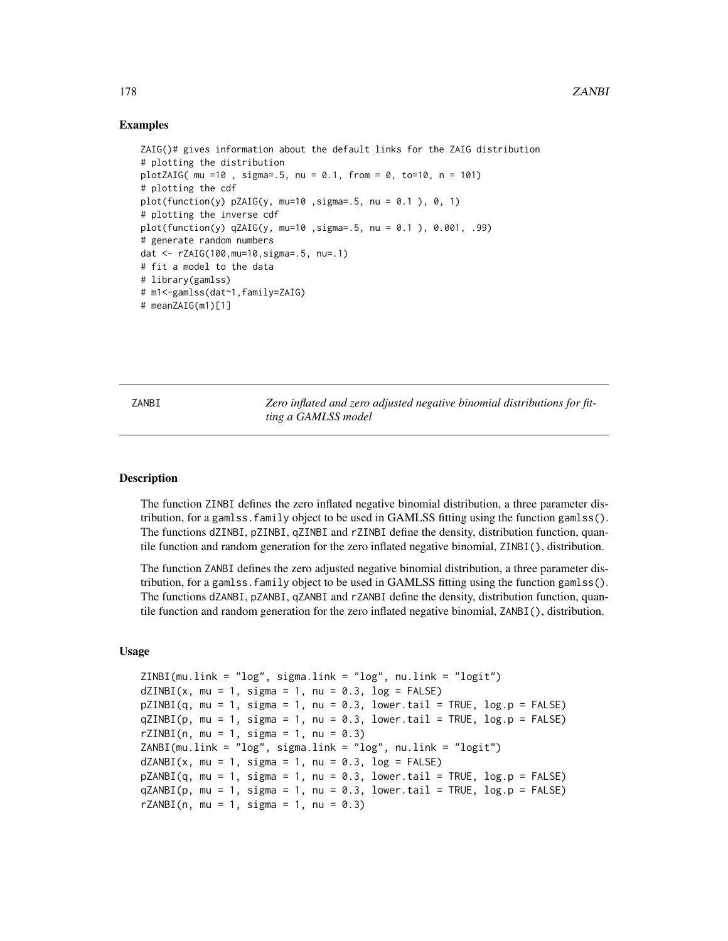## Examples

```
ZAIG()# gives information about the default links for the ZAIG distribution
# plotting the distribution
plotZAIG( mu =10 , sigma=.5, nu = 0.1, from = 0, to=10, n = 101)
# plotting the cdf
plot(function(y) pZAIG(y, mu=10, sigma=0.5, nu = 0.1), 0, 1)# plotting the inverse cdf
plot(function(y) qZAIG(y, mu=10 ,sigma=.5, nu = 0.1 ), 0.001, .99)
# generate random numbers
dat <- rZAIG(100,mu=10,sigma=.5, nu=.1)
# fit a model to the data
# library(gamlss)
# m1<-gamlss(dat~1,family=ZAIG)
# meanZAIG(m1)[1]
```
ZANBI *Zero inflated and zero adjusted negative binomial distributions for fitting a GAMLSS model*

#### **Description**

The function ZINBI defines the zero inflated negative binomial distribution, a three parameter distribution, for a gamlss.family object to be used in GAMLSS fitting using the function gamlss(). The functions dZINBI, pZINBI, qZINBI and rZINBI define the density, distribution function, quantile function and random generation for the zero inflated negative binomial, ZINBI(), distribution.

The function ZANBI defines the zero adjusted negative binomial distribution, a three parameter distribution, for a gamlss.family object to be used in GAMLSS fitting using the function gamlss(). The functions dZANBI, pZANBI, qZANBI and rZANBI define the density, distribution function, quantile function and random generation for the zero inflated negative binomial, ZANBI(), distribution.

#### Usage

```
ZINBI(mu.link = "log", sigma.link = "log", nu.link = "logit")
dZINBI(x, mu = 1, sigma = 1, nu = 0.3, log = FALSE)pZINBI(q, mu = 1, sigma = 1, nu = 0.3, lower[arct] = TRUE, <math>log.p = FALSE)qZINBI(p, mu = 1, sigma = 1, nu = 0.3, lower[amaled] = TRUE, <math>log.p = FALSE)
rZINBI(n, mu = 1, sigma = 1, nu = 0.3)ZANBI(mu.link = "log", sigma.link = "log", nu.link = "logit")
dZANBI(x, mu = 1, sigma = 1, nu = 0.3, log = FALSE)pZANBI(q, mu = 1, sigma = 1, nu = 0.3, lower[allerging the sum of <math>pZANBI(q, mu = 1, sigma = 1, nu = 0.3, lower</math>.qZANBI(p, mu = 1, sigma = 1, nu = 0.3, lower[allerging the sum of <math>p = FALSE)
rZANBI(n, mu = 1, sigma = 1, nu = 0.3)
```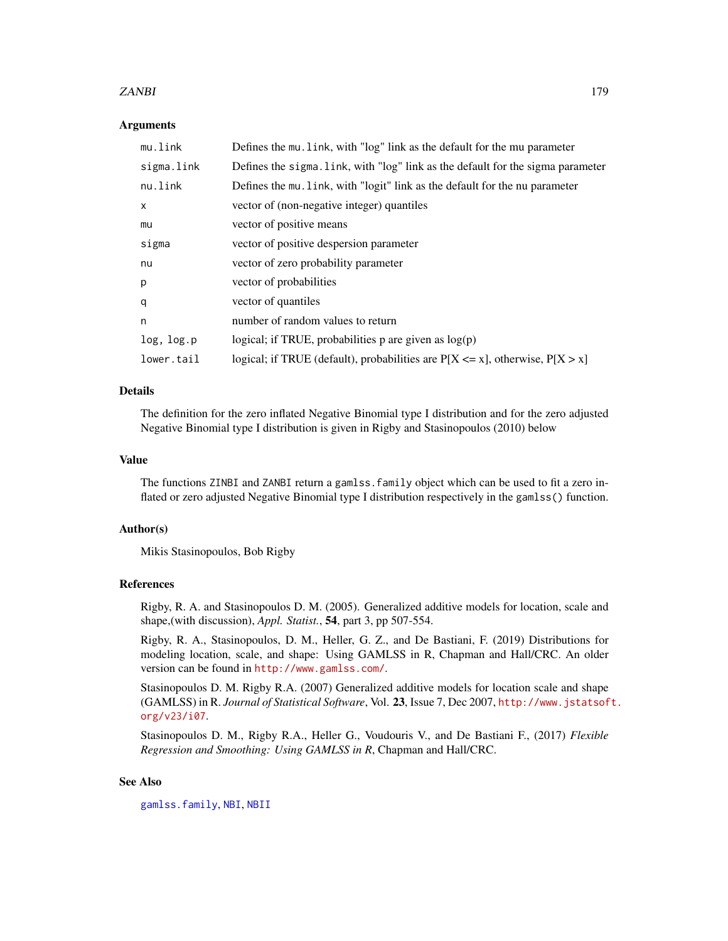## ZANBI 179

## Arguments

| mu.link      | Defines the mu. link, with "log" link as the default for the mu parameter          |
|--------------|------------------------------------------------------------------------------------|
| sigma.link   | Defines the sigma. link, with "log" link as the default for the sigma parameter    |
| nu.link      | Defines the mu. Link, with "logit" link as the default for the nu parameter        |
| $\mathsf{x}$ | vector of (non-negative integer) quantiles                                         |
| mu           | vector of positive means                                                           |
| sigma        | vector of positive despersion parameter                                            |
| nu           | vector of zero probability parameter                                               |
| p            | vector of probabilities                                                            |
| q            | vector of quantiles                                                                |
| n            | number of random values to return                                                  |
| log, log.p   | logical; if TRUE, probabilities $p$ are given as $log(p)$                          |
| lower.tail   | logical; if TRUE (default), probabilities are $P[X \le x]$ , otherwise, $P[X > x]$ |

# Details

The definition for the zero inflated Negative Binomial type I distribution and for the zero adjusted Negative Binomial type I distribution is given in Rigby and Stasinopoulos (2010) below

#### Value

The functions ZINBI and ZANBI return a gamlss.family object which can be used to fit a zero inflated or zero adjusted Negative Binomial type I distribution respectively in the gamlss() function.

#### Author(s)

Mikis Stasinopoulos, Bob Rigby

# References

Rigby, R. A. and Stasinopoulos D. M. (2005). Generalized additive models for location, scale and shape,(with discussion), *Appl. Statist.*, 54, part 3, pp 507-554.

Rigby, R. A., Stasinopoulos, D. M., Heller, G. Z., and De Bastiani, F. (2019) Distributions for modeling location, scale, and shape: Using GAMLSS in R, Chapman and Hall/CRC. An older version can be found in <http://www.gamlss.com/>.

Stasinopoulos D. M. Rigby R.A. (2007) Generalized additive models for location scale and shape (GAMLSS) in R. *Journal of Statistical Software*, Vol. 23, Issue 7, Dec 2007, [http://www.jstatsof](http://www.jstatsoft.org/v23/i07)t. [org/v23/i07](http://www.jstatsoft.org/v23/i07).

Stasinopoulos D. M., Rigby R.A., Heller G., Voudouris V., and De Bastiani F., (2017) *Flexible Regression and Smoothing: Using GAMLSS in R*, Chapman and Hall/CRC.

# See Also

[gamlss.family](#page-57-0), [NBI](#page-110-0), [NBII](#page-112-0)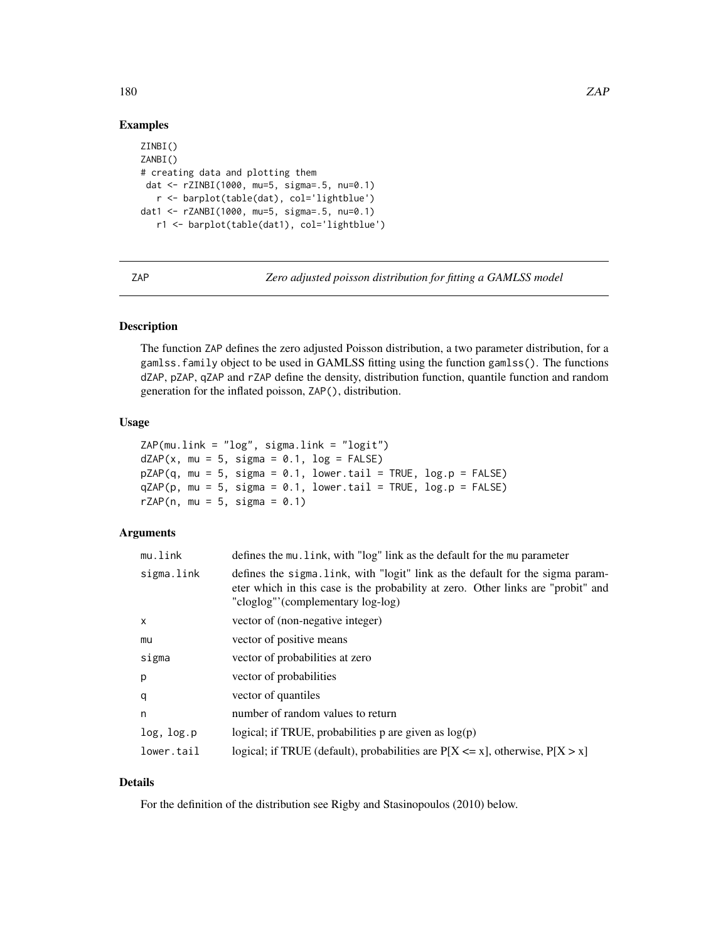# Examples

```
ZINBI()
ZANBI()
# creating data and plotting them
dat <- rZINBI(1000, mu=5, sigma=.5, nu=0.1)
   r <- barplot(table(dat), col='lightblue')
dat1 <- rZANBI(1000, mu=5, sigma=.5, nu=0.1)
   r1 <- barplot(table(dat1), col='lightblue')
```
ZAP *Zero adjusted poisson distribution for fitting a GAMLSS model*

# Description

The function ZAP defines the zero adjusted Poisson distribution, a two parameter distribution, for a gamlss.family object to be used in GAMLSS fitting using the function gamlss(). The functions dZAP, pZAP, qZAP and rZAP define the density, distribution function, quantile function and random generation for the inflated poisson, ZAP(), distribution.

## Usage

```
ZAP(mu.link = "log", sigma.link = "logit")
dZAP(x, mu = 5, sigma = 0.1, log = FALSE)pZAP(q, mu = 5, sigma = 0.1, lower.tail = TRUE, log.p = FALSE)qZAP(p, mu = 5, sigma = 0.1, lower.tail = TRUE, log.p = FALSE)rZAP(n, mu = 5, sigma = 0.1)
```
#### Arguments

| mu.link    | defines the mu. link, with "log" link as the default for the mu parameter                                                                                                                               |
|------------|---------------------------------------------------------------------------------------------------------------------------------------------------------------------------------------------------------|
| sigma.link | defines the sigma. Link, with "logit" link as the default for the sigma param-<br>eter which in this case is the probability at zero. Other links are "probit" and<br>"cloglog"'(complementary log-log) |
| x          | vector of (non-negative integer)                                                                                                                                                                        |
| mu         | vector of positive means                                                                                                                                                                                |
| sigma      | vector of probabilities at zero                                                                                                                                                                         |
| p          | vector of probabilities                                                                                                                                                                                 |
| q          | vector of quantiles                                                                                                                                                                                     |
| n          | number of random values to return                                                                                                                                                                       |
| log, log.p | logical; if TRUE, probabilities $p$ are given as $log(p)$                                                                                                                                               |
| lower.tail | logical; if TRUE (default), probabilities are $P[X \le x]$ , otherwise, $P[X > x]$                                                                                                                      |

# Details

For the definition of the distribution see Rigby and Stasinopoulos (2010) below.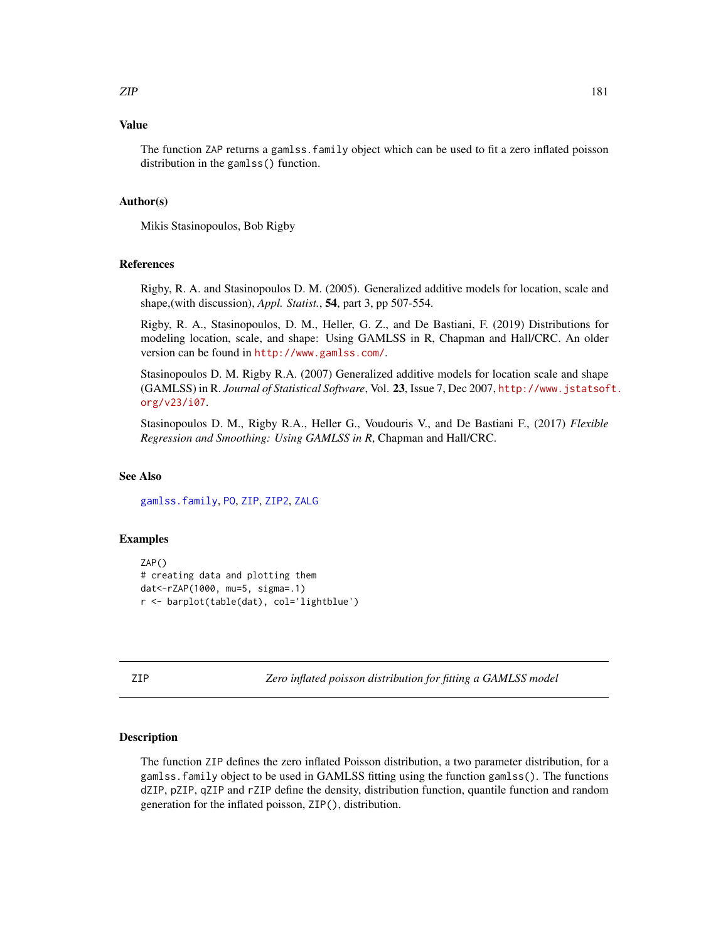#### <span id="page-180-1"></span>Value

The function ZAP returns a gamlss.family object which can be used to fit a zero inflated poisson distribution in the gamlss() function.

#### Author(s)

Mikis Stasinopoulos, Bob Rigby

#### References

Rigby, R. A. and Stasinopoulos D. M. (2005). Generalized additive models for location, scale and shape,(with discussion), *Appl. Statist.*, 54, part 3, pp 507-554.

Rigby, R. A., Stasinopoulos, D. M., Heller, G. Z., and De Bastiani, F. (2019) Distributions for modeling location, scale, and shape: Using GAMLSS in R, Chapman and Hall/CRC. An older version can be found in <http://www.gamlss.com/>.

Stasinopoulos D. M. Rigby R.A. (2007) Generalized additive models for location scale and shape (GAMLSS) in R. *Journal of Statistical Software*, Vol. 23, Issue 7, Dec 2007, [http://www.jstatsof](http://www.jstatsoft.org/v23/i07)t. [org/v23/i07](http://www.jstatsoft.org/v23/i07).

Stasinopoulos D. M., Rigby R.A., Heller G., Voudouris V., and De Bastiani F., (2017) *Flexible Regression and Smoothing: Using GAMLSS in R*, Chapman and Hall/CRC.

### See Also

[gamlss.family](#page-57-0), [PO](#page-129-0), [ZIP](#page-180-0), [ZIP2](#page-182-0), [ZALG](#page-88-0)

#### Examples

```
ZAP()
# creating data and plotting them
dat<-rZAP(1000, mu=5, sigma=.1)
r <- barplot(table(dat), col='lightblue')
```
<span id="page-180-0"></span>ZIP *Zero inflated poisson distribution for fitting a GAMLSS model*

# **Description**

The function ZIP defines the zero inflated Poisson distribution, a two parameter distribution, for a gamlss.family object to be used in GAMLSS fitting using the function gamlss(). The functions dZIP, pZIP, qZIP and rZIP define the density, distribution function, quantile function and random generation for the inflated poisson, ZIP(), distribution.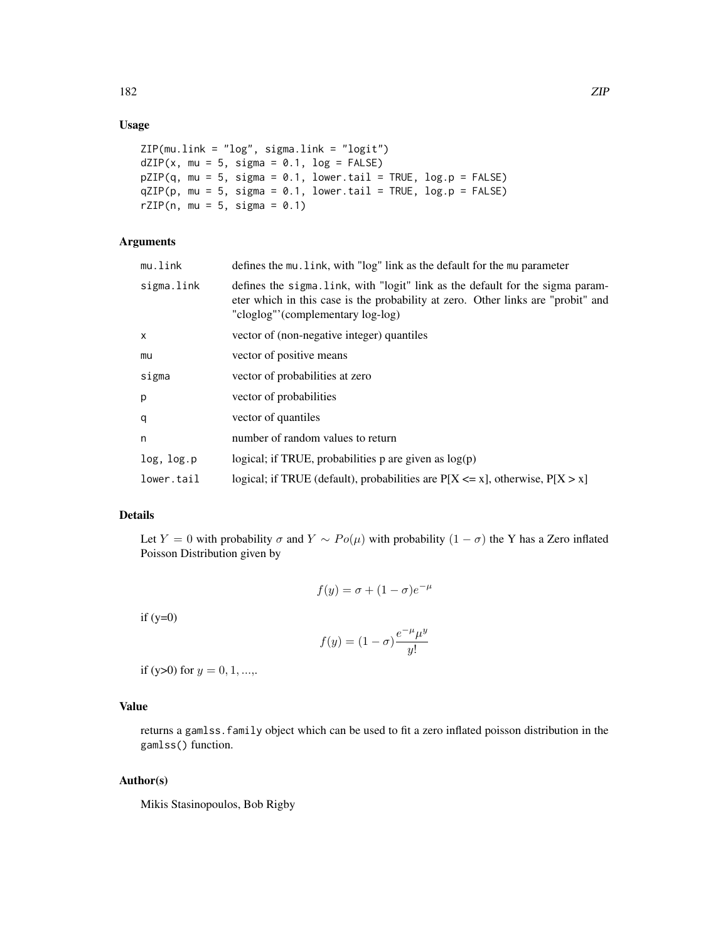# Usage

```
ZIP(mu.link = "log", sigma.link = "logit")
dZIP(x, mu = 5, sigma = 0.1, log = FALSE)pZIP(q, mu = 5, sigma = 0.1, lowertail = TRUE, log.p = FALSE)
qZIP(p, mu = 5, sigma = 0.1, lowertail = TRUE, log.p = FALSE)
rZIP(n, mu = 5, sigma = 0.1)
```
# Arguments

| defines the mu. link, with "log" link as the default for the mu parameter                                                                                                                               |
|---------------------------------------------------------------------------------------------------------------------------------------------------------------------------------------------------------|
| defines the sigma. Link, with "logit" link as the default for the sigma param-<br>eter which in this case is the probability at zero. Other links are "probit" and<br>"cloglog"'(complementary log-log) |
| vector of (non-negative integer) quantiles                                                                                                                                                              |
| vector of positive means                                                                                                                                                                                |
| vector of probabilities at zero                                                                                                                                                                         |
| vector of probabilities                                                                                                                                                                                 |
| vector of quantiles                                                                                                                                                                                     |
| number of random values to return                                                                                                                                                                       |
| logical; if TRUE, probabilities p are given as $log(p)$                                                                                                                                                 |
| logical; if TRUE (default), probabilities are $P[X \le x]$ , otherwise, $P[X > x]$                                                                                                                      |
|                                                                                                                                                                                                         |

# Details

Let Y = 0 with probability  $\sigma$  and  $Y \sim Po(\mu)$  with probability  $(1 - \sigma)$  the Y has a Zero inflated Poisson Distribution given by

$$
f(y) = \sigma + (1 - \sigma)e^{-\mu}
$$

if  $(y=0)$ 

$$
f(y) = (1 - \sigma) \frac{e^{-\mu} \mu^y}{y!}
$$

if (y>0) for  $y = 0, 1, \dots$ ,

# Value

returns a gamlss.family object which can be used to fit a zero inflated poisson distribution in the gamlss() function.

#### Author(s)

Mikis Stasinopoulos, Bob Rigby

182 ZIP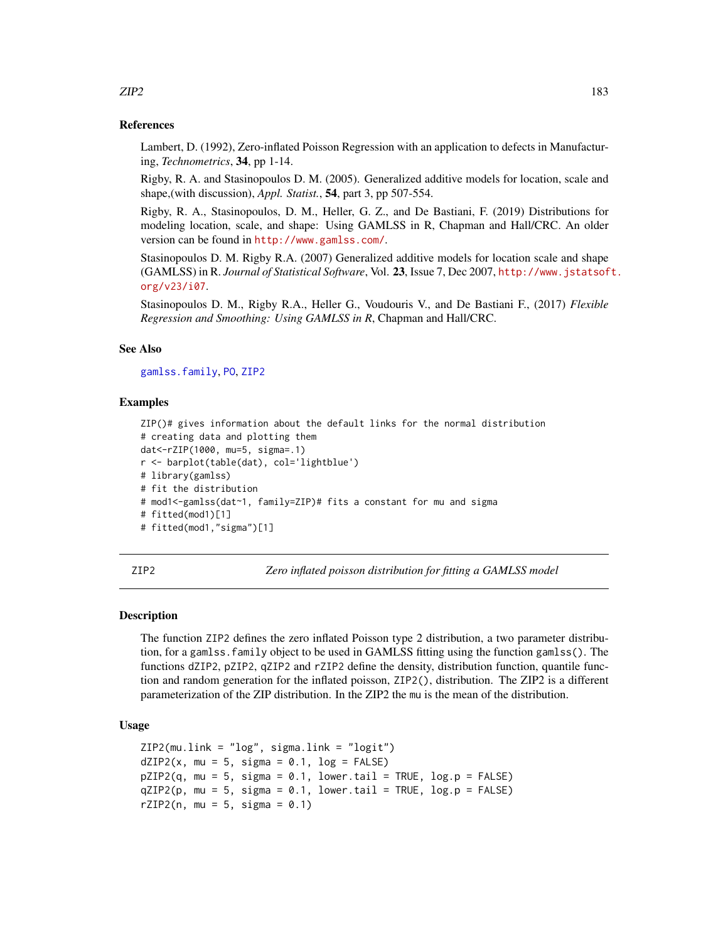#### References

Lambert, D. (1992), Zero-inflated Poisson Regression with an application to defects in Manufacturing, *Technometrics*, 34, pp 1-14.

Rigby, R. A. and Stasinopoulos D. M. (2005). Generalized additive models for location, scale and shape,(with discussion), *Appl. Statist.*, 54, part 3, pp 507-554.

Rigby, R. A., Stasinopoulos, D. M., Heller, G. Z., and De Bastiani, F. (2019) Distributions for modeling location, scale, and shape: Using GAMLSS in R, Chapman and Hall/CRC. An older version can be found in <http://www.gamlss.com/>.

Stasinopoulos D. M. Rigby R.A. (2007) Generalized additive models for location scale and shape (GAMLSS) in R. *Journal of Statistical Software*, Vol. 23, Issue 7, Dec 2007, [http://www.jstatsof](http://www.jstatsoft.org/v23/i07)t. [org/v23/i07](http://www.jstatsoft.org/v23/i07).

Stasinopoulos D. M., Rigby R.A., Heller G., Voudouris V., and De Bastiani F., (2017) *Flexible Regression and Smoothing: Using GAMLSS in R*, Chapman and Hall/CRC.

# See Also

[gamlss.family](#page-57-0), [PO](#page-129-0), [ZIP2](#page-182-0)

#### Examples

```
ZIP()# gives information about the default links for the normal distribution
# creating data and plotting them
dat<-rZIP(1000, mu=5, sigma=.1)
r <- barplot(table(dat), col='lightblue')
# library(gamlss)
# fit the distribution
# mod1<-gamlss(dat~1, family=ZIP)# fits a constant for mu and sigma
# fitted(mod1)[1]
# fitted(mod1,"sigma")[1]
```
<span id="page-182-0"></span>ZIP2 *Zero inflated poisson distribution for fitting a GAMLSS model*

#### **Description**

The function ZIP2 defines the zero inflated Poisson type 2 distribution, a two parameter distribution, for a gamlss.family object to be used in GAMLSS fitting using the function gamlss(). The functions dZIP2, pZIP2, qZIP2 and rZIP2 define the density, distribution function, quantile function and random generation for the inflated poisson, ZIP2(), distribution. The ZIP2 is a different parameterization of the ZIP distribution. In the ZIP2 the mu is the mean of the distribution.

### Usage

```
ZIP2(mu.link = "log", sigma.link = "logit")dZIP2(x, mu = 5, sigma = 0.1, log = FALSE)pZIP2(q, mu = 5, sigma = 0.1, lower.tail = TRUE, log.p = FALSE)qZIP2(p, mu = 5, sigma = 0.1, lower[allerage] <math>neg PPE, log.p = FALSE)
rZIP2(n, mu = 5, sigma = 0.1)
```
<span id="page-182-1"></span> $ZIP2$  and the set of the set of the set of the set of the set of the set of the set of the set of the set of the set of the set of the set of the set of the set of the set of the set of the set of the set of the set of th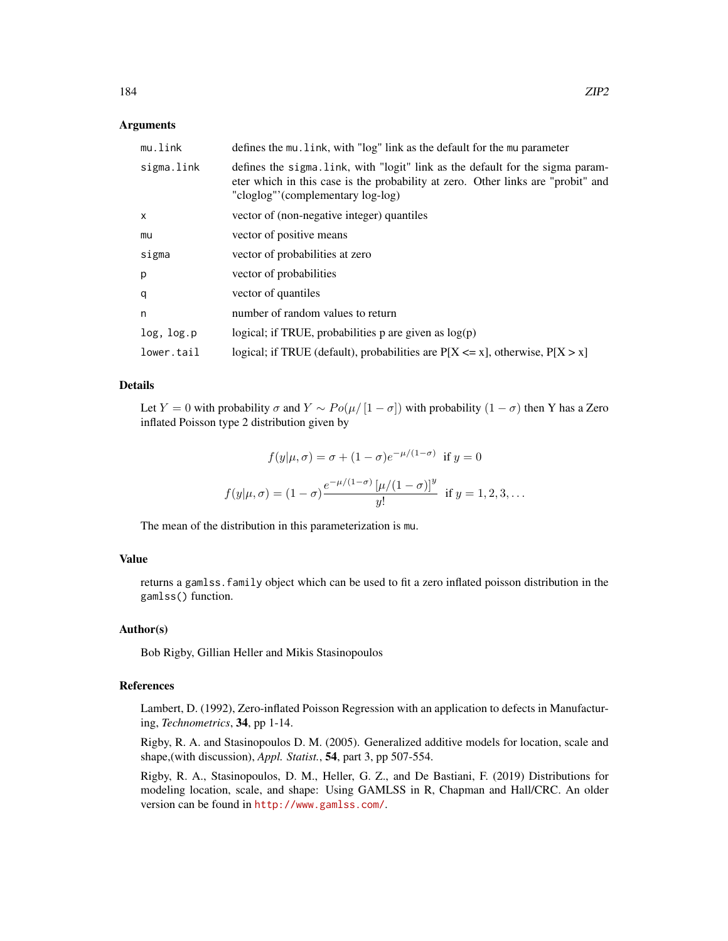#### Arguments

| mu.link    | defines the mu. link, with "log" link as the default for the mu parameter                                                                                                                               |
|------------|---------------------------------------------------------------------------------------------------------------------------------------------------------------------------------------------------------|
| sigma.link | defines the sigma. Link, with "logit" link as the default for the sigma param-<br>eter which in this case is the probability at zero. Other links are "probit" and<br>"cloglog"'(complementary log-log) |
| x          | vector of (non-negative integer) quantiles                                                                                                                                                              |
| mu         | vector of positive means                                                                                                                                                                                |
| sigma      | vector of probabilities at zero                                                                                                                                                                         |
| р          | vector of probabilities                                                                                                                                                                                 |
| q          | vector of quantiles                                                                                                                                                                                     |
| n          | number of random values to return                                                                                                                                                                       |
| log, log.p | logical; if TRUE, probabilities $p$ are given as $log(p)$                                                                                                                                               |
| lower.tail | logical; if TRUE (default), probabilities are $P[X \le x]$ , otherwise, $P[X > x]$                                                                                                                      |

### Details

Let Y = 0 with probability  $\sigma$  and  $Y \sim Po(\mu/|1-\sigma|)$  with probability  $(1-\sigma)$  then Y has a Zero inflated Poisson type 2 distribution given by

$$
f(y|\mu,\sigma) = \sigma + (1-\sigma)e^{-\mu/(1-\sigma)} \text{ if } y = 0
$$
  

$$
f(y|\mu,\sigma) = (1-\sigma)\frac{e^{-\mu/(1-\sigma)}[\mu/(1-\sigma)]^y}{y!} \text{ if } y = 1, 2, 3, ...
$$

The mean of the distribution in this parameterization is mu.

# Value

returns a gamlss.family object which can be used to fit a zero inflated poisson distribution in the gamlss() function.

#### Author(s)

Bob Rigby, Gillian Heller and Mikis Stasinopoulos

# References

Lambert, D. (1992), Zero-inflated Poisson Regression with an application to defects in Manufacturing, *Technometrics*, 34, pp 1-14.

Rigby, R. A. and Stasinopoulos D. M. (2005). Generalized additive models for location, scale and shape,(with discussion), *Appl. Statist.*, 54, part 3, pp 507-554.

Rigby, R. A., Stasinopoulos, D. M., Heller, G. Z., and De Bastiani, F. (2019) Distributions for modeling location, scale, and shape: Using GAMLSS in R, Chapman and Hall/CRC. An older version can be found in <http://www.gamlss.com/>.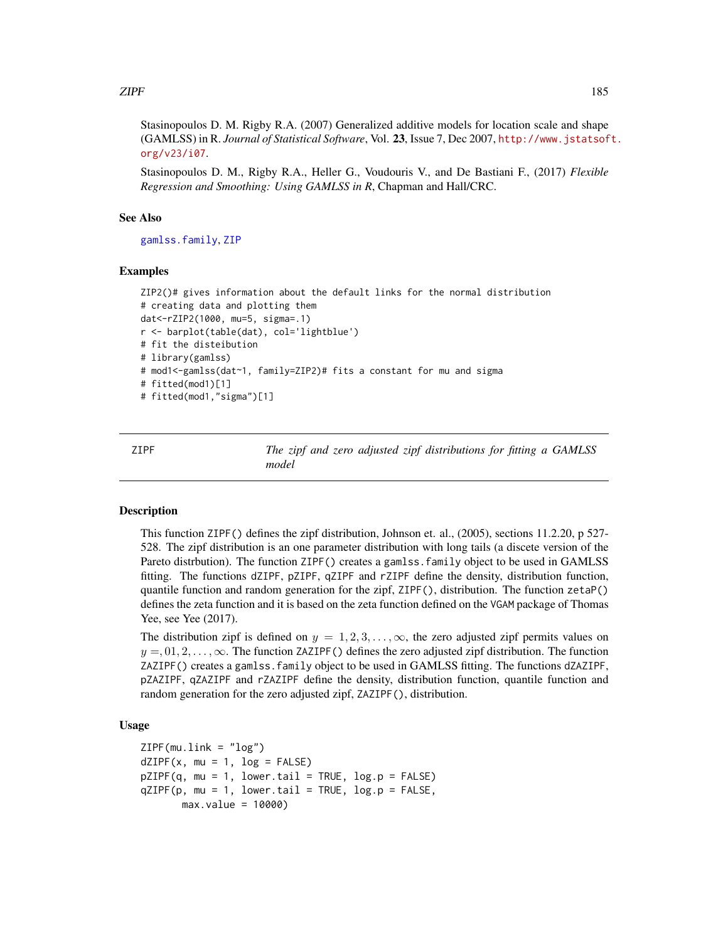<span id="page-184-0"></span> $\angle$  ZIPF 185

Stasinopoulos D. M. Rigby R.A. (2007) Generalized additive models for location scale and shape (GAMLSS) in R. *Journal of Statistical Software*, Vol. 23, Issue 7, Dec 2007, [http://www.jstatsof](http://www.jstatsoft.org/v23/i07)t. [org/v23/i07](http://www.jstatsoft.org/v23/i07).

Stasinopoulos D. M., Rigby R.A., Heller G., Voudouris V., and De Bastiani F., (2017) *Flexible Regression and Smoothing: Using GAMLSS in R*, Chapman and Hall/CRC.

#### See Also

[gamlss.family](#page-57-0), [ZIP](#page-180-0)

### Examples

```
ZIP2()# gives information about the default links for the normal distribution
# creating data and plotting them
dat<-rZIP2(1000, mu=5, sigma=.1)
r <- barplot(table(dat), col='lightblue')
# fit the disteibution
# library(gamlss)
# mod1<-gamlss(dat~1, family=ZIP2)# fits a constant for mu and sigma
# fitted(mod1)[1]
# fitted(mod1,"sigma")[1]
```
ZIPF *The zipf and zero adjusted zipf distributions for fitting a GAMLSS model*

### **Description**

This function ZIPF() defines the zipf distribution, Johnson et. al., (2005), sections 11.2.20, p 527- 528. The zipf distribution is an one parameter distribution with long tails (a discete version of the Pareto distrbution). The function ZIPF() creates a gamlss. family object to be used in GAMLSS fitting. The functions dZIPF, pZIPF, qZIPF and rZIPF define the density, distribution function, quantile function and random generation for the zipf, ZIPF(), distribution. The function zetaP() defines the zeta function and it is based on the zeta function defined on the VGAM package of Thomas Yee, see Yee (2017).

The distribution zipf is defined on  $y = 1, 2, 3, \ldots, \infty$ , the zero adjusted zipf permits values on  $y = 0, 1, 2, \ldots, \infty$ . The function ZAZIPF() defines the zero adjusted zipf distribution. The function ZAZIPF() creates a gamlss.family object to be used in GAMLSS fitting. The functions dZAZIPF, pZAZIPF, qZAZIPF and rZAZIPF define the density, distribution function, quantile function and random generation for the zero adjusted zipf, ZAZIPF(), distribution.

# Usage

```
ZIPF(mu.link = "log")dZIPF(x, mu = 1, log = FALSE)pZIPF(q, mu = 1, lower.tail = TRUE, log.p = FALSE)qZIPP(p, mu = 1, lower[allerage] <math>p = FALSE,max.value = 10000)
```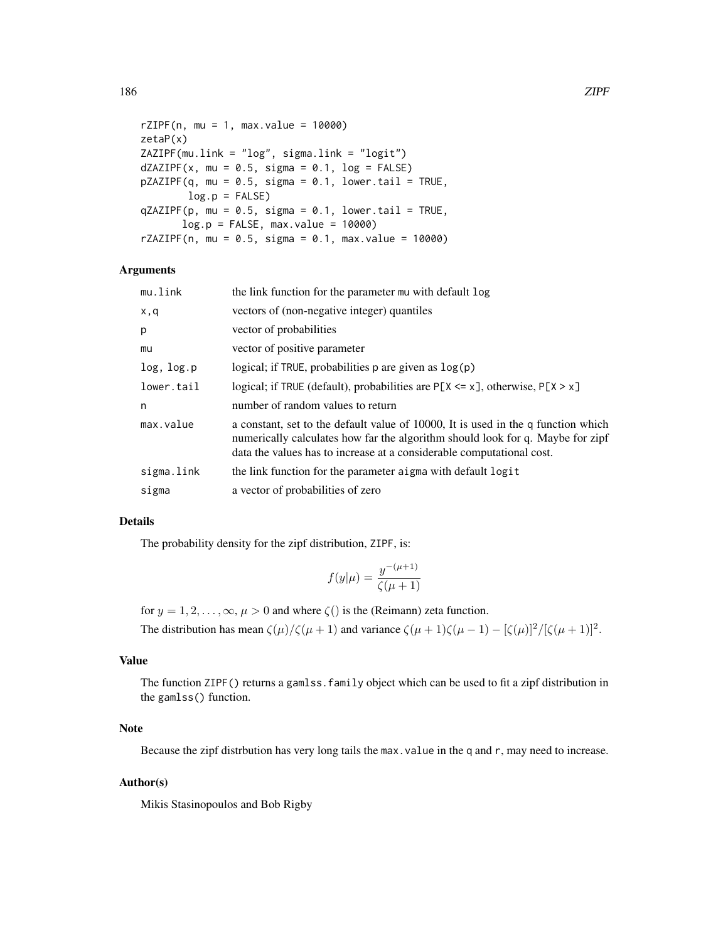```
rZIPF(n, mu = 1, max.value = 10000)zetaP(x)
ZAZIPF(mu.link = "log", sigma.link = "logit")
dZAZIPP(x, mu = 0.5, sigma = 0.1, log = FALSE)pZAZIPF(q, mu = 0.5, sigma = 0.1, lower.tail = TRUE,log.p = FALSEqZAZIPP(p, mu = 0.5, sigma = 0.1, lower.tail = TRUE,log.p = FALSE, max.value = 10000rZAZIPF(n, mu = 0.5, sigma = 0.1, max.value = 10000)
```
#### Arguments

| mu.link    | the link function for the parameter mu with default log                                                                                                                                                                                      |
|------------|----------------------------------------------------------------------------------------------------------------------------------------------------------------------------------------------------------------------------------------------|
| x,q        | vectors of (non-negative integer) quantiles                                                                                                                                                                                                  |
| p          | vector of probabilities                                                                                                                                                                                                                      |
| mu         | vector of positive parameter                                                                                                                                                                                                                 |
| log, log.p | logical; if TRUE, probabilities $p$ are given as $log(p)$                                                                                                                                                                                    |
| lower.tail | logical; if TRUE (default), probabilities are $P[X \le x]$ , otherwise, $P[X \ge x]$                                                                                                                                                         |
| n          | number of random values to return                                                                                                                                                                                                            |
| max.value  | a constant, set to the default value of 10000, It is used in the q function which<br>numerically calculates how far the algorithm should look for q. Maybe for zipf<br>data the values has to increase at a considerable computational cost. |
| sigma.link | the link function for the parameter aigma with default logit                                                                                                                                                                                 |
| sigma      | a vector of probabilities of zero                                                                                                                                                                                                            |

### Details

The probability density for the zipf distribution, ZIPF, is:

$$
f(y|\mu) = \frac{y^{-(\mu+1)}}{\zeta(\mu+1)}
$$

for  $y = 1, 2, \dots, \infty, \mu > 0$  and where  $\zeta()$  is the (Reimann) zeta function.

The distribution has mean  $\zeta(\mu)/\zeta(\mu+1)$  and variance  $\zeta(\mu+1)\zeta(\mu-1) - [\zeta(\mu)]^2/[\zeta(\mu+1)]^2$ .

# Value

The function ZIPF() returns a gamlss.family object which can be used to fit a zipf distribution in the gamlss() function.

#### Note

Because the zipf distrbution has very long tails the max. value in the q and r, may need to increase.

### Author(s)

Mikis Stasinopoulos and Bob Rigby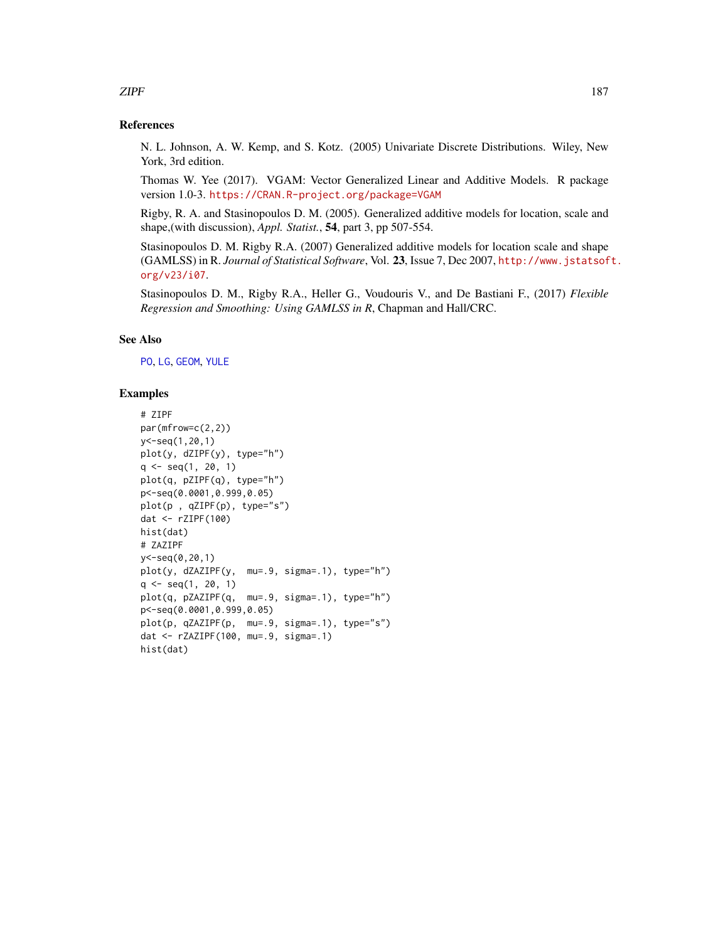#### <span id="page-186-0"></span>References

N. L. Johnson, A. W. Kemp, and S. Kotz. (2005) Univariate Discrete Distributions. Wiley, New York, 3rd edition.

Thomas W. Yee (2017). VGAM: Vector Generalized Linear and Additive Models. R package version 1.0-3. <https://CRAN.R-project.org/package=VGAM>

Rigby, R. A. and Stasinopoulos D. M. (2005). Generalized additive models for location, scale and shape,(with discussion), *Appl. Statist.*, 54, part 3, pp 507-554.

Stasinopoulos D. M. Rigby R.A. (2007) Generalized additive models for location scale and shape (GAMLSS) in R. *Journal of Statistical Software*, Vol. 23, Issue 7, Dec 2007, [http://www.jstatsof](http://www.jstatsoft.org/v23/i07)t. [org/v23/i07](http://www.jstatsoft.org/v23/i07).

Stasinopoulos D. M., Rigby R.A., Heller G., Voudouris V., and De Bastiani F., (2017) *Flexible Regression and Smoothing: Using GAMLSS in R*, Chapman and Hall/CRC.

# See Also

[PO](#page-129-0), [LG](#page-88-1), [GEOM](#page-67-0), [YULE](#page-167-0)

#### Examples

```
# ZIPF
par(mfrow=c(2,2))
y<-seq(1,20,1)
plot(y, dZIPF(y), type="h")
q \leq -\text{seq}(1, 20, 1)plot(q, pZIPF(q), type="h")
p<-seq(0.0001,0.999,0.05)
plot(p , qZIPF(p), type="s")
dat <- rZIPF(100)
hist(dat)
# ZAZIPF
y<-seq(0,20,1)
plot(y, dZAZIPF(y, mu=.9, sigma=.1), type="h")
q \leq -\text{seq}(1, 20, 1)plot(q, pZAZIPF(q, mu=.9, sigma=.1), type="h")
p<-seq(0.0001,0.999,0.05)
plot(p, qZAZIPF(p, mu=.9, sigma=.1), type="s")
dat <- rZAZIPF(100, mu=.9, sigma=.1)
hist(dat)
```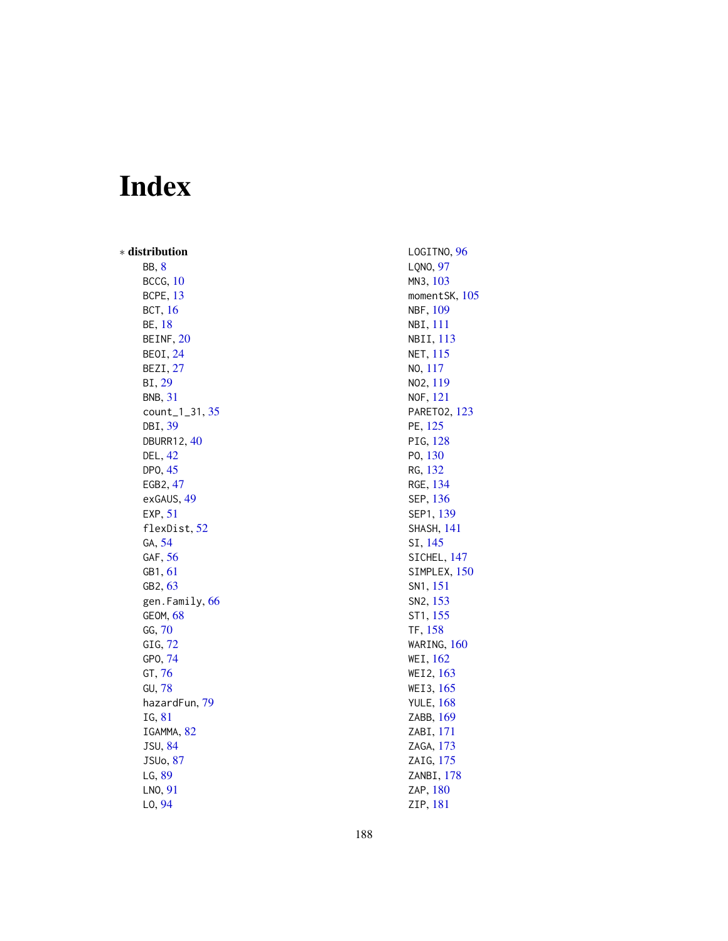# Index

∗ distribution BB , [8](#page-7-0) BCCG , [10](#page-9-0) BCPE , [13](#page-12-0) BCT, [16](#page-15-0) BE , [18](#page-17-0) BEINF, [20](#page-19-0) BEOI , [24](#page-23-0) BEZI , [27](#page-26-0) BI , [29](#page-28-0) BNB , [31](#page-30-0) count\_1\_31 , [35](#page-34-0) DBI , [39](#page-38-0) DBURR12, [40](#page-39-0) DEL , [42](#page-41-0) DPO, [45](#page-44-0) EGB2 , [47](#page-46-0) exGAUS, [49](#page-48-0) EXP, [51](#page-50-0) flexDist , [52](#page-51-0) GA , [54](#page-53-0) GAF, [56](#page-55-0) GB1 , [61](#page-60-0) GB2, [63](#page-62-0) gen.Family, [66](#page-65-0) GEOM , [68](#page-67-1) GG , [70](#page-69-0) GIG , [72](#page-71-0) GPO , [74](#page-73-0) GT , [76](#page-75-0) GU , [78](#page-77-0) hazardFun , [79](#page-78-0) IG , [81](#page-80-0) IGAMMA, [82](#page-81-0) JSU , [84](#page-83-0) JSUo , [87](#page-86-0) LG , [89](#page-88-2) LNO, [91](#page-90-0) LO , [94](#page-93-0)

LOGITNO, [96](#page-95-0) LQNO , [97](#page-96-0) MN3 , [103](#page-102-0) momentSK, [105](#page-104-0) NBF , [109](#page-108-0) NBI , [111](#page-110-0) NBII , [113](#page-112-0) NET , [115](#page-114-0) NO , [117](#page-116-0) NO2 , [119](#page-118-0) NOF , [121](#page-120-0) PARET02, [123](#page-122-0) PE , [125](#page-124-0) PIG, [128](#page-127-0) PO , [130](#page-129-1) RG , [132](#page-131-0) RGE , [134](#page-133-0) SEP , [136](#page-135-0) SEP1 , [139](#page-138-0) SHASH , [141](#page-140-0) SI , [145](#page-144-0) SICHEL, [147](#page-146-0) SIMPLEX, [150](#page-149-0) SN1 , [151](#page-150-0) SN2 , [153](#page-152-0) ST1 , [155](#page-154-0) TF , [158](#page-157-0) WARING , [160](#page-159-0) WEI , [162](#page-161-0) WEI2 , [163](#page-162-0) WEI3 , [165](#page-164-0) YULE , [168](#page-167-1) ZABB , [169](#page-168-0) ZABI , [171](#page-170-0) ZAGA , [173](#page-172-0) ZAIG, [175](#page-174-0) ZANBI , [178](#page-177-0) ZAP , [180](#page-179-0)

ZIP , [181](#page-180-1)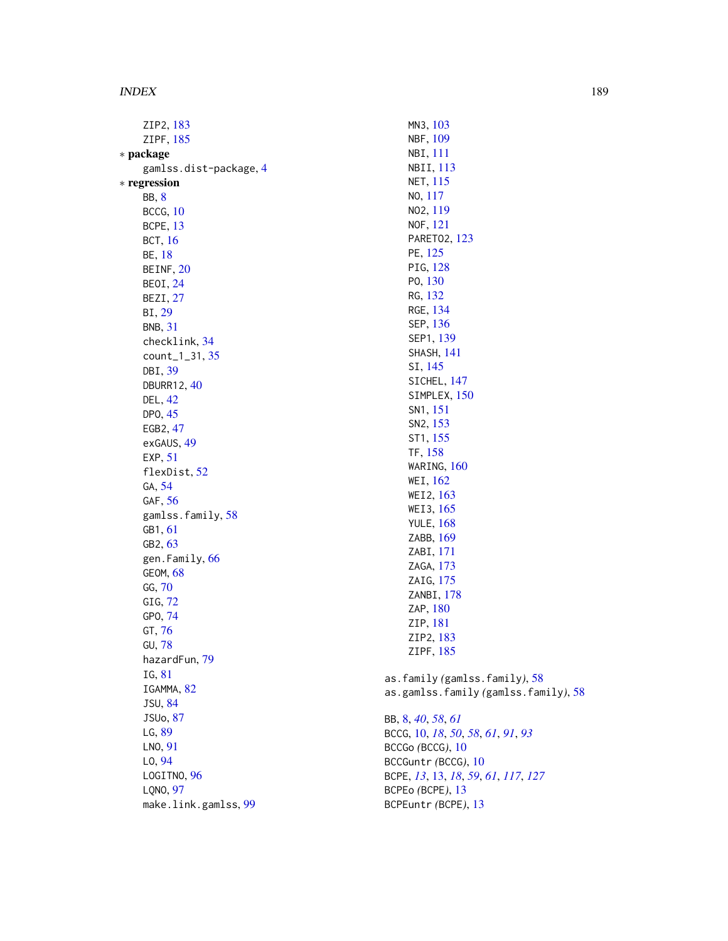ZIP2 , [183](#page-182-1) ZIPF , [185](#page-184-0) ∗ package gamlss.dist-package , [4](#page-3-0) ∗ regression BB , [8](#page-7-0) BCCG , [10](#page-9-0) BCPE , [13](#page-12-0) BCT , [16](#page-15-0) BE , [18](#page-17-0) BEINF, [20](#page-19-0) BEOI , [24](#page-23-0) BEZI , [27](#page-26-0) BI , [29](#page-28-0) BNB , [31](#page-30-0) checklink , [34](#page-33-0) count\_1\_31 , [35](#page-34-0) DBI , [39](#page-38-0) DBURR12, [40](#page-39-0) DEL , [42](#page-41-0) DP0, [45](#page-44-0) EGB2 , [47](#page-46-0) exGAUS, [49](#page-48-0) EXP, [51](#page-50-0) flexDist , [52](#page-51-0) GA , [54](#page-53-0) GAF, [56](#page-55-0) gamlss.family, [58](#page-57-1) GB1 , [61](#page-60-0) GB2, [63](#page-62-0) gen.Family, [66](#page-65-0) GEOM , [68](#page-67-1) GG , [70](#page-69-0) GIG , [72](#page-71-0) GPO , [74](#page-73-0) GT , [76](#page-75-0) GU , [78](#page-77-0) hazardFun , [79](#page-78-0) IG , [81](#page-80-0) IGAMMA, [82](#page-81-0) JSU , [84](#page-83-0) JSUo , [87](#page-86-0) LG, [89](#page-88-2) LNO , [91](#page-90-0) LO , [94](#page-93-0) LOGITNO, [96](#page-95-0) LQNO , [97](#page-96-0) make.link.gamlss , [99](#page-98-0)

MN3 , [103](#page-102-0) NBF , [109](#page-108-0) NBI , [111](#page-110-0) NBII , [113](#page-112-0) NET , [115](#page-114-0) NO , [117](#page-116-0) NO2 , [119](#page-118-0) NOF , [121](#page-120-0) PARET02, [123](#page-122-0) PE , [125](#page-124-0) PIG, [128](#page-127-0) PO , [130](#page-129-1) RG , [132](#page-131-0) RGE , [134](#page-133-0) SEP , [136](#page-135-0) SEP1 , [139](#page-138-0) SHASH , [141](#page-140-0) SI , [145](#page-144-0) SICHEL, [147](#page-146-0) SIMPLEX, [150](#page-149-0) SN1 , [151](#page-150-0) SN2, [153](#page-152-0) ST1 , [155](#page-154-0) TF , [158](#page-157-0) WARING , [160](#page-159-0) WEI , [162](#page-161-0) WEI2 , [163](#page-162-0) WEI3 , [165](#page-164-0) YULE , [168](#page-167-1) ZABB , [169](#page-168-0) ZABI , [171](#page-170-0) ZAGA , [173](#page-172-0) ZAIG, [175](#page-174-0) ZANBI , [178](#page-177-0) ZAP, [180](#page-179-0) ZIP , [181](#page-180-1) ZIP2 , [183](#page-182-1) ZIPF , [185](#page-184-0) as.family *(*gamlss.family *)* , [58](#page-57-1) as.gamlss.family *(*gamlss.family *)* , [58](#page-57-1) BB , [8](#page-7-0) , *[40](#page-39-0)* , *[58](#page-57-1)* , *[61](#page-60-0)* BCCG , [10](#page-9-0) , *[18](#page-17-0)* , *[50](#page-49-0)* , *[58](#page-57-1)* , *[61](#page-60-0)* , *[91](#page-90-0)* , *[93](#page-92-0)* BCCGo *(*BCCG *)* , [10](#page-9-0) BCCGuntr *(*BCCG *)* , [10](#page-9-0) BCPE , *[13](#page-12-0)* , [13](#page-12-0) , *[18](#page-17-0)* , *[59](#page-58-0)* , *[61](#page-60-0)* , *[117](#page-116-0)* , *[127](#page-126-0)* BCPEo *(*BCPE *)* , [13](#page-12-0)

BCPEuntr *(*BCPE *)* , [13](#page-12-0)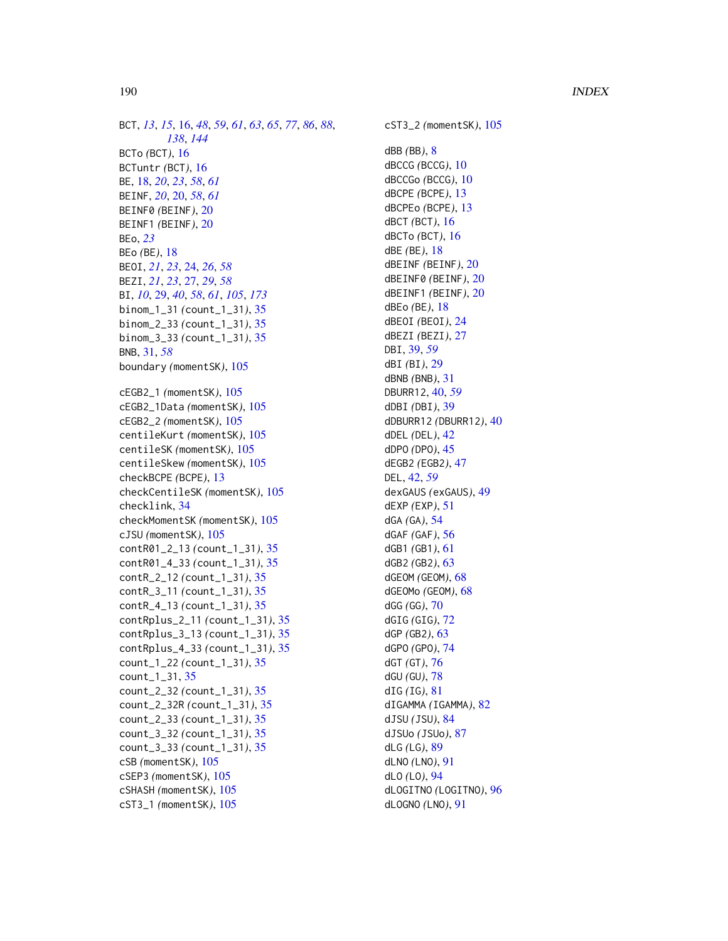BCT, [13](#page-12-0), [15](#page-14-0), [16](#page-15-0), [48](#page-47-0), [59](#page-58-0), [61](#page-60-0), [63](#page-62-0), [65](#page-64-0), [77](#page-76-0), [86](#page-85-0), [88](#page-87-0), *[138](#page-137-0)* , *[144](#page-143-0)* BCTo *(*BCT *)* , [16](#page-15-0) BCTuntr *(*BCT *)* , [16](#page-15-0) BE , [18](#page-17-0) , *[20](#page-19-0)* , *[23](#page-22-0)* , *[58](#page-57-1)* , *[61](#page-60-0)* BEINF , *[20](#page-19-0)* , [20](#page-19-0) , *[58](#page-57-1)* , *[61](#page-60-0)* BEINF0 *(*BEINF *)* , [20](#page-19-0) BEINF1 *(*BEINF *)* , [20](#page-19-0) BEo , *[23](#page-22-0)* BEo *(*BE *)* , [18](#page-17-0) BEOI , *[21](#page-20-0)* , *[23](#page-22-0)* , [24](#page-23-0) , *[26](#page-25-0)* , *[58](#page-57-1)* BEZI , *[21](#page-20-0)* , *[23](#page-22-0)* , [27](#page-26-0) , *[29](#page-28-0)* , *[58](#page-57-1)* BI , *[10](#page-9-0)* , [29](#page-28-0) , *[40](#page-39-0)* , *[58](#page-57-1)* , *[61](#page-60-0)* , *[105](#page-104-0)* , *[173](#page-172-0)* binom\_1\_31 *(*count\_1\_31 *)* , [35](#page-34-0) binom\_2\_33 *(*count\_1\_31 *)* , [35](#page-34-0) binom\_3\_33 *(*count\_1\_31 *)* , [35](#page-34-0) BNB , [31](#page-30-0) , *[58](#page-57-1)* boundary *(*momentSK *)* , [105](#page-104-0) cEGB2\_1 *(*momentSK *)* , [105](#page-104-0) cEGB2\_1Data *(*momentSK *)* , [105](#page-104-0) cEGB2\_2 *(*momentSK *)* , [105](#page-104-0) centileKurt *(*momentSK *)* , [105](#page-104-0) centileSK *(*momentSK *)* , [105](#page-104-0) centileSkew *(*momentSK *)* , [105](#page-104-0) checkBCPE *(*BCPE *)* , [13](#page-12-0) checkCentileSK *(*momentSK *)* , [105](#page-104-0) checklink , [34](#page-33-0) checkMomentSK *(*momentSK *)* , [105](#page-104-0) cJSU *(*momentSK *)* , [105](#page-104-0) contR01\_2\_13 *(*count\_1\_31 *)* , [35](#page-34-0) contR01\_4\_33 *(*count\_1\_31 *)* , [35](#page-34-0) contR\_2\_12 *(*count\_1\_31 *)* , [35](#page-34-0) contR\_3\_11 *(*count\_1\_31 *)* , [35](#page-34-0) contR\_4\_13 *(*count\_1\_31 *)* , [35](#page-34-0) contRplus\_2\_11 *(*count\_1\_31 *)* , [35](#page-34-0) contRplus\_3\_13 *(*count\_1\_31 *)* , [35](#page-34-0) contRplus\_4\_33 *(*count\_1\_31 *)* , [35](#page-34-0) count\_1\_22 *(*count\_1\_31 *)* , [35](#page-34-0) count\_1\_31 , [35](#page-34-0) count\_2\_32 *(*count\_1\_31 *)* , [35](#page-34-0) count\_2\_32R *(*count\_1\_31 *)* , [35](#page-34-0) count\_2\_33 *(*count\_1\_31 *)* , [35](#page-34-0) count\_3\_32 *(*count\_1\_31 *)* , [35](#page-34-0) count\_3\_33 *(*count\_1\_31 *)* , [35](#page-34-0) cSB *(*momentSK *)* , [105](#page-104-0) cSEP3 *(*momentSK *)* , [105](#page-104-0) cSHASH *(*momentSK *)* , [105](#page-104-0) cST3\_1 *(*momentSK *)* , [105](#page-104-0)

cST3\_2 *(*momentSK *)* , [105](#page-104-0) dBB *(*BB *)* , [8](#page-7-0) dBCCG *(*BCCG *)* , [10](#page-9-0) dBCCGo *(*BCCG *)* , [10](#page-9-0) dBCPE *(*BCPE *)* , [13](#page-12-0) dBCPEo *(*BCPE *)* , [13](#page-12-0) dBCT *(*BCT *)* , [16](#page-15-0) dBCTo *(*BCT *)* , [16](#page-15-0) dBE *(*BE *)* , [18](#page-17-0) dBEINF *(*BEINF *)* , [20](#page-19-0) dBEINF0 *(*BEINF *)* , [20](#page-19-0) dBEINF1 *(*BEINF *)* , [20](#page-19-0) dBEo *(*BE *)* , [18](#page-17-0) dBEOI *(*BEOI *)* , [24](#page-23-0) dBEZI *(*BEZI *)* , [27](#page-26-0) DBI , [39](#page-38-0) , *[59](#page-58-0)* dBI *(*BI *)* , [29](#page-28-0) dBNB *(*BNB *)* , [31](#page-30-0) DBURR12 , [40](#page-39-0) , *[59](#page-58-0)* dDBI *(*DBI *)* , [39](#page-38-0) dDBURR12 *(*DBURR12 *)* , [40](#page-39-0) dDEL *(*DEL *)* , [42](#page-41-0) dDPO *(*DPO *)* , [45](#page-44-0) dEGB2 *(*EGB2 *)* , [47](#page-46-0) DEL , [42](#page-41-0) , *[59](#page-58-0)* dexGAUS *(*exGAUS *)* , [49](#page-48-0) dEXP *(*EXP *)* , [51](#page-50-0) dGA *(*GA *)* , [54](#page-53-0) dGAF *(*GAF *)* , [56](#page-55-0) dGB1 *(*GB1 *)* , [61](#page-60-0) dGB2 *(*GB2 *)* , [63](#page-62-0) dGEOM *(*GEOM *)* , [68](#page-67-1) dGEOMo *(*GEOM *)* , [68](#page-67-1) dGG *(*GG *)* , [70](#page-69-0) dGIG *(*GIG *)* , [72](#page-71-0) dGP *(*GB2 *)* , [63](#page-62-0) dGPO *(*GPO *)* , [74](#page-73-0) dGT *(*GT *)* , [76](#page-75-0) dGU *(*GU *)* , [78](#page-77-0) dIG *(*IG *)* , [81](#page-80-0) dIGAMMA *(*IGAMMA *)* , [82](#page-81-0) dJSU *(*JSU *)* , [84](#page-83-0) dJSUo *(*JSUo *)* , [87](#page-86-0) dLG *(*LG *)* , [89](#page-88-2) dLNO *(*LNO *)* , [91](#page-90-0) dLO *(*LO *)* , [94](#page-93-0) dLOGITNO *(*LOGITNO *)* , [96](#page-95-0) dLOGNO *(*LNO *)* , [91](#page-90-0)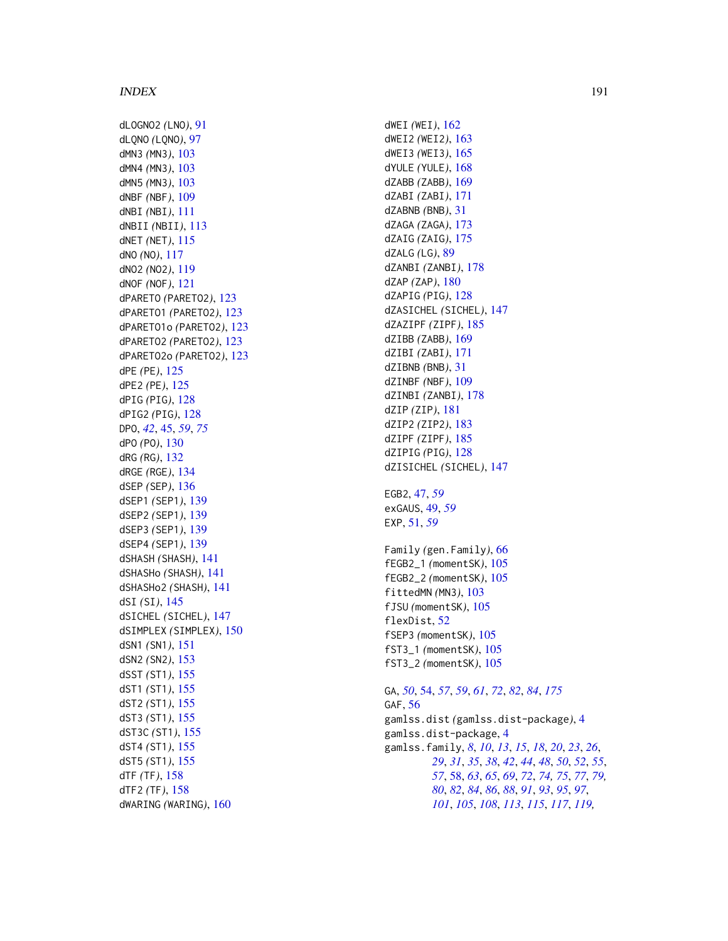dLOGNO2 *(*LNO *)* , [91](#page-90-0) dLQNO *(*LQNO *)* , [97](#page-96-0) dMN3 *(*MN3 *)* , [103](#page-102-0) dMN4 *(*MN3 *)* , [103](#page-102-0) dMN5 *(*MN3 *)* , [103](#page-102-0) dNBF *(*NBF *)* , [109](#page-108-0) dNBI *(*NBI *)* , [111](#page-110-0) dNBII *(*NBII *)* , [113](#page-112-0) dNET *(*NET *)* , [115](#page-114-0) dNO *(*NO *)* , [117](#page-116-0) dNO2 *(*NO2 *)* , [119](#page-118-0) dNOF *(*NOF *)* , [121](#page-120-0) dPARETO *(*PARETO2 *)* , [123](#page-122-0) dPARETO1 *(*PARETO2 *)* , [123](#page-122-0) dPARETO1o *(*PARETO2 *)* , [123](#page-122-0) dPARETO2 *(*PARETO2 *)* , [123](#page-122-0) dPARETO2o *(*PARETO2 *)* , [123](#page-122-0) dPE *(*PE *)* , [125](#page-124-0) dPE2 *(*PE *)* , [125](#page-124-0) dPIG *(*PIG *)* , [128](#page-127-0) dPIG2 *(*PIG *)* , [128](#page-127-0) DPO , *[42](#page-41-0)* , [45](#page-44-0) , *[59](#page-58-0)* , *[75](#page-74-0)* dPO *(*PO *)* , [130](#page-129-1) dRG *(*RG *)* , [132](#page-131-0) dRGE *(*RGE *)* , [134](#page-133-0) dSEP *(*SEP *)* , [136](#page-135-0) dSEP1 *(*SEP1 *)* , [139](#page-138-0) dSEP2 *(*SEP1 *)* , [139](#page-138-0) dSEP3 *(*SEP1 *)* , [139](#page-138-0) dSEP4 *(*SEP1 *)* , [139](#page-138-0) dSHASH *(*SHASH *)* , [141](#page-140-0) dSHASHo *(*SHASH *)* , [141](#page-140-0) dSHASHo2 *(*SHASH *)* , [141](#page-140-0) dSI *(*SI *)* , [145](#page-144-0) dSICHEL *(*SICHEL *)* , [147](#page-146-0) dSIMPLEX *(*SIMPLEX *)* , [150](#page-149-0) dSN1 *(*SN1 *)* , [151](#page-150-0) dSN2 *(*SN2 *)* , [153](#page-152-0) dSST *(*ST1 *)* , [155](#page-154-0) dST1 *(*ST1 *)* , [155](#page-154-0) dST2 *(*ST1 *)* , [155](#page-154-0) dST3 *(*ST1 *)* , [155](#page-154-0) dST3C *(*ST1 *)* , [155](#page-154-0) dST4 *(*ST1 *)* , [155](#page-154-0) dST5 *(*ST1 *)* , [155](#page-154-0) dTF *(*TF *)* , [158](#page-157-0) dTF2 *(*TF *)* , [158](#page-157-0) dWARING *(*WARING *)* , [160](#page-159-0)

dWEI *(*WEI *)* , [162](#page-161-0) dWEI2 *(*WEI2 *)* , [163](#page-162-0) dWEI3 *(*WEI3 *)* , [165](#page-164-0) dYULE *(*YULE *)* , [168](#page-167-1) dZABB *(*ZABB *)* , [169](#page-168-0) dZABI *(*ZABI *)* , [171](#page-170-0) dZABNB *(*BNB *)* , [31](#page-30-0) dZAGA *(*ZAGA *)* , [173](#page-172-0) dZAIG *(*ZAIG *)* , [175](#page-174-0) dZALG *(*LG *)* , [89](#page-88-2) dZANBI *(*ZANBI *)* , [178](#page-177-0) dZAP *(*ZAP *)* , [180](#page-179-0) dZAPIG *(*PIG *)* , [128](#page-127-0) dZASICHEL *(*SICHEL *)* , [147](#page-146-0) dZAZIPF *(*ZIPF *)* , [185](#page-184-0) dZIBB *(*ZABB *)* , [169](#page-168-0) dZIBI *(*ZABI *)* , [171](#page-170-0) dZIBNB *(*BNB *)* , [31](#page-30-0) dZINBF *(*NBF *)* , [109](#page-108-0) dZINBI *(*ZANBI *)* , [178](#page-177-0) dZIP *(*ZIP *)* , [181](#page-180-1) dZIP2 *(*ZIP2 *)* , [183](#page-182-1) dZIPF *(*ZIPF *)* , [185](#page-184-0) dZIPIG *(*PIG *)* , [128](#page-127-0) dZISICHEL *(*SICHEL *)* , [147](#page-146-0) EGB2 , [47](#page-46-0) , *[59](#page-58-0)* exGAUS , [49](#page-48-0) , *[59](#page-58-0)* EXP , [51](#page-50-0) , *[59](#page-58-0)* Family *(*gen.Family *)* , [66](#page-65-0) fEGB2\_1 *(*momentSK *)* , [105](#page-104-0) fEGB2\_2 *(*momentSK *)* , [105](#page-104-0) fittedMN *(*MN3 *)* , [103](#page-102-0) fJSU *(*momentSK *)* , [105](#page-104-0) flexDist , [52](#page-51-0) fSEP3 *(*momentSK *)* , [105](#page-104-0) fST3\_1 *(*momentSK *)* , [105](#page-104-0) fST3\_2 *(*momentSK *)* , [105](#page-104-0) GA , *[50](#page-49-0)* , [54](#page-53-0) , *[57](#page-56-0)* , *[59](#page-58-0)* , *[61](#page-60-0)* , *[72](#page-71-0)* , *[82](#page-81-0)* , *[84](#page-83-0)* , *[175](#page-174-0)* GAF,  $56$ gamlss.dist *(*gamlss.dist-package *)* , [4](#page-3-0)

gamlss.dist-package , [4](#page-3-0) gamlss.family, [8](#page-7-0), [10](#page-9-0), [13](#page-12-0), [15](#page-14-0), [18](#page-17-0), [20](#page-19-0), [23](#page-22-0), [26](#page-25-0), , *[31](#page-30-0)* , *[35](#page-34-0)* , *[38](#page-37-0)* , *[42](#page-41-0)* , *[44](#page-43-0)* , *[48](#page-47-0)* , *[50](#page-49-0)* , *[52](#page-51-0)* , *[55](#page-54-0)* , , [58](#page-57-1) , *[63](#page-62-0)* , *[65](#page-64-0)* , *[69](#page-68-0)* , *[72](#page-71-0)* , *[74](#page-73-0) , [75](#page-74-0)* , *[77](#page-76-0)* , *[79](#page-78-0) ,* , *[82](#page-81-0)* , *[84](#page-83-0)* , *[86](#page-85-0)* , *[88](#page-87-0)* , *[91](#page-90-0)* , *[93](#page-92-0)* , *[95](#page-94-0)* , *[97](#page-96-0)* , , *[105](#page-104-0)* , *[108](#page-107-0)* , *[113](#page-112-0)* , *[115](#page-114-0)* , *[117](#page-116-0)* , *[119](#page-118-0) ,*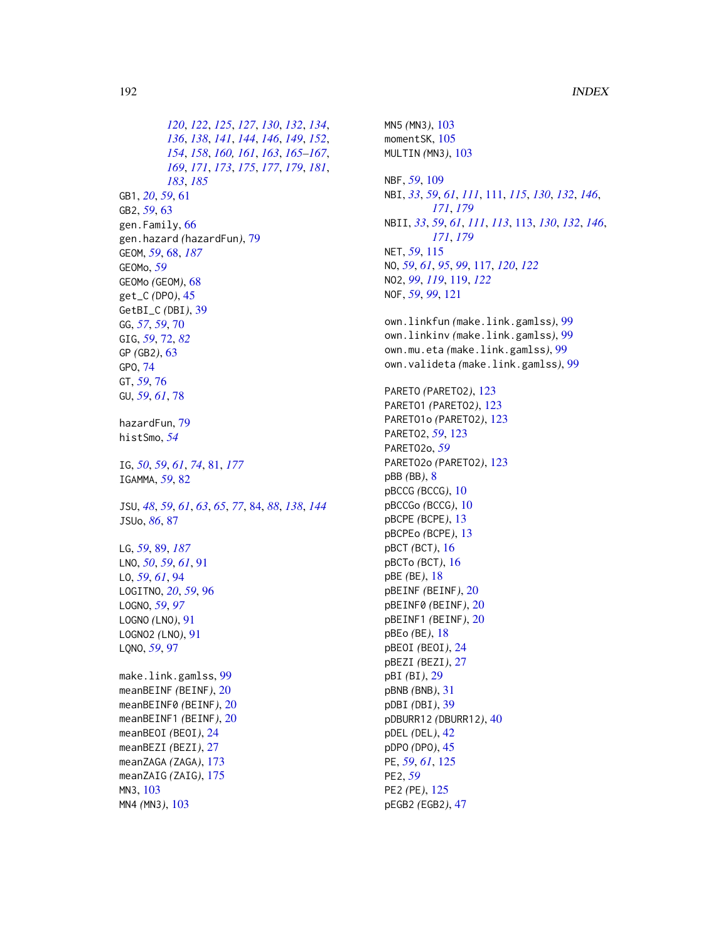*[120](#page-119-0)*, *[122](#page-121-0)*, *[125](#page-124-0)*, *[127](#page-126-0)*, *[130](#page-129-1)*, *[132](#page-131-0)*, *[134](#page-133-0)*, *[136](#page-135-0)*, *[138](#page-137-0)*, *[141](#page-140-0)*, *[144](#page-143-0)*, *[146](#page-145-0)*, *[149](#page-148-0)*, *[152](#page-151-0)*, *[154](#page-153-0)*, *[158](#page-157-0)*, *[160,](#page-159-0) [161](#page-160-0)*, *[163](#page-162-0)*, *[165–](#page-164-0)[167](#page-166-0)*, *[169](#page-168-0)*, *[171](#page-170-0)*, *[173](#page-172-0)*, *[175](#page-174-0)*, *[177](#page-176-0)*, *[179](#page-178-0)*, *[181](#page-180-1)*, *[183](#page-182-1)*, *[185](#page-184-0)* GB1, *[20](#page-19-0)*, *[59](#page-58-0)*, [61](#page-60-0) GB2, *[59](#page-58-0)*, [63](#page-62-0) gen.Family, [66](#page-65-0) gen.hazard *(*hazardFun*)*, [79](#page-78-0) GEOM, *[59](#page-58-0)*, [68,](#page-67-1) *[187](#page-186-0)* GEOMo, *[59](#page-58-0)* GEOMo *(*GEOM*)*, [68](#page-67-1) get\_C *(*DPO*)*, [45](#page-44-0) GetBI\_C *(*DBI*)*, [39](#page-38-0) GG, *[57](#page-56-0)*, *[59](#page-58-0)*, [70](#page-69-0) GIG, *[59](#page-58-0)*, [72,](#page-71-0) *[82](#page-81-0)* GP *(*GB2*)*, [63](#page-62-0) GPO, [74](#page-73-0) GT, *[59](#page-58-0)*, [76](#page-75-0) GU, *[59](#page-58-0)*, *[61](#page-60-0)*, [78](#page-77-0) hazardFun, [79](#page-78-0) histSmo, *[54](#page-53-0)* IG, *[50](#page-49-0)*, *[59](#page-58-0)*, *[61](#page-60-0)*, *[74](#page-73-0)*, [81,](#page-80-0) *[177](#page-176-0)* IGAMMA, *[59](#page-58-0)*, [82](#page-81-0) JSU, *[48](#page-47-0)*, *[59](#page-58-0)*, *[61](#page-60-0)*, *[63](#page-62-0)*, *[65](#page-64-0)*, *[77](#page-76-0)*, [84,](#page-83-0) *[88](#page-87-0)*, *[138](#page-137-0)*, *[144](#page-143-0)* JSUo, *[86](#page-85-0)*, [87](#page-86-0) LG, *[59](#page-58-0)*, [89,](#page-88-2) *[187](#page-186-0)* LNO, *[50](#page-49-0)*, *[59](#page-58-0)*, *[61](#page-60-0)*, [91](#page-90-0) LO, *[59](#page-58-0)*, *[61](#page-60-0)*, [94](#page-93-0) LOGITNO, *[20](#page-19-0)*, *[59](#page-58-0)*, [96](#page-95-0) LOGNO, *[59](#page-58-0)*, *[97](#page-96-0)* LOGNO *(*LNO*)*, [91](#page-90-0) LOGNO2 *(*LNO*)*, [91](#page-90-0) LQNO, *[59](#page-58-0)*, [97](#page-96-0) make.link.gamlss, [99](#page-98-0) meanBEINF *(*BEINF*)*, [20](#page-19-0) meanBEINF0 *(*BEINF*)*, [20](#page-19-0) meanBEINF1 *(*BEINF*)*, [20](#page-19-0) meanBEOI *(*BEOI*)*, [24](#page-23-0) meanBEZI *(*BEZI*)*, [27](#page-26-0) meanZAGA *(*ZAGA*)*, [173](#page-172-0) meanZAIG *(*ZAIG*)*, [175](#page-174-0) MN3, [103](#page-102-0) MN4 *(*MN3*)*, [103](#page-102-0)

momentSK, [105](#page-104-0) MULTIN *(*MN3*)*, [103](#page-102-0) NBF, *[59](#page-58-0)*, [109](#page-108-0) NBI, *[33](#page-32-0)*, *[59](#page-58-0)*, *[61](#page-60-0)*, *[111](#page-110-0)*, [111,](#page-110-0) *[115](#page-114-0)*, *[130](#page-129-1)*, *[132](#page-131-0)*, *[146](#page-145-0)*, *[171](#page-170-0)*, *[179](#page-178-0)* NBII, *[33](#page-32-0)*, *[59](#page-58-0)*, *[61](#page-60-0)*, *[111](#page-110-0)*, *[113](#page-112-0)*, [113,](#page-112-0) *[130](#page-129-1)*, *[132](#page-131-0)*, *[146](#page-145-0)*, *[171](#page-170-0)*, *[179](#page-178-0)* NET, *[59](#page-58-0)*, [115](#page-114-0) NO, *[59](#page-58-0)*, *[61](#page-60-0)*, *[95](#page-94-0)*, *[99](#page-98-0)*, [117,](#page-116-0) *[120](#page-119-0)*, *[122](#page-121-0)* NO2, *[99](#page-98-0)*, *[119](#page-118-0)*, [119,](#page-118-0) *[122](#page-121-0)* NOF, *[59](#page-58-0)*, *[99](#page-98-0)*, [121](#page-120-0) own.linkfun *(*make.link.gamlss*)*, [99](#page-98-0) own.linkinv *(*make.link.gamlss*)*, [99](#page-98-0) own.mu.eta *(*make.link.gamlss*)*, [99](#page-98-0) own.valideta *(*make.link.gamlss*)*, [99](#page-98-0) PARETO *(*PARETO2*)*, [123](#page-122-0) PARETO1 *(*PARETO2*)*, [123](#page-122-0) PARETO1o *(*PARETO2*)*, [123](#page-122-0) PARETO2, *[59](#page-58-0)*, [123](#page-122-0) PARETO2o, *[59](#page-58-0)* PARETO2o *(*PARETO2*)*, [123](#page-122-0) pBB *(*BB*)*, [8](#page-7-0) pBCCG *(*BCCG*)*, [10](#page-9-0) pBCCGo *(*BCCG*)*, [10](#page-9-0) pBCPE *(*BCPE*)*, [13](#page-12-0) pBCPEo *(*BCPE*)*, [13](#page-12-0) pBCT *(*BCT*)*, [16](#page-15-0) pBCTo *(*BCT*)*, [16](#page-15-0) pBE *(*BE*)*, [18](#page-17-0) pBEINF *(*BEINF*)*, [20](#page-19-0) pBEINF0 *(*BEINF*)*, [20](#page-19-0) pBEINF1 *(*BEINF*)*, [20](#page-19-0) pBEo *(*BE*)*, [18](#page-17-0) pBEOI *(*BEOI*)*, [24](#page-23-0) pBEZI *(*BEZI*)*, [27](#page-26-0) pBI *(*BI*)*, [29](#page-28-0) pBNB *(*BNB*)*, [31](#page-30-0) pDBI *(*DBI*)*, [39](#page-38-0) pDBURR12 *(*DBURR12*)*, [40](#page-39-0) pDEL *(*DEL*)*, [42](#page-41-0) pDPO *(*DPO*)*, [45](#page-44-0) PE, *[59](#page-58-0)*, *[61](#page-60-0)*, [125](#page-124-0) PE2, *[59](#page-58-0)* PE2 *(*PE*)*, [125](#page-124-0)

MN5 *(*MN3*)*, [103](#page-102-0)

pEGB2 *(*EGB2*)*, [47](#page-46-0)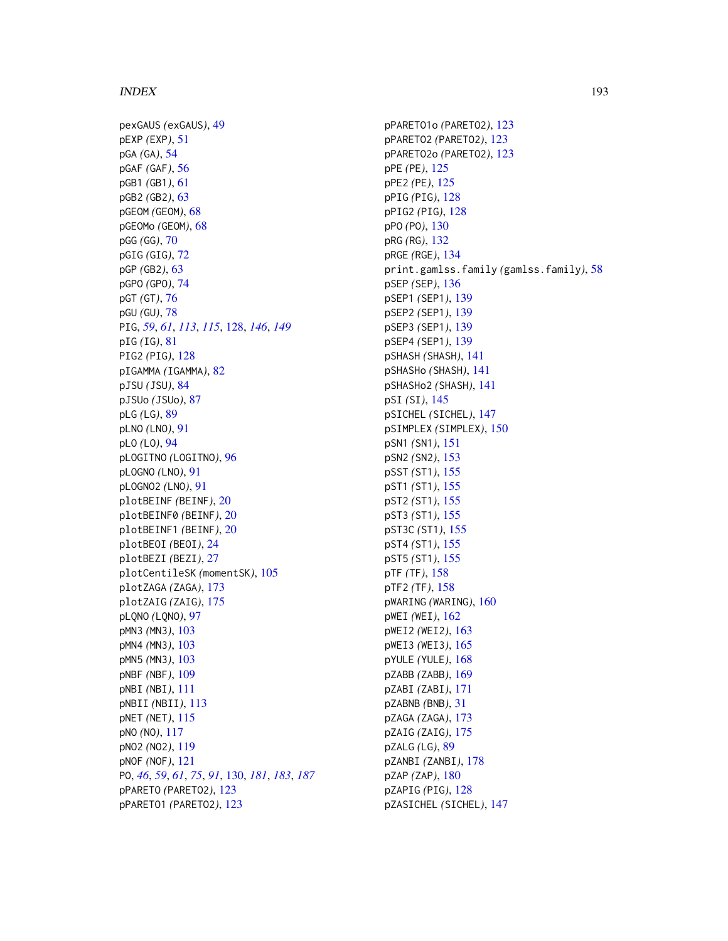pexGAUS *(*exGAUS*)*, [49](#page-48-0) pEXP *(*EXP*)*, [51](#page-50-0) pGA *(*GA*)*, [54](#page-53-0) pGAF *(*GAF*)*, [56](#page-55-0) pGB1 *(*GB1*)*, [61](#page-60-0) pGB2 *(*GB2*)*, [63](#page-62-0) pGEOM *(*GEOM*)*, [68](#page-67-1) pGEOMo *(*GEOM*)*, [68](#page-67-1) pGG *(*GG*)*, [70](#page-69-0) pGIG *(*GIG*)*, [72](#page-71-0) pGP *(*GB2*)*, [63](#page-62-0) pGPO *(*GPO*)*, [74](#page-73-0) pGT *(*GT*)*, [76](#page-75-0) pGU *(*GU*)*, [78](#page-77-0) PIG, *[59](#page-58-0)*, *[61](#page-60-0)*, *[113](#page-112-0)*, *[115](#page-114-0)*, [128,](#page-127-0) *[146](#page-145-0)*, *[149](#page-148-0)* pIG *(*IG*)*, [81](#page-80-0) PIG2 *(*PIG*)*, [128](#page-127-0) pIGAMMA *(*IGAMMA*)*, [82](#page-81-0) pJSU *(*JSU*)*, [84](#page-83-0) pJSUo *(*JSUo*)*, [87](#page-86-0) pLG *(*LG*)*, [89](#page-88-2) pLNO *(*LNO*)*, [91](#page-90-0) pLO *(*LO*)*, [94](#page-93-0) pLOGITNO *(*LOGITNO*)*, [96](#page-95-0) pLOGNO *(*LNO*)*, [91](#page-90-0) pLOGNO2 *(*LNO*)*, [91](#page-90-0) plotBEINF *(*BEINF*)*, [20](#page-19-0) plotBEINF0 *(*BEINF*)*, [20](#page-19-0) plotBEINF1 *(*BEINF*)*, [20](#page-19-0) plotBEOI *(*BEOI*)*, [24](#page-23-0) plotBEZI *(*BEZI*)*, [27](#page-26-0) plotCentileSK *(*momentSK*)*, [105](#page-104-0) plotZAGA *(*ZAGA*)*, [173](#page-172-0) plotZAIG *(*ZAIG*)*, [175](#page-174-0) pLQNO *(*LQNO*)*, [97](#page-96-0) pMN3 *(*MN3*)*, [103](#page-102-0) pMN4 *(*MN3*)*, [103](#page-102-0) pMN5 *(*MN3*)*, [103](#page-102-0) pNBF *(*NBF*)*, [109](#page-108-0) pNBI *(*NBI*)*, [111](#page-110-0) pNBII *(*NBII*)*, [113](#page-112-0) pNET *(*NET*)*, [115](#page-114-0) pNO *(*NO*)*, [117](#page-116-0) pNO2 *(*NO2*)*, [119](#page-118-0) pNOF *(*NOF*)*, [121](#page-120-0) PO, *[46](#page-45-0)*, *[59](#page-58-0)*, *[61](#page-60-0)*, *[75](#page-74-0)*, *[91](#page-90-0)*, [130,](#page-129-1) *[181](#page-180-1)*, *[183](#page-182-1)*, *[187](#page-186-0)* pPARETO *(*PARETO2*)*, [123](#page-122-0) pPARETO1 *(*PARETO2*)*, [123](#page-122-0)

pPARETO1o *(*PARETO2*)*, [123](#page-122-0) pPARETO2 *(*PARETO2*)*, [123](#page-122-0) pPARETO2o *(*PARETO2*)*, [123](#page-122-0) pPE *(*PE*)*, [125](#page-124-0) pPE2 *(*PE*)*, [125](#page-124-0) pPIG *(*PIG*)*, [128](#page-127-0) pPIG2 *(*PIG*)*, [128](#page-127-0) pPO *(*PO*)*, [130](#page-129-1) pRG *(*RG*)*, [132](#page-131-0) pRGE *(*RGE*)*, [134](#page-133-0) print.gamlss.family *(*gamlss.family*)*, [58](#page-57-1) pSEP *(*SEP*)*, [136](#page-135-0) pSEP1 *(*SEP1*)*, [139](#page-138-0) pSEP2 *(*SEP1*)*, [139](#page-138-0) pSEP3 *(*SEP1*)*, [139](#page-138-0) pSEP4 *(*SEP1*)*, [139](#page-138-0) pSHASH *(*SHASH*)*, [141](#page-140-0) pSHASHo *(*SHASH*)*, [141](#page-140-0) pSHASHo2 *(*SHASH*)*, [141](#page-140-0) pSI *(*SI*)*, [145](#page-144-0) pSICHEL *(*SICHEL*)*, [147](#page-146-0) pSIMPLEX *(*SIMPLEX*)*, [150](#page-149-0) pSN1 *(*SN1*)*, [151](#page-150-0) pSN2 *(*SN2*)*, [153](#page-152-0) pSST *(*ST1*)*, [155](#page-154-0) pST1 *(*ST1*)*, [155](#page-154-0) pST2 *(*ST1*)*, [155](#page-154-0) pST3 *(*ST1*)*, [155](#page-154-0) pST3C *(*ST1*)*, [155](#page-154-0) pST4 *(*ST1*)*, [155](#page-154-0) pST5 *(*ST1*)*, [155](#page-154-0) pTF *(*TF*)*, [158](#page-157-0) pTF2 *(*TF*)*, [158](#page-157-0) pWARING *(*WARING*)*, [160](#page-159-0) pWEI *(*WEI*)*, [162](#page-161-0) pWEI2 *(*WEI2*)*, [163](#page-162-0) pWEI3 *(*WEI3*)*, [165](#page-164-0) pYULE *(*YULE*)*, [168](#page-167-1) pZABB *(*ZABB*)*, [169](#page-168-0) pZABI *(*ZABI*)*, [171](#page-170-0) pZABNB *(*BNB*)*, [31](#page-30-0) pZAGA *(*ZAGA*)*, [173](#page-172-0) pZAIG *(*ZAIG*)*, [175](#page-174-0) pZALG *(*LG*)*, [89](#page-88-2) pZANBI *(*ZANBI*)*, [178](#page-177-0) pZAP *(*ZAP*)*, [180](#page-179-0) pZAPIG *(*PIG*)*, [128](#page-127-0) pZASICHEL *(*SICHEL*)*, [147](#page-146-0)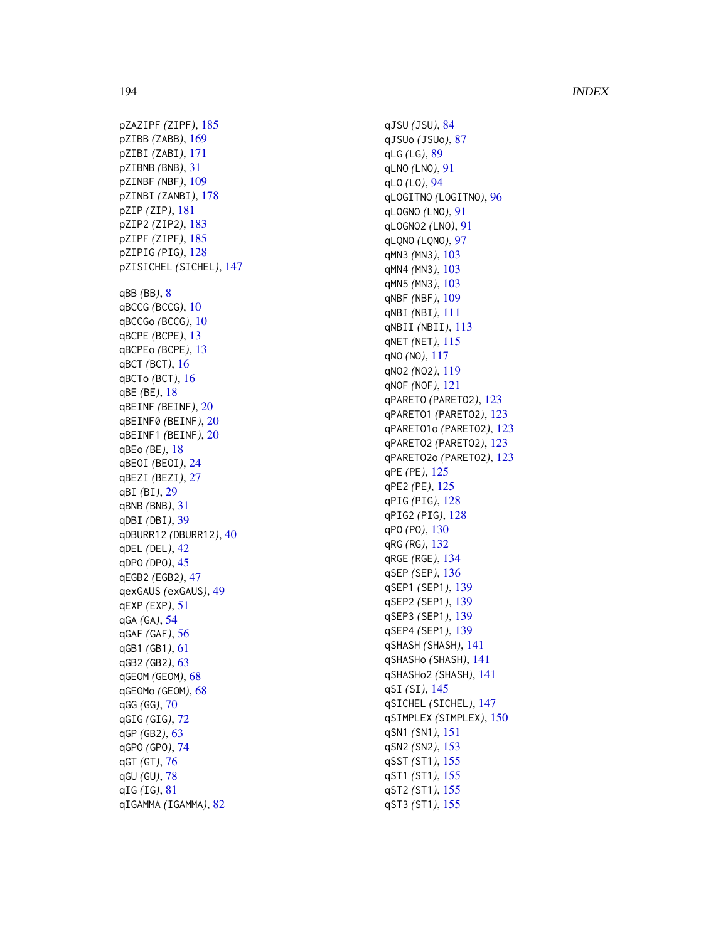pZAZIPF *(*ZIPF *)* , [185](#page-184-0) pZIBB *(*ZABB *)* , [169](#page-168-0) pZIBI *(*ZABI *)* , [171](#page-170-0) pZIBNB *(*BNB *)* , [31](#page-30-0) pZINBF *(*NBF *)* , [109](#page-108-0) pZINBI *(*ZANBI *)* , [178](#page-177-0) pZIP *(*ZIP *)* , [181](#page-180-1) pZIP2 *(*ZIP2 *)* , [183](#page-182-1) pZIPF *(*ZIPF *)* , [185](#page-184-0) pZIPIG *(*PIG *)* , [128](#page-127-0) pZISICHEL *(*SICHEL *)* , [147](#page-146-0) qBB *(*BB *)* , [8](#page-7-0) qBCCG *(*BCCG *)* , [10](#page-9-0) qBCCGo *(*BCCG *)* , [10](#page-9-0) qBCPE *(*BCPE *)* , [13](#page-12-0) qBCPEo *(*BCPE *)* , [13](#page-12-0) qBCT *(*BCT *)* , [16](#page-15-0) qBCTo *(*BCT *)* , [16](#page-15-0) qBE *(*BE *)* , [18](#page-17-0) qBEINF *(*BEINF *)* , [20](#page-19-0) qBEINF0 *(*BEINF *)* , [20](#page-19-0) qBEINF1 *(*BEINF *)* , [20](#page-19-0) qBEo *(*BE *)* , [18](#page-17-0) qBEOI *(*BEOI *)* , [24](#page-23-0) qBEZI *(*BEZI *)* , [27](#page-26-0) qBI *(*BI *)* , [29](#page-28-0) qBNB *(*BNB *)* , [31](#page-30-0) qDBI *(*DBI *)* , [39](#page-38-0) qDBURR12 *(*DBURR12 *)* , [40](#page-39-0) qDEL *(*DEL *)* , [42](#page-41-0) qDPO *(*DPO *)* , [45](#page-44-0) qEGB2 *(*EGB2 *)* , [47](#page-46-0) qexGAUS *(*exGAUS *)* , [49](#page-48-0) qEXP *(*EXP *)* , [51](#page-50-0) qGA *(*GA *)* , [54](#page-53-0) qGAF *(*GAF *)* , [56](#page-55-0) qGB1 *(*GB1 *)* , [61](#page-60-0) qGB2 *(*GB2 *)* , [63](#page-62-0) qGEOM *(*GEOM *)* , [68](#page-67-1) qGEOMo *(*GEOM *)* , [68](#page-67-1) qGG *(*GG *)* , [70](#page-69-0) qGIG *(*GIG *)* , [72](#page-71-0) qGP *(*GB2 *)* , [63](#page-62-0) qGPO *(*GPO *)* , [74](#page-73-0) qGT *(*GT *)* , [76](#page-75-0) qGU *(*GU *)* , [78](#page-77-0) qIG *(*IG *)* , [81](#page-80-0) qIGAMMA *(*IGAMMA *)* , [82](#page-81-0)

qJSU *(*JSU *)* , [84](#page-83-0) qJSUo *(*JSUo *)* , [87](#page-86-0) qLG *(*LG *)* , [89](#page-88-2) qLNO *(*LNO *)* , [91](#page-90-0) qLO *(*LO *)* , [94](#page-93-0) qLOGITNO *(*LOGITNO *)* , [96](#page-95-0) qLOGNO *(*LNO *)* , [91](#page-90-0) qLOGNO2 *(*LNO *)* , [91](#page-90-0) qLQNO *(*LQNO *)* , [97](#page-96-0) qMN3 *(*MN3 *)* , [103](#page-102-0) qMN4 *(*MN3 *)* , [103](#page-102-0) qMN5 *(*MN3 *)* , [103](#page-102-0) qNBF *(*NBF *)* , [109](#page-108-0) qNBI *(*NBI *)* , [111](#page-110-0) qNBII *(*NBII *)* , [113](#page-112-0) qNET *(*NET *)* , [115](#page-114-0) qNO *(*NO *)* , [117](#page-116-0) qNO2 *(*NO2 *)* , [119](#page-118-0) qNOF *(*NOF *)* , [121](#page-120-0) qPARETO *(*PARETO2 *)* , [123](#page-122-0) qPARETO1 *(*PARETO2 *)* , [123](#page-122-0) qPARETO1o *(*PARETO2 *)* , [123](#page-122-0) qPARETO2 *(*PARETO2 *)* , [123](#page-122-0) qPARETO2o *(*PARETO2 *)* , [123](#page-122-0) qPE *(*PE *)* , [125](#page-124-0) qPE2 *(*PE *)* , [125](#page-124-0) qPIG *(*PIG *)* , [128](#page-127-0) qPIG2 *(*PIG *)* , [128](#page-127-0) qPO *(*PO *)* , [130](#page-129-1) qRG *(*RG *)* , [132](#page-131-0) qRGE *(*RGE *)* , [134](#page-133-0) qSEP *(*SEP *)* , [136](#page-135-0) qSEP1 *(*SEP1 *)* , [139](#page-138-0) qSEP2 *(*SEP1 *)* , [139](#page-138-0) qSEP3 *(*SEP1 *)* , [139](#page-138-0) qSEP4 *(*SEP1 *)* , [139](#page-138-0) qSHASH *(*SHASH *)* , [141](#page-140-0) qSHASHo *(*SHASH *)* , [141](#page-140-0) qSHASHo2 *(*SHASH *)* , [141](#page-140-0) qSI *(*SI *)* , [145](#page-144-0) qSICHEL *(*SICHEL *)* , [147](#page-146-0) qSIMPLEX *(*SIMPLEX *)* , [150](#page-149-0) qSN1 *(*SN1 *)* , [151](#page-150-0) qSN2 *(*SN2 *)* , [153](#page-152-0) qSST *(*ST1 *)* , [155](#page-154-0) qST1 *(*ST1 *)* , [155](#page-154-0) qST2 *(*ST1 *)* , [155](#page-154-0) qST3 *(*ST1 *)* , [155](#page-154-0)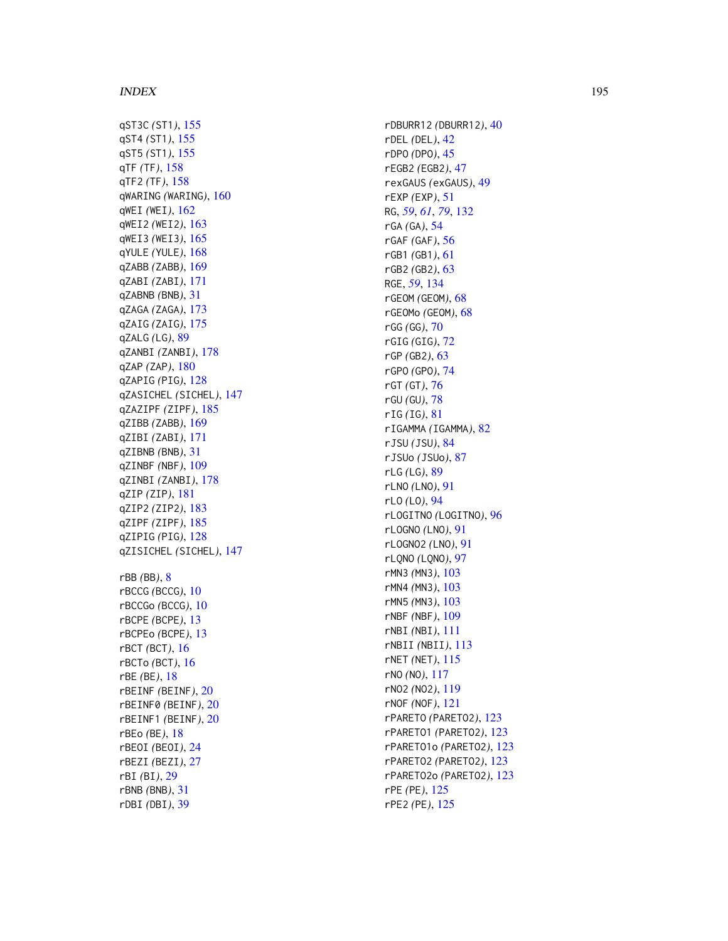qST3C *(*ST1 *)* , [155](#page-154-0) qST4 *(*ST1 *)* , [155](#page-154-0) qST5 *(*ST1 *)* , [155](#page-154-0) qTF *(*TF *)* , [158](#page-157-0) qTF2 *(*TF *)* , [158](#page-157-0) qWARING *(*WARING *)* , [160](#page-159-0) qWEI *(*WEI *)* , [162](#page-161-0) qWEI2 *(*WEI2 *)* , [163](#page-162-0) qWEI3 *(*WEI3 *)* , [165](#page-164-0) qYULE *(*YULE *)* , [168](#page-167-1) qZABB *(*ZABB *)* , [169](#page-168-0) qZABI *(*ZABI *)* , [171](#page-170-0) qZABNB *(*BNB *)* , [31](#page-30-0) qZAGA *(*ZAGA *)* , [173](#page-172-0) qZAIG *(*ZAIG *)* , [175](#page-174-0) qZALG *(*LG *)* , [89](#page-88-2) qZANBI *(*ZANBI *)* , [178](#page-177-0) qZAP *(*ZAP *)* , [180](#page-179-0) qZAPIG *(*PIG *)* , [128](#page-127-0) qZASICHEL *(*SICHEL *)* , [147](#page-146-0) qZAZIPF *(*ZIPF *)* , [185](#page-184-0) qZIBB *(*ZABB *)* , [169](#page-168-0) qZIBI *(*ZABI *)* , [171](#page-170-0) qZIBNB *(*BNB *)* , [31](#page-30-0) qZINBF *(*NBF *)* , [109](#page-108-0) qZINBI *(*ZANBI *)* , [178](#page-177-0) qZIP *(*ZIP *)* , [181](#page-180-1) qZIP2 *(*ZIP2 *)* , [183](#page-182-1) qZIPF *(*ZIPF *)* , [185](#page-184-0) qZIPIG *(*PIG *)* , [128](#page-127-0) qZISICHEL *(*SICHEL *)* , [147](#page-146-0) rBB *(*BB *)* , [8](#page-7-0) rBCCG *(*BCCG *)* , [10](#page-9-0) rBCCGo *(*BCCG *)* , [10](#page-9-0) rBCPE *(*BCPE *)* , [13](#page-12-0) rBCPEo *(*BCPE *)* , [13](#page-12-0) rBCT *(*BCT *)* , [16](#page-15-0) rBCTo *(*BCT *)* , [16](#page-15-0) rBE *(*BE *)* , [18](#page-17-0) rBEINF *(*BEINF *)* , [20](#page-19-0) rBEINF0 *(*BEINF *)* , [20](#page-19-0) rBEINF1 *(*BEINF *)* , [20](#page-19-0) rBEo *(*BE *)* , [18](#page-17-0) rBEOI *(*BEOI *)* , [24](#page-23-0) rBEZI *(*BEZI *)* , [27](#page-26-0) rBI *(*BI *)* , [29](#page-28-0) rBNB *(*BNB *)* , [31](#page-30-0) rDBI *(*DBI *)* , [39](#page-38-0)

rDBURR12 *(*DBURR12 *)* , [40](#page-39-0) rDEL *(*DEL *)* , [42](#page-41-0) rDPO *(*DPO *)* , [45](#page-44-0) rEGB2 *(*EGB2 *)* , [47](#page-46-0) rexGAUS *(*exGAUS *)* , [49](#page-48-0) rEXP *(*EXP *)* , [51](#page-50-0) RG , *[59](#page-58-0)* , *[61](#page-60-0)* , *[79](#page-78-0)* , [132](#page-131-0) rGA *(*GA *)* , [54](#page-53-0) rGAF *(*GAF *)* , [56](#page-55-0) rGB1 *(*GB1 *)* , [61](#page-60-0) rGB2 *(*GB2 *)* , [63](#page-62-0) RGE , *[59](#page-58-0)* , [134](#page-133-0) rGEOM *(*GEOM *)* , [68](#page-67-1) rGEOMo *(*GEOM *)* , [68](#page-67-1) rGG *(*GG *)* , [70](#page-69-0) rGIG *(*GIG *)* , [72](#page-71-0) rGP *(*GB2 *)* , [63](#page-62-0) rGPO *(*GPO *)* , [74](#page-73-0) rGT *(*GT *)* , [76](#page-75-0) rGU *(*GU *)* , [78](#page-77-0) rIG *(*IG *)* , [81](#page-80-0) rIGAMMA *(*IGAMMA *)* , [82](#page-81-0) rJSU *(*JSU *)* , [84](#page-83-0) rJSUo *(*JSUo *)* , [87](#page-86-0) rLG *(*LG *)* , [89](#page-88-2) rLNO *(*LNO *)* , [91](#page-90-0) rLO *(*LO *)* , [94](#page-93-0) rLOGITNO *(*LOGITNO *)* , [96](#page-95-0) rLOGNO *(*LNO *)* , [91](#page-90-0) rLOGNO2 *(*LNO *)* , [91](#page-90-0) rLQNO *(*LQNO *)* , [97](#page-96-0) rMN3 *(*MN3 *)* , [103](#page-102-0) rMN4 *(*MN3 *)* , [103](#page-102-0) rMN5 *(*MN3 *)* , [103](#page-102-0) rNBF *(*NBF *)* , [109](#page-108-0) rNBI *(*NBI *)* , [111](#page-110-0) rNBII *(*NBII *)* , [113](#page-112-0) rNET *(*NET *)* , [115](#page-114-0) rNO *(*NO *)* , [117](#page-116-0) rNO2 *(*NO2 *)* , [119](#page-118-0) rNOF *(*NOF *)* , [121](#page-120-0) rPARETO *(*PARETO2 *)* , [123](#page-122-0) rPARETO1 *(*PARETO2 *)* , [123](#page-122-0) rPARETO1o *(*PARETO2 *)* , [123](#page-122-0) rPARETO2 *(*PARETO2 *)* , [123](#page-122-0) rPARETO2o *(*PARETO2 *)* , [123](#page-122-0) rPE *(*PE *)* , [125](#page-124-0) rPE2 *(*PE *)* , [125](#page-124-0)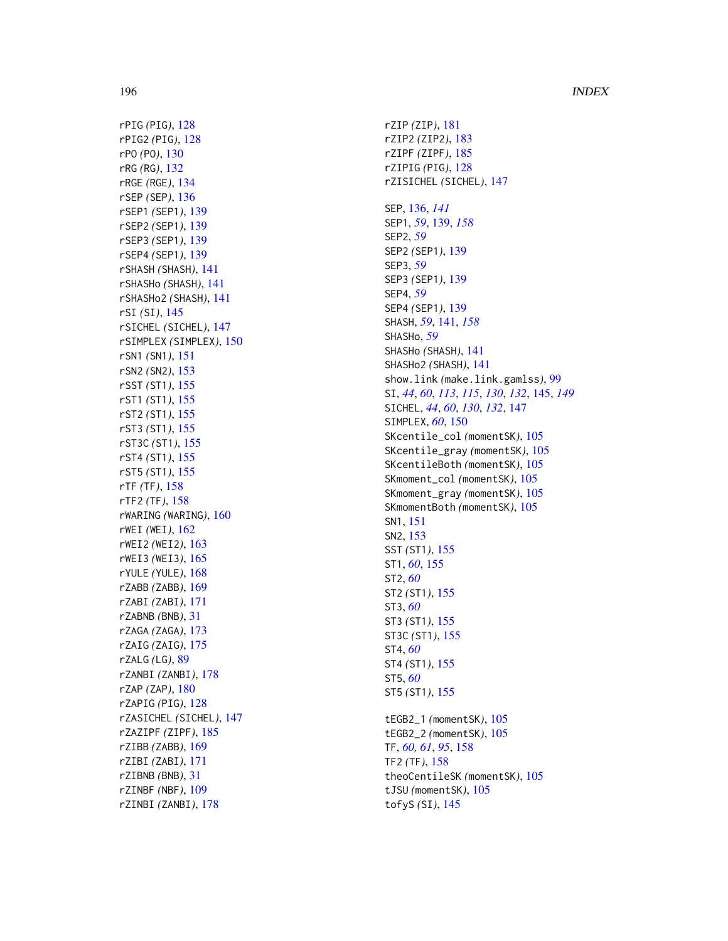rPIG *(*PIG *)* , [128](#page-127-0) rPIG2 *(*PIG *)* , [128](#page-127-0) rPO *(*PO *)* , [130](#page-129-1) rRG *(*RG *)* , [132](#page-131-0) rRGE *(*RGE *)* , [134](#page-133-0) rSEP *(*SEP *)* , [136](#page-135-0) rSEP1 *(*SEP1 *)* , [139](#page-138-0) rSEP2 *(*SEP1 *)* , [139](#page-138-0) rSEP3 *(*SEP1 *)* , [139](#page-138-0) rSEP4 *(*SEP1 *)* , [139](#page-138-0) rSHASH *(*SHASH *)* , [141](#page-140-0) rSHASHo *(*SHASH *)* , [141](#page-140-0) rSHASHo2 *(*SHASH *)* , [141](#page-140-0) rSI *(*SI *)* , [145](#page-144-0) rSICHEL *(*SICHEL *)* , [147](#page-146-0) rSIMPLEX *(*SIMPLEX *)* , [150](#page-149-0) rSN1 *(*SN1 *)* , [151](#page-150-0) rSN2 *(*SN2 *)* , [153](#page-152-0) rSST *(*ST1 *)* , [155](#page-154-0) rST1 *(*ST1 *)* , [155](#page-154-0) rST2 *(*ST1 *)* , [155](#page-154-0) rST3 *(*ST1 *)* , [155](#page-154-0) rST3C *(*ST1 *)* , [155](#page-154-0) rST4 *(*ST1 *)* , [155](#page-154-0) rST5 *(*ST1 *)* , [155](#page-154-0) rTF *(*TF *)* , [158](#page-157-0) rTF2 *(*TF *)* , [158](#page-157-0) rWARING *(*WARING *)* , [160](#page-159-0) rWEI *(*WEI *)* , [162](#page-161-0) rWEI2 *(*WEI2 *)* , [163](#page-162-0) rWEI3 *(*WEI3 *)* , [165](#page-164-0) rYULE *(*YULE *)* , [168](#page-167-1) rZABB *(*ZABB *)* , [169](#page-168-0) rZABI *(*ZABI *)* , [171](#page-170-0) rZABNB *(*BNB *)* , [31](#page-30-0) rZAGA *(*ZAGA *)* , [173](#page-172-0) rZAIG *(*ZAIG *)* , [175](#page-174-0) rZALG *(*LG *)* , [89](#page-88-2) rZANBI *(*ZANBI *)* , [178](#page-177-0) rZAP *(*ZAP *)* , [180](#page-179-0) rZAPIG *(*PIG *)* , [128](#page-127-0) rZASICHEL *(*SICHEL *)* , [147](#page-146-0) rZAZIPF *(*ZIPF *)* , [185](#page-184-0) rZIBB *(*ZABB *)* , [169](#page-168-0) rZIBI *(*ZABI *)* , [171](#page-170-0) rZIBNB *(*BNB *)* , [31](#page-30-0) rZINBF *(*NBF *)* , [109](#page-108-0) rZINBI *(*ZANBI *)* , [178](#page-177-0)

rZIP *(*ZIP *)* , [181](#page-180-1) rZIP2 *(*ZIP2 *)* , [183](#page-182-1) rZIPF *(*ZIPF *)* , [185](#page-184-0) rZIPIG *(*PIG *)* , [128](#page-127-0) rZISICHEL *(*SICHEL *)* , [147](#page-146-0) SEP , [136](#page-135-0) , *[141](#page-140-0)* SEP1 , *[59](#page-58-0)* , [139](#page-138-0) , *[158](#page-157-0)* SEP2 , *[59](#page-58-0)* SEP2 *(*SEP1 *)* , [139](#page-138-0) SEP3 , *[59](#page-58-0)* SEP3 *(*SEP1 *)* , [139](#page-138-0) SEP4 , *[59](#page-58-0)* SEP4 *(*SEP1 *)* , [139](#page-138-0) SHASH , *[59](#page-58-0)* , [141](#page-140-0) , *[158](#page-157-0)* SHASHo , *[59](#page-58-0)* SHASHo *(*SHASH *)* , [141](#page-140-0) SHASHo2 *(*SHASH *)* , [141](#page-140-0) show.link *(*make.link.gamlss *)* , [99](#page-98-0) SI , *[44](#page-43-0)* , *[60](#page-59-0)* , *[113](#page-112-0)* , *[115](#page-114-0)* , *[130](#page-129-1)* , *[132](#page-131-0)* , [145](#page-144-0) , *[149](#page-148-0)* SICHEL , *[44](#page-43-0)* , *[60](#page-59-0)* , *[130](#page-129-1)* , *[132](#page-131-0)* , [147](#page-146-0) SIMPLEX , *[60](#page-59-0)* , [150](#page-149-0) SKcentile\_col *(*momentSK *)* , [105](#page-104-0) SKcentile\_gray *(*momentSK *)* , [105](#page-104-0) SKcentileBoth *(*momentSK *)* , [105](#page-104-0) SKmoment\_col (momentSK), [105](#page-104-0) SKmoment\_gray (momentSK), [105](#page-104-0) SKmomentBoth *(*momentSK *)* , [105](#page-104-0) SN1 , [151](#page-150-0) SN2 , [153](#page-152-0) SST *(*ST1 *)* , [155](#page-154-0) ST1 , *[60](#page-59-0)* , [155](#page-154-0) ST2 , *[60](#page-59-0)* ST2 *(*ST1 *)* , [155](#page-154-0) ST3 , *[60](#page-59-0)* ST3 *(*ST1 *)* , [155](#page-154-0) ST3C *(*ST1 *)* , [155](#page-154-0) ST4 , *[60](#page-59-0)* ST4 *(*ST1 *)* , [155](#page-154-0) ST5 , *[60](#page-59-0)* ST5 *(*ST1 *)* , [155](#page-154-0) tEGB2\_1 *(*momentSK *)* , [105](#page-104-0) tEGB2\_2 *(*momentSK *)* , [105](#page-104-0) TF , *[60](#page-59-0) , [61](#page-60-0)* , *[95](#page-94-0)* , [158](#page-157-0) TF2 *(*TF *)* , [158](#page-157-0)

theoCentileSK *(*momentSK *)* , [105](#page-104-0) tJSU *(*momentSK *)* , [105](#page-104-0) tofyS *(*SI *)* , [145](#page-144-0)